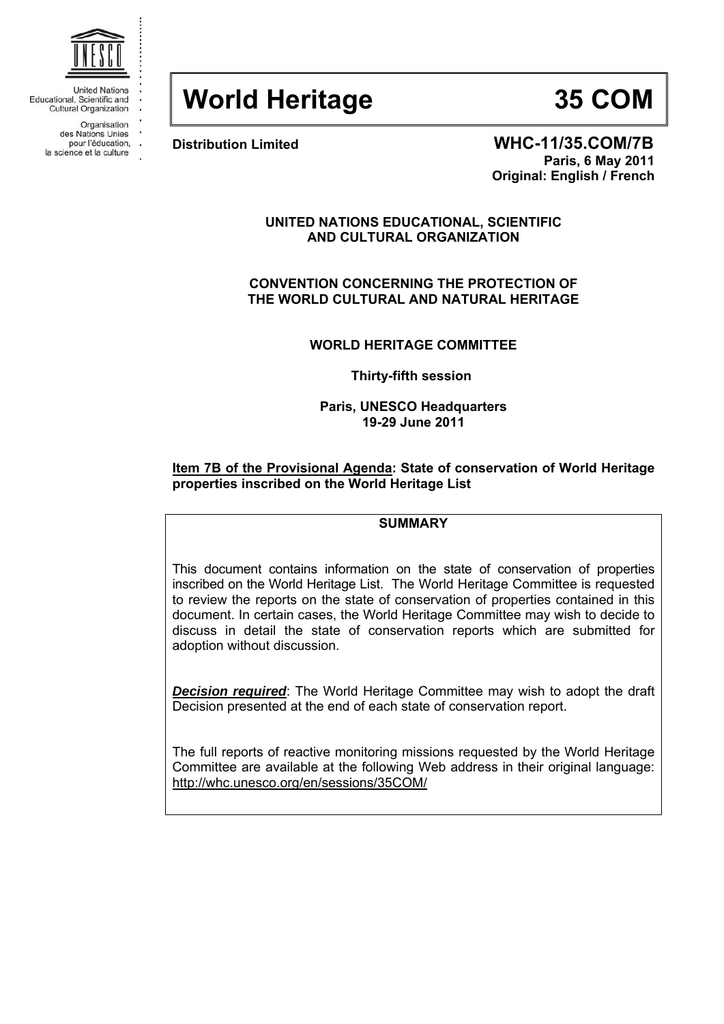

**United Nations** Educational, Scientific and **Cultural Organization** 

> Organisation des Nations Unies

pour l'éducation, .

la science et la culture

# **World Heritage 35 COM**

**Distribution Limited WHC-11/35.COM/7B Paris, 6 May 2011 Original: English / French** 

# **UNITED NATIONS EDUCATIONAL, SCIENTIFIC AND CULTURAL ORGANIZATION**

**CONVENTION CONCERNING THE PROTECTION OF THE WORLD CULTURAL AND NATURAL HERITAGE** 

**WORLD HERITAGE COMMITTEE** 

**Thirty-fifth session** 

**Paris, UNESCO Headquarters 19-29 June 2011** 

# **Item 7B of the Provisional Agenda: State of conservation of World Heritage properties inscribed on the World Heritage List**

# **SUMMARY**

This document contains information on the state of conservation of properties inscribed on the World Heritage List. The World Heritage Committee is requested to review the reports on the state of conservation of properties contained in this document. In certain cases, the World Heritage Committee may wish to decide to discuss in detail the state of conservation reports which are submitted for adoption without discussion.

*Decision required*: The World Heritage Committee may wish to adopt the draft Decision presented at the end of each state of conservation report.

The full reports of reactive monitoring missions requested by the World Heritage Committee are available at the following Web address in their original language: http://whc.unesco.org/en/sessions/35COM/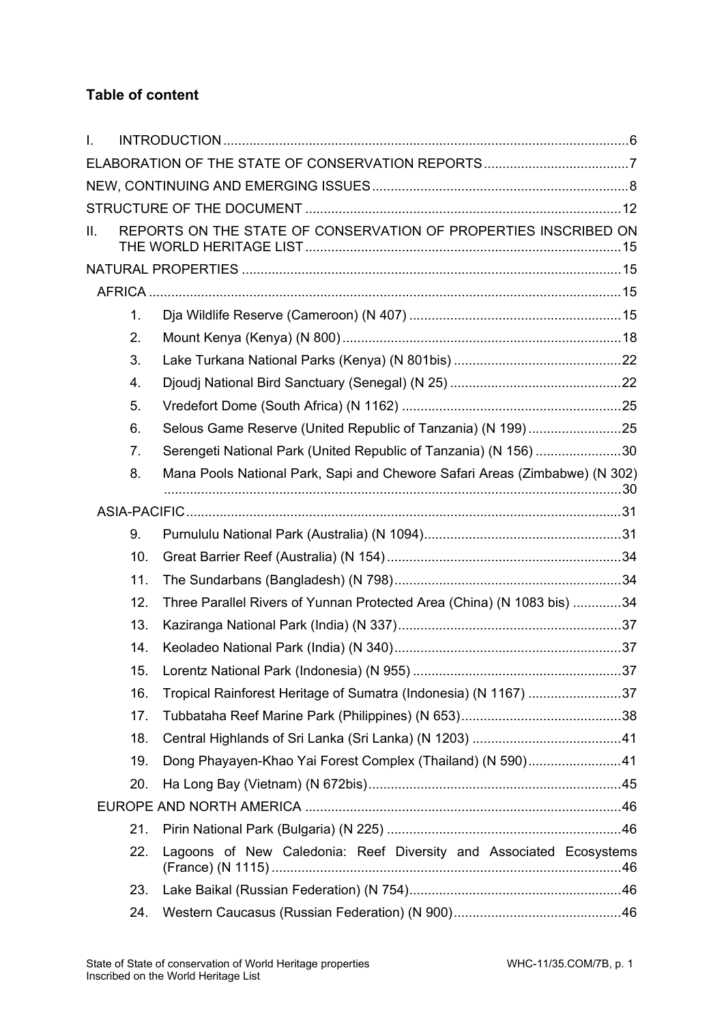# **Table of content**

| I. |                |                                                                            |  |
|----|----------------|----------------------------------------------------------------------------|--|
|    |                |                                                                            |  |
|    |                |                                                                            |  |
|    |                |                                                                            |  |
| Н. |                | REPORTS ON THE STATE OF CONSERVATION OF PROPERTIES INSCRIBED ON            |  |
|    |                |                                                                            |  |
|    |                |                                                                            |  |
|    | 1 <sub>1</sub> |                                                                            |  |
|    | 2.             |                                                                            |  |
|    | 3.             |                                                                            |  |
|    | 4.             |                                                                            |  |
|    | 5.             |                                                                            |  |
|    | 6.             | Selous Game Reserve (United Republic of Tanzania) (N 199)25                |  |
|    | 7.             | Serengeti National Park (United Republic of Tanzania) (N 156) 30           |  |
|    | 8.             | Mana Pools National Park, Sapi and Chewore Safari Areas (Zimbabwe) (N 302) |  |
|    |                |                                                                            |  |
|    | 9.             |                                                                            |  |
|    | 10.            |                                                                            |  |
|    | 11.            |                                                                            |  |
|    | 12.            | Three Parallel Rivers of Yunnan Protected Area (China) (N 1083 bis) 34     |  |
|    | 13.            |                                                                            |  |
|    | 14.            |                                                                            |  |
|    | 15.            |                                                                            |  |
|    | 16.            | Tropical Rainforest Heritage of Sumatra (Indonesia) (N 1167) 37            |  |
|    | 17.            |                                                                            |  |
|    | 18.            |                                                                            |  |
|    | 19.            | Dong Phayayen-Khao Yai Forest Complex (Thailand) (N 590)41                 |  |
|    | 20.            |                                                                            |  |
|    |                |                                                                            |  |
|    | 21.            |                                                                            |  |
|    | 22.            | Lagoons of New Caledonia: Reef Diversity and Associated Ecosystems         |  |
|    | 23.            |                                                                            |  |
|    | 24.            |                                                                            |  |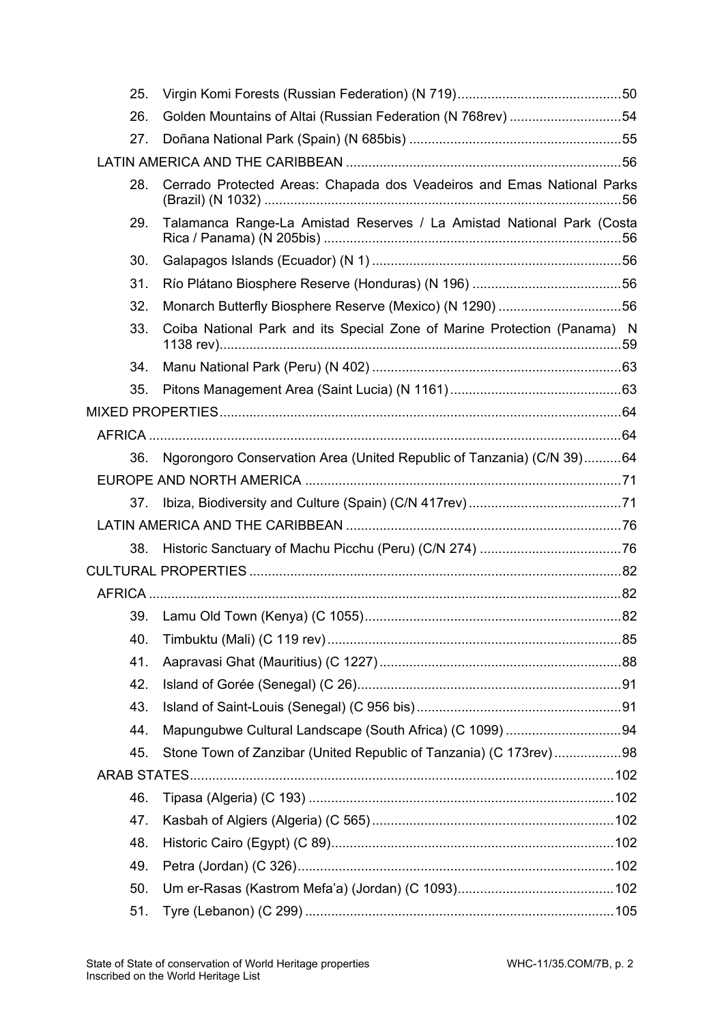| 25. |                                                                          |  |
|-----|--------------------------------------------------------------------------|--|
| 26. | Golden Mountains of Altai (Russian Federation (N 768rev) 54              |  |
| 27. |                                                                          |  |
|     |                                                                          |  |
| 28. | Cerrado Protected Areas: Chapada dos Veadeiros and Emas National Parks   |  |
| 29. | Talamanca Range-La Amistad Reserves / La Amistad National Park (Costa    |  |
| 30. |                                                                          |  |
| 31. |                                                                          |  |
| 32. | Monarch Butterfly Biosphere Reserve (Mexico) (N 1290) 56                 |  |
| 33. | Coiba National Park and its Special Zone of Marine Protection (Panama) N |  |
| 34. |                                                                          |  |
| 35. |                                                                          |  |
|     |                                                                          |  |
|     |                                                                          |  |
| 36. | Ngorongoro Conservation Area (United Republic of Tanzania) (C/N 39)64    |  |
|     |                                                                          |  |
| 37. |                                                                          |  |
|     |                                                                          |  |
| 38. |                                                                          |  |
|     |                                                                          |  |
|     |                                                                          |  |
|     |                                                                          |  |
| 40. |                                                                          |  |
| 41. |                                                                          |  |
| 42. |                                                                          |  |
| 43. |                                                                          |  |
| 44. |                                                                          |  |
| 45. | Stone Town of Zanzibar (United Republic of Tanzania) (C 173rev) 98       |  |
|     |                                                                          |  |
| 46. |                                                                          |  |
| 47. |                                                                          |  |
| 48. |                                                                          |  |
| 49. |                                                                          |  |
| 50. |                                                                          |  |
| 51. |                                                                          |  |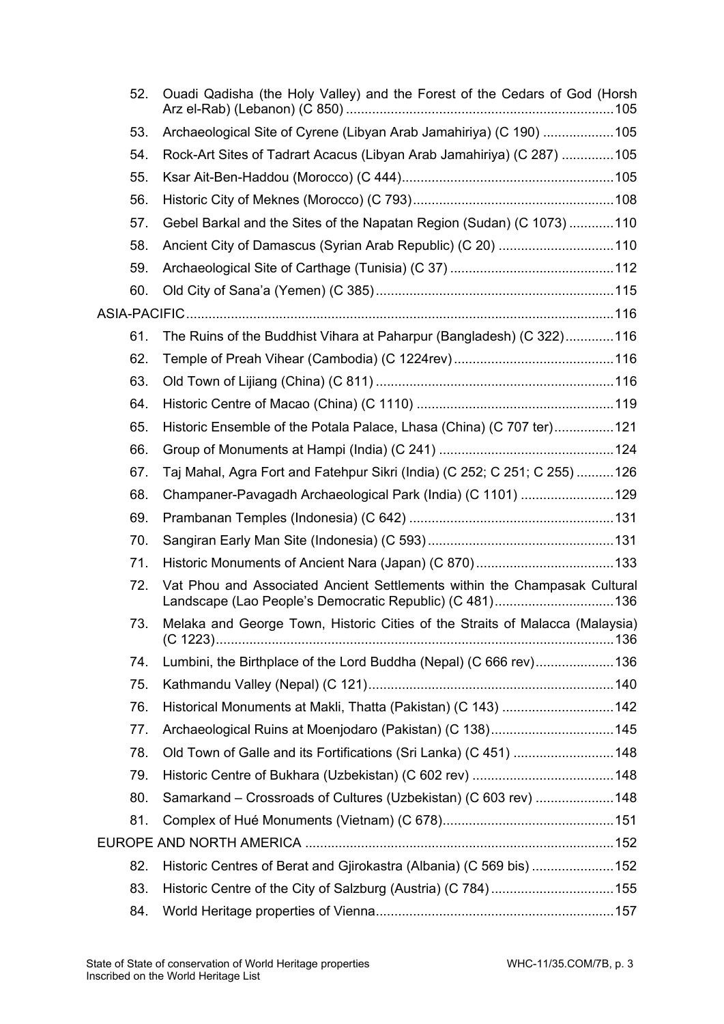| 52. | Ouadi Qadisha (the Holy Valley) and the Forest of the Cedars of God (Horsh   |  |
|-----|------------------------------------------------------------------------------|--|
| 53. | Archaeological Site of Cyrene (Libyan Arab Jamahiriya) (C 190)  105          |  |
| 54. | Rock-Art Sites of Tadrart Acacus (Libyan Arab Jamahiriya) (C 287) 105        |  |
| 55. |                                                                              |  |
| 56. |                                                                              |  |
| 57. | Gebel Barkal and the Sites of the Napatan Region (Sudan) (C 1073) 110        |  |
| 58. | Ancient City of Damascus (Syrian Arab Republic) (C 20) 110                   |  |
| 59. |                                                                              |  |
| 60. |                                                                              |  |
|     |                                                                              |  |
| 61. | The Ruins of the Buddhist Vihara at Paharpur (Bangladesh) (C 322)116         |  |
| 62. |                                                                              |  |
| 63. |                                                                              |  |
| 64. |                                                                              |  |
| 65. | Historic Ensemble of the Potala Palace, Lhasa (China) (C 707 ter)121         |  |
| 66. |                                                                              |  |
| 67. | Taj Mahal, Agra Fort and Fatehpur Sikri (India) (C 252; C 251; C 255) 126    |  |
| 68. | Champaner-Pavagadh Archaeological Park (India) (C 1101) 129                  |  |
| 69. |                                                                              |  |
| 70. |                                                                              |  |
| 71. |                                                                              |  |
| 72. | Vat Phou and Associated Ancient Settlements within the Champasak Cultural    |  |
| 73. | Melaka and George Town, Historic Cities of the Straits of Malacca (Malaysia) |  |
| 74. | Lumbini, the Birthplace of the Lord Buddha (Nepal) (C 666 rev) 136           |  |
| 75. |                                                                              |  |
| 76. | Historical Monuments at Makli, Thatta (Pakistan) (C 143)  142                |  |
| 77. | Archaeological Ruins at Moenjodaro (Pakistan) (C 138)145                     |  |
| 78. | Old Town of Galle and its Fortifications (Sri Lanka) (C 451)  148            |  |
| 79. |                                                                              |  |
| 80. | Samarkand - Crossroads of Cultures (Uzbekistan) (C 603 rev) 148              |  |
| 81. |                                                                              |  |
|     |                                                                              |  |
| 82. | Historic Centres of Berat and Gjirokastra (Albania) (C 569 bis)  152         |  |
| 83. | Historic Centre of the City of Salzburg (Austria) (C 784)155                 |  |
| 84. |                                                                              |  |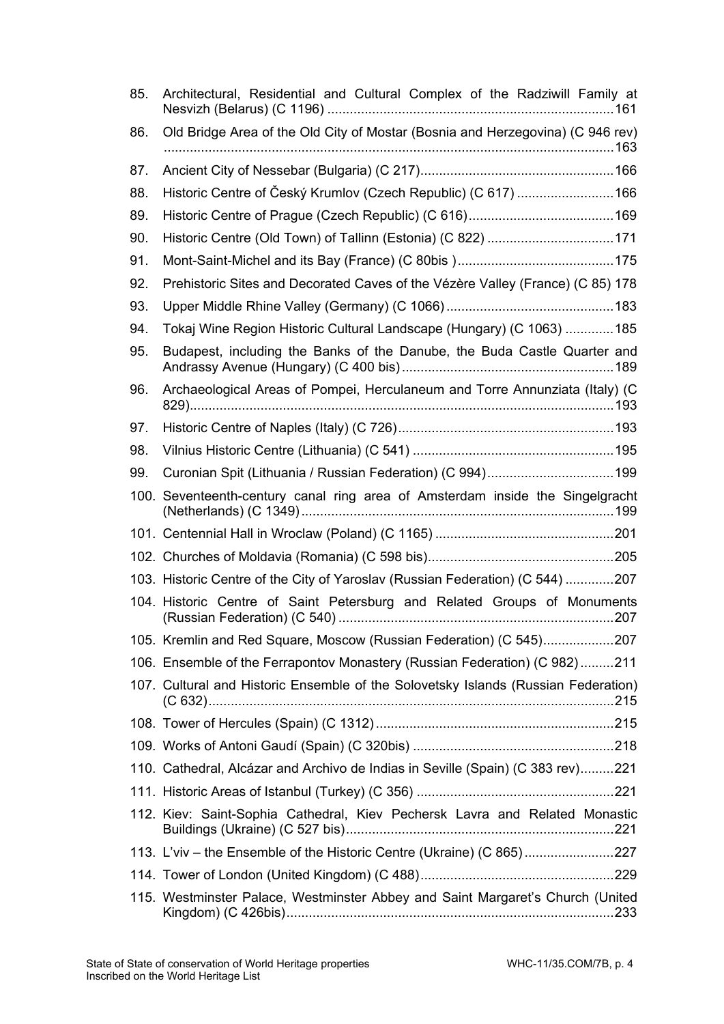| 85. | Architectural, Residential and Cultural Complex of the Radziwill Family at         |
|-----|------------------------------------------------------------------------------------|
| 86. | Old Bridge Area of the Old City of Mostar (Bosnia and Herzegovina) (C 946 rev)     |
| 87. |                                                                                    |
| 88. | Historic Centre of Český Krumlov (Czech Republic) (C 617)  166                     |
| 89. |                                                                                    |
| 90. | Historic Centre (Old Town) of Tallinn (Estonia) (C 822) 171                        |
| 91. |                                                                                    |
| 92. | Prehistoric Sites and Decorated Caves of the Vézère Valley (France) (C 85) 178     |
| 93. |                                                                                    |
| 94. | Tokaj Wine Region Historic Cultural Landscape (Hungary) (C 1063) 185               |
| 95. | Budapest, including the Banks of the Danube, the Buda Castle Quarter and           |
| 96. | Archaeological Areas of Pompei, Herculaneum and Torre Annunziata (Italy) (C        |
| 97. |                                                                                    |
| 98. |                                                                                    |
| 99. | Curonian Spit (Lithuania / Russian Federation) (C 994) 199                         |
|     | 100. Seventeenth-century canal ring area of Amsterdam inside the Singelgracht      |
|     |                                                                                    |
|     |                                                                                    |
|     | 103. Historic Centre of the City of Yaroslav (Russian Federation) (C 544) 207      |
|     | 104. Historic Centre of Saint Petersburg and Related Groups of Monuments           |
|     | 105. Kremlin and Red Square, Moscow (Russian Federation) (C 545)207                |
|     | 106. Ensemble of the Ferrapontov Monastery (Russian Federation) (C 982)211         |
|     | 107. Cultural and Historic Ensemble of the Solovetsky Islands (Russian Federation) |
|     |                                                                                    |
|     |                                                                                    |
|     | 110. Cathedral, Alcázar and Archivo de Indias in Seville (Spain) (C 383 rev)221    |
|     |                                                                                    |
|     | 112. Kiev: Saint-Sophia Cathedral, Kiev Pechersk Lavra and Related Monastic        |
|     | 113. L'viv - the Ensemble of the Historic Centre (Ukraine) (C 865)227              |
|     |                                                                                    |
|     | 115. Westminster Palace, Westminster Abbey and Saint Margaret's Church (United     |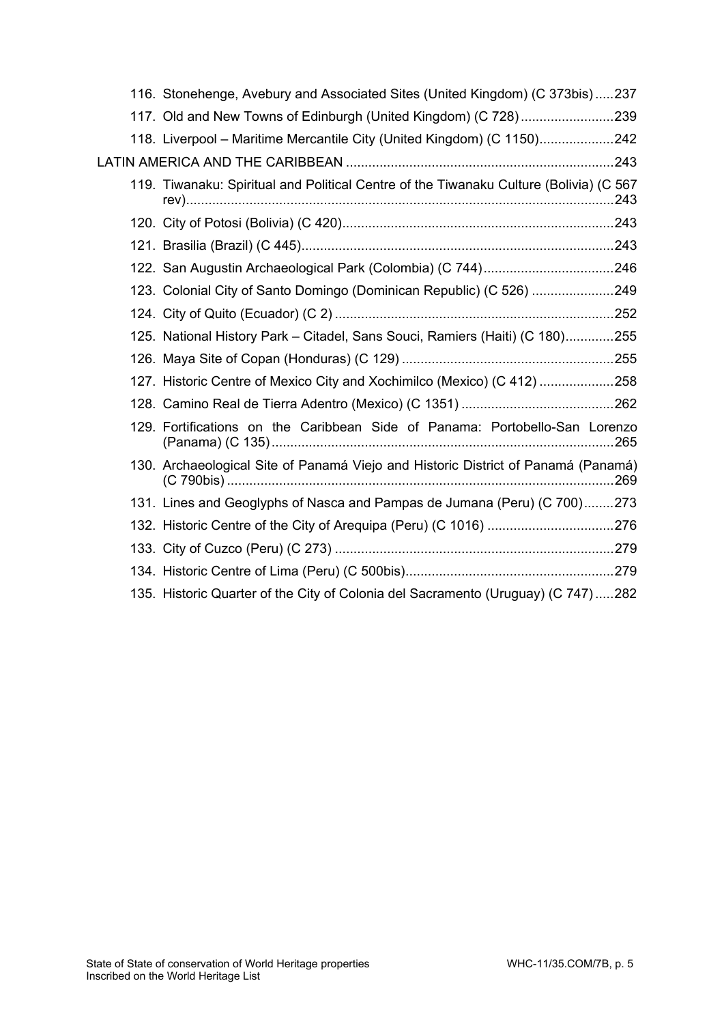|  | 116. Stonehenge, Avebury and Associated Sites (United Kingdom) (C 373bis)237           |  |
|--|----------------------------------------------------------------------------------------|--|
|  | 117. Old and New Towns of Edinburgh (United Kingdom) (C 728)239                        |  |
|  | 118. Liverpool - Maritime Mercantile City (United Kingdom) (C 1150)242                 |  |
|  |                                                                                        |  |
|  | 119. Tiwanaku: Spiritual and Political Centre of the Tiwanaku Culture (Bolivia) (C 567 |  |
|  |                                                                                        |  |
|  |                                                                                        |  |
|  |                                                                                        |  |
|  | 123. Colonial City of Santo Domingo (Dominican Republic) (C 526) 249                   |  |
|  |                                                                                        |  |
|  | 125. National History Park - Citadel, Sans Souci, Ramiers (Haiti) (C 180)255           |  |
|  |                                                                                        |  |
|  | 127. Historic Centre of Mexico City and Xochimilco (Mexico) (C 412) 258                |  |
|  |                                                                                        |  |
|  | 129. Fortifications on the Caribbean Side of Panama: Portobello-San Lorenzo            |  |
|  | 130. Archaeological Site of Panamá Viejo and Historic District of Panamá (Panamá)      |  |
|  | 131. Lines and Geoglyphs of Nasca and Pampas de Jumana (Peru) (C 700)273               |  |
|  | 132. Historic Centre of the City of Arequipa (Peru) (C 1016) 276                       |  |
|  |                                                                                        |  |
|  |                                                                                        |  |
|  | 135. Historic Quarter of the City of Colonia del Sacramento (Uruguay) (C 747) 282      |  |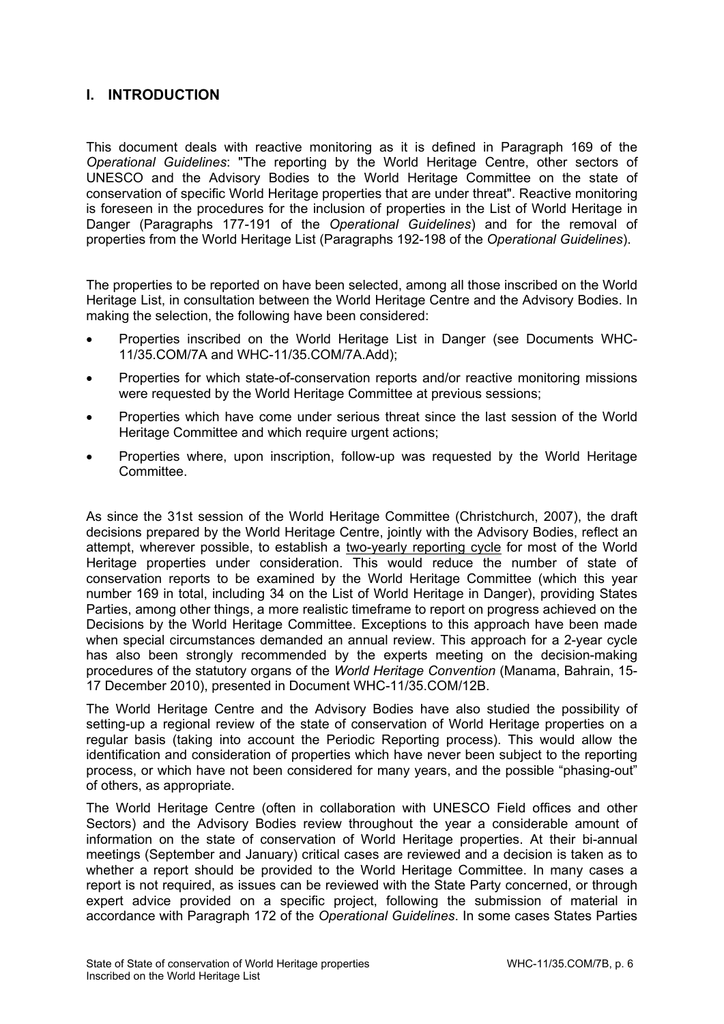# **I. INTRODUCTION**

This document deals with reactive monitoring as it is defined in Paragraph 169 of the *Operational Guidelines*: "The reporting by the World Heritage Centre, other sectors of UNESCO and the Advisory Bodies to the World Heritage Committee on the state of conservation of specific World Heritage properties that are under threat". Reactive monitoring is foreseen in the procedures for the inclusion of properties in the List of World Heritage in Danger (Paragraphs 177-191 of the *Operational Guidelines*) and for the removal of properties from the World Heritage List (Paragraphs 192-198 of the *Operational Guidelines*).

The properties to be reported on have been selected, among all those inscribed on the World Heritage List, in consultation between the World Heritage Centre and the Advisory Bodies. In making the selection, the following have been considered:

- Properties inscribed on the World Heritage List in Danger (see Documents WHC-11/35.COM/7A and WHC-11/35.COM/7A.Add);
- Properties for which state-of-conservation reports and/or reactive monitoring missions were requested by the World Heritage Committee at previous sessions;
- Properties which have come under serious threat since the last session of the World Heritage Committee and which require urgent actions;
- Properties where, upon inscription, follow-up was requested by the World Heritage Committee.

As since the 31st session of the World Heritage Committee (Christchurch, 2007), the draft decisions prepared by the World Heritage Centre, jointly with the Advisory Bodies, reflect an attempt, wherever possible, to establish a two-yearly reporting cycle for most of the World Heritage properties under consideration. This would reduce the number of state of conservation reports to be examined by the World Heritage Committee (which this year number 169 in total, including 34 on the List of World Heritage in Danger), providing States Parties, among other things, a more realistic timeframe to report on progress achieved on the Decisions by the World Heritage Committee. Exceptions to this approach have been made when special circumstances demanded an annual review. This approach for a 2-year cycle has also been strongly recommended by the experts meeting on the decision-making procedures of the statutory organs of the *World Heritage Convention* (Manama, Bahrain, 15- 17 December 2010), presented in Document WHC-11/35.COM/12B.

The World Heritage Centre and the Advisory Bodies have also studied the possibility of setting-up a regional review of the state of conservation of World Heritage properties on a regular basis (taking into account the Periodic Reporting process). This would allow the identification and consideration of properties which have never been subject to the reporting process, or which have not been considered for many years, and the possible "phasing-out" of others, as appropriate.

The World Heritage Centre (often in collaboration with UNESCO Field offices and other Sectors) and the Advisory Bodies review throughout the year a considerable amount of information on the state of conservation of World Heritage properties. At their bi-annual meetings (September and January) critical cases are reviewed and a decision is taken as to whether a report should be provided to the World Heritage Committee. In many cases a report is not required, as issues can be reviewed with the State Party concerned, or through expert advice provided on a specific project, following the submission of material in accordance with Paragraph 172 of the *Operational Guidelines*. In some cases States Parties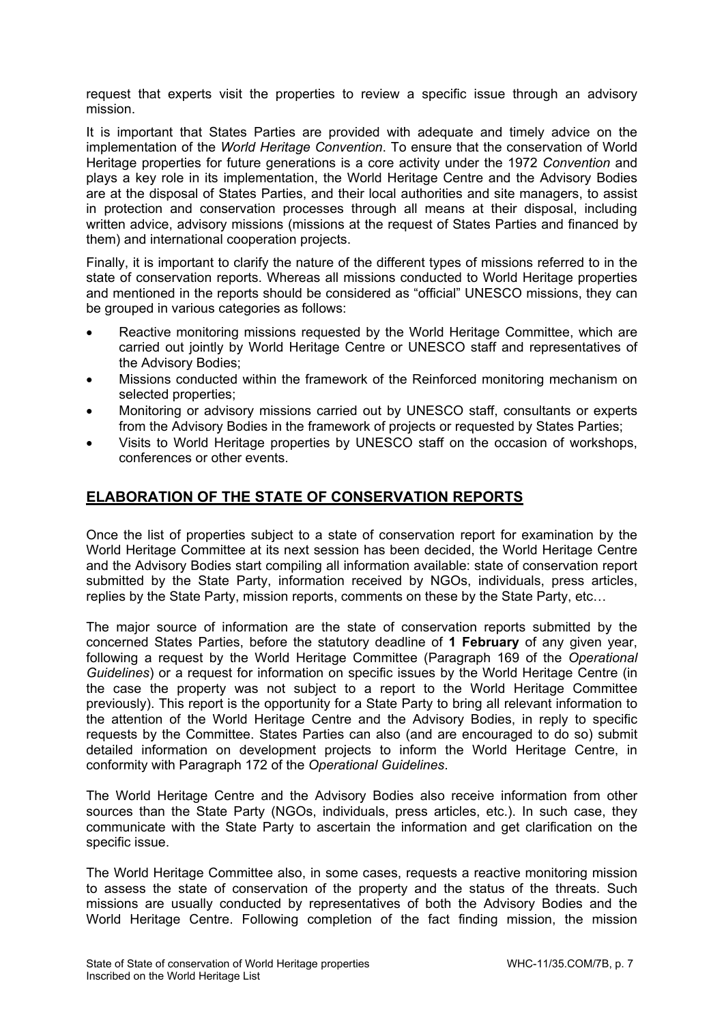request that experts visit the properties to review a specific issue through an advisory mission.

It is important that States Parties are provided with adequate and timely advice on the implementation of the *World Heritage Convention*. To ensure that the conservation of World Heritage properties for future generations is a core activity under the 1972 *Convention* and plays a key role in its implementation, the World Heritage Centre and the Advisory Bodies are at the disposal of States Parties, and their local authorities and site managers, to assist in protection and conservation processes through all means at their disposal, including written advice, advisory missions (missions at the request of States Parties and financed by them) and international cooperation projects.

Finally, it is important to clarify the nature of the different types of missions referred to in the state of conservation reports. Whereas all missions conducted to World Heritage properties and mentioned in the reports should be considered as "official" UNESCO missions, they can be grouped in various categories as follows:

- Reactive monitoring missions requested by the World Heritage Committee, which are carried out jointly by World Heritage Centre or UNESCO staff and representatives of the Advisory Bodies;
- Missions conducted within the framework of the Reinforced monitoring mechanism on selected properties;
- Monitoring or advisory missions carried out by UNESCO staff, consultants or experts from the Advisory Bodies in the framework of projects or requested by States Parties;
- Visits to World Heritage properties by UNESCO staff on the occasion of workshops, conferences or other events.

# **ELABORATION OF THE STATE OF CONSERVATION REPORTS**

Once the list of properties subject to a state of conservation report for examination by the World Heritage Committee at its next session has been decided, the World Heritage Centre and the Advisory Bodies start compiling all information available: state of conservation report submitted by the State Party, information received by NGOs, individuals, press articles, replies by the State Party, mission reports, comments on these by the State Party, etc…

The major source of information are the state of conservation reports submitted by the concerned States Parties, before the statutory deadline of **1 February** of any given year, following a request by the World Heritage Committee (Paragraph 169 of the *Operational Guidelines*) or a request for information on specific issues by the World Heritage Centre (in the case the property was not subject to a report to the World Heritage Committee previously). This report is the opportunity for a State Party to bring all relevant information to the attention of the World Heritage Centre and the Advisory Bodies, in reply to specific requests by the Committee. States Parties can also (and are encouraged to do so) submit detailed information on development projects to inform the World Heritage Centre, in conformity with Paragraph 172 of the *Operational Guidelines*.

The World Heritage Centre and the Advisory Bodies also receive information from other sources than the State Party (NGOs, individuals, press articles, etc.). In such case, they communicate with the State Party to ascertain the information and get clarification on the specific issue.

The World Heritage Committee also, in some cases, requests a reactive monitoring mission to assess the state of conservation of the property and the status of the threats. Such missions are usually conducted by representatives of both the Advisory Bodies and the World Heritage Centre. Following completion of the fact finding mission, the mission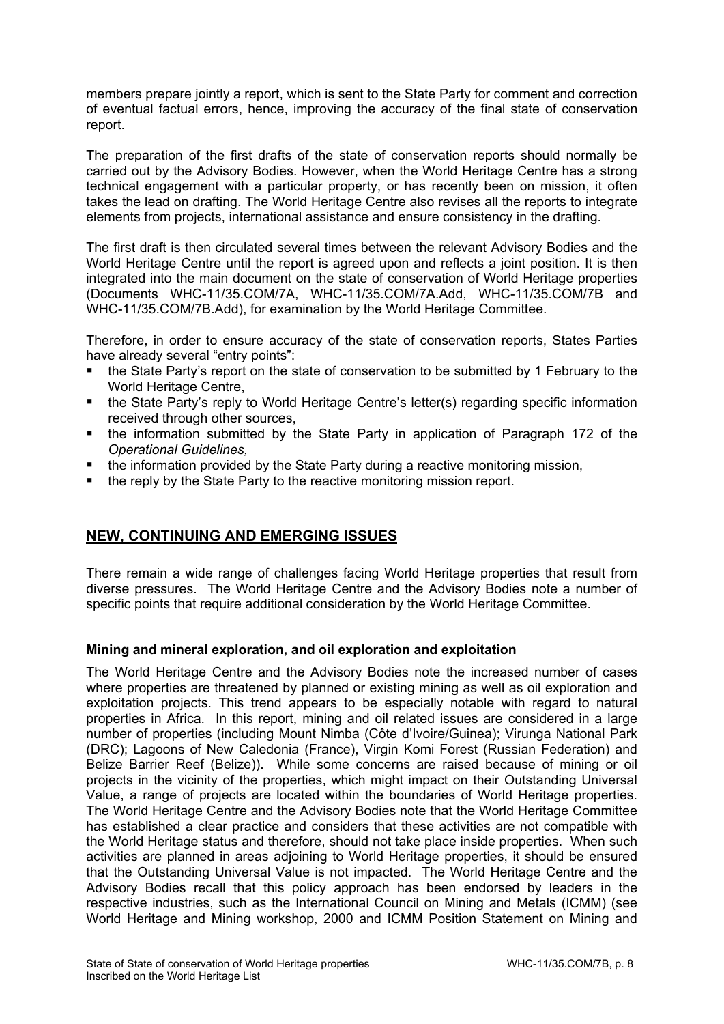members prepare jointly a report, which is sent to the State Party for comment and correction of eventual factual errors, hence, improving the accuracy of the final state of conservation report.

The preparation of the first drafts of the state of conservation reports should normally be carried out by the Advisory Bodies. However, when the World Heritage Centre has a strong technical engagement with a particular property, or has recently been on mission, it often takes the lead on drafting. The World Heritage Centre also revises all the reports to integrate elements from projects, international assistance and ensure consistency in the drafting.

The first draft is then circulated several times between the relevant Advisory Bodies and the World Heritage Centre until the report is agreed upon and reflects a joint position. It is then integrated into the main document on the state of conservation of World Heritage properties (Documents WHC-11/35.COM/7A, WHC-11/35.COM/7A.Add, WHC-11/35.COM/7B and WHC-11/35.COM/7B.Add), for examination by the World Heritage Committee.

Therefore, in order to ensure accuracy of the state of conservation reports, States Parties have already several "entry points":

- the State Party's report on the state of conservation to be submitted by 1 February to the World Heritage Centre,
- the State Party's reply to World Heritage Centre's letter(s) regarding specific information received through other sources,
- the information submitted by the State Party in application of Paragraph 172 of the *Operational Guidelines,*
- the information provided by the State Party during a reactive monitoring mission,
- the reply by the State Party to the reactive monitoring mission report.

# **NEW, CONTINUING AND EMERGING ISSUES**

There remain a wide range of challenges facing World Heritage properties that result from diverse pressures. The World Heritage Centre and the Advisory Bodies note a number of specific points that require additional consideration by the World Heritage Committee.

# **Mining and mineral exploration, and oil exploration and exploitation**

The World Heritage Centre and the Advisory Bodies note the increased number of cases where properties are threatened by planned or existing mining as well as oil exploration and exploitation projects. This trend appears to be especially notable with regard to natural properties in Africa. In this report, mining and oil related issues are considered in a large number of properties (including Mount Nimba (Côte d'Ivoire/Guinea); Virunga National Park (DRC); Lagoons of New Caledonia (France), Virgin Komi Forest (Russian Federation) and Belize Barrier Reef (Belize)). While some concerns are raised because of mining or oil projects in the vicinity of the properties, which might impact on their Outstanding Universal Value, a range of projects are located within the boundaries of World Heritage properties. The World Heritage Centre and the Advisory Bodies note that the World Heritage Committee has established a clear practice and considers that these activities are not compatible with the World Heritage status and therefore, should not take place inside properties. When such activities are planned in areas adjoining to World Heritage properties, it should be ensured that the Outstanding Universal Value is not impacted. The World Heritage Centre and the Advisory Bodies recall that this policy approach has been endorsed by leaders in the respective industries, such as the International Council on Mining and Metals (ICMM) (see World Heritage and Mining workshop, 2000 and ICMM Position Statement on Mining and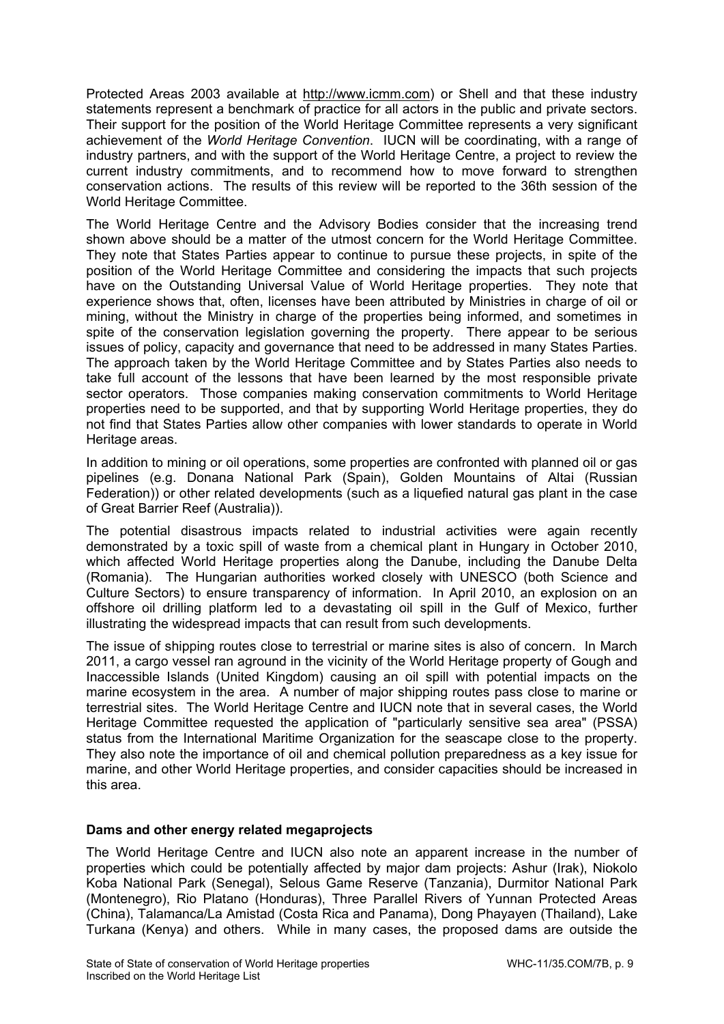Protected Areas 2003 available at http://www.icmm.com) or Shell and that these industry statements represent a benchmark of practice for all actors in the public and private sectors. Their support for the position of the World Heritage Committee represents a very significant achievement of the *World Heritage Convention*. IUCN will be coordinating, with a range of industry partners, and with the support of the World Heritage Centre, a project to review the current industry commitments, and to recommend how to move forward to strengthen conservation actions. The results of this review will be reported to the 36th session of the World Heritage Committee.

The World Heritage Centre and the Advisory Bodies consider that the increasing trend shown above should be a matter of the utmost concern for the World Heritage Committee. They note that States Parties appear to continue to pursue these projects, in spite of the position of the World Heritage Committee and considering the impacts that such projects have on the Outstanding Universal Value of World Heritage properties. They note that experience shows that, often, licenses have been attributed by Ministries in charge of oil or mining, without the Ministry in charge of the properties being informed, and sometimes in spite of the conservation legislation governing the property. There appear to be serious issues of policy, capacity and governance that need to be addressed in many States Parties. The approach taken by the World Heritage Committee and by States Parties also needs to take full account of the lessons that have been learned by the most responsible private sector operators. Those companies making conservation commitments to World Heritage properties need to be supported, and that by supporting World Heritage properties, they do not find that States Parties allow other companies with lower standards to operate in World Heritage areas.

In addition to mining or oil operations, some properties are confronted with planned oil or gas pipelines (e.g. Donana National Park (Spain), Golden Mountains of Altai (Russian Federation)) or other related developments (such as a liquefied natural gas plant in the case of Great Barrier Reef (Australia)).

The potential disastrous impacts related to industrial activities were again recently demonstrated by a toxic spill of waste from a chemical plant in Hungary in October 2010, which affected World Heritage properties along the Danube, including the Danube Delta (Romania). The Hungarian authorities worked closely with UNESCO (both Science and Culture Sectors) to ensure transparency of information. In April 2010, an explosion on an offshore oil drilling platform led to a devastating oil spill in the Gulf of Mexico, further illustrating the widespread impacts that can result from such developments.

The issue of shipping routes close to terrestrial or marine sites is also of concern. In March 2011, a cargo vessel ran aground in the vicinity of the World Heritage property of Gough and Inaccessible Islands (United Kingdom) causing an oil spill with potential impacts on the marine ecosystem in the area. A number of major shipping routes pass close to marine or terrestrial sites. The World Heritage Centre and IUCN note that in several cases, the World Heritage Committee requested the application of "particularly sensitive sea area" (PSSA) status from the International Maritime Organization for the seascape close to the property. They also note the importance of oil and chemical pollution preparedness as a key issue for marine, and other World Heritage properties, and consider capacities should be increased in this area.

# **Dams and other energy related megaprojects**

The World Heritage Centre and IUCN also note an apparent increase in the number of properties which could be potentially affected by major dam projects: Ashur (Irak), Niokolo Koba National Park (Senegal), Selous Game Reserve (Tanzania), Durmitor National Park (Montenegro), Rio Platano (Honduras), Three Parallel Rivers of Yunnan Protected Areas (China), Talamanca/La Amistad (Costa Rica and Panama), Dong Phayayen (Thailand), Lake Turkana (Kenya) and others. While in many cases, the proposed dams are outside the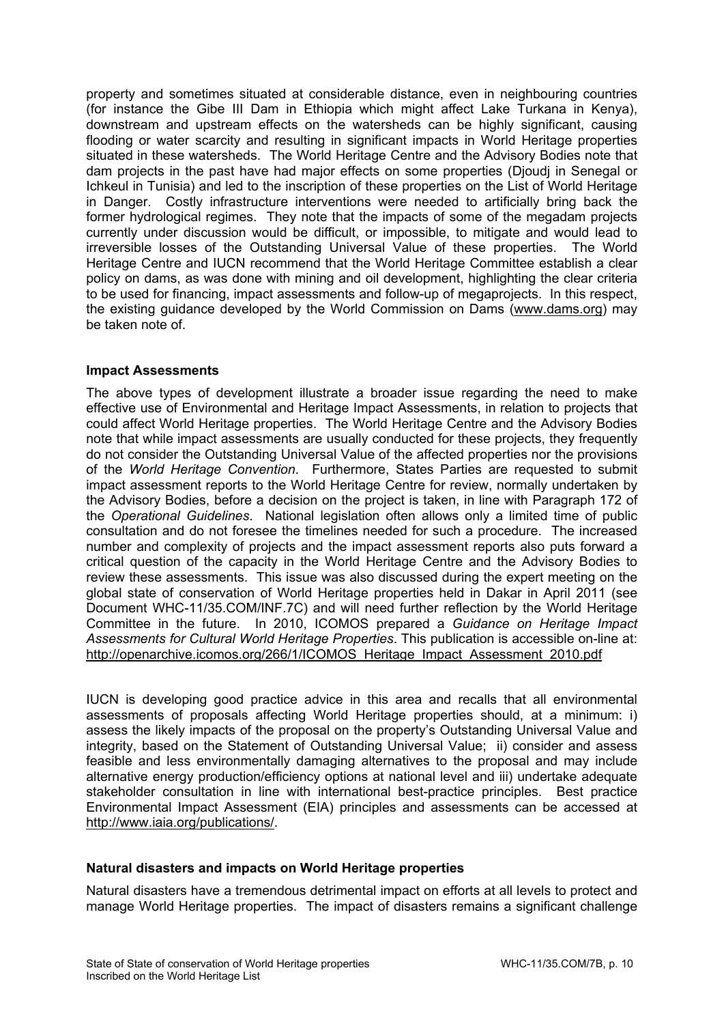property and sometimes situated at considerable distance, even in neighbouring countries (for instance the Gibe III Dam in Ethiopia which might affect Lake Turkana in Kenya), downstream and upstream effects on the watersheds can be highly significant, causing flooding or water scarcity and resulting in significant impacts in World Heritage properties situated in these watersheds. The World Heritage Centre and the Advisory Bodies note that dam projects in the past have had major effects on some properties (Djoudj in Senegal or Ichkeul in Tunisia) and led to the inscription of these properties on the List of World Heritage in Danger. Costly infrastructure interventions were needed to artificially bring back the former hydrological regimes. They note that the impacts of some of the megadam projects currently under discussion would be difficult, or impossible, to mitigate and would lead to irreversible losses of the Outstanding Universal Value of these properties. The World Heritage Centre and IUCN recommend that the World Heritage Committee establish a clear policy on dams, as was done with mining and oil development, highlighting the clear criteria to be used for financing, impact assessments and follow-up of megaprojects. In this respect, the existing guidance developed by the World Commission on Dams (www.dams.org) may be taken note of.

# **Impact Assessments**

The above types of development illustrate a broader issue regarding the need to make effective use of Environmental and Heritage Impact Assessments, in relation to projects that could affect World Heritage properties. The World Heritage Centre and the Advisory Bodies note that while impact assessments are usually conducted for these projects, they frequently do not consider the Outstanding Universal Value of the affected properties nor the provisions of the *World Heritage Convention*. Furthermore, States Parties are requested to submit impact assessment reports to the World Heritage Centre for review, normally undertaken by the Advisory Bodies, before a decision on the project is taken, in line with Paragraph 172 of the *Operational Guidelines*. National legislation often allows only a limited time of public consultation and do not foresee the timelines needed for such a procedure. The increased number and complexity of projects and the impact assessment reports also puts forward a critical question of the capacity in the World Heritage Centre and the Advisory Bodies to review these assessments. This issue was also discussed during the expert meeting on the global state of conservation of World Heritage properties held in Dakar in April 2011 (see Document WHC-11/35.COM/INF.7C) and will need further reflection by the World Heritage Committee in the future. In 2010, ICOMOS prepared a *Guidance on Heritage Impact Assessments for Cultural World Heritage Properties*. This publication is accessible on-line at: http://openarchive.icomos.org/266/1/ICOMOS\_Heritage\_Impact\_Assessment\_2010.pdf

IUCN is developing good practice advice in this area and recalls that all environmental assessments of proposals affecting World Heritage properties should, at a minimum: i) assess the likely impacts of the proposal on the property's Outstanding Universal Value and integrity, based on the Statement of Outstanding Universal Value; ii) consider and assess feasible and less environmentally damaging alternatives to the proposal and may include alternative energy production/efficiency options at national level and iii) undertake adequate stakeholder consultation in line with international best-practice principles. Best practice Environmental Impact Assessment (EIA) principles and assessments can be accessed at http://www.iaia.org/publications/.

# **Natural disasters and impacts on World Heritage properties**

Natural disasters have a tremendous detrimental impact on efforts at all levels to protect and manage World Heritage properties. The impact of disasters remains a significant challenge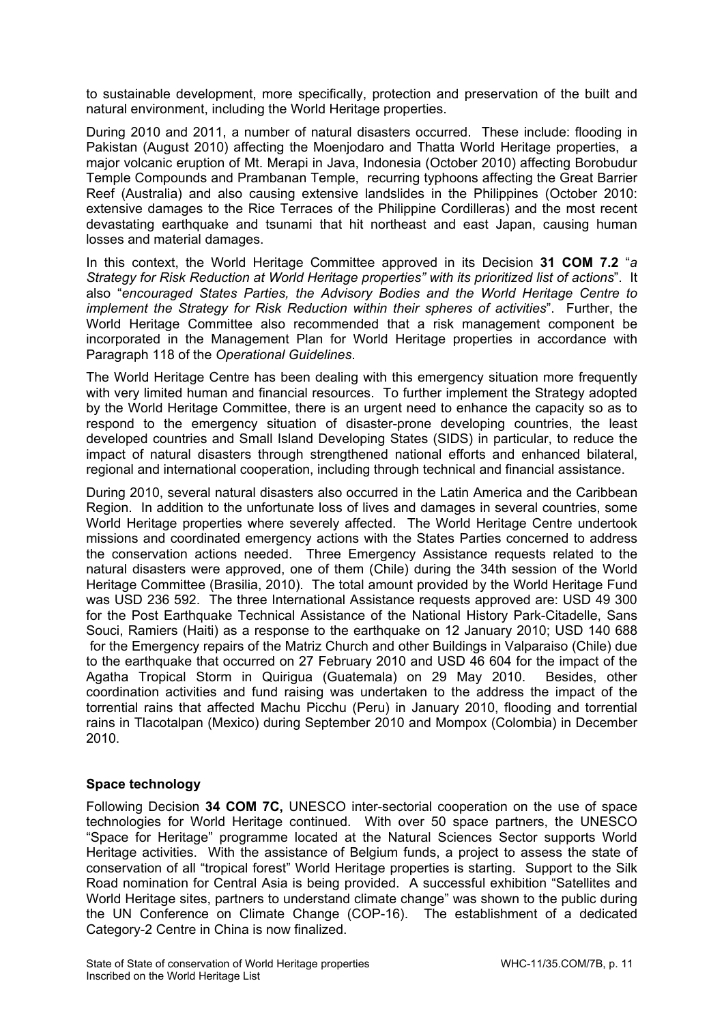to sustainable development, more specifically, protection and preservation of the built and natural environment, including the World Heritage properties.

During 2010 and 2011, a number of natural disasters occurred. These include: flooding in Pakistan (August 2010) affecting the Moenjodaro and Thatta World Heritage properties, a major volcanic eruption of Mt. Merapi in Java, Indonesia (October 2010) affecting Borobudur Temple Compounds and Prambanan Temple, recurring typhoons affecting the Great Barrier Reef (Australia) and also causing extensive landslides in the Philippines (October 2010: extensive damages to the Rice Terraces of the Philippine Cordilleras) and the most recent devastating earthquake and tsunami that hit northeast and east Japan, causing human losses and material damages.

In this context, the World Heritage Committee approved in its Decision **31 COM 7.2** "*a Strategy for Risk Reduction at World Heritage properties" with its prioritized list of actions*". It also "*encouraged States Parties, the Advisory Bodies and the World Heritage Centre to implement the Strategy for Risk Reduction within their spheres of activities*". Further, the World Heritage Committee also recommended that a risk management component be incorporated in the Management Plan for World Heritage properties in accordance with Paragraph 118 of the *Operational Guidelines*.

The World Heritage Centre has been dealing with this emergency situation more frequently with very limited human and financial resources. To further implement the Strategy adopted by the World Heritage Committee, there is an urgent need to enhance the capacity so as to respond to the emergency situation of disaster-prone developing countries, the least developed countries and Small Island Developing States (SIDS) in particular, to reduce the impact of natural disasters through strengthened national efforts and enhanced bilateral, regional and international cooperation, including through technical and financial assistance.

During 2010, several natural disasters also occurred in the Latin America and the Caribbean Region. In addition to the unfortunate loss of lives and damages in several countries, some World Heritage properties where severely affected. The World Heritage Centre undertook missions and coordinated emergency actions with the States Parties concerned to address the conservation actions needed. Three Emergency Assistance requests related to the natural disasters were approved, one of them (Chile) during the 34th session of the World Heritage Committee (Brasilia, 2010). The total amount provided by the World Heritage Fund was USD 236 592. The three International Assistance requests approved are: USD 49 300 for the Post Earthquake Technical Assistance of the National History Park-Citadelle, Sans Souci, Ramiers (Haiti) as a response to the earthquake on 12 January 2010; USD 140 688 for the Emergency repairs of the Matriz Church and other Buildings in Valparaiso (Chile) due to the earthquake that occurred on 27 February 2010 and USD 46 604 for the impact of the Agatha Tropical Storm in Quirigua (Guatemala) on 29 May 2010. Besides, other coordination activities and fund raising was undertaken to the address the impact of the torrential rains that affected Machu Picchu (Peru) in January 2010, flooding and torrential rains in Tlacotalpan (Mexico) during September 2010 and Mompox (Colombia) in December 2010.

# **Space technology**

Following Decision **34 COM 7C,** UNESCO inter-sectorial cooperation on the use of space technologies for World Heritage continued. With over 50 space partners, the UNESCO "Space for Heritage" programme located at the Natural Sciences Sector supports World Heritage activities. With the assistance of Belgium funds, a project to assess the state of conservation of all "tropical forest" World Heritage properties is starting. Support to the Silk Road nomination for Central Asia is being provided. A successful exhibition "Satellites and World Heritage sites, partners to understand climate change" was shown to the public during the UN Conference on Climate Change (COP-16). The establishment of a dedicated Category-2 Centre in China is now finalized.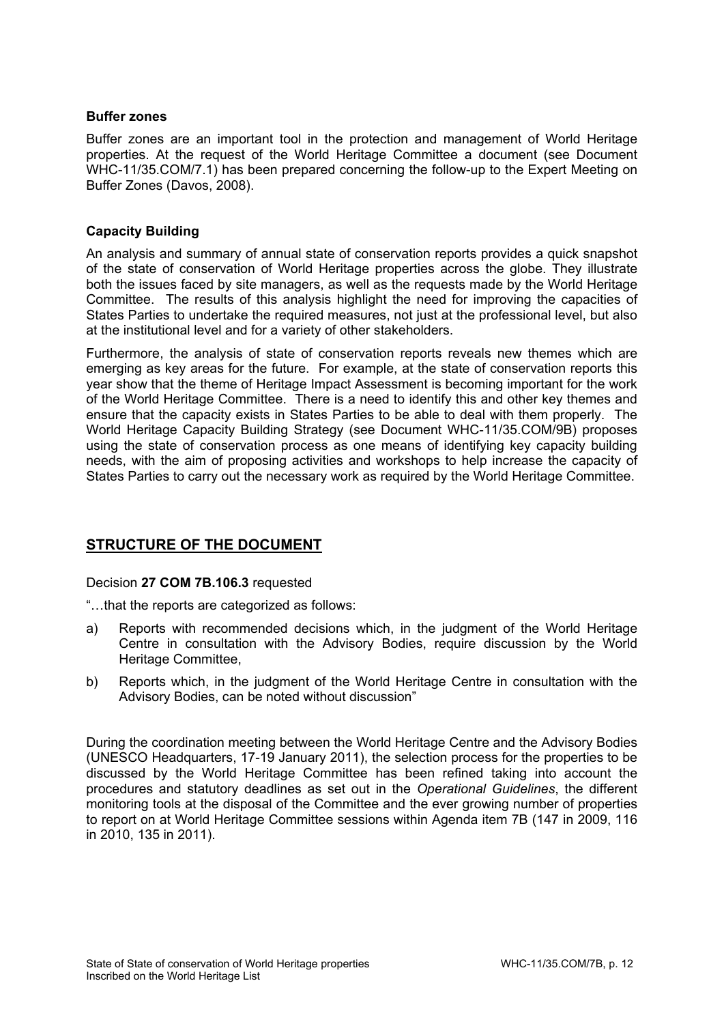### **Buffer zones**

Buffer zones are an important tool in the protection and management of World Heritage properties. At the request of the World Heritage Committee a document (see Document WHC-11/35.COM/7.1) has been prepared concerning the follow-up to the Expert Meeting on Buffer Zones (Davos, 2008).

## **Capacity Building**

An analysis and summary of annual state of conservation reports provides a quick snapshot of the state of conservation of World Heritage properties across the globe. They illustrate both the issues faced by site managers, as well as the requests made by the World Heritage Committee. The results of this analysis highlight the need for improving the capacities of States Parties to undertake the required measures, not just at the professional level, but also at the institutional level and for a variety of other stakeholders.

Furthermore, the analysis of state of conservation reports reveals new themes which are emerging as key areas for the future. For example, at the state of conservation reports this year show that the theme of Heritage Impact Assessment is becoming important for the work of the World Heritage Committee. There is a need to identify this and other key themes and ensure that the capacity exists in States Parties to be able to deal with them properly. The World Heritage Capacity Building Strategy (see Document WHC-11/35.COM/9B) proposes using the state of conservation process as one means of identifying key capacity building needs, with the aim of proposing activities and workshops to help increase the capacity of States Parties to carry out the necessary work as required by the World Heritage Committee.

# **STRUCTURE OF THE DOCUMENT**

# Decision **27 COM 7B.106.3** requested

"…that the reports are categorized as follows:

- a) Reports with recommended decisions which, in the judgment of the World Heritage Centre in consultation with the Advisory Bodies, require discussion by the World Heritage Committee,
- b) Reports which, in the judgment of the World Heritage Centre in consultation with the Advisory Bodies, can be noted without discussion"

During the coordination meeting between the World Heritage Centre and the Advisory Bodies (UNESCO Headquarters, 17-19 January 2011), the selection process for the properties to be discussed by the World Heritage Committee has been refined taking into account the procedures and statutory deadlines as set out in the *Operational Guidelines*, the different monitoring tools at the disposal of the Committee and the ever growing number of properties to report on at World Heritage Committee sessions within Agenda item 7B (147 in 2009, 116 in 2010, 135 in 2011).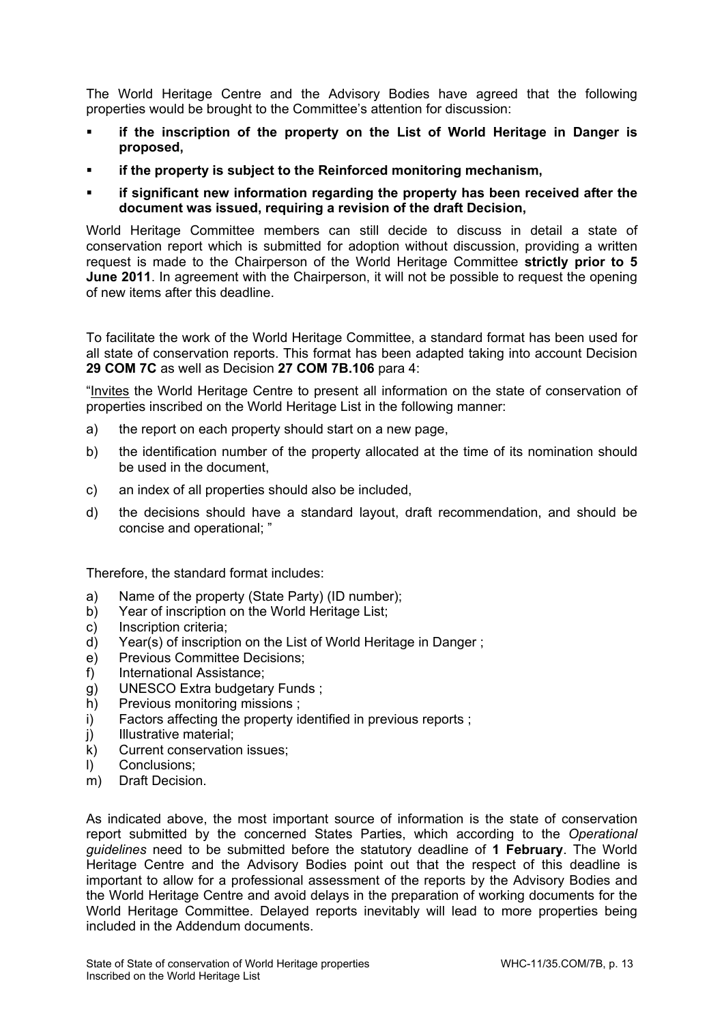The World Heritage Centre and the Advisory Bodies have agreed that the following properties would be brought to the Committee's attention for discussion:

- **if the inscription of the property on the List of World Heritage in Danger is proposed,**
- **if the property is subject to the Reinforced monitoring mechanism,**
- **if significant new information regarding the property has been received after the document was issued, requiring a revision of the draft Decision,**

World Heritage Committee members can still decide to discuss in detail a state of conservation report which is submitted for adoption without discussion, providing a written request is made to the Chairperson of the World Heritage Committee **strictly prior to 5 June 2011**. In agreement with the Chairperson, it will not be possible to request the opening of new items after this deadline.

To facilitate the work of the World Heritage Committee, a standard format has been used for all state of conservation reports. This format has been adapted taking into account Decision **29 COM 7C** as well as Decision **27 COM 7B.106** para 4:

"Invites the World Heritage Centre to present all information on the state of conservation of properties inscribed on the World Heritage List in the following manner:

- a) the report on each property should start on a new page,
- b) the identification number of the property allocated at the time of its nomination should be used in the document,
- c) an index of all properties should also be included,
- d) the decisions should have a standard layout, draft recommendation, and should be concise and operational; "

Therefore, the standard format includes:

- a) Name of the property (State Party) (ID number);
- b) Year of inscription on the World Heritage List;
- c) Inscription criteria;
- d) Year(s) of inscription on the List of World Heritage in Danger ;
- e) Previous Committee Decisions;
- f) International Assistance;
- g) UNESCO Extra budgetary Funds ;
- h) Previous monitoring missions ;
- i) Factors affecting the property identified in previous reports ;
- j) Illustrative material;
- k) Current conservation issues;
- l) Conclusions;
- m) Draft Decision.

As indicated above, the most important source of information is the state of conservation report submitted by the concerned States Parties, which according to the *Operational guidelines* need to be submitted before the statutory deadline of **1 February**. The World Heritage Centre and the Advisory Bodies point out that the respect of this deadline is important to allow for a professional assessment of the reports by the Advisory Bodies and the World Heritage Centre and avoid delays in the preparation of working documents for the World Heritage Committee. Delayed reports inevitably will lead to more properties being included in the Addendum documents.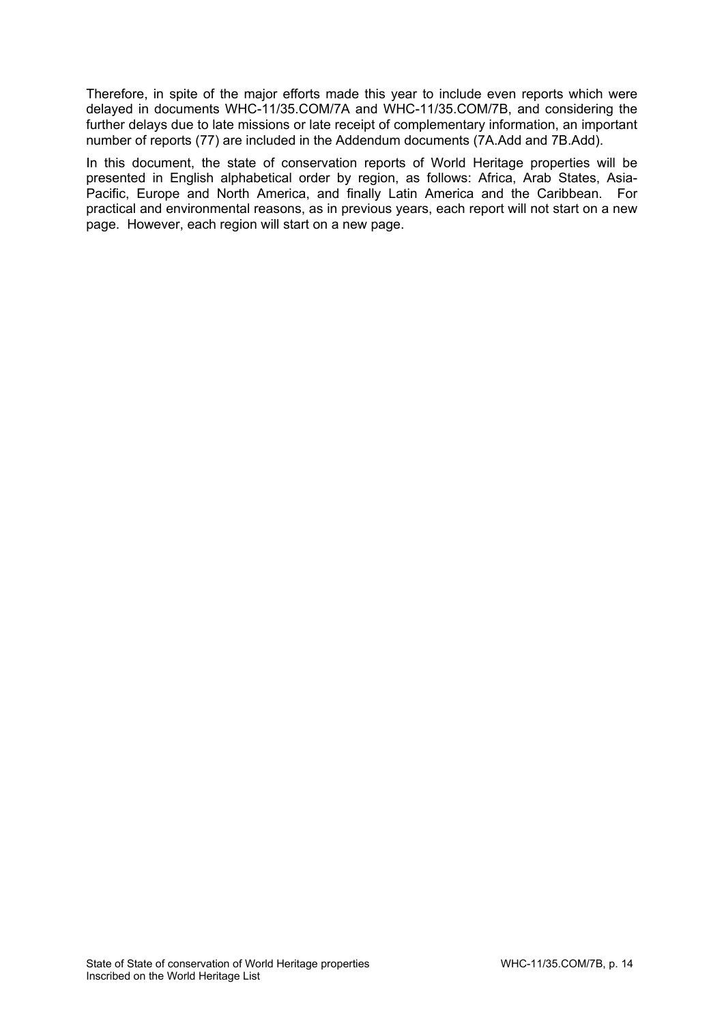Therefore, in spite of the major efforts made this year to include even reports which were delayed in documents WHC-11/35.COM/7A and WHC-11/35.COM/7B, and considering the further delays due to late missions or late receipt of complementary information, an important number of reports (77) are included in the Addendum documents (7A.Add and 7B.Add).

In this document, the state of conservation reports of World Heritage properties will be presented in English alphabetical order by region, as follows: Africa, Arab States, Asia-Pacific, Europe and North America, and finally Latin America and the Caribbean. For practical and environmental reasons, as in previous years, each report will not start on a new page. However, each region will start on a new page.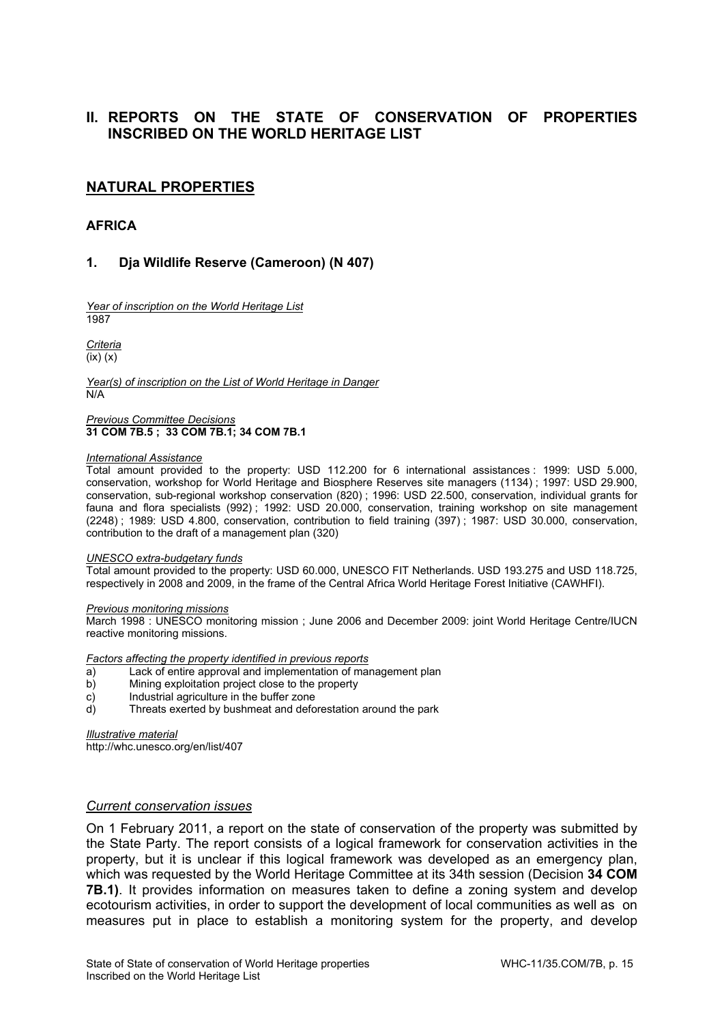# **II. REPORTS ON THE STATE OF CONSERVATION OF PROPERTIES INSCRIBED ON THE WORLD HERITAGE LIST**

# **NATURAL PROPERTIES**

### **AFRICA**

### **1. Dja Wildlife Reserve (Cameroon) (N 407)**

*Year of inscription on the World Heritage List*  1987

*Criteria*  (ix) (x)

*Year(s) of inscription on the List of World Heritage in Danger*  N/A

*Previous Committee Decisions*  **31 COM 7B.5 ; 33 COM 7B.1; 34 COM 7B.1** 

#### *International Assistance*

Total amount provided to the property: USD 112.200 for 6 international assistances : 1999: USD 5.000, conservation, workshop for World Heritage and Biosphere Reserves site managers (1134) ; 1997: USD 29.900, conservation, sub-regional workshop conservation (820) ; 1996: USD 22.500, conservation, individual grants for fauna and flora specialists (992) ; 1992: USD 20.000, conservation, training workshop on site management (2248) ; 1989: USD 4.800, conservation, contribution to field training (397) ; 1987: USD 30.000, conservation, contribution to the draft of a management plan (320)

#### *UNESCO extra-budgetary funds*

Total amount provided to the property: USD 60.000, UNESCO FIT Netherlands. USD 193.275 and USD 118.725, respectively in 2008 and 2009, in the frame of the Central Africa World Heritage Forest Initiative (CAWHFI).

#### *Previous monitoring missions*

March 1998 : UNESCO monitoring mission ; June 2006 and December 2009: joint World Heritage Centre/IUCN reactive monitoring missions.

### *Factors affecting the property identified in previous reports*

- a) Lack of entire approval and implementation of management plan<br>b) Mining exploitation project close to the property
- b) Mining exploitation project close to the property
- c) Industrial agriculture in the buffer zone
- d) Threats exerted by bushmeat and deforestation around the park

*Illustrative material* 

http://whc.unesco.org/en/list/407

### *Current conservation issues*

On 1 February 2011, a report on the state of conservation of the property was submitted by the State Party. The report consists of a logical framework for conservation activities in the property, but it is unclear if this logical framework was developed as an emergency plan, which was requested by the World Heritage Committee at its 34th session (Decision **34 COM 7B.1)**. It provides information on measures taken to define a zoning system and develop ecotourism activities, in order to support the development of local communities as well as on measures put in place to establish a monitoring system for the property, and develop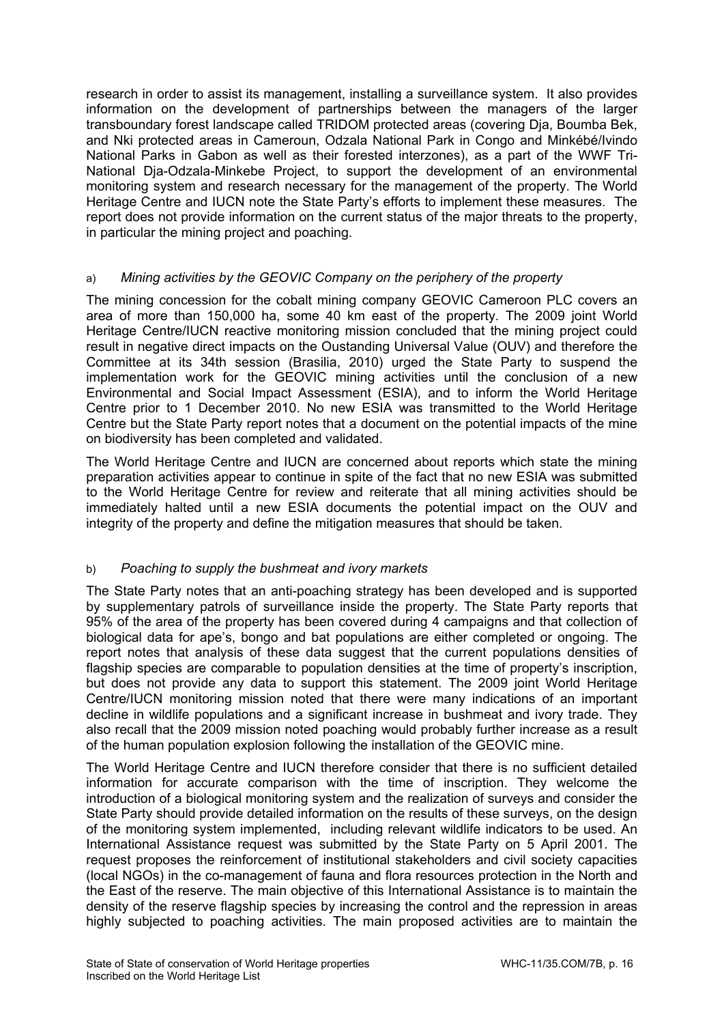research in order to assist its management, installing a surveillance system. It also provides information on the development of partnerships between the managers of the larger transboundary forest landscape called TRIDOM protected areas (covering Dja, Boumba Bek, and Nki protected areas in Cameroun, Odzala National Park in Congo and Minkébé/Ivindo National Parks in Gabon as well as their forested interzones), as a part of the WWF Tri-National Dja-Odzala-Minkebe Project, to support the development of an environmental monitoring system and research necessary for the management of the property. The World Heritage Centre and IUCN note the State Party's efforts to implement these measures. The report does not provide information on the current status of the major threats to the property, in particular the mining project and poaching.

# a) *Mining activities by the GEOVIC Company on the periphery of the property*

The mining concession for the cobalt mining company GEOVIC Cameroon PLC covers an area of more than 150,000 ha, some 40 km east of the property. The 2009 joint World Heritage Centre/IUCN reactive monitoring mission concluded that the mining project could result in negative direct impacts on the Oustanding Universal Value (OUV) and therefore the Committee at its 34th session (Brasilia, 2010) urged the State Party to suspend the implementation work for the GEOVIC mining activities until the conclusion of a new Environmental and Social Impact Assessment (ESIA), and to inform the World Heritage Centre prior to 1 December 2010. No new ESIA was transmitted to the World Heritage Centre but the State Party report notes that a document on the potential impacts of the mine on biodiversity has been completed and validated.

The World Heritage Centre and IUCN are concerned about reports which state the mining preparation activities appear to continue in spite of the fact that no new ESIA was submitted to the World Heritage Centre for review and reiterate that all mining activities should be immediately halted until a new ESIA documents the potential impact on the OUV and integrity of the property and define the mitigation measures that should be taken.

# b) *Poaching to supply the bushmeat and ivory markets*

The State Party notes that an anti-poaching strategy has been developed and is supported by supplementary patrols of surveillance inside the property. The State Party reports that 95% of the area of the property has been covered during 4 campaigns and that collection of biological data for ape's, bongo and bat populations are either completed or ongoing. The report notes that analysis of these data suggest that the current populations densities of flagship species are comparable to population densities at the time of property's inscription, but does not provide any data to support this statement. The 2009 joint World Heritage Centre/IUCN monitoring mission noted that there were many indications of an important decline in wildlife populations and a significant increase in bushmeat and ivory trade. They also recall that the 2009 mission noted poaching would probably further increase as a result of the human population explosion following the installation of the GEOVIC mine.

The World Heritage Centre and IUCN therefore consider that there is no sufficient detailed information for accurate comparison with the time of inscription. They welcome the introduction of a biological monitoring system and the realization of surveys and consider the State Party should provide detailed information on the results of these surveys, on the design of the monitoring system implemented, including relevant wildlife indicators to be used. An International Assistance request was submitted by the State Party on 5 April 2001. The request proposes the reinforcement of institutional stakeholders and civil society capacities (local NGOs) in the co-management of fauna and flora resources protection in the North and the East of the reserve. The main objective of this International Assistance is to maintain the density of the reserve flagship species by increasing the control and the repression in areas highly subjected to poaching activities. The main proposed activities are to maintain the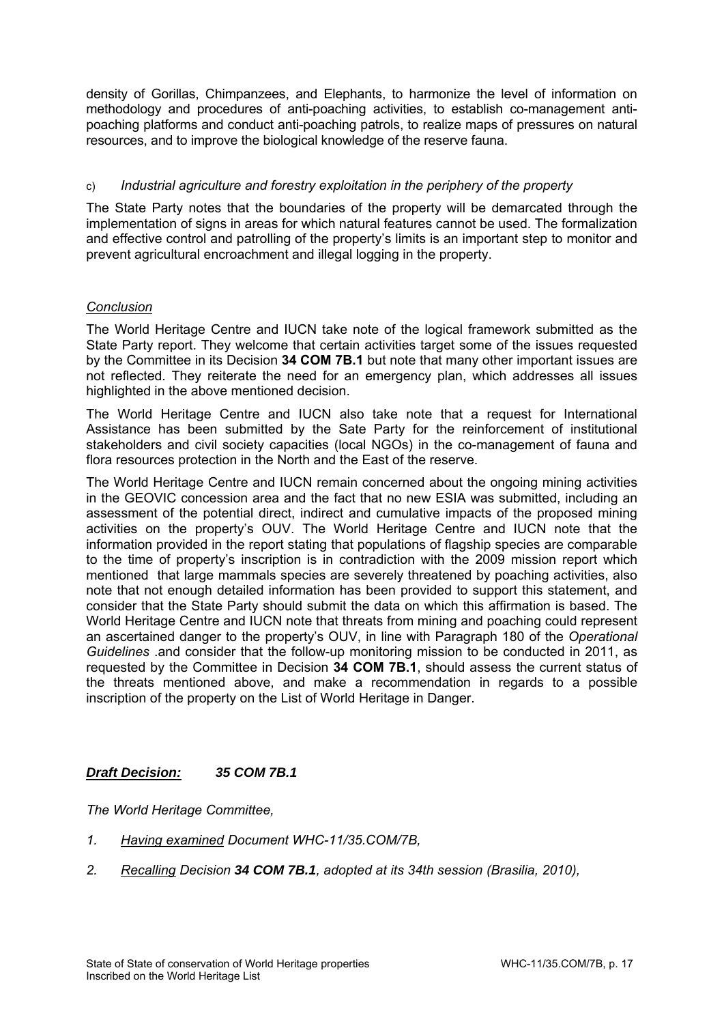density of Gorillas, Chimpanzees, and Elephants, to harmonize the level of information on methodology and procedures of anti-poaching activities, to establish co-management antipoaching platforms and conduct anti-poaching patrols, to realize maps of pressures on natural resources, and to improve the biological knowledge of the reserve fauna.

# c) *Industrial agriculture and forestry exploitation in the periphery of the property*

The State Party notes that the boundaries of the property will be demarcated through the implementation of signs in areas for which natural features cannot be used. The formalization and effective control and patrolling of the property's limits is an important step to monitor and prevent agricultural encroachment and illegal logging in the property.

# *Conclusion*

The World Heritage Centre and IUCN take note of the logical framework submitted as the State Party report. They welcome that certain activities target some of the issues requested by the Committee in its Decision **34 COM 7B.1** but note that many other important issues are not reflected. They reiterate the need for an emergency plan, which addresses all issues highlighted in the above mentioned decision.

The World Heritage Centre and IUCN also take note that a request for International Assistance has been submitted by the Sate Party for the reinforcement of institutional stakeholders and civil society capacities (local NGOs) in the co-management of fauna and flora resources protection in the North and the East of the reserve.

The World Heritage Centre and IUCN remain concerned about the ongoing mining activities in the GEOVIC concession area and the fact that no new ESIA was submitted, including an assessment of the potential direct, indirect and cumulative impacts of the proposed mining activities on the property's OUV. The World Heritage Centre and IUCN note that the information provided in the report stating that populations of flagship species are comparable to the time of property's inscription is in contradiction with the 2009 mission report which mentioned that large mammals species are severely threatened by poaching activities, also note that not enough detailed information has been provided to support this statement, and consider that the State Party should submit the data on which this affirmation is based. The World Heritage Centre and IUCN note that threats from mining and poaching could represent an ascertained danger to the property's OUV, in line with Paragraph 180 of the *Operational Guidelines* .and consider that the follow-up monitoring mission to be conducted in 2011, as requested by the Committee in Decision **34 COM 7B.1**, should assess the current status of the threats mentioned above, and make a recommendation in regards to a possible inscription of the property on the List of World Heritage in Danger.

# *Draft Decision: 35 COM 7B.1*

*The World Heritage Committee,* 

- *1. Having examined Document WHC-11/35.COM/7B,*
- *2. Recalling Decision 34 COM 7B.1, adopted at its 34th session (Brasilia, 2010),*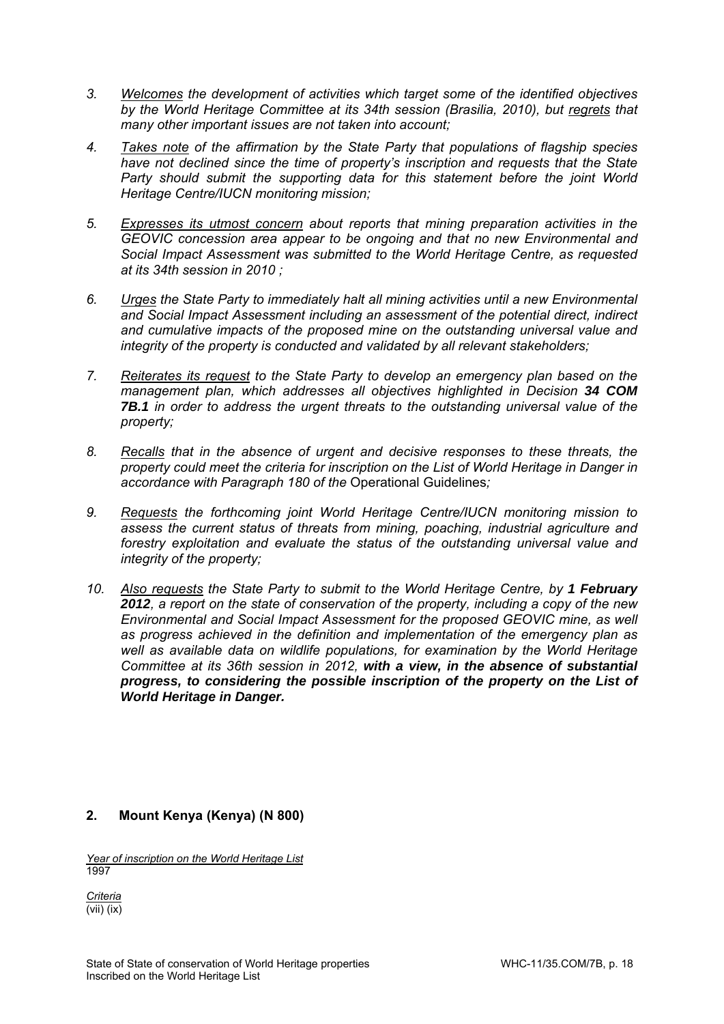- *3. Welcomes the development of activities which target some of the identified objectives by the World Heritage Committee at its 34th session (Brasilia, 2010), but regrets that many other important issues are not taken into account;*
- *4. Takes note of the affirmation by the State Party that populations of flagship species have not declined since the time of property's inscription and requests that the State Party should submit the supporting data for this statement before the joint World Heritage Centre/IUCN monitoring mission;*
- *5. Expresses its utmost concern about reports that mining preparation activities in the GEOVIC concession area appear to be ongoing and that no new Environmental and Social Impact Assessment was submitted to the World Heritage Centre, as requested at its 34th session in 2010 ;*
- *6. Urges the State Party to immediately halt all mining activities until a new Environmental and Social Impact Assessment including an assessment of the potential direct, indirect and cumulative impacts of the proposed mine on the outstanding universal value and integrity of the property is conducted and validated by all relevant stakeholders;*
- *7. Reiterates its request to the State Party to develop an emergency plan based on the management plan, which addresses all objectives highlighted in Decision 34 COM 7B.1 in order to address the urgent threats to the outstanding universal value of the property;*
- *8. Recalls that in the absence of urgent and decisive responses to these threats, the property could meet the criteria for inscription on the List of World Heritage in Danger in accordance with Paragraph 180 of the* Operational Guidelines*;*
- *9. Requests the forthcoming joint World Heritage Centre/IUCN monitoring mission to assess the current status of threats from mining, poaching, industrial agriculture and forestry exploitation and evaluate the status of the outstanding universal value and integrity of the property;*
- *10. Also requests the State Party to submit to the World Heritage Centre, by 1 February 2012, a report on the state of conservation of the property, including a copy of the new Environmental and Social Impact Assessment for the proposed GEOVIC mine, as well as progress achieved in the definition and implementation of the emergency plan as well as available data on wildlife populations, for examination by the World Heritage Committee at its 36th session in 2012, with a view, in the absence of substantial progress, to considering the possible inscription of the property on the List of World Heritage in Danger.*

# **2. Mount Kenya (Kenya) (N 800)**

*Year of inscription on the World Heritage List*  1997

*Criteria*  (vii) (ix)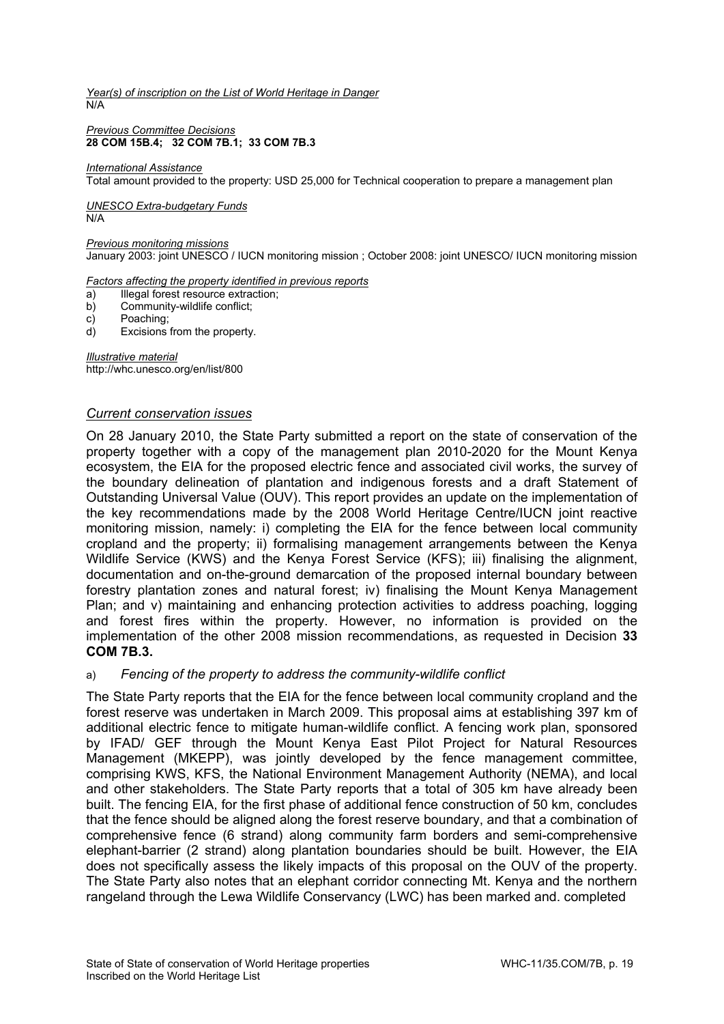*Year(s) of inscription on the List of World Heritage in Danger*  N/A

#### *Previous Committee Decisions*  **28 COM 15B.4; 32 COM 7B.1; 33 COM 7B.3**

#### *International Assistance*

Total amount provided to the property: USD 25,000 for Technical cooperation to prepare a management plan

# *UNESCO Extra-budgetary Funds*

N/A

### *Previous monitoring missions*

January 2003: joint UNESCO / IUCN monitoring mission ; October 2008: joint UNESCO/ IUCN monitoring mission

#### *Factors affecting the property identified in previous reports*

- a) Illegal forest resource extraction:
- b) Community-wildlife conflict;
- c) Poaching;
- d) Excisions from the property.

*Illustrative material*  http://whc.unesco.org/en/list/800

### *Current conservation issues*

On 28 January 2010, the State Party submitted a report on the state of conservation of the property together with a copy of the management plan 2010-2020 for the Mount Kenya ecosystem, the EIA for the proposed electric fence and associated civil works, the survey of the boundary delineation of plantation and indigenous forests and a draft Statement of Outstanding Universal Value (OUV). This report provides an update on the implementation of the key recommendations made by the 2008 World Heritage Centre/IUCN joint reactive monitoring mission, namely: i) completing the EIA for the fence between local community cropland and the property; ii) formalising management arrangements between the Kenya Wildlife Service (KWS) and the Kenya Forest Service (KFS); iii) finalising the alignment, documentation and on-the-ground demarcation of the proposed internal boundary between forestry plantation zones and natural forest; iv) finalising the Mount Kenya Management Plan; and v) maintaining and enhancing protection activities to address poaching, logging and forest fires within the property. However, no information is provided on the implementation of the other 2008 mission recommendations, as requested in Decision **33 COM 7B.3.** 

### a) *Fencing of the property to address the community-wildlife conflict*

The State Party reports that the EIA for the fence between local community cropland and the forest reserve was undertaken in March 2009. This proposal aims at establishing 397 km of additional electric fence to mitigate human-wildlife conflict. A fencing work plan, sponsored by IFAD/ GEF through the Mount Kenya East Pilot Project for Natural Resources Management (MKEPP), was jointly developed by the fence management committee, comprising KWS, KFS, the National Environment Management Authority (NEMA), and local and other stakeholders. The State Party reports that a total of 305 km have already been built. The fencing EIA, for the first phase of additional fence construction of 50 km, concludes that the fence should be aligned along the forest reserve boundary, and that a combination of comprehensive fence (6 strand) along community farm borders and semi-comprehensive elephant-barrier (2 strand) along plantation boundaries should be built. However, the EIA does not specifically assess the likely impacts of this proposal on the OUV of the property. The State Party also notes that an elephant corridor connecting Mt. Kenya and the northern rangeland through the Lewa Wildlife Conservancy (LWC) has been marked and. completed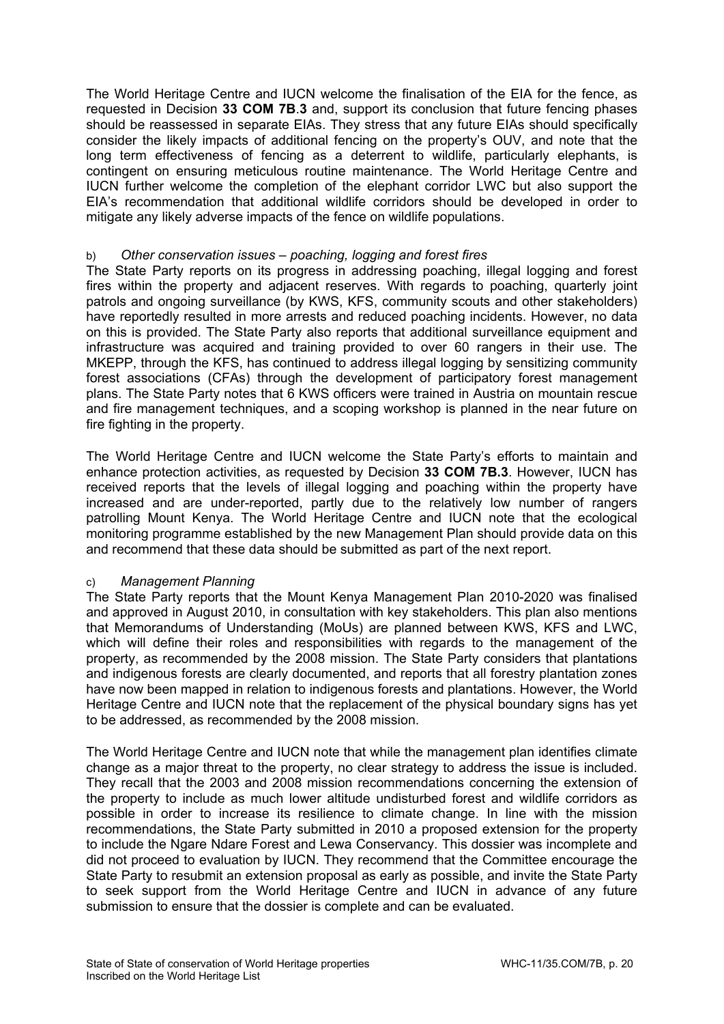The World Heritage Centre and IUCN welcome the finalisation of the EIA for the fence, as requested in Decision **33 COM 7B**.**3** and, support its conclusion that future fencing phases should be reassessed in separate EIAs. They stress that any future EIAs should specifically consider the likely impacts of additional fencing on the property's OUV, and note that the long term effectiveness of fencing as a deterrent to wildlife, particularly elephants, is contingent on ensuring meticulous routine maintenance. The World Heritage Centre and IUCN further welcome the completion of the elephant corridor LWC but also support the EIA's recommendation that additional wildlife corridors should be developed in order to mitigate any likely adverse impacts of the fence on wildlife populations.

## b) *Other conservation issues – poaching, logging and forest fires*

The State Party reports on its progress in addressing poaching, illegal logging and forest fires within the property and adjacent reserves. With regards to poaching, quarterly joint patrols and ongoing surveillance (by KWS, KFS, community scouts and other stakeholders) have reportedly resulted in more arrests and reduced poaching incidents. However, no data on this is provided. The State Party also reports that additional surveillance equipment and infrastructure was acquired and training provided to over 60 rangers in their use. The MKEPP, through the KFS, has continued to address illegal logging by sensitizing community forest associations (CFAs) through the development of participatory forest management plans. The State Party notes that 6 KWS officers were trained in Austria on mountain rescue and fire management techniques, and a scoping workshop is planned in the near future on fire fighting in the property.

The World Heritage Centre and IUCN welcome the State Party's efforts to maintain and enhance protection activities, as requested by Decision **33 COM 7B.3**. However, IUCN has received reports that the levels of illegal logging and poaching within the property have increased and are under-reported, partly due to the relatively low number of rangers patrolling Mount Kenya. The World Heritage Centre and IUCN note that the ecological monitoring programme established by the new Management Plan should provide data on this and recommend that these data should be submitted as part of the next report.

# c) *Management Planning*

The State Party reports that the Mount Kenya Management Plan 2010-2020 was finalised and approved in August 2010, in consultation with key stakeholders. This plan also mentions that Memorandums of Understanding (MoUs) are planned between KWS, KFS and LWC, which will define their roles and responsibilities with regards to the management of the property, as recommended by the 2008 mission. The State Party considers that plantations and indigenous forests are clearly documented, and reports that all forestry plantation zones have now been mapped in relation to indigenous forests and plantations. However, the World Heritage Centre and IUCN note that the replacement of the physical boundary signs has yet to be addressed, as recommended by the 2008 mission.

The World Heritage Centre and IUCN note that while the management plan identifies climate change as a major threat to the property, no clear strategy to address the issue is included. They recall that the 2003 and 2008 mission recommendations concerning the extension of the property to include as much lower altitude undisturbed forest and wildlife corridors as possible in order to increase its resilience to climate change. In line with the mission recommendations, the State Party submitted in 2010 a proposed extension for the property to include the Ngare Ndare Forest and Lewa Conservancy. This dossier was incomplete and did not proceed to evaluation by IUCN. They recommend that the Committee encourage the State Party to resubmit an extension proposal as early as possible, and invite the State Party to seek support from the World Heritage Centre and IUCN in advance of any future submission to ensure that the dossier is complete and can be evaluated.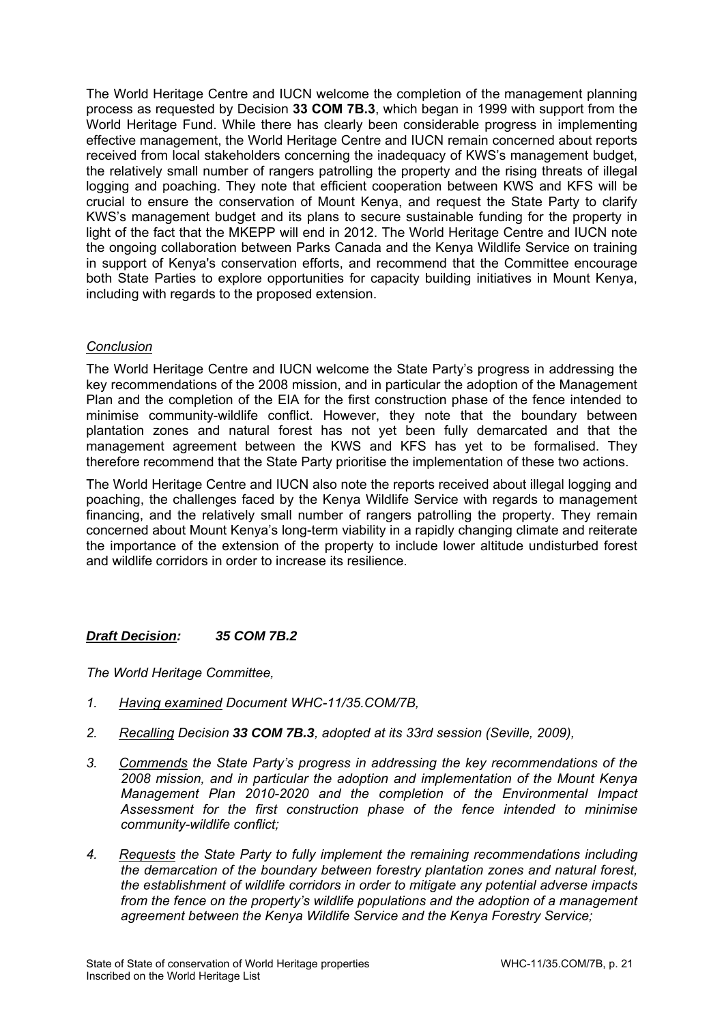The World Heritage Centre and IUCN welcome the completion of the management planning process as requested by Decision **33 COM 7B.3**, which began in 1999 with support from the World Heritage Fund. While there has clearly been considerable progress in implementing effective management, the World Heritage Centre and IUCN remain concerned about reports received from local stakeholders concerning the inadequacy of KWS's management budget, the relatively small number of rangers patrolling the property and the rising threats of illegal logging and poaching. They note that efficient cooperation between KWS and KFS will be crucial to ensure the conservation of Mount Kenya, and request the State Party to clarify KWS's management budget and its plans to secure sustainable funding for the property in light of the fact that the MKEPP will end in 2012. The World Heritage Centre and IUCN note the ongoing collaboration between Parks Canada and the Kenya Wildlife Service on training in support of Kenya's conservation efforts, and recommend that the Committee encourage both State Parties to explore opportunities for capacity building initiatives in Mount Kenya, including with regards to the proposed extension.

# *Conclusion*

The World Heritage Centre and IUCN welcome the State Party's progress in addressing the key recommendations of the 2008 mission, and in particular the adoption of the Management Plan and the completion of the EIA for the first construction phase of the fence intended to minimise community-wildlife conflict. However, they note that the boundary between plantation zones and natural forest has not yet been fully demarcated and that the management agreement between the KWS and KFS has vet to be formalised. They therefore recommend that the State Party prioritise the implementation of these two actions.

The World Heritage Centre and IUCN also note the reports received about illegal logging and poaching, the challenges faced by the Kenya Wildlife Service with regards to management financing, and the relatively small number of rangers patrolling the property. They remain concerned about Mount Kenya's long-term viability in a rapidly changing climate and reiterate the importance of the extension of the property to include lower altitude undisturbed forest and wildlife corridors in order to increase its resilience.

# *Draft Decision: 35 COM 7B.2*

*The World Heritage Committee,* 

- *1. Having examined Document WHC-11/35.COM/7B,*
- *2. Recalling Decision 33 COM 7B.3, adopted at its 33rd session (Seville, 2009),*
- *3. Commends the State Party's progress in addressing the key recommendations of the 2008 mission, and in particular the adoption and implementation of the Mount Kenya Management Plan 2010-2020 and the completion of the Environmental Impact Assessment for the first construction phase of the fence intended to minimise community-wildlife conflict;*
- *4. Requests the State Party to fully implement the remaining recommendations including the demarcation of the boundary between forestry plantation zones and natural forest, the establishment of wildlife corridors in order to mitigate any potential adverse impacts from the fence on the property's wildlife populations and the adoption of a management agreement between the Kenya Wildlife Service and the Kenya Forestry Service;*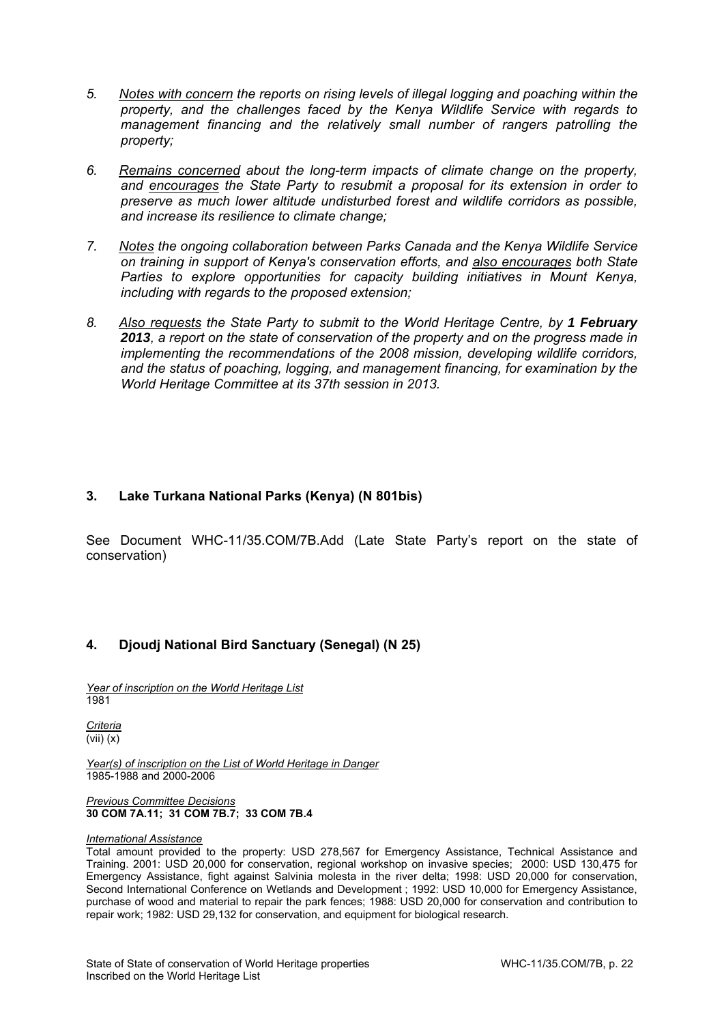- *5. Notes with concern the reports on rising levels of illegal logging and poaching within the property, and the challenges faced by the Kenya Wildlife Service with regards to management financing and the relatively small number of rangers patrolling the property;*
- *6. Remains concerned about the long-term impacts of climate change on the property, and encourages the State Party to resubmit a proposal for its extension in order to preserve as much lower altitude undisturbed forest and wildlife corridors as possible, and increase its resilience to climate change;*
- *7. Notes the ongoing collaboration between Parks Canada and the Kenya Wildlife Service on training in support of Kenya's conservation efforts, and also encourages both State Parties to explore opportunities for capacity building initiatives in Mount Kenya, including with regards to the proposed extension;*
- *8. Also requests the State Party to submit to the World Heritage Centre, by 1 February 2013, a report on the state of conservation of the property and on the progress made in implementing the recommendations of the 2008 mission, developing wildlife corridors, and the status of poaching, logging, and management financing, for examination by the World Heritage Committee at its 37th session in 2013.*

# **3. Lake Turkana National Parks (Kenya) (N 801bis)**

See Document WHC-11/35.COM/7B.Add (Late State Party's report on the state of conservation)

# **4. Djoudj National Bird Sanctuary (Senegal) (N 25)**

*Year of inscription on the World Heritage List*  1981

*Criteria*  (vii) (x)

*Year(s) of inscription on the List of World Heritage in Danger*  1985-1988 and 2000-2006

#### *Previous Committee Decisions*  **30 COM 7A.11; 31 COM 7B.7; 33 COM 7B.4**

### *International Assistance*

Total amount provided to the property: USD 278,567 for Emergency Assistance, Technical Assistance and Training. 2001: USD 20,000 for conservation, regional workshop on invasive species; 2000: USD 130,475 for Emergency Assistance, fight against Salvinia molesta in the river delta; 1998: USD 20,000 for conservation, Second International Conference on Wetlands and Development ; 1992: USD 10,000 for Emergency Assistance, purchase of wood and material to repair the park fences; 1988: USD 20,000 for conservation and contribution to repair work; 1982: USD 29,132 for conservation, and equipment for biological research.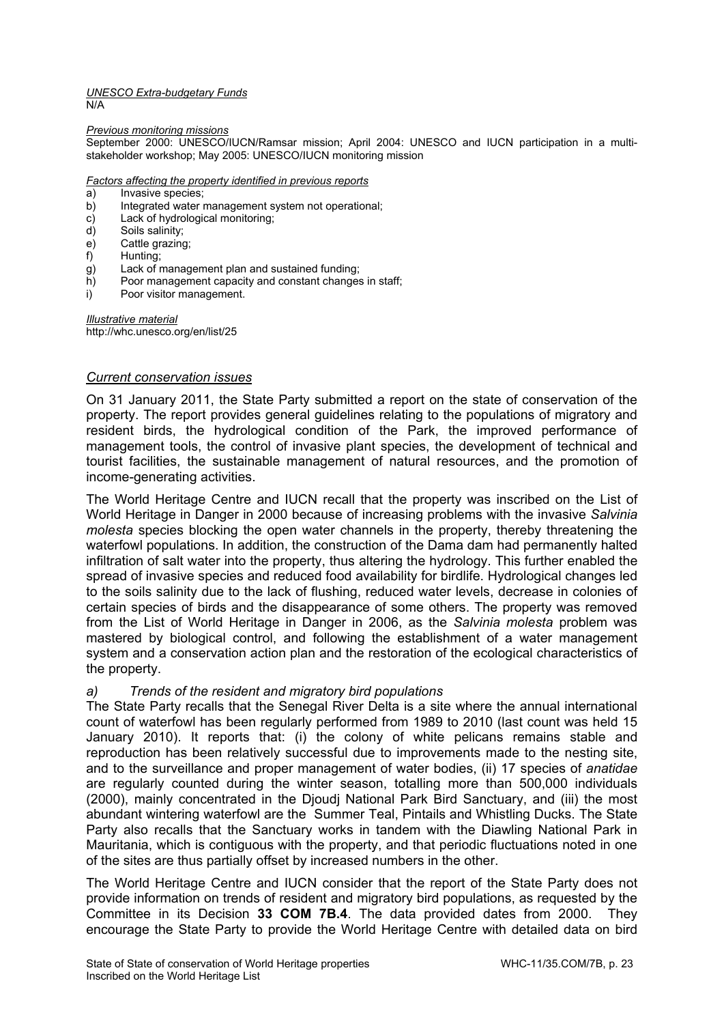#### *UNESCO Extra-budgetary Funds*  N/A

#### *Previous monitoring missions*

September 2000: UNESCO/IUCN/Ramsar mission; April 2004: UNESCO and IUCN participation in a multistakeholder workshop; May 2005: UNESCO/IUCN monitoring mission

### *Factors affecting the property identified in previous reports*

- a) Invasive species;<br>b) Integrated water r
- Integrated water management system not operational;
- c) Lack of hydrological monitoring;
- d) Soils salinity;
- e) Cattle grazing;
- f) Hunting;
- g) Lack of management plan and sustained funding;
- h) Poor management capacity and constant changes in staff;
- i) Poor visitor management.

*Illustrative material*  http://whc.unesco.org/en/list/25

### *Current conservation issues*

On 31 January 2011, the State Party submitted a report on the state of conservation of the property. The report provides general guidelines relating to the populations of migratory and resident birds, the hydrological condition of the Park, the improved performance of management tools, the control of invasive plant species, the development of technical and tourist facilities, the sustainable management of natural resources, and the promotion of income-generating activities.

The World Heritage Centre and IUCN recall that the property was inscribed on the List of World Heritage in Danger in 2000 because of increasing problems with the invasive *Salvinia molesta* species blocking the open water channels in the property, thereby threatening the waterfowl populations. In addition, the construction of the Dama dam had permanently halted infiltration of salt water into the property, thus altering the hydrology. This further enabled the spread of invasive species and reduced food availability for birdlife. Hydrological changes led to the soils salinity due to the lack of flushing, reduced water levels, decrease in colonies of certain species of birds and the disappearance of some others. The property was removed from the List of World Heritage in Danger in 2006, as the *Salvinia molesta* problem was mastered by biological control, and following the establishment of a water management system and a conservation action plan and the restoration of the ecological characteristics of the property.

### *a) Trends of the resident and migratory bird populations*

The State Party recalls that the Senegal River Delta is a site where the annual international count of waterfowl has been regularly performed from 1989 to 2010 (last count was held 15 January 2010). It reports that: (i) the colony of white pelicans remains stable and reproduction has been relatively successful due to improvements made to the nesting site, and to the surveillance and proper management of water bodies, (ii) 17 species of *anatidae* are regularly counted during the winter season, totalling more than 500,000 individuals (2000), mainly concentrated in the Djoudj National Park Bird Sanctuary, and (iii) the most abundant wintering waterfowl are the Summer Teal, Pintails and Whistling Ducks. The State Party also recalls that the Sanctuary works in tandem with the Diawling National Park in Mauritania, which is contiguous with the property, and that periodic fluctuations noted in one of the sites are thus partially offset by increased numbers in the other.

The World Heritage Centre and IUCN consider that the report of the State Party does not provide information on trends of resident and migratory bird populations, as requested by the Committee in its Decision **33 COM 7B.4**. The data provided dates from 2000. They encourage the State Party to provide the World Heritage Centre with detailed data on bird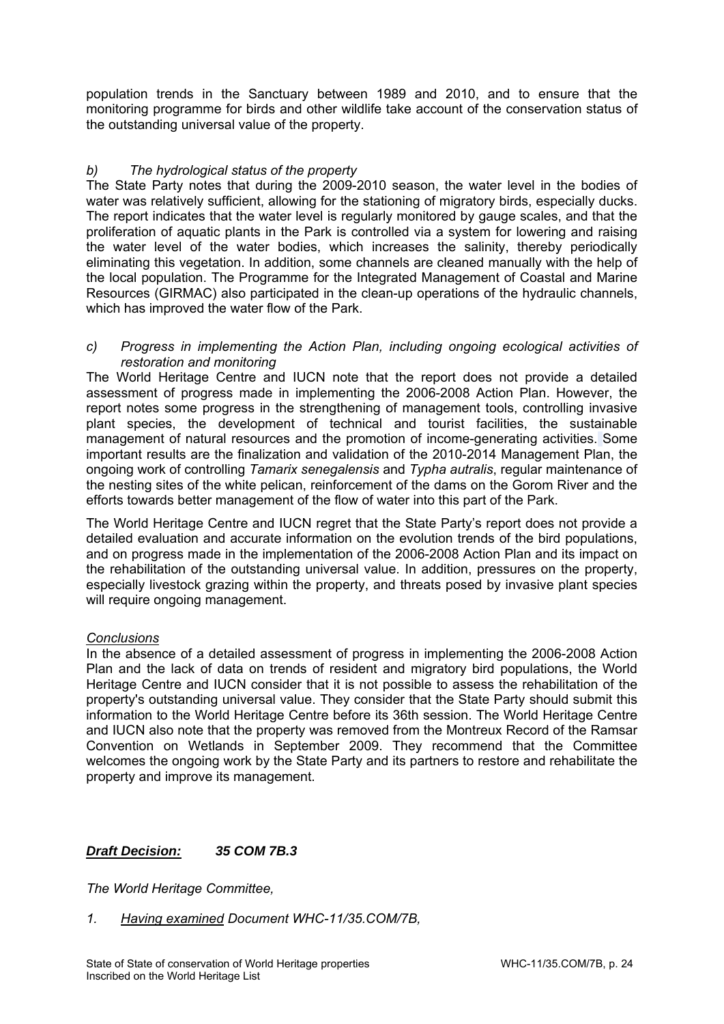population trends in the Sanctuary between 1989 and 2010, and to ensure that the monitoring programme for birds and other wildlife take account of the conservation status of the outstanding universal value of the property.

# *b) The hydrological status of the property*

The State Party notes that during the 2009-2010 season, the water level in the bodies of water was relatively sufficient, allowing for the stationing of migratory birds, especially ducks. The report indicates that the water level is regularly monitored by gauge scales, and that the proliferation of aquatic plants in the Park is controlled via a system for lowering and raising the water level of the water bodies, which increases the salinity, thereby periodically eliminating this vegetation. In addition, some channels are cleaned manually with the help of the local population. The Programme for the Integrated Management of Coastal and Marine Resources (GIRMAC) also participated in the clean-up operations of the hydraulic channels, which has improved the water flow of the Park.

*c) Progress in implementing the Action Plan, including ongoing ecological activities of restoration and monitoring* 

The World Heritage Centre and IUCN note that the report does not provide a detailed assessment of progress made in implementing the 2006-2008 Action Plan. However, the report notes some progress in the strengthening of management tools, controlling invasive plant species, the development of technical and tourist facilities, the sustainable management of natural resources and the promotion of income-generating activities. Some important results are the finalization and validation of the 2010-2014 Management Plan, the ongoing work of controlling *Tamarix senegalensis* and *Typha autralis*, regular maintenance of the nesting sites of the white pelican, reinforcement of the dams on the Gorom River and the efforts towards better management of the flow of water into this part of the Park.

The World Heritage Centre and IUCN regret that the State Party's report does not provide a detailed evaluation and accurate information on the evolution trends of the bird populations, and on progress made in the implementation of the 2006-2008 Action Plan and its impact on the rehabilitation of the outstanding universal value. In addition, pressures on the property, especially livestock grazing within the property, and threats posed by invasive plant species will require ongoing management.

# *Conclusions*

In the absence of a detailed assessment of progress in implementing the 2006-2008 Action Plan and the lack of data on trends of resident and migratory bird populations, the World Heritage Centre and IUCN consider that it is not possible to assess the rehabilitation of the property's outstanding universal value. They consider that the State Party should submit this information to the World Heritage Centre before its 36th session. The World Heritage Centre and IUCN also note that the property was removed from the Montreux Record of the Ramsar Convention on Wetlands in September 2009. They recommend that the Committee welcomes the ongoing work by the State Party and its partners to restore and rehabilitate the property and improve its management.

# *Draft Decision: 35 COM 7B.3*

*The World Heritage Committee,* 

*1. Having examined Document WHC-11/35.COM/7B,*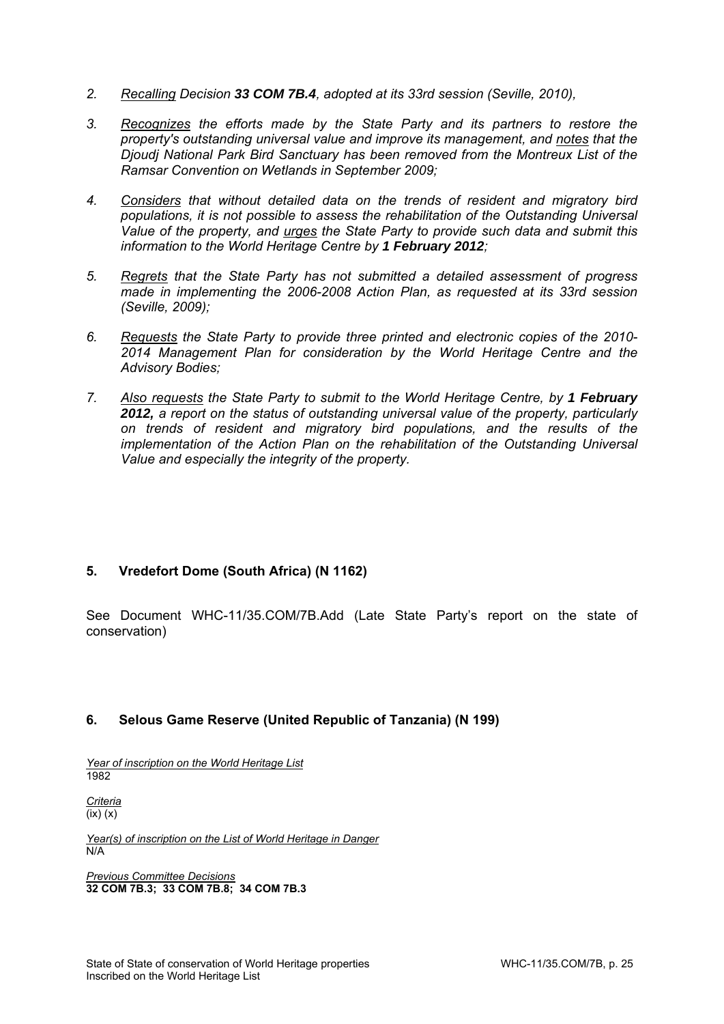- *2. Recalling Decision 33 COM 7B.4, adopted at its 33rd session (Seville, 2010),*
- *3. Recognizes the efforts made by the State Party and its partners to restore the property's outstanding universal value and improve its management, and notes that the Djoudj National Park Bird Sanctuary has been removed from the Montreux List of the Ramsar Convention on Wetlands in September 2009;*
- *4. Considers that without detailed data on the trends of resident and migratory bird populations, it is not possible to assess the rehabilitation of the Outstanding Universal Value of the property, and urges the State Party to provide such data and submit this information to the World Heritage Centre by 1 February 2012;*
- *5. Regrets that the State Party has not submitted a detailed assessment of progress made in implementing the 2006-2008 Action Plan, as requested at its 33rd session (Seville, 2009);*
- *6. Requests the State Party to provide three printed and electronic copies of the 2010- 2014 Management Plan for consideration by the World Heritage Centre and the Advisory Bodies;*
- *7. Also requests the State Party to submit to the World Heritage Centre, by 1 February 2012, a report on the status of outstanding universal value of the property, particularly on trends of resident and migratory bird populations, and the results of the implementation of the Action Plan on the rehabilitation of the Outstanding Universal Value and especially the integrity of the property.*

# **5. Vredefort Dome (South Africa) (N 1162)**

See Document WHC-11/35.COM/7B.Add (Late State Party's report on the state of conservation)

# **6. Selous Game Reserve (United Republic of Tanzania) (N 199)**

*Year of inscription on the World Heritage List*  1982

*Criteria*  (ix) (x)

*Year(s) of inscription on the List of World Heritage in Danger*  N/A

*Previous Committee Decisions*  **32 COM 7B.3; 33 COM 7B.8; 34 COM 7B.3**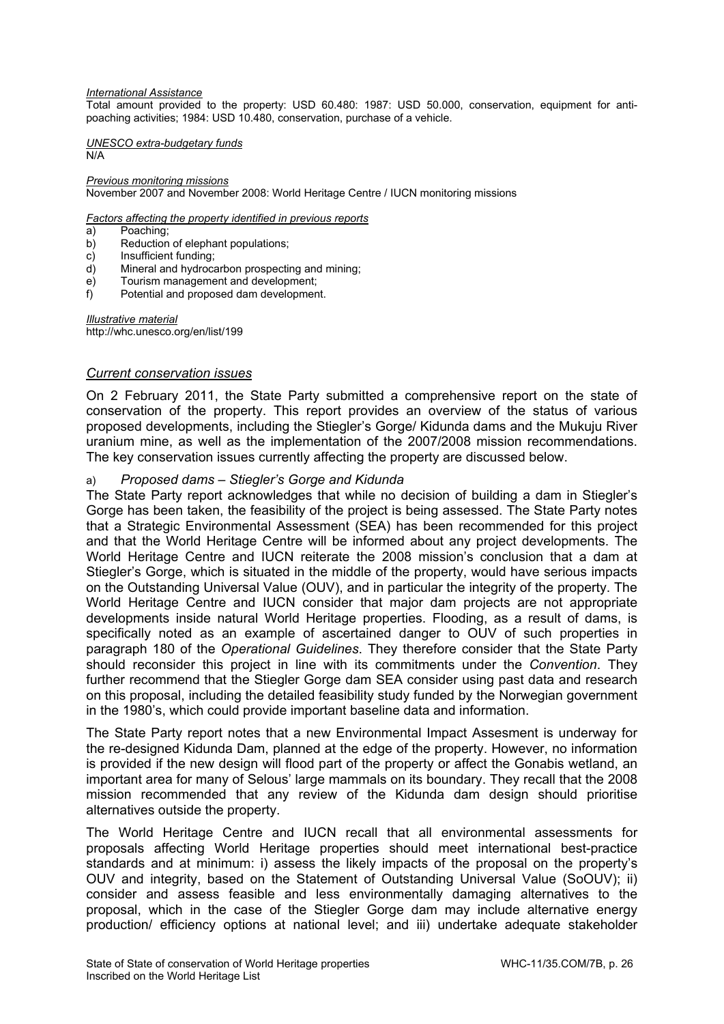#### *International Assistance*

Total amount provided to the property: USD 60.480: 1987: USD 50.000, conservation, equipment for antipoaching activities; 1984: USD 10.480, conservation, purchase of a vehicle.

*UNESCO extra-budgetary funds*  N/A

*Previous monitoring missions*  November 2007 and November 2008: World Heritage Centre / IUCN monitoring missions

*Factors affecting the property identified in previous reports* 

- a) Poaching;
- b) Reduction of elephant populations;
- c) Insufficient funding;
- d) Mineral and hydrocarbon prospecting and mining;
- e) Tourism management and development;
- f) Potential and proposed dam development.

*Illustrative material*  http://whc.unesco.org/en/list/199

### *Current conservation issues*

On 2 February 2011, the State Party submitted a comprehensive report on the state of conservation of the property. This report provides an overview of the status of various proposed developments, including the Stiegler's Gorge/ Kidunda dams and the Mukuju River uranium mine, as well as the implementation of the 2007/2008 mission recommendations. The key conservation issues currently affecting the property are discussed below.

### a) *Proposed dams – Stiegler's Gorge and Kidunda*

The State Party report acknowledges that while no decision of building a dam in Stiegler's Gorge has been taken, the feasibility of the project is being assessed. The State Party notes that a Strategic Environmental Assessment (SEA) has been recommended for this project and that the World Heritage Centre will be informed about any project developments. The World Heritage Centre and IUCN reiterate the 2008 mission's conclusion that a dam at Stiegler's Gorge, which is situated in the middle of the property, would have serious impacts on the Outstanding Universal Value (OUV), and in particular the integrity of the property. The World Heritage Centre and IUCN consider that major dam projects are not appropriate developments inside natural World Heritage properties. Flooding, as a result of dams, is specifically noted as an example of ascertained danger to OUV of such properties in paragraph 180 of the *Operational Guidelines*. They therefore consider that the State Party should reconsider this project in line with its commitments under the *Convention*. They further recommend that the Stiegler Gorge dam SEA consider using past data and research on this proposal, including the detailed feasibility study funded by the Norwegian government in the 1980's, which could provide important baseline data and information.

The State Party report notes that a new Environmental Impact Assesment is underway for the re-designed Kidunda Dam, planned at the edge of the property. However, no information is provided if the new design will flood part of the property or affect the Gonabis wetland, an important area for many of Selous' large mammals on its boundary. They recall that the 2008 mission recommended that any review of the Kidunda dam design should prioritise alternatives outside the property.

The World Heritage Centre and IUCN recall that all environmental assessments for proposals affecting World Heritage properties should meet international best-practice standards and at minimum: i) assess the likely impacts of the proposal on the property's OUV and integrity, based on the Statement of Outstanding Universal Value (SoOUV); ii) consider and assess feasible and less environmentally damaging alternatives to the proposal, which in the case of the Stiegler Gorge dam may include alternative energy production/ efficiency options at national level; and iii) undertake adequate stakeholder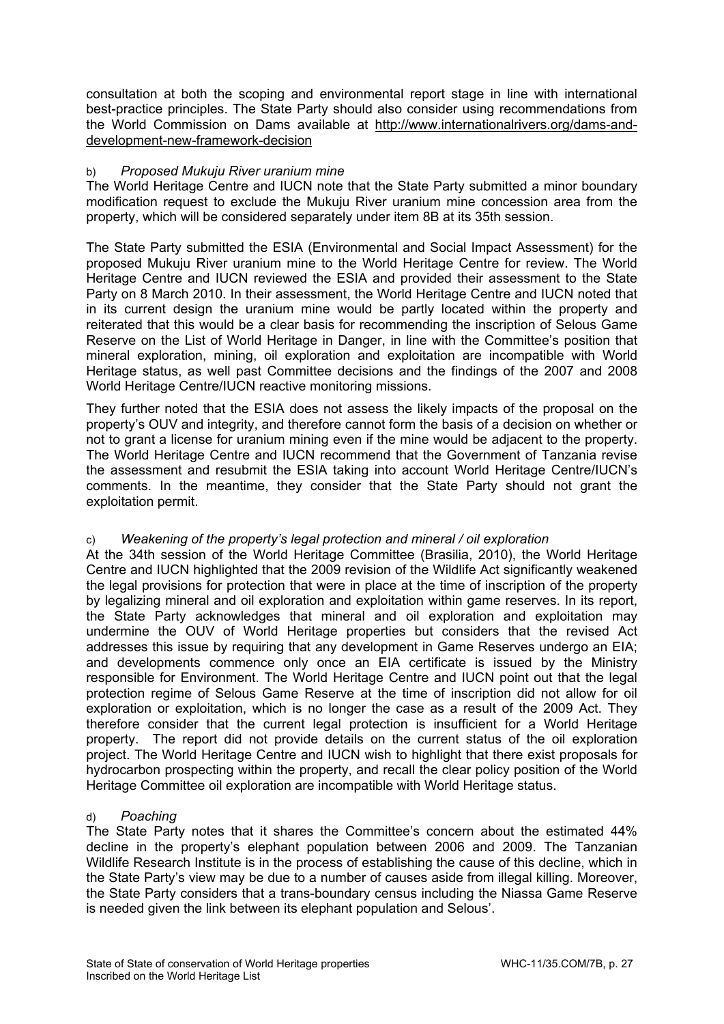consultation at both the scoping and environmental report stage in line with international best-practice principles. The State Party should also consider using recommendations from the World Commission on Dams available at http://www.internationalrivers.org/dams-anddevelopment-new-framework-decision

# b) *Proposed Mukuju River uranium mine*

The World Heritage Centre and IUCN note that the State Party submitted a minor boundary modification request to exclude the Mukuju River uranium mine concession area from the property, which will be considered separately under item 8B at its 35th session.

The State Party submitted the ESIA (Environmental and Social Impact Assessment) for the proposed Mukuju River uranium mine to the World Heritage Centre for review. The World Heritage Centre and IUCN reviewed the ESIA and provided their assessment to the State Party on 8 March 2010. In their assessment, the World Heritage Centre and IUCN noted that in its current design the uranium mine would be partly located within the property and reiterated that this would be a clear basis for recommending the inscription of Selous Game Reserve on the List of World Heritage in Danger, in line with the Committee's position that mineral exploration, mining, oil exploration and exploitation are incompatible with World Heritage status, as well past Committee decisions and the findings of the 2007 and 2008 World Heritage Centre/IUCN reactive monitoring missions.

They further noted that the ESIA does not assess the likely impacts of the proposal on the property's OUV and integrity, and therefore cannot form the basis of a decision on whether or not to grant a license for uranium mining even if the mine would be adjacent to the property. The World Heritage Centre and IUCN recommend that the Government of Tanzania revise the assessment and resubmit the ESIA taking into account World Heritage Centre/IUCN's comments. In the meantime, they consider that the State Party should not grant the exploitation permit.

# c) *Weakening of the property's legal protection and mineral / oil exploration*

At the 34th session of the World Heritage Committee (Brasilia, 2010), the World Heritage Centre and IUCN highlighted that the 2009 revision of the Wildlife Act significantly weakened the legal provisions for protection that were in place at the time of inscription of the property by legalizing mineral and oil exploration and exploitation within game reserves. In its report, the State Party acknowledges that mineral and oil exploration and exploitation may undermine the OUV of World Heritage properties but considers that the revised Act addresses this issue by requiring that any development in Game Reserves undergo an EIA; and developments commence only once an EIA certificate is issued by the Ministry responsible for Environment. The World Heritage Centre and IUCN point out that the legal protection regime of Selous Game Reserve at the time of inscription did not allow for oil exploration or exploitation, which is no longer the case as a result of the 2009 Act. They therefore consider that the current legal protection is insufficient for a World Heritage property. The report did not provide details on the current status of the oil exploration project. The World Heritage Centre and IUCN wish to highlight that there exist proposals for hydrocarbon prospecting within the property, and recall the clear policy position of the World Heritage Committee oil exploration are incompatible with World Heritage status.

### d) *Poaching*

The State Party notes that it shares the Committee's concern about the estimated 44% decline in the property's elephant population between 2006 and 2009. The Tanzanian Wildlife Research Institute is in the process of establishing the cause of this decline, which in the State Party's view may be due to a number of causes aside from illegal killing. Moreover, the State Party considers that a trans-boundary census including the Niassa Game Reserve is needed given the link between its elephant population and Selous'.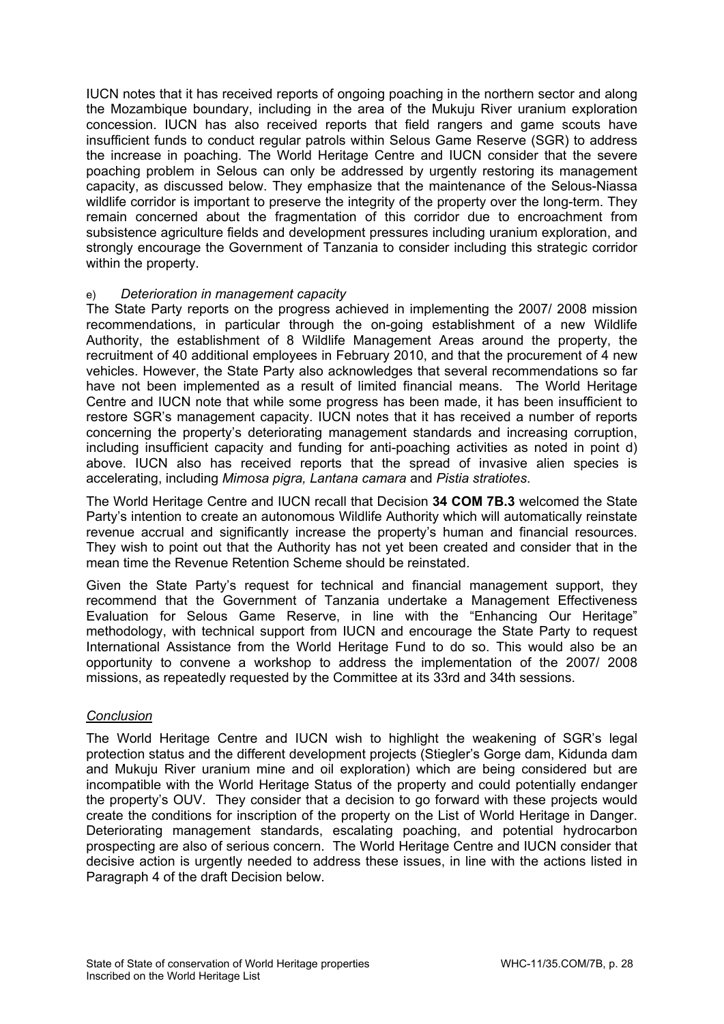IUCN notes that it has received reports of ongoing poaching in the northern sector and along the Mozambique boundary, including in the area of the Mukuju River uranium exploration concession. IUCN has also received reports that field rangers and game scouts have insufficient funds to conduct regular patrols within Selous Game Reserve (SGR) to address the increase in poaching. The World Heritage Centre and IUCN consider that the severe poaching problem in Selous can only be addressed by urgently restoring its management capacity, as discussed below. They emphasize that the maintenance of the Selous-Niassa wildlife corridor is important to preserve the integrity of the property over the long-term. They remain concerned about the fragmentation of this corridor due to encroachment from subsistence agriculture fields and development pressures including uranium exploration, and strongly encourage the Government of Tanzania to consider including this strategic corridor within the property.

### e) *Deterioration in management capacity*

The State Party reports on the progress achieved in implementing the 2007/ 2008 mission recommendations, in particular through the on-going establishment of a new Wildlife Authority, the establishment of 8 Wildlife Management Areas around the property, the recruitment of 40 additional employees in February 2010, and that the procurement of 4 new vehicles. However, the State Party also acknowledges that several recommendations so far have not been implemented as a result of limited financial means. The World Heritage Centre and IUCN note that while some progress has been made, it has been insufficient to restore SGR's management capacity. IUCN notes that it has received a number of reports concerning the property's deteriorating management standards and increasing corruption, including insufficient capacity and funding for anti-poaching activities as noted in point d) above. IUCN also has received reports that the spread of invasive alien species is accelerating, including *Mimosa pigra, Lantana camara* and *Pistia stratiotes*.

The World Heritage Centre and IUCN recall that Decision **34 COM 7B.3** welcomed the State Party's intention to create an autonomous Wildlife Authority which will automatically reinstate revenue accrual and significantly increase the property's human and financial resources. They wish to point out that the Authority has not yet been created and consider that in the mean time the Revenue Retention Scheme should be reinstated.

Given the State Party's request for technical and financial management support, they recommend that the Government of Tanzania undertake a Management Effectiveness Evaluation for Selous Game Reserve, in line with the "Enhancing Our Heritage" methodology, with technical support from IUCN and encourage the State Party to request International Assistance from the World Heritage Fund to do so. This would also be an opportunity to convene a workshop to address the implementation of the 2007/ 2008 missions, as repeatedly requested by the Committee at its 33rd and 34th sessions.

# *Conclusion*

The World Heritage Centre and IUCN wish to highlight the weakening of SGR's legal protection status and the different development projects (Stiegler's Gorge dam, Kidunda dam and Mukuju River uranium mine and oil exploration) which are being considered but are incompatible with the World Heritage Status of the property and could potentially endanger the property's OUV. They consider that a decision to go forward with these projects would create the conditions for inscription of the property on the List of World Heritage in Danger. Deteriorating management standards, escalating poaching, and potential hydrocarbon prospecting are also of serious concern. The World Heritage Centre and IUCN consider that decisive action is urgently needed to address these issues, in line with the actions listed in Paragraph 4 of the draft Decision below.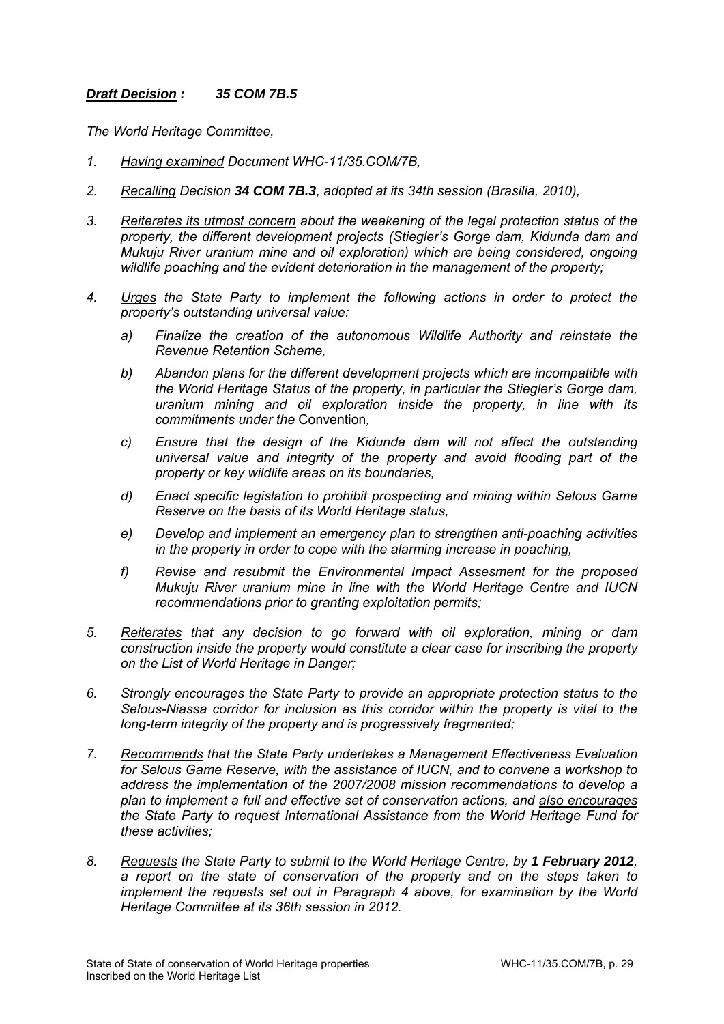# *Draft Decision : 35 COM 7B.5*

*The World Heritage Committee,* 

- *1. Having examined Document WHC-11/35.COM/7B,*
- *2. Recalling Decision 34 COM 7B.3, adopted at its 34th session (Brasilia, 2010),*
- *3. Reiterates its utmost concern about the weakening of the legal protection status of the property, the different development projects (Stiegler's Gorge dam, Kidunda dam and Mukuju River uranium mine and oil exploration) which are being considered, ongoing wildlife poaching and the evident deterioration in the management of the property;*
- *4. Urges the State Party to implement the following actions in order to protect the property's outstanding universal value:* 
	- *a) Finalize the creation of the autonomous Wildlife Authority and reinstate the Revenue Retention Scheme,*
	- *b) Abandon plans for the different development projects which are incompatible with the World Heritage Status of the property, in particular the Stiegler's Gorge dam, uranium mining and oil exploration inside the property, in line with its commitments under the* Convention*,*
	- *c) Ensure that the design of the Kidunda dam will not affect the outstanding universal value and integrity of the property and avoid flooding part of the property or key wildlife areas on its boundaries,*
	- *d) Enact specific legislation to prohibit prospecting and mining within Selous Game Reserve on the basis of its World Heritage status,*
	- *e) Develop and implement an emergency plan to strengthen anti-poaching activities in the property in order to cope with the alarming increase in poaching,*
	- *f) Revise and resubmit the Environmental Impact Assesment for the proposed Mukuju River uranium mine in line with the World Heritage Centre and IUCN recommendations prior to granting exploitation permits;*
- *5. Reiterates that any decision to go forward with oil exploration, mining or dam construction inside the property would constitute a clear case for inscribing the property on the List of World Heritage in Danger;*
- *6. Strongly encourages the State Party to provide an appropriate protection status to the Selous-Niassa corridor for inclusion as this corridor within the property is vital to the long-term integrity of the property and is progressively fragmented;*
- *7. Recommends that the State Party undertakes a Management Effectiveness Evaluation for Selous Game Reserve, with the assistance of IUCN, and to convene a workshop to address the implementation of the 2007/2008 mission recommendations to develop a plan to implement a full and effective set of conservation actions, and also encourages the State Party to request International Assistance from the World Heritage Fund for these activities;*
- 8. Requests the State Party to submit to the World Heritage Centre, by 1 February 2012. *a report on the state of conservation of the property and on the steps taken to implement the requests set out in Paragraph 4 above, for examination by the World Heritage Committee at its 36th session in 2012.*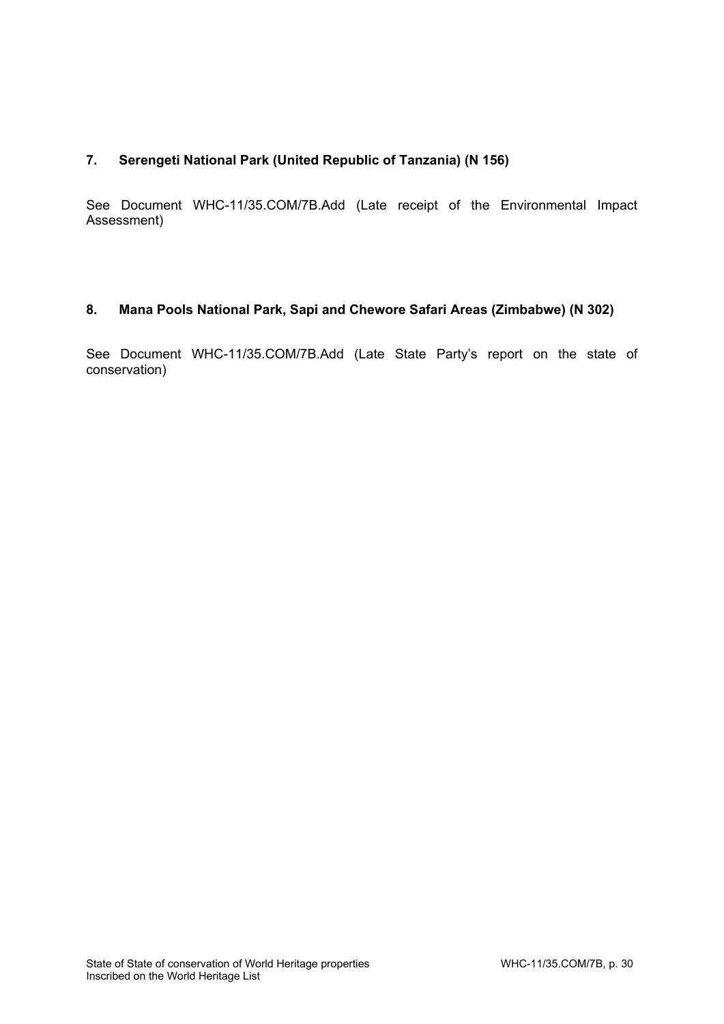# **7. Serengeti National Park (United Republic of Tanzania) (N 156)**

See Document WHC-11/35.COM/7B.Add (Late receipt of the Environmental Impact Assessment)

# **8. Mana Pools National Park, Sapi and Chewore Safari Areas (Zimbabwe) (N 302)**

See Document WHC-11/35.COM/7B.Add (Late State Party's report on the state of conservation)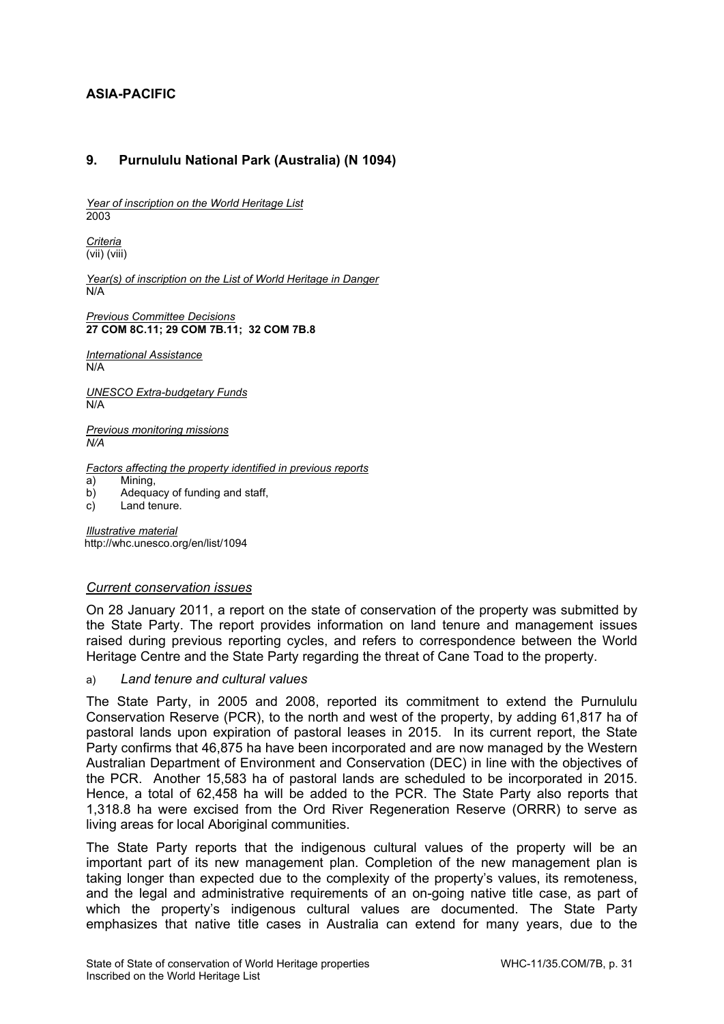# **ASIA-PACIFIC**

# **9. Purnululu National Park (Australia) (N 1094)**

*Year of inscription on the World Heritage List*  2003

*Criteria*  (vii) (viii)

*Year(s) of inscription on the List of World Heritage in Danger*   $N/A$ 

*Previous Committee Decisions*  **27 COM 8C.11; 29 COM 7B.11; 32 COM 7B.8** 

*International Assistance*  N/A

*UNESCO Extra-budgetary Funds*   $N/A$ 

*Previous monitoring missions N/A*

*Factors affecting the property identified in previous reports* 

a) Mining,

b) Adequacy of funding and staff,

c) Land tenure.

*Illustrative material*  http://whc.unesco.org/en/list/1094

### *Current conservation issues*

On 28 January 2011, a report on the state of conservation of the property was submitted by the State Party. The report provides information on land tenure and management issues raised during previous reporting cycles, and refers to correspondence between the World Heritage Centre and the State Party regarding the threat of Cane Toad to the property.

a) *Land tenure and cultural values* 

The State Party, in 2005 and 2008, reported its commitment to extend the Purnululu Conservation Reserve (PCR), to the north and west of the property, by adding 61,817 ha of pastoral lands upon expiration of pastoral leases in 2015. In its current report, the State Party confirms that 46,875 ha have been incorporated and are now managed by the Western Australian Department of Environment and Conservation (DEC) in line with the objectives of the PCR. Another 15,583 ha of pastoral lands are scheduled to be incorporated in 2015. Hence, a total of 62,458 ha will be added to the PCR. The State Party also reports that 1,318.8 ha were excised from the Ord River Regeneration Reserve (ORRR) to serve as living areas for local Aboriginal communities.

The State Party reports that the indigenous cultural values of the property will be an important part of its new management plan. Completion of the new management plan is taking longer than expected due to the complexity of the property's values, its remoteness, and the legal and administrative requirements of an on-going native title case, as part of which the property's indigenous cultural values are documented. The State Party emphasizes that native title cases in Australia can extend for many years, due to the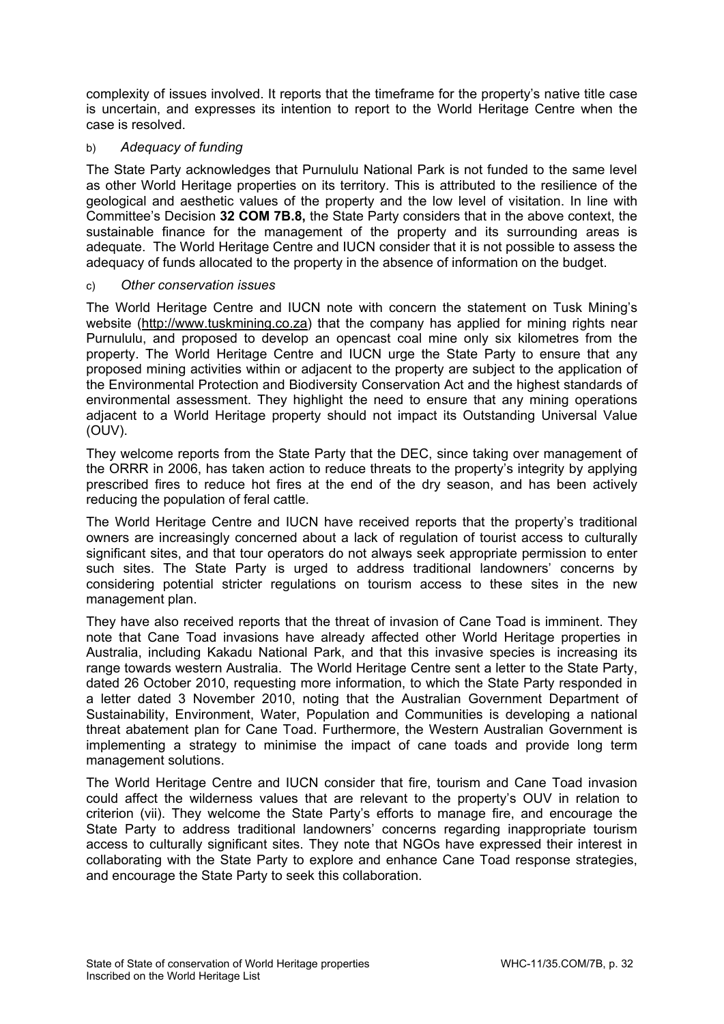complexity of issues involved. It reports that the timeframe for the property's native title case is uncertain, and expresses its intention to report to the World Heritage Centre when the case is resolved.

# b) *Adequacy of funding*

The State Party acknowledges that Purnululu National Park is not funded to the same level as other World Heritage properties on its territory. This is attributed to the resilience of the geological and aesthetic values of the property and the low level of visitation. In line with Committee's Decision **32 COM 7B.8,** the State Party considers that in the above context, the sustainable finance for the management of the property and its surrounding areas is adequate. The World Heritage Centre and IUCN consider that it is not possible to assess the adequacy of funds allocated to the property in the absence of information on the budget.

# c) *Other conservation issues*

The World Heritage Centre and IUCN note with concern the statement on Tusk Mining's website (http://www.tuskmining.co.za) that the company has applied for mining rights near Purnululu, and proposed to develop an opencast coal mine only six kilometres from the property. The World Heritage Centre and IUCN urge the State Party to ensure that any proposed mining activities within or adjacent to the property are subject to the application of the Environmental Protection and Biodiversity Conservation Act and the highest standards of environmental assessment. They highlight the need to ensure that any mining operations adjacent to a World Heritage property should not impact its Outstanding Universal Value (OUV).

They welcome reports from the State Party that the DEC, since taking over management of the ORRR in 2006, has taken action to reduce threats to the property's integrity by applying prescribed fires to reduce hot fires at the end of the dry season, and has been actively reducing the population of feral cattle.

The World Heritage Centre and IUCN have received reports that the property's traditional owners are increasingly concerned about a lack of regulation of tourist access to culturally significant sites, and that tour operators do not always seek appropriate permission to enter such sites. The State Party is urged to address traditional landowners' concerns by considering potential stricter regulations on tourism access to these sites in the new management plan.

They have also received reports that the threat of invasion of Cane Toad is imminent. They note that Cane Toad invasions have already affected other World Heritage properties in Australia, including Kakadu National Park, and that this invasive species is increasing its range towards western Australia. The World Heritage Centre sent a letter to the State Party, dated 26 October 2010, requesting more information, to which the State Party responded in a letter dated 3 November 2010, noting that the Australian Government Department of Sustainability, Environment, Water, Population and Communities is developing a national threat abatement plan for Cane Toad. Furthermore, the Western Australian Government is implementing a strategy to minimise the impact of cane toads and provide long term management solutions.

The World Heritage Centre and IUCN consider that fire, tourism and Cane Toad invasion could affect the wilderness values that are relevant to the property's OUV in relation to criterion (vii). They welcome the State Party's efforts to manage fire, and encourage the State Party to address traditional landowners' concerns regarding inappropriate tourism access to culturally significant sites. They note that NGOs have expressed their interest in collaborating with the State Party to explore and enhance Cane Toad response strategies, and encourage the State Party to seek this collaboration.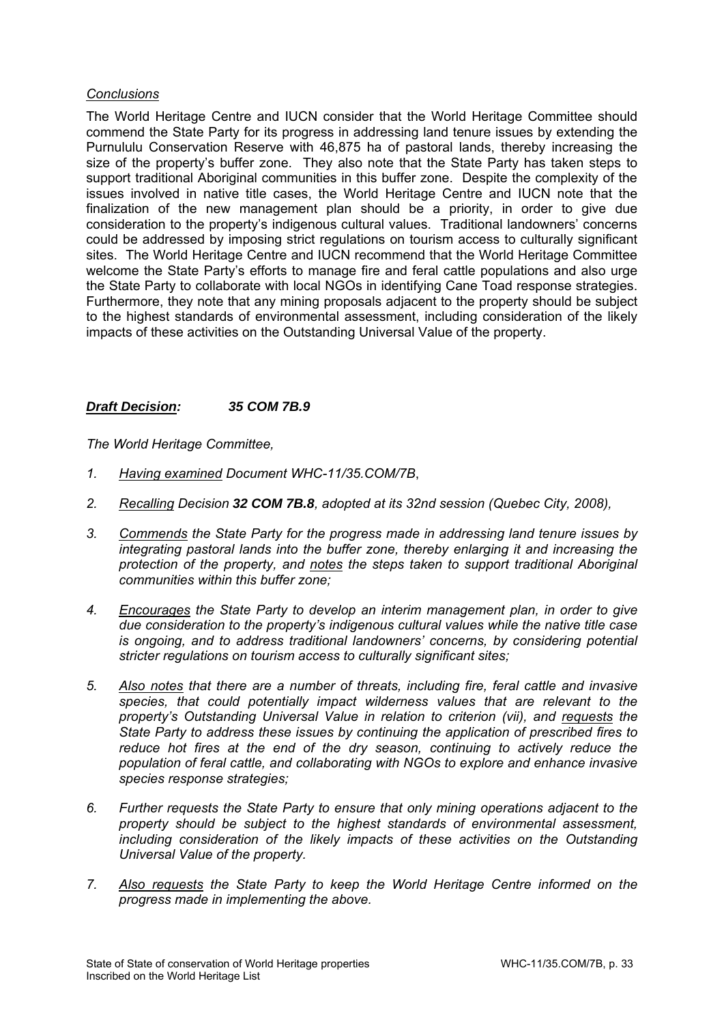## *Conclusions*

The World Heritage Centre and IUCN consider that the World Heritage Committee should commend the State Party for its progress in addressing land tenure issues by extending the Purnululu Conservation Reserve with 46,875 ha of pastoral lands, thereby increasing the size of the property's buffer zone. They also note that the State Party has taken steps to support traditional Aboriginal communities in this buffer zone. Despite the complexity of the issues involved in native title cases, the World Heritage Centre and IUCN note that the finalization of the new management plan should be a priority, in order to give due consideration to the property's indigenous cultural values. Traditional landowners' concerns could be addressed by imposing strict regulations on tourism access to culturally significant sites. The World Heritage Centre and IUCN recommend that the World Heritage Committee welcome the State Party's efforts to manage fire and feral cattle populations and also urge the State Party to collaborate with local NGOs in identifying Cane Toad response strategies. Furthermore, they note that any mining proposals adjacent to the property should be subject to the highest standards of environmental assessment, including consideration of the likely impacts of these activities on the Outstanding Universal Value of the property.

# *Draft Decision: 35 COM 7B.9*

*The World Heritage Committee,* 

- *1. Having examined Document WHC-11/35.COM/7B*,
- *2. Recalling Decision 32 COM 7B.8, adopted at its 32nd session (Quebec City, 2008),*
- *3. Commends the State Party for the progress made in addressing land tenure issues by integrating pastoral lands into the buffer zone, thereby enlarging it and increasing the protection of the property, and notes the steps taken to support traditional Aboriginal communities within this buffer zone;*
- *4. Encourages the State Party to develop an interim management plan, in order to give due consideration to the property's indigenous cultural values while the native title case is ongoing, and to address traditional landowners' concerns, by considering potential stricter regulations on tourism access to culturally significant sites;*
- *5. Also notes that there are a number of threats, including fire, feral cattle and invasive species, that could potentially impact wilderness values that are relevant to the property's Outstanding Universal Value in relation to criterion (vii), and requests the State Party to address these issues by continuing the application of prescribed fires to*  reduce hot fires at the end of the dry season, continuing to actively reduce the *population of feral cattle, and collaborating with NGOs to explore and enhance invasive species response strategies;*
- *6. Further requests the State Party to ensure that only mining operations adjacent to the property should be subject to the highest standards of environmental assessment, including consideration of the likely impacts of these activities on the Outstanding Universal Value of the property.*
- *7. Also requests the State Party to keep the World Heritage Centre informed on the progress made in implementing the above.*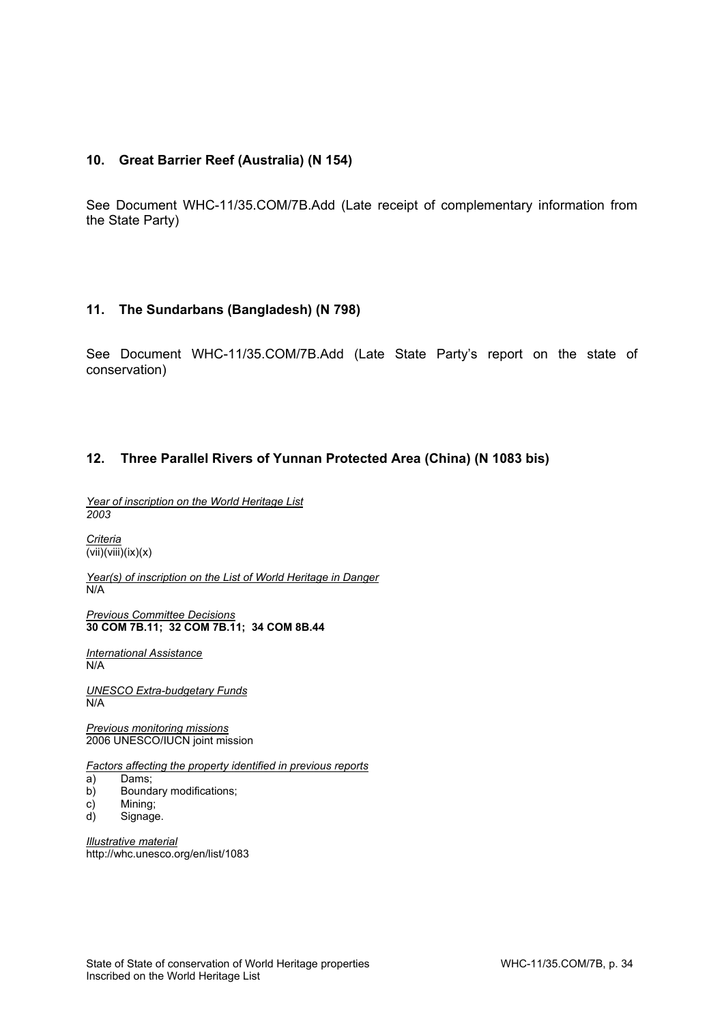# **10. Great Barrier Reef (Australia) (N 154)**

See Document WHC-11/35.COM/7B.Add (Late receipt of complementary information from the State Party)

### **11. The Sundarbans (Bangladesh) (N 798)**

See Document WHC-11/35.COM/7B.Add (Late State Party's report on the state of conservation)

### **12. Three Parallel Rivers of Yunnan Protected Area (China) (N 1083 bis)**

*Year of inscription on the World Heritage List 2003*

*Criteria*   $\overline{(vii)(viii)}(ix)(x)$ 

*Year(s) of inscription on the List of World Heritage in Danger*  N/A

*Previous Committee Decisions*  **30 COM 7B.11; 32 COM 7B.11; 34 COM 8B.44** 

*International Assistance*  N/A

*UNESCO Extra-budgetary Funds*   $N/A$ 

*Previous monitoring missions*  2006 UNESCO/IUCN joint mission

*Factors affecting the property identified in previous reports* 

- a) Dams;
- b) Boundary modifications;
- c) Mining;
- d) Signage.

*Illustrative material*  http://whc.unesco.org/en/list/1083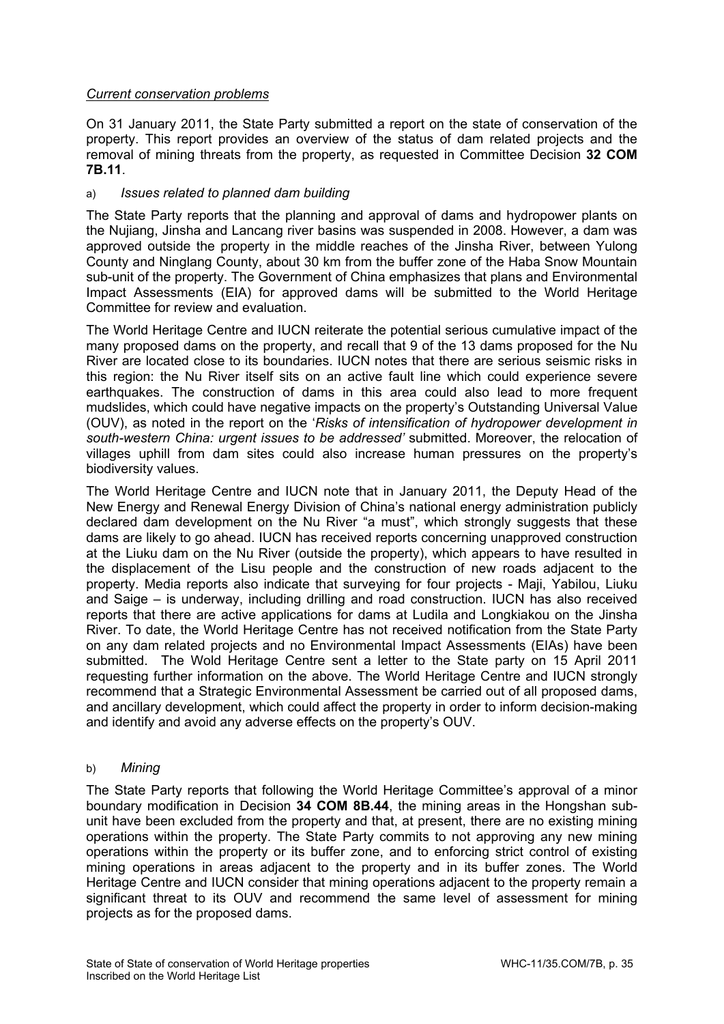# *Current conservation problems*

On 31 January 2011, the State Party submitted a report on the state of conservation of the property. This report provides an overview of the status of dam related projects and the removal of mining threats from the property, as requested in Committee Decision **32 COM 7B.11**.

# a) *Issues related to planned dam building*

The State Party reports that the planning and approval of dams and hydropower plants on the Nujiang, Jinsha and Lancang river basins was suspended in 2008. However, a dam was approved outside the property in the middle reaches of the Jinsha River, between Yulong County and Ninglang County, about 30 km from the buffer zone of the Haba Snow Mountain sub-unit of the property. The Government of China emphasizes that plans and Environmental Impact Assessments (EIA) for approved dams will be submitted to the World Heritage Committee for review and evaluation.

The World Heritage Centre and IUCN reiterate the potential serious cumulative impact of the many proposed dams on the property, and recall that 9 of the 13 dams proposed for the Nu River are located close to its boundaries. IUCN notes that there are serious seismic risks in this region: the Nu River itself sits on an active fault line which could experience severe earthquakes. The construction of dams in this area could also lead to more frequent mudslides, which could have negative impacts on the property's Outstanding Universal Value (OUV), as noted in the report on the '*Risks of intensification of hydropower development in south-western China: urgent issues to be addressed'* submitted. Moreover, the relocation of villages uphill from dam sites could also increase human pressures on the property's biodiversity values.

The World Heritage Centre and IUCN note that in January 2011, the Deputy Head of the New Energy and Renewal Energy Division of China's national energy administration publicly declared dam development on the Nu River "a must", which strongly suggests that these dams are likely to go ahead. IUCN has received reports concerning unapproved construction at the Liuku dam on the Nu River (outside the property), which appears to have resulted in the displacement of the Lisu people and the construction of new roads adjacent to the property. Media reports also indicate that surveying for four projects - Maji, Yabilou, Liuku and Saige – is underway, including drilling and road construction. IUCN has also received reports that there are active applications for dams at Ludila and Longkiakou on the Jinsha River. To date, the World Heritage Centre has not received notification from the State Party on any dam related projects and no Environmental Impact Assessments (EIAs) have been submitted. The Wold Heritage Centre sent a letter to the State party on 15 April 2011 requesting further information on the above. The World Heritage Centre and IUCN strongly recommend that a Strategic Environmental Assessment be carried out of all proposed dams, and ancillary development, which could affect the property in order to inform decision-making and identify and avoid any adverse effects on the property's OUV.

# b) *Mining*

The State Party reports that following the World Heritage Committee's approval of a minor boundary modification in Decision **34 COM 8B.44**, the mining areas in the Hongshan subunit have been excluded from the property and that, at present, there are no existing mining operations within the property. The State Party commits to not approving any new mining operations within the property or its buffer zone, and to enforcing strict control of existing mining operations in areas adjacent to the property and in its buffer zones. The World Heritage Centre and IUCN consider that mining operations adjacent to the property remain a significant threat to its OUV and recommend the same level of assessment for mining projects as for the proposed dams.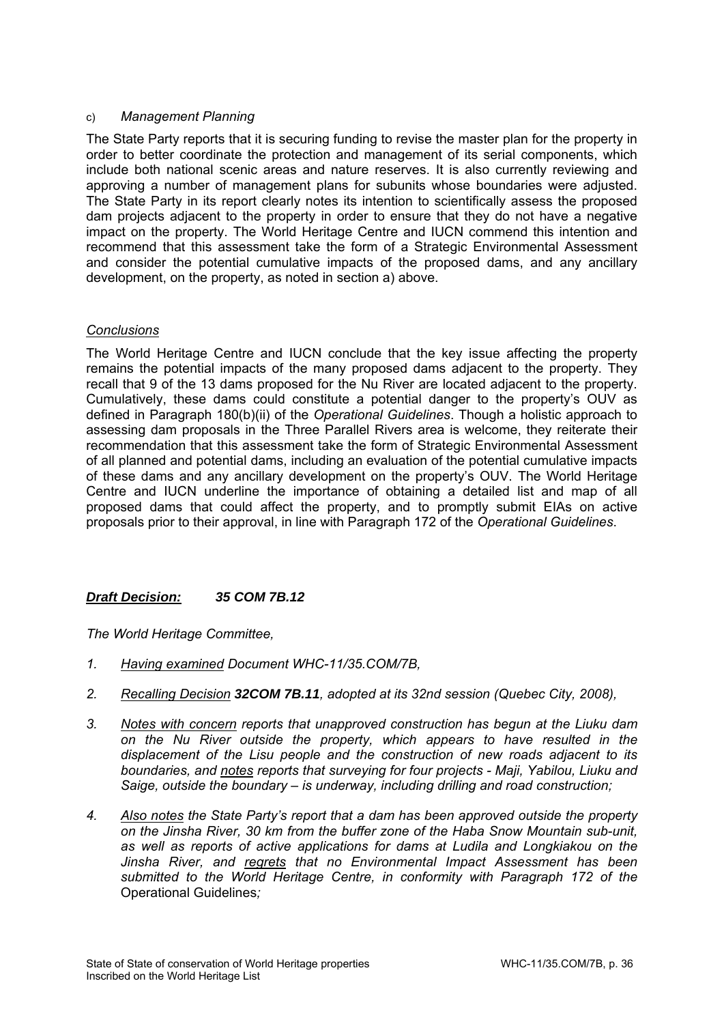## c) *Management Planning*

The State Party reports that it is securing funding to revise the master plan for the property in order to better coordinate the protection and management of its serial components, which include both national scenic areas and nature reserves. It is also currently reviewing and approving a number of management plans for subunits whose boundaries were adjusted. The State Party in its report clearly notes its intention to scientifically assess the proposed dam projects adjacent to the property in order to ensure that they do not have a negative impact on the property. The World Heritage Centre and IUCN commend this intention and recommend that this assessment take the form of a Strategic Environmental Assessment and consider the potential cumulative impacts of the proposed dams, and any ancillary development, on the property, as noted in section a) above.

# *Conclusions*

The World Heritage Centre and IUCN conclude that the key issue affecting the property remains the potential impacts of the many proposed dams adjacent to the property. They recall that 9 of the 13 dams proposed for the Nu River are located adjacent to the property. Cumulatively, these dams could constitute a potential danger to the property's OUV as defined in Paragraph 180(b)(ii) of the *Operational Guidelines*. Though a holistic approach to assessing dam proposals in the Three Parallel Rivers area is welcome, they reiterate their recommendation that this assessment take the form of Strategic Environmental Assessment of all planned and potential dams, including an evaluation of the potential cumulative impacts of these dams and any ancillary development on the property's OUV. The World Heritage Centre and IUCN underline the importance of obtaining a detailed list and map of all proposed dams that could affect the property, and to promptly submit EIAs on active proposals prior to their approval, in line with Paragraph 172 of the *Operational Guidelines*.

# *Draft Decision: 35 COM 7B.12*

*The World Heritage Committee,* 

- *1. Having examined Document WHC-11/35.COM/7B,*
- *2. Recalling Decision 32COM 7B.11, adopted at its 32nd session (Quebec City, 2008),*
- *3. Notes with concern reports that unapproved construction has begun at the Liuku dam on the Nu River outside the property, which appears to have resulted in the displacement of the Lisu people and the construction of new roads adjacent to its boundaries, and notes reports that surveying for four projects - Maji, Yabilou, Liuku and Saige, outside the boundary – is underway, including drilling and road construction;*
- *4. Also notes the State Party's report that a dam has been approved outside the property on the Jinsha River, 30 km from the buffer zone of the Haba Snow Mountain sub-unit, as well as reports of active applications for dams at Ludila and Longkiakou on the Jinsha River, and regrets that no Environmental Impact Assessment has been submitted to the World Heritage Centre, in conformity with Paragraph 172 of the*  Operational Guidelines*;*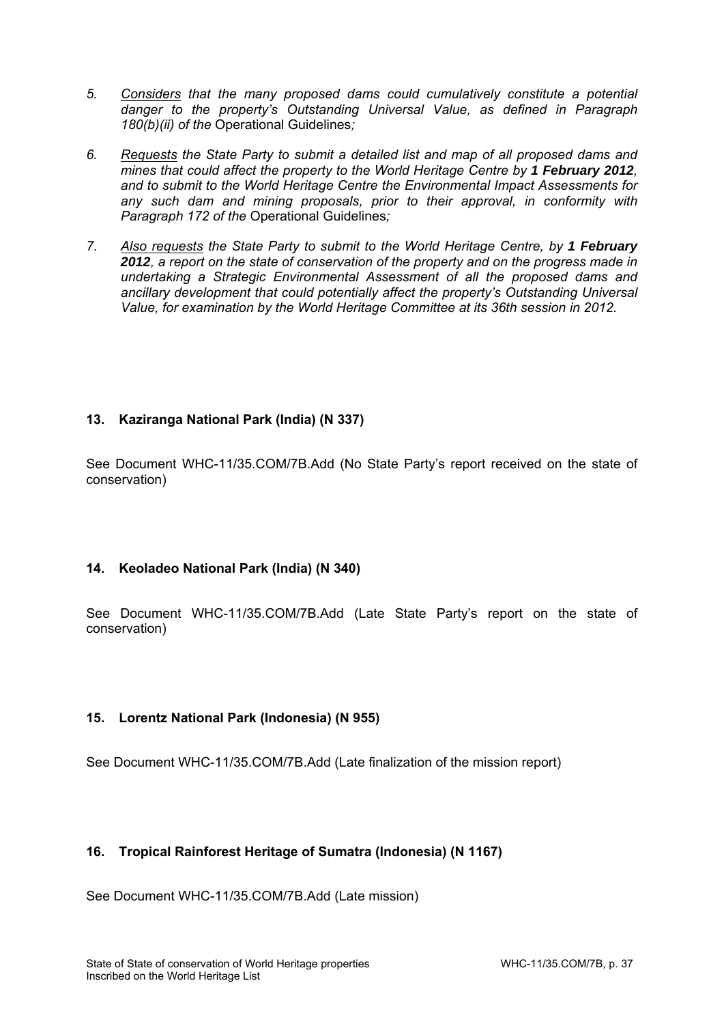- *5. Considers that the many proposed dams could cumulatively constitute a potential danger to the property's Outstanding Universal Value, as defined in Paragraph 180(b)(ii) of the* Operational Guidelines*;*
- *6. Requests the State Party to submit a detailed list and map of all proposed dams and mines that could affect the property to the World Heritage Centre by 1 February 2012, and to submit to the World Heritage Centre the Environmental Impact Assessments for any such dam and mining proposals, prior to their approval, in conformity with Paragraph 172 of the* Operational Guidelines*;*
- *7. Also requests the State Party to submit to the World Heritage Centre, by 1 February 2012, a report on the state of conservation of the property and on the progress made in undertaking a Strategic Environmental Assessment of all the proposed dams and ancillary development that could potentially affect the property's Outstanding Universal Value, for examination by the World Heritage Committee at its 36th session in 2012.*

# **13. Kaziranga National Park (India) (N 337)**

See Document WHC-11/35.COM/7B.Add (No State Party's report received on the state of conservation)

# **14. Keoladeo National Park (India) (N 340)**

See Document WHC-11/35.COM/7B.Add (Late State Party's report on the state of conservation)

# **15. Lorentz National Park (Indonesia) (N 955)**

See Document WHC-11/35.COM/7B.Add (Late finalization of the mission report)

# **16. Tropical Rainforest Heritage of Sumatra (Indonesia) (N 1167)**

See Document WHC-11/35.COM/7B.Add (Late mission)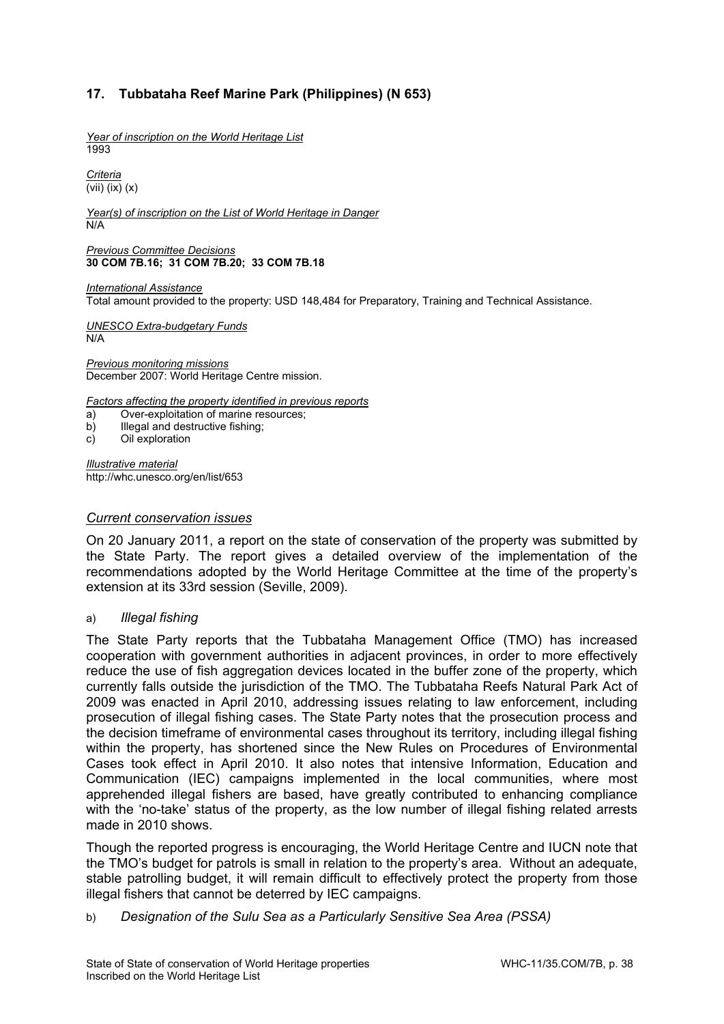# **17. Tubbataha Reef Marine Park (Philippines) (N 653)**

*Year of inscription on the World Heritage List*  1993

*Criteria*  (vii) (ix) (x)

*Year(s) of inscription on the List of World Heritage in Danger*  N/A

*Previous Committee Decisions*  **30 COM 7B.16; 31 COM 7B.20; 33 COM 7B.18** 

*International Assistance*  Total amount provided to the property: USD 148,484 for Preparatory, Training and Technical Assistance.

*UNESCO Extra-budgetary Funds*  N/A

*Previous monitoring missions*  December 2007: World Heritage Centre mission.

*Factors affecting the property identified in previous reports* 

- a) Over-exploitation of marine resources;
- b) Illegal and destructive fishing;
- c) Oil exploration

*Illustrative material*  http://whc.unesco.org/en/list/653

### *Current conservation issues*

On 20 January 2011, a report on the state of conservation of the property was submitted by the State Party. The report gives a detailed overview of the implementation of the recommendations adopted by the World Heritage Committee at the time of the property's extension at its 33rd session (Seville, 2009).

### a) *Illegal fishing*

The State Party reports that the Tubbataha Management Office (TMO) has increased cooperation with government authorities in adjacent provinces, in order to more effectively reduce the use of fish aggregation devices located in the buffer zone of the property, which currently falls outside the jurisdiction of the TMO. The Tubbataha Reefs Natural Park Act of 2009 was enacted in April 2010, addressing issues relating to law enforcement, including prosecution of illegal fishing cases. The State Party notes that the prosecution process and the decision timeframe of environmental cases throughout its territory, including illegal fishing within the property, has shortened since the New Rules on Procedures of Environmental Cases took effect in April 2010. It also notes that intensive Information, Education and Communication (IEC) campaigns implemented in the local communities, where most apprehended illegal fishers are based, have greatly contributed to enhancing compliance with the 'no-take' status of the property, as the low number of illegal fishing related arrests made in 2010 shows.

Though the reported progress is encouraging, the World Heritage Centre and IUCN note that the TMO's budget for patrols is small in relation to the property's area. Without an adequate, stable patrolling budget, it will remain difficult to effectively protect the property from those illegal fishers that cannot be deterred by IEC campaigns.

b) *Designation of the Sulu Sea as a Particularly Sensitive Sea Area (PSSA)*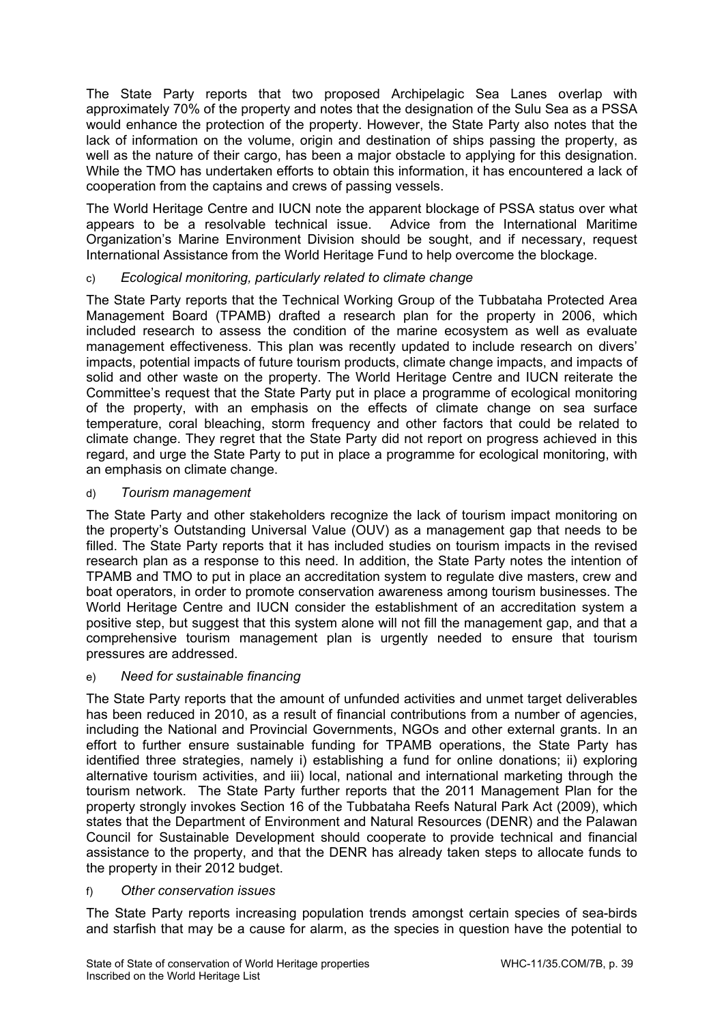The State Party reports that two proposed Archipelagic Sea Lanes overlap with approximately 70% of the property and notes that the designation of the Sulu Sea as a PSSA would enhance the protection of the property. However, the State Party also notes that the lack of information on the volume, origin and destination of ships passing the property, as well as the nature of their cargo, has been a major obstacle to applying for this designation. While the TMO has undertaken efforts to obtain this information, it has encountered a lack of cooperation from the captains and crews of passing vessels.

The World Heritage Centre and IUCN note the apparent blockage of PSSA status over what appears to be a resolvable technical issue. Advice from the International Maritime Organization's Marine Environment Division should be sought, and if necessary, request International Assistance from the World Heritage Fund to help overcome the blockage.

# c) *Ecological monitoring, particularly related to climate change*

The State Party reports that the Technical Working Group of the Tubbataha Protected Area Management Board (TPAMB) drafted a research plan for the property in 2006, which included research to assess the condition of the marine ecosystem as well as evaluate management effectiveness. This plan was recently updated to include research on divers' impacts, potential impacts of future tourism products, climate change impacts, and impacts of solid and other waste on the property. The World Heritage Centre and IUCN reiterate the Committee's request that the State Party put in place a programme of ecological monitoring of the property, with an emphasis on the effects of climate change on sea surface temperature, coral bleaching, storm frequency and other factors that could be related to climate change. They regret that the State Party did not report on progress achieved in this regard, and urge the State Party to put in place a programme for ecological monitoring, with an emphasis on climate change.

# d) *Tourism management*

The State Party and other stakeholders recognize the lack of tourism impact monitoring on the property's Outstanding Universal Value (OUV) as a management gap that needs to be filled. The State Party reports that it has included studies on tourism impacts in the revised research plan as a response to this need. In addition, the State Party notes the intention of TPAMB and TMO to put in place an accreditation system to regulate dive masters, crew and boat operators, in order to promote conservation awareness among tourism businesses. The World Heritage Centre and IUCN consider the establishment of an accreditation system a positive step, but suggest that this system alone will not fill the management gap, and that a comprehensive tourism management plan is urgently needed to ensure that tourism pressures are addressed.

# e) *Need for sustainable financing*

The State Party reports that the amount of unfunded activities and unmet target deliverables has been reduced in 2010, as a result of financial contributions from a number of agencies, including the National and Provincial Governments, NGOs and other external grants. In an effort to further ensure sustainable funding for TPAMB operations, the State Party has identified three strategies, namely i) establishing a fund for online donations; ii) exploring alternative tourism activities, and iii) local, national and international marketing through the tourism network. The State Party further reports that the 2011 Management Plan for the property strongly invokes Section 16 of the Tubbataha Reefs Natural Park Act (2009), which states that the Department of Environment and Natural Resources (DENR) and the Palawan Council for Sustainable Development should cooperate to provide technical and financial assistance to the property, and that the DENR has already taken steps to allocate funds to the property in their 2012 budget.

# f) *Other conservation issues*

The State Party reports increasing population trends amongst certain species of sea-birds and starfish that may be a cause for alarm, as the species in question have the potential to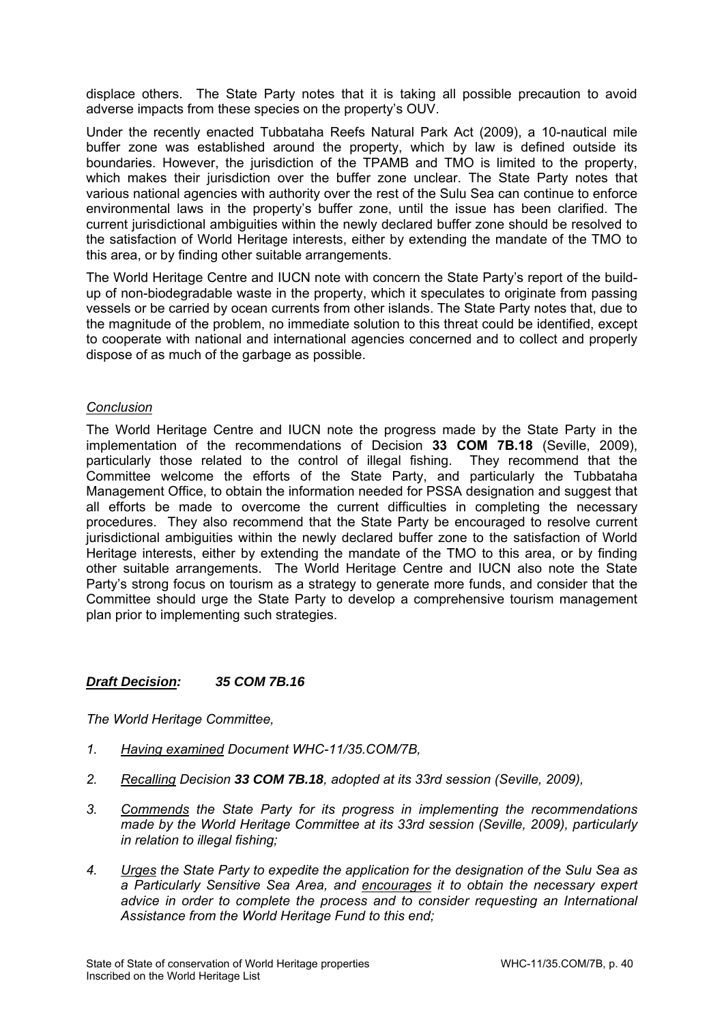displace others. The State Party notes that it is taking all possible precaution to avoid adverse impacts from these species on the property's OUV.

Under the recently enacted Tubbataha Reefs Natural Park Act (2009), a 10-nautical mile buffer zone was established around the property, which by law is defined outside its boundaries. However, the jurisdiction of the TPAMB and TMO is limited to the property, which makes their jurisdiction over the buffer zone unclear. The State Party notes that various national agencies with authority over the rest of the Sulu Sea can continue to enforce environmental laws in the property's buffer zone, until the issue has been clarified. The current jurisdictional ambiguities within the newly declared buffer zone should be resolved to the satisfaction of World Heritage interests, either by extending the mandate of the TMO to this area, or by finding other suitable arrangements.

The World Heritage Centre and IUCN note with concern the State Party's report of the buildup of non-biodegradable waste in the property, which it speculates to originate from passing vessels or be carried by ocean currents from other islands. The State Party notes that, due to the magnitude of the problem, no immediate solution to this threat could be identified, except to cooperate with national and international agencies concerned and to collect and properly dispose of as much of the garbage as possible.

# *Conclusion*

The World Heritage Centre and IUCN note the progress made by the State Party in the implementation of the recommendations of Decision **33 COM 7B.18** (Seville, 2009), particularly those related to the control of illegal fishing. They recommend that the Committee welcome the efforts of the State Party, and particularly the Tubbataha Management Office, to obtain the information needed for PSSA designation and suggest that all efforts be made to overcome the current difficulties in completing the necessary procedures. They also recommend that the State Party be encouraged to resolve current jurisdictional ambiguities within the newly declared buffer zone to the satisfaction of World Heritage interests, either by extending the mandate of the TMO to this area, or by finding other suitable arrangements. The World Heritage Centre and IUCN also note the State Party's strong focus on tourism as a strategy to generate more funds, and consider that the Committee should urge the State Party to develop a comprehensive tourism management plan prior to implementing such strategies.

# *Draft Decision: 35 COM 7B.16*

*The World Heritage Committee,* 

- *1. Having examined Document WHC-11/35.COM/7B,*
- *2. Recalling Decision 33 COM 7B.18, adopted at its 33rd session (Seville, 2009),*
- *3. Commends the State Party for its progress in implementing the recommendations made by the World Heritage Committee at its 33rd session (Seville, 2009), particularly in relation to illegal fishing;*
- *4. Urges the State Party to expedite the application for the designation of the Sulu Sea as a Particularly Sensitive Sea Area, and encourages it to obtain the necessary expert*  advice in order to complete the process and to consider requesting an International *Assistance from the World Heritage Fund to this end;*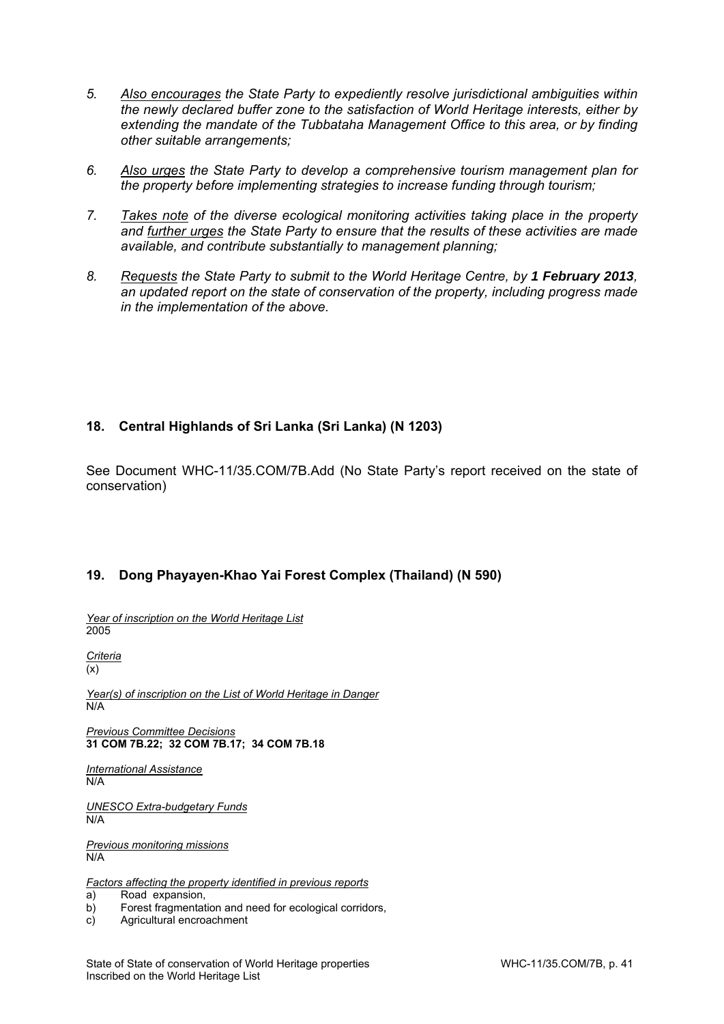- *5. Also encourages the State Party to expediently resolve jurisdictional ambiguities within the newly declared buffer zone to the satisfaction of World Heritage interests, either by extending the mandate of the Tubbataha Management Office to this area, or by finding other suitable arrangements;*
- *6. Also urges the State Party to develop a comprehensive tourism management plan for the property before implementing strategies to increase funding through tourism;*
- *7. Takes note of the diverse ecological monitoring activities taking place in the property and further urges the State Party to ensure that the results of these activities are made available, and contribute substantially to management planning;*
- 8. Requests the State Party to submit to the World Heritage Centre, by 1 February 2013, *an updated report on the state of conservation of the property, including progress made in the implementation of the above.*

# **18. Central Highlands of Sri Lanka (Sri Lanka) (N 1203)**

See Document WHC-11/35.COM/7B.Add (No State Party's report received on the state of conservation)

# **19. Dong Phayayen-Khao Yai Forest Complex (Thailand) (N 590)**

*Year of inscription on the World Heritage List*  2005

*Criteria*   $(x)$ 

*Year(s) of inscription on the List of World Heritage in Danger*  N/A

*Previous Committee Decisions*  **31 COM 7B.22; 32 COM 7B.17; 34 COM 7B.18** 

*International Assistance*  N/A

*UNESCO Extra-budgetary Funds*  N/A

*Previous monitoring missions*  N/A

*Factors affecting the property identified in previous reports* 

a) Road expansion,

b) Forest fragmentation and need for ecological corridors,

c) Agricultural encroachment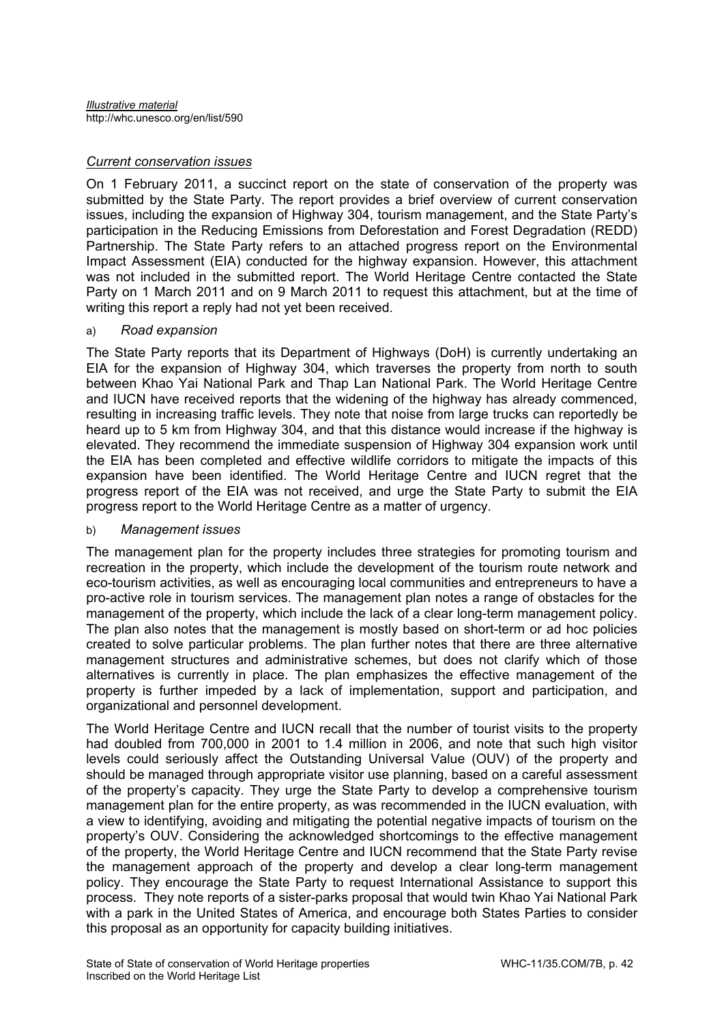## *Current conservation issues*

On 1 February 2011, a succinct report on the state of conservation of the property was submitted by the State Party. The report provides a brief overview of current conservation issues, including the expansion of Highway 304, tourism management, and the State Party's participation in the Reducing Emissions from Deforestation and Forest Degradation (REDD) Partnership. The State Party refers to an attached progress report on the Environmental Impact Assessment (EIA) conducted for the highway expansion. However, this attachment was not included in the submitted report. The World Heritage Centre contacted the State Party on 1 March 2011 and on 9 March 2011 to request this attachment, but at the time of writing this report a reply had not yet been received.

## a) *Road expansion*

The State Party reports that its Department of Highways (DoH) is currently undertaking an EIA for the expansion of Highway 304, which traverses the property from north to south between Khao Yai National Park and Thap Lan National Park. The World Heritage Centre and IUCN have received reports that the widening of the highway has already commenced, resulting in increasing traffic levels. They note that noise from large trucks can reportedly be heard up to 5 km from Highway 304, and that this distance would increase if the highway is elevated. They recommend the immediate suspension of Highway 304 expansion work until the EIA has been completed and effective wildlife corridors to mitigate the impacts of this expansion have been identified. The World Heritage Centre and IUCN regret that the progress report of the EIA was not received, and urge the State Party to submit the EIA progress report to the World Heritage Centre as a matter of urgency.

# b) *Management issues*

The management plan for the property includes three strategies for promoting tourism and recreation in the property, which include the development of the tourism route network and eco-tourism activities, as well as encouraging local communities and entrepreneurs to have a pro-active role in tourism services. The management plan notes a range of obstacles for the management of the property, which include the lack of a clear long-term management policy. The plan also notes that the management is mostly based on short-term or ad hoc policies created to solve particular problems. The plan further notes that there are three alternative management structures and administrative schemes, but does not clarify which of those alternatives is currently in place. The plan emphasizes the effective management of the property is further impeded by a lack of implementation, support and participation, and organizational and personnel development.

The World Heritage Centre and IUCN recall that the number of tourist visits to the property had doubled from 700,000 in 2001 to 1.4 million in 2006, and note that such high visitor levels could seriously affect the Outstanding Universal Value (OUV) of the property and should be managed through appropriate visitor use planning, based on a careful assessment of the property's capacity. They urge the State Party to develop a comprehensive tourism management plan for the entire property, as was recommended in the IUCN evaluation, with a view to identifying, avoiding and mitigating the potential negative impacts of tourism on the property's OUV. Considering the acknowledged shortcomings to the effective management of the property, the World Heritage Centre and IUCN recommend that the State Party revise the management approach of the property and develop a clear long-term management policy. They encourage the State Party to request International Assistance to support this process. They note reports of a sister-parks proposal that would twin Khao Yai National Park with a park in the United States of America, and encourage both States Parties to consider this proposal as an opportunity for capacity building initiatives.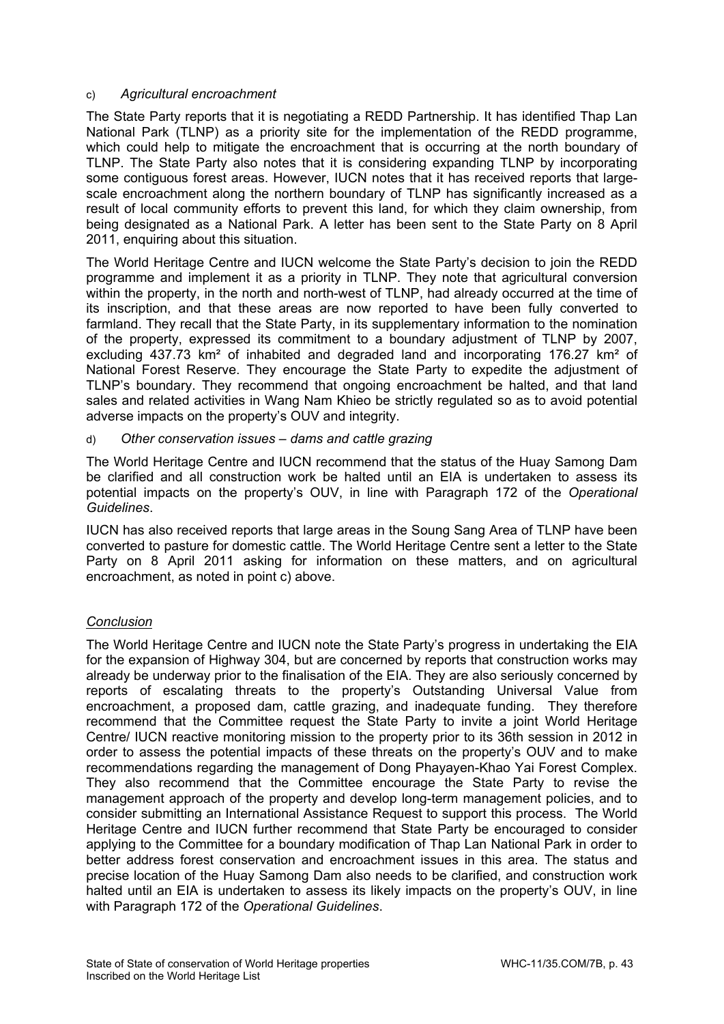# c) *Agricultural encroachment*

The State Party reports that it is negotiating a REDD Partnership. It has identified Thap Lan National Park (TLNP) as a priority site for the implementation of the REDD programme, which could help to mitigate the encroachment that is occurring at the north boundary of TLNP. The State Party also notes that it is considering expanding TLNP by incorporating some contiguous forest areas. However, IUCN notes that it has received reports that largescale encroachment along the northern boundary of TLNP has significantly increased as a result of local community efforts to prevent this land, for which they claim ownership, from being designated as a National Park. A letter has been sent to the State Party on 8 April 2011, enquiring about this situation.

The World Heritage Centre and IUCN welcome the State Party's decision to join the REDD programme and implement it as a priority in TLNP. They note that agricultural conversion within the property, in the north and north-west of TLNP, had already occurred at the time of its inscription, and that these areas are now reported to have been fully converted to farmland. They recall that the State Party, in its supplementary information to the nomination of the property, expressed its commitment to a boundary adjustment of TLNP by 2007, excluding 437.73 km² of inhabited and degraded land and incorporating 176.27 km² of National Forest Reserve. They encourage the State Party to expedite the adjustment of TLNP's boundary. They recommend that ongoing encroachment be halted, and that land sales and related activities in Wang Nam Khieo be strictly regulated so as to avoid potential adverse impacts on the property's OUV and integrity.

## d) *Other conservation issues – dams and cattle grazing*

The World Heritage Centre and IUCN recommend that the status of the Huay Samong Dam be clarified and all construction work be halted until an EIA is undertaken to assess its potential impacts on the property's OUV, in line with Paragraph 172 of the *Operational Guidelines*.

IUCN has also received reports that large areas in the Soung Sang Area of TLNP have been converted to pasture for domestic cattle. The World Heritage Centre sent a letter to the State Party on 8 April 2011 asking for information on these matters, and on agricultural encroachment, as noted in point c) above.

# *Conclusion*

The World Heritage Centre and IUCN note the State Party's progress in undertaking the EIA for the expansion of Highway 304, but are concerned by reports that construction works may already be underway prior to the finalisation of the EIA. They are also seriously concerned by reports of escalating threats to the property's Outstanding Universal Value from encroachment, a proposed dam, cattle grazing, and inadequate funding. They therefore recommend that the Committee request the State Party to invite a joint World Heritage Centre/ IUCN reactive monitoring mission to the property prior to its 36th session in 2012 in order to assess the potential impacts of these threats on the property's OUV and to make recommendations regarding the management of Dong Phayayen-Khao Yai Forest Complex. They also recommend that the Committee encourage the State Party to revise the management approach of the property and develop long-term management policies, and to consider submitting an International Assistance Request to support this process. The World Heritage Centre and IUCN further recommend that State Party be encouraged to consider applying to the Committee for a boundary modification of Thap Lan National Park in order to better address forest conservation and encroachment issues in this area. The status and precise location of the Huay Samong Dam also needs to be clarified, and construction work halted until an EIA is undertaken to assess its likely impacts on the property's OUV, in line with Paragraph 172 of the *Operational Guidelines*.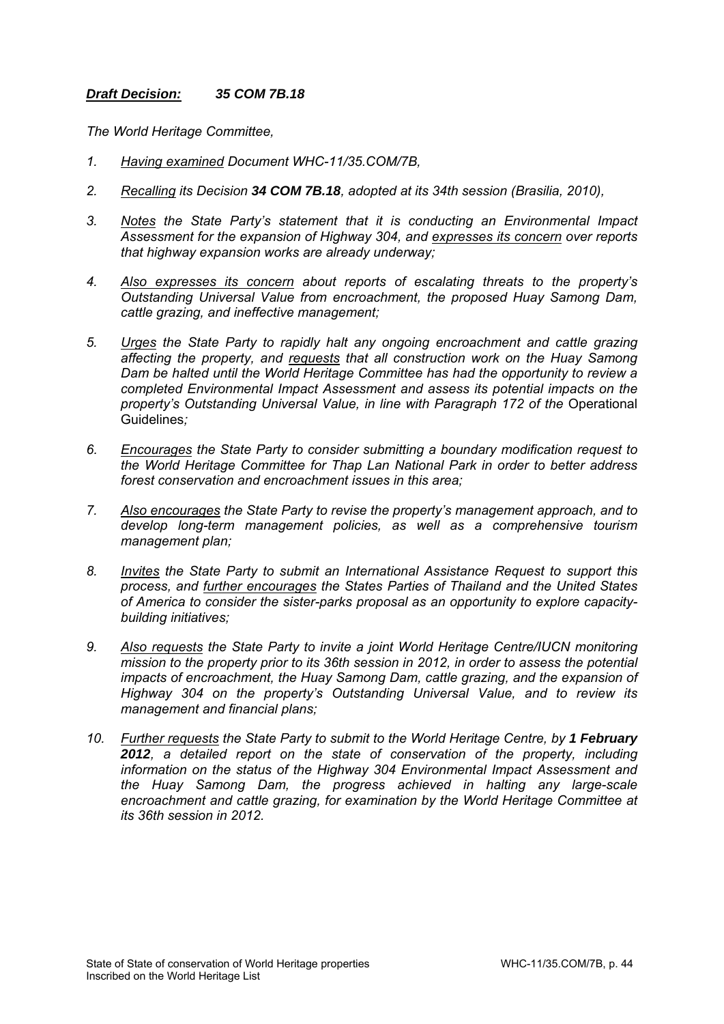# *Draft Decision: 35 COM 7B.18*

*The World Heritage Committee,* 

- *1. Having examined Document WHC-11/35.COM/7B,*
- *2. Recalling its Decision 34 COM 7B.18, adopted at its 34th session (Brasilia, 2010),*
- *3. Notes the State Party's statement that it is conducting an Environmental Impact Assessment for the expansion of Highway 304, and expresses its concern over reports that highway expansion works are already underway;*
- *4. Also expresses its concern about reports of escalating threats to the property's Outstanding Universal Value from encroachment, the proposed Huay Samong Dam, cattle grazing, and ineffective management;*
- *5. Urges the State Party to rapidly halt any ongoing encroachment and cattle grazing affecting the property, and requests that all construction work on the Huay Samong Dam be halted until the World Heritage Committee has had the opportunity to review a completed Environmental Impact Assessment and assess its potential impacts on the property's Outstanding Universal Value, in line with Paragraph 172 of the Operational* Guidelines*;*
- *6. Encourages the State Party to consider submitting a boundary modification request to the World Heritage Committee for Thap Lan National Park in order to better address forest conservation and encroachment issues in this area;*
- *7. Also encourages the State Party to revise the property's management approach, and to develop long-term management policies, as well as a comprehensive tourism management plan;*
- *8. Invites the State Party to submit an International Assistance Request to support this process, and further encourages the States Parties of Thailand and the United States of America to consider the sister-parks proposal as an opportunity to explore capacitybuilding initiatives;*
- *9. Also requests the State Party to invite a joint World Heritage Centre/IUCN monitoring mission to the property prior to its 36th session in 2012, in order to assess the potential impacts of encroachment, the Huay Samong Dam, cattle grazing, and the expansion of Highway 304 on the property's Outstanding Universal Value, and to review its management and financial plans;*
- *10. Further requests the State Party to submit to the World Heritage Centre, by 1 February 2012, a detailed report on the state of conservation of the property, including information on the status of the Highway 304 Environmental Impact Assessment and the Huay Samong Dam, the progress achieved in halting any large-scale encroachment and cattle grazing, for examination by the World Heritage Committee at its 36th session in 2012.*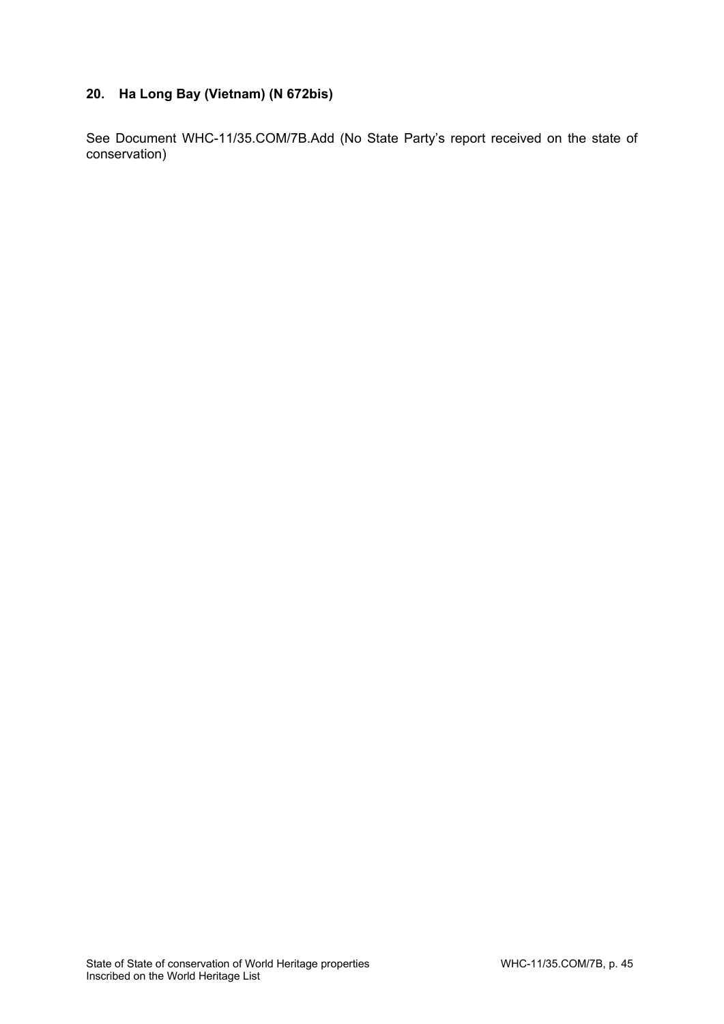# **20. Ha Long Bay (Vietnam) (N 672bis)**

See Document WHC-11/35.COM/7B.Add (No State Party's report received on the state of conservation)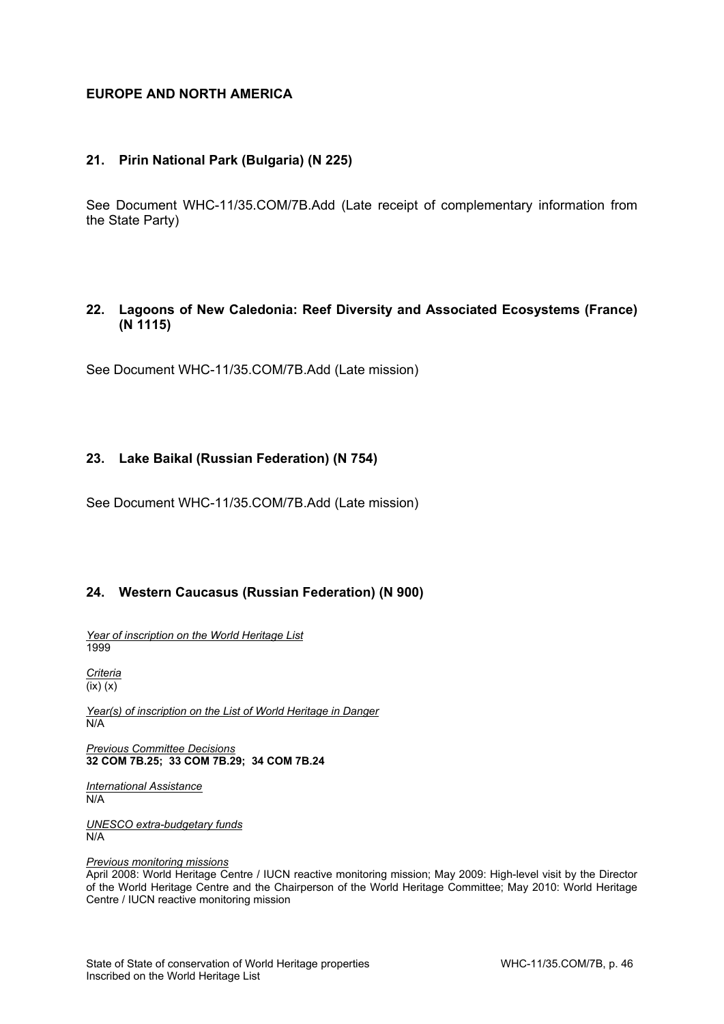# **EUROPE AND NORTH AMERICA**

## **21. Pirin National Park (Bulgaria) (N 225)**

See Document WHC-11/35.COM/7B.Add (Late receipt of complementary information from the State Party)

# **22. Lagoons of New Caledonia: Reef Diversity and Associated Ecosystems (France) (N 1115)**

See Document WHC-11/35.COM/7B.Add (Late mission)

## **23. Lake Baikal (Russian Federation) (N 754)**

See Document WHC-11/35.COM/7B.Add (Late mission)

# **24. Western Caucasus (Russian Federation) (N 900)**

*Year of inscription on the World Heritage List*  1999

*Criteria*   $\overline{f(x)}(x)$ 

*Year(s) of inscription on the List of World Heritage in Danger*   $\overline{N/A}$ 

*Previous Committee Decisions*  **32 COM 7B.25; 33 COM 7B.29; 34 COM 7B.24**

*International Assistance*  N/A

*UNESCO extra-budgetary funds*  N/A

*Previous monitoring missions* 

April 2008: World Heritage Centre / IUCN reactive monitoring mission; May 2009: High-level visit by the Director of the World Heritage Centre and the Chairperson of the World Heritage Committee; May 2010: World Heritage Centre / IUCN reactive monitoring mission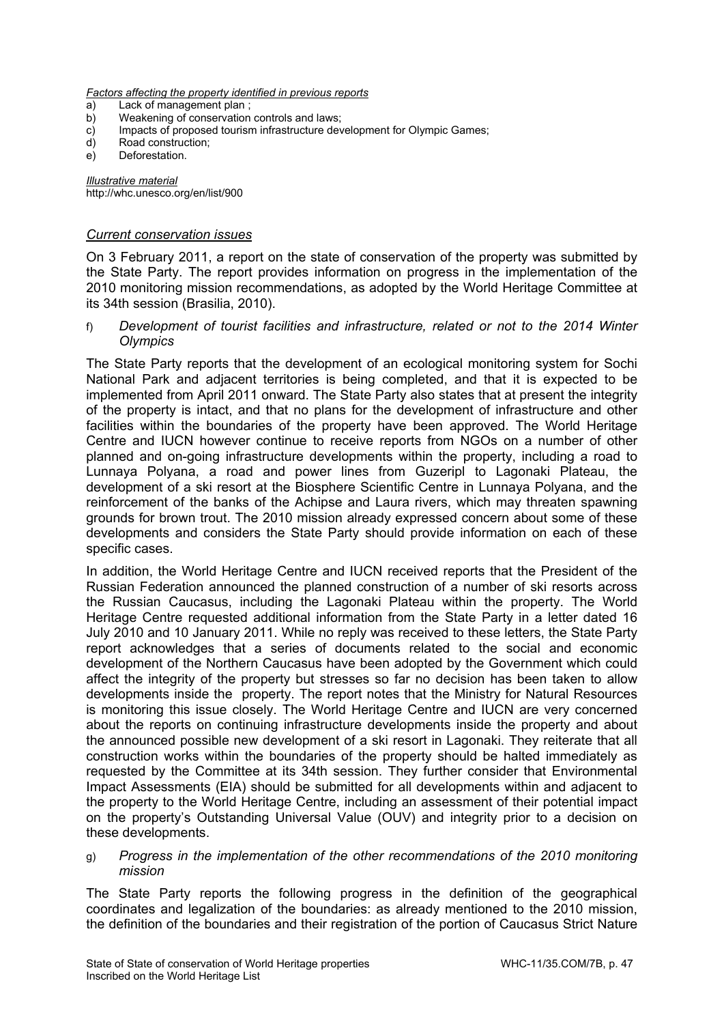*Factors affecting the property identified in previous reports* 

- a) Lack of management plan;<br>b) Weakening of conservation
- Weakening of conservation controls and laws;
- c) Impacts of proposed tourism infrastructure development for Olympic Games;
- d) Road construction;
- e) Deforestation.

*Illustrative material*  http://whc.unesco.org/en/list/900

### *Current conservation issues*

On 3 February 2011, a report on the state of conservation of the property was submitted by the State Party. The report provides information on progress in the implementation of the 2010 monitoring mission recommendations, as adopted by the World Heritage Committee at its 34th session (Brasilia, 2010).

f) *Development of tourist facilities and infrastructure, related or not to the 2014 Winter Olympics* 

The State Party reports that the development of an ecological monitoring system for Sochi National Park and adjacent territories is being completed, and that it is expected to be implemented from April 2011 onward. The State Party also states that at present the integrity of the property is intact, and that no plans for the development of infrastructure and other facilities within the boundaries of the property have been approved. The World Heritage Centre and IUCN however continue to receive reports from NGOs on a number of other planned and on-going infrastructure developments within the property, including a road to Lunnaya Polyana, a road and power lines from Guzeripl to Lagonaki Plateau, the development of a ski resort at the Biosphere Scientific Centre in Lunnaya Polyana, and the reinforcement of the banks of the Achipse and Laura rivers, which may threaten spawning grounds for brown trout. The 2010 mission already expressed concern about some of these developments and considers the State Party should provide information on each of these specific cases.

In addition, the World Heritage Centre and IUCN received reports that the President of the Russian Federation announced the planned construction of a number of ski resorts across the Russian Caucasus, including the Lagonaki Plateau within the property. The World Heritage Centre requested additional information from the State Party in a letter dated 16 July 2010 and 10 January 2011. While no reply was received to these letters, the State Party report acknowledges that a series of documents related to the social and economic development of the Northern Caucasus have been adopted by the Government which could affect the integrity of the property but stresses so far no decision has been taken to allow developments inside the property. The report notes that the Ministry for Natural Resources is monitoring this issue closely. The World Heritage Centre and IUCN are very concerned about the reports on continuing infrastructure developments inside the property and about the announced possible new development of a ski resort in Lagonaki. They reiterate that all construction works within the boundaries of the property should be halted immediately as requested by the Committee at its 34th session. They further consider that Environmental Impact Assessments (EIA) should be submitted for all developments within and adjacent to the property to the World Heritage Centre, including an assessment of their potential impact on the property's Outstanding Universal Value (OUV) and integrity prior to a decision on these developments.

### g) *Progress in the implementation of the other recommendations of the 2010 monitoring mission*

The State Party reports the following progress in the definition of the geographical coordinates and legalization of the boundaries: as already mentioned to the 2010 mission, the definition of the boundaries and their registration of the portion of Caucasus Strict Nature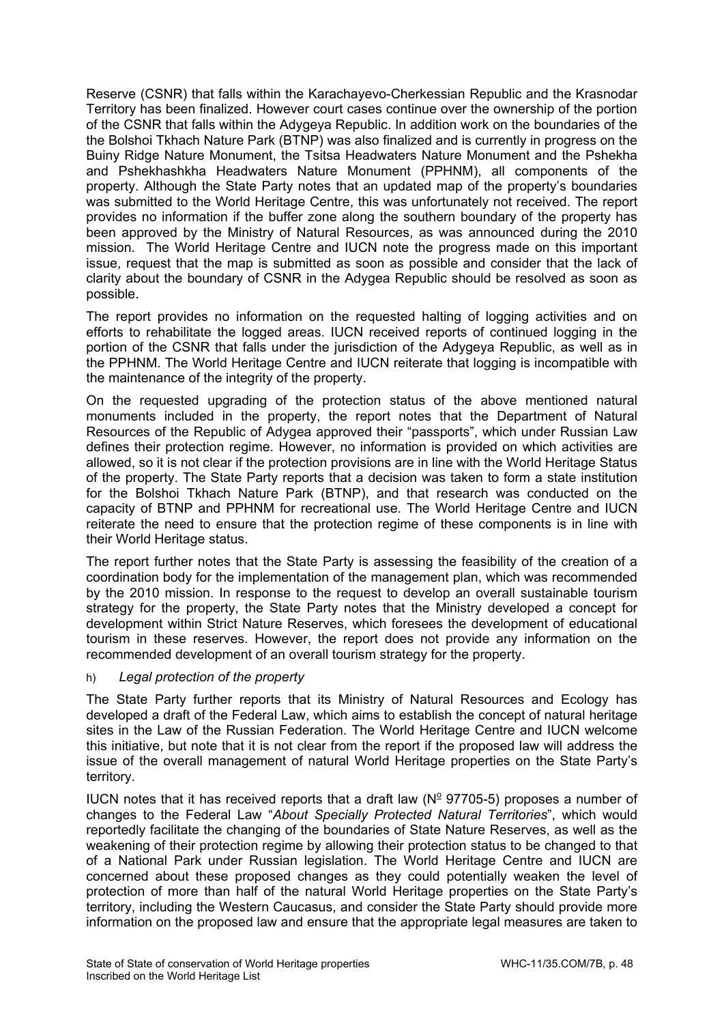Reserve (CSNR) that falls within the Karachayevo-Cherkessian Republic and the Krasnodar Territory has been finalized. However court cases continue over the ownership of the portion of the CSNR that falls within the Adygeya Republic. In addition work on the boundaries of the the Bolshoi Tkhach Nature Park (BTNP) was also finalized and is currently in progress on the Buiny Ridge Nature Monument, the Tsitsa Headwaters Nature Monument and the Pshekha and Pshekhashkha Headwaters Nature Monument (PPHNM), all components of the property. Although the State Party notes that an updated map of the property's boundaries was submitted to the World Heritage Centre, this was unfortunately not received. The report provides no information if the buffer zone along the southern boundary of the property has been approved by the Ministry of Natural Resources, as was announced during the 2010 mission. The World Heritage Centre and IUCN note the progress made on this important issue, request that the map is submitted as soon as possible and consider that the lack of clarity about the boundary of CSNR in the Adygea Republic should be resolved as soon as possible.

The report provides no information on the requested halting of logging activities and on efforts to rehabilitate the logged areas. IUCN received reports of continued logging in the portion of the CSNR that falls under the jurisdiction of the Adygeya Republic, as well as in the PPHNM. The World Heritage Centre and IUCN reiterate that logging is incompatible with the maintenance of the integrity of the property.

On the requested upgrading of the protection status of the above mentioned natural monuments included in the property, the report notes that the Department of Natural Resources of the Republic of Adygea approved their "passports", which under Russian Law defines their protection regime. However, no information is provided on which activities are allowed, so it is not clear if the protection provisions are in line with the World Heritage Status of the property. The State Party reports that a decision was taken to form a state institution for the Bolshoi Tkhach Nature Park (BTNP), and that research was conducted on the capacity of BTNP and PPHNM for recreational use. The World Heritage Centre and IUCN reiterate the need to ensure that the protection regime of these components is in line with their World Heritage status.

The report further notes that the State Party is assessing the feasibility of the creation of a coordination body for the implementation of the management plan, which was recommended by the 2010 mission. In response to the request to develop an overall sustainable tourism strategy for the property, the State Party notes that the Ministry developed a concept for development within Strict Nature Reserves, which foresees the development of educational tourism in these reserves. However, the report does not provide any information on the recommended development of an overall tourism strategy for the property.

# h) *Legal protection of the property*

The State Party further reports that its Ministry of Natural Resources and Ecology has developed a draft of the Federal Law, which aims to establish the concept of natural heritage sites in the Law of the Russian Federation. The World Heritage Centre and IUCN welcome this initiative, but note that it is not clear from the report if the proposed law will address the issue of the overall management of natural World Heritage properties on the State Party's territory.

IUCN notes that it has received reports that a draft law ( $N<sup>2</sup>$  97705-5) proposes a number of changes to the Federal Law "*About Specially Protected Natural Territories*", which would reportedly facilitate the changing of the boundaries of State Nature Reserves, as well as the weakening of their protection regime by allowing their protection status to be changed to that of a National Park under Russian legislation. The World Heritage Centre and IUCN are concerned about these proposed changes as they could potentially weaken the level of protection of more than half of the natural World Heritage properties on the State Party's territory, including the Western Caucasus, and consider the State Party should provide more information on the proposed law and ensure that the appropriate legal measures are taken to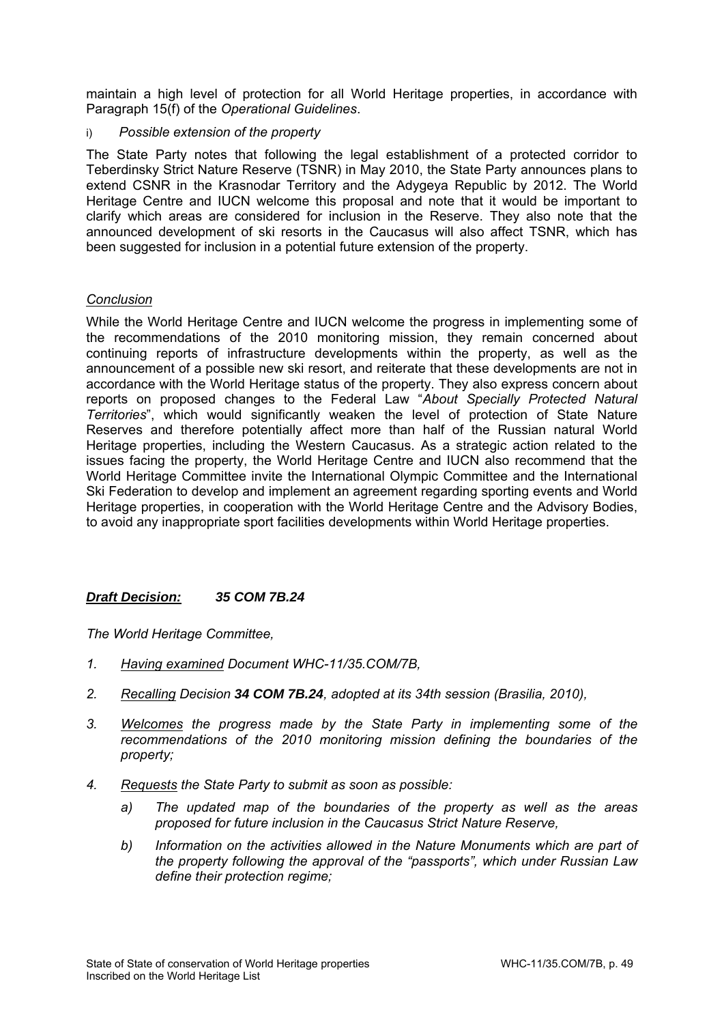maintain a high level of protection for all World Heritage properties, in accordance with Paragraph 15(f) of the *Operational Guidelines*.

# i) *Possible extension of the property*

The State Party notes that following the legal establishment of a protected corridor to Teberdinsky Strict Nature Reserve (TSNR) in May 2010, the State Party announces plans to extend CSNR in the Krasnodar Territory and the Adygeya Republic by 2012. The World Heritage Centre and IUCN welcome this proposal and note that it would be important to clarify which areas are considered for inclusion in the Reserve. They also note that the announced development of ski resorts in the Caucasus will also affect TSNR, which has been suggested for inclusion in a potential future extension of the property.

## *Conclusion*

While the World Heritage Centre and IUCN welcome the progress in implementing some of the recommendations of the 2010 monitoring mission, they remain concerned about continuing reports of infrastructure developments within the property, as well as the announcement of a possible new ski resort, and reiterate that these developments are not in accordance with the World Heritage status of the property. They also express concern about reports on proposed changes to the Federal Law "*About Specially Protected Natural Territories*", which would significantly weaken the level of protection of State Nature Reserves and therefore potentially affect more than half of the Russian natural World Heritage properties, including the Western Caucasus. As a strategic action related to the issues facing the property, the World Heritage Centre and IUCN also recommend that the World Heritage Committee invite the International Olympic Committee and the International Ski Federation to develop and implement an agreement regarding sporting events and World Heritage properties, in cooperation with the World Heritage Centre and the Advisory Bodies, to avoid any inappropriate sport facilities developments within World Heritage properties.

# *Draft Decision: 35 COM 7B.24*

*The World Heritage Committee,* 

- *1. Having examined Document WHC-11/35.COM/7B,*
- *2. Recalling Decision 34 COM 7B.24, adopted at its 34th session (Brasilia, 2010),*
- *3. Welcomes the progress made by the State Party in implementing some of the recommendations of the 2010 monitoring mission defining the boundaries of the property;*
- *4. Requests the State Party to submit as soon as possible:* 
	- *a) The updated map of the boundaries of the property as well as the areas proposed for future inclusion in the Caucasus Strict Nature Reserve,*
	- *b) Information on the activities allowed in the Nature Monuments which are part of the property following the approval of the "passports", which under Russian Law define their protection regime;*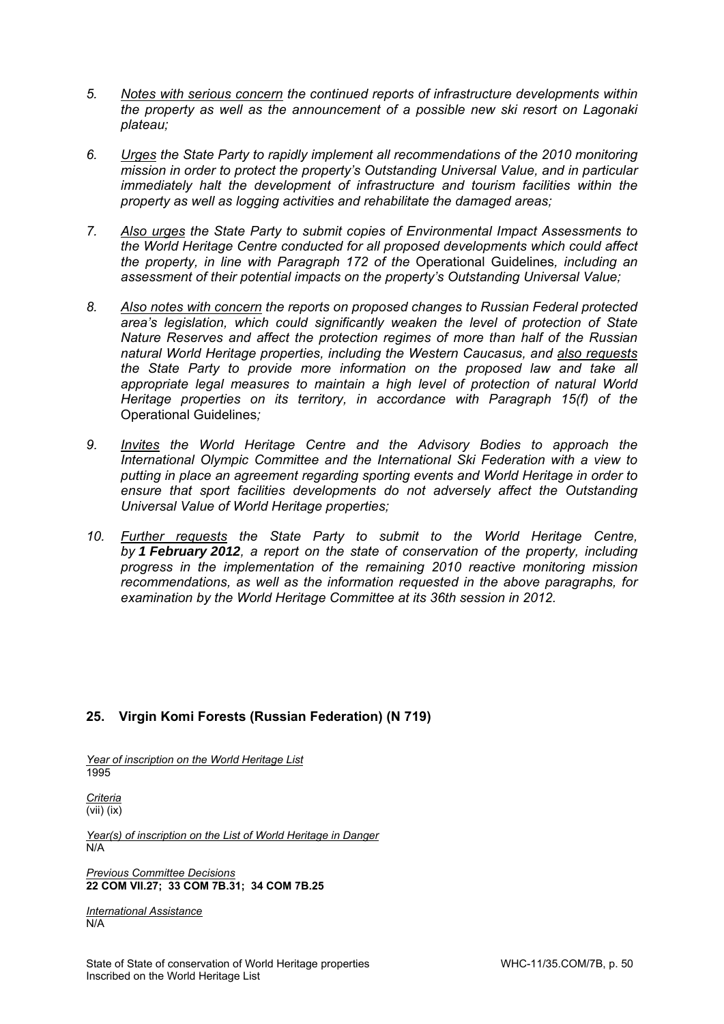- *5. Notes with serious concern the continued reports of infrastructure developments within the property as well as the announcement of a possible new ski resort on Lagonaki plateau;*
- *6. Urges the State Party to rapidly implement all recommendations of the 2010 monitoring mission in order to protect the property's Outstanding Universal Value, and in particular immediately halt the development of infrastructure and tourism facilities within the property as well as logging activities and rehabilitate the damaged areas;*
- *7. Also urges the State Party to submit copies of Environmental Impact Assessments to the World Heritage Centre conducted for all proposed developments which could affect the property, in line with Paragraph 172 of the* Operational Guidelines*, including an assessment of their potential impacts on the property's Outstanding Universal Value;*
- *8. Also notes with concern the reports on proposed changes to Russian Federal protected area's legislation, which could significantly weaken the level of protection of State Nature Reserves and affect the protection regimes of more than half of the Russian natural World Heritage properties, including the Western Caucasus, and also requests the State Party to provide more information on the proposed law and take all appropriate legal measures to maintain a high level of protection of natural World Heritage properties on its territory, in accordance with Paragraph 15(f) of the*  Operational Guidelines*;*
- *9. Invites the World Heritage Centre and the Advisory Bodies to approach the International Olympic Committee and the International Ski Federation with a view to putting in place an agreement regarding sporting events and World Heritage in order to ensure that sport facilities developments do not adversely affect the Outstanding Universal Value of World Heritage properties;*
- *10. Further requests the State Party to submit to the World Heritage Centre, by 1 February 2012, a report on the state of conservation of the property, including progress in the implementation of the remaining 2010 reactive monitoring mission recommendations, as well as the information requested in the above paragraphs, for examination by the World Heritage Committee at its 36th session in 2012.*

# **25. Virgin Komi Forests (Russian Federation) (N 719)**

*Year of inscription on the World Heritage List*  1995

*Criteria*  (vii) (ix)

*Year(s) of inscription on the List of World Heritage in Danger*  N/A

*Previous Committee Decisions*  **22 COM VII.27; 33 COM 7B.31; 34 COM 7B.25**

*International Assistance*  N/A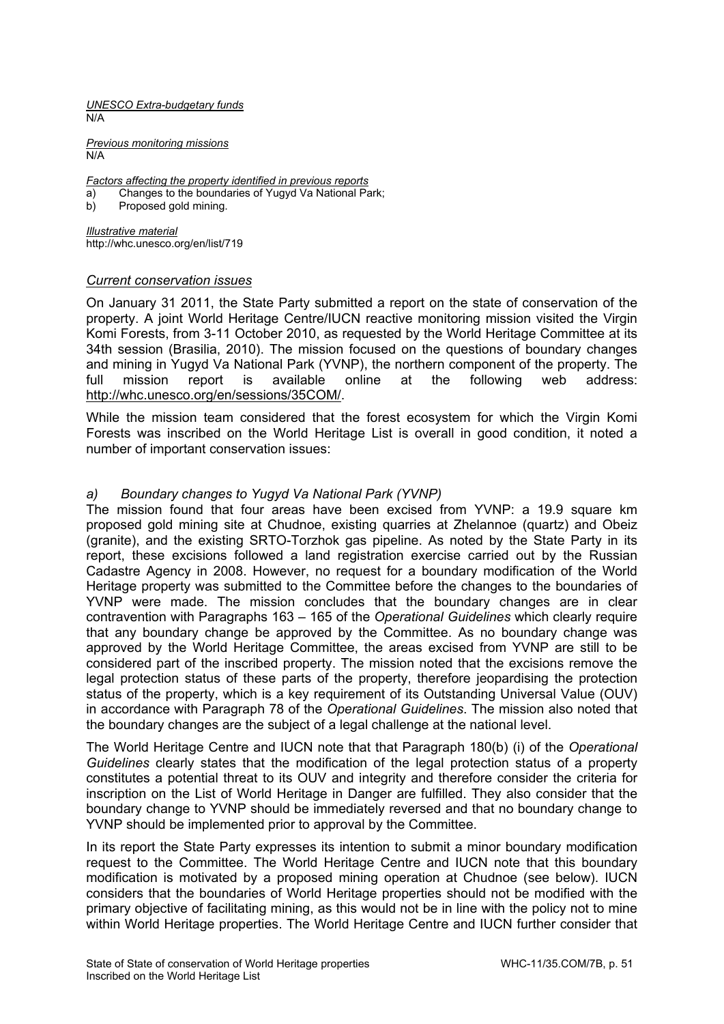*UNESCO Extra-budgetary funds*  N/A

*Previous monitoring missions*  N/A

*Factors affecting the property identified in previous reports* 

- a) Changes to the boundaries of Yugyd Va National Park;
- Proposed gold mining.

*Illustrative material*  http://whc.unesco.org/en/list/719

### *Current conservation issues*

On January 31 2011, the State Party submitted a report on the state of conservation of the property. A joint World Heritage Centre/IUCN reactive monitoring mission visited the Virgin Komi Forests, from 3-11 October 2010, as requested by the World Heritage Committee at its 34th session (Brasilia, 2010). The mission focused on the questions of boundary changes and mining in Yugyd Va National Park (YVNP), the northern component of the property. The full mission report is available online at the following web address: http://whc.unesco.org/en/sessions/35COM/.

While the mission team considered that the forest ecosystem for which the Virgin Komi Forests was inscribed on the World Heritage List is overall in good condition, it noted a number of important conservation issues:

### *a) Boundary changes to Yugyd Va National Park (YVNP)*

The mission found that four areas have been excised from YVNP: a 19.9 square km proposed gold mining site at Chudnoe, existing quarries at Zhelannoe (quartz) and Obeiz (granite), and the existing SRTO-Torzhok gas pipeline. As noted by the State Party in its report, these excisions followed a land registration exercise carried out by the Russian Cadastre Agency in 2008. However, no request for a boundary modification of the World Heritage property was submitted to the Committee before the changes to the boundaries of YVNP were made. The mission concludes that the boundary changes are in clear contravention with Paragraphs 163 – 165 of the *Operational Guidelines* which clearly require that any boundary change be approved by the Committee. As no boundary change was approved by the World Heritage Committee, the areas excised from YVNP are still to be considered part of the inscribed property. The mission noted that the excisions remove the legal protection status of these parts of the property, therefore jeopardising the protection status of the property, which is a key requirement of its Outstanding Universal Value (OUV) in accordance with Paragraph 78 of the *Operational Guidelines*. The mission also noted that the boundary changes are the subject of a legal challenge at the national level.

The World Heritage Centre and IUCN note that that Paragraph 180(b) (i) of the *Operational Guidelines* clearly states that the modification of the legal protection status of a property constitutes a potential threat to its OUV and integrity and therefore consider the criteria for inscription on the List of World Heritage in Danger are fulfilled. They also consider that the boundary change to YVNP should be immediately reversed and that no boundary change to YVNP should be implemented prior to approval by the Committee.

In its report the State Party expresses its intention to submit a minor boundary modification request to the Committee. The World Heritage Centre and IUCN note that this boundary modification is motivated by a proposed mining operation at Chudnoe (see below). IUCN considers that the boundaries of World Heritage properties should not be modified with the primary objective of facilitating mining, as this would not be in line with the policy not to mine within World Heritage properties. The World Heritage Centre and IUCN further consider that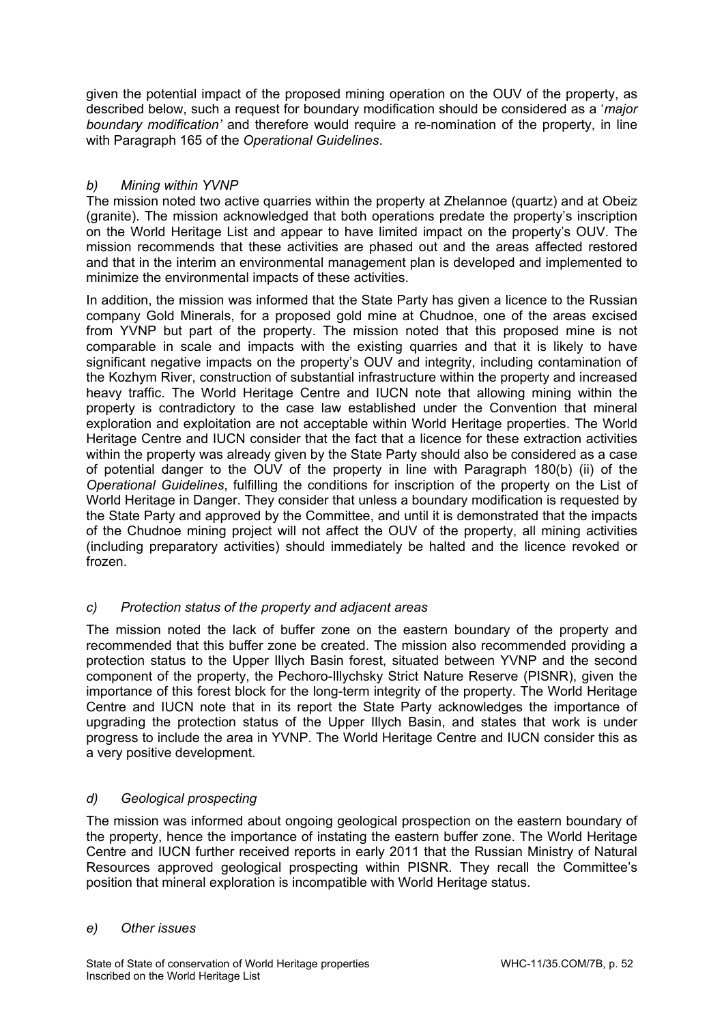given the potential impact of the proposed mining operation on the OUV of the property, as described below, such a request for boundary modification should be considered as a '*major boundary modification'* and therefore would require a re-nomination of the property, in line with Paragraph 165 of the *Operational Guidelines*.

# *b) Mining within YVNP*

The mission noted two active quarries within the property at Zhelannoe (quartz) and at Obeiz (granite). The mission acknowledged that both operations predate the property's inscription on the World Heritage List and appear to have limited impact on the property's OUV. The mission recommends that these activities are phased out and the areas affected restored and that in the interim an environmental management plan is developed and implemented to minimize the environmental impacts of these activities.

In addition, the mission was informed that the State Party has given a licence to the Russian company Gold Minerals, for a proposed gold mine at Chudnoe, one of the areas excised from YVNP but part of the property. The mission noted that this proposed mine is not comparable in scale and impacts with the existing quarries and that it is likely to have significant negative impacts on the property's OUV and integrity, including contamination of the Kozhym River, construction of substantial infrastructure within the property and increased heavy traffic. The World Heritage Centre and IUCN note that allowing mining within the property is contradictory to the case law established under the Convention that mineral exploration and exploitation are not acceptable within World Heritage properties. The World Heritage Centre and IUCN consider that the fact that a licence for these extraction activities within the property was already given by the State Party should also be considered as a case of potential danger to the OUV of the property in line with Paragraph 180(b) (ii) of the *Operational Guidelines*, fulfilling the conditions for inscription of the property on the List of World Heritage in Danger. They consider that unless a boundary modification is requested by the State Party and approved by the Committee, and until it is demonstrated that the impacts of the Chudnoe mining project will not affect the OUV of the property, all mining activities (including preparatory activities) should immediately be halted and the licence revoked or frozen.

# *c) Protection status of the property and adjacent areas*

The mission noted the lack of buffer zone on the eastern boundary of the property and recommended that this buffer zone be created. The mission also recommended providing a protection status to the Upper Illych Basin forest, situated between YVNP and the second component of the property, the Pechoro-Illychsky Strict Nature Reserve (PISNR), given the importance of this forest block for the long-term integrity of the property. The World Heritage Centre and IUCN note that in its report the State Party acknowledges the importance of upgrading the protection status of the Upper Illych Basin, and states that work is under progress to include the area in YVNP. The World Heritage Centre and IUCN consider this as a very positive development.

# *d) Geological prospecting*

The mission was informed about ongoing geological prospection on the eastern boundary of the property, hence the importance of instating the eastern buffer zone. The World Heritage Centre and IUCN further received reports in early 2011 that the Russian Ministry of Natural Resources approved geological prospecting within PISNR. They recall the Committee's position that mineral exploration is incompatible with World Heritage status.

# *e) Other issues*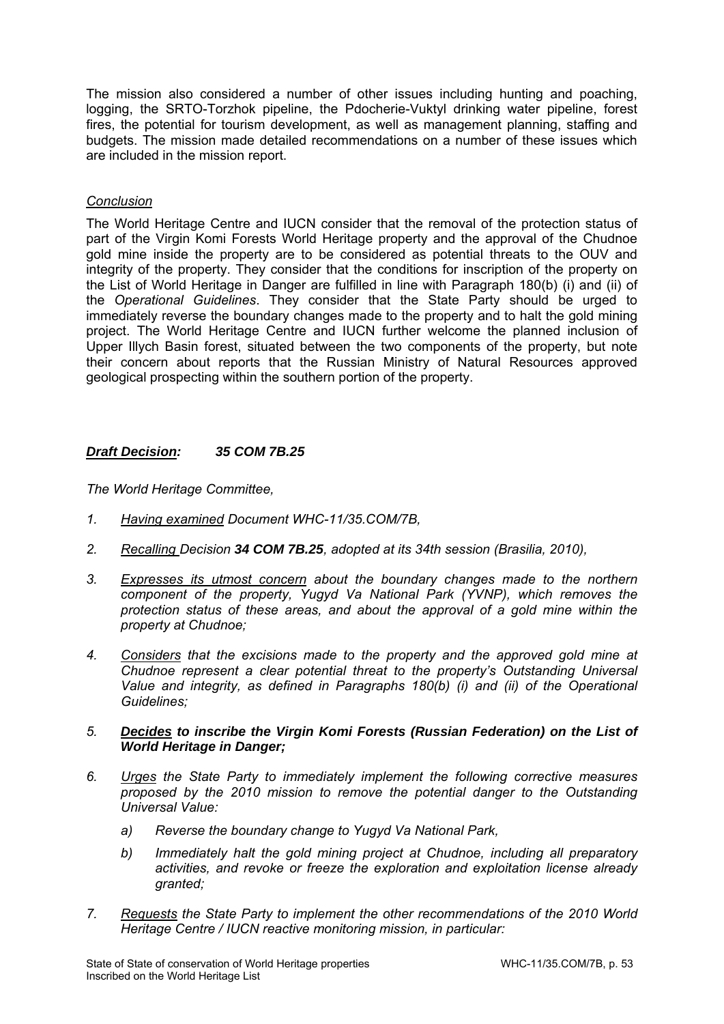The mission also considered a number of other issues including hunting and poaching, logging, the SRTO-Torzhok pipeline, the Pdocherie-Vuktyl drinking water pipeline, forest fires, the potential for tourism development, as well as management planning, staffing and budgets. The mission made detailed recommendations on a number of these issues which are included in the mission report.

# *Conclusion*

The World Heritage Centre and IUCN consider that the removal of the protection status of part of the Virgin Komi Forests World Heritage property and the approval of the Chudnoe gold mine inside the property are to be considered as potential threats to the OUV and integrity of the property. They consider that the conditions for inscription of the property on the List of World Heritage in Danger are fulfilled in line with Paragraph 180(b) (i) and (ii) of the *Operational Guidelines*. They consider that the State Party should be urged to immediately reverse the boundary changes made to the property and to halt the gold mining project. The World Heritage Centre and IUCN further welcome the planned inclusion of Upper Illych Basin forest, situated between the two components of the property, but note their concern about reports that the Russian Ministry of Natural Resources approved geological prospecting within the southern portion of the property.

# *Draft Decision: 35 COM 7B.25*

*The World Heritage Committee,* 

- *1. Having examined Document WHC-11/35.COM/7B,*
- *2. Recalling Decision 34 COM 7B.25, adopted at its 34th session (Brasilia, 2010),*
- *3. Expresses its utmost concern about the boundary changes made to the northern component of the property, Yugyd Va National Park (YVNP), which removes the protection status of these areas, and about the approval of a gold mine within the property at Chudnoe;*
- *4. Considers that the excisions made to the property and the approved gold mine at Chudnoe represent a clear potential threat to the property's Outstanding Universal Value and integrity, as defined in Paragraphs 180(b) (i) and (ii) of the Operational Guidelines;*

## *5. Decides to inscribe the Virgin Komi Forests (Russian Federation) on the List of World Heritage in Danger;*

- *6. Urges the State Party to immediately implement the following corrective measures proposed by the 2010 mission to remove the potential danger to the Outstanding Universal Value:* 
	- *a) Reverse the boundary change to Yugyd Va National Park,*
	- *b) Immediately halt the gold mining project at Chudnoe, including all preparatory activities, and revoke or freeze the exploration and exploitation license already granted;*
- *7. Requests the State Party to implement the other recommendations of the 2010 World Heritage Centre / IUCN reactive monitoring mission, in particular:*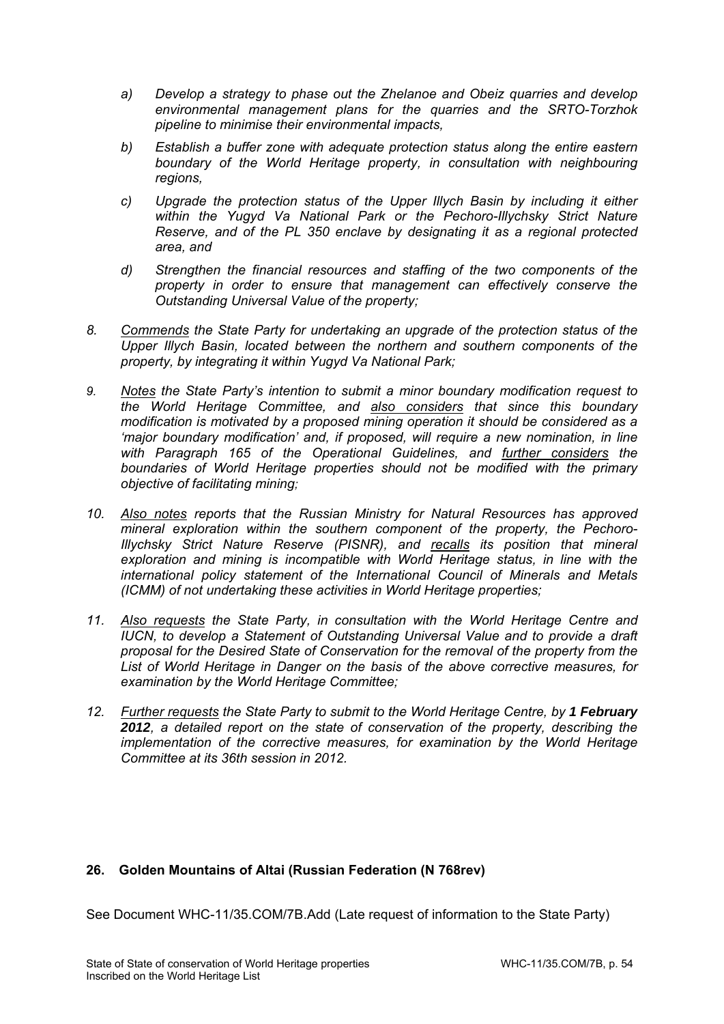- *a) Develop a strategy to phase out the Zhelanoe and Obeiz quarries and develop environmental management plans for the quarries and the SRTO-Torzhok pipeline to minimise their environmental impacts,*
- *b) Establish a buffer zone with adequate protection status along the entire eastern boundary of the World Heritage property, in consultation with neighbouring regions,*
- *c) Upgrade the protection status of the Upper Illych Basin by including it either within the Yugyd Va National Park or the Pechoro-Illychsky Strict Nature Reserve, and of the PL 350 enclave by designating it as a regional protected area, and*
- *d) Strengthen the financial resources and staffing of the two components of the property in order to ensure that management can effectively conserve the Outstanding Universal Value of the property;*
- *8. Commends the State Party for undertaking an upgrade of the protection status of the Upper Illych Basin, located between the northern and southern components of the property, by integrating it within Yugyd Va National Park;*
- *9. Notes the State Party's intention to submit a minor boundary modification request to the World Heritage Committee, and also considers that since this boundary modification is motivated by a proposed mining operation it should be considered as a 'major boundary modification' and, if proposed, will require a new nomination, in line with Paragraph 165 of the Operational Guidelines, and further considers the boundaries of World Heritage properties should not be modified with the primary objective of facilitating mining;*
- *10. Also notes reports that the Russian Ministry for Natural Resources has approved mineral exploration within the southern component of the property, the Pechoro-Illychsky Strict Nature Reserve (PISNR), and recalls its position that mineral exploration and mining is incompatible with World Heritage status, in line with the international policy statement of the International Council of Minerals and Metals (ICMM) of not undertaking these activities in World Heritage properties;*
- 11. Also requests the State Party, in consultation with the World Heritage Centre and *IUCN, to develop a Statement of Outstanding Universal Value and to provide a draft proposal for the Desired State of Conservation for the removal of the property from the List of World Heritage in Danger on the basis of the above corrective measures, for examination by the World Heritage Committee;*
- 12. Further requests the State Party to submit to the World Heritage Centre, by 1 February *2012, a detailed report on the state of conservation of the property, describing the implementation of the corrective measures, for examination by the World Heritage Committee at its 36th session in 2012.*

# **26. Golden Mountains of Altai (Russian Federation (N 768rev)**

See Document WHC-11/35.COM/7B.Add (Late request of information to the State Party)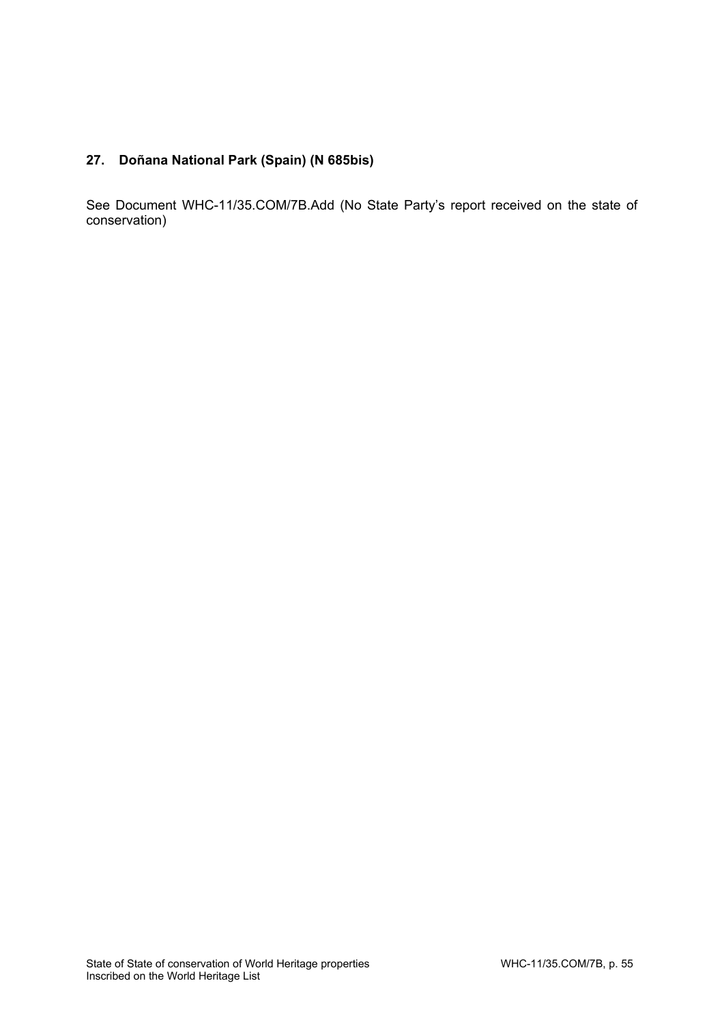# **27. Doñana National Park (Spain) (N 685bis)**

See Document WHC-11/35.COM/7B.Add (No State Party's report received on the state of conservation)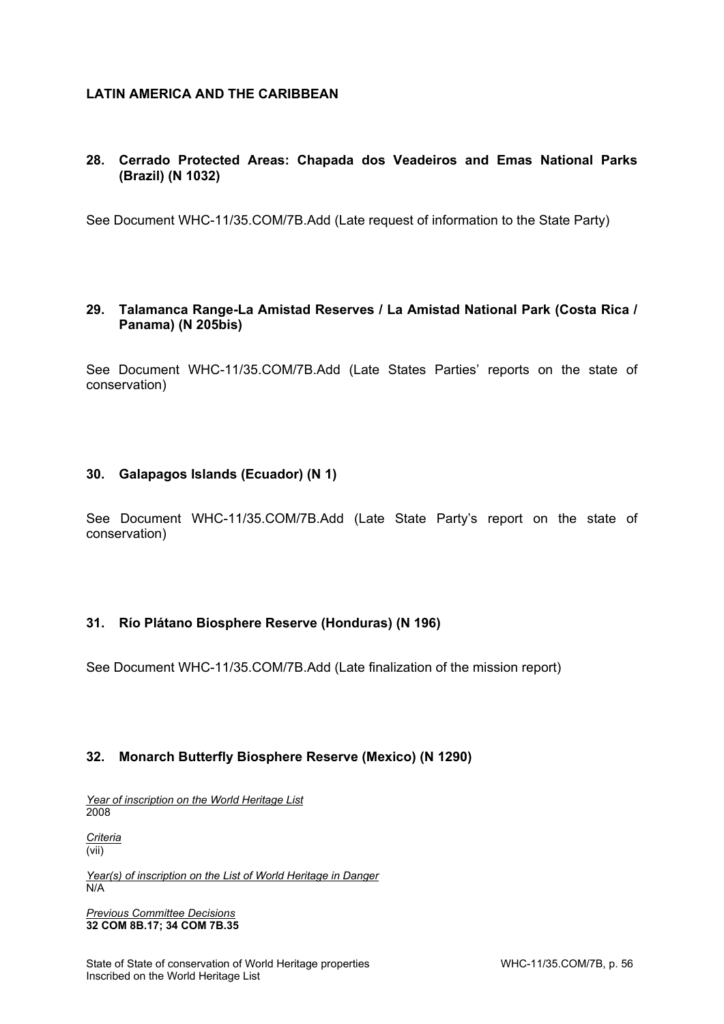# **LATIN AMERICA AND THE CARIBBEAN**

# **28. Cerrado Protected Areas: Chapada dos Veadeiros and Emas National Parks (Brazil) (N 1032)**

See Document WHC-11/35.COM/7B.Add (Late request of information to the State Party)

# **29. Talamanca Range-La Amistad Reserves / La Amistad National Park (Costa Rica / Panama) (N 205bis)**

See Document WHC-11/35.COM/7B.Add (Late States Parties' reports on the state of conservation)

## **30. Galapagos Islands (Ecuador) (N 1)**

See Document WHC-11/35.COM/7B.Add (Late State Party's report on the state of conservation)

# **31. Río Plátano Biosphere Reserve (Honduras) (N 196)**

See Document WHC-11/35.COM/7B.Add (Late finalization of the mission report)

# **32. Monarch Butterfly Biosphere Reserve (Mexico) (N 1290)**

*Year of inscription on the World Heritage List*  2008

*Criteria*  (vii)

*Year(s) of inscription on the List of World Heritage in Danger*  N/A

*Previous Committee Decisions*  **32 COM 8B.17; 34 COM 7B.35**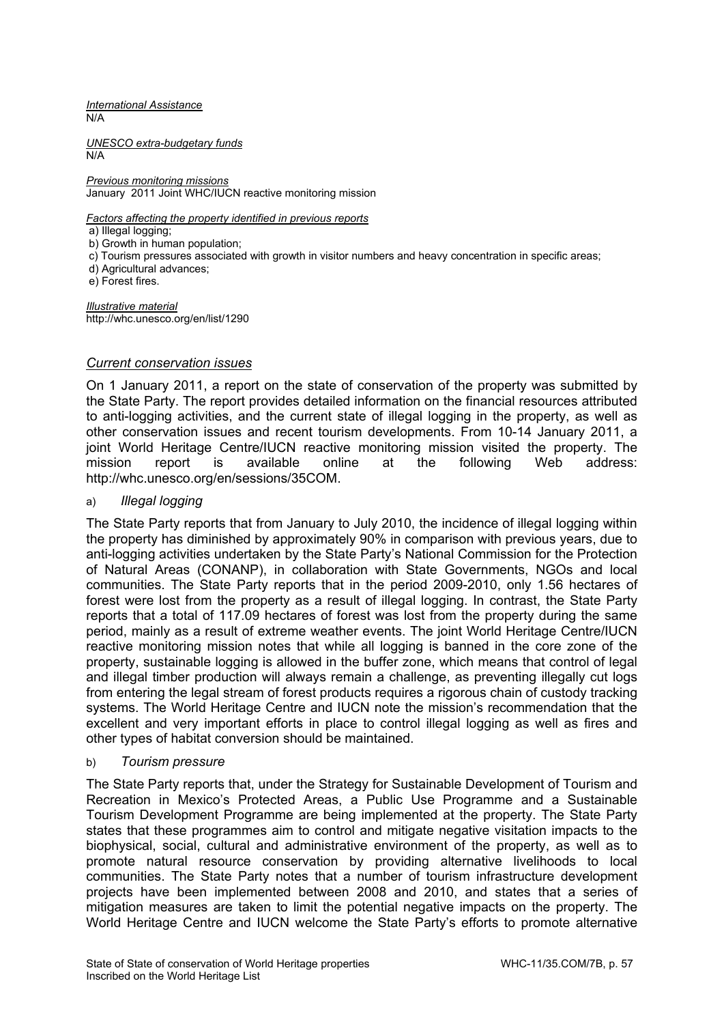*International Assistance*  N/A

*UNESCO extra-budgetary funds*  N/A

*Previous monitoring missions*  January 2011 Joint WHC/IUCN reactive monitoring mission

*Factors affecting the property identified in previous reports* 

a) Illegal logging;

b) Growth in human population;

c) Tourism pressures associated with growth in visitor numbers and heavy concentration in specific areas;

d) Agricultural advances;

e) Forest fires.

*Illustrative material*  http://whc.unesco.org/en/list/1290

## *Current conservation issues*

On 1 January 2011, a report on the state of conservation of the property was submitted by the State Party. The report provides detailed information on the financial resources attributed to anti-logging activities, and the current state of illegal logging in the property, as well as other conservation issues and recent tourism developments. From 10-14 January 2011, a joint World Heritage Centre/IUCN reactive monitoring mission visited the property. The mission report is available online at the following Web address: http://whc.unesco.org/en/sessions/35COM.

## a) *Illegal logging*

The State Party reports that from January to July 2010, the incidence of illegal logging within the property has diminished by approximately 90% in comparison with previous years, due to anti-logging activities undertaken by the State Party's National Commission for the Protection of Natural Areas (CONANP), in collaboration with State Governments, NGOs and local communities. The State Party reports that in the period 2009-2010, only 1.56 hectares of forest were lost from the property as a result of illegal logging. In contrast, the State Party reports that a total of 117.09 hectares of forest was lost from the property during the same period, mainly as a result of extreme weather events. The joint World Heritage Centre/IUCN reactive monitoring mission notes that while all logging is banned in the core zone of the property, sustainable logging is allowed in the buffer zone, which means that control of legal and illegal timber production will always remain a challenge, as preventing illegally cut logs from entering the legal stream of forest products requires a rigorous chain of custody tracking systems. The World Heritage Centre and IUCN note the mission's recommendation that the excellent and very important efforts in place to control illegal logging as well as fires and other types of habitat conversion should be maintained.

### b) *Tourism pressure*

The State Party reports that, under the Strategy for Sustainable Development of Tourism and Recreation in Mexico's Protected Areas, a Public Use Programme and a Sustainable Tourism Development Programme are being implemented at the property. The State Party states that these programmes aim to control and mitigate negative visitation impacts to the biophysical, social, cultural and administrative environment of the property, as well as to promote natural resource conservation by providing alternative livelihoods to local communities. The State Party notes that a number of tourism infrastructure development projects have been implemented between 2008 and 2010, and states that a series of mitigation measures are taken to limit the potential negative impacts on the property. The World Heritage Centre and IUCN welcome the State Party's efforts to promote alternative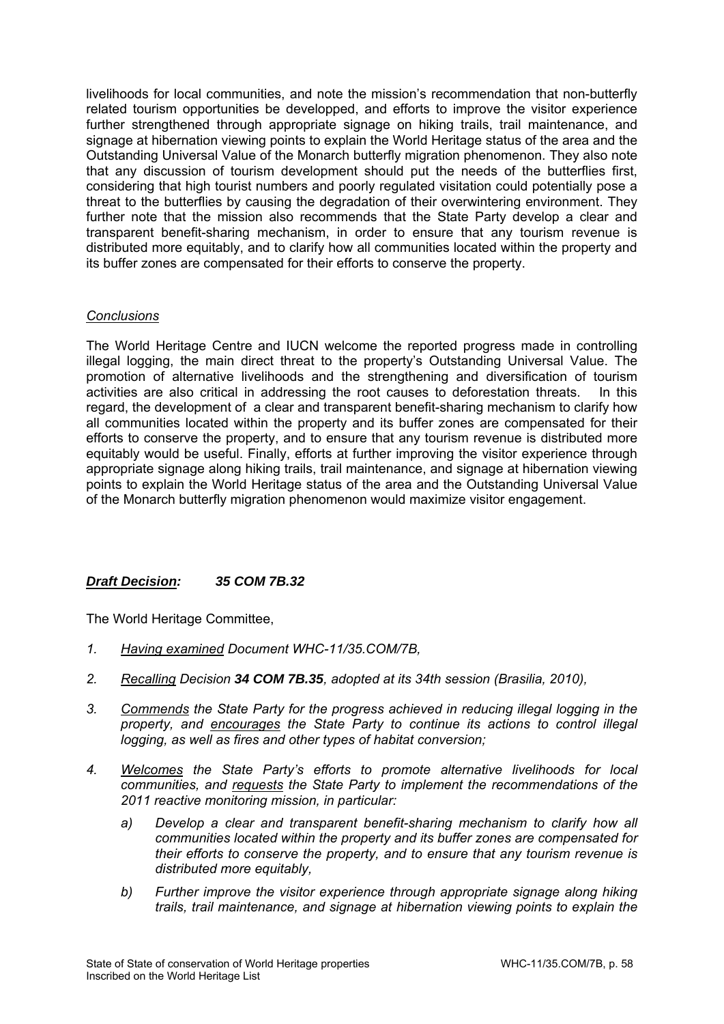livelihoods for local communities, and note the mission's recommendation that non-butterfly related tourism opportunities be developped, and efforts to improve the visitor experience further strengthened through appropriate signage on hiking trails, trail maintenance, and signage at hibernation viewing points to explain the World Heritage status of the area and the Outstanding Universal Value of the Monarch butterfly migration phenomenon. They also note that any discussion of tourism development should put the needs of the butterflies first, considering that high tourist numbers and poorly regulated visitation could potentially pose a threat to the butterflies by causing the degradation of their overwintering environment. They further note that the mission also recommends that the State Party develop a clear and transparent benefit-sharing mechanism, in order to ensure that any tourism revenue is distributed more equitably, and to clarify how all communities located within the property and its buffer zones are compensated for their efforts to conserve the property.

# *Conclusions*

The World Heritage Centre and IUCN welcome the reported progress made in controlling illegal logging, the main direct threat to the property's Outstanding Universal Value. The promotion of alternative livelihoods and the strengthening and diversification of tourism activities are also critical in addressing the root causes to deforestation threats. In this regard, the development of a clear and transparent benefit-sharing mechanism to clarify how all communities located within the property and its buffer zones are compensated for their efforts to conserve the property, and to ensure that any tourism revenue is distributed more equitably would be useful. Finally, efforts at further improving the visitor experience through appropriate signage along hiking trails, trail maintenance, and signage at hibernation viewing points to explain the World Heritage status of the area and the Outstanding Universal Value of the Monarch butterfly migration phenomenon would maximize visitor engagement.

# *Draft Decision: 35 COM 7B.32*

The World Heritage Committee,

- *1. Having examined Document WHC-11/35.COM/7B,*
- *2. Recalling Decision 34 COM 7B.35, adopted at its 34th session (Brasilia, 2010),*
- *3. Commends the State Party for the progress achieved in reducing illegal logging in the property, and encourages the State Party to continue its actions to control illegal logging, as well as fires and other types of habitat conversion;*
- *4. Welcomes the State Party's efforts to promote alternative livelihoods for local communities, and requests the State Party to implement the recommendations of the 2011 reactive monitoring mission, in particular:* 
	- *a) Develop a clear and transparent benefit-sharing mechanism to clarify how all communities located within the property and its buffer zones are compensated for their efforts to conserve the property, and to ensure that any tourism revenue is distributed more equitably,*
	- *b) Further improve the visitor experience through appropriate signage along hiking trails, trail maintenance, and signage at hibernation viewing points to explain the*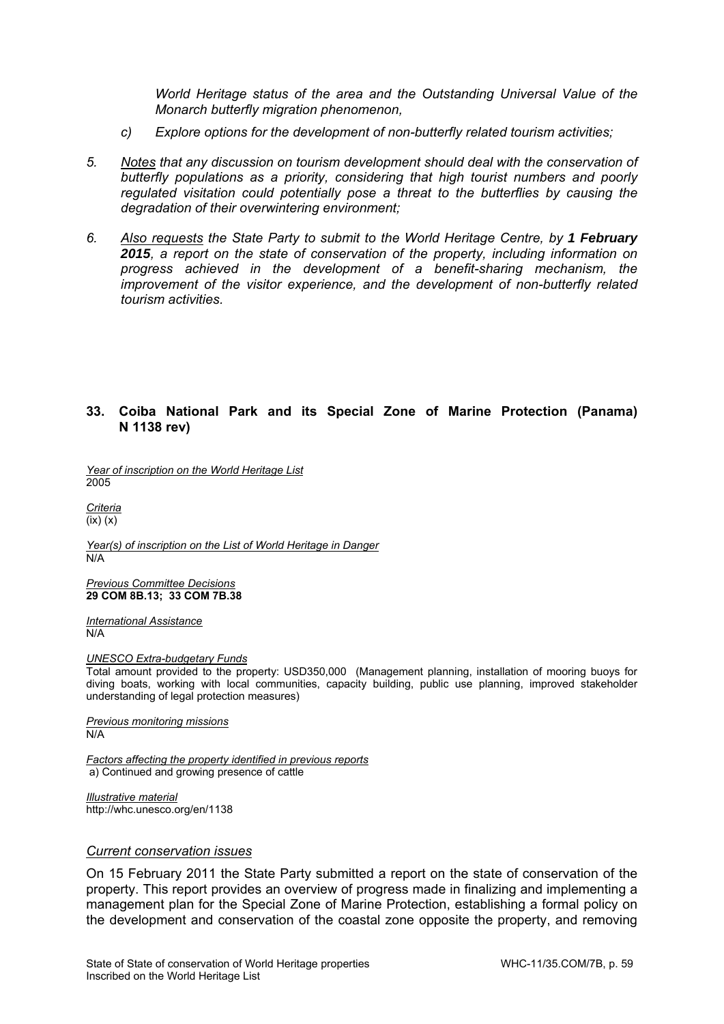*World Heritage status of the area and the Outstanding Universal Value of the Monarch butterfly migration phenomenon,* 

- *c) Explore options for the development of non-butterfly related tourism activities;*
- *5. Notes that any discussion on tourism development should deal with the conservation of butterfly populations as a priority, considering that high tourist numbers and poorly regulated visitation could potentially pose a threat to the butterflies by causing the degradation of their overwintering environment;*
- *6. Also requests the State Party to submit to the World Heritage Centre, by 1 February 2015, a report on the state of conservation of the property, including information on progress achieved in the development of a benefit-sharing mechanism, the improvement of the visitor experience, and the development of non-butterfly related tourism activities.*

# **33. Coiba National Park and its Special Zone of Marine Protection (Panama) N 1138 rev)**

*Year of inscription on the World Heritage List*  2005

*Criteria*  (ix) (x)

*Year(s) of inscription on the List of World Heritage in Danger*  N/A

*Previous Committee Decisions*  **29 COM 8B.13; 33 COM 7B.38**

*International Assistance*  N/A

*UNESCO Extra-budgetary Funds* 

Total amount provided to the property: USD350,000 (Management planning, installation of mooring buoys for diving boats, working with local communities, capacity building, public use planning, improved stakeholder understanding of legal protection measures)

*Previous monitoring missions*  N/A

*Factors affecting the property identified in previous reports*  a) Continued and growing presence of cattle

*Illustrative material*  http://whc.unesco.org/en/1138

### *Current conservation issues*

On 15 February 2011 the State Party submitted a report on the state of conservation of the property. This report provides an overview of progress made in finalizing and implementing a management plan for the Special Zone of Marine Protection, establishing a formal policy on the development and conservation of the coastal zone opposite the property, and removing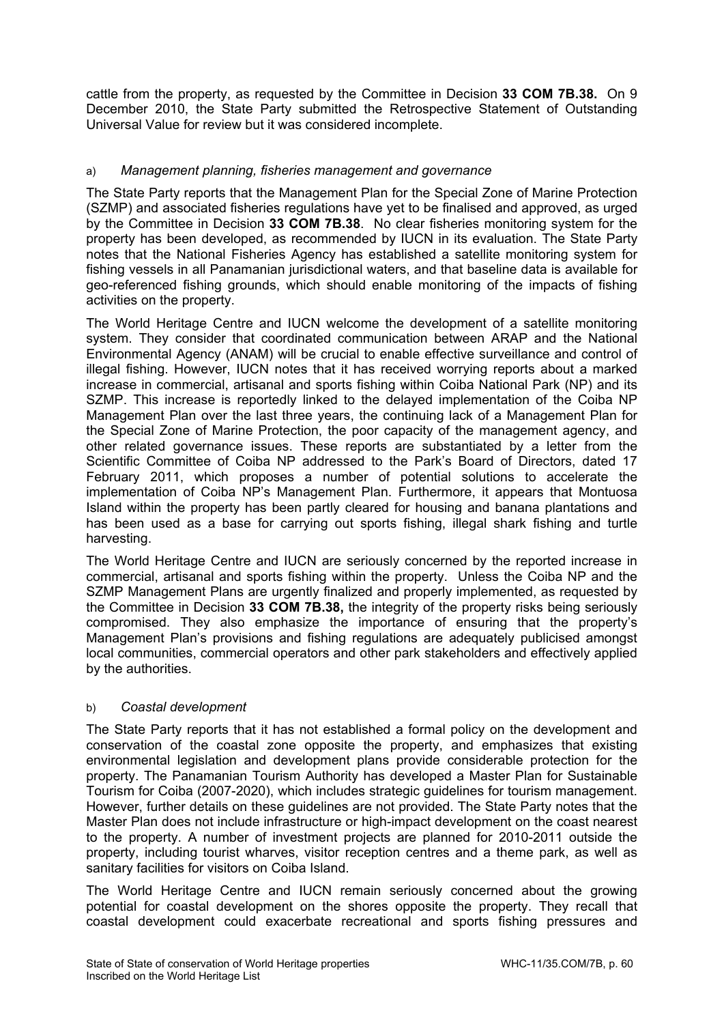cattle from the property, as requested by the Committee in Decision **33 COM 7B.38.** On 9 December 2010, the State Party submitted the Retrospective Statement of Outstanding Universal Value for review but it was considered incomplete.

# a) *Management planning, fisheries management and governance*

The State Party reports that the Management Plan for the Special Zone of Marine Protection (SZMP) and associated fisheries regulations have yet to be finalised and approved, as urged by the Committee in Decision **33 COM 7B.38**. No clear fisheries monitoring system for the property has been developed, as recommended by IUCN in its evaluation. The State Party notes that the National Fisheries Agency has established a satellite monitoring system for fishing vessels in all Panamanian jurisdictional waters, and that baseline data is available for geo-referenced fishing grounds, which should enable monitoring of the impacts of fishing activities on the property.

The World Heritage Centre and IUCN welcome the development of a satellite monitoring system. They consider that coordinated communication between ARAP and the National Environmental Agency (ANAM) will be crucial to enable effective surveillance and control of illegal fishing. However, IUCN notes that it has received worrying reports about a marked increase in commercial, artisanal and sports fishing within Coiba National Park (NP) and its SZMP. This increase is reportedly linked to the delayed implementation of the Coiba NP Management Plan over the last three years, the continuing lack of a Management Plan for the Special Zone of Marine Protection, the poor capacity of the management agency, and other related governance issues. These reports are substantiated by a letter from the Scientific Committee of Coiba NP addressed to the Park's Board of Directors, dated 17 February 2011, which proposes a number of potential solutions to accelerate the implementation of Coiba NP's Management Plan. Furthermore, it appears that Montuosa Island within the property has been partly cleared for housing and banana plantations and has been used as a base for carrying out sports fishing, illegal shark fishing and turtle harvesting.

The World Heritage Centre and IUCN are seriously concerned by the reported increase in commercial, artisanal and sports fishing within the property. Unless the Coiba NP and the SZMP Management Plans are urgently finalized and properly implemented, as requested by the Committee in Decision **33 COM 7B.38,** the integrity of the property risks being seriously compromised. They also emphasize the importance of ensuring that the property's Management Plan's provisions and fishing regulations are adequately publicised amongst local communities, commercial operators and other park stakeholders and effectively applied by the authorities.

# b) *Coastal development*

The State Party reports that it has not established a formal policy on the development and conservation of the coastal zone opposite the property, and emphasizes that existing environmental legislation and development plans provide considerable protection for the property. The Panamanian Tourism Authority has developed a Master Plan for Sustainable Tourism for Coiba (2007-2020), which includes strategic guidelines for tourism management. However, further details on these guidelines are not provided. The State Party notes that the Master Plan does not include infrastructure or high-impact development on the coast nearest to the property. A number of investment projects are planned for 2010-2011 outside the property, including tourist wharves, visitor reception centres and a theme park, as well as sanitary facilities for visitors on Coiba Island.

The World Heritage Centre and IUCN remain seriously concerned about the growing potential for coastal development on the shores opposite the property. They recall that coastal development could exacerbate recreational and sports fishing pressures and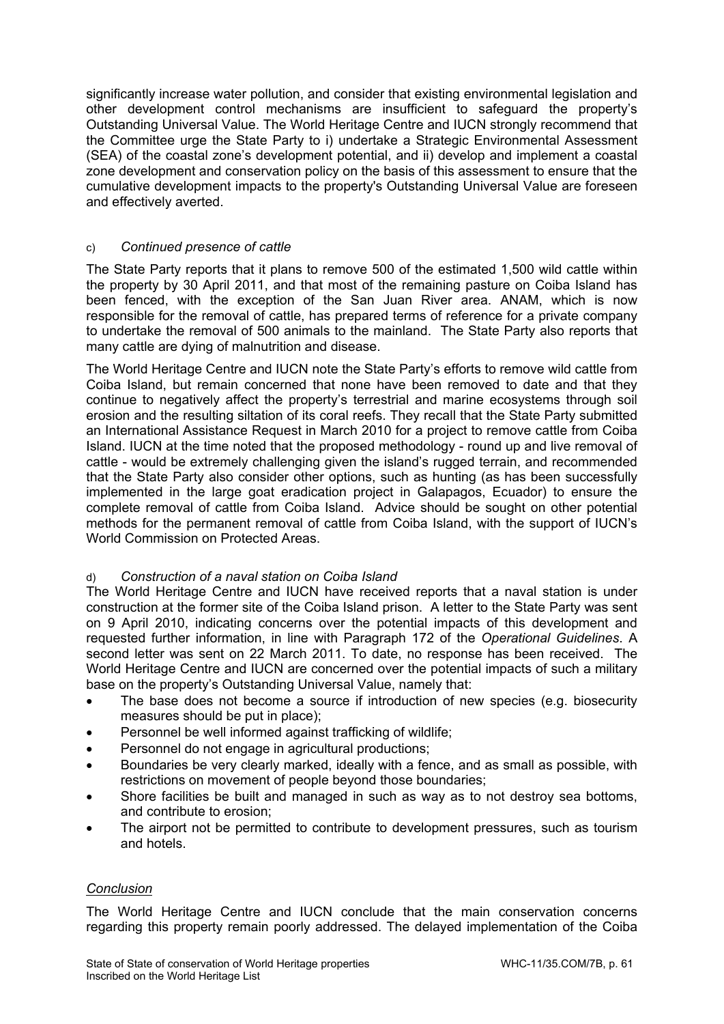significantly increase water pollution, and consider that existing environmental legislation and other development control mechanisms are insufficient to safeguard the property's Outstanding Universal Value. The World Heritage Centre and IUCN strongly recommend that the Committee urge the State Party to i) undertake a Strategic Environmental Assessment (SEA) of the coastal zone's development potential, and ii) develop and implement a coastal zone development and conservation policy on the basis of this assessment to ensure that the cumulative development impacts to the property's Outstanding Universal Value are foreseen and effectively averted.

# c) *Continued presence of cattle*

The State Party reports that it plans to remove 500 of the estimated 1,500 wild cattle within the property by 30 April 2011, and that most of the remaining pasture on Coiba Island has been fenced, with the exception of the San Juan River area. ANAM, which is now responsible for the removal of cattle, has prepared terms of reference for a private company to undertake the removal of 500 animals to the mainland. The State Party also reports that many cattle are dying of malnutrition and disease.

The World Heritage Centre and IUCN note the State Party's efforts to remove wild cattle from Coiba Island, but remain concerned that none have been removed to date and that they continue to negatively affect the property's terrestrial and marine ecosystems through soil erosion and the resulting siltation of its coral reefs. They recall that the State Party submitted an International Assistance Request in March 2010 for a project to remove cattle from Coiba Island. IUCN at the time noted that the proposed methodology - round up and live removal of cattle - would be extremely challenging given the island's rugged terrain, and recommended that the State Party also consider other options, such as hunting (as has been successfully implemented in the large goat eradication project in Galapagos, Ecuador) to ensure the complete removal of cattle from Coiba Island. Advice should be sought on other potential methods for the permanent removal of cattle from Coiba Island, with the support of IUCN's World Commission on Protected Areas.

# d) *Construction of a naval station on Coiba Island*

The World Heritage Centre and IUCN have received reports that a naval station is under construction at the former site of the Coiba Island prison. A letter to the State Party was sent on 9 April 2010, indicating concerns over the potential impacts of this development and requested further information, in line with Paragraph 172 of the *Operational Guidelines*. A second letter was sent on 22 March 2011. To date, no response has been received. The World Heritage Centre and IUCN are concerned over the potential impacts of such a military base on the property's Outstanding Universal Value, namely that:

- The base does not become a source if introduction of new species (e.g. biosecurity measures should be put in place);
- Personnel be well informed against trafficking of wildlife;
- Personnel do not engage in agricultural productions;
- Boundaries be very clearly marked, ideally with a fence, and as small as possible, with restrictions on movement of people beyond those boundaries;
- Shore facilities be built and managed in such as way as to not destroy sea bottoms, and contribute to erosion;
- The airport not be permitted to contribute to development pressures, such as tourism and hotels.

# *Conclusion*

The World Heritage Centre and IUCN conclude that the main conservation concerns regarding this property remain poorly addressed. The delayed implementation of the Coiba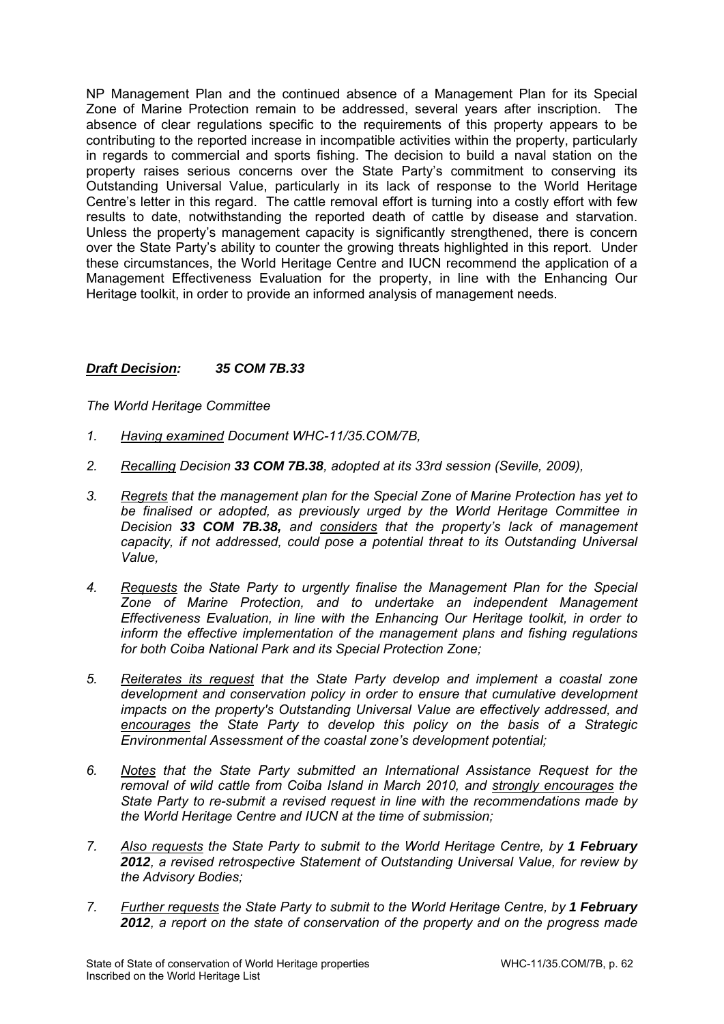NP Management Plan and the continued absence of a Management Plan for its Special Zone of Marine Protection remain to be addressed, several years after inscription. The absence of clear regulations specific to the requirements of this property appears to be contributing to the reported increase in incompatible activities within the property, particularly in regards to commercial and sports fishing. The decision to build a naval station on the property raises serious concerns over the State Party's commitment to conserving its Outstanding Universal Value, particularly in its lack of response to the World Heritage Centre's letter in this regard. The cattle removal effort is turning into a costly effort with few results to date, notwithstanding the reported death of cattle by disease and starvation. Unless the property's management capacity is significantly strengthened, there is concern over the State Party's ability to counter the growing threats highlighted in this report. Under these circumstances, the World Heritage Centre and IUCN recommend the application of a Management Effectiveness Evaluation for the property, in line with the Enhancing Our Heritage toolkit, in order to provide an informed analysis of management needs.

# *Draft Decision: 35 COM 7B.33*

*The World Heritage Committee* 

- *1. Having examined Document WHC-11/35.COM/7B,*
- *2. Recalling Decision 33 COM 7B.38, adopted at its 33rd session (Seville, 2009),*
- *3. Regrets that the management plan for the Special Zone of Marine Protection has yet to be finalised or adopted, as previously urged by the World Heritage Committee in Decision 33 COM 7B.38, and considers that the property's lack of management capacity, if not addressed, could pose a potential threat to its Outstanding Universal Value,*
- *4. Requests the State Party to urgently finalise the Management Plan for the Special Zone of Marine Protection, and to undertake an independent Management Effectiveness Evaluation, in line with the Enhancing Our Heritage toolkit, in order to inform the effective implementation of the management plans and fishing regulations for both Coiba National Park and its Special Protection Zone;*
- *5. Reiterates its request that the State Party develop and implement a coastal zone development and conservation policy in order to ensure that cumulative development impacts on the property's Outstanding Universal Value are effectively addressed, and encourages the State Party to develop this policy on the basis of a Strategic Environmental Assessment of the coastal zone's development potential;*
- *6. Notes that the State Party submitted an International Assistance Request for the removal of wild cattle from Coiba Island in March 2010, and strongly encourages the State Party to re-submit a revised request in line with the recommendations made by the World Heritage Centre and IUCN at the time of submission;*
- 7. Also requests the State Party to submit to the World Heritage Centre, by 1 February *2012, a revised retrospective Statement of Outstanding Universal Value, for review by the Advisory Bodies;*
- *7. Further requests the State Party to submit to the World Heritage Centre, by 1 February 2012, a report on the state of conservation of the property and on the progress made*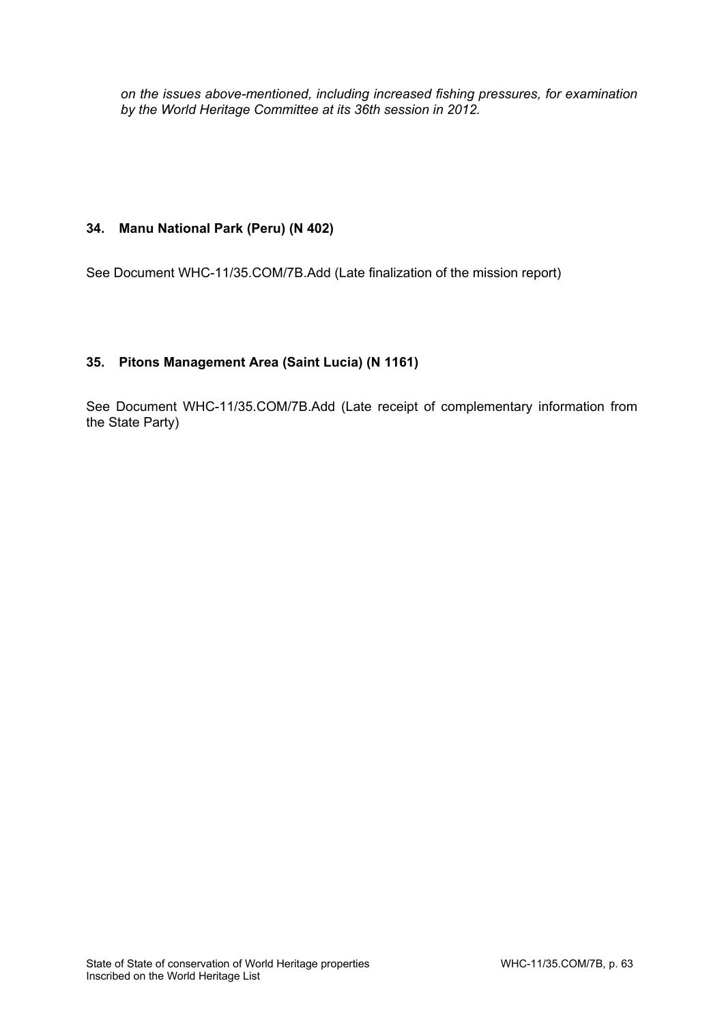*on the issues above-mentioned, including increased fishing pressures, for examination by the World Heritage Committee at its 36th session in 2012.* 

# **34. Manu National Park (Peru) (N 402)**

See Document WHC-11/35.COM/7B.Add (Late finalization of the mission report)

# **35. Pitons Management Area (Saint Lucia) (N 1161)**

See Document WHC-11/35.COM/7B.Add (Late receipt of complementary information from the State Party)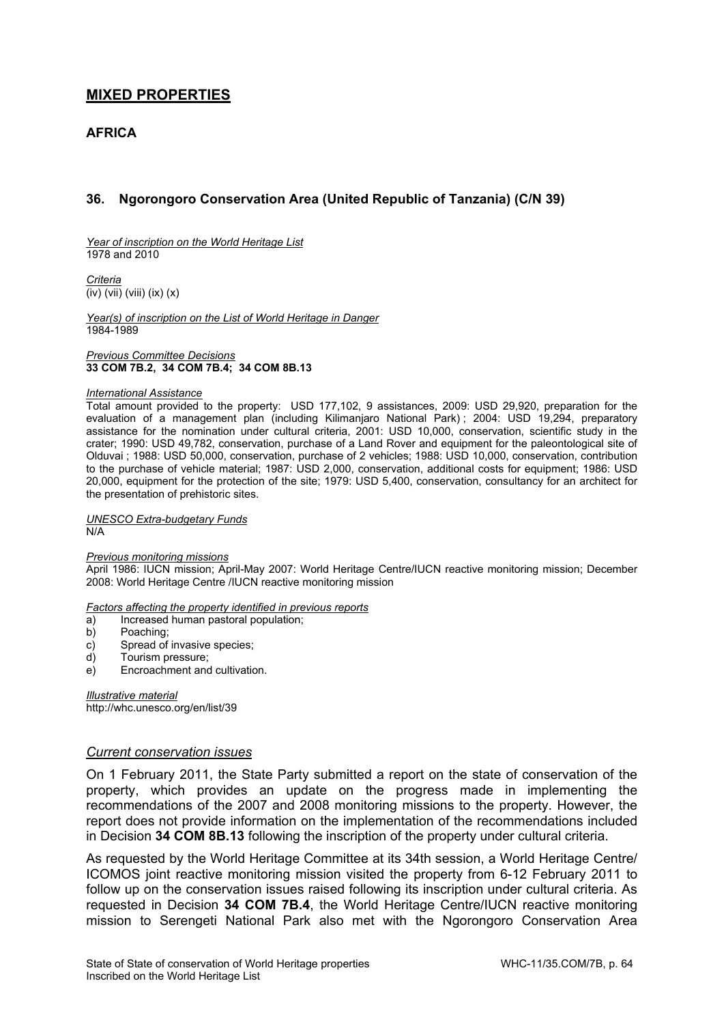# **MIXED PROPERTIES**

# **AFRICA**

# **36. Ngorongoro Conservation Area (United Republic of Tanzania) (C/N 39)**

*Year of inscription on the World Heritage List*  1978 and 2010

*Criteria*   $\overline{(iv)}$  (viii) (ix) (x)

*Year(s) of inscription on the List of World Heritage in Danger*  1984-1989

*Previous Committee Decisions*  **33 COM 7B.2, 34 COM 7B.4; 34 COM 8B.13** 

### *International Assistance*

Total amount provided to the property: USD 177,102, 9 assistances, 2009: USD 29,920, preparation for the evaluation of a management plan (including Kilimanjaro National Park); 2004: USD 19,294, preparatory assistance for the nomination under cultural criteria, 2001: USD 10,000, conservation, scientific study in the crater; 1990: USD 49,782, conservation, purchase of a Land Rover and equipment for the paleontological site of Olduvai ; 1988: USD 50,000, conservation, purchase of 2 vehicles; 1988: USD 10,000, conservation, contribution to the purchase of vehicle material; 1987: USD 2,000, conservation, additional costs for equipment; 1986: USD 20,000, equipment for the protection of the site; 1979: USD 5,400, conservation, consultancy for an architect for the presentation of prehistoric sites.

*UNESCO Extra-budgetary Funds*  N/A

### *Previous monitoring missions*

April 1986: IUCN mission; April-May 2007: World Heritage Centre/IUCN reactive monitoring mission; December 2008: World Heritage Centre /IUCN reactive monitoring mission

*Factors affecting the property identified in previous reports* 

- a) Increased human pastoral population;<br>b) Poaching;
- Poaching;
- c) Spread of invasive species;
- d) Tourism pressure;
- e) Encroachment and cultivation.

*Illustrative material*  http://whc.unesco.org/en/list/39

### *Current conservation issues*

On 1 February 2011, the State Party submitted a report on the state of conservation of the property, which provides an update on the progress made in implementing the recommendations of the 2007 and 2008 monitoring missions to the property. However, the report does not provide information on the implementation of the recommendations included in Decision **34 COM 8B.13** following the inscription of the property under cultural criteria.

As requested by the World Heritage Committee at its 34th session, a World Heritage Centre/ ICOMOS joint reactive monitoring mission visited the property from 6-12 February 2011 to follow up on the conservation issues raised following its inscription under cultural criteria. As requested in Decision **34 COM 7B.4**, the World Heritage Centre/IUCN reactive monitoring mission to Serengeti National Park also met with the Ngorongoro Conservation Area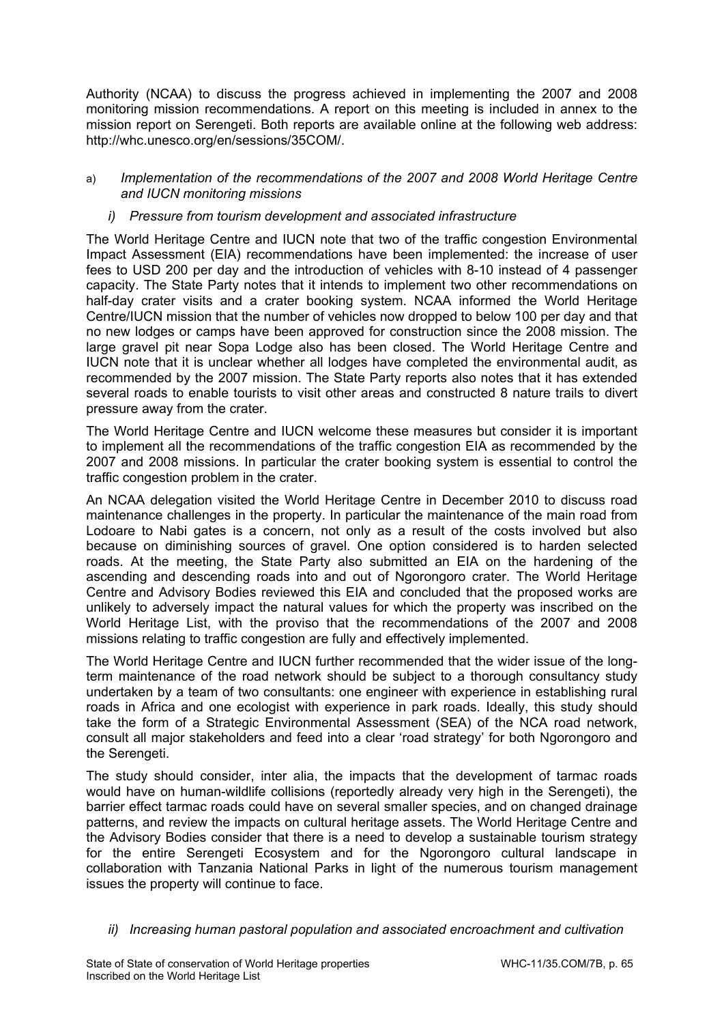Authority (NCAA) to discuss the progress achieved in implementing the 2007 and 2008 monitoring mission recommendations. A report on this meeting is included in annex to the mission report on Serengeti. Both reports are available online at the following web address: http://whc.unesco.org/en/sessions/35COM/.

# a) *Implementation of the recommendations of the 2007 and 2008 World Heritage Centre and IUCN monitoring missions*

# *i) Pressure from tourism development and associated infrastructure*

The World Heritage Centre and IUCN note that two of the traffic congestion Environmental Impact Assessment (EIA) recommendations have been implemented: the increase of user fees to USD 200 per day and the introduction of vehicles with 8-10 instead of 4 passenger capacity. The State Party notes that it intends to implement two other recommendations on half-day crater visits and a crater booking system. NCAA informed the World Heritage Centre/IUCN mission that the number of vehicles now dropped to below 100 per day and that no new lodges or camps have been approved for construction since the 2008 mission. The large gravel pit near Sopa Lodge also has been closed. The World Heritage Centre and IUCN note that it is unclear whether all lodges have completed the environmental audit, as recommended by the 2007 mission. The State Party reports also notes that it has extended several roads to enable tourists to visit other areas and constructed 8 nature trails to divert pressure away from the crater.

The World Heritage Centre and IUCN welcome these measures but consider it is important to implement all the recommendations of the traffic congestion EIA as recommended by the 2007 and 2008 missions. In particular the crater booking system is essential to control the traffic congestion problem in the crater.

An NCAA delegation visited the World Heritage Centre in December 2010 to discuss road maintenance challenges in the property. In particular the maintenance of the main road from Lodoare to Nabi gates is a concern, not only as a result of the costs involved but also because on diminishing sources of gravel. One option considered is to harden selected roads. At the meeting, the State Party also submitted an EIA on the hardening of the ascending and descending roads into and out of Ngorongoro crater. The World Heritage Centre and Advisory Bodies reviewed this EIA and concluded that the proposed works are unlikely to adversely impact the natural values for which the property was inscribed on the World Heritage List, with the proviso that the recommendations of the 2007 and 2008 missions relating to traffic congestion are fully and effectively implemented.

The World Heritage Centre and IUCN further recommended that the wider issue of the longterm maintenance of the road network should be subject to a thorough consultancy study undertaken by a team of two consultants: one engineer with experience in establishing rural roads in Africa and one ecologist with experience in park roads. Ideally, this study should take the form of a Strategic Environmental Assessment (SEA) of the NCA road network, consult all major stakeholders and feed into a clear 'road strategy' for both Ngorongoro and the Serengeti.

The study should consider, inter alia, the impacts that the development of tarmac roads would have on human-wildlife collisions (reportedly already very high in the Serengeti), the barrier effect tarmac roads could have on several smaller species, and on changed drainage patterns, and review the impacts on cultural heritage assets. The World Heritage Centre and the Advisory Bodies consider that there is a need to develop a sustainable tourism strategy for the entire Serengeti Ecosystem and for the Ngorongoro cultural landscape in collaboration with Tanzania National Parks in light of the numerous tourism management issues the property will continue to face.

*ii) Increasing human pastoral population and associated encroachment and cultivation*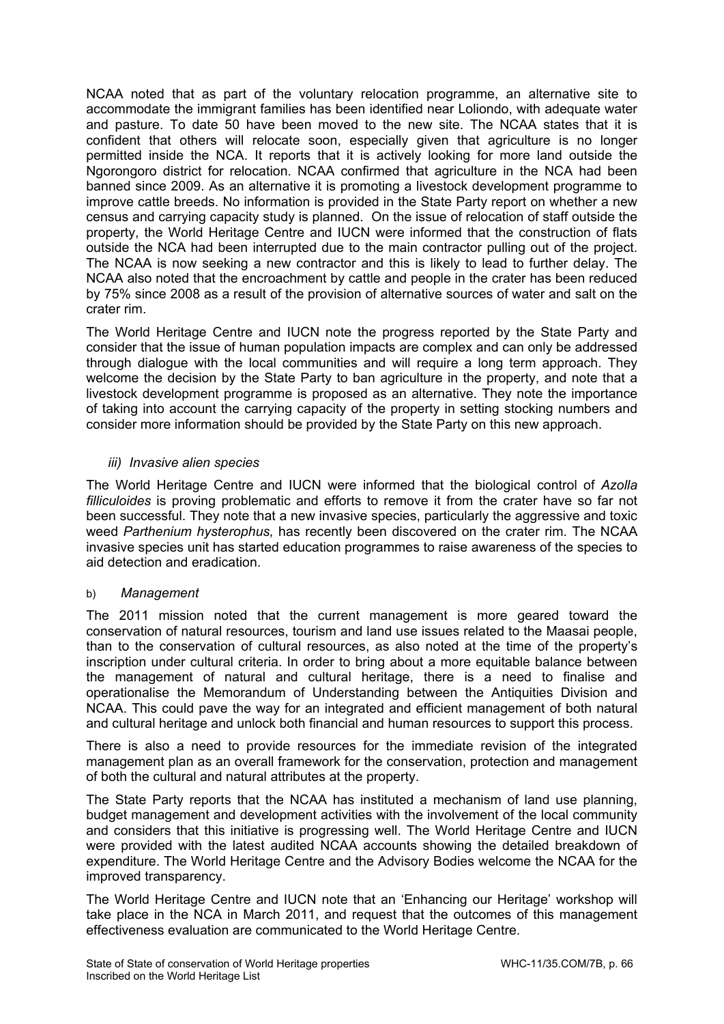NCAA noted that as part of the voluntary relocation programme, an alternative site to accommodate the immigrant families has been identified near Loliondo, with adequate water and pasture. To date 50 have been moved to the new site. The NCAA states that it is confident that others will relocate soon, especially given that agriculture is no longer permitted inside the NCA. It reports that it is actively looking for more land outside the Ngorongoro district for relocation. NCAA confirmed that agriculture in the NCA had been banned since 2009. As an alternative it is promoting a livestock development programme to improve cattle breeds. No information is provided in the State Party report on whether a new census and carrying capacity study is planned.On the issue of relocation of staff outside the property, the World Heritage Centre and IUCN were informed that the construction of flats outside the NCA had been interrupted due to the main contractor pulling out of the project. The NCAA is now seeking a new contractor and this is likely to lead to further delay. The NCAA also noted that the encroachment by cattle and people in the crater has been reduced by 75% since 2008 as a result of the provision of alternative sources of water and salt on the crater rim.

The World Heritage Centre and IUCN note the progress reported by the State Party and consider that the issue of human population impacts are complex and can only be addressed through dialogue with the local communities and will require a long term approach. They welcome the decision by the State Party to ban agriculture in the property, and note that a livestock development programme is proposed as an alternative. They note the importance of taking into account the carrying capacity of the property in setting stocking numbers and consider more information should be provided by the State Party on this new approach.

# *iii) Invasive alien species*

The World Heritage Centre and IUCN were informed that the biological control of *Azolla filliculoides* is proving problematic and efforts to remove it from the crater have so far not been successful. They note that a new invasive species, particularly the aggressive and toxic weed *Parthenium hysterophus,* has recently been discovered on the crater rim. The NCAA invasive species unit has started education programmes to raise awareness of the species to aid detection and eradication.

# b) *Management*

The 2011 mission noted that the current management is more geared toward the conservation of natural resources, tourism and land use issues related to the Maasai people, than to the conservation of cultural resources, as also noted at the time of the property's inscription under cultural criteria. In order to bring about a more equitable balance between the management of natural and cultural heritage, there is a need to finalise and operationalise the Memorandum of Understanding between the Antiquities Division and NCAA. This could pave the way for an integrated and efficient management of both natural and cultural heritage and unlock both financial and human resources to support this process.

There is also a need to provide resources for the immediate revision of the integrated management plan as an overall framework for the conservation, protection and management of both the cultural and natural attributes at the property.

The State Party reports that the NCAA has instituted a mechanism of land use planning, budget management and development activities with the involvement of the local community and considers that this initiative is progressing well. The World Heritage Centre and IUCN were provided with the latest audited NCAA accounts showing the detailed breakdown of expenditure. The World Heritage Centre and the Advisory Bodies welcome the NCAA for the improved transparency.

The World Heritage Centre and IUCN note that an 'Enhancing our Heritage' workshop will take place in the NCA in March 2011, and request that the outcomes of this management effectiveness evaluation are communicated to the World Heritage Centre.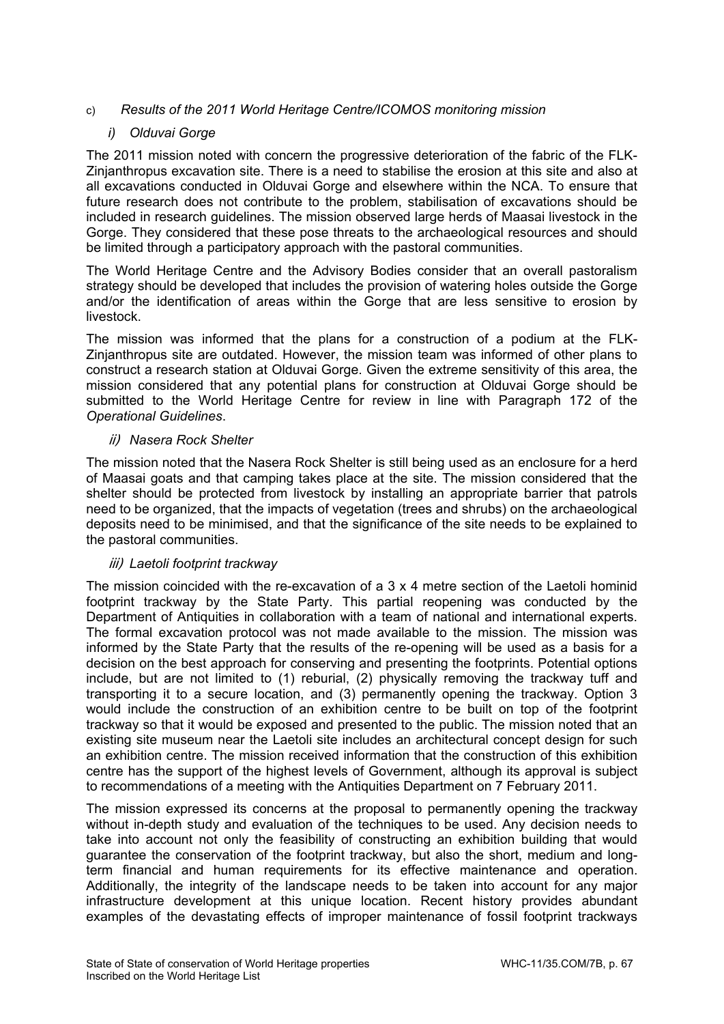# c) *Results of the 2011 World Heritage Centre/ICOMOS monitoring mission*

# *i) Olduvai Gorge*

The 2011 mission noted with concern the progressive deterioration of the fabric of the FLK-Zinjanthropus excavation site. There is a need to stabilise the erosion at this site and also at all excavations conducted in Olduvai Gorge and elsewhere within the NCA. To ensure that future research does not contribute to the problem, stabilisation of excavations should be included in research guidelines. The mission observed large herds of Maasai livestock in the Gorge. They considered that these pose threats to the archaeological resources and should be limited through a participatory approach with the pastoral communities.

The World Heritage Centre and the Advisory Bodies consider that an overall pastoralism strategy should be developed that includes the provision of watering holes outside the Gorge and/or the identification of areas within the Gorge that are less sensitive to erosion by livestock.

The mission was informed that the plans for a construction of a podium at the FLK-Zinjanthropus site are outdated. However, the mission team was informed of other plans to construct a research station at Olduvai Gorge. Given the extreme sensitivity of this area, the mission considered that any potential plans for construction at Olduvai Gorge should be submitted to the World Heritage Centre for review in line with Paragraph 172 of the *Operational Guidelines*.

# ii) *Nasera Rock Shelter*

The mission noted that the Nasera Rock Shelter is still being used as an enclosure for a herd of Maasai goats and that camping takes place at the site. The mission considered that the shelter should be protected from livestock by installing an appropriate barrier that patrols need to be organized, that the impacts of vegetation (trees and shrubs) on the archaeological deposits need to be minimised, and that the significance of the site needs to be explained to the pastoral communities.

# iii) *Laetoli footprint trackway*

The mission coincided with the re-excavation of a 3 x 4 metre section of the Laetoli hominid footprint trackway by the State Party. This partial reopening was conducted by the Department of Antiquities in collaboration with a team of national and international experts. The formal excavation protocol was not made available to the mission. The mission was informed by the State Party that the results of the re-opening will be used as a basis for a decision on the best approach for conserving and presenting the footprints. Potential options include, but are not limited to (1) reburial, (2) physically removing the trackway tuff and transporting it to a secure location, and (3) permanently opening the trackway. Option 3 would include the construction of an exhibition centre to be built on top of the footprint trackway so that it would be exposed and presented to the public. The mission noted that an existing site museum near the Laetoli site includes an architectural concept design for such an exhibition centre. The mission received information that the construction of this exhibition centre has the support of the highest levels of Government, although its approval is subject to recommendations of a meeting with the Antiquities Department on 7 February 2011.

The mission expressed its concerns at the proposal to permanently opening the trackway without in-depth study and evaluation of the techniques to be used. Any decision needs to take into account not only the feasibility of constructing an exhibition building that would guarantee the conservation of the footprint trackway, but also the short, medium and longterm financial and human requirements for its effective maintenance and operation. Additionally, the integrity of the landscape needs to be taken into account for any major infrastructure development at this unique location. Recent history provides abundant examples of the devastating effects of improper maintenance of fossil footprint trackways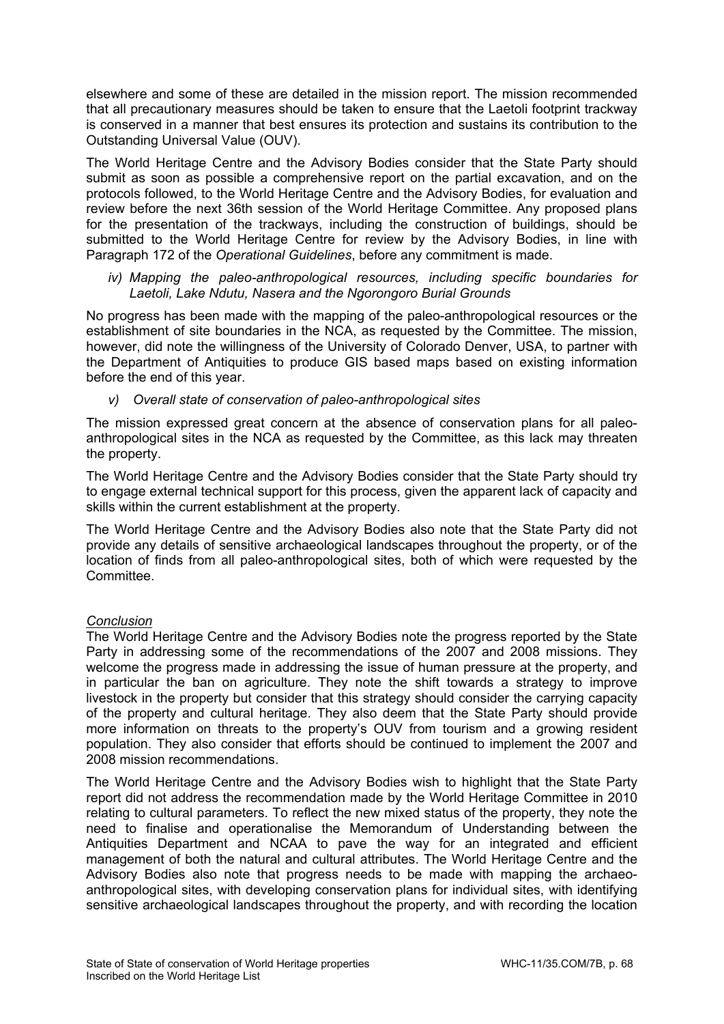elsewhere and some of these are detailed in the mission report. The mission recommended that all precautionary measures should be taken to ensure that the Laetoli footprint trackway is conserved in a manner that best ensures its protection and sustains its contribution to the Outstanding Universal Value (OUV).

The World Heritage Centre and the Advisory Bodies consider that the State Party should submit as soon as possible a comprehensive report on the partial excavation, and on the protocols followed, to the World Heritage Centre and the Advisory Bodies, for evaluation and review before the next 36th session of the World Heritage Committee. Any proposed plans for the presentation of the trackways, including the construction of buildings, should be submitted to the World Heritage Centre for review by the Advisory Bodies, in line with Paragraph 172 of the *Operational Guidelines*, before any commitment is made.

*iv) Mapping the paleo-anthropological resources, including specific boundaries for Laetoli, Lake Ndutu, Nasera and the Ngorongoro Burial Grounds* 

No progress has been made with the mapping of the paleo-anthropological resources or the establishment of site boundaries in the NCA, as requested by the Committee. The mission, however, did note the willingness of the University of Colorado Denver, USA, to partner with the Department of Antiquities to produce GIS based maps based on existing information before the end of this year.

*v) Overall state of conservation of paleo-anthropological sites* 

The mission expressed great concern at the absence of conservation plans for all paleoanthropological sites in the NCA as requested by the Committee, as this lack may threaten the property.

The World Heritage Centre and the Advisory Bodies consider that the State Party should try to engage external technical support for this process, given the apparent lack of capacity and skills within the current establishment at the property.

The World Heritage Centre and the Advisory Bodies also note that the State Party did not provide any details of sensitive archaeological landscapes throughout the property, or of the location of finds from all paleo-anthropological sites, both of which were requested by the Committee.

# *Conclusion*

The World Heritage Centre and the Advisory Bodies note the progress reported by the State Party in addressing some of the recommendations of the 2007 and 2008 missions. They welcome the progress made in addressing the issue of human pressure at the property, and in particular the ban on agriculture. They note the shift towards a strategy to improve livestock in the property but consider that this strategy should consider the carrying capacity of the property and cultural heritage. They also deem that the State Party should provide more information on threats to the property's OUV from tourism and a growing resident population. They also consider that efforts should be continued to implement the 2007 and 2008 mission recommendations.

The World Heritage Centre and the Advisory Bodies wish to highlight that the State Party report did not address the recommendation made by the World Heritage Committee in 2010 relating to cultural parameters. To reflect the new mixed status of the property, they note the need to finalise and operationalise the Memorandum of Understanding between the Antiquities Department and NCAA to pave the way for an integrated and efficient management of both the natural and cultural attributes. The World Heritage Centre and the Advisory Bodies also note that progress needs to be made with mapping the archaeoanthropological sites, with developing conservation plans for individual sites, with identifying sensitive archaeological landscapes throughout the property, and with recording the location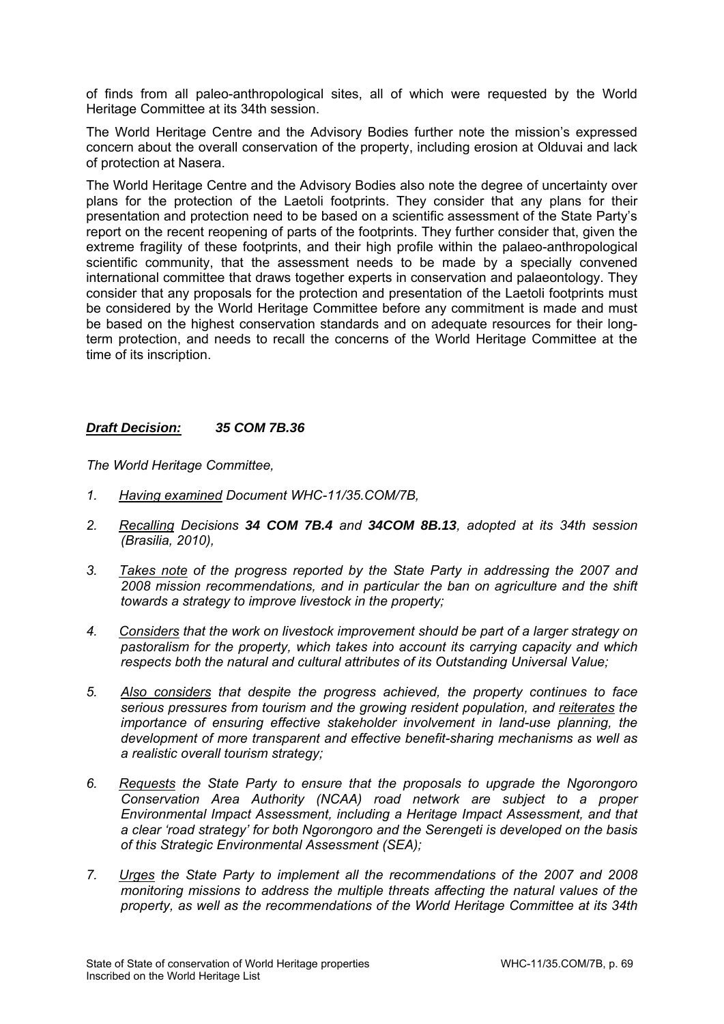of finds from all paleo-anthropological sites, all of which were requested by the World Heritage Committee at its 34th session.

The World Heritage Centre and the Advisory Bodies further note the mission's expressed concern about the overall conservation of the property, including erosion at Olduvai and lack of protection at Nasera.

The World Heritage Centre and the Advisory Bodies also note the degree of uncertainty over plans for the protection of the Laetoli footprints. They consider that any plans for their presentation and protection need to be based on a scientific assessment of the State Party's report on the recent reopening of parts of the footprints. They further consider that, given the extreme fragility of these footprints, and their high profile within the palaeo-anthropological scientific community, that the assessment needs to be made by a specially convened international committee that draws together experts in conservation and palaeontology. They consider that any proposals for the protection and presentation of the Laetoli footprints must be considered by the World Heritage Committee before any commitment is made and must be based on the highest conservation standards and on adequate resources for their longterm protection, and needs to recall the concerns of the World Heritage Committee at the time of its inscription.

# *Draft Decision: 35 COM 7B.36*

*The World Heritage Committee,* 

- *1. Having examined Document WHC-11/35.COM/7B,*
- *2. Recalling Decisions 34 COM 7B.4 and 34COM 8B.13, adopted at its 34th session (Brasilia, 2010),*
- *3. Takes note of the progress reported by the State Party in addressing the 2007 and 2008 mission recommendations, and in particular the ban on agriculture and the shift towards a strategy to improve livestock in the property;*
- *4. Considers that the work on livestock improvement should be part of a larger strategy on pastoralism for the property, which takes into account its carrying capacity and which respects both the natural and cultural attributes of its Outstanding Universal Value;*
- *5. Also considers that despite the progress achieved, the property continues to face serious pressures from tourism and the growing resident population, and reiterates the importance of ensuring effective stakeholder involvement in land-use planning, the development of more transparent and effective benefit-sharing mechanisms as well as a realistic overall tourism strategy;*
- *6. Requests the State Party to ensure that the proposals to upgrade the Ngorongoro Conservation Area Authority (NCAA) road network are subject to a proper Environmental Impact Assessment, including a Heritage Impact Assessment, and that a clear 'road strategy' for both Ngorongoro and the Serengeti is developed on the basis of this Strategic Environmental Assessment (SEA);*
- *7. Urges the State Party to implement all the recommendations of the 2007 and 2008 monitoring missions to address the multiple threats affecting the natural values of the property, as well as the recommendations of the World Heritage Committee at its 34th*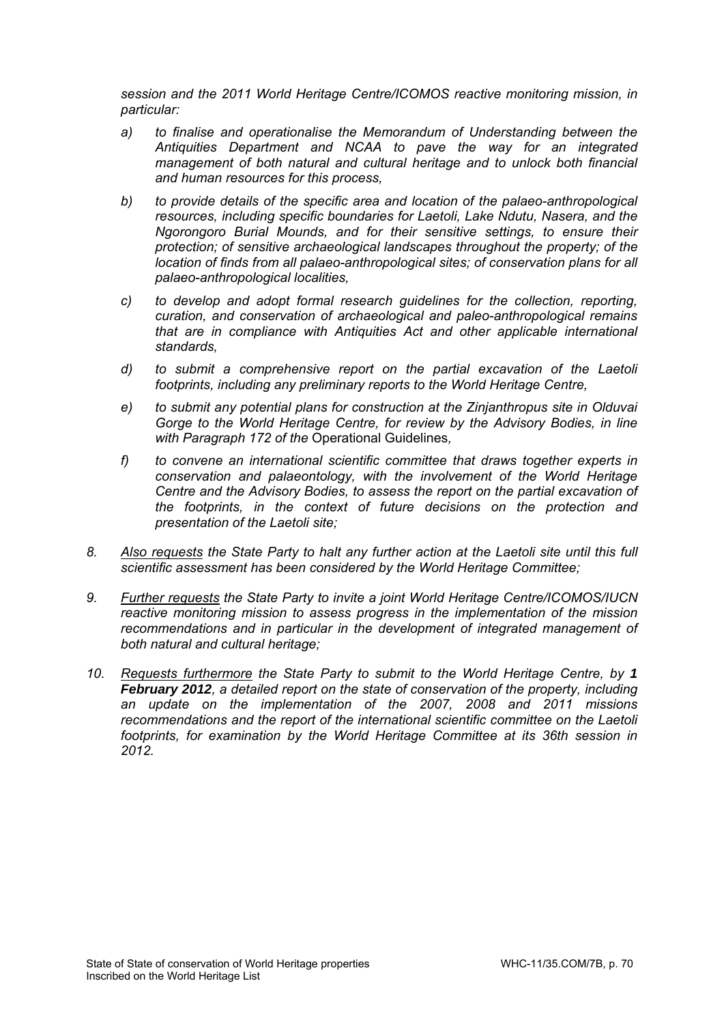*session and the 2011 World Heritage Centre/ICOMOS reactive monitoring mission, in particular:* 

- *a) to finalise and operationalise the Memorandum of Understanding between the Antiquities Department and NCAA to pave the way for an integrated management of both natural and cultural heritage and to unlock both financial and human resources for this process,*
- *b) to provide details of the specific area and location of the palaeo-anthropological resources, including specific boundaries for Laetoli, Lake Ndutu, Nasera, and the Ngorongoro Burial Mounds, and for their sensitive settings, to ensure their protection; of sensitive archaeological landscapes throughout the property; of the location of finds from all palaeo-anthropological sites; of conservation plans for all palaeo-anthropological localities,*
- *c) to develop and adopt formal research guidelines for the collection, reporting, curation, and conservation of archaeological and paleo-anthropological remains that are in compliance with Antiquities Act and other applicable international standards,*
- *d) to submit a comprehensive report on the partial excavation of the Laetoli footprints, including any preliminary reports to the World Heritage Centre,*
- *e) to submit any potential plans for construction at the Zinjanthropus site in Olduvai Gorge to the World Heritage Centre, for review by the Advisory Bodies, in line with Paragraph 172 of the* Operational Guidelines*,*
- *f) to convene an international scientific committee that draws together experts in conservation and palaeontology, with the involvement of the World Heritage Centre and the Advisory Bodies, to assess the report on the partial excavation of the footprints, in the context of future decisions on the protection and presentation of the Laetoli site;*
- *8. Also requests the State Party to halt any further action at the Laetoli site until this full scientific assessment has been considered by the World Heritage Committee;*
- *9. Further requests the State Party to invite a joint World Heritage Centre/ICOMOS/IUCN reactive monitoring mission to assess progress in the implementation of the mission*  recommendations and in particular in the development of integrated management of *both natural and cultural heritage;*
- *10. Requests furthermore the State Party to submit to the World Heritage Centre, by 1 February 2012, a detailed report on the state of conservation of the property, including an update on the implementation of the 2007, 2008 and 2011 missions recommendations and the report of the international scientific committee on the Laetoli footprints, for examination by the World Heritage Committee at its 36th session in 2012.*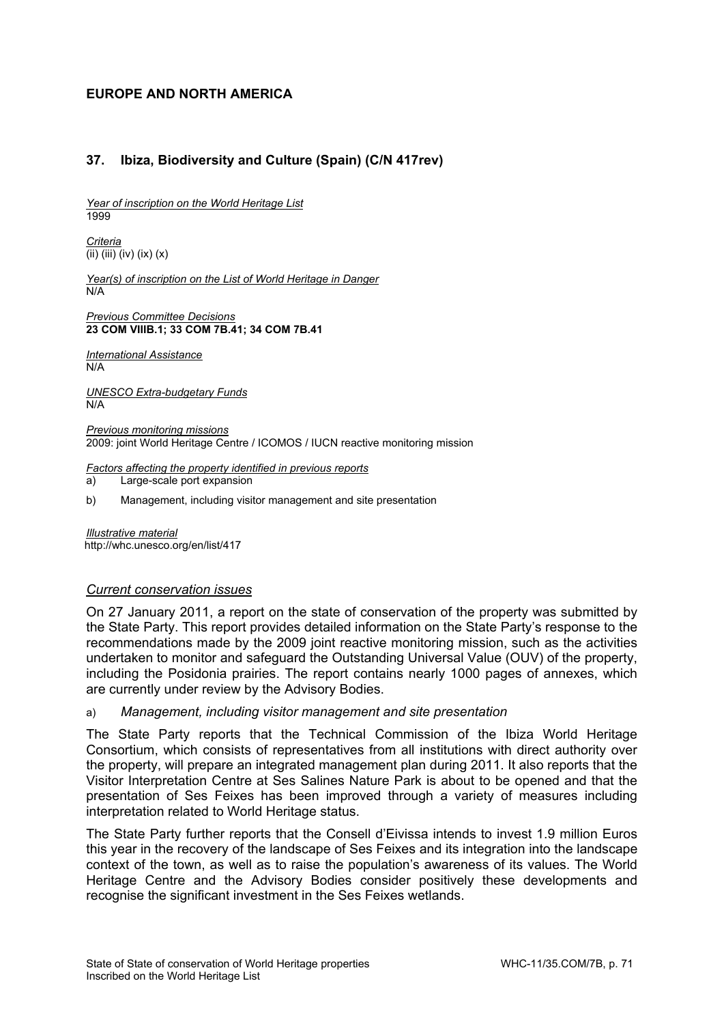# **EUROPE AND NORTH AMERICA**

# **37. Ibiza, Biodiversity and Culture (Spain) (C/N 417rev)**

*Year of inscription on the World Heritage List*  1999

*Criteria*  (ii) (iii) (iv) (ix) (x)

*Year(s) of inscription on the List of World Heritage in Danger*   $N/A$ 

*Previous Committee Decisions*  **23 COM VIIIB.1; 33 COM 7B.41; 34 COM 7B.41** 

*International Assistance*  N/A

*UNESCO Extra-budgetary Funds*   $N/A$ 

*Previous monitoring missions*  2009: joint World Heritage Centre / ICOMOS / IUCN reactive monitoring mission

*Factors affecting the property identified in previous reports* 

a) Large-scale port expansion

b) Management, including visitor management and site presentation

*Illustrative material*  http://whc.unesco.org/en/list/417

### *Current conservation issues*

On 27 January 2011, a report on the state of conservation of the property was submitted by the State Party. This report provides detailed information on the State Party's response to the recommendations made by the 2009 joint reactive monitoring mission, such as the activities undertaken to monitor and safeguard the Outstanding Universal Value (OUV) of the property, including the Posidonia prairies. The report contains nearly 1000 pages of annexes, which are currently under review by the Advisory Bodies.

a) *Management, including visitor management and site presentation* 

The State Party reports that the Technical Commission of the Ibiza World Heritage Consortium, which consists of representatives from all institutions with direct authority over the property, will prepare an integrated management plan during 2011. It also reports that the Visitor Interpretation Centre at Ses Salines Nature Park is about to be opened and that the presentation of Ses Feixes has been improved through a variety of measures including interpretation related to World Heritage status.

The State Party further reports that the Consell d'Eivissa intends to invest 1.9 million Euros this year in the recovery of the landscape of Ses Feixes and its integration into the landscape context of the town, as well as to raise the population's awareness of its values. The World Heritage Centre and the Advisory Bodies consider positively these developments and recognise the significant investment in the Ses Feixes wetlands.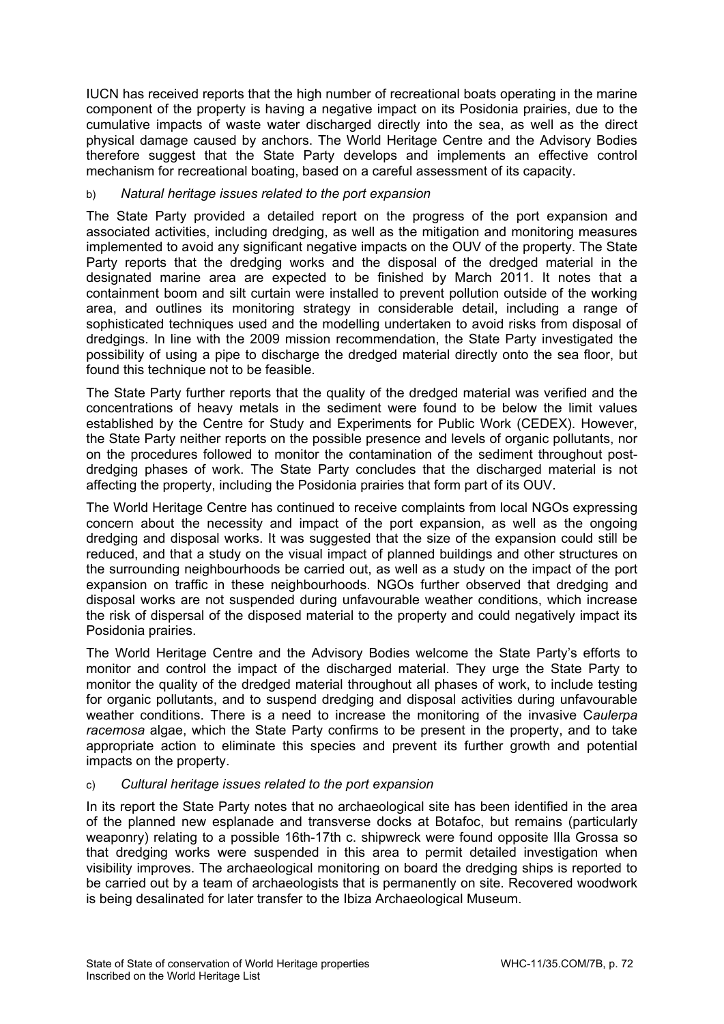IUCN has received reports that the high number of recreational boats operating in the marine component of the property is having a negative impact on its Posidonia prairies, due to the cumulative impacts of waste water discharged directly into the sea, as well as the direct physical damage caused by anchors. The World Heritage Centre and the Advisory Bodies therefore suggest that the State Party develops and implements an effective control mechanism for recreational boating, based on a careful assessment of its capacity.

## b) *Natural heritage issues related to the port expansion*

The State Party provided a detailed report on the progress of the port expansion and associated activities, including dredging, as well as the mitigation and monitoring measures implemented to avoid any significant negative impacts on the OUV of the property. The State Party reports that the dredging works and the disposal of the dredged material in the designated marine area are expected to be finished by March 2011. It notes that a containment boom and silt curtain were installed to prevent pollution outside of the working area, and outlines its monitoring strategy in considerable detail, including a range of sophisticated techniques used and the modelling undertaken to avoid risks from disposal of dredgings. In line with the 2009 mission recommendation, the State Party investigated the possibility of using a pipe to discharge the dredged material directly onto the sea floor, but found this technique not to be feasible.

The State Party further reports that the quality of the dredged material was verified and the concentrations of heavy metals in the sediment were found to be below the limit values established by the Centre for Study and Experiments for Public Work (CEDEX). However, the State Party neither reports on the possible presence and levels of organic pollutants, nor on the procedures followed to monitor the contamination of the sediment throughout postdredging phases of work. The State Party concludes that the discharged material is not affecting the property, including the Posidonia prairies that form part of its OUV.

The World Heritage Centre has continued to receive complaints from local NGOs expressing concern about the necessity and impact of the port expansion, as well as the ongoing dredging and disposal works. It was suggested that the size of the expansion could still be reduced, and that a study on the visual impact of planned buildings and other structures on the surrounding neighbourhoods be carried out, as well as a study on the impact of the port expansion on traffic in these neighbourhoods. NGOs further observed that dredging and disposal works are not suspended during unfavourable weather conditions, which increase the risk of dispersal of the disposed material to the property and could negatively impact its Posidonia prairies.

The World Heritage Centre and the Advisory Bodies welcome the State Party's efforts to monitor and control the impact of the discharged material. They urge the State Party to monitor the quality of the dredged material throughout all phases of work, to include testing for organic pollutants, and to suspend dredging and disposal activities during unfavourable weather conditions. There is a need to increase the monitoring of the invasive C*aulerpa racemosa* algae, which the State Party confirms to be present in the property, and to take appropriate action to eliminate this species and prevent its further growth and potential impacts on the property.

## c) *Cultural heritage issues related to the port expansion*

In its report the State Party notes that no archaeological site has been identified in the area of the planned new esplanade and transverse docks at Botafoc, but remains (particularly weaponry) relating to a possible 16th-17th c. shipwreck were found opposite Illa Grossa so that dredging works were suspended in this area to permit detailed investigation when visibility improves. The archaeological monitoring on board the dredging ships is reported to be carried out by a team of archaeologists that is permanently on site. Recovered woodwork is being desalinated for later transfer to the Ibiza Archaeological Museum.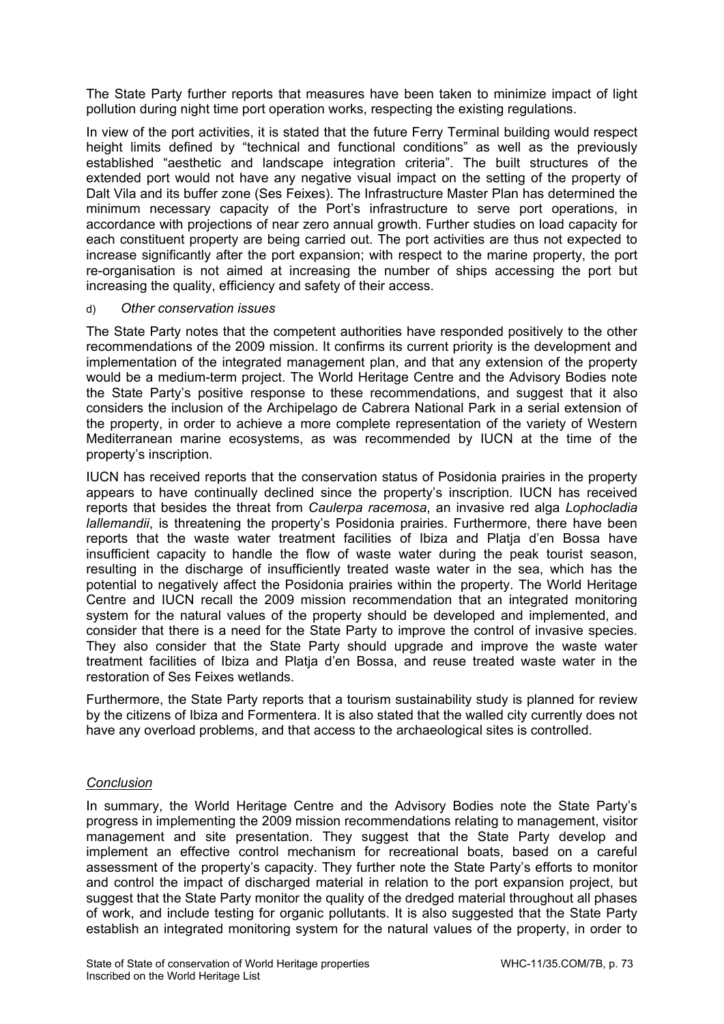The State Party further reports that measures have been taken to minimize impact of light pollution during night time port operation works, respecting the existing regulations.

In view of the port activities, it is stated that the future Ferry Terminal building would respect height limits defined by "technical and functional conditions" as well as the previously established "aesthetic and landscape integration criteria". The built structures of the extended port would not have any negative visual impact on the setting of the property of Dalt Vila and its buffer zone (Ses Feixes). The Infrastructure Master Plan has determined the minimum necessary capacity of the Port's infrastructure to serve port operations, in accordance with projections of near zero annual growth. Further studies on load capacity for each constituent property are being carried out. The port activities are thus not expected to increase significantly after the port expansion; with respect to the marine property, the port re-organisation is not aimed at increasing the number of ships accessing the port but increasing the quality, efficiency and safety of their access.

### d) *Other conservation issues*

The State Party notes that the competent authorities have responded positively to the other recommendations of the 2009 mission. It confirms its current priority is the development and implementation of the integrated management plan, and that any extension of the property would be a medium-term project. The World Heritage Centre and the Advisory Bodies note the State Party's positive response to these recommendations, and suggest that it also considers the inclusion of the Archipelago de Cabrera National Park in a serial extension of the property, in order to achieve a more complete representation of the variety of Western Mediterranean marine ecosystems, as was recommended by IUCN at the time of the property's inscription.

IUCN has received reports that the conservation status of Posidonia prairies in the property appears to have continually declined since the property's inscription. IUCN has received reports that besides the threat from *Caulerpa racemosa*, an invasive red alga *Lophocladia lallemandii*, is threatening the property's Posidonia prairies. Furthermore, there have been reports that the waste water treatment facilities of Ibiza and Platja d'en Bossa have insufficient capacity to handle the flow of waste water during the peak tourist season, resulting in the discharge of insufficiently treated waste water in the sea, which has the potential to negatively affect the Posidonia prairies within the property. The World Heritage Centre and IUCN recall the 2009 mission recommendation that an integrated monitoring system for the natural values of the property should be developed and implemented, and consider that there is a need for the State Party to improve the control of invasive species. They also consider that the State Party should upgrade and improve the waste water treatment facilities of Ibiza and Platja d'en Bossa, and reuse treated waste water in the restoration of Ses Feixes wetlands.

Furthermore, the State Party reports that a tourism sustainability study is planned for review by the citizens of Ibiza and Formentera. It is also stated that the walled city currently does not have any overload problems, and that access to the archaeological sites is controlled.

# *Conclusion*

In summary, the World Heritage Centre and the Advisory Bodies note the State Party's progress in implementing the 2009 mission recommendations relating to management, visitor management and site presentation. They suggest that the State Party develop and implement an effective control mechanism for recreational boats, based on a careful assessment of the property's capacity. They further note the State Party's efforts to monitor and control the impact of discharged material in relation to the port expansion project, but suggest that the State Party monitor the quality of the dredged material throughout all phases of work, and include testing for organic pollutants. It is also suggested that the State Party establish an integrated monitoring system for the natural values of the property, in order to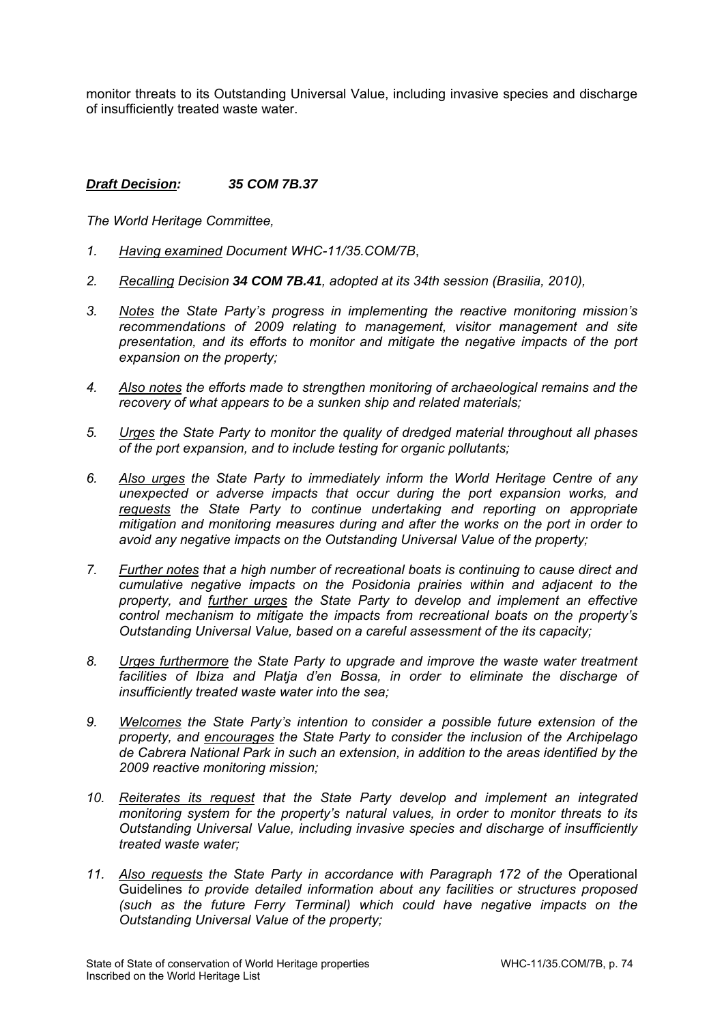monitor threats to its Outstanding Universal Value, including invasive species and discharge of insufficiently treated waste water.

# *Draft Decision: 35 COM 7B.37*

- *1. Having examined Document WHC-11/35.COM/7B*,
- *2. Recalling Decision 34 COM 7B.41, adopted at its 34th session (Brasilia, 2010),*
- *3. Notes the State Party's progress in implementing the reactive monitoring mission's recommendations of 2009 relating to management, visitor management and site presentation, and its efforts to monitor and mitigate the negative impacts of the port expansion on the property;*
- *4. Also notes the efforts made to strengthen monitoring of archaeological remains and the recovery of what appears to be a sunken ship and related materials;*
- *5. Urges the State Party to monitor the quality of dredged material throughout all phases of the port expansion, and to include testing for organic pollutants;*
- *6. Also urges the State Party to immediately inform the World Heritage Centre of any unexpected or adverse impacts that occur during the port expansion works, and requests the State Party to continue undertaking and reporting on appropriate mitigation and monitoring measures during and after the works on the port in order to avoid any negative impacts on the Outstanding Universal Value of the property;*
- *7. Further notes that a high number of recreational boats is continuing to cause direct and cumulative negative impacts on the Posidonia prairies within and adjacent to the property, and further urges the State Party to develop and implement an effective control mechanism to mitigate the impacts from recreational boats on the property's Outstanding Universal Value, based on a careful assessment of the its capacity;*
- *8. Urges furthermore the State Party to upgrade and improve the waste water treatment*  facilities of Ibiza and Platia d'en Bossa, in order to eliminate the discharge of *insufficiently treated waste water into the sea;*
- *9. Welcomes the State Party's intention to consider a possible future extension of the property, and encourages the State Party to consider the inclusion of the Archipelago de Cabrera National Park in such an extension, in addition to the areas identified by the 2009 reactive monitoring mission;*
- *10. Reiterates its request that the State Party develop and implement an integrated monitoring system for the property's natural values, in order to monitor threats to its Outstanding Universal Value, including invasive species and discharge of insufficiently treated waste water;*
- 11. Also requests the State Party in accordance with Paragraph 172 of the Operational Guidelines *to provide detailed information about any facilities or structures proposed (such as the future Ferry Terminal) which could have negative impacts on the Outstanding Universal Value of the property;*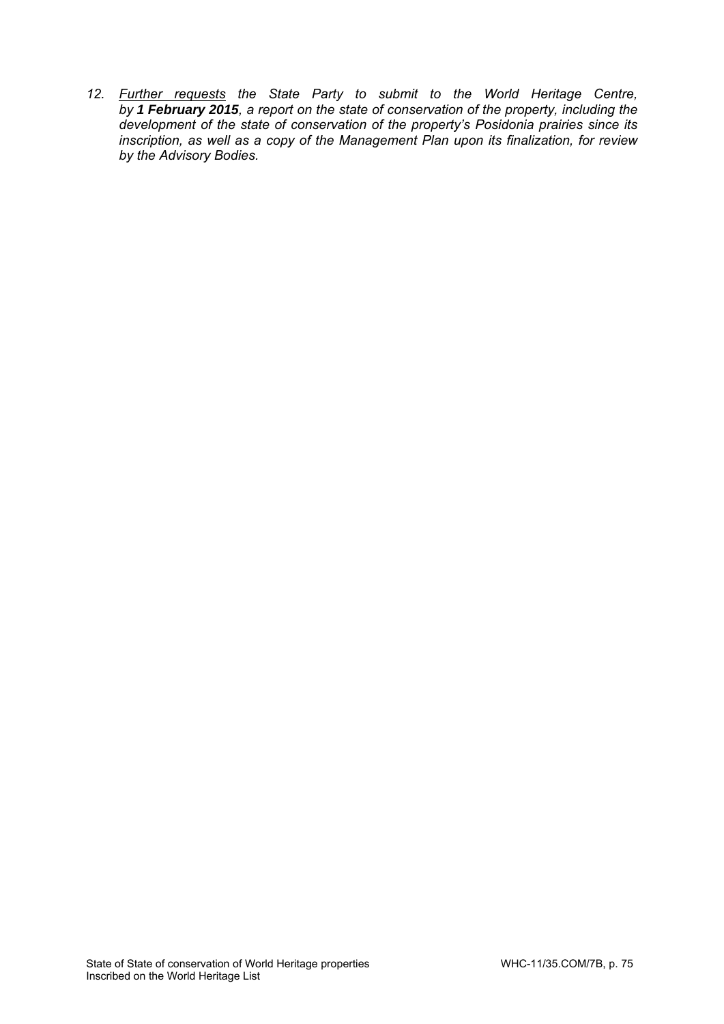*12. Further requests the State Party to submit to the World Heritage Centre, by 1 February 2015, a report on the state of conservation of the property, including the development of the state of conservation of the property's Posidonia prairies since its inscription, as well as a copy of the Management Plan upon its finalization, for review by the Advisory Bodies.*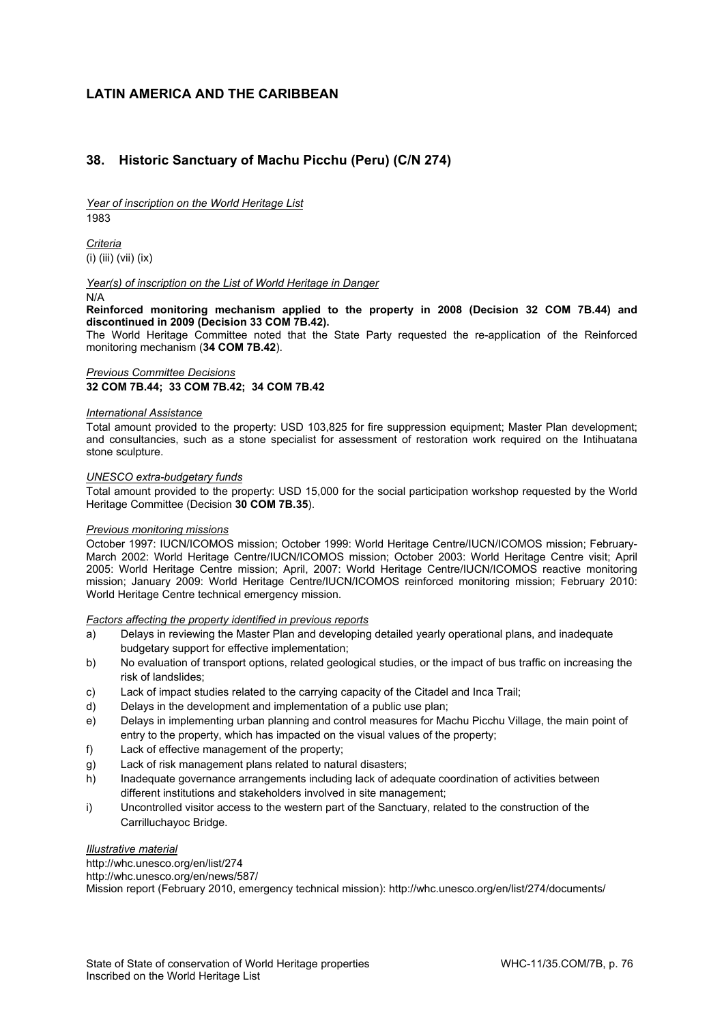### **LATIN AMERICA AND THE CARIBBEAN**

### **38. Historic Sanctuary of Machu Picchu (Peru) (C/N 274)**

*Year of inscription on the World Heritage List*  1983

*Criteria*  (i) (iii) (vii) (ix)

*Year(s) of inscription on the List of World Heritage in Danger* 

N/A

**Reinforced monitoring mechanism applied to the property in 2008 (Decision 32 COM 7B.44) and discontinued in 2009 (Decision 33 COM 7B.42).** 

The World Heritage Committee noted that the State Party requested the re-application of the Reinforced monitoring mechanism (**34 COM 7B.42**).

#### *Previous Committee Decisions*

**32 COM 7B.44; 33 COM 7B.42; 34 COM 7B.42** 

#### *International Assistance*

Total amount provided to the property: USD 103,825 for fire suppression equipment; Master Plan development; and consultancies, such as a stone specialist for assessment of restoration work required on the Intihuatana stone sculpture.

#### *UNESCO extra-budgetary funds*

Total amount provided to the property: USD 15,000 for the social participation workshop requested by the World Heritage Committee (Decision **30 COM 7B.35**).

#### *Previous monitoring missions*

October 1997: IUCN/ICOMOS mission; October 1999: World Heritage Centre/IUCN/ICOMOS mission; February-March 2002: World Heritage Centre/IUCN/ICOMOS mission; October 2003: World Heritage Centre visit; April 2005: World Heritage Centre mission; April, 2007: World Heritage Centre/IUCN/ICOMOS reactive monitoring mission; January 2009: World Heritage Centre/IUCN/ICOMOS reinforced monitoring mission; February 2010: World Heritage Centre technical emergency mission.

#### *Factors affecting the property identified in previous reports*

- a) Delays in reviewing the Master Plan and developing detailed yearly operational plans, and inadequate budgetary support for effective implementation;
- b) No evaluation of transport options, related geological studies, or the impact of bus traffic on increasing the risk of landslides;
- c) Lack of impact studies related to the carrying capacity of the Citadel and Inca Trail;
- d) Delays in the development and implementation of a public use plan;
- e) Delays in implementing urban planning and control measures for Machu Picchu Village, the main point of entry to the property, which has impacted on the visual values of the property;
- f) Lack of effective management of the property;
- g) Lack of risk management plans related to natural disasters;
- h) Inadequate governance arrangements including lack of adequate coordination of activities between different institutions and stakeholders involved in site management;
- i) Uncontrolled visitor access to the western part of the Sanctuary, related to the construction of the Carrilluchayoc Bridge.

#### *Illustrative material*

http://whc.unesco.org/en/list/274 http://whc.unesco.org/en/news/587/ Mission report (February 2010, emergency technical mission): http://whc.unesco.org/en/list/274/documents/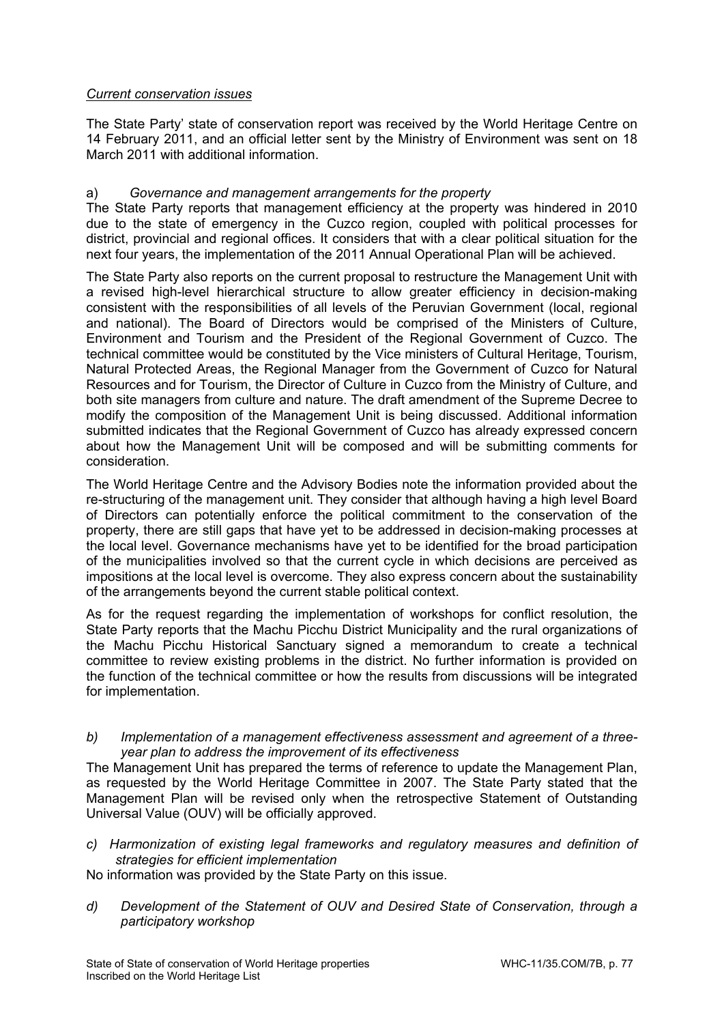## *Current conservation issues*

The State Party' state of conservation report was received by the World Heritage Centre on 14 February 2011, and an official letter sent by the Ministry of Environment was sent on 18 March 2011 with additional information.

# a) *Governance and management arrangements for the property*

The State Party reports that management efficiency at the property was hindered in 2010 due to the state of emergency in the Cuzco region, coupled with political processes for district, provincial and regional offices. It considers that with a clear political situation for the next four years, the implementation of the 2011 Annual Operational Plan will be achieved.

The State Party also reports on the current proposal to restructure the Management Unit with a revised high-level hierarchical structure to allow greater efficiency in decision-making consistent with the responsibilities of all levels of the Peruvian Government (local, regional and national). The Board of Directors would be comprised of the Ministers of Culture, Environment and Tourism and the President of the Regional Government of Cuzco. The technical committee would be constituted by the Vice ministers of Cultural Heritage, Tourism, Natural Protected Areas, the Regional Manager from the Government of Cuzco for Natural Resources and for Tourism, the Director of Culture in Cuzco from the Ministry of Culture, and both site managers from culture and nature. The draft amendment of the Supreme Decree to modify the composition of the Management Unit is being discussed. Additional information submitted indicates that the Regional Government of Cuzco has already expressed concern about how the Management Unit will be composed and will be submitting comments for consideration.

The World Heritage Centre and the Advisory Bodies note the information provided about the re-structuring of the management unit. They consider that although having a high level Board of Directors can potentially enforce the political commitment to the conservation of the property, there are still gaps that have yet to be addressed in decision-making processes at the local level. Governance mechanisms have yet to be identified for the broad participation of the municipalities involved so that the current cycle in which decisions are perceived as impositions at the local level is overcome. They also express concern about the sustainability of the arrangements beyond the current stable political context.

As for the request regarding the implementation of workshops for conflict resolution, the State Party reports that the Machu Picchu District Municipality and the rural organizations of the Machu Picchu Historical Sanctuary signed a memorandum to create a technical committee to review existing problems in the district. No further information is provided on the function of the technical committee or how the results from discussions will be integrated for implementation.

*b) Implementation of a management effectiveness assessment and agreement of a threeyear plan to address the improvement of its effectiveness* 

The Management Unit has prepared the terms of reference to update the Management Plan, as requested by the World Heritage Committee in 2007. The State Party stated that the Management Plan will be revised only when the retrospective Statement of Outstanding Universal Value (OUV) will be officially approved.

*c) Harmonization of existing legal frameworks and regulatory measures and definition of strategies for efficient implementation* 

No information was provided by the State Party on this issue.

*d) Development of the Statement of OUV and Desired State of Conservation, through a participatory workshop*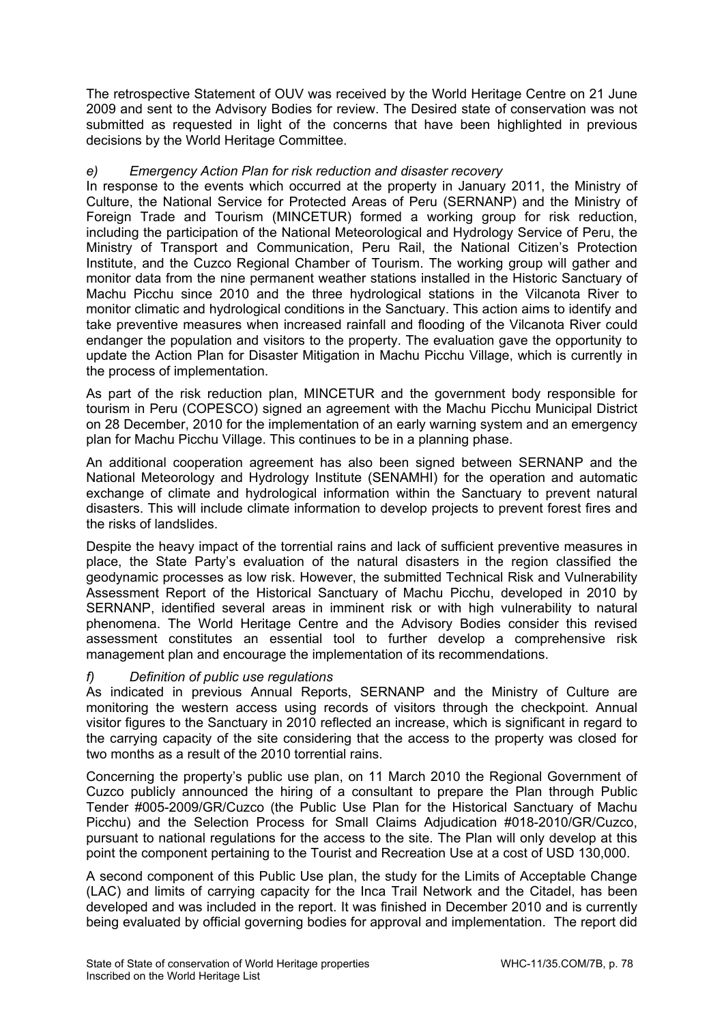The retrospective Statement of OUV was received by the World Heritage Centre on 21 June 2009 and sent to the Advisory Bodies for review. The Desired state of conservation was not submitted as requested in light of the concerns that have been highlighted in previous decisions by the World Heritage Committee.

## *e) Emergency Action Plan for risk reduction and disaster recovery*

In response to the events which occurred at the property in January 2011, the Ministry of Culture, the National Service for Protected Areas of Peru (SERNANP) and the Ministry of Foreign Trade and Tourism (MINCETUR) formed a working group for risk reduction, including the participation of the National Meteorological and Hydrology Service of Peru, the Ministry of Transport and Communication, Peru Rail, the National Citizen's Protection Institute, and the Cuzco Regional Chamber of Tourism. The working group will gather and monitor data from the nine permanent weather stations installed in the Historic Sanctuary of Machu Picchu since 2010 and the three hydrological stations in the Vilcanota River to monitor climatic and hydrological conditions in the Sanctuary. This action aims to identify and take preventive measures when increased rainfall and flooding of the Vilcanota River could endanger the population and visitors to the property. The evaluation gave the opportunity to update the Action Plan for Disaster Mitigation in Machu Picchu Village, which is currently in the process of implementation.

As part of the risk reduction plan, MINCETUR and the government body responsible for tourism in Peru (COPESCO) signed an agreement with the Machu Picchu Municipal District on 28 December, 2010 for the implementation of an early warning system and an emergency plan for Machu Picchu Village. This continues to be in a planning phase.

An additional cooperation agreement has also been signed between SERNANP and the National Meteorology and Hydrology Institute (SENAMHI) for the operation and automatic exchange of climate and hydrological information within the Sanctuary to prevent natural disasters. This will include climate information to develop projects to prevent forest fires and the risks of landslides.

Despite the heavy impact of the torrential rains and lack of sufficient preventive measures in place, the State Party's evaluation of the natural disasters in the region classified the geodynamic processes as low risk. However, the submitted Technical Risk and Vulnerability Assessment Report of the Historical Sanctuary of Machu Picchu, developed in 2010 by SERNANP, identified several areas in imminent risk or with high vulnerability to natural phenomena. The World Heritage Centre and the Advisory Bodies consider this revised assessment constitutes an essential tool to further develop a comprehensive risk management plan and encourage the implementation of its recommendations.

# *f) Definition of public use regulations*

As indicated in previous Annual Reports, SERNANP and the Ministry of Culture are monitoring the western access using records of visitors through the checkpoint. Annual visitor figures to the Sanctuary in 2010 reflected an increase, which is significant in regard to the carrying capacity of the site considering that the access to the property was closed for two months as a result of the 2010 torrential rains.

Concerning the property's public use plan, on 11 March 2010 the Regional Government of Cuzco publicly announced the hiring of a consultant to prepare the Plan through Public Tender #005-2009/GR/Cuzco (the Public Use Plan for the Historical Sanctuary of Machu Picchu) and the Selection Process for Small Claims Adjudication #018-2010/GR/Cuzco, pursuant to national regulations for the access to the site. The Plan will only develop at this point the component pertaining to the Tourist and Recreation Use at a cost of USD 130,000.

A second component of this Public Use plan, the study for the Limits of Acceptable Change (LAC) and limits of carrying capacity for the Inca Trail Network and the Citadel, has been developed and was included in the report. It was finished in December 2010 and is currently being evaluated by official governing bodies for approval and implementation. The report did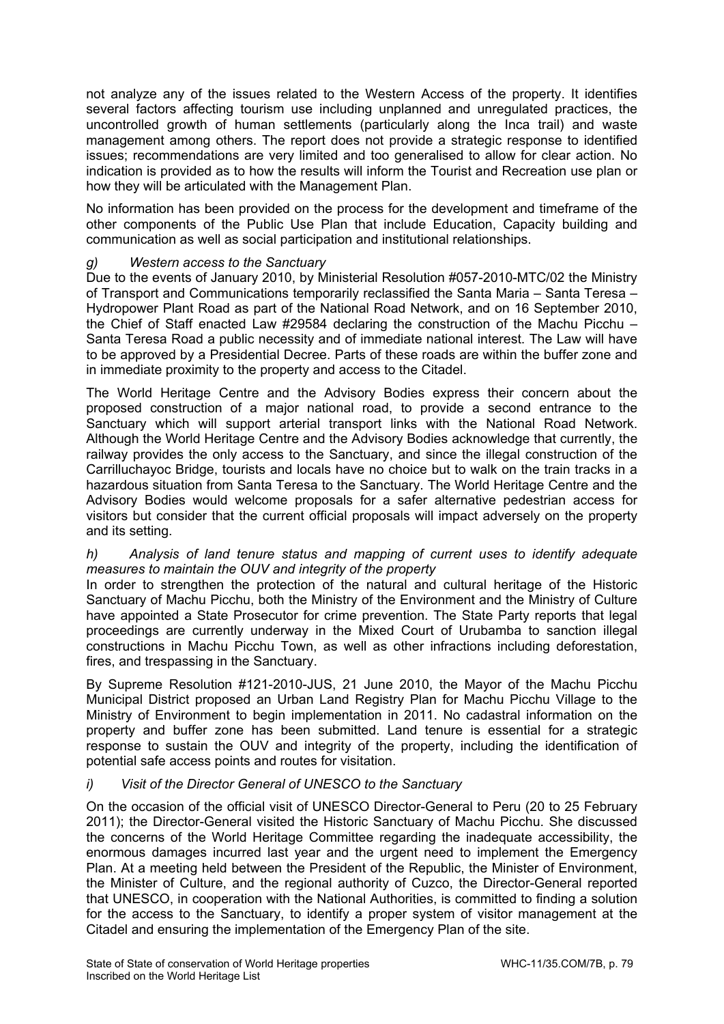not analyze any of the issues related to the Western Access of the property. It identifies several factors affecting tourism use including unplanned and unregulated practices, the uncontrolled growth of human settlements (particularly along the Inca trail) and waste management among others. The report does not provide a strategic response to identified issues; recommendations are very limited and too generalised to allow for clear action. No indication is provided as to how the results will inform the Tourist and Recreation use plan or how they will be articulated with the Management Plan.

No information has been provided on the process for the development and timeframe of the other components of the Public Use Plan that include Education, Capacity building and communication as well as social participation and institutional relationships.

# *g) Western access to the Sanctuary*

Due to the events of January 2010, by Ministerial Resolution #057-2010-MTC/02 the Ministry of Transport and Communications temporarily reclassified the Santa Maria – Santa Teresa – Hydropower Plant Road as part of the National Road Network, and on 16 September 2010, the Chief of Staff enacted Law #29584 declaring the construction of the Machu Picchu – Santa Teresa Road a public necessity and of immediate national interest. The Law will have to be approved by a Presidential Decree. Parts of these roads are within the buffer zone and in immediate proximity to the property and access to the Citadel.

The World Heritage Centre and the Advisory Bodies express their concern about the proposed construction of a major national road, to provide a second entrance to the Sanctuary which will support arterial transport links with the National Road Network. Although the World Heritage Centre and the Advisory Bodies acknowledge that currently, the railway provides the only access to the Sanctuary, and since the illegal construction of the Carrilluchayoc Bridge, tourists and locals have no choice but to walk on the train tracks in a hazardous situation from Santa Teresa to the Sanctuary. The World Heritage Centre and the Advisory Bodies would welcome proposals for a safer alternative pedestrian access for visitors but consider that the current official proposals will impact adversely on the property and its setting.

## *h) Analysis of land tenure status and mapping of current uses to identify adequate measures to maintain the OUV and integrity of the property*

In order to strengthen the protection of the natural and cultural heritage of the Historic Sanctuary of Machu Picchu, both the Ministry of the Environment and the Ministry of Culture have appointed a State Prosecutor for crime prevention. The State Party reports that legal proceedings are currently underway in the Mixed Court of Urubamba to sanction illegal constructions in Machu Picchu Town, as well as other infractions including deforestation, fires, and trespassing in the Sanctuary.

By Supreme Resolution #121-2010-JUS, 21 June 2010, the Mayor of the Machu Picchu Municipal District proposed an Urban Land Registry Plan for Machu Picchu Village to the Ministry of Environment to begin implementation in 2011. No cadastral information on the property and buffer zone has been submitted. Land tenure is essential for a strategic response to sustain the OUV and integrity of the property, including the identification of potential safe access points and routes for visitation.

## *i) Visit of the Director General of UNESCO to the Sanctuary*

On the occasion of the official visit of UNESCO Director-General to Peru (20 to 25 February 2011); the Director-General visited the Historic Sanctuary of Machu Picchu. She discussed the concerns of the World Heritage Committee regarding the inadequate accessibility, the enormous damages incurred last year and the urgent need to implement the Emergency Plan. At a meeting held between the President of the Republic, the Minister of Environment, the Minister of Culture, and the regional authority of Cuzco, the Director-General reported that UNESCO, in cooperation with the National Authorities, is committed to finding a solution for the access to the Sanctuary, to identify a proper system of visitor management at the Citadel and ensuring the implementation of the Emergency Plan of the site.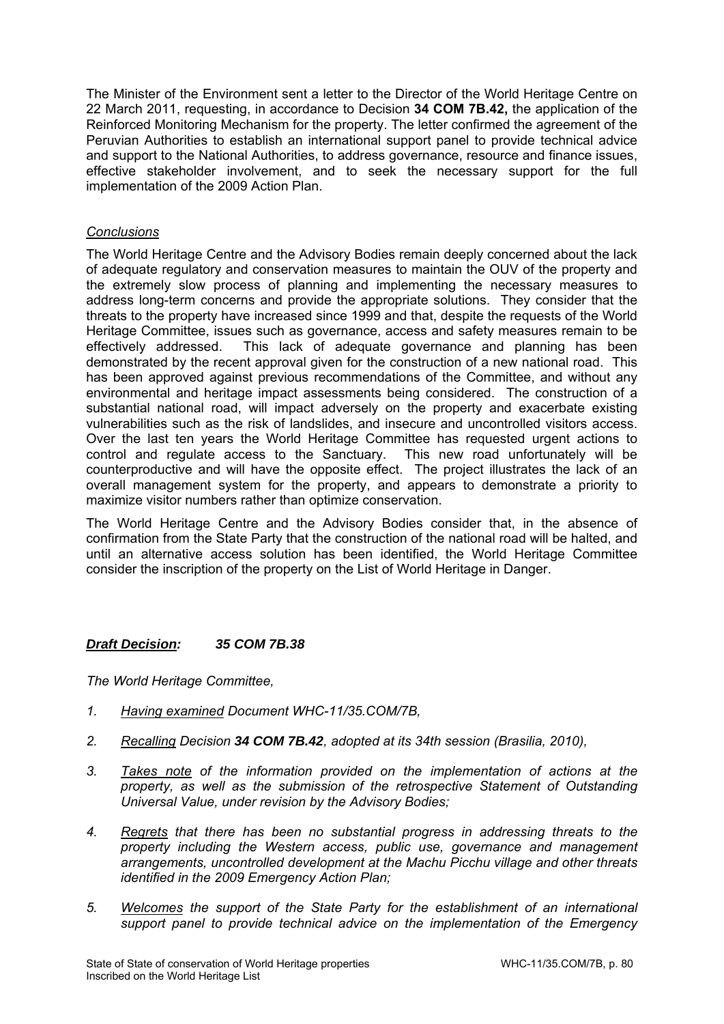The Minister of the Environment sent a letter to the Director of the World Heritage Centre on 22 March 2011, requesting, in accordance to Decision **34 COM 7B.42,** the application of the Reinforced Monitoring Mechanism for the property. The letter confirmed the agreement of the Peruvian Authorities to establish an international support panel to provide technical advice and support to the National Authorities, to address governance, resource and finance issues, effective stakeholder involvement, and to seek the necessary support for the full implementation of the 2009 Action Plan.

# *Conclusions*

The World Heritage Centre and the Advisory Bodies remain deeply concerned about the lack of adequate regulatory and conservation measures to maintain the OUV of the property and the extremely slow process of planning and implementing the necessary measures to address long-term concerns and provide the appropriate solutions. They consider that the threats to the property have increased since 1999 and that, despite the requests of the World Heritage Committee, issues such as governance, access and safety measures remain to be effectively addressed. This lack of adequate governance and planning has been demonstrated by the recent approval given for the construction of a new national road. This has been approved against previous recommendations of the Committee, and without any environmental and heritage impact assessments being considered. The construction of a substantial national road, will impact adversely on the property and exacerbate existing vulnerabilities such as the risk of landslides, and insecure and uncontrolled visitors access. Over the last ten years the World Heritage Committee has requested urgent actions to control and regulate access to the Sanctuary. This new road unfortunately will be counterproductive and will have the opposite effect. The project illustrates the lack of an overall management system for the property, and appears to demonstrate a priority to maximize visitor numbers rather than optimize conservation.

The World Heritage Centre and the Advisory Bodies consider that, in the absence of confirmation from the State Party that the construction of the national road will be halted, and until an alternative access solution has been identified, the World Heritage Committee consider the inscription of the property on the List of World Heritage in Danger.

## *Draft Decision: 35 COM 7B.38*

- *1. Having examined Document WHC-11/35.COM/7B,*
- *2. Recalling Decision 34 COM 7B.42, adopted at its 34th session (Brasilia, 2010),*
- *3. Takes note of the information provided on the implementation of actions at the property, as well as the submission of the retrospective Statement of Outstanding Universal Value, under revision by the Advisory Bodies;*
- *4. Regrets that there has been no substantial progress in addressing threats to the property including the Western access, public use, governance and management arrangements, uncontrolled development at the Machu Picchu village and other threats identified in the 2009 Emergency Action Plan;*
- *5. Welcomes the support of the State Party for the establishment of an international support panel to provide technical advice on the implementation of the Emergency*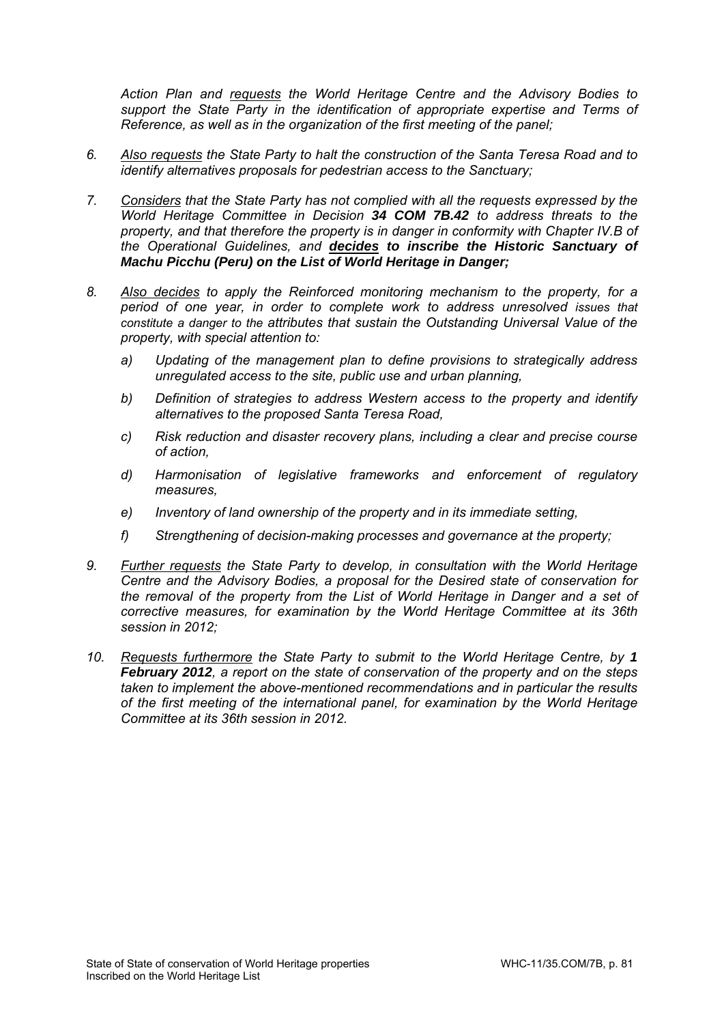*Action Plan and requests the World Heritage Centre and the Advisory Bodies to support the State Party in the identification of appropriate expertise and Terms of Reference, as well as in the organization of the first meeting of the panel;* 

- *6. Also requests the State Party to halt the construction of the Santa Teresa Road and to identify alternatives proposals for pedestrian access to the Sanctuary;*
- *7. Considers that the State Party has not complied with all the requests expressed by the World Heritage Committee in Decision 34 COM 7B.42 to address threats to the property, and that therefore the property is in danger in conformity with Chapter IV.B of the Operational Guidelines, and decides to inscribe the Historic Sanctuary of Machu Picchu (Peru) on the List of World Heritage in Danger;*
- *8. Also decides to apply the Reinforced monitoring mechanism to the property, for a period of one year, in order to complete work to address unresolved issues that constitute a danger to the attributes that sustain the Outstanding Universal Value of the property, with special attention to:* 
	- *a) Updating of the management plan to define provisions to strategically address unregulated access to the site, public use and urban planning,*
	- *b) Definition of strategies to address Western access to the property and identify alternatives to the proposed Santa Teresa Road,*
	- *c) Risk reduction and disaster recovery plans, including a clear and precise course of action,*
	- *d) Harmonisation of legislative frameworks and enforcement of regulatory measures,*
	- *e) Inventory of land ownership of the property and in its immediate setting,*
	- *f) Strengthening of decision-making processes and governance at the property;*
- *9. Further requests the State Party to develop, in consultation with the World Heritage Centre and the Advisory Bodies, a proposal for the Desired state of conservation for the removal of the property from the List of World Heritage in Danger and a set of corrective measures, for examination by the World Heritage Committee at its 36th session in 2012;*
- *10. Requests furthermore the State Party to submit to the World Heritage Centre, by 1 February 2012, a report on the state of conservation of the property and on the steps taken to implement the above-mentioned recommendations and in particular the results of the first meeting of the international panel, for examination by the World Heritage Committee at its 36th session in 2012.*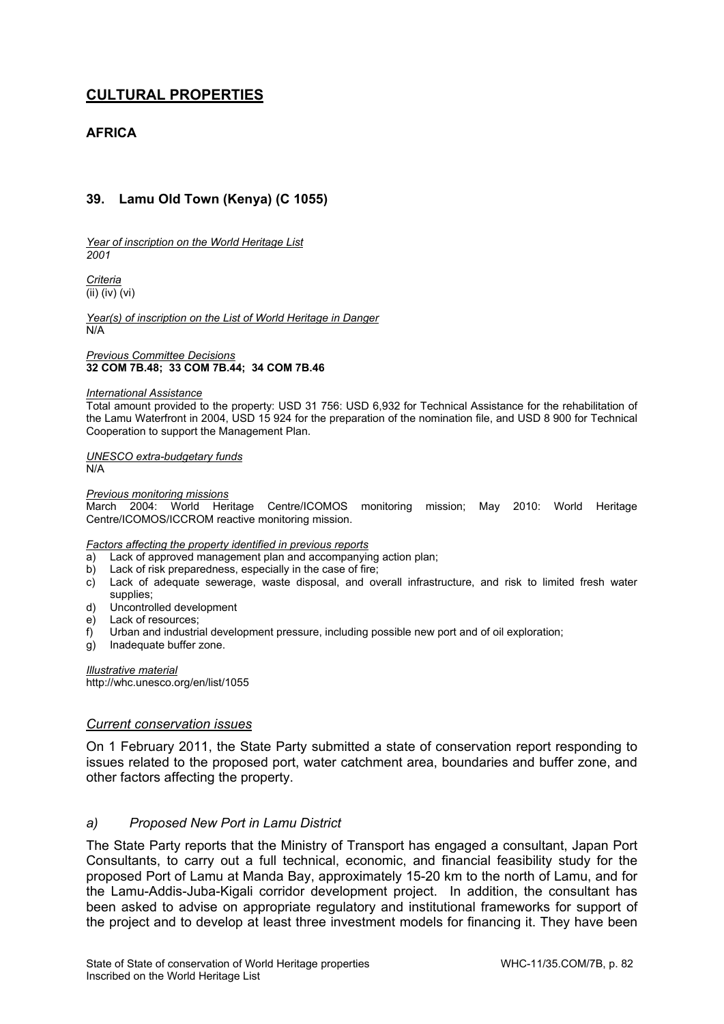# **CULTURAL PROPERTIES**

# **AFRICA**

# **39. Lamu Old Town (Kenya) (C 1055)**

*Year of inscription on the World Heritage List 2001* 

*Criteria*  (ii) (iv) (vi)

*Year(s) of inscription on the List of World Heritage in Danger*  N/A

*Previous Committee Decisions*  **32 COM 7B.48; 33 COM 7B.44; 34 COM 7B.46** 

#### *International Assistance*

Total amount provided to the property: USD 31 756: USD 6,932 for Technical Assistance for the rehabilitation of the Lamu Waterfront in 2004, USD 15 924 for the preparation of the nomination file, and USD 8 900 for Technical Cooperation to support the Management Plan.

*UNESCO extra-budgetary funds*   $N/A$ 

*Previous monitoring missions* 

March 2004: World Heritage Centre/ICOMOS monitoring mission; May 2010: World Heritage Centre/ICOMOS/ICCROM reactive monitoring mission.

#### *Factors affecting the property identified in previous reports*

- a) Lack of approved management plan and accompanying action plan;
- b) Lack of risk preparedness, especially in the case of fire;
- c) Lack of adequate sewerage, waste disposal, and overall infrastructure, and risk to limited fresh water supplies;
- d) Uncontrolled development
- e) Lack of resources;
- f) Urban and industrial development pressure, including possible new port and of oil exploration;
- g) Inadequate buffer zone.

*Illustrative material*  http://whc.unesco.org/en/list/1055

#### *Current conservation issues*

On 1 February 2011, the State Party submitted a state of conservation report responding to issues related to the proposed port, water catchment area, boundaries and buffer zone, and other factors affecting the property.

### *a) Proposed New Port in Lamu District*

The State Party reports that the Ministry of Transport has engaged a consultant, Japan Port Consultants, to carry out a full technical, economic, and financial feasibility study for the proposed Port of Lamu at Manda Bay, approximately 15-20 km to the north of Lamu, and for the Lamu-Addis-Juba-Kigali corridor development project. In addition, the consultant has been asked to advise on appropriate regulatory and institutional frameworks for support of the project and to develop at least three investment models for financing it. They have been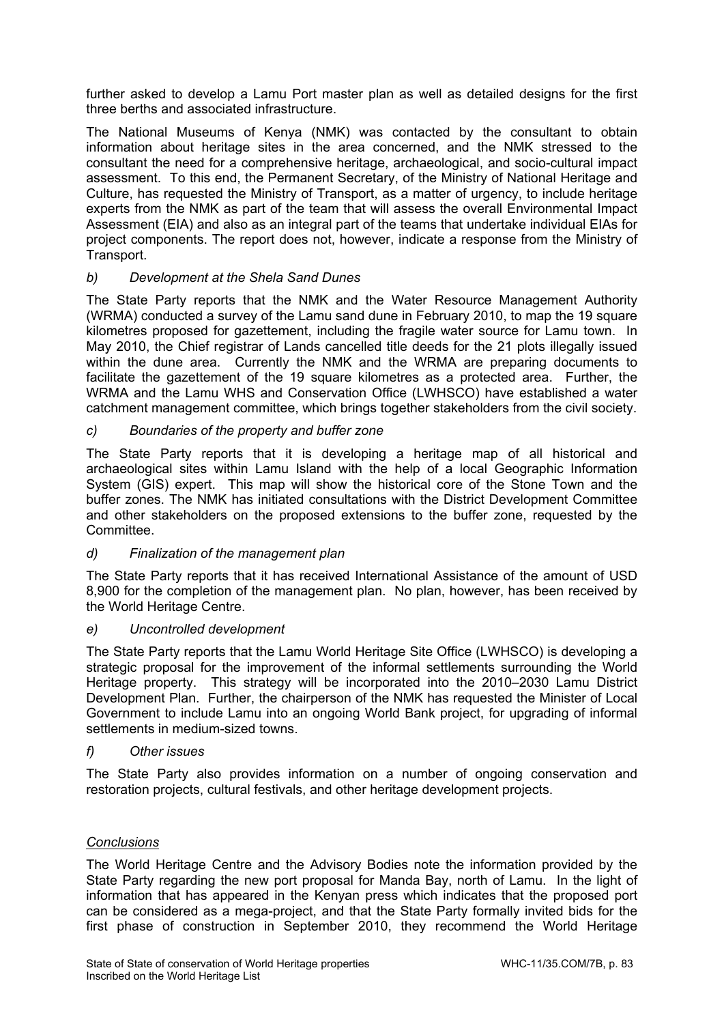further asked to develop a Lamu Port master plan as well as detailed designs for the first three berths and associated infrastructure.

The National Museums of Kenya (NMK) was contacted by the consultant to obtain information about heritage sites in the area concerned, and the NMK stressed to the consultant the need for a comprehensive heritage, archaeological, and socio-cultural impact assessment. To this end, the Permanent Secretary, of the Ministry of National Heritage and Culture, has requested the Ministry of Transport, as a matter of urgency, to include heritage experts from the NMK as part of the team that will assess the overall Environmental Impact Assessment (EIA) and also as an integral part of the teams that undertake individual EIAs for project components. The report does not, however, indicate a response from the Ministry of Transport.

## *b) Development at the Shela Sand Dunes*

The State Party reports that the NMK and the Water Resource Management Authority (WRMA) conducted a survey of the Lamu sand dune in February 2010, to map the 19 square kilometres proposed for gazettement, including the fragile water source for Lamu town. In May 2010, the Chief registrar of Lands cancelled title deeds for the 21 plots illegally issued within the dune area. Currently the NMK and the WRMA are preparing documents to facilitate the gazettement of the 19 square kilometres as a protected area. Further, the WRMA and the Lamu WHS and Conservation Office (LWHSCO) have established a water catchment management committee, which brings together stakeholders from the civil society.

# *c) Boundaries of the property and buffer zone*

The State Party reports that it is developing a heritage map of all historical and archaeological sites within Lamu Island with the help of a local Geographic Information System (GIS) expert. This map will show the historical core of the Stone Town and the buffer zones. The NMK has initiated consultations with the District Development Committee and other stakeholders on the proposed extensions to the buffer zone, requested by the Committee.

## *d) Finalization of the management plan*

The State Party reports that it has received International Assistance of the amount of USD 8,900 for the completion of the management plan. No plan, however, has been received by the World Heritage Centre.

## *e) Uncontrolled development*

The State Party reports that the Lamu World Heritage Site Office (LWHSCO) is developing a strategic proposal for the improvement of the informal settlements surrounding the World Heritage property. This strategy will be incorporated into the 2010–2030 Lamu District Development Plan. Further, the chairperson of the NMK has requested the Minister of Local Government to include Lamu into an ongoing World Bank project, for upgrading of informal settlements in medium-sized towns.

## *f) Other issues*

The State Party also provides information on a number of ongoing conservation and restoration projects, cultural festivals, and other heritage development projects.

## *Conclusions*

The World Heritage Centre and the Advisory Bodies note the information provided by the State Party regarding the new port proposal for Manda Bay, north of Lamu. In the light of information that has appeared in the Kenyan press which indicates that the proposed port can be considered as a mega-project, and that the State Party formally invited bids for the first phase of construction in September 2010, they recommend the World Heritage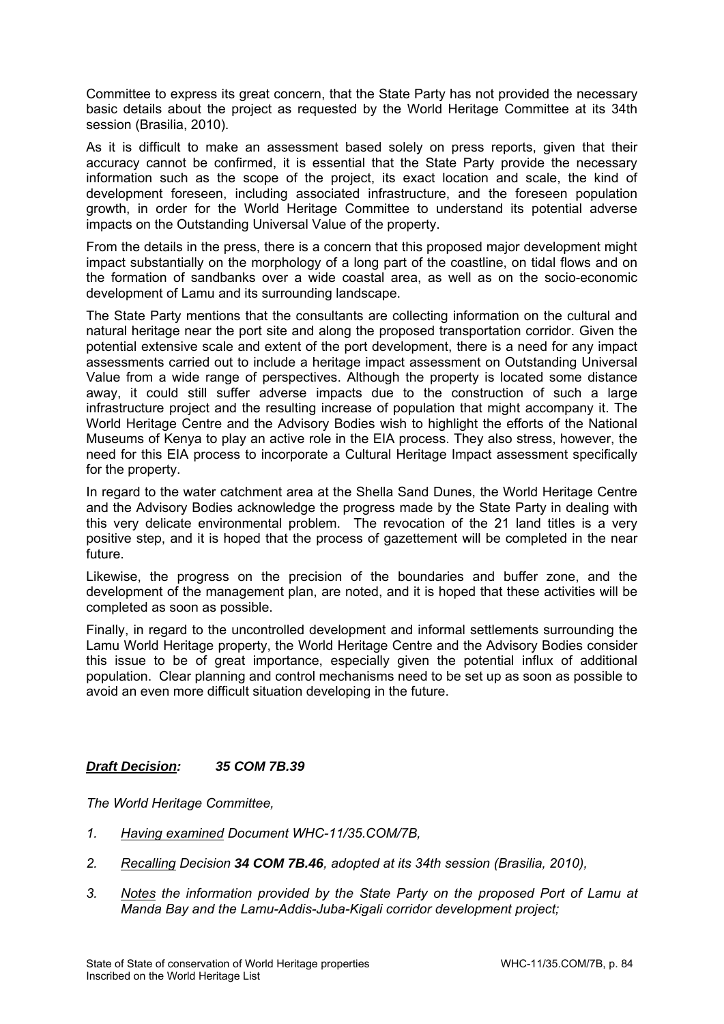Committee to express its great concern, that the State Party has not provided the necessary basic details about the project as requested by the World Heritage Committee at its 34th session (Brasilia, 2010).

As it is difficult to make an assessment based solely on press reports, given that their accuracy cannot be confirmed, it is essential that the State Party provide the necessary information such as the scope of the project, its exact location and scale, the kind of development foreseen, including associated infrastructure, and the foreseen population growth, in order for the World Heritage Committee to understand its potential adverse impacts on the Outstanding Universal Value of the property.

From the details in the press, there is a concern that this proposed major development might impact substantially on the morphology of a long part of the coastline, on tidal flows and on the formation of sandbanks over a wide coastal area, as well as on the socio-economic development of Lamu and its surrounding landscape.

The State Party mentions that the consultants are collecting information on the cultural and natural heritage near the port site and along the proposed transportation corridor. Given the potential extensive scale and extent of the port development, there is a need for any impact assessments carried out to include a heritage impact assessment on Outstanding Universal Value from a wide range of perspectives. Although the property is located some distance away, it could still suffer adverse impacts due to the construction of such a large infrastructure project and the resulting increase of population that might accompany it. The World Heritage Centre and the Advisory Bodies wish to highlight the efforts of the National Museums of Kenya to play an active role in the EIA process. They also stress, however, the need for this EIA process to incorporate a Cultural Heritage Impact assessment specifically for the property.

In regard to the water catchment area at the Shella Sand Dunes, the World Heritage Centre and the Advisory Bodies acknowledge the progress made by the State Party in dealing with this very delicate environmental problem. The revocation of the 21 land titles is a very positive step, and it is hoped that the process of gazettement will be completed in the near future.

Likewise, the progress on the precision of the boundaries and buffer zone, and the development of the management plan, are noted, and it is hoped that these activities will be completed as soon as possible.

Finally, in regard to the uncontrolled development and informal settlements surrounding the Lamu World Heritage property, the World Heritage Centre and the Advisory Bodies consider this issue to be of great importance, especially given the potential influx of additional population. Clear planning and control mechanisms need to be set up as soon as possible to avoid an even more difficult situation developing in the future.

## *Draft Decision: 35 COM 7B.39*

- *1. Having examined Document WHC-11/35.COM/7B,*
- *2. Recalling Decision 34 COM 7B.46, adopted at its 34th session (Brasilia, 2010),*
- *3. Notes the information provided by the State Party on the proposed Port of Lamu at Manda Bay and the Lamu-Addis-Juba-Kigali corridor development project;*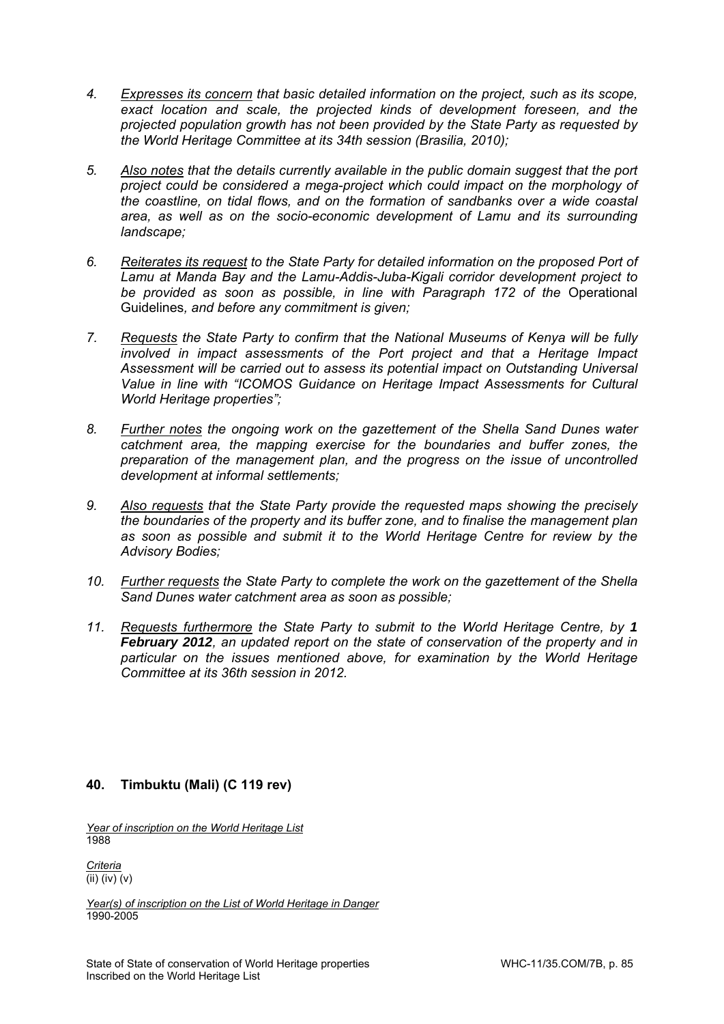- *4. Expresses its concern that basic detailed information on the project, such as its scope, exact location and scale, the projected kinds of development foreseen, and the projected population growth has not been provided by the State Party as requested by the World Heritage Committee at its 34th session (Brasilia, 2010);*
- *5. Also notes that the details currently available in the public domain suggest that the port project could be considered a mega-project which could impact on the morphology of the coastline, on tidal flows, and on the formation of sandbanks over a wide coastal area, as well as on the socio-economic development of Lamu and its surrounding landscape;*
- *6. Reiterates its request to the State Party for detailed information on the proposed Port of Lamu at Manda Bay and the Lamu-Addis-Juba-Kigali corridor development project to*  be provided as soon as possible, in line with Paragraph 172 of the Operational Guidelines*, and before any commitment is given;*
- *7. Requests the State Party to confirm that the National Museums of Kenya will be fully involved in impact assessments of the Port project and that a Heritage Impact Assessment will be carried out to assess its potential impact on Outstanding Universal Value in line with "ICOMOS Guidance on Heritage Impact Assessments for Cultural World Heritage properties";*
- *8. Further notes the ongoing work on the gazettement of the Shella Sand Dunes water catchment area, the mapping exercise for the boundaries and buffer zones, the preparation of the management plan, and the progress on the issue of uncontrolled development at informal settlements;*
- *9. Also requests that the State Party provide the requested maps showing the precisely the boundaries of the property and its buffer zone, and to finalise the management plan as soon as possible and submit it to the World Heritage Centre for review by the Advisory Bodies;*
- *10. Further requests the State Party to complete the work on the gazettement of the Shella Sand Dunes water catchment area as soon as possible;*
- *11. Requests furthermore the State Party to submit to the World Heritage Centre, by 1 February 2012, an updated report on the state of conservation of the property and in particular on the issues mentioned above, for examination by the World Heritage Committee at its 36th session in 2012.*

# **40. Timbuktu (Mali) (C 119 rev)**

*Year of inscription on the World Heritage List*  1988

*Criteria*  (ii) (iv) (v)

*Year(s) of inscription on the List of World Heritage in Danger*  1990-2005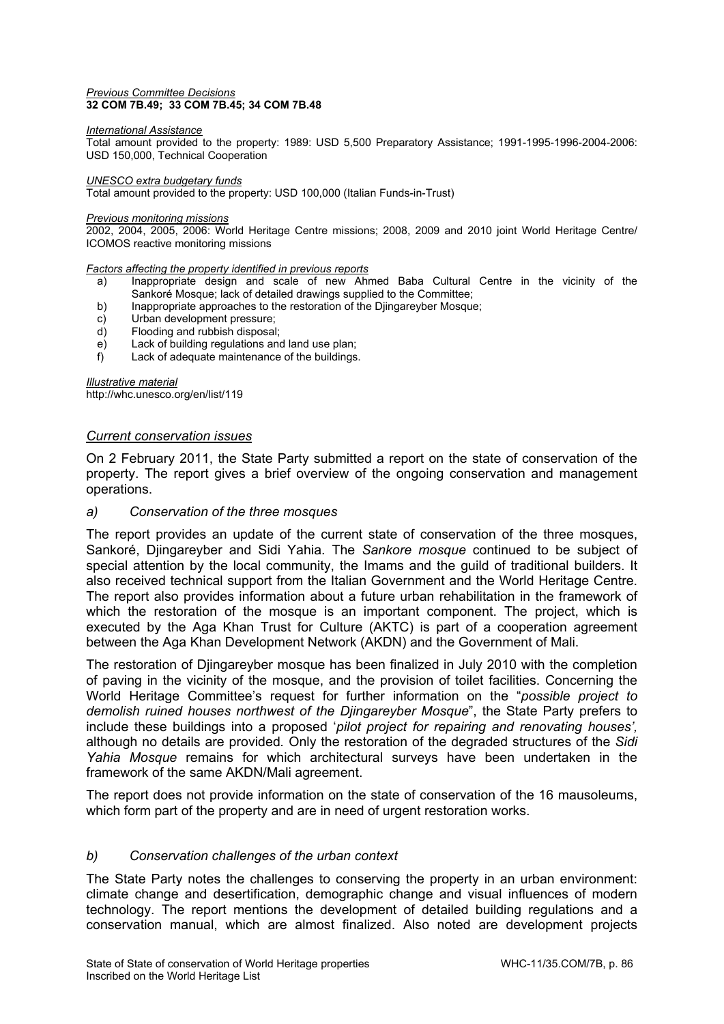#### *Previous Committee Decisions*  **32 COM 7B.49; 33 COM 7B.45; 34 COM 7B.48**

#### *International Assistance*

Total amount provided to the property: 1989: USD 5,500 Preparatory Assistance; 1991-1995-1996-2004-2006: USD 150,000, Technical Cooperation

#### *UNESCO extra budgetary funds*

Total amount provided to the property: USD 100,000 (Italian Funds-in-Trust)

#### *Previous monitoring missions*

2002, 2004, 2005, 2006: World Heritage Centre missions; 2008, 2009 and 2010 joint World Heritage Centre/ ICOMOS reactive monitoring missions

#### *Factors affecting the property identified in previous reports*

- a) Inappropriate design and scale of new Ahmed Baba Cultural Centre in the vicinity of the Sankoré Mosque; lack of detailed drawings supplied to the Committee;
- b) Inappropriate approaches to the restoration of the Djingareyber Mosque;
- c) Urban development pressure;
- d) Flooding and rubbish disposal;
- e) Lack of building regulations and land use plan;
- f) Lack of adequate maintenance of the buildings.

*Illustrative material*  http://whc.unesco.org/en/list/119

### *Current conservation issues*

On 2 February 2011, the State Party submitted a report on the state of conservation of the property. The report gives a brief overview of the ongoing conservation and management operations.

### *a) Conservation of the three mosques*

The report provides an update of the current state of conservation of the three mosques, Sankoré, Djingareyber and Sidi Yahia. The *Sankore mosque* continued to be subject of special attention by the local community, the Imams and the guild of traditional builders. It also received technical support from the Italian Government and the World Heritage Centre. The report also provides information about a future urban rehabilitation in the framework of which the restoration of the mosque is an important component. The project, which is executed by the Aga Khan Trust for Culture (AKTC) is part of a cooperation agreement between the Aga Khan Development Network (AKDN) and the Government of Mali.

The restoration of Djingareyber mosque has been finalized in July 2010 with the completion of paving in the vicinity of the mosque, and the provision of toilet facilities. Concerning the World Heritage Committee's request for further information on the "*possible project to demolish ruined houses northwest of the Djingareyber Mosque*", the State Party prefers to include these buildings into a proposed '*pilot project for repairing and renovating houses',*  although no details are provided*.* Only the restoration of the degraded structures of the *Sidi Yahia Mosque* remains for which architectural surveys have been undertaken in the framework of the same AKDN/Mali agreement.

The report does not provide information on the state of conservation of the 16 mausoleums, which form part of the property and are in need of urgent restoration works.

### *b) Conservation challenges of the urban context*

The State Party notes the challenges to conserving the property in an urban environment: climate change and desertification, demographic change and visual influences of modern technology. The report mentions the development of detailed building regulations and a conservation manual, which are almost finalized. Also noted are development projects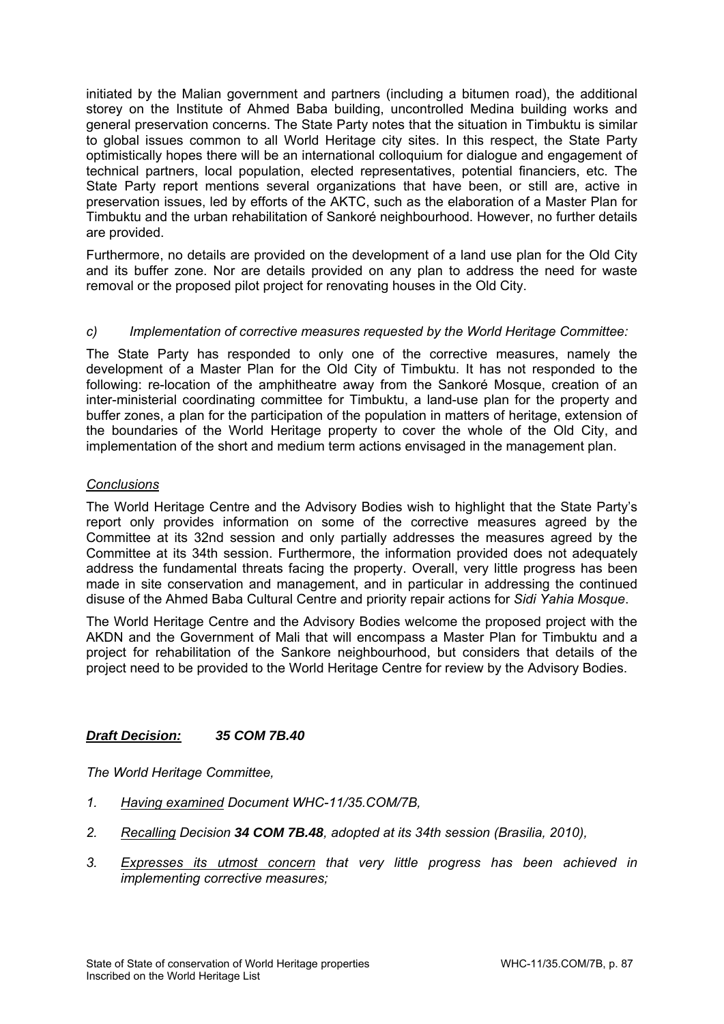initiated by the Malian government and partners (including a bitumen road), the additional storey on the Institute of Ahmed Baba building, uncontrolled Medina building works and general preservation concerns. The State Party notes that the situation in Timbuktu is similar to global issues common to all World Heritage city sites. In this respect, the State Party optimistically hopes there will be an international colloquium for dialogue and engagement of technical partners, local population, elected representatives, potential financiers, etc. The State Party report mentions several organizations that have been, or still are, active in preservation issues, led by efforts of the AKTC, such as the elaboration of a Master Plan for Timbuktu and the urban rehabilitation of Sankoré neighbourhood. However, no further details are provided.

Furthermore, no details are provided on the development of a land use plan for the Old City and its buffer zone. Nor are details provided on any plan to address the need for waste removal or the proposed pilot project for renovating houses in the Old City.

# *c) Implementation of corrective measures requested by the World Heritage Committee:*

The State Party has responded to only one of the corrective measures, namely the development of a Master Plan for the Old City of Timbuktu. It has not responded to the following: re-location of the amphitheatre away from the Sankoré Mosque, creation of an inter-ministerial coordinating committee for Timbuktu, a land-use plan for the property and buffer zones, a plan for the participation of the population in matters of heritage, extension of the boundaries of the World Heritage property to cover the whole of the Old City, and implementation of the short and medium term actions envisaged in the management plan.

## *Conclusions*

The World Heritage Centre and the Advisory Bodies wish to highlight that the State Party's report only provides information on some of the corrective measures agreed by the Committee at its 32nd session and only partially addresses the measures agreed by the Committee at its 34th session. Furthermore, the information provided does not adequately address the fundamental threats facing the property. Overall, very little progress has been made in site conservation and management, and in particular in addressing the continued disuse of the Ahmed Baba Cultural Centre and priority repair actions for *Sidi Yahia Mosque*.

The World Heritage Centre and the Advisory Bodies welcome the proposed project with the AKDN and the Government of Mali that will encompass a Master Plan for Timbuktu and a project for rehabilitation of the Sankore neighbourhood, but considers that details of the project need to be provided to the World Heritage Centre for review by the Advisory Bodies.

## *Draft Decision: 35 COM 7B.40*

- *1. Having examined Document WHC-11/35.COM/7B,*
- *2. Recalling Decision 34 COM 7B.48, adopted at its 34th session (Brasilia, 2010),*
- *3. Expresses its utmost concern that very little progress has been achieved in implementing corrective measures;*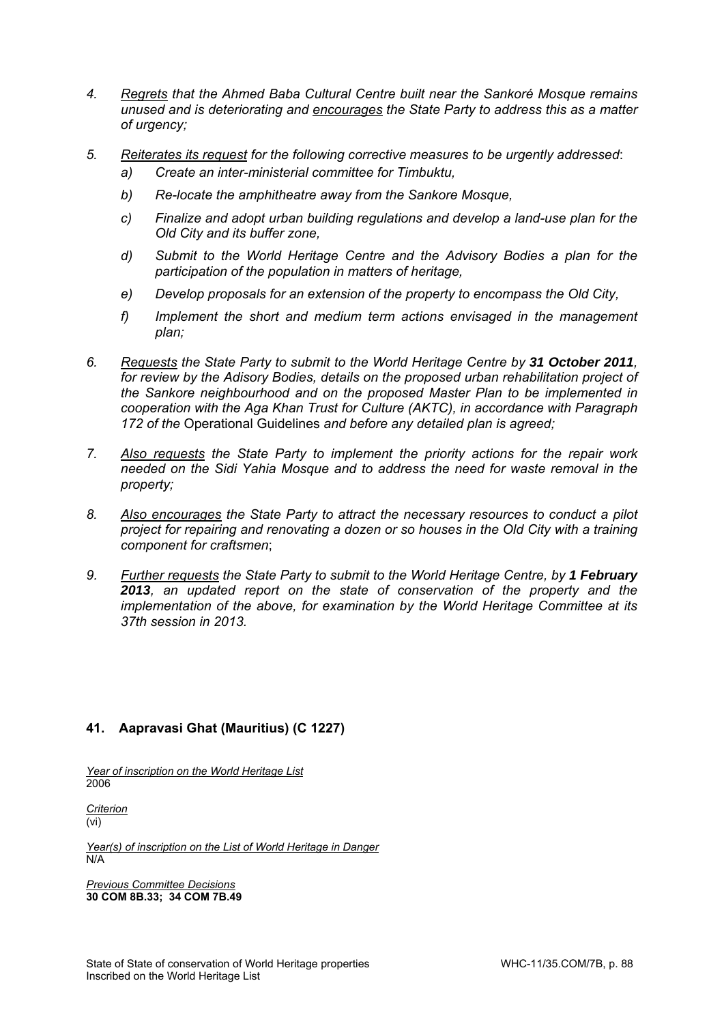- *4. Regrets that the Ahmed Baba Cultural Centre built near the Sankoré Mosque remains unused and is deteriorating and encourages the State Party to address this as a matter of urgency;*
- *5. Reiterates its request for the following corrective measures to be urgently addressed*: *a) Create an inter-ministerial committee for Timbuktu,* 
	- *b) Re-locate the amphitheatre away from the Sankore Mosque,*
	- *c) Finalize and adopt urban building regulations and develop a land-use plan for the Old City and its buffer zone,*
	- *d) Submit to the World Heritage Centre and the Advisory Bodies a plan for the participation of the population in matters of heritage,*
	- *e) Develop proposals for an extension of the property to encompass the Old City,*
	- *f) Implement the short and medium term actions envisaged in the management plan;*
- *6. Requests the State Party to submit to the World Heritage Centre by 31 October 2011, for review by the Adisory Bodies, details on the proposed urban rehabilitation project of the Sankore neighbourhood and on the proposed Master Plan to be implemented in cooperation with the Aga Khan Trust for Culture (AKTC), in accordance with Paragraph 172 of the* Operational Guidelines *and before any detailed plan is agreed;*
- *7. Also requests the State Party to implement the priority actions for the repair work needed on the Sidi Yahia Mosque and to address the need for waste removal in the property;*
- *8. Also encourages the State Party to attract the necessary resources to conduct a pilot project for repairing and renovating a dozen or so houses in the Old City with a training component for craftsmen*;
- 9. *Further requests the State Party to submit to the World Heritage Centre, by 1 February 2013, an updated report on the state of conservation of the property and the implementation of the above, for examination by the World Heritage Committee at its 37th session in 2013.*

# **41. Aapravasi Ghat (Mauritius) (C 1227)**

*Year of inscription on the World Heritage List*  2006

*Criterion*  (vi)

*Year(s) of inscription on the List of World Heritage in Danger*  N/A

*Previous Committee Decisions*  **30 COM 8B.33; 34 COM 7B.49**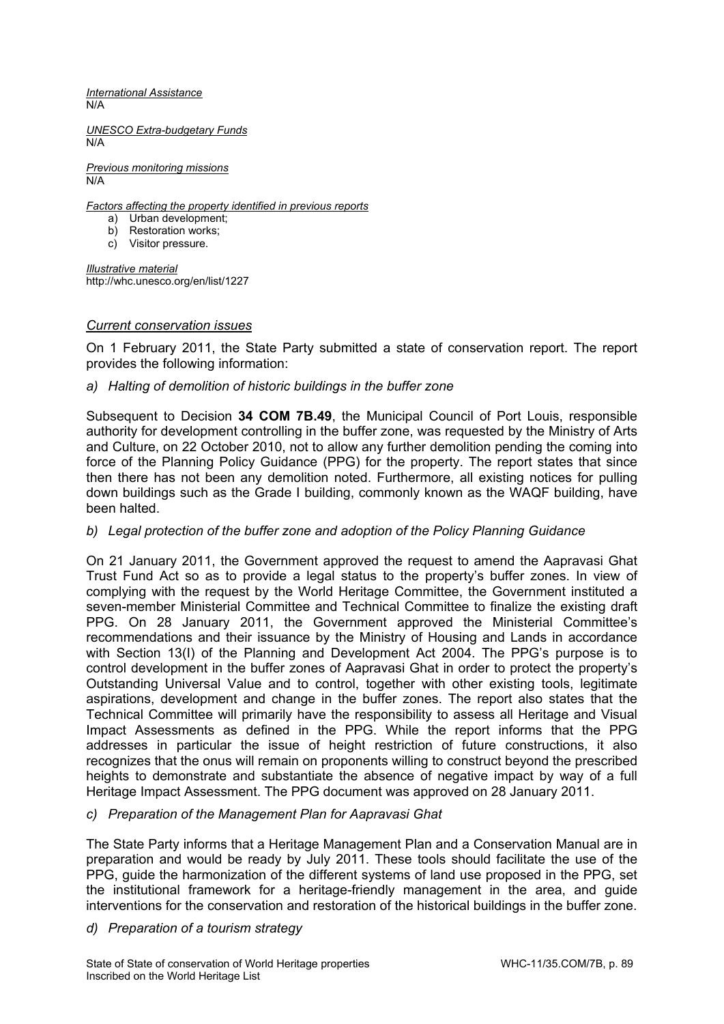*International Assistance*  N/A

*UNESCO Extra-budgetary Funds*  N/A

*Previous monitoring missions*   $\overline{N/A}$ 

*Factors affecting the property identified in previous reports* 

- a) Urban development;
- b) Restoration works;
- c) Visitor pressure.

*Illustrative material*  http://whc.unesco.org/en/list/1227

## *Current conservation issues*

On 1 February 2011, the State Party submitted a state of conservation report. The report provides the following information:

# *a) Halting of demolition of historic buildings in the buffer zone*

Subsequent to Decision **34 COM 7B.49**, the Municipal Council of Port Louis, responsible authority for development controlling in the buffer zone, was requested by the Ministry of Arts and Culture, on 22 October 2010, not to allow any further demolition pending the coming into force of the Planning Policy Guidance (PPG) for the property. The report states that since then there has not been any demolition noted. Furthermore, all existing notices for pulling down buildings such as the Grade I building, commonly known as the WAQF building, have been halted.

# *b) Legal protection of the buffer zone and adoption of the Policy Planning Guidance*

On 21 January 2011, the Government approved the request to amend the Aapravasi Ghat Trust Fund Act so as to provide a legal status to the property's buffer zones. In view of complying with the request by the World Heritage Committee, the Government instituted a seven-member Ministerial Committee and Technical Committee to finalize the existing draft PPG. On 28 January 2011, the Government approved the Ministerial Committee's recommendations and their issuance by the Ministry of Housing and Lands in accordance with Section 13(I) of the Planning and Development Act 2004. The PPG's purpose is to control development in the buffer zones of Aapravasi Ghat in order to protect the property's Outstanding Universal Value and to control, together with other existing tools, legitimate aspirations, development and change in the buffer zones. The report also states that the Technical Committee will primarily have the responsibility to assess all Heritage and Visual Impact Assessments as defined in the PPG. While the report informs that the PPG addresses in particular the issue of height restriction of future constructions, it also recognizes that the onus will remain on proponents willing to construct beyond the prescribed heights to demonstrate and substantiate the absence of negative impact by way of a full Heritage Impact Assessment. The PPG document was approved on 28 January 2011.

## *c) Preparation of the Management Plan for Aapravasi Ghat*

The State Party informs that a Heritage Management Plan and a Conservation Manual are in preparation and would be ready by July 2011. These tools should facilitate the use of the PPG, guide the harmonization of the different systems of land use proposed in the PPG, set the institutional framework for a heritage-friendly management in the area, and guide interventions for the conservation and restoration of the historical buildings in the buffer zone.

*d) Preparation of a tourism strategy*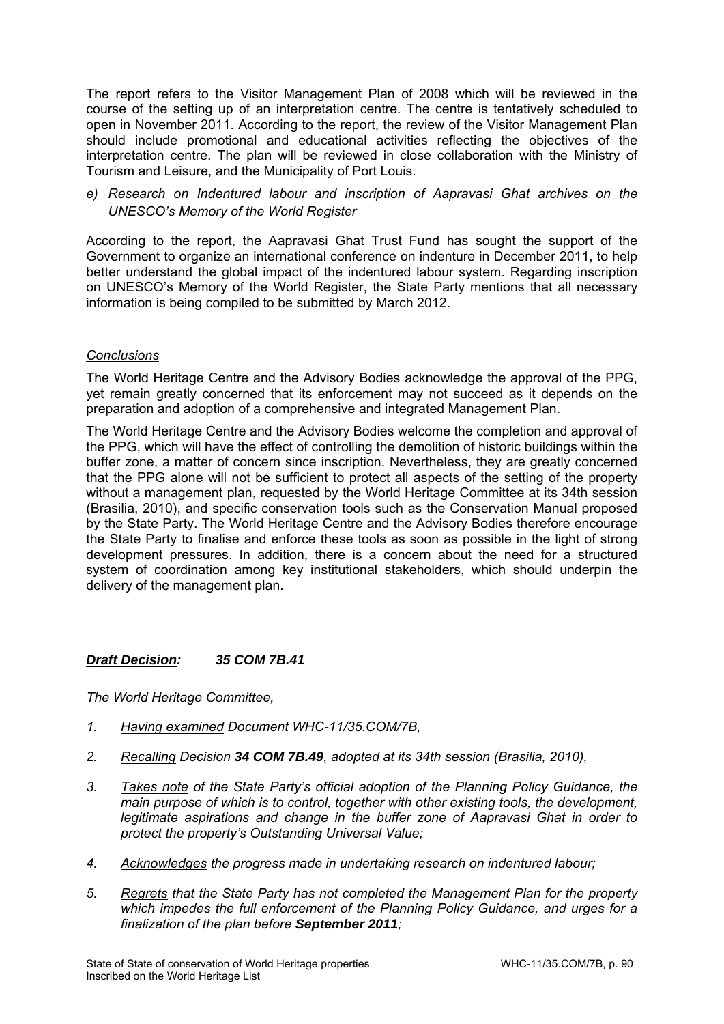The report refers to the Visitor Management Plan of 2008 which will be reviewed in the course of the setting up of an interpretation centre. The centre is tentatively scheduled to open in November 2011. According to the report, the review of the Visitor Management Plan should include promotional and educational activities reflecting the objectives of the interpretation centre. The plan will be reviewed in close collaboration with the Ministry of Tourism and Leisure, and the Municipality of Port Louis.

*e) Research on Indentured labour and inscription of Aapravasi Ghat archives on the UNESCO's Memory of the World Register* 

According to the report, the Aapravasi Ghat Trust Fund has sought the support of the Government to organize an international conference on indenture in December 2011, to help better understand the global impact of the indentured labour system. Regarding inscription on UNESCO's Memory of the World Register, the State Party mentions that all necessary information is being compiled to be submitted by March 2012.

## *Conclusions*

The World Heritage Centre and the Advisory Bodies acknowledge the approval of the PPG, yet remain greatly concerned that its enforcement may not succeed as it depends on the preparation and adoption of a comprehensive and integrated Management Plan.

The World Heritage Centre and the Advisory Bodies welcome the completion and approval of the PPG, which will have the effect of controlling the demolition of historic buildings within the buffer zone, a matter of concern since inscription. Nevertheless, they are greatly concerned that the PPG alone will not be sufficient to protect all aspects of the setting of the property without a management plan, requested by the World Heritage Committee at its 34th session (Brasilia, 2010), and specific conservation tools such as the Conservation Manual proposed by the State Party. The World Heritage Centre and the Advisory Bodies therefore encourage the State Party to finalise and enforce these tools as soon as possible in the light of strong development pressures. In addition, there is a concern about the need for a structured system of coordination among key institutional stakeholders, which should underpin the delivery of the management plan.

## *Draft Decision: 35 COM 7B.41*

- *1. Having examined Document WHC-11/35.COM/7B,*
- *2. Recalling Decision 34 COM 7B.49, adopted at its 34th session (Brasilia, 2010),*
- *3. Takes note of the State Party's official adoption of the Planning Policy Guidance, the main purpose of which is to control, together with other existing tools, the development, legitimate aspirations and change in the buffer zone of Aapravasi Ghat in order to protect the property's Outstanding Universal Value;*
- *4. Acknowledges the progress made in undertaking research on indentured labour;*
- *5. Regrets that the State Party has not completed the Management Plan for the property which impedes the full enforcement of the Planning Policy Guidance, and urges for a finalization of the plan before September 2011;*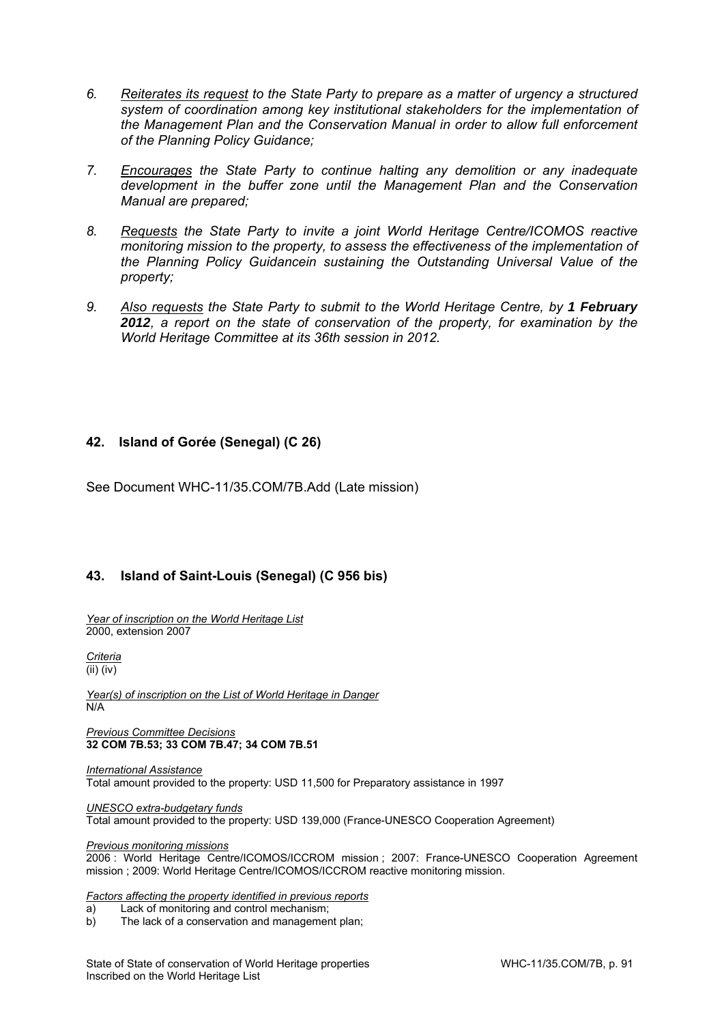- *6. Reiterates its request to the State Party to prepare as a matter of urgency a structured system of coordination among key institutional stakeholders for the implementation of the Management Plan and the Conservation Manual in order to allow full enforcement of the Planning Policy Guidance;*
- *7. Encourages the State Party to continue halting any demolition or any inadequate development in the buffer zone until the Management Plan and the Conservation Manual are prepared;*
- *8. Requests the State Party to invite a joint World Heritage Centre/ICOMOS reactive monitoring mission to the property, to assess the effectiveness of the implementation of the Planning Policy Guidancein sustaining the Outstanding Universal Value of the property;*
- 9. Also requests the State Party to submit to the World Heritage Centre, by 1 February *2012, a report on the state of conservation of the property, for examination by the World Heritage Committee at its 36th session in 2012.*

# **42. Island of Gorée (Senegal) (C 26)**

See Document WHC-11/35.COM/7B.Add (Late mission)

## **43. Island of Saint-Louis (Senegal) (C 956 bis)**

*Year of inscription on the World Heritage List*  2000, extension 2007

*Criteria*  (ii) (iv)

*Year(s) of inscription on the List of World Heritage in Danger*  N/A

*Previous Committee Decisions*  **32 COM 7B.53; 33 COM 7B.47; 34 COM 7B.51** 

*International Assistance*  Total amount provided to the property: USD 11,500 for Preparatory assistance in 1997

*UNESCO extra-budgetary funds*  Total amount provided to the property: USD 139,000 (France-UNESCO Cooperation Agreement)

*Previous monitoring missions* 

2006 : World Heritage Centre/ICOMOS/ICCROM mission ; 2007: France-UNESCO Cooperation Agreement mission ; 2009: World Heritage Centre/ICOMOS/ICCROM reactive monitoring mission.

*Factors affecting the property identified in previous reports* 

a) Lack of monitoring and control mechanism;

b) The lack of a conservation and management plan;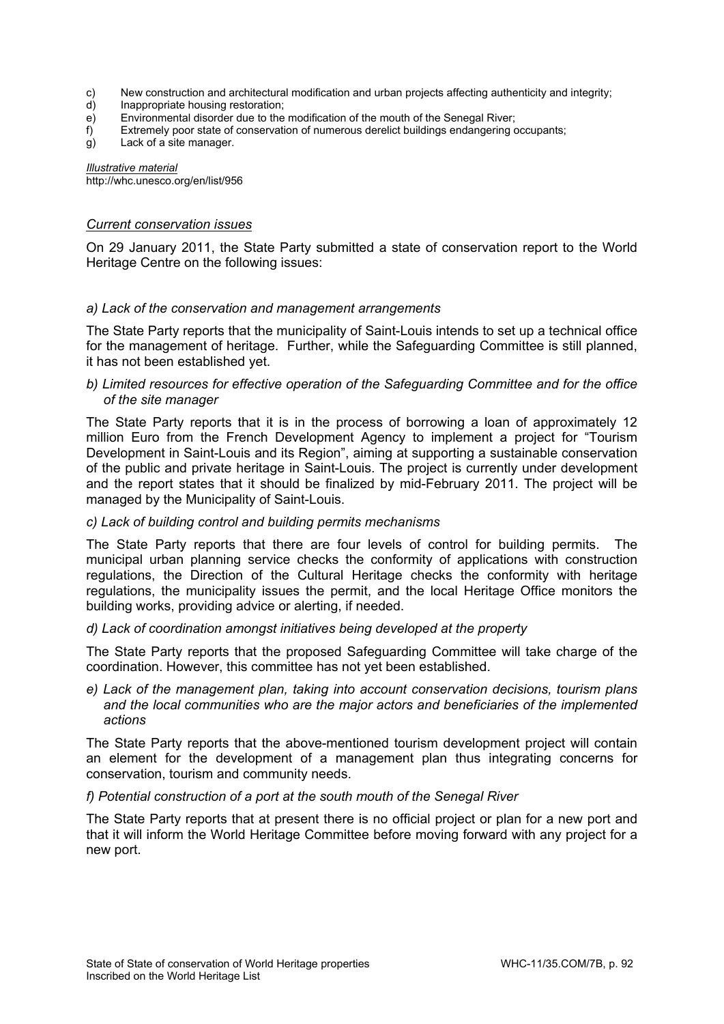- c) New construction and architectural modification and urban projects affecting authenticity and integrity;
- d) Inappropriate housing restoration;
- e) Environmental disorder due to the modification of the mouth of the Senegal River;
- f) Extremely poor state of conservation of numerous derelict buildings endangering occupants;
- g) Lack of a site manager.

*Illustrative material*  http://whc.unesco.org/en/list/956

### *Current conservation issues*

On 29 January 2011, the State Party submitted a state of conservation report to the World Heritage Centre on the following issues:

### *a) Lack of the conservation and management arrangements*

The State Party reports that the municipality of Saint-Louis intends to set up a technical office for the management of heritage. Further, while the Safeguarding Committee is still planned, it has not been established yet.

### *b) Limited resources for effective operation of the Safeguarding Committee and for the office of the site manager*

The State Party reports that it is in the process of borrowing a loan of approximately 12 million Euro from the French Development Agency to implement a project for "Tourism Development in Saint-Louis and its Region", aiming at supporting a sustainable conservation of the public and private heritage in Saint-Louis. The project is currently under development and the report states that it should be finalized by mid-February 2011. The project will be managed by the Municipality of Saint-Louis.

### *c) Lack of building control and building permits mechanisms*

The State Party reports that there are four levels of control for building permits. The municipal urban planning service checks the conformity of applications with construction regulations, the Direction of the Cultural Heritage checks the conformity with heritage regulations, the municipality issues the permit, and the local Heritage Office monitors the building works, providing advice or alerting, if needed.

### *d) Lack of coordination amongst initiatives being developed at the property*

The State Party reports that the proposed Safeguarding Committee will take charge of the coordination. However, this committee has not yet been established.

*e) Lack of the management plan, taking into account conservation decisions, tourism plans and the local communities who are the major actors and beneficiaries of the implemented actions* 

The State Party reports that the above-mentioned tourism development project will contain an element for the development of a management plan thus integrating concerns for conservation, tourism and community needs.

### *f) Potential construction of a port at the south mouth of the Senegal River*

The State Party reports that at present there is no official project or plan for a new port and that it will inform the World Heritage Committee before moving forward with any project for a new port.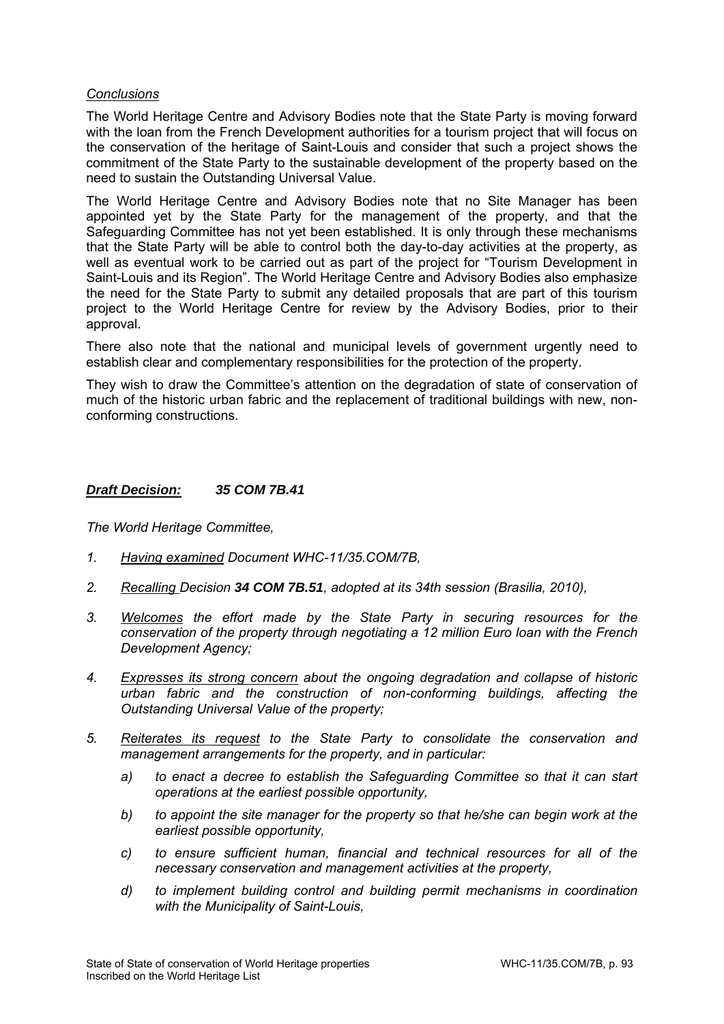### *Conclusions*

The World Heritage Centre and Advisory Bodies note that the State Party is moving forward with the loan from the French Development authorities for a tourism project that will focus on the conservation of the heritage of Saint-Louis and consider that such a project shows the commitment of the State Party to the sustainable development of the property based on the need to sustain the Outstanding Universal Value.

The World Heritage Centre and Advisory Bodies note that no Site Manager has been appointed yet by the State Party for the management of the property, and that the Safeguarding Committee has not yet been established. It is only through these mechanisms that the State Party will be able to control both the day-to-day activities at the property, as well as eventual work to be carried out as part of the project for "Tourism Development in Saint-Louis and its Region". The World Heritage Centre and Advisory Bodies also emphasize the need for the State Party to submit any detailed proposals that are part of this tourism project to the World Heritage Centre for review by the Advisory Bodies, prior to their approval.

There also note that the national and municipal levels of government urgently need to establish clear and complementary responsibilities for the protection of the property.

They wish to draw the Committee's attention on the degradation of state of conservation of much of the historic urban fabric and the replacement of traditional buildings with new, nonconforming constructions.

### *Draft Decision: 35 COM 7B.41*

- *1. Having examined Document WHC-11/35.COM/7B,*
- *2. Recalling Decision 34 COM 7B.51, adopted at its 34th session (Brasilia, 2010),*
- *3. Welcomes the effort made by the State Party in securing resources for the conservation of the property through negotiating a 12 million Euro loan with the French Development Agency;*
- *4. Expresses its strong concern about the ongoing degradation and collapse of historic urban fabric and the construction of non-conforming buildings, affecting the Outstanding Universal Value of the property;*
- *5. Reiterates its request to the State Party to consolidate the conservation and management arrangements for the property, and in particular:* 
	- *a) to enact a decree to establish the Safeguarding Committee so that it can start operations at the earliest possible opportunity,*
	- *b) to appoint the site manager for the property so that he/she can begin work at the earliest possible opportunity,*
	- *c) to ensure sufficient human, financial and technical resources for all of the necessary conservation and management activities at the property,*
	- *d) to implement building control and building permit mechanisms in coordination with the Municipality of Saint-Louis,*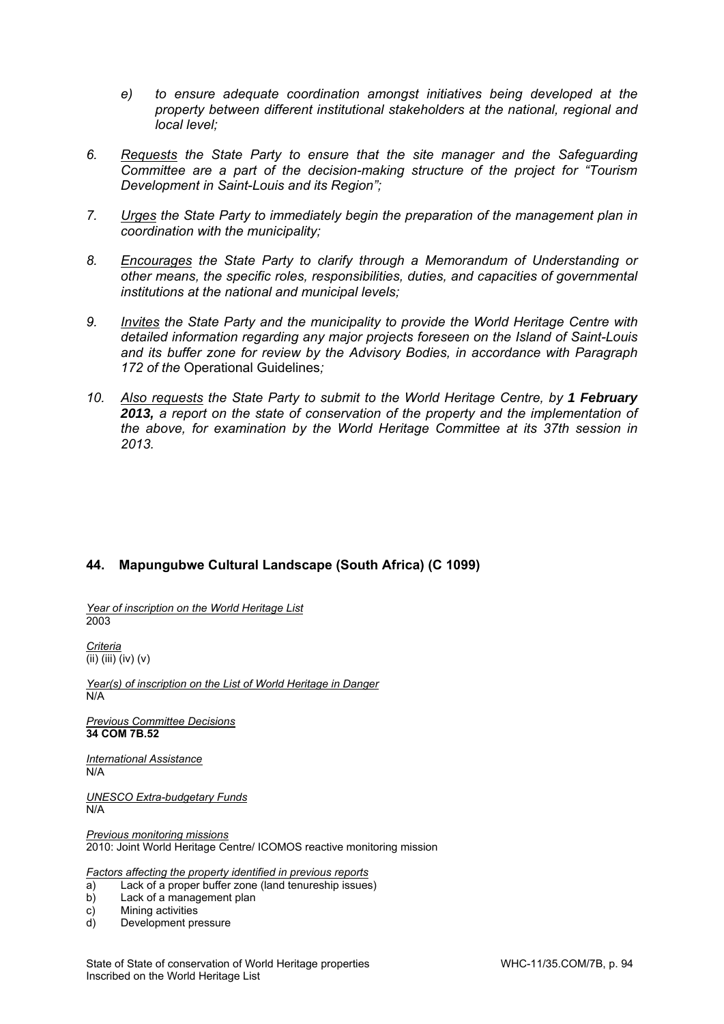- *e) to ensure adequate coordination amongst initiatives being developed at the property between different institutional stakeholders at the national, regional and local level;*
- *6. Requests the State Party to ensure that the site manager and the Safeguarding Committee are a part of the decision-making structure of the project for "Tourism Development in Saint-Louis and its Region";*
- *7. Urges the State Party to immediately begin the preparation of the management plan in coordination with the municipality;*
- *8. Encourages the State Party to clarify through a Memorandum of Understanding or other means, the specific roles, responsibilities, duties, and capacities of governmental institutions at the national and municipal levels;*
- *9. Invites the State Party and the municipality to provide the World Heritage Centre with detailed information regarding any major projects foreseen on the Island of Saint-Louis and its buffer zone for review by the Advisory Bodies, in accordance with Paragraph 172 of the* Operational Guidelines*;*
- 10. Also requests the State Party to submit to the World Heritage Centre, by 1 February *2013, a report on the state of conservation of the property and the implementation of the above, for examination by the World Heritage Committee at its 37th session in 2013.*

## **44. Mapungubwe Cultural Landscape (South Africa) (C 1099)**

*Year of inscription on the World Heritage List*  2003

*Criteria*   $\overline{\text{(ii) (iii) (iv) (v)}}$ 

*Year(s) of inscription on the List of World Heritage in Danger*  N/A

*Previous Committee Decisions*  **34 COM 7B.52**

*International Assistance*  N/A

*UNESCO Extra-budgetary Funds*  N/A

*Previous monitoring missions*  2010: Joint World Heritage Centre/ ICOMOS reactive monitoring mission

*Factors affecting the property identified in previous reports* 

- a) Lack of a proper buffer zone (land tenureship issues)
- b) Lack of a management plan

c) Mining activities

d) Development pressure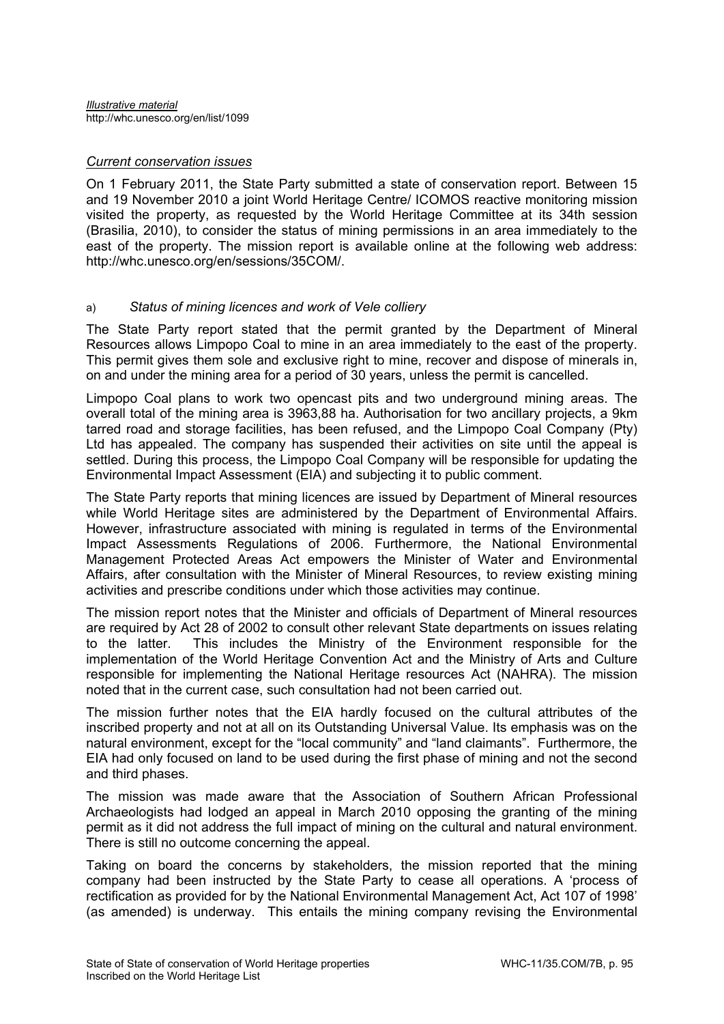### *Current conservation issues*

On 1 February 2011, the State Party submitted a state of conservation report. Between 15 and 19 November 2010 a joint World Heritage Centre/ ICOMOS reactive monitoring mission visited the property, as requested by the World Heritage Committee at its 34th session (Brasilia, 2010), to consider the status of mining permissions in an area immediately to the east of the property. The mission report is available online at the following web address: http://whc.unesco.org/en/sessions/35COM/.

## a) *Status of mining licences and work of Vele colliery*

The State Party report stated that the permit granted by the Department of Mineral Resources allows Limpopo Coal to mine in an area immediately to the east of the property. This permit gives them sole and exclusive right to mine, recover and dispose of minerals in, on and under the mining area for a period of 30 years, unless the permit is cancelled.

Limpopo Coal plans to work two opencast pits and two underground mining areas. The overall total of the mining area is 3963,88 ha. Authorisation for two ancillary projects, a 9km tarred road and storage facilities, has been refused, and the Limpopo Coal Company (Pty) Ltd has appealed. The company has suspended their activities on site until the appeal is settled. During this process, the Limpopo Coal Company will be responsible for updating the Environmental Impact Assessment (EIA) and subjecting it to public comment.

The State Party reports that mining licences are issued by Department of Mineral resources while World Heritage sites are administered by the Department of Environmental Affairs. However, infrastructure associated with mining is regulated in terms of the Environmental Impact Assessments Regulations of 2006. Furthermore, the National Environmental Management Protected Areas Act empowers the Minister of Water and Environmental Affairs, after consultation with the Minister of Mineral Resources, to review existing mining activities and prescribe conditions under which those activities may continue.

The mission report notes that the Minister and officials of Department of Mineral resources are required by Act 28 of 2002 to consult other relevant State departments on issues relating to the latter. This includes the Ministry of the Environment responsible for the implementation of the World Heritage Convention Act and the Ministry of Arts and Culture responsible for implementing the National Heritage resources Act (NAHRA). The mission noted that in the current case, such consultation had not been carried out.

The mission further notes that the EIA hardly focused on the cultural attributes of the inscribed property and not at all on its Outstanding Universal Value. Its emphasis was on the natural environment, except for the "local community" and "land claimants". Furthermore, the EIA had only focused on land to be used during the first phase of mining and not the second and third phases.

The mission was made aware that the Association of Southern African Professional Archaeologists had lodged an appeal in March 2010 opposing the granting of the mining permit as it did not address the full impact of mining on the cultural and natural environment. There is still no outcome concerning the appeal.

Taking on board the concerns by stakeholders, the mission reported that the mining company had been instructed by the State Party to cease all operations. A 'process of rectification as provided for by the National Environmental Management Act, Act 107 of 1998' (as amended) is underway. This entails the mining company revising the Environmental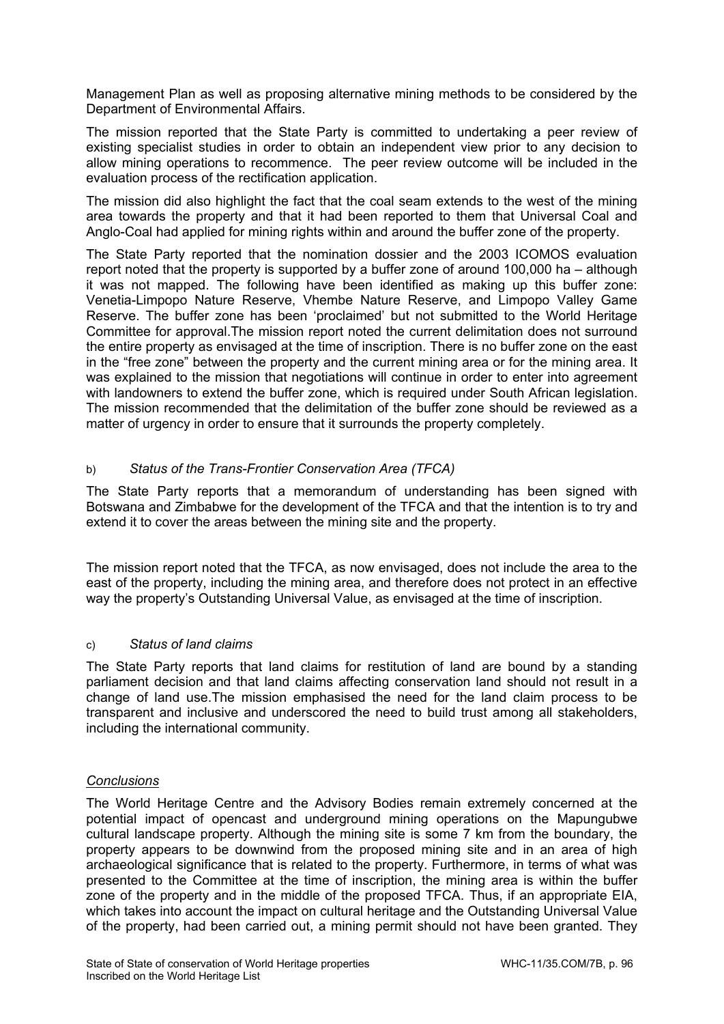Management Plan as well as proposing alternative mining methods to be considered by the Department of Environmental Affairs.

The mission reported that the State Party is committed to undertaking a peer review of existing specialist studies in order to obtain an independent view prior to any decision to allow mining operations to recommence. The peer review outcome will be included in the evaluation process of the rectification application.

The mission did also highlight the fact that the coal seam extends to the west of the mining area towards the property and that it had been reported to them that Universal Coal and Anglo-Coal had applied for mining rights within and around the buffer zone of the property.

The State Party reported that the nomination dossier and the 2003 ICOMOS evaluation report noted that the property is supported by a buffer zone of around 100,000 ha – although it was not mapped. The following have been identified as making up this buffer zone: Venetia-Limpopo Nature Reserve, Vhembe Nature Reserve, and Limpopo Valley Game Reserve. The buffer zone has been 'proclaimed' but not submitted to the World Heritage Committee for approval.The mission report noted the current delimitation does not surround the entire property as envisaged at the time of inscription. There is no buffer zone on the east in the "free zone" between the property and the current mining area or for the mining area. It was explained to the mission that negotiations will continue in order to enter into agreement with landowners to extend the buffer zone, which is required under South African legislation. The mission recommended that the delimitation of the buffer zone should be reviewed as a matter of urgency in order to ensure that it surrounds the property completely.

# b) *Status of the Trans-Frontier Conservation Area (TFCA)*

The State Party reports that a memorandum of understanding has been signed with Botswana and Zimbabwe for the development of the TFCA and that the intention is to try and extend it to cover the areas between the mining site and the property.

The mission report noted that the TFCA, as now envisaged, does not include the area to the east of the property, including the mining area, and therefore does not protect in an effective way the property's Outstanding Universal Value, as envisaged at the time of inscription.

## c) *Status of land claims*

The State Party reports that land claims for restitution of land are bound by a standing parliament decision and that land claims affecting conservation land should not result in a change of land use.The mission emphasised the need for the land claim process to be transparent and inclusive and underscored the need to build trust among all stakeholders, including the international community.

## *Conclusions*

The World Heritage Centre and the Advisory Bodies remain extremely concerned at the potential impact of opencast and underground mining operations on the Mapungubwe cultural landscape property. Although the mining site is some 7 km from the boundary, the property appears to be downwind from the proposed mining site and in an area of high archaeological significance that is related to the property. Furthermore, in terms of what was presented to the Committee at the time of inscription, the mining area is within the buffer zone of the property and in the middle of the proposed TFCA. Thus, if an appropriate EIA, which takes into account the impact on cultural heritage and the Outstanding Universal Value of the property, had been carried out, a mining permit should not have been granted. They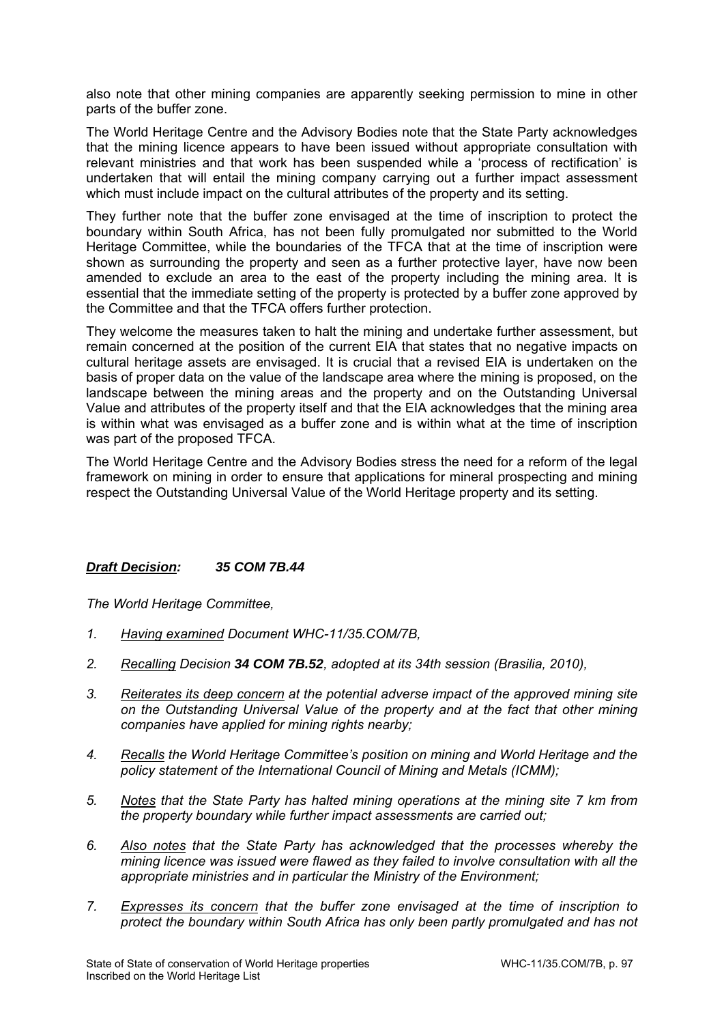also note that other mining companies are apparently seeking permission to mine in other parts of the buffer zone.

The World Heritage Centre and the Advisory Bodies note that the State Party acknowledges that the mining licence appears to have been issued without appropriate consultation with relevant ministries and that work has been suspended while a 'process of rectification' is undertaken that will entail the mining company carrying out a further impact assessment which must include impact on the cultural attributes of the property and its setting.

They further note that the buffer zone envisaged at the time of inscription to protect the boundary within South Africa, has not been fully promulgated nor submitted to the World Heritage Committee, while the boundaries of the TFCA that at the time of inscription were shown as surrounding the property and seen as a further protective layer, have now been amended to exclude an area to the east of the property including the mining area. It is essential that the immediate setting of the property is protected by a buffer zone approved by the Committee and that the TFCA offers further protection.

They welcome the measures taken to halt the mining and undertake further assessment, but remain concerned at the position of the current EIA that states that no negative impacts on cultural heritage assets are envisaged. It is crucial that a revised EIA is undertaken on the basis of proper data on the value of the landscape area where the mining is proposed, on the landscape between the mining areas and the property and on the Outstanding Universal Value and attributes of the property itself and that the EIA acknowledges that the mining area is within what was envisaged as a buffer zone and is within what at the time of inscription was part of the proposed TFCA.

The World Heritage Centre and the Advisory Bodies stress the need for a reform of the legal framework on mining in order to ensure that applications for mineral prospecting and mining respect the Outstanding Universal Value of the World Heritage property and its setting.

## *Draft Decision: 35 COM 7B.44*

- *1. Having examined Document WHC-11/35.COM/7B,*
- *2. Recalling Decision 34 COM 7B.52, adopted at its 34th session (Brasilia, 2010),*
- *3. Reiterates its deep concern at the potential adverse impact of the approved mining site on the Outstanding Universal Value of the property and at the fact that other mining companies have applied for mining rights nearby;*
- *4. Recalls the World Heritage Committee's position on mining and World Heritage and the policy statement of the International Council of Mining and Metals (ICMM);*
- *5. Notes that the State Party has halted mining operations at the mining site 7 km from the property boundary while further impact assessments are carried out;*
- *6. Also notes that the State Party has acknowledged that the processes whereby the mining licence was issued were flawed as they failed to involve consultation with all the appropriate ministries and in particular the Ministry of the Environment;*
- *7. Expresses its concern that the buffer zone envisaged at the time of inscription to protect the boundary within South Africa has only been partly promulgated and has not*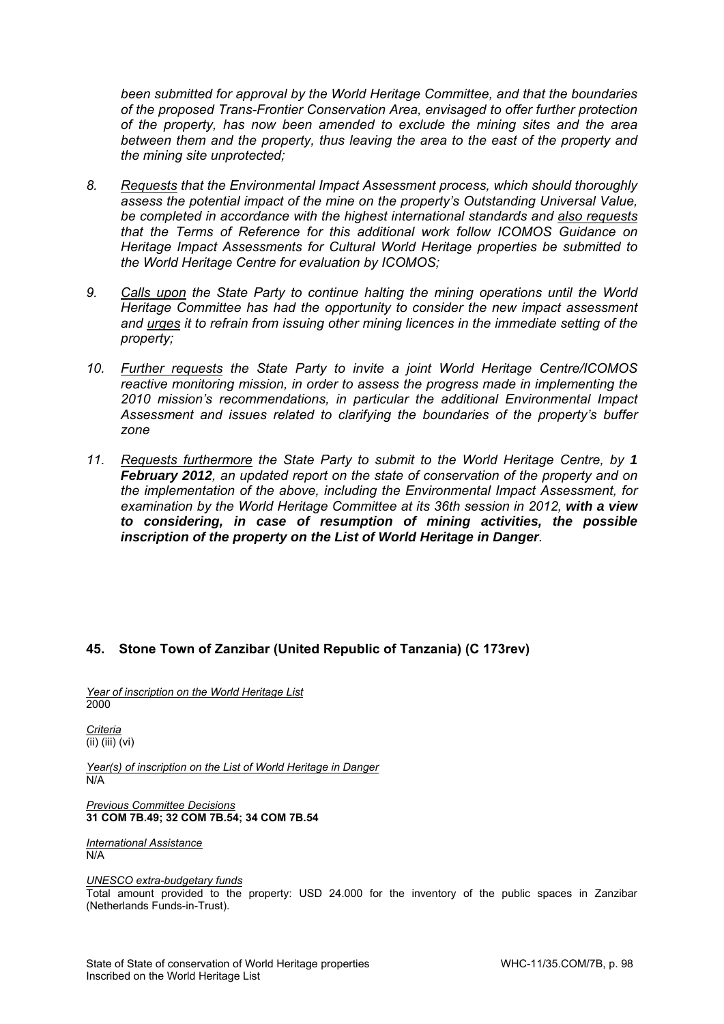*been submitted for approval by the World Heritage Committee, and that the boundaries of the proposed Trans-Frontier Conservation Area, envisaged to offer further protection of the property, has now been amended to exclude the mining sites and the area*  between them and the property, thus leaving the area to the east of the property and *the mining site unprotected;* 

- *8. Requests that the Environmental Impact Assessment process, which should thoroughly assess the potential impact of the mine on the property's Outstanding Universal Value, be completed in accordance with the highest international standards and also requests that the Terms of Reference for this additional work follow ICOMOS Guidance on Heritage Impact Assessments for Cultural World Heritage properties be submitted to the World Heritage Centre for evaluation by ICOMOS;*
- *9. Calls upon the State Party to continue halting the mining operations until the World Heritage Committee has had the opportunity to consider the new impact assessment and urges it to refrain from issuing other mining licences in the immediate setting of the property;*
- *10. Further requests the State Party to invite a joint World Heritage Centre/ICOMOS reactive monitoring mission, in order to assess the progress made in implementing the 2010 mission's recommendations, in particular the additional Environmental Impact Assessment and issues related to clarifying the boundaries of the property's buffer zone*
- *11. Requests furthermore the State Party to submit to the World Heritage Centre, by 1 February 2012, an updated report on the state of conservation of the property and on the implementation of the above, including the Environmental Impact Assessment, for examination by the World Heritage Committee at its 36th session in 2012, with a view to considering, in case of resumption of mining activities, the possible inscription of the property on the List of World Heritage in Danger.*

## **45. Stone Town of Zanzibar (United Republic of Tanzania) (C 173rev)**

*Year of inscription on the World Heritage List*  2000

*Criteria*   $(ii)$   $(iii)$   $(vi)$ 

*Year(s) of inscription on the List of World Heritage in Danger*  N/A

*Previous Committee Decisions*  **31 COM 7B.49; 32 COM 7B.54; 34 COM 7B.54** 

*International Assistance*  N/A

*UNESCO extra-budgetary funds* 

Total amount provided to the property: USD 24.000 for the inventory of the public spaces in Zanzibar (Netherlands Funds-in-Trust).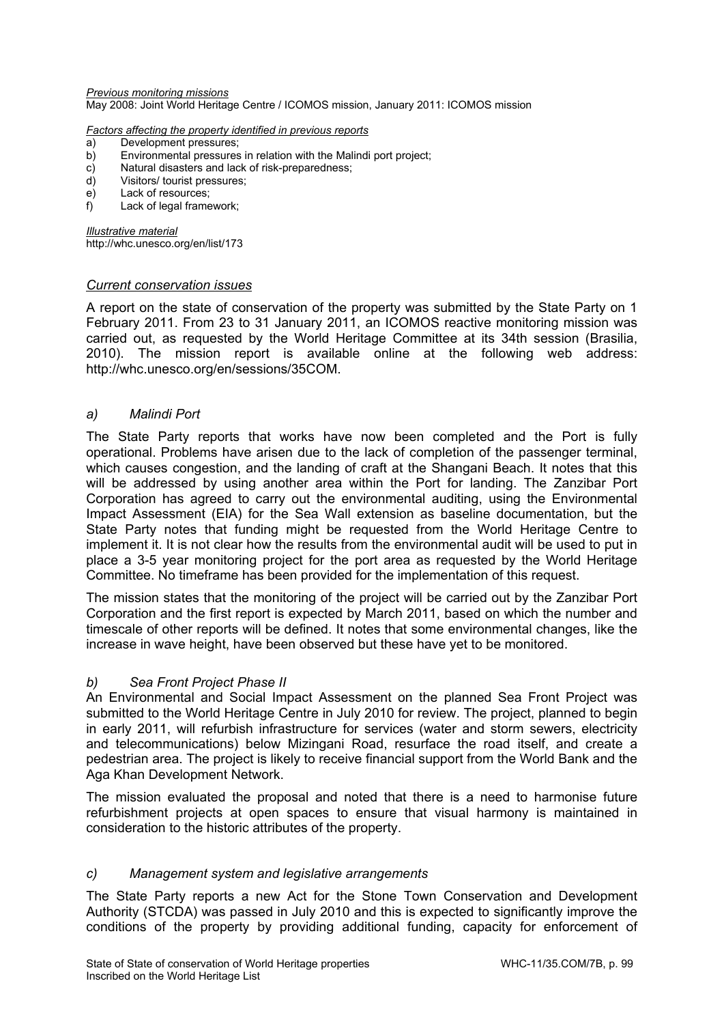*Previous monitoring missions*  May 2008: Joint World Heritage Centre / ICOMOS mission, January 2011: ICOMOS mission

#### *Factors affecting the property identified in previous reports*

- a) Development pressures;
- b) Environmental pressures in relation with the Malindi port project;
- c) Natural disasters and lack of risk-preparedness;
- d) Visitors/ tourist pressures;
- e) Lack of resources;
- f) Lack of legal framework;

*Illustrative material*  http://whc.unesco.org/en/list/173

### *Current conservation issues*

A report on the state of conservation of the property was submitted by the State Party on 1 February 2011. From 23 to 31 January 2011, an ICOMOS reactive monitoring mission was carried out, as requested by the World Heritage Committee at its 34th session (Brasilia, 2010). The mission report is available online at the following web address: http://whc.unesco.org/en/sessions/35COM.

### *a) Malindi Port*

The State Party reports that works have now been completed and the Port is fully operational. Problems have arisen due to the lack of completion of the passenger terminal, which causes congestion, and the landing of craft at the Shangani Beach. It notes that this will be addressed by using another area within the Port for landing. The Zanzibar Port Corporation has agreed to carry out the environmental auditing, using the Environmental Impact Assessment (EIA) for the Sea Wall extension as baseline documentation, but the State Party notes that funding might be requested from the World Heritage Centre to implement it. It is not clear how the results from the environmental audit will be used to put in place a 3-5 year monitoring project for the port area as requested by the World Heritage Committee. No timeframe has been provided for the implementation of this request.

The mission states that the monitoring of the project will be carried out by the Zanzibar Port Corporation and the first report is expected by March 2011, based on which the number and timescale of other reports will be defined. It notes that some environmental changes, like the increase in wave height, have been observed but these have yet to be monitored.

### *b) Sea Front Project Phase II*

An Environmental and Social Impact Assessment on the planned Sea Front Project was submitted to the World Heritage Centre in July 2010 for review. The project, planned to begin in early 2011, will refurbish infrastructure for services (water and storm sewers, electricity and telecommunications) below Mizingani Road, resurface the road itself, and create a pedestrian area. The project is likely to receive financial support from the World Bank and the Aga Khan Development Network.

The mission evaluated the proposal and noted that there is a need to harmonise future refurbishment projects at open spaces to ensure that visual harmony is maintained in consideration to the historic attributes of the property.

### *c) Management system and legislative arrangements*

The State Party reports a new Act for the Stone Town Conservation and Development Authority (STCDA) was passed in July 2010 and this is expected to significantly improve the conditions of the property by providing additional funding, capacity for enforcement of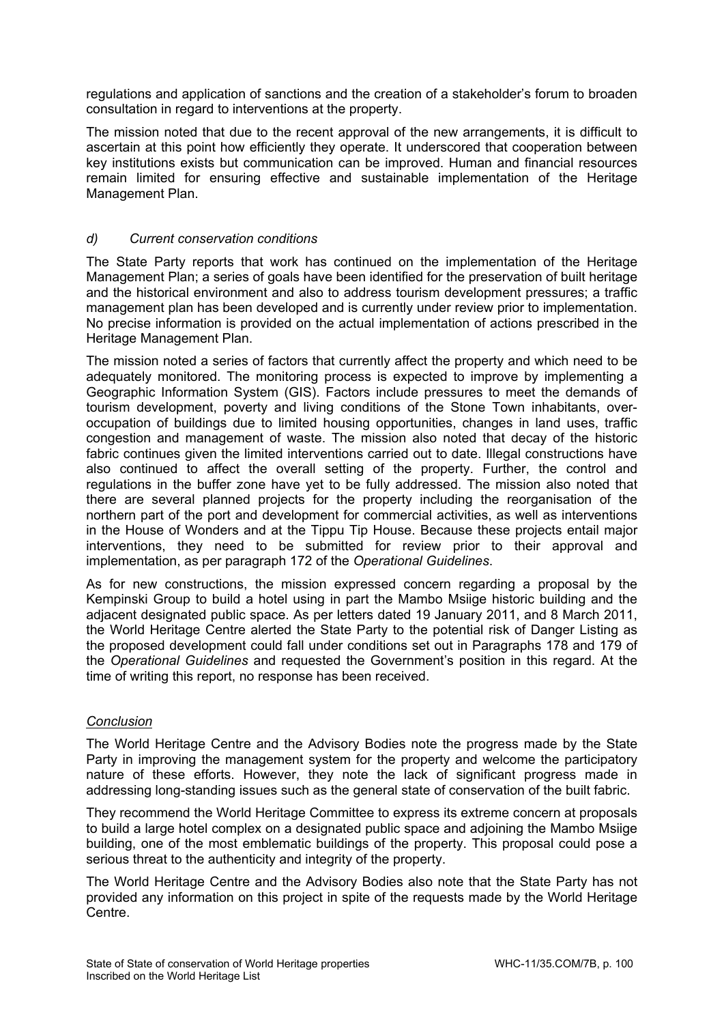regulations and application of sanctions and the creation of a stakeholder's forum to broaden consultation in regard to interventions at the property.

The mission noted that due to the recent approval of the new arrangements, it is difficult to ascertain at this point how efficiently they operate. It underscored that cooperation between key institutions exists but communication can be improved. Human and financial resources remain limited for ensuring effective and sustainable implementation of the Heritage Management Plan.

# *d) Current conservation conditions*

The State Party reports that work has continued on the implementation of the Heritage Management Plan; a series of goals have been identified for the preservation of built heritage and the historical environment and also to address tourism development pressures; a traffic management plan has been developed and is currently under review prior to implementation. No precise information is provided on the actual implementation of actions prescribed in the Heritage Management Plan.

The mission noted a series of factors that currently affect the property and which need to be adequately monitored. The monitoring process is expected to improve by implementing a Geographic Information System (GIS). Factors include pressures to meet the demands of tourism development, poverty and living conditions of the Stone Town inhabitants, overoccupation of buildings due to limited housing opportunities, changes in land uses, traffic congestion and management of waste. The mission also noted that decay of the historic fabric continues given the limited interventions carried out to date. Illegal constructions have also continued to affect the overall setting of the property. Further, the control and regulations in the buffer zone have yet to be fully addressed. The mission also noted that there are several planned projects for the property including the reorganisation of the northern part of the port and development for commercial activities, as well as interventions in the House of Wonders and at the Tippu Tip House. Because these projects entail major interventions, they need to be submitted for review prior to their approval and implementation, as per paragraph 172 of the *Operational Guidelines*.

As for new constructions, the mission expressed concern regarding a proposal by the Kempinski Group to build a hotel using in part the Mambo Msiige historic building and the adjacent designated public space. As per letters dated 19 January 2011, and 8 March 2011, the World Heritage Centre alerted the State Party to the potential risk of Danger Listing as the proposed development could fall under conditions set out in Paragraphs 178 and 179 of the *Operational Guidelines* and requested the Government's position in this regard. At the time of writing this report, no response has been received.

## *Conclusion*

The World Heritage Centre and the Advisory Bodies note the progress made by the State Party in improving the management system for the property and welcome the participatory nature of these efforts. However, they note the lack of significant progress made in addressing long-standing issues such as the general state of conservation of the built fabric.

They recommend the World Heritage Committee to express its extreme concern at proposals to build a large hotel complex on a designated public space and adjoining the Mambo Msiige building, one of the most emblematic buildings of the property. This proposal could pose a serious threat to the authenticity and integrity of the property.

The World Heritage Centre and the Advisory Bodies also note that the State Party has not provided any information on this project in spite of the requests made by the World Heritage Centre.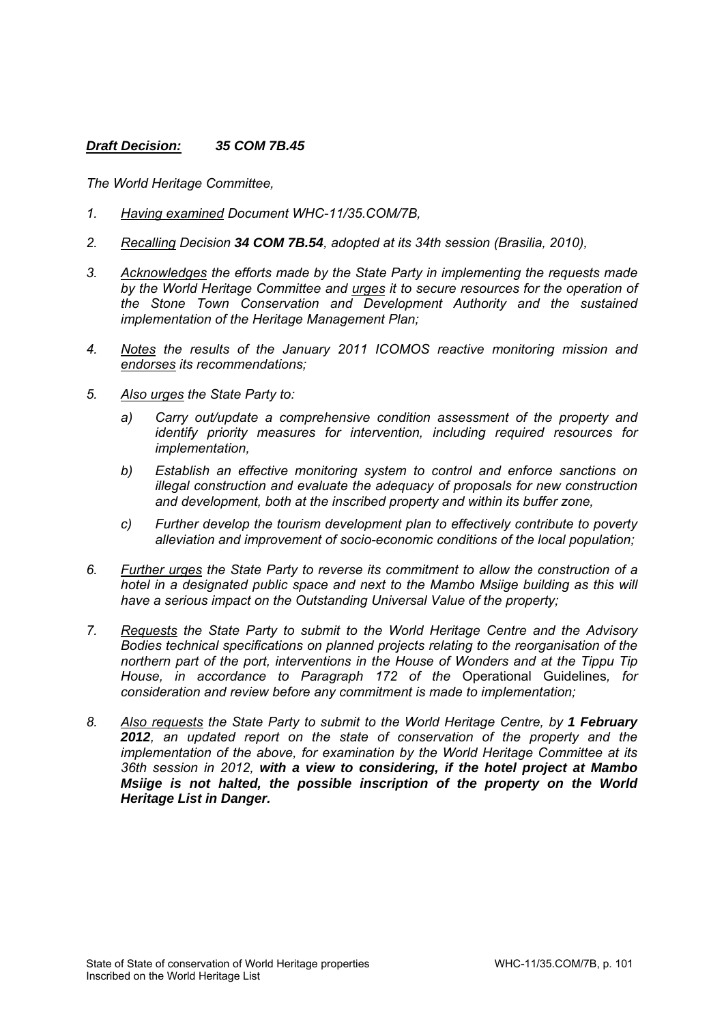## *Draft Decision: 35 COM 7B.45*

- *1. Having examined Document WHC-11/35.COM/7B,*
- *2. Recalling Decision 34 COM 7B.54, adopted at its 34th session (Brasilia, 2010),*
- *3. Acknowledges the efforts made by the State Party in implementing the requests made by the World Heritage Committee and urges it to secure resources for the operation of the Stone Town Conservation and Development Authority and the sustained implementation of the Heritage Management Plan;*
- *4. Notes the results of the January 2011 ICOMOS reactive monitoring mission and endorses its recommendations;*
- *5. Also urges the State Party to:* 
	- *a) Carry out/update a comprehensive condition assessment of the property and identify priority measures for intervention, including required resources for implementation,*
	- *b) Establish an effective monitoring system to control and enforce sanctions on illegal construction and evaluate the adequacy of proposals for new construction and development, both at the inscribed property and within its buffer zone,*
	- *c) Further develop the tourism development plan to effectively contribute to poverty alleviation and improvement of socio-economic conditions of the local population;*
- *6. Further urges the State Party to reverse its commitment to allow the construction of a hotel in a designated public space and next to the Mambo Msiige building as this will have a serious impact on the Outstanding Universal Value of the property;*
- *7. Requests the State Party to submit to the World Heritage Centre and the Advisory Bodies technical specifications on planned projects relating to the reorganisation of the northern part of the port, interventions in the House of Wonders and at the Tippu Tip House, in accordance to Paragraph 172 of the* Operational Guidelines*, for consideration and review before any commitment is made to implementation;*
- *8. Also requests the State Party to submit to the World Heritage Centre, by 1 February 2012, an updated report on the state of conservation of the property and the implementation of the above, for examination by the World Heritage Committee at its 36th session in 2012, with a view to considering, if the hotel project at Mambo Msiige is not halted, the possible inscription of the property on the World Heritage List in Danger.*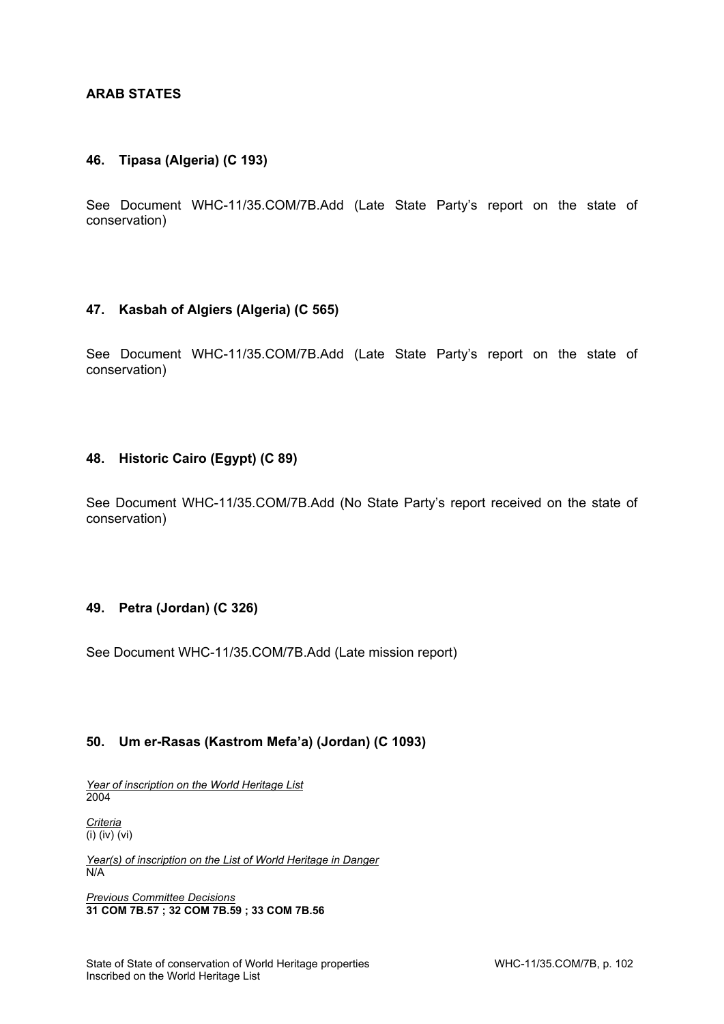# **ARAB STATES**

### **46. Tipasa (Algeria) (C 193)**

See Document WHC-11/35.COM/7B.Add (Late State Party's report on the state of conservation)

### **47. Kasbah of Algiers (Algeria) (C 565)**

See Document WHC-11/35.COM/7B.Add (Late State Party's report on the state of conservation)

### **48. Historic Cairo (Egypt) (C 89)**

See Document WHC-11/35.COM/7B.Add (No State Party's report received on the state of conservation)

## **49. Petra (Jordan) (C 326)**

See Document WHC-11/35.COM/7B.Add (Late mission report)

## **50. Um er-Rasas (Kastrom Mefa'a) (Jordan) (C 1093)**

*Year of inscription on the World Heritage List*  2004

*Criteria*  (i) (iv) (vi)

*Year(s) of inscription on the List of World Heritage in Danger*  N/A

*Previous Committee Decisions*  **31 COM 7B.57 ; 32 COM 7B.59 ; 33 COM 7B.56**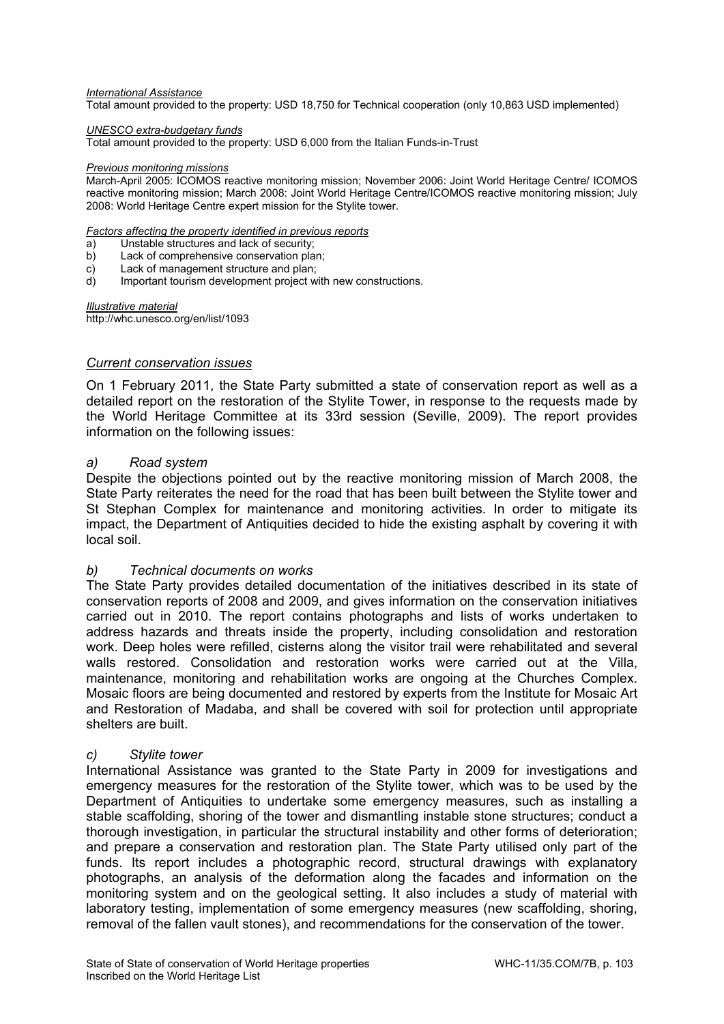#### *International Assistance*

Total amount provided to the property: USD 18,750 for Technical cooperation (only 10,863 USD implemented)

#### *UNESCO extra-budgetary funds*

Total amount provided to the property: USD 6,000 from the Italian Funds-in-Trust

#### *Previous monitoring missions*

March-April 2005: ICOMOS reactive monitoring mission; November 2006: Joint World Heritage Centre/ ICOMOS reactive monitoring mission; March 2008: Joint World Heritage Centre/ICOMOS reactive monitoring mission; July 2008: World Heritage Centre expert mission for the Stylite tower.

### *Factors affecting the property identified in previous reports*

- a) Unstable structures and lack of security;
- b) Lack of comprehensive conservation plan;
- c) Lack of management structure and plan;
- d) Important tourism development project with new constructions.

*Illustrative material*  http://whc.unesco.org/en/list/1093

### *Current conservation issues*

On 1 February 2011, the State Party submitted a state of conservation report as well as a detailed report on the restoration of the Stylite Tower, in response to the requests made by the World Heritage Committee at its 33rd session (Seville, 2009). The report provides information on the following issues:

### *a) Road system*

Despite the objections pointed out by the reactive monitoring mission of March 2008, the State Party reiterates the need for the road that has been built between the Stylite tower and St Stephan Complex for maintenance and monitoring activities. In order to mitigate its impact, the Department of Antiquities decided to hide the existing asphalt by covering it with local soil.

### *b) Technical documents on works*

The State Party provides detailed documentation of the initiatives described in its state of conservation reports of 2008 and 2009, and gives information on the conservation initiatives carried out in 2010. The report contains photographs and lists of works undertaken to address hazards and threats inside the property, including consolidation and restoration work. Deep holes were refilled, cisterns along the visitor trail were rehabilitated and several walls restored. Consolidation and restoration works were carried out at the Villa, maintenance, monitoring and rehabilitation works are ongoing at the Churches Complex. Mosaic floors are being documented and restored by experts from the Institute for Mosaic Art and Restoration of Madaba, and shall be covered with soil for protection until appropriate shelters are built.

#### *c) Stylite tower*

International Assistance was granted to the State Party in 2009 for investigations and emergency measures for the restoration of the Stylite tower, which was to be used by the Department of Antiquities to undertake some emergency measures, such as installing a stable scaffolding, shoring of the tower and dismantling instable stone structures; conduct a thorough investigation, in particular the structural instability and other forms of deterioration; and prepare a conservation and restoration plan. The State Party utilised only part of the funds. Its report includes a photographic record, structural drawings with explanatory photographs, an analysis of the deformation along the facades and information on the monitoring system and on the geological setting. It also includes a study of material with laboratory testing, implementation of some emergency measures (new scaffolding, shoring, removal of the fallen vault stones), and recommendations for the conservation of the tower.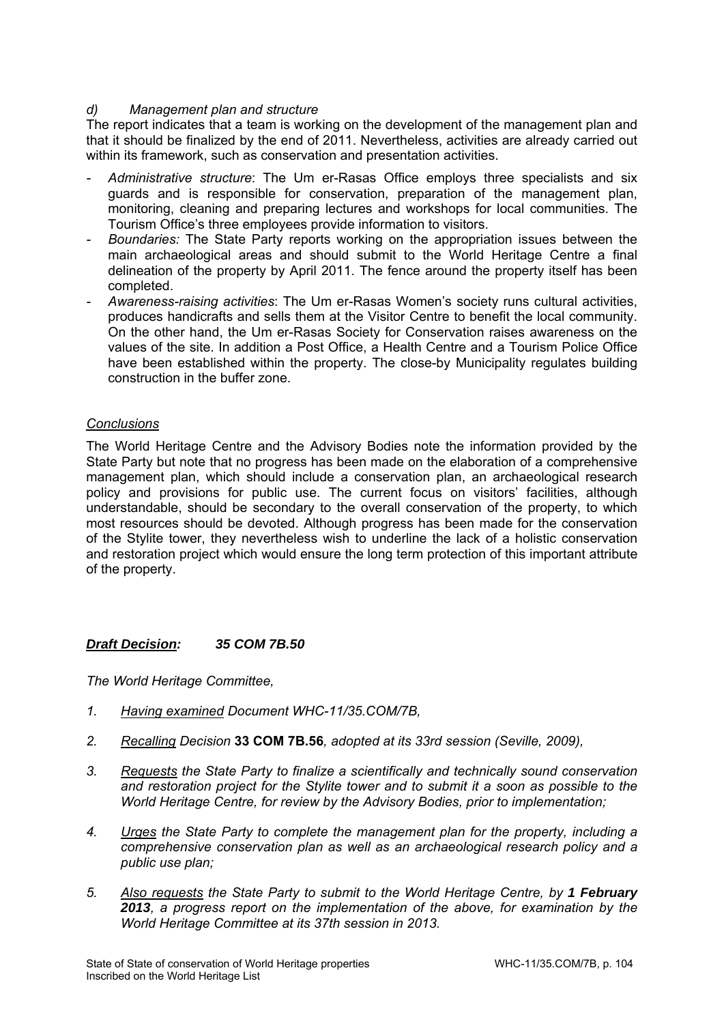# *d) Management plan and structure*

The report indicates that a team is working on the development of the management plan and that it should be finalized by the end of 2011. Nevertheless, activities are already carried out within its framework, such as conservation and presentation activities.

- *Administrative structure*: The Um er-Rasas Office employs three specialists and six guards and is responsible for conservation, preparation of the management plan, monitoring, cleaning and preparing lectures and workshops for local communities. The Tourism Office's three employees provide information to visitors.
- *Boundaries:* The State Party reports working on the appropriation issues between the main archaeological areas and should submit to the World Heritage Centre a final delineation of the property by April 2011. The fence around the property itself has been completed.
- *Awareness-raising activities*: The Um er-Rasas Women's society runs cultural activities, produces handicrafts and sells them at the Visitor Centre to benefit the local community. On the other hand, the Um er-Rasas Society for Conservation raises awareness on the values of the site. In addition a Post Office, a Health Centre and a Tourism Police Office have been established within the property. The close-by Municipality regulates building construction in the buffer zone.

# *Conclusions*

The World Heritage Centre and the Advisory Bodies note the information provided by the State Party but note that no progress has been made on the elaboration of a comprehensive management plan, which should include a conservation plan, an archaeological research policy and provisions for public use. The current focus on visitors' facilities, although understandable, should be secondary to the overall conservation of the property, to which most resources should be devoted. Although progress has been made for the conservation of the Stylite tower, they nevertheless wish to underline the lack of a holistic conservation and restoration project which would ensure the long term protection of this important attribute of the property.

## *Draft Decision: 35 COM 7B.50*

- *1. Having examined Document WHC-11/35.COM/7B,*
- *2. Recalling Decision* **33 COM 7B.56***, adopted at its 33rd session (Seville, 2009),*
- *3. Requests the State Party to finalize a scientifically and technically sound conservation and restoration project for the Stylite tower and to submit it a soon as possible to the World Heritage Centre, for review by the Advisory Bodies, prior to implementation;*
- *4. Urges the State Party to complete the management plan for the property, including a comprehensive conservation plan as well as an archaeological research policy and a public use plan;*
- *5. Also requests the State Party to submit to the World Heritage Centre, by 1 February 2013, a progress report on the implementation of the above, for examination by the World Heritage Committee at its 37th session in 2013.*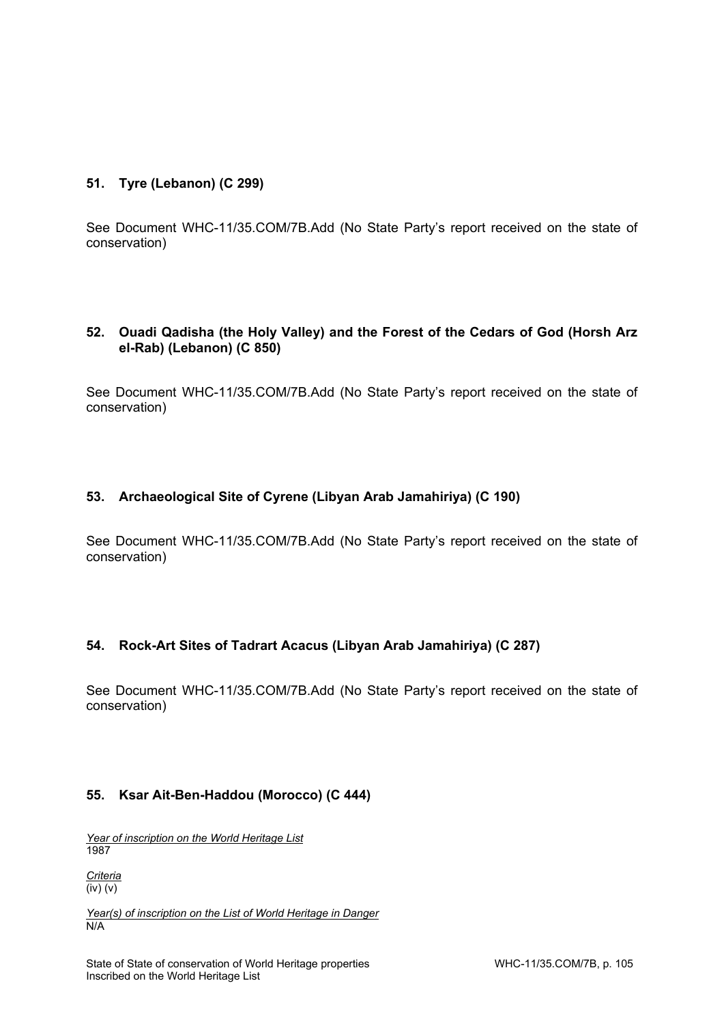# **51. Tyre (Lebanon) (C 299)**

See Document WHC-11/35.COM/7B.Add (No State Party's report received on the state of conservation)

## **52. Ouadi Qadisha (the Holy Valley) and the Forest of the Cedars of God (Horsh Arz el-Rab) (Lebanon) (C 850)**

See Document WHC-11/35.COM/7B.Add (No State Party's report received on the state of conservation)

## **53. Archaeological Site of Cyrene (Libyan Arab Jamahiriya) (C 190)**

See Document WHC-11/35.COM/7B.Add (No State Party's report received on the state of conservation)

## **54. Rock-Art Sites of Tadrart Acacus (Libyan Arab Jamahiriya) (C 287)**

See Document WHC-11/35.COM/7B.Add (No State Party's report received on the state of conservation)

## **55. Ksar Ait-Ben-Haddou (Morocco) (C 444)**

*Year of inscription on the World Heritage List*  1987

*Criteria*   $\overline{(iv)(v)}$ 

*Year(s) of inscription on the List of World Heritage in Danger*   $N/A$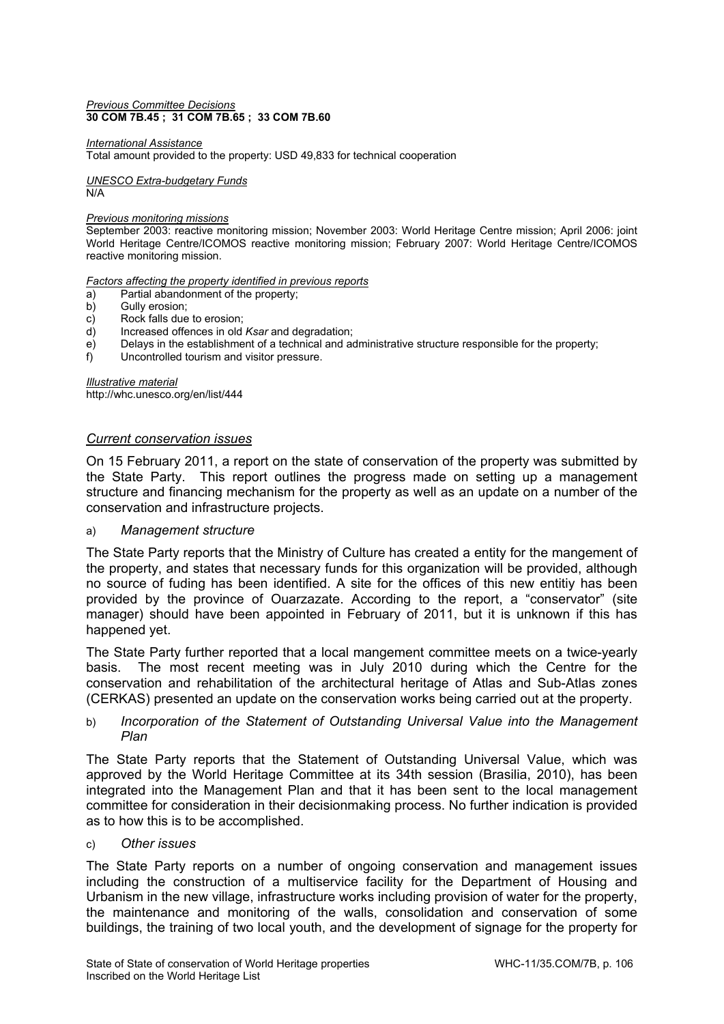#### *Previous Committee Decisions*  **30 COM 7B.45 ; 31 COM 7B.65 ; 33 COM 7B.60**

#### *International Assistance*

Total amount provided to the property: USD 49,833 for technical cooperation

*UNESCO Extra-budgetary Funds*  N/A

#### *Previous monitoring missions*

September 2003: reactive monitoring mission; November 2003: World Heritage Centre mission; April 2006: joint World Heritage Centre/ICOMOS reactive monitoring mission; February 2007: World Heritage Centre/ICOMOS reactive monitoring mission.

*Factors affecting the property identified in previous reports* 

- a) Partial abandonment of the property;
- b) Gully erosion;
- c) Rock falls due to erosion;
- d) Increased offences in old *Ksar* and degradation;
- e) Delays in the establishment of a technical and administrative structure responsible for the property;
- f) Uncontrolled tourism and visitor pressure.

*Illustrative material*  http://whc.unesco.org/en/list/444

### *Current conservation issues*

On 15 February 2011, a report on the state of conservation of the property was submitted by the State Party. This report outlines the progress made on setting up a management structure and financing mechanism for the property as well as an update on a number of the conservation and infrastructure projects.

#### a) *Management structure*

The State Party reports that the Ministry of Culture has created a entity for the mangement of the property, and states that necessary funds for this organization will be provided, although no source of fuding has been identified. A site for the offices of this new entitiy has been provided by the province of Ouarzazate. According to the report, a "conservator" (site manager) should have been appointed in February of 2011, but it is unknown if this has happened yet.

The State Party further reported that a local mangement committee meets on a twice-yearly basis. The most recent meeting was in July 2010 during which the Centre for the conservation and rehabilitation of the architectural heritage of Atlas and Sub-Atlas zones (CERKAS) presented an update on the conservation works being carried out at the property.

### b) *Incorporation of the Statement of Outstanding Universal Value into the Management Plan*

The State Party reports that the Statement of Outstanding Universal Value, which was approved by the World Heritage Committee at its 34th session (Brasilia, 2010), has been integrated into the Management Plan and that it has been sent to the local management committee for consideration in their decisionmaking process. No further indication is provided as to how this is to be accomplished.

#### c) *Other issues*

The State Party reports on a number of ongoing conservation and management issues including the construction of a multiservice facility for the Department of Housing and Urbanism in the new village, infrastructure works including provision of water for the property, the maintenance and monitoring of the walls, consolidation and conservation of some buildings, the training of two local youth, and the development of signage for the property for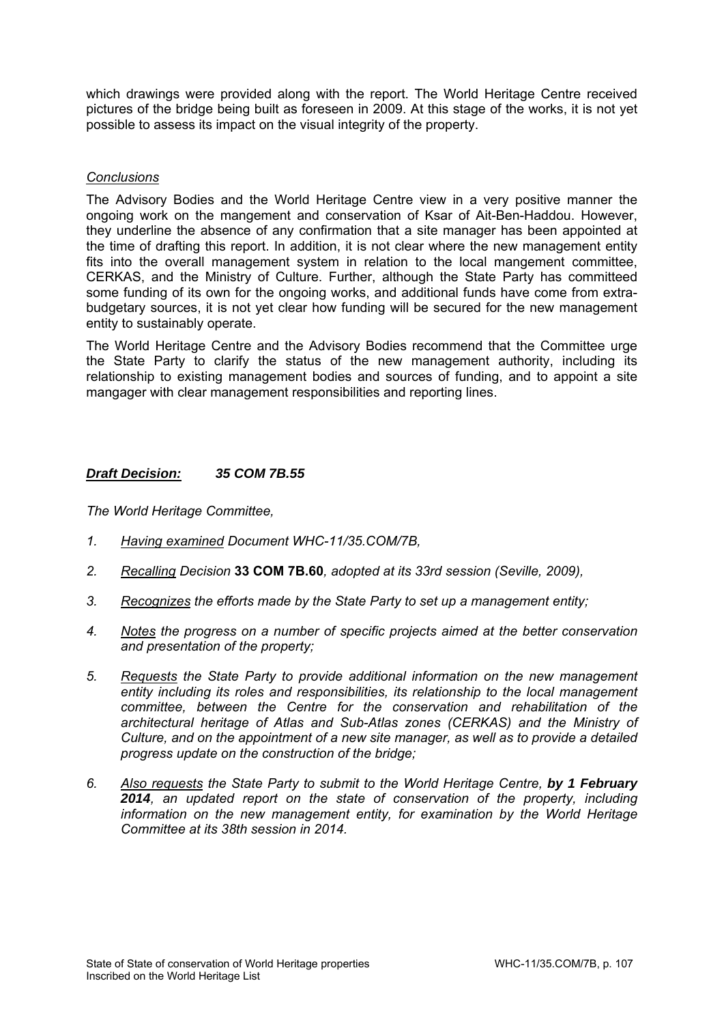which drawings were provided along with the report. The World Heritage Centre received pictures of the bridge being built as foreseen in 2009. At this stage of the works, it is not yet possible to assess its impact on the visual integrity of the property.

### *Conclusions*

The Advisory Bodies and the World Heritage Centre view in a very positive manner the ongoing work on the mangement and conservation of Ksar of Ait-Ben-Haddou. However, they underline the absence of any confirmation that a site manager has been appointed at the time of drafting this report. In addition, it is not clear where the new management entity fits into the overall management system in relation to the local mangement committee, CERKAS, and the Ministry of Culture. Further, although the State Party has committeed some funding of its own for the ongoing works, and additional funds have come from extrabudgetary sources, it is not yet clear how funding will be secured for the new management entity to sustainably operate.

The World Heritage Centre and the Advisory Bodies recommend that the Committee urge the State Party to clarify the status of the new management authority, including its relationship to existing management bodies and sources of funding, and to appoint a site mangager with clear management responsibilities and reporting lines.

## *Draft Decision: 35 COM 7B.55*

- *1. Having examined Document WHC-11/35.COM/7B,*
- *2. Recalling Decision* **33 COM 7B.60***, adopted at its 33rd session (Seville, 2009),*
- *3. Recognizes the efforts made by the State Party to set up a management entity;*
- *4. Notes the progress on a number of specific projects aimed at the better conservation and presentation of the property;*
- *5. Requests the State Party to provide additional information on the new management entity including its roles and responsibilities, its relationship to the local management committee, between the Centre for the conservation and rehabilitation of the architectural heritage of Atlas and Sub-Atlas zones (CERKAS) and the Ministry of Culture, and on the appointment of a new site manager, as well as to provide a detailed progress update on the construction of the bridge;*
- *6. Also requests the State Party to submit to the World Heritage Centre, by 1 February 2014, an updated report on the state of conservation of the property, including information on the new management entity, for examination by the World Heritage Committee at its 38th session in 2014.*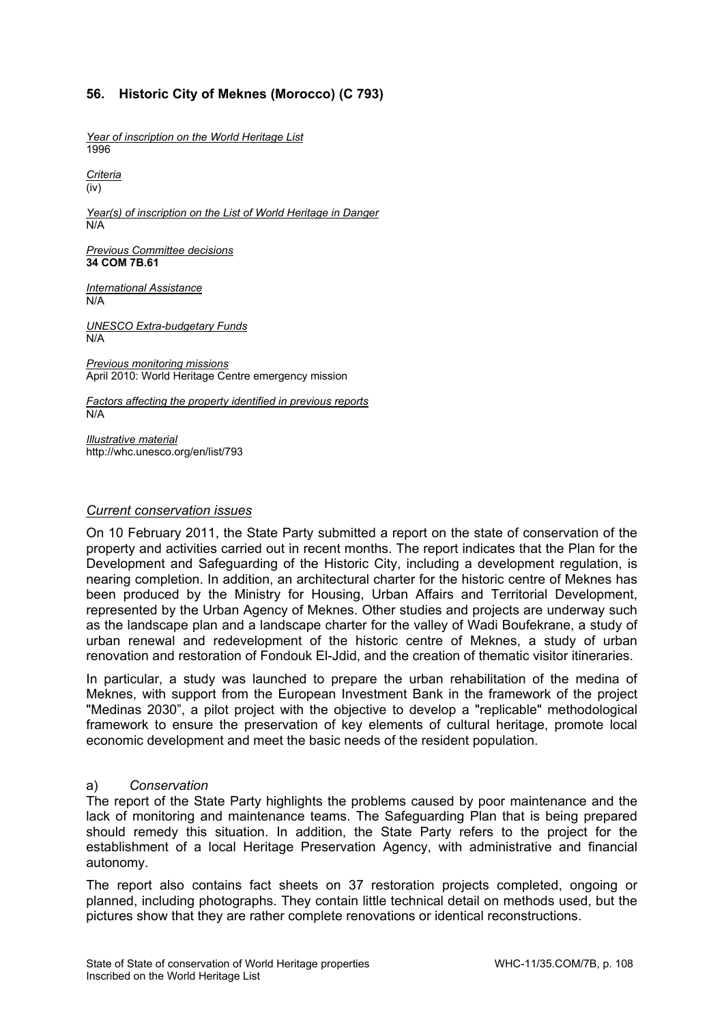# **56. Historic City of Meknes (Morocco) (C 793)**

*Year of inscription on the World Heritage List*  1996

*Criteria*  (iv)

*Year(s) of inscription on the List of World Heritage in Danger*  N/A

*Previous Committee decisions*  **34 COM 7B.61** 

*International Assistance*  N/A

*UNESCO Extra-budgetary Funds*  N/A

*Previous monitoring missions*  April 2010: World Heritage Centre emergency mission

*Factors affecting the property identified in previous reports*  N/A

*Illustrative material*  http://whc.unesco.org/en/list/793

#### *Current conservation issues*

On 10 February 2011, the State Party submitted a report on the state of conservation of the property and activities carried out in recent months. The report indicates that the Plan for the Development and Safeguarding of the Historic City, including a development regulation, is nearing completion. In addition, an architectural charter for the historic centre of Meknes has been produced by the Ministry for Housing, Urban Affairs and Territorial Development, represented by the Urban Agency of Meknes. Other studies and projects are underway such as the landscape plan and a landscape charter for the valley of Wadi Boufekrane, a study of urban renewal and redevelopment of the historic centre of Meknes, a study of urban renovation and restoration of Fondouk El-Jdid, and the creation of thematic visitor itineraries.

In particular, a study was launched to prepare the urban rehabilitation of the medina of Meknes, with support from the European Investment Bank in the framework of the project "Medinas 2030", a pilot project with the objective to develop a "replicable" methodological framework to ensure the preservation of key elements of cultural heritage, promote local economic development and meet the basic needs of the resident population.

#### a) *Conservation*

The report of the State Party highlights the problems caused by poor maintenance and the lack of monitoring and maintenance teams. The Safeguarding Plan that is being prepared should remedy this situation. In addition, the State Party refers to the project for the establishment of a local Heritage Preservation Agency, with administrative and financial autonomy.

The report also contains fact sheets on 37 restoration projects completed, ongoing or planned, including photographs. They contain little technical detail on methods used, but the pictures show that they are rather complete renovations or identical reconstructions.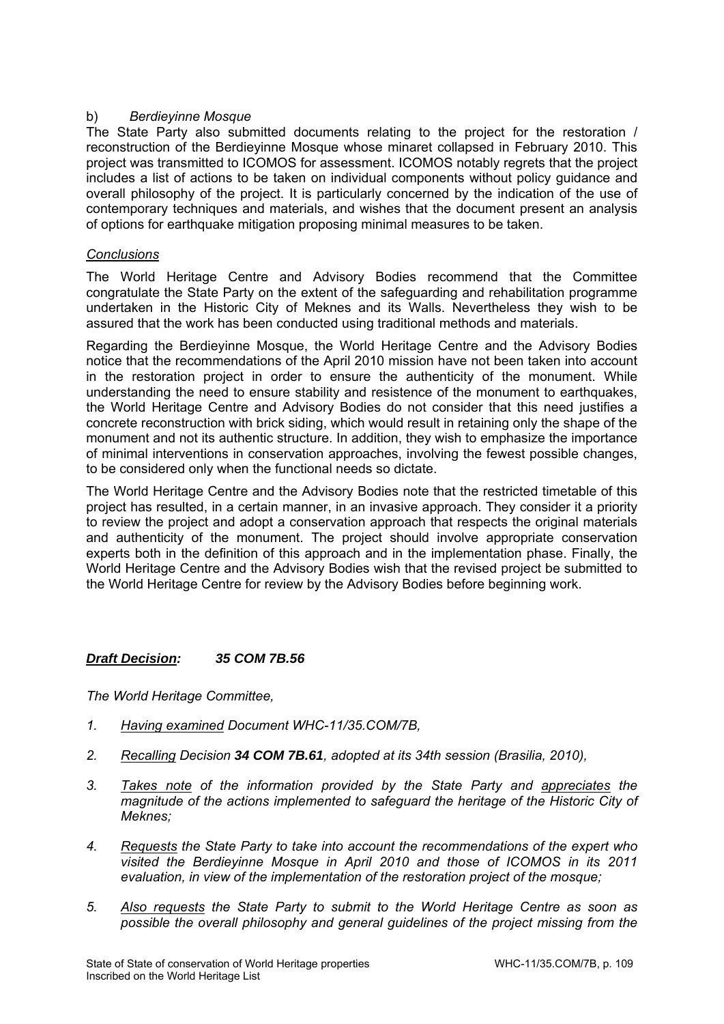## b) *Berdieyinne Mosque*

The State Party also submitted documents relating to the project for the restoration / reconstruction of the Berdieyinne Mosque whose minaret collapsed in February 2010. This project was transmitted to ICOMOS for assessment. ICOMOS notably regrets that the project includes a list of actions to be taken on individual components without policy guidance and overall philosophy of the project. It is particularly concerned by the indication of the use of contemporary techniques and materials, and wishes that the document present an analysis of options for earthquake mitigation proposing minimal measures to be taken.

## *Conclusions*

The World Heritage Centre and Advisory Bodies recommend that the Committee congratulate the State Party on the extent of the safeguarding and rehabilitation programme undertaken in the Historic City of Meknes and its Walls. Nevertheless they wish to be assured that the work has been conducted using traditional methods and materials.

Regarding the Berdieyinne Mosque, the World Heritage Centre and the Advisory Bodies notice that the recommendations of the April 2010 mission have not been taken into account in the restoration project in order to ensure the authenticity of the monument. While understanding the need to ensure stability and resistence of the monument to earthquakes, the World Heritage Centre and Advisory Bodies do not consider that this need justifies a concrete reconstruction with brick siding, which would result in retaining only the shape of the monument and not its authentic structure. In addition, they wish to emphasize the importance of minimal interventions in conservation approaches, involving the fewest possible changes, to be considered only when the functional needs so dictate.

The World Heritage Centre and the Advisory Bodies note that the restricted timetable of this project has resulted, in a certain manner, in an invasive approach. They consider it a priority to review the project and adopt a conservation approach that respects the original materials and authenticity of the monument. The project should involve appropriate conservation experts both in the definition of this approach and in the implementation phase. Finally, the World Heritage Centre and the Advisory Bodies wish that the revised project be submitted to the World Heritage Centre for review by the Advisory Bodies before beginning work.

## *Draft Decision: 35 COM 7B.56*

- *1. Having examined Document WHC-11/35.COM/7B,*
- *2. Recalling Decision 34 COM 7B.61, adopted at its 34th session (Brasilia, 2010),*
- *3. Takes note of the information provided by the State Party and appreciates the magnitude of the actions implemented to safeguard the heritage of the Historic City of Meknes;*
- *4. Requests the State Party to take into account the recommendations of the expert who visited the Berdieyinne Mosque in April 2010 and those of ICOMOS in its 2011 evaluation, in view of the implementation of the restoration project of the mosque;*
- *5. Also requests the State Party to submit to the World Heritage Centre as soon as possible the overall philosophy and general guidelines of the project missing from the*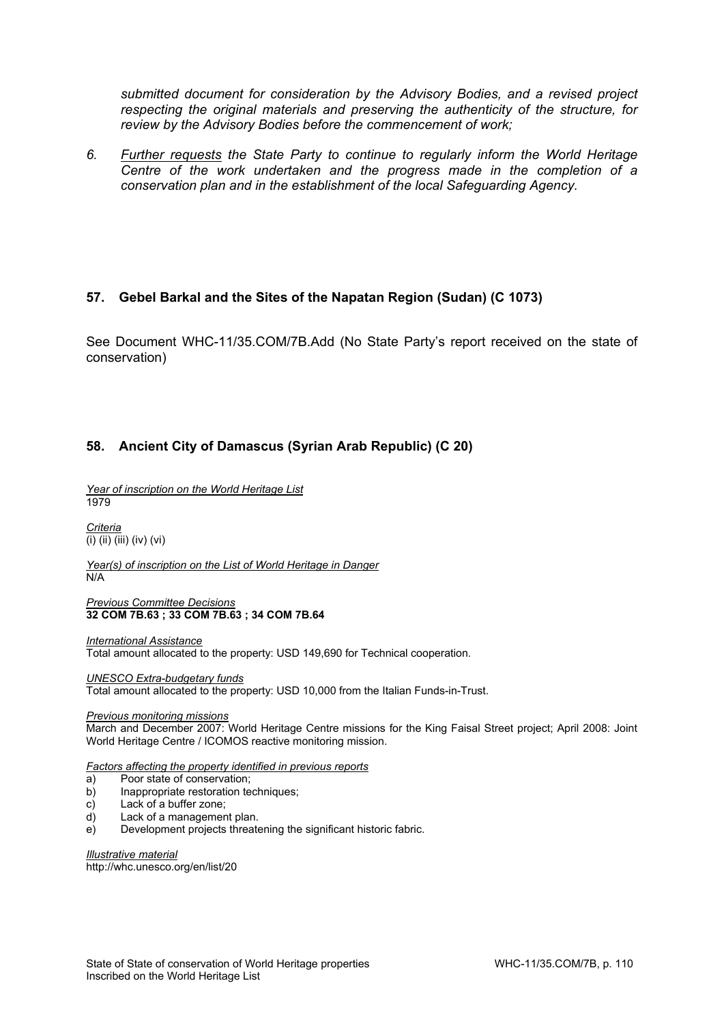*submitted document for consideration by the Advisory Bodies, and a revised project respecting the original materials and preserving the authenticity of the structure, for review by the Advisory Bodies before the commencement of work;* 

*6. Further requests the State Party to continue to regularly inform the World Heritage Centre of the work undertaken and the progress made in the completion of a conservation plan and in the establishment of the local Safeguarding Agency.* 

#### **57. Gebel Barkal and the Sites of the Napatan Region (Sudan) (C 1073)**

See Document WHC-11/35.COM/7B.Add (No State Party's report received on the state of conservation)

# **58. Ancient City of Damascus (Syrian Arab Republic) (C 20)**

*Year of inscription on the World Heritage List*  1979

*Criteria*   $\overline{(\mathsf{i})\mathsf{(ii)}\mathsf{(iii)}}\mathsf{(iv)}\mathsf{(vi)}$ 

*Year(s) of inscription on the List of World Heritage in Danger*  N/A

*Previous Committee Decisions*  **32 COM 7B.63 ; 33 COM 7B.63 ; 34 COM 7B.64** 

*International Assistance*  Total amount allocated to the property: USD 149,690 for Technical cooperation.

*UNESCO Extra-budgetary funds*  Total amount allocated to the property: USD 10,000 from the Italian Funds-in-Trust.

*Previous monitoring missions* 

March and December 2007: World Heritage Centre missions for the King Faisal Street project; April 2008: Joint World Heritage Centre / ICOMOS reactive monitoring mission.

*Factors affecting the property identified in previous reports* 

- a) Poor state of conservation;
- b) Inappropriate restoration techniques;
- c) Lack of a buffer zone;
- d) Lack of a management plan.
- e) Development projects threatening the significant historic fabric.

*Illustrative material*  http://whc.unesco.org/en/list/20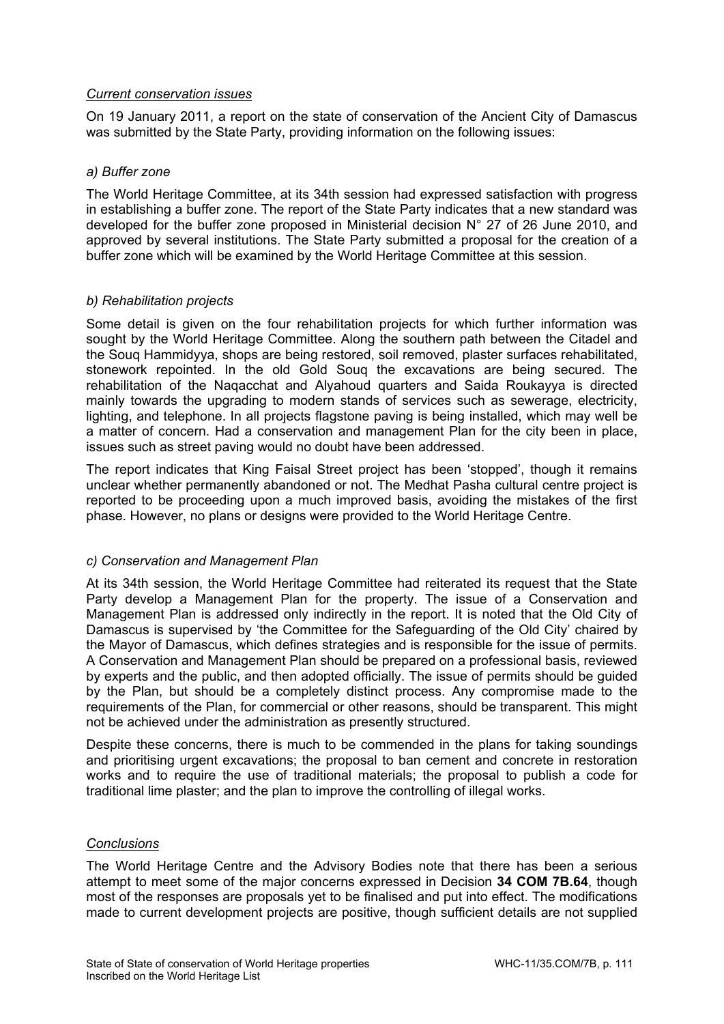## *Current conservation issues*

On 19 January 2011, a report on the state of conservation of the Ancient City of Damascus was submitted by the State Party, providing information on the following issues:

#### *a) Buffer zone*

The World Heritage Committee, at its 34th session had expressed satisfaction with progress in establishing a buffer zone. The report of the State Party indicates that a new standard was developed for the buffer zone proposed in Ministerial decision N° 27 of 26 June 2010, and approved by several institutions. The State Party submitted a proposal for the creation of a buffer zone which will be examined by the World Heritage Committee at this session.

#### *b) Rehabilitation projects*

Some detail is given on the four rehabilitation projects for which further information was sought by the World Heritage Committee. Along the southern path between the Citadel and the Souq Hammidyya, shops are being restored, soil removed, plaster surfaces rehabilitated, stonework repointed. In the old Gold Souq the excavations are being secured. The rehabilitation of the Naqacchat and Alyahoud quarters and Saida Roukayya is directed mainly towards the upgrading to modern stands of services such as sewerage, electricity, lighting, and telephone. In all projects flagstone paving is being installed, which may well be a matter of concern. Had a conservation and management Plan for the city been in place, issues such as street paving would no doubt have been addressed.

The report indicates that King Faisal Street project has been 'stopped', though it remains unclear whether permanently abandoned or not. The Medhat Pasha cultural centre project is reported to be proceeding upon a much improved basis, avoiding the mistakes of the first phase. However, no plans or designs were provided to the World Heritage Centre.

## *c) Conservation and Management Plan*

At its 34th session, the World Heritage Committee had reiterated its request that the State Party develop a Management Plan for the property. The issue of a Conservation and Management Plan is addressed only indirectly in the report. It is noted that the Old City of Damascus is supervised by 'the Committee for the Safeguarding of the Old City' chaired by the Mayor of Damascus, which defines strategies and is responsible for the issue of permits. A Conservation and Management Plan should be prepared on a professional basis, reviewed by experts and the public, and then adopted officially. The issue of permits should be guided by the Plan, but should be a completely distinct process. Any compromise made to the requirements of the Plan, for commercial or other reasons, should be transparent. This might not be achieved under the administration as presently structured.

Despite these concerns, there is much to be commended in the plans for taking soundings and prioritising urgent excavations; the proposal to ban cement and concrete in restoration works and to require the use of traditional materials; the proposal to publish a code for traditional lime plaster; and the plan to improve the controlling of illegal works.

#### *Conclusions*

The World Heritage Centre and the Advisory Bodies note that there has been a serious attempt to meet some of the major concerns expressed in Decision **34 COM 7B.64**, though most of the responses are proposals yet to be finalised and put into effect. The modifications made to current development projects are positive, though sufficient details are not supplied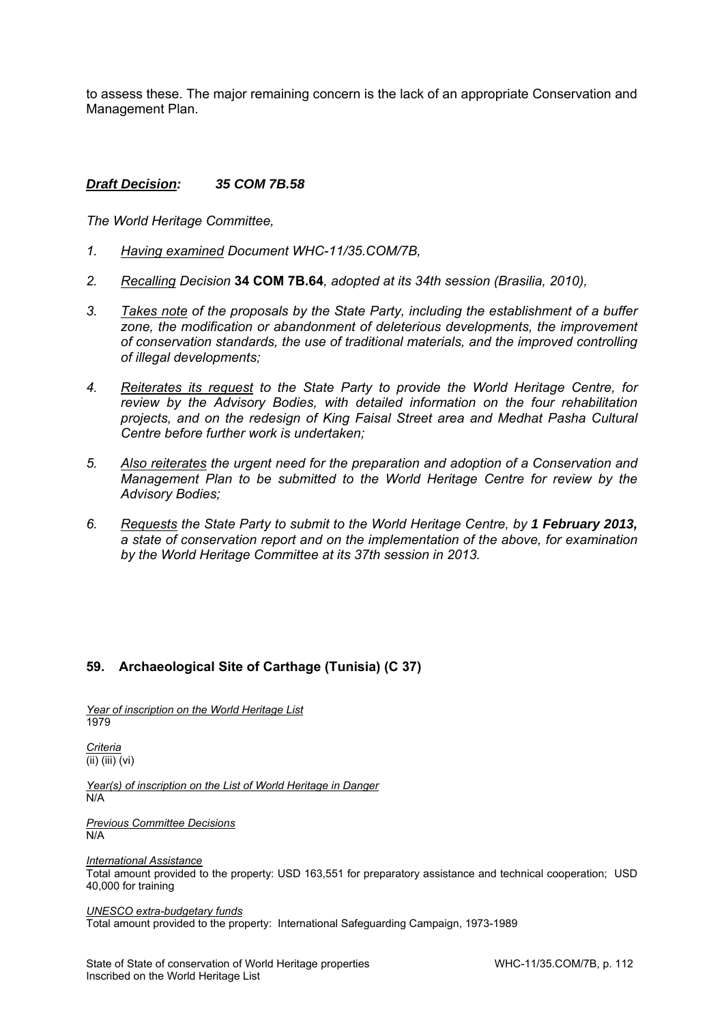to assess these. The major remaining concern is the lack of an appropriate Conservation and Management Plan.

#### *Draft Decision: 35 COM 7B.58*

*The World Heritage Committee,* 

- *1. Having examined Document WHC-11/35.COM/7B,*
- *2. Recalling Decision* **34 COM 7B.64***, adopted at its 34th session (Brasilia, 2010),*
- *3. Takes note of the proposals by the State Party, including the establishment of a buffer zone, the modification or abandonment of deleterious developments, the improvement of conservation standards, the use of traditional materials, and the improved controlling of illegal developments;*
- *4. Reiterates its request to the State Party to provide the World Heritage Centre, for review by the Advisory Bodies, with detailed information on the four rehabilitation projects, and on the redesign of King Faisal Street area and Medhat Pasha Cultural Centre before further work is undertaken;*
- *5. Also reiterates the urgent need for the preparation and adoption of a Conservation and Management Plan to be submitted to the World Heritage Centre for review by the Advisory Bodies;*
- *6. Requests the State Party to submit to the World Heritage Centre, by 1 February 2013, a state of conservation report and on the implementation of the above, for examination by the World Heritage Committee at its 37th session in 2013.*

## **59. Archaeological Site of Carthage (Tunisia) (C 37)**

*Year of inscription on the World Heritage List*  1979

*Criteria*  (ii) (iii) (vi)

*Year(s) of inscription on the List of World Heritage in Danger*  N/A

*Previous Committee Decisions*  N/A

*International Assistance* 

Total amount provided to the property: USD 163,551 for preparatory assistance and technical cooperation; USD 40,000 for training

*UNESCO extra-budgetary funds* 

Total amount provided to the property: International Safeguarding Campaign, 1973-1989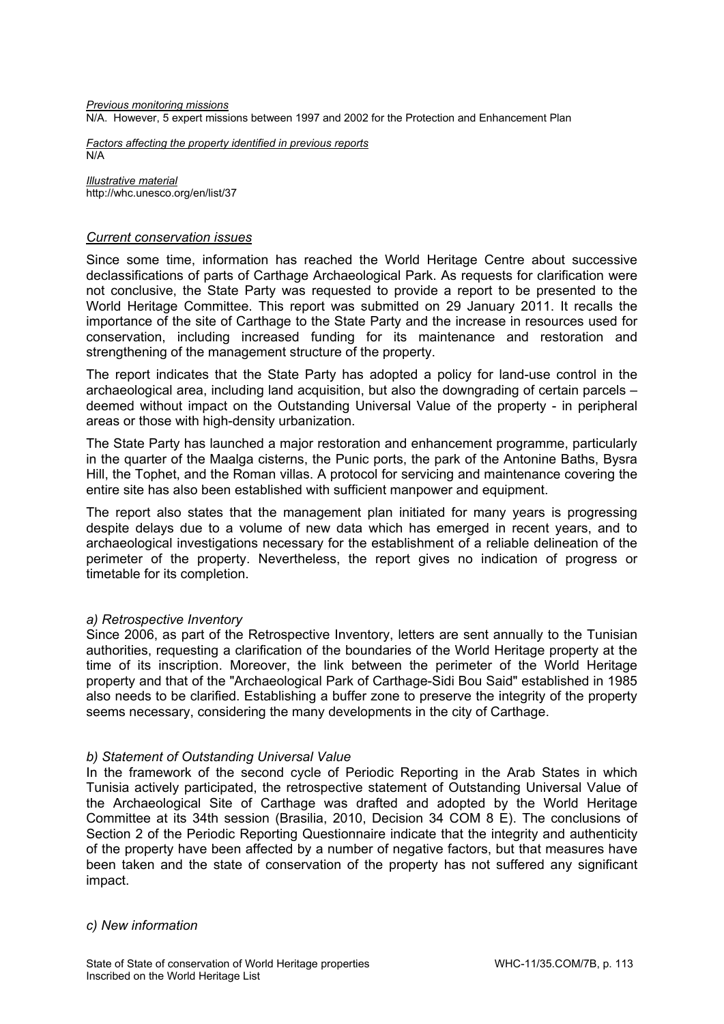*Previous monitoring missions*  N/A. However, 5 expert missions between 1997 and 2002 for the Protection and Enhancement Plan

*Factors affecting the property identified in previous reports*  N/A

*Illustrative material*  http://whc.unesco.org/en/list/37

#### *Current conservation issues*

Since some time, information has reached the World Heritage Centre about successive declassifications of parts of Carthage Archaeological Park. As requests for clarification were not conclusive, the State Party was requested to provide a report to be presented to the World Heritage Committee. This report was submitted on 29 January 2011. It recalls the importance of the site of Carthage to the State Party and the increase in resources used for conservation, including increased funding for its maintenance and restoration and strengthening of the management structure of the property.

The report indicates that the State Party has adopted a policy for land-use control in the archaeological area, including land acquisition, but also the downgrading of certain parcels – deemed without impact on the Outstanding Universal Value of the property - in peripheral areas or those with high-density urbanization.

The State Party has launched a major restoration and enhancement programme, particularly in the quarter of the Maalga cisterns, the Punic ports, the park of the Antonine Baths, Bysra Hill, the Tophet, and the Roman villas. A protocol for servicing and maintenance covering the entire site has also been established with sufficient manpower and equipment.

The report also states that the management plan initiated for many years is progressing despite delays due to a volume of new data which has emerged in recent years, and to archaeological investigations necessary for the establishment of a reliable delineation of the perimeter of the property. Nevertheless, the report gives no indication of progress or timetable for its completion.

#### *a) Retrospective Inventory*

Since 2006, as part of the Retrospective Inventory, letters are sent annually to the Tunisian authorities, requesting a clarification of the boundaries of the World Heritage property at the time of its inscription. Moreover, the link between the perimeter of the World Heritage property and that of the "Archaeological Park of Carthage-Sidi Bou Said" established in 1985 also needs to be clarified. Establishing a buffer zone to preserve the integrity of the property seems necessary, considering the many developments in the city of Carthage.

#### *b) Statement of Outstanding Universal Value*

In the framework of the second cycle of Periodic Reporting in the Arab States in which Tunisia actively participated, the retrospective statement of Outstanding Universal Value of the Archaeological Site of Carthage was drafted and adopted by the World Heritage Committee at its 34th session (Brasilia, 2010, Decision 34 COM 8 E). The conclusions of Section 2 of the Periodic Reporting Questionnaire indicate that the integrity and authenticity of the property have been affected by a number of negative factors, but that measures have been taken and the state of conservation of the property has not suffered any significant impact.

#### *c) New information*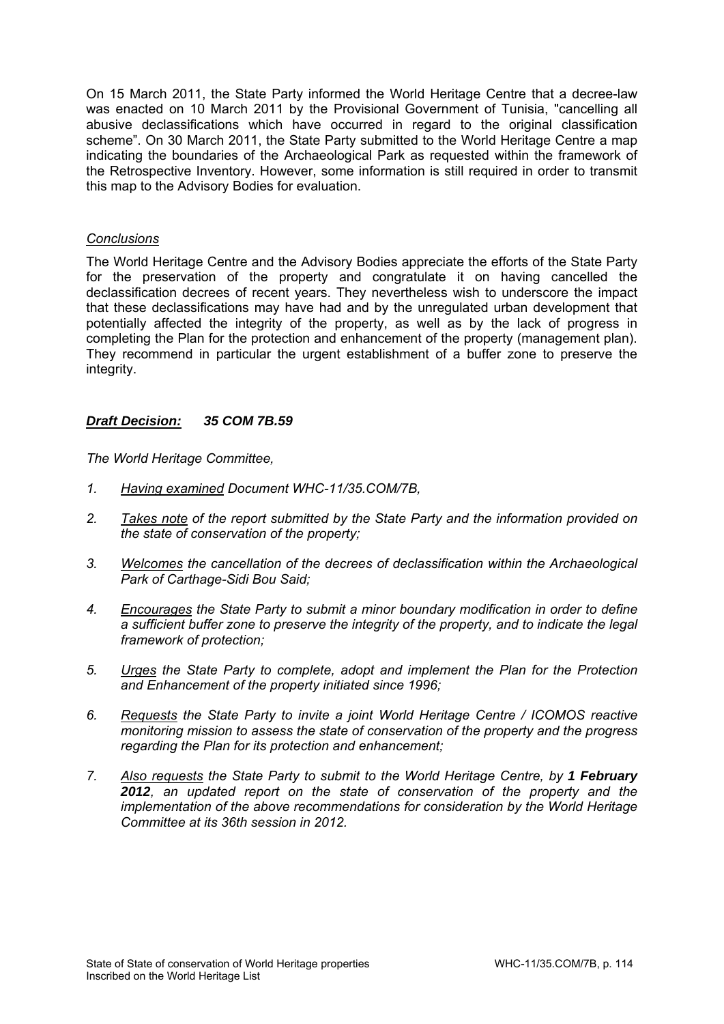On 15 March 2011, the State Party informed the World Heritage Centre that a decree-law was enacted on 10 March 2011 by the Provisional Government of Tunisia, "cancelling all abusive declassifications which have occurred in regard to the original classification scheme". On 30 March 2011, the State Party submitted to the World Heritage Centre a map indicating the boundaries of the Archaeological Park as requested within the framework of the Retrospective Inventory. However, some information is still required in order to transmit this map to the Advisory Bodies for evaluation.

#### *Conclusions*

The World Heritage Centre and the Advisory Bodies appreciate the efforts of the State Party for the preservation of the property and congratulate it on having cancelled the declassification decrees of recent years. They nevertheless wish to underscore the impact that these declassifications may have had and by the unregulated urban development that potentially affected the integrity of the property, as well as by the lack of progress in completing the Plan for the protection and enhancement of the property (management plan). They recommend in particular the urgent establishment of a buffer zone to preserve the integrity.

#### *Draft Decision: 35 COM 7B.59*

- *1. Having examined Document WHC-11/35.COM/7B,*
- *2. Takes note of the report submitted by the State Party and the information provided on the state of conservation of the property;*
- *3. Welcomes the cancellation of the decrees of declassification within the Archaeological Park of Carthage-Sidi Bou Said;*
- *4. Encourages the State Party to submit a minor boundary modification in order to define a sufficient buffer zone to preserve the integrity of the property, and to indicate the legal framework of protection;*
- *5. Urges the State Party to complete, adopt and implement the Plan for the Protection and Enhancement of the property initiated since 1996;*
- *6. Requests the State Party to invite a joint World Heritage Centre / ICOMOS reactive monitoring mission to assess the state of conservation of the property and the progress regarding the Plan for its protection and enhancement;*
- *7. Also requests the State Party to submit to the World Heritage Centre, by 1 February 2012, an updated report on the state of conservation of the property and the implementation of the above recommendations for consideration by the World Heritage Committee at its 36th session in 2012.*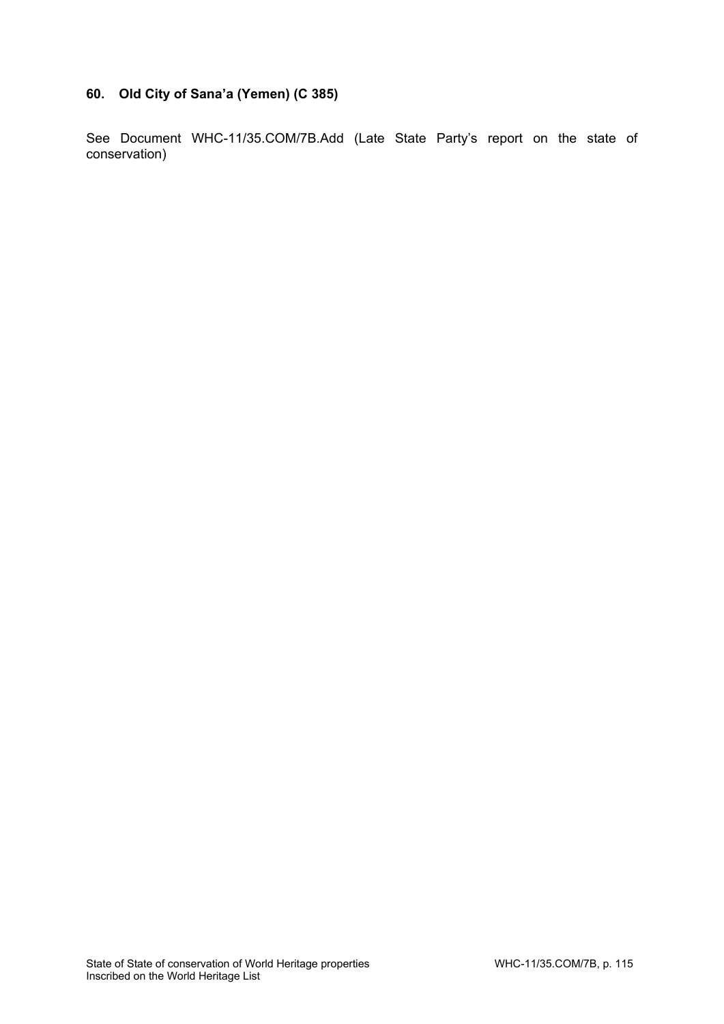# **60. Old City of Sana'a (Yemen) (C 385)**

See Document WHC-11/35.COM/7B.Add (Late State Party's report on the state of conservation)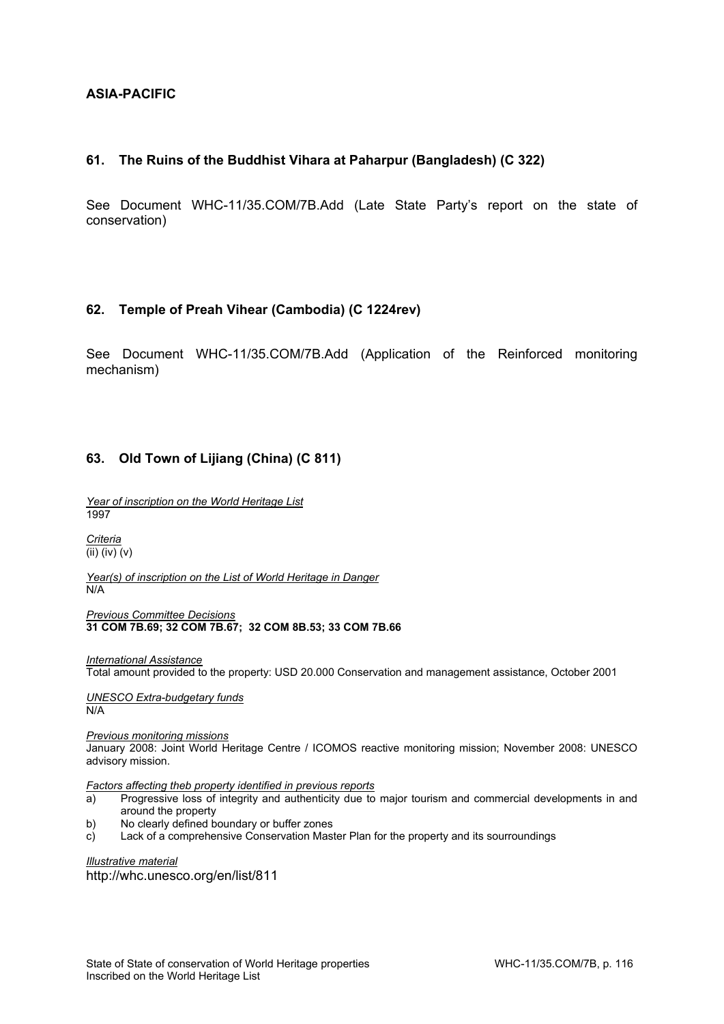## **ASIA-PACIFIC**

#### **61. The Ruins of the Buddhist Vihara at Paharpur (Bangladesh) (C 322)**

See Document WHC-11/35.COM/7B.Add (Late State Party's report on the state of conservation)

#### **62. Temple of Preah Vihear (Cambodia) (C 1224rev)**

See Document WHC-11/35.COM/7B.Add (Application of the Reinforced monitoring mechanism)

## **63. Old Town of Lijiang (China) (C 811)**

*Year of inscription on the World Heritage List*  1997

*Criteria*  (ii) (iv) (v)

*Year(s) of inscription on the List of World Heritage in Danger*  N/A

*Previous Committee Decisions*  **31 COM 7B.69; 32 COM 7B.67; 32 COM 8B.53; 33 COM 7B.66** 

*International Assistance*  Total amount provided to the property: USD 20.000 Conservation and management assistance, October 2001

*UNESCO Extra-budgetary funds*  N/A

*Previous monitoring missions* 

January 2008: Joint World Heritage Centre / ICOMOS reactive monitoring mission; November 2008: UNESCO advisory mission.

*Factors affecting theb property identified in previous reports* 

- a) Progressive loss of integrity and authenticity due to major tourism and commercial developments in and around the property
- b) No clearly defined boundary or buffer zones
- c) Lack of a comprehensive Conservation Master Plan for the property and its sourroundings

*Illustrative material*  http://whc.unesco.org/en/list/811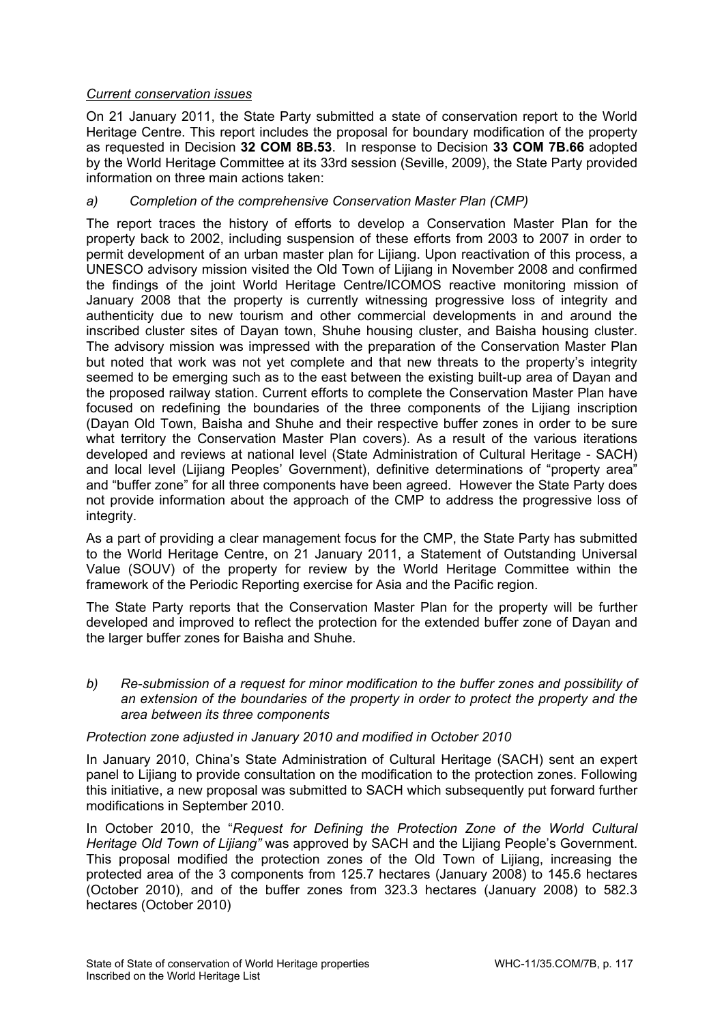# *Current conservation issues*

On 21 January 2011, the State Party submitted a state of conservation report to the World Heritage Centre. This report includes the proposal for boundary modification of the property as requested in Decision **32 COM 8B.53**. In response to Decision **33 COM 7B.66** adopted by the World Heritage Committee at its 33rd session (Seville, 2009), the State Party provided information on three main actions taken:

# *a) Completion of the comprehensive Conservation Master Plan (CMP)*

The report traces the history of efforts to develop a Conservation Master Plan for the property back to 2002, including suspension of these efforts from 2003 to 2007 in order to permit development of an urban master plan for Lijiang. Upon reactivation of this process, a UNESCO advisory mission visited the Old Town of Lijiang in November 2008 and confirmed the findings of the joint World Heritage Centre/ICOMOS reactive monitoring mission of January 2008 that the property is currently witnessing progressive loss of integrity and authenticity due to new tourism and other commercial developments in and around the inscribed cluster sites of Dayan town, Shuhe housing cluster, and Baisha housing cluster. The advisory mission was impressed with the preparation of the Conservation Master Plan but noted that work was not yet complete and that new threats to the property's integrity seemed to be emerging such as to the east between the existing built-up area of Dayan and the proposed railway station. Current efforts to complete the Conservation Master Plan have focused on redefining the boundaries of the three components of the Lijiang inscription (Dayan Old Town, Baisha and Shuhe and their respective buffer zones in order to be sure what territory the Conservation Master Plan covers). As a result of the various iterations developed and reviews at national level (State Administration of Cultural Heritage - SACH) and local level (Lijiang Peoples' Government), definitive determinations of "property area" and "buffer zone" for all three components have been agreed. However the State Party does not provide information about the approach of the CMP to address the progressive loss of integrity.

As a part of providing a clear management focus for the CMP, the State Party has submitted to the World Heritage Centre, on 21 January 2011, a Statement of Outstanding Universal Value (SOUV) of the property for review by the World Heritage Committee within the framework of the Periodic Reporting exercise for Asia and the Pacific region.

The State Party reports that the Conservation Master Plan for the property will be further developed and improved to reflect the protection for the extended buffer zone of Dayan and the larger buffer zones for Baisha and Shuhe.

*b) Re-submission of a request for minor modification to the buffer zones and possibility of an extension of the boundaries of the property in order to protect the property and the area between its three components* 

## *Protection zone adjusted in January 2010 and modified in October 2010*

In January 2010, China's State Administration of Cultural Heritage (SACH) sent an expert panel to Lijiang to provide consultation on the modification to the protection zones. Following this initiative, a new proposal was submitted to SACH which subsequently put forward further modifications in September 2010.

In October 2010, the "*Request for Defining the Protection Zone of the World Cultural Heritage Old Town of Lijiang"* was approved by SACH and the Lijiang People's Government. This proposal modified the protection zones of the Old Town of Lijiang, increasing the protected area of the 3 components from 125.7 hectares (January 2008) to 145.6 hectares (October 2010), and of the buffer zones from 323.3 hectares (January 2008) to 582.3 hectares (October 2010)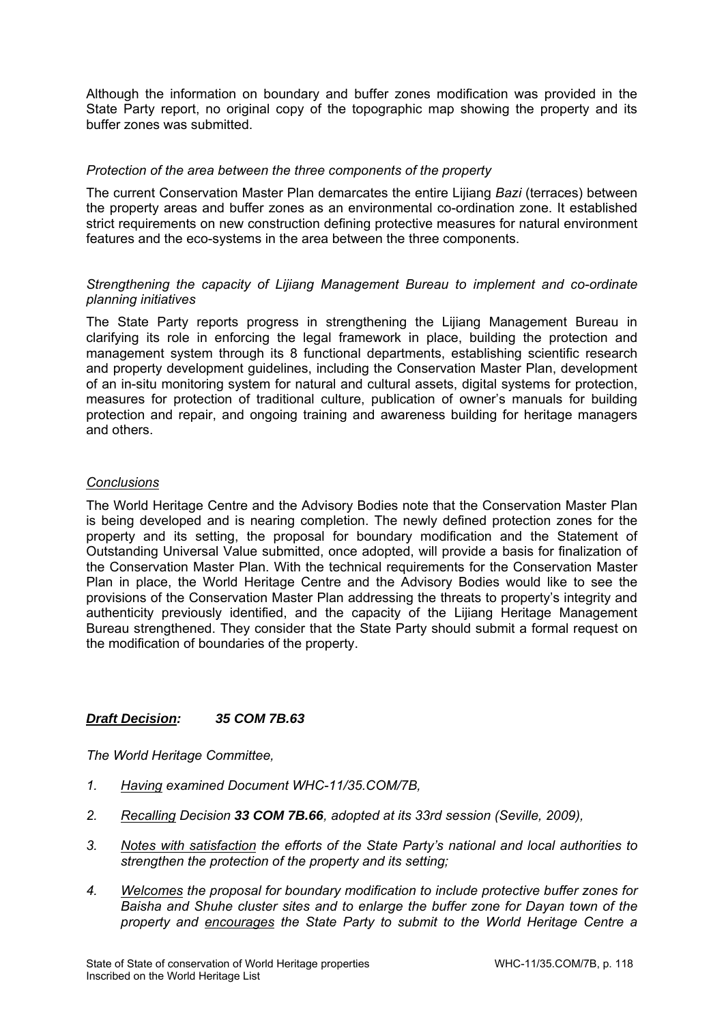Although the information on boundary and buffer zones modification was provided in the State Party report, no original copy of the topographic map showing the property and its buffer zones was submitted.

#### *Protection of the area between the three components of the property*

The current Conservation Master Plan demarcates the entire Lijiang *Bazi* (terraces) between the property areas and buffer zones as an environmental co-ordination zone. It established strict requirements on new construction defining protective measures for natural environment features and the eco-systems in the area between the three components.

## *Strengthening the capacity of Lijiang Management Bureau to implement and co-ordinate planning initiatives*

The State Party reports progress in strengthening the Lijiang Management Bureau in clarifying its role in enforcing the legal framework in place, building the protection and management system through its 8 functional departments, establishing scientific research and property development guidelines, including the Conservation Master Plan, development of an in-situ monitoring system for natural and cultural assets, digital systems for protection, measures for protection of traditional culture, publication of owner's manuals for building protection and repair, and ongoing training and awareness building for heritage managers and others.

#### *Conclusions*

The World Heritage Centre and the Advisory Bodies note that the Conservation Master Plan is being developed and is nearing completion. The newly defined protection zones for the property and its setting, the proposal for boundary modification and the Statement of Outstanding Universal Value submitted, once adopted, will provide a basis for finalization of the Conservation Master Plan. With the technical requirements for the Conservation Master Plan in place, the World Heritage Centre and the Advisory Bodies would like to see the provisions of the Conservation Master Plan addressing the threats to property's integrity and authenticity previously identified, and the capacity of the Lijiang Heritage Management Bureau strengthened. They consider that the State Party should submit a formal request on the modification of boundaries of the property.

## *Draft Decision: 35 COM 7B.63*

- *1. Having examined Document WHC-11/35.COM/7B,*
- *2. Recalling Decision 33 COM 7B.66, adopted at its 33rd session (Seville, 2009),*
- *3. Notes with satisfaction the efforts of the State Party's national and local authorities to strengthen the protection of the property and its setting;*
- *4. Welcomes the proposal for boundary modification to include protective buffer zones for Baisha and Shuhe cluster sites and to enlarge the buffer zone for Dayan town of the property and encourages the State Party to submit to the World Heritage Centre a*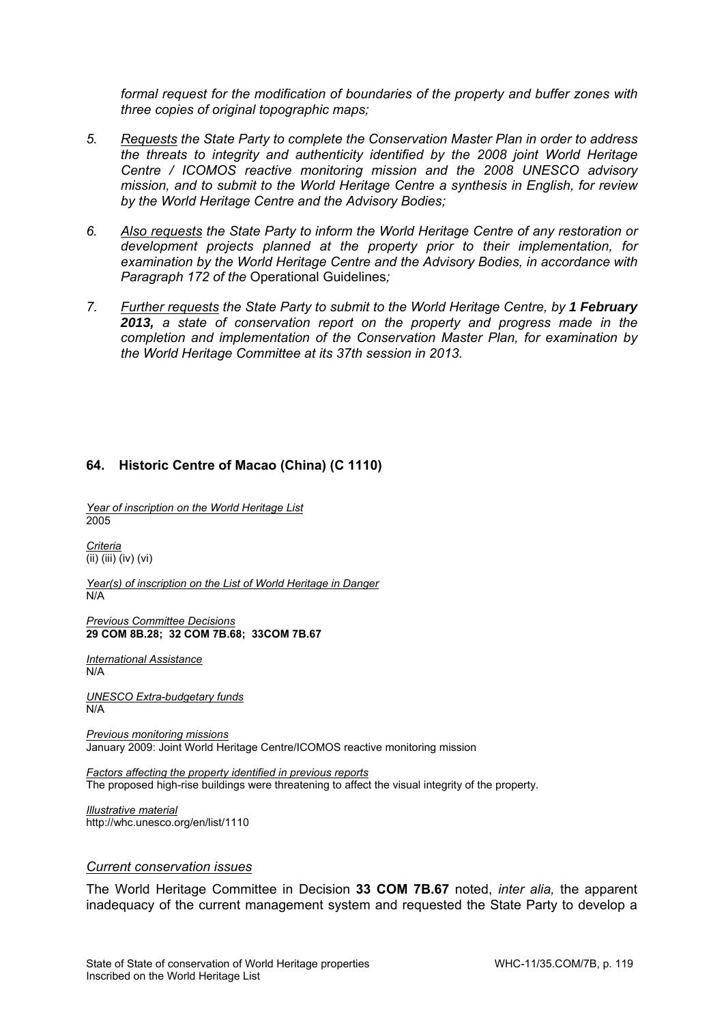*formal request for the modification of boundaries of the property and buffer zones with three copies of original topographic maps;* 

- *5. Requests the State Party to complete the Conservation Master Plan in order to address the threats to integrity and authenticity identified by the 2008 joint World Heritage Centre / ICOMOS reactive monitoring mission and the 2008 UNESCO advisory mission, and to submit to the World Heritage Centre a synthesis in English, for review by the World Heritage Centre and the Advisory Bodies;*
- *6. Also requests the State Party to inform the World Heritage Centre of any restoration or development projects planned at the property prior to their implementation, for examination by the World Heritage Centre and the Advisory Bodies, in accordance with Paragraph 172 of the* Operational Guidelines*;*
- 7. *Further requests the State Party to submit to the World Heritage Centre, by 1 February 2013, a state of conservation report on the property and progress made in the completion and implementation of the Conservation Master Plan, for examination by the World Heritage Committee at its 37th session in 2013.*

## **64. Historic Centre of Macao (China) (C 1110)**

*Year of inscription on the World Heritage List*  2005

*Criteria*  (ii) (iii) (iv) (vi)

*Year(s) of inscription on the List of World Heritage in Danger*  N/A

*Previous Committee Decisions*  **29 COM 8B.28; 32 COM 7B.68; 33COM 7B.67** 

*International Assistance*  N/A

*UNESCO Extra-budgetary funds*  N/A

*Previous monitoring missions*  January 2009: Joint World Heritage Centre/ICOMOS reactive monitoring mission

*Factors affecting the property identified in previous reports*  The proposed high-rise buildings were threatening to affect the visual integrity of the property.

*Illustrative material*  http://whc.unesco.org/en/list/1110

#### *Current conservation issues*

The World Heritage Committee in Decision **33 COM 7B.67** noted, *inter alia,* the apparent inadequacy of the current management system and requested the State Party to develop a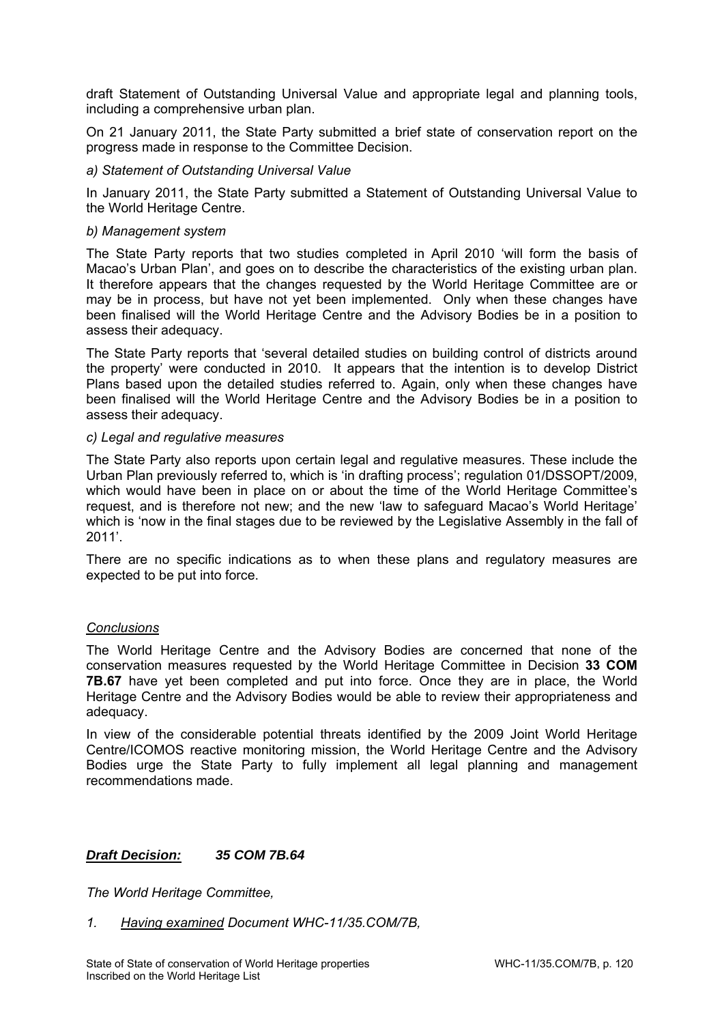draft Statement of Outstanding Universal Value and appropriate legal and planning tools, including a comprehensive urban plan.

On 21 January 2011, the State Party submitted a brief state of conservation report on the progress made in response to the Committee Decision.

#### *a) Statement of Outstanding Universal Value*

In January 2011, the State Party submitted a Statement of Outstanding Universal Value to the World Heritage Centre.

#### *b) Management system*

The State Party reports that two studies completed in April 2010 'will form the basis of Macao's Urban Plan', and goes on to describe the characteristics of the existing urban plan. It therefore appears that the changes requested by the World Heritage Committee are or may be in process, but have not yet been implemented. Only when these changes have been finalised will the World Heritage Centre and the Advisory Bodies be in a position to assess their adequacy.

The State Party reports that 'several detailed studies on building control of districts around the property' were conducted in 2010. It appears that the intention is to develop District Plans based upon the detailed studies referred to. Again, only when these changes have been finalised will the World Heritage Centre and the Advisory Bodies be in a position to assess their adequacy.

#### *c) Legal and regulative measures*

The State Party also reports upon certain legal and regulative measures. These include the Urban Plan previously referred to, which is 'in drafting process'; regulation 01/DSSOPT/2009, which would have been in place on or about the time of the World Heritage Committee's request, and is therefore not new; and the new 'law to safeguard Macao's World Heritage' which is 'now in the final stages due to be reviewed by the Legislative Assembly in the fall of 2011'.

There are no specific indications as to when these plans and regulatory measures are expected to be put into force.

## *Conclusions*

The World Heritage Centre and the Advisory Bodies are concerned that none of the conservation measures requested by the World Heritage Committee in Decision **33 COM 7B.67** have yet been completed and put into force. Once they are in place, the World Heritage Centre and the Advisory Bodies would be able to review their appropriateness and adequacy.

In view of the considerable potential threats identified by the 2009 Joint World Heritage Centre/ICOMOS reactive monitoring mission, the World Heritage Centre and the Advisory Bodies urge the State Party to fully implement all legal planning and management recommendations made.

## *Draft Decision: 35 COM 7B.64*

*The World Heritage Committee,* 

*1. Having examined Document WHC-11/35.COM/7B,*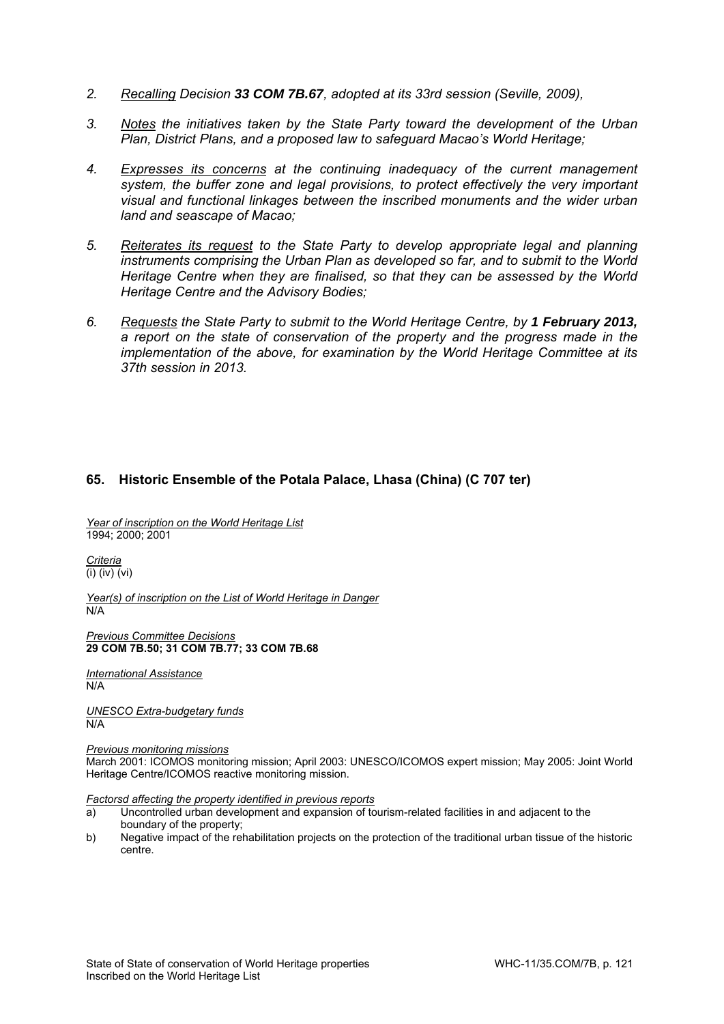- *2. Recalling Decision 33 COM 7B.67, adopted at its 33rd session (Seville, 2009),*
- *3. Notes the initiatives taken by the State Party toward the development of the Urban Plan, District Plans, and a proposed law to safeguard Macao's World Heritage;*
- *4. Expresses its concerns at the continuing inadequacy of the current management system, the buffer zone and legal provisions, to protect effectively the very important visual and functional linkages between the inscribed monuments and the wider urban land and seascape of Macao;*
- *5. Reiterates its request to the State Party to develop appropriate legal and planning instruments comprising the Urban Plan as developed so far, and to submit to the World Heritage Centre when they are finalised, so that they can be assessed by the World Heritage Centre and the Advisory Bodies;*
- *6. Requests the State Party to submit to the World Heritage Centre, by 1 February 2013, a report on the state of conservation of the property and the progress made in the implementation of the above, for examination by the World Heritage Committee at its 37th session in 2013.*

#### **65. Historic Ensemble of the Potala Palace, Lhasa (China) (C 707 ter)**

*Year of inscription on the World Heritage List*  1994; 2000; 2001

*Criteria*  (i) (iv) (vi)

*Year(s) of inscription on the List of World Heritage in Danger*  N/A

*Previous Committee Decisions*  **29 COM 7B.50; 31 COM 7B.77; 33 COM 7B.68** 

*International Assistance*  N/A

*UNESCO Extra-budgetary funds*  N/A

*Previous monitoring missions* 

March 2001: ICOMOS monitoring mission; April 2003: UNESCO/ICOMOS expert mission; May 2005: Joint World Heritage Centre/ICOMOS reactive monitoring mission.

*Factorsd affecting the property identified in previous reports* 

- a) Uncontrolled urban development and expansion of tourism-related facilities in and adjacent to the boundary of the property;
- b) Negative impact of the rehabilitation projects on the protection of the traditional urban tissue of the historic centre.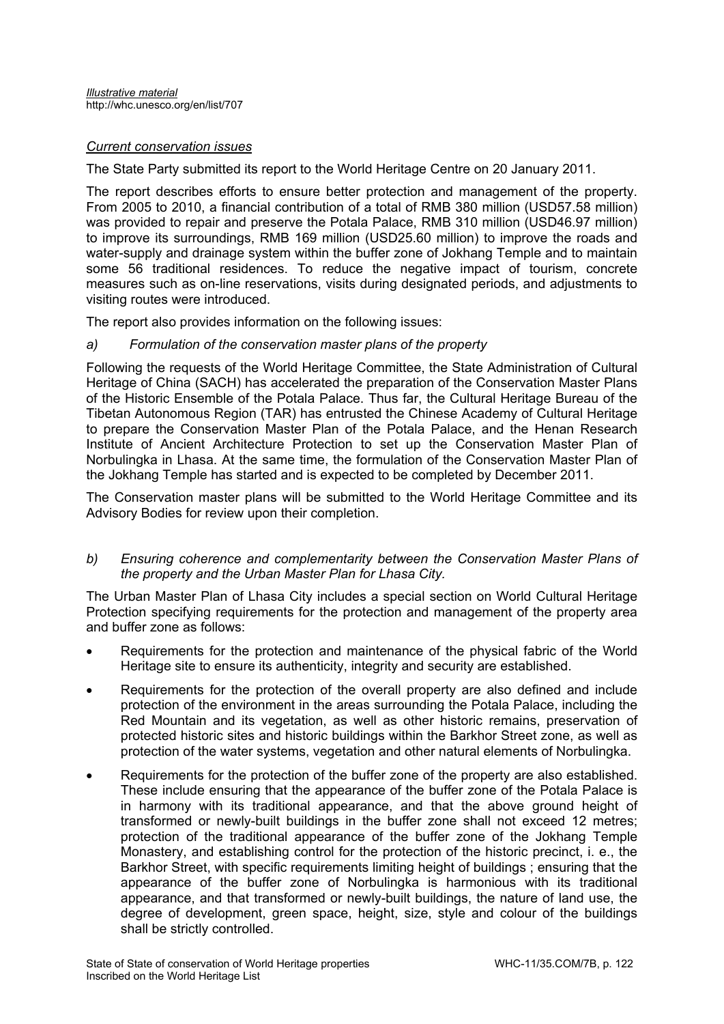## *Current conservation issues*

The State Party submitted its report to the World Heritage Centre on 20 January 2011.

The report describes efforts to ensure better protection and management of the property. From 2005 to 2010, a financial contribution of a total of RMB 380 million (USD57.58 million) was provided to repair and preserve the Potala Palace, RMB 310 million (USD46.97 million) to improve its surroundings, RMB 169 million (USD25.60 million) to improve the roads and water-supply and drainage system within the buffer zone of Jokhang Temple and to maintain some 56 traditional residences. To reduce the negative impact of tourism, concrete measures such as on-line reservations, visits during designated periods, and adjustments to visiting routes were introduced.

The report also provides information on the following issues:

*a) Formulation of the conservation master plans of the property* 

Following the requests of the World Heritage Committee, the State Administration of Cultural Heritage of China (SACH) has accelerated the preparation of the Conservation Master Plans of the Historic Ensemble of the Potala Palace. Thus far, the Cultural Heritage Bureau of the Tibetan Autonomous Region (TAR) has entrusted the Chinese Academy of Cultural Heritage to prepare the Conservation Master Plan of the Potala Palace, and the Henan Research Institute of Ancient Architecture Protection to set up the Conservation Master Plan of Norbulingka in Lhasa. At the same time, the formulation of the Conservation Master Plan of the Jokhang Temple has started and is expected to be completed by December 2011.

The Conservation master plans will be submitted to the World Heritage Committee and its Advisory Bodies for review upon their completion.

#### *b) Ensuring coherence and complementarity between the Conservation Master Plans of the property and the Urban Master Plan for Lhasa City.*

The Urban Master Plan of Lhasa City includes a special section on World Cultural Heritage Protection specifying requirements for the protection and management of the property area and buffer zone as follows:

- Requirements for the protection and maintenance of the physical fabric of the World Heritage site to ensure its authenticity, integrity and security are established.
- Requirements for the protection of the overall property are also defined and include protection of the environment in the areas surrounding the Potala Palace, including the Red Mountain and its vegetation, as well as other historic remains, preservation of protected historic sites and historic buildings within the Barkhor Street zone, as well as protection of the water systems, vegetation and other natural elements of Norbulingka.
- Requirements for the protection of the buffer zone of the property are also established. These include ensuring that the appearance of the buffer zone of the Potala Palace is in harmony with its traditional appearance, and that the above ground height of transformed or newly-built buildings in the buffer zone shall not exceed 12 metres; protection of the traditional appearance of the buffer zone of the Jokhang Temple Monastery, and establishing control for the protection of the historic precinct, i. e., the Barkhor Street, with specific requirements limiting height of buildings ; ensuring that the appearance of the buffer zone of Norbulingka is harmonious with its traditional appearance, and that transformed or newly-built buildings, the nature of land use, the degree of development, green space, height, size, style and colour of the buildings shall be strictly controlled.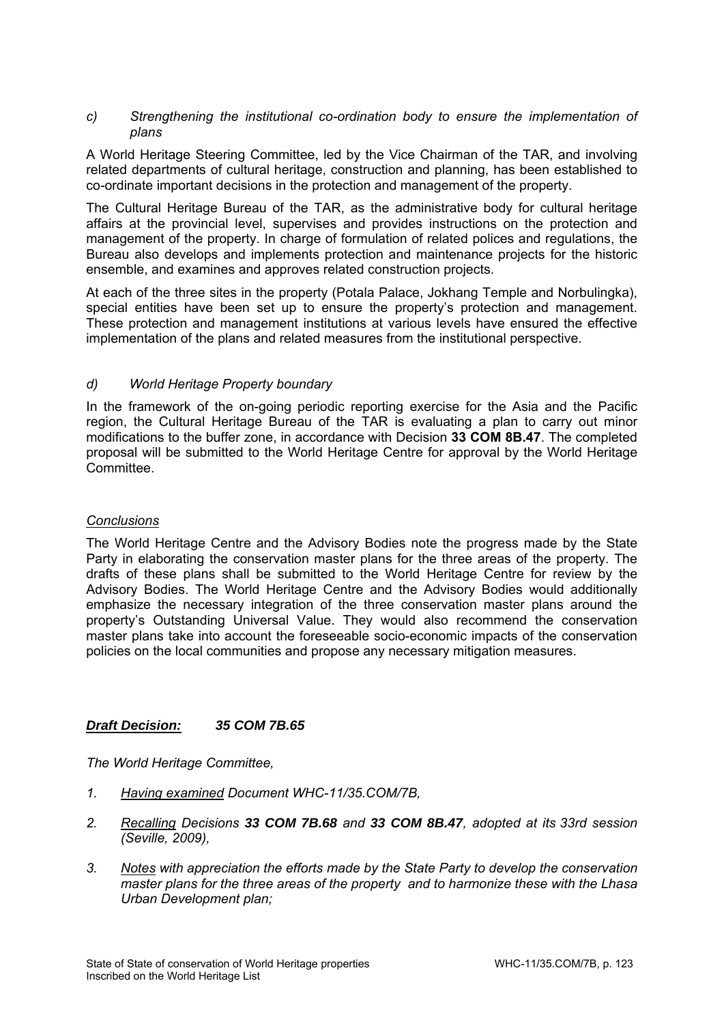#### *c) Strengthening the institutional co-ordination body to ensure the implementation of plans*

A World Heritage Steering Committee, led by the Vice Chairman of the TAR, and involving related departments of cultural heritage, construction and planning, has been established to co-ordinate important decisions in the protection and management of the property.

The Cultural Heritage Bureau of the TAR, as the administrative body for cultural heritage affairs at the provincial level, supervises and provides instructions on the protection and management of the property. In charge of formulation of related polices and regulations, the Bureau also develops and implements protection and maintenance projects for the historic ensemble, and examines and approves related construction projects.

At each of the three sites in the property (Potala Palace, Jokhang Temple and Norbulingka), special entities have been set up to ensure the property's protection and management. These protection and management institutions at various levels have ensured the effective implementation of the plans and related measures from the institutional perspective.

## *d) World Heritage Property boundary*

In the framework of the on-going periodic reporting exercise for the Asia and the Pacific region, the Cultural Heritage Bureau of the TAR is evaluating a plan to carry out minor modifications to the buffer zone, in accordance with Decision **33 COM 8B.47**. The completed proposal will be submitted to the World Heritage Centre for approval by the World Heritage Committee.

## *Conclusions*

The World Heritage Centre and the Advisory Bodies note the progress made by the State Party in elaborating the conservation master plans for the three areas of the property. The drafts of these plans shall be submitted to the World Heritage Centre for review by the Advisory Bodies. The World Heritage Centre and the Advisory Bodies would additionally emphasize the necessary integration of the three conservation master plans around the property's Outstanding Universal Value. They would also recommend the conservation master plans take into account the foreseeable socio-economic impacts of the conservation policies on the local communities and propose any necessary mitigation measures.

## *Draft Decision: 35 COM 7B.65*

- *1. Having examined Document WHC-11/35.COM/7B,*
- *2. Recalling Decisions 33 COM 7B.68 and 33 COM 8B.47, adopted at its 33rd session (Seville, 2009),*
- *3. Notes with appreciation the efforts made by the State Party to develop the conservation master plans for the three areas of the property and to harmonize these with the Lhasa Urban Development plan;*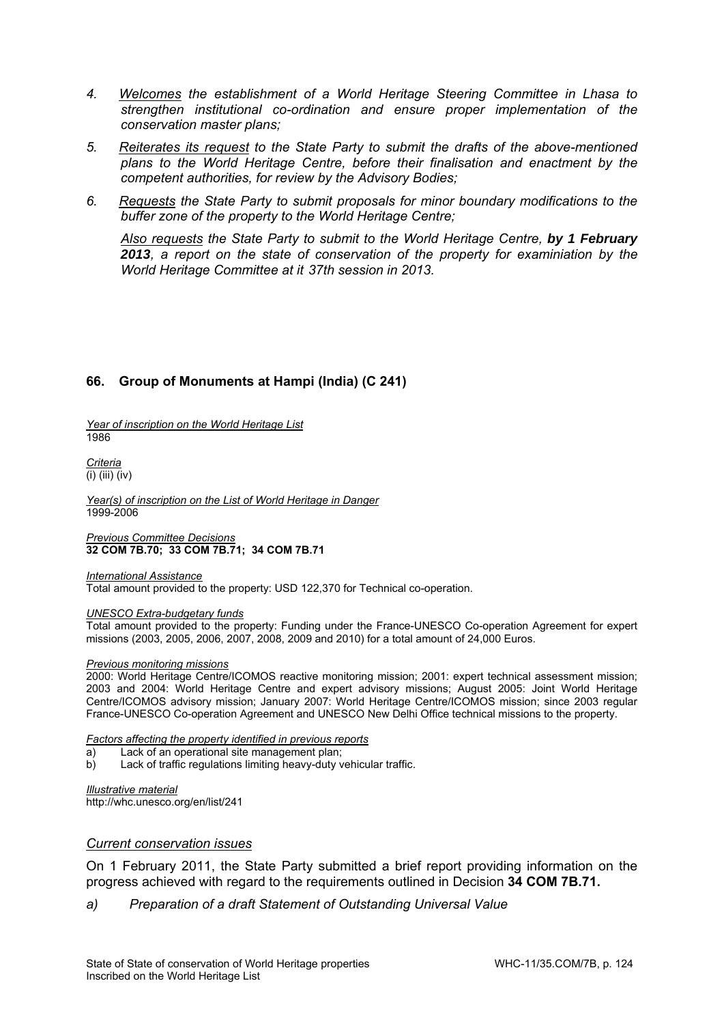- *4. Welcomes the establishment of a World Heritage Steering Committee in Lhasa to strengthen institutional co-ordination and ensure proper implementation of the conservation master plans;*
- *5. Reiterates its request to the State Party to submit the drafts of the above-mentioned plans to the World Heritage Centre, before their finalisation and enactment by the competent authorities, for review by the Advisory Bodies;*
- *6. Requests the State Party to submit proposals for minor boundary modifications to the buffer zone of the property to the World Heritage Centre;*

*Also requests the State Party to submit to the World Heritage Centre, by 1 February 2013, a report on the state of conservation of the property for examiniation by the World Heritage Committee at it 37th session in 2013.* 

# **66. Group of Monuments at Hampi (India) (C 241)**

*Year of inscription on the World Heritage List*  1986

*Criteria*   $\overline{(\mathsf{i})\}$  (iii)  $\overline{(\mathsf{i} \mathsf{v})}$ 

*Year(s) of inscription on the List of World Heritage in Danger*  1999-2006

*Previous Committee Decisions*  **32 COM 7B.70; 33 COM 7B.71; 34 COM 7B.71** 

*International Assistance*  Total amount provided to the property: USD 122,370 for Technical co-operation.

*UNESCO Extra-budgetary funds* 

Total amount provided to the property: Funding under the France-UNESCO Co-operation Agreement for expert missions (2003, 2005, 2006, 2007, 2008, 2009 and 2010) for a total amount of 24,000 Euros.

#### *Previous monitoring missions*

2000: World Heritage Centre/ICOMOS reactive monitoring mission; 2001: expert technical assessment mission; 2003 and 2004: World Heritage Centre and expert advisory missions; August 2005: Joint World Heritage Centre/ICOMOS advisory mission; January 2007: World Heritage Centre/ICOMOS mission; since 2003 regular France-UNESCO Co-operation Agreement and UNESCO New Delhi Office technical missions to the property.

*Factors affecting the property identified in previous reports* 

- a) Lack of an operational site management plan;
- b) Lack of traffic regulations limiting heavy-duty vehicular traffic.

*Illustrative material*  http://whc.unesco.org/en/list/241

#### *Current conservation issues*

On 1 February 2011, the State Party submitted a brief report providing information on the progress achieved with regard to the requirements outlined in Decision **34 COM 7B.71.**

*a) Preparation of a draft Statement of Outstanding Universal Value*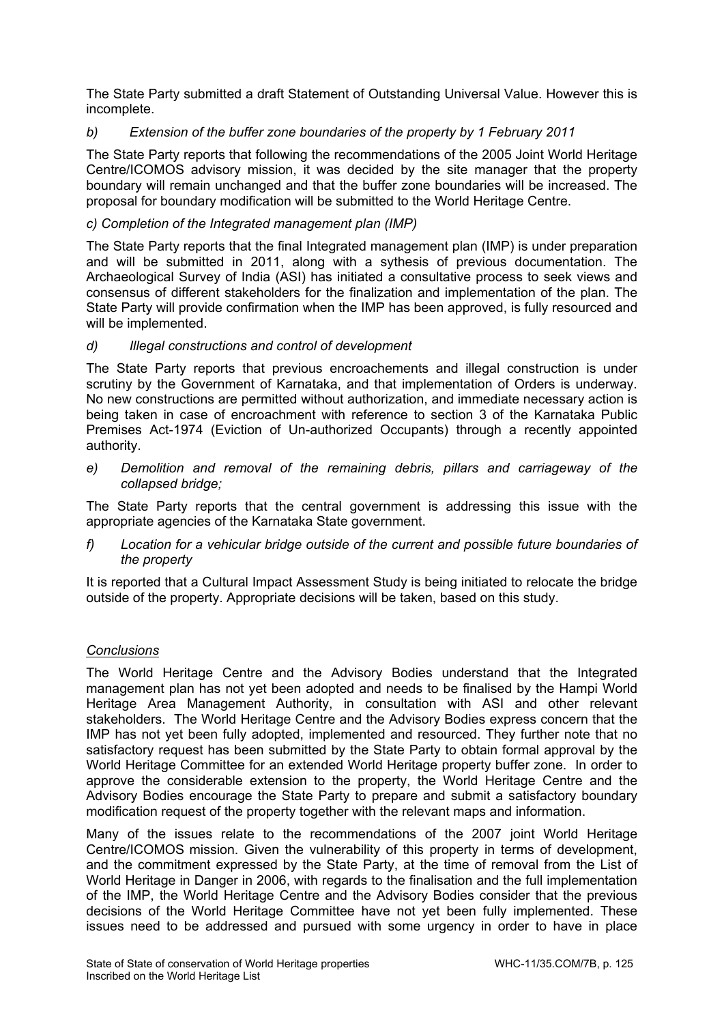The State Party submitted a draft Statement of Outstanding Universal Value. However this is incomplete.

# *b) Extension of the buffer zone boundaries of the property by 1 February 2011*

The State Party reports that following the recommendations of the 2005 Joint World Heritage Centre/ICOMOS advisory mission, it was decided by the site manager that the property boundary will remain unchanged and that the buffer zone boundaries will be increased. The proposal for boundary modification will be submitted to the World Heritage Centre.

## *c) Completion of the Integrated management plan (IMP)*

The State Party reports that the final Integrated management plan (IMP) is under preparation and will be submitted in 2011, along with a sythesis of previous documentation. The Archaeological Survey of India (ASI) has initiated a consultative process to seek views and consensus of different stakeholders for the finalization and implementation of the plan. The State Party will provide confirmation when the IMP has been approved, is fully resourced and will be implemented.

# *d) Illegal constructions and control of development*

The State Party reports that previous encroachements and illegal construction is under scrutiny by the Government of Karnataka, and that implementation of Orders is underway. No new constructions are permitted without authorization, and immediate necessary action is being taken in case of encroachment with reference to section 3 of the Karnataka Public Premises Act-1974 (Eviction of Un-authorized Occupants) through a recently appointed authority.

*e) Demolition and removal of the remaining debris, pillars and carriageway of the collapsed bridge;* 

The State Party reports that the central government is addressing this issue with the appropriate agencies of the Karnataka State government.

*f) Location for a vehicular bridge outside of the current and possible future boundaries of the property* 

It is reported that a Cultural Impact Assessment Study is being initiated to relocate the bridge outside of the property. Appropriate decisions will be taken, based on this study.

## *Conclusions*

The World Heritage Centre and the Advisory Bodies understand that the Integrated management plan has not yet been adopted and needs to be finalised by the Hampi World Heritage Area Management Authority, in consultation with ASI and other relevant stakeholders. The World Heritage Centre and the Advisory Bodies express concern that the IMP has not yet been fully adopted, implemented and resourced. They further note that no satisfactory request has been submitted by the State Party to obtain formal approval by the World Heritage Committee for an extended World Heritage property buffer zone. In order to approve the considerable extension to the property, the World Heritage Centre and the Advisory Bodies encourage the State Party to prepare and submit a satisfactory boundary modification request of the property together with the relevant maps and information.

Many of the issues relate to the recommendations of the 2007 joint World Heritage Centre/ICOMOS mission. Given the vulnerability of this property in terms of development, and the commitment expressed by the State Party, at the time of removal from the List of World Heritage in Danger in 2006, with regards to the finalisation and the full implementation of the IMP, the World Heritage Centre and the Advisory Bodies consider that the previous decisions of the World Heritage Committee have not yet been fully implemented. These issues need to be addressed and pursued with some urgency in order to have in place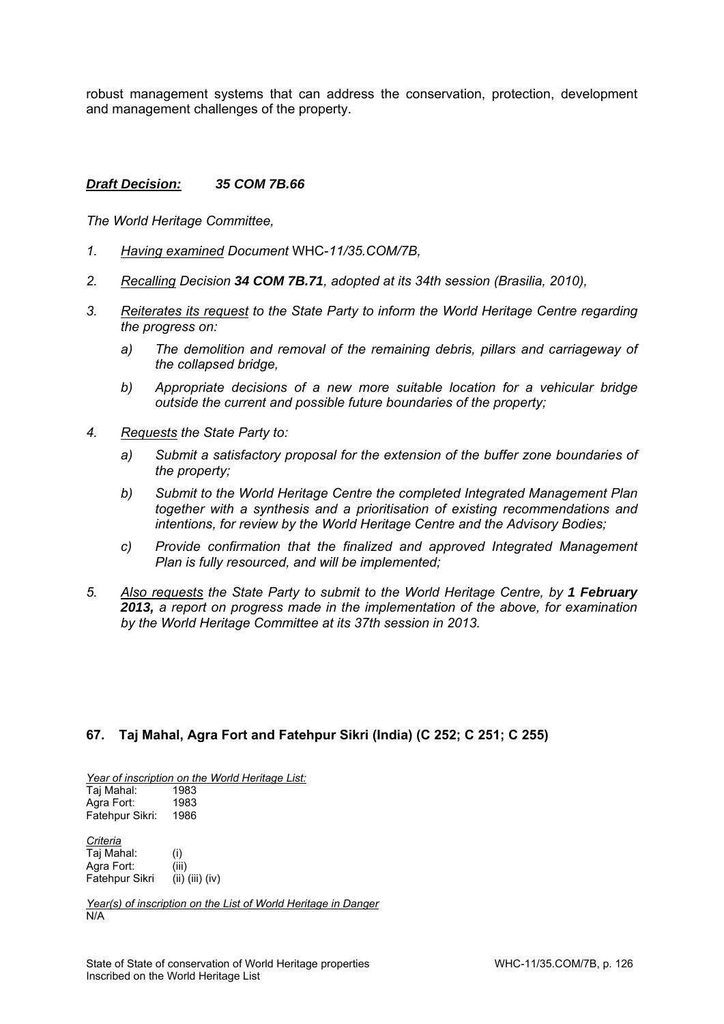robust management systems that can address the conservation, protection, development and management challenges of the property.

#### *Draft Decision: 35 COM 7B.66*

*The World Heritage Committee,* 

- *1. Having examined Document* WHC-*11/35.COM/7B,*
- *2. Recalling Decision 34 COM 7B.71, adopted at its 34th session (Brasilia, 2010),*
- *3. Reiterates its request to the State Party to inform the World Heritage Centre regarding the progress on:* 
	- *a) The demolition and removal of the remaining debris, pillars and carriageway of the collapsed bridge,*
	- *b) Appropriate decisions of a new more suitable location for a vehicular bridge outside the current and possible future boundaries of the property;*
- *4. Requests the State Party to:* 
	- *a) Submit a satisfactory proposal for the extension of the buffer zone boundaries of the property;*
	- *b) Submit to the World Heritage Centre the completed Integrated Management Plan together with a synthesis and a prioritisation of existing recommendations and intentions, for review by the World Heritage Centre and the Advisory Bodies;*
	- *c) Provide confirmation that the finalized and approved Integrated Management Plan is fully resourced, and will be implemented;*
- *5. Also requests the State Party to submit to the World Heritage Centre, by 1 February 2013, a report on progress made in the implementation of the above, for examination by the World Heritage Committee at its 37th session in 2013.*

## **67. Taj Mahal, Agra Fort and Fatehpur Sikri (India) (C 252; C 251; C 255)**

*Year of inscription on the World Heritage List:*  Taj Mahal: 1983

Agra Fort: 1983 Fatehpur Sikri: 1986

*Criteria*  Taj Mahal: (i) Agra Fort: (iii) Fatehpur Sikri (ii) (iii) (iv)

*Year(s) of inscription on the List of World Heritage in Danger*  N/A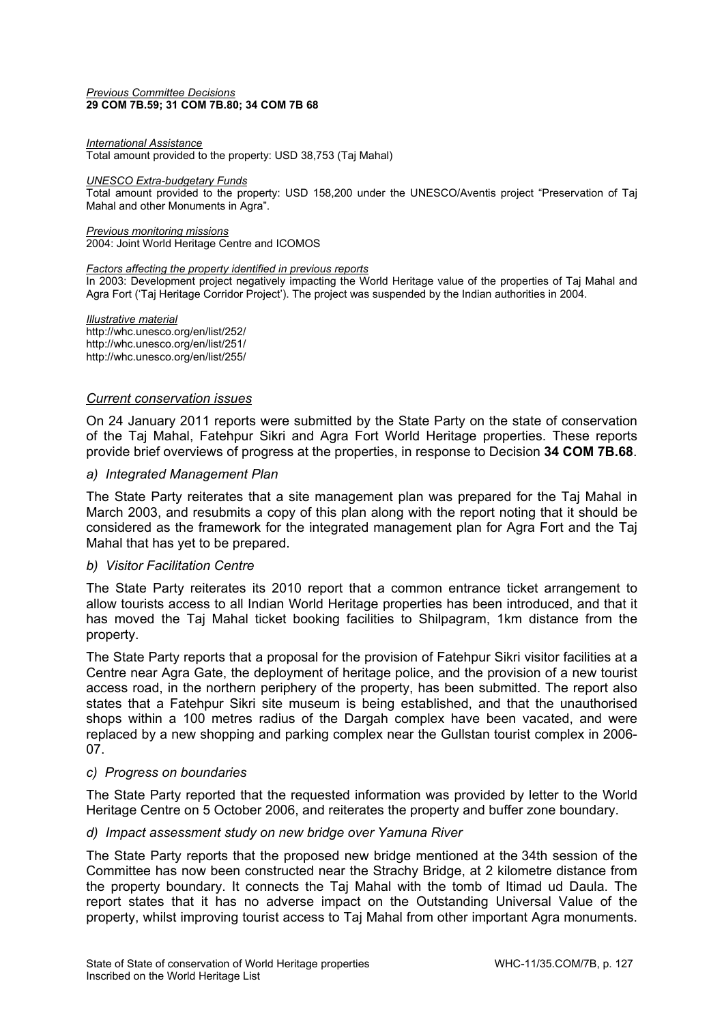#### *Previous Committee Decisions*  **29 COM 7B.59; 31 COM 7B.80; 34 COM 7B 68**

#### *International Assistance*

Total amount provided to the property: USD 38,753 (Taj Mahal)

#### *UNESCO Extra-budgetary Funds*

Total amount provided to the property: USD 158,200 under the UNESCO/Aventis project "Preservation of Taj Mahal and other Monuments in Agra".

*Previous monitoring missions*  2004: Joint World Heritage Centre and ICOMOS

#### *Factors affecting the property identified in previous reports*

In 2003: Development project negatively impacting the World Heritage value of the properties of Taj Mahal and Agra Fort ('Taj Heritage Corridor Project'). The project was suspended by the Indian authorities in 2004.

*Illustrative material*  http://whc.unesco.org/en/list/252/ http://whc.unesco.org/en/list/251/ http://whc.unesco.org/en/list/255/

#### *Current conservation issues*

On 24 January 2011 reports were submitted by the State Party on the state of conservation of the Taj Mahal, Fatehpur Sikri and Agra Fort World Heritage properties. These reports provide brief overviews of progress at the properties, in response to Decision **34 COM 7B.68**.

#### *a) Integrated Management Plan*

The State Party reiterates that a site management plan was prepared for the Taj Mahal in March 2003, and resubmits a copy of this plan along with the report noting that it should be considered as the framework for the integrated management plan for Agra Fort and the Taj Mahal that has yet to be prepared.

#### *b) Visitor Facilitation Centre*

The State Party reiterates its 2010 report that a common entrance ticket arrangement to allow tourists access to all Indian World Heritage properties has been introduced, and that it has moved the Taj Mahal ticket booking facilities to Shilpagram, 1km distance from the property.

The State Party reports that a proposal for the provision of Fatehpur Sikri visitor facilities at a Centre near Agra Gate, the deployment of heritage police, and the provision of a new tourist access road, in the northern periphery of the property, has been submitted. The report also states that a Fatehpur Sikri site museum is being established, and that the unauthorised shops within a 100 metres radius of the Dargah complex have been vacated, and were replaced by a new shopping and parking complex near the Gullstan tourist complex in 2006- 07.

#### *c) Progress on boundaries*

The State Party reported that the requested information was provided by letter to the World Heritage Centre on 5 October 2006, and reiterates the property and buffer zone boundary.

#### *d) Impact assessment study on new bridge over Yamuna River*

The State Party reports that the proposed new bridge mentioned at the 34th session of the Committee has now been constructed near the Strachy Bridge, at 2 kilometre distance from the property boundary. It connects the Taj Mahal with the tomb of Itimad ud Daula. The report states that it has no adverse impact on the Outstanding Universal Value of the property, whilst improving tourist access to Taj Mahal from other important Agra monuments.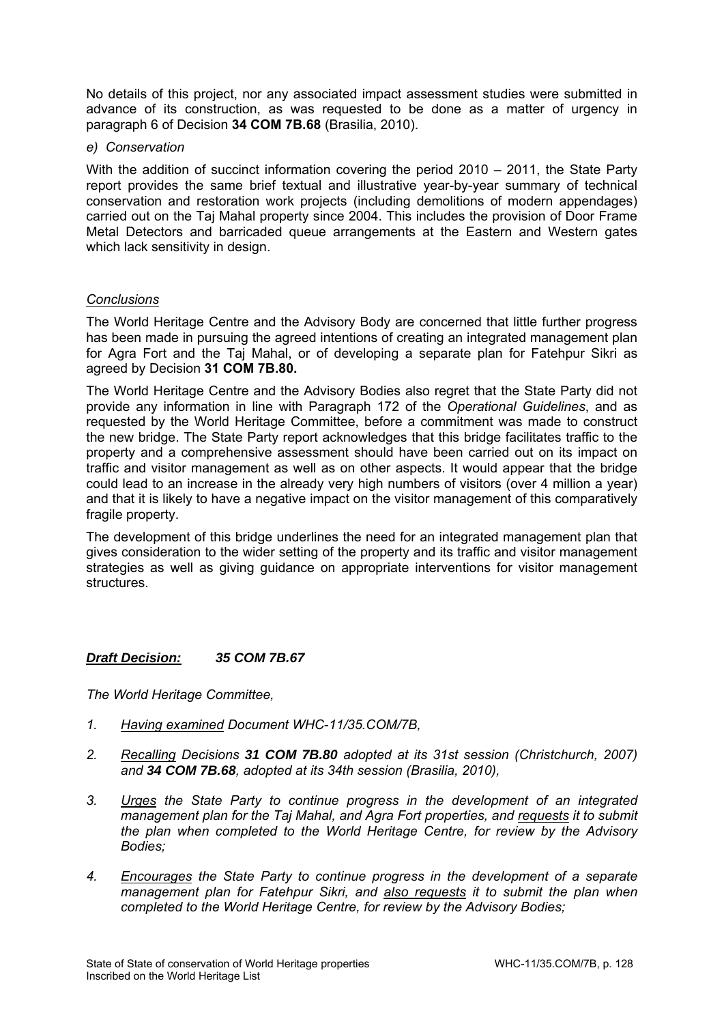No details of this project, nor any associated impact assessment studies were submitted in advance of its construction, as was requested to be done as a matter of urgency in paragraph 6 of Decision **34 COM 7B.68** (Brasilia, 2010).

#### *e) Conservation*

With the addition of succinct information covering the period 2010 – 2011, the State Party report provides the same brief textual and illustrative year-by-year summary of technical conservation and restoration work projects (including demolitions of modern appendages) carried out on the Taj Mahal property since 2004. This includes the provision of Door Frame Metal Detectors and barricaded queue arrangements at the Eastern and Western gates which lack sensitivity in design.

## *Conclusions*

The World Heritage Centre and the Advisory Body are concerned that little further progress has been made in pursuing the agreed intentions of creating an integrated management plan for Agra Fort and the Taj Mahal, or of developing a separate plan for Fatehpur Sikri as agreed by Decision **31 COM 7B.80.** 

The World Heritage Centre and the Advisory Bodies also regret that the State Party did not provide any information in line with Paragraph 172 of the *Operational Guidelines*, and as requested by the World Heritage Committee, before a commitment was made to construct the new bridge. The State Party report acknowledges that this bridge facilitates traffic to the property and a comprehensive assessment should have been carried out on its impact on traffic and visitor management as well as on other aspects. It would appear that the bridge could lead to an increase in the already very high numbers of visitors (over 4 million a year) and that it is likely to have a negative impact on the visitor management of this comparatively fragile property.

The development of this bridge underlines the need for an integrated management plan that gives consideration to the wider setting of the property and its traffic and visitor management strategies as well as giving guidance on appropriate interventions for visitor management structures.

## *Draft Decision: 35 COM 7B.67*

- *1. Having examined Document WHC*-*11/35.COM/7B,*
- *2. Recalling Decisions 31 COM 7B.80 adopted at its 31st session (Christchurch, 2007) and 34 COM 7B.68, adopted at its 34th session (Brasilia, 2010),*
- *3. Urges the State Party to continue progress in the development of an integrated management plan for the Taj Mahal, and Agra Fort properties, and requests it to submit the plan when completed to the World Heritage Centre, for review by the Advisory Bodies;*
- *4. Encourages the State Party to continue progress in the development of a separate management plan for Fatehpur Sikri, and also requests it to submit the plan when completed to the World Heritage Centre, for review by the Advisory Bodies;*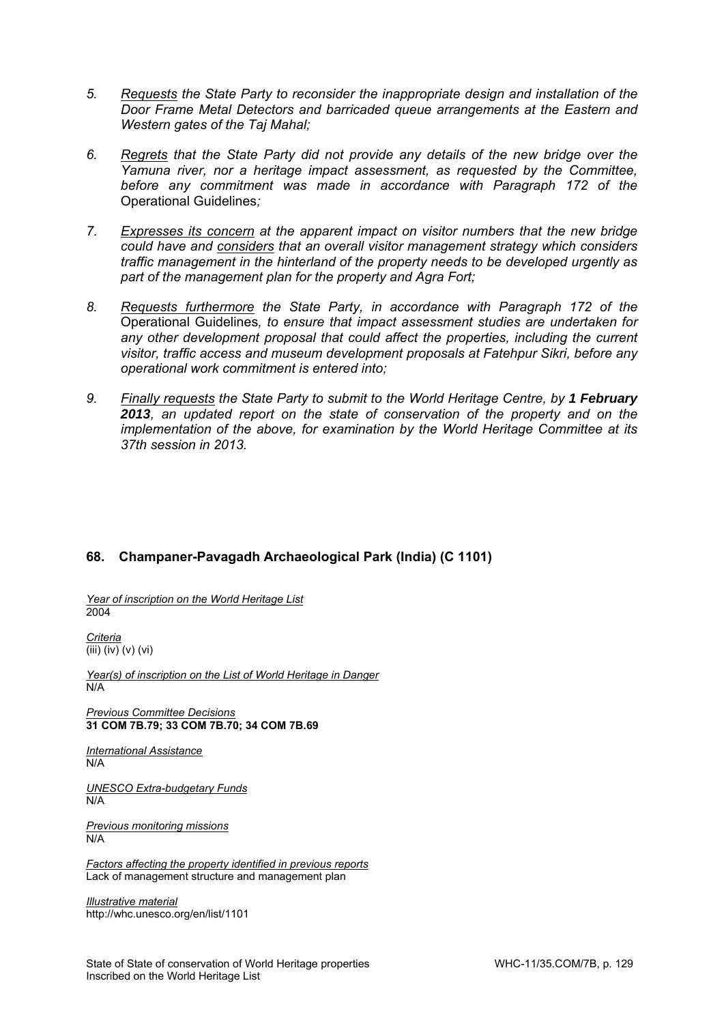- *5. Requests the State Party to reconsider the inappropriate design and installation of the Door Frame Metal Detectors and barricaded queue arrangements at the Eastern and Western gates of the Taj Mahal;*
- *6. Regrets that the State Party did not provide any details of the new bridge over the Yamuna river, nor a heritage impact assessment, as requested by the Committee, before any commitment was made in accordance with Paragraph 172 of the*  Operational Guidelines*;*
- *7. Expresses its concern at the apparent impact on visitor numbers that the new bridge could have and considers that an overall visitor management strategy which considers traffic management in the hinterland of the property needs to be developed urgently as part of the management plan for the property and Agra Fort;*
- *8. Requests furthermore the State Party, in accordance with Paragraph 172 of the*  Operational Guidelines*, to ensure that impact assessment studies are undertaken for any other development proposal that could affect the properties, including the current visitor, traffic access and museum development proposals at Fatehpur Sikri, before any operational work commitment is entered into;*
- 9. Finally requests the State Party to submit to the World Heritage Centre, by 1 February *2013, an updated report on the state of conservation of the property and on the implementation of the above, for examination by the World Heritage Committee at its 37th session in 2013.*

# **68. Champaner-Pavagadh Archaeological Park (India) (C 1101)**

*Year of inscription on the World Heritage List*  2004

*Criteria*   $\overline{(\text{iii}) (\text{iv})}$  (v) (vi)

*Year(s) of inscription on the List of World Heritage in Danger*  N/A

*Previous Committee Decisions*  **31 COM 7B.79; 33 COM 7B.70; 34 COM 7B.69** 

*International Assistance*  N/A

*UNESCO Extra-budgetary Funds*  N/A

*Previous monitoring missions*  N/A

*Factors affecting the property identified in previous reports*  Lack of management structure and management plan

*Illustrative material*  http://whc.unesco.org/en/list/1101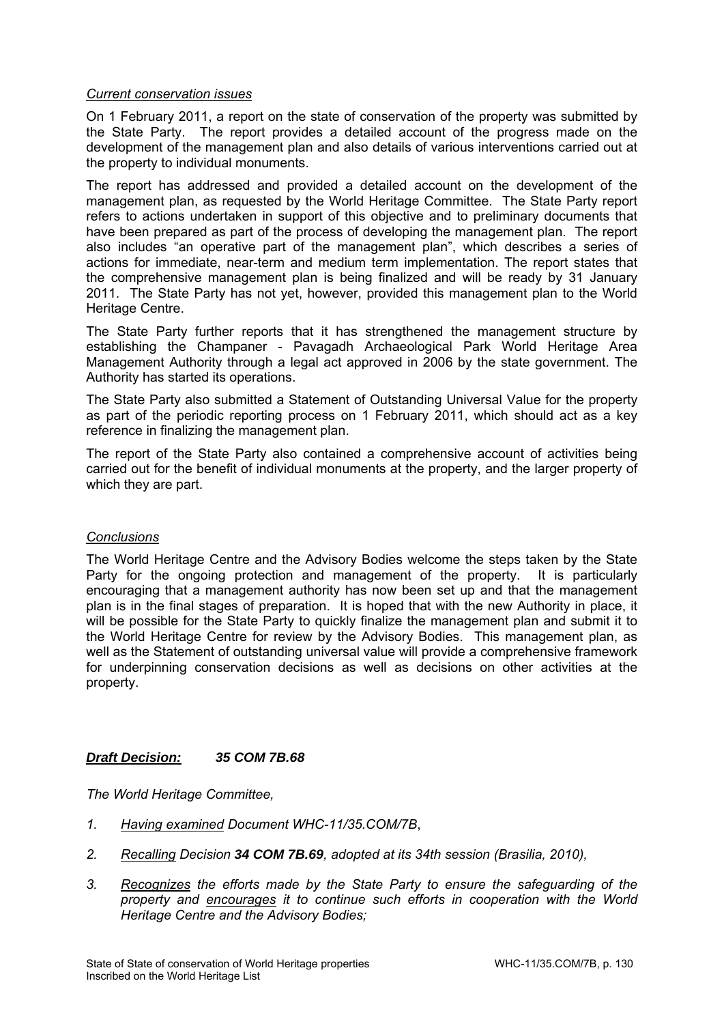#### *Current conservation issues*

On 1 February 2011, a report on the state of conservation of the property was submitted by the State Party. The report provides a detailed account of the progress made on the development of the management plan and also details of various interventions carried out at the property to individual monuments.

The report has addressed and provided a detailed account on the development of the management plan, as requested by the World Heritage Committee. The State Party report refers to actions undertaken in support of this objective and to preliminary documents that have been prepared as part of the process of developing the management plan. The report also includes "an operative part of the management plan", which describes a series of actions for immediate, near-term and medium term implementation. The report states that the comprehensive management plan is being finalized and will be ready by 31 January 2011. The State Party has not yet, however, provided this management plan to the World Heritage Centre.

The State Party further reports that it has strengthened the management structure by establishing the Champaner - Pavagadh Archaeological Park World Heritage Area Management Authority through a legal act approved in 2006 by the state government. The Authority has started its operations.

The State Party also submitted a Statement of Outstanding Universal Value for the property as part of the periodic reporting process on 1 February 2011, which should act as a key reference in finalizing the management plan.

The report of the State Party also contained a comprehensive account of activities being carried out for the benefit of individual monuments at the property, and the larger property of which they are part.

#### *Conclusions*

The World Heritage Centre and the Advisory Bodies welcome the steps taken by the State Party for the ongoing protection and management of the property. It is particularly encouraging that a management authority has now been set up and that the management plan is in the final stages of preparation. It is hoped that with the new Authority in place, it will be possible for the State Party to quickly finalize the management plan and submit it to the World Heritage Centre for review by the Advisory Bodies. This management plan, as well as the Statement of outstanding universal value will provide a comprehensive framework for underpinning conservation decisions as well as decisions on other activities at the property.

## *Draft Decision: 35 COM 7B.68*

- *1. Having examined Document WHC-11/35.COM/7B*,
- *2. Recalling Decision 34 COM 7B.69, adopted at its 34th session (Brasilia, 2010),*
- *3. Recognizes the efforts made by the State Party to ensure the safeguarding of the property and encourages it to continue such efforts in cooperation with the World Heritage Centre and the Advisory Bodies;*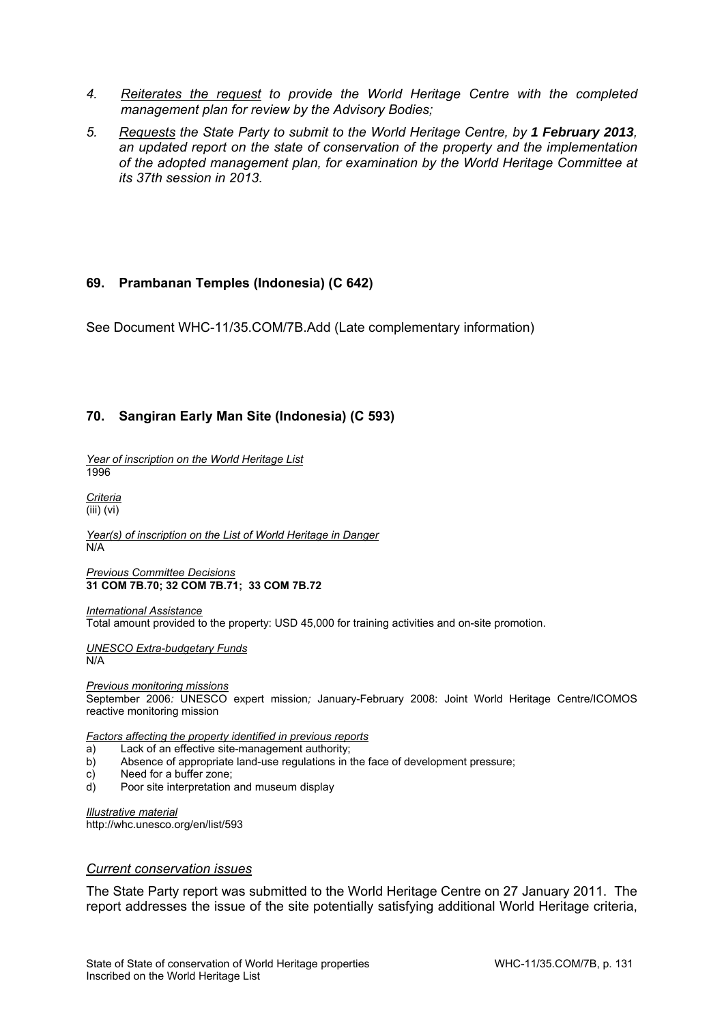- *4. Reiterates the request to provide the World Heritage Centre with the completed management plan for review by the Advisory Bodies;*
- *5. Requests the State Party to submit to the World Heritage Centre, by 1 February 2013, an updated report on the state of conservation of the property and the implementation of the adopted management plan, for examination by the World Heritage Committee at its 37th session in 2013.*

## **69. Prambanan Temples (Indonesia) (C 642)**

See Document WHC-11/35.COM/7B.Add (Late complementary information)

## **70. Sangiran Early Man Site (Indonesia) (C 593)**

*Year of inscription on the World Heritage List*  1996

*Criteria*   $(iii)$  (vi)

*Year(s) of inscription on the List of World Heritage in Danger*  N/A

*Previous Committee Decisions*  **31 COM 7B.70; 32 COM 7B.71; 33 COM 7B.72** 

*International Assistance*  Total amount provided to the property: USD 45,000 for training activities and on-site promotion.

*UNESCO Extra-budgetary Funds*  N/A

*Previous monitoring missions*  September 2006*:* UNESCO expert mission*;* January-February 2008: Joint World Heritage Centre/ICOMOS reactive monitoring mission

*Factors affecting the property identified in previous reports* 

- a) Lack of an effective site-management authority;
- b) Absence of appropriate land-use regulations in the face of development pressure;
- c) Need for a buffer zone;
- d) Poor site interpretation and museum display

*Illustrative material*  http://whc.unesco.org/en/list/593

#### *Current conservation issues*

The State Party report was submitted to the World Heritage Centre on 27 January 2011. The report addresses the issue of the site potentially satisfying additional World Heritage criteria,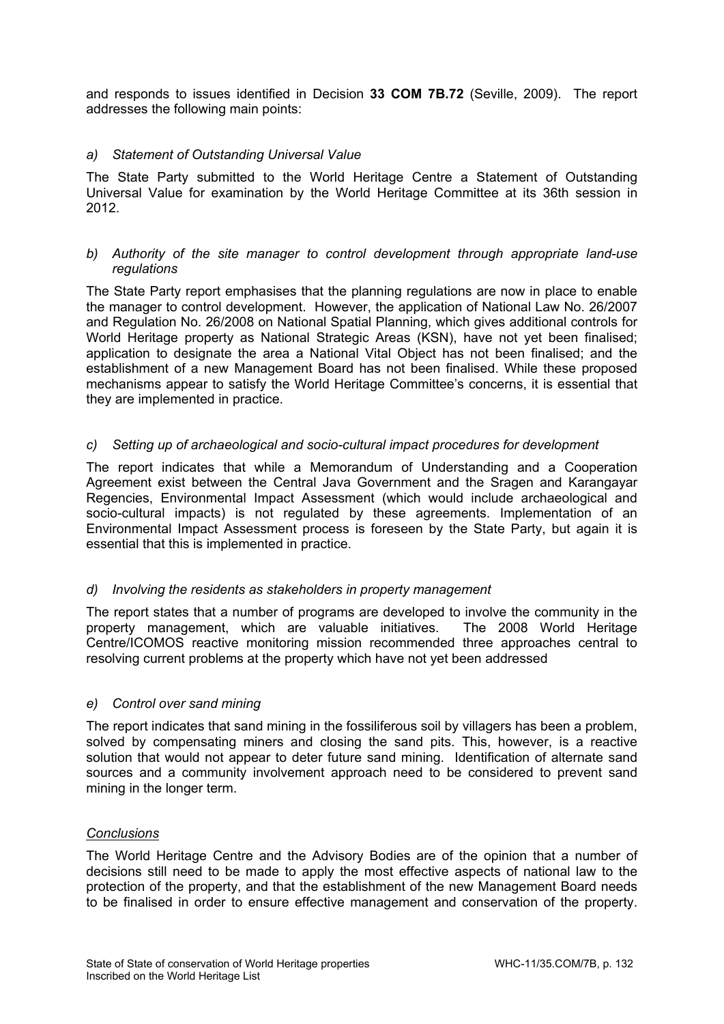and responds to issues identified in Decision **33 COM 7B.72** (Seville, 2009). The report addresses the following main points:

## *a) Statement of Outstanding Universal Value*

The State Party submitted to the World Heritage Centre a Statement of Outstanding Universal Value for examination by the World Heritage Committee at its 36th session in 2012.

#### *b) Authority of the site manager to control development through appropriate land-use regulations*

The State Party report emphasises that the planning regulations are now in place to enable the manager to control development. However, the application of National Law No. 26/2007 and Regulation No. 26/2008 on National Spatial Planning, which gives additional controls for World Heritage property as National Strategic Areas (KSN), have not yet been finalised; application to designate the area a National Vital Object has not been finalised; and the establishment of a new Management Board has not been finalised. While these proposed mechanisms appear to satisfy the World Heritage Committee's concerns, it is essential that they are implemented in practice.

## *c) Setting up of archaeological and socio-cultural impact procedures for development*

The report indicates that while a Memorandum of Understanding and a Cooperation Agreement exist between the Central Java Government and the Sragen and Karangayar Regencies, Environmental Impact Assessment (which would include archaeological and socio-cultural impacts) is not regulated by these agreements. Implementation of an Environmental Impact Assessment process is foreseen by the State Party, but again it is essential that this is implemented in practice.

## *d) Involving the residents as stakeholders in property management*

The report states that a number of programs are developed to involve the community in the property management, which are valuable initiatives. The 2008 World Heritage Centre/ICOMOS reactive monitoring mission recommended three approaches central to resolving current problems at the property which have not yet been addressed

## *e) Control over sand mining*

The report indicates that sand mining in the fossiliferous soil by villagers has been a problem, solved by compensating miners and closing the sand pits. This, however, is a reactive solution that would not appear to deter future sand mining. Identification of alternate sand sources and a community involvement approach need to be considered to prevent sand mining in the longer term.

#### *Conclusions*

The World Heritage Centre and the Advisory Bodies are of the opinion that a number of decisions still need to be made to apply the most effective aspects of national law to the protection of the property, and that the establishment of the new Management Board needs to be finalised in order to ensure effective management and conservation of the property.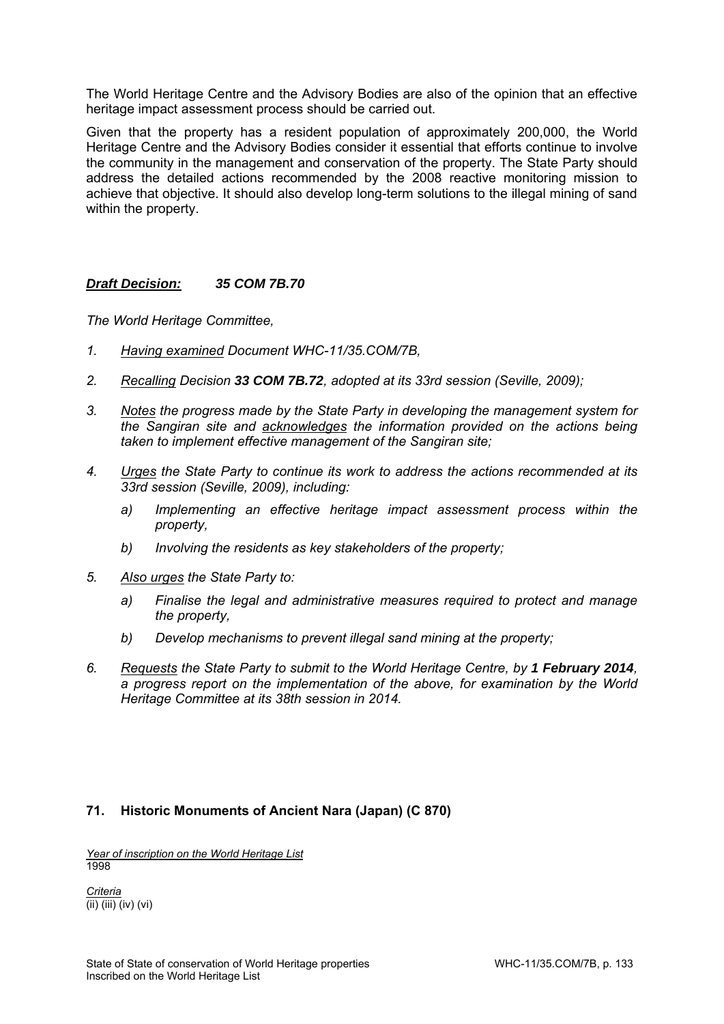The World Heritage Centre and the Advisory Bodies are also of the opinion that an effective heritage impact assessment process should be carried out.

Given that the property has a resident population of approximately 200,000, the World Heritage Centre and the Advisory Bodies consider it essential that efforts continue to involve the community in the management and conservation of the property. The State Party should address the detailed actions recommended by the 2008 reactive monitoring mission to achieve that objective. It should also develop long-term solutions to the illegal mining of sand within the property.

## *Draft Decision: 35 COM 7B.70*

*The World Heritage Committee,* 

- *1. Having examined Document WHC-11/35.COM/7B,*
- *2. Recalling Decision 33 COM 7B.72, adopted at its 33rd session (Seville, 2009);*
- *3. Notes the progress made by the State Party in developing the management system for the Sangiran site and acknowledges the information provided on the actions being taken to implement effective management of the Sangiran site;*
- *4. Urges the State Party to continue its work to address the actions recommended at its 33rd session (Seville, 2009), including:* 
	- *a) Implementing an effective heritage impact assessment process within the property,*
	- *b) Involving the residents as key stakeholders of the property;*
- *5. Also urges the State Party to:* 
	- *a) Finalise the legal and administrative measures required to protect and manage the property,*
	- *b) Develop mechanisms to prevent illegal sand mining at the property;*
- *6. Requests the State Party to submit to the World Heritage Centre, by 1 February 2014, a progress report on the implementation of the above, for examination by the World Heritage Committee at its 38th session in 2014.*

## **71. Historic Monuments of Ancient Nara (Japan) (C 870)**

*Year of inscription on the World Heritage List*  1998

*Criteria*  (ii) (iii) (iv) (vi)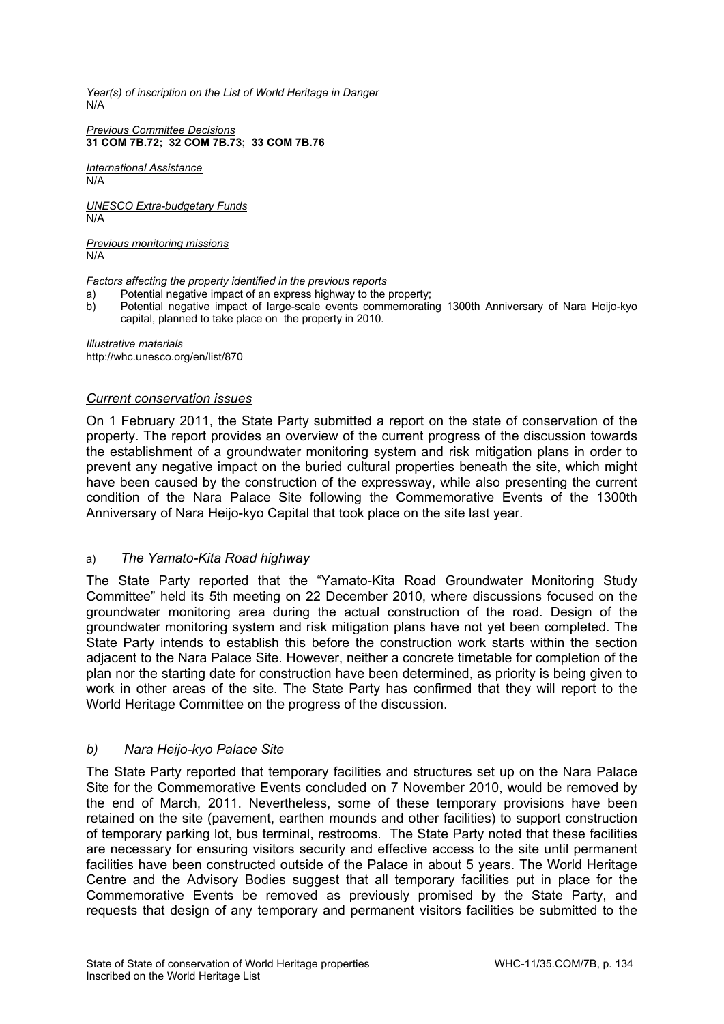*Year(s) of inscription on the List of World Heritage in Danger*  N/A

*Previous Committee Decisions*  **31 COM 7B.72; 32 COM 7B.73; 33 COM 7B.76** 

*International Assistance*   $N/A$ 

*UNESCO Extra-budgetary Funds*  N/A

*Previous monitoring missions*  N/A

*Factors affecting the property identified in the previous reports* 

- a) Potential negative impact of an express highway to the property;
- b) Potential negative impact of large-scale events commemorating 1300th Anniversary of Nara Heijo-kyo capital, planned to take place on the property in 2010.

*Illustrative materials*  http://whc.unesco.org/en/list/870

#### *Current conservation issues*

On 1 February 2011, the State Party submitted a report on the state of conservation of the property. The report provides an overview of the current progress of the discussion towards the establishment of a groundwater monitoring system and risk mitigation plans in order to prevent any negative impact on the buried cultural properties beneath the site, which might have been caused by the construction of the expressway, while also presenting the current condition of the Nara Palace Site following the Commemorative Events of the 1300th Anniversary of Nara Heijo-kyo Capital that took place on the site last year.

## a) *The Yamato-Kita Road highway*

The State Party reported that the "Yamato-Kita Road Groundwater Monitoring Study Committee" held its 5th meeting on 22 December 2010, where discussions focused on the groundwater monitoring area during the actual construction of the road. Design of the groundwater monitoring system and risk mitigation plans have not yet been completed. The State Party intends to establish this before the construction work starts within the section adjacent to the Nara Palace Site. However, neither a concrete timetable for completion of the plan nor the starting date for construction have been determined, as priority is being given to work in other areas of the site. The State Party has confirmed that they will report to the World Heritage Committee on the progress of the discussion.

## *b) Nara Heijo-kyo Palace Site*

The State Party reported that temporary facilities and structures set up on the Nara Palace Site for the Commemorative Events concluded on 7 November 2010, would be removed by the end of March, 2011. Nevertheless, some of these temporary provisions have been retained on the site (pavement, earthen mounds and other facilities) to support construction of temporary parking lot, bus terminal, restrooms. The State Party noted that these facilities are necessary for ensuring visitors security and effective access to the site until permanent facilities have been constructed outside of the Palace in about 5 years. The World Heritage Centre and the Advisory Bodies suggest that all temporary facilities put in place for the Commemorative Events be removed as previously promised by the State Party, and requests that design of any temporary and permanent visitors facilities be submitted to the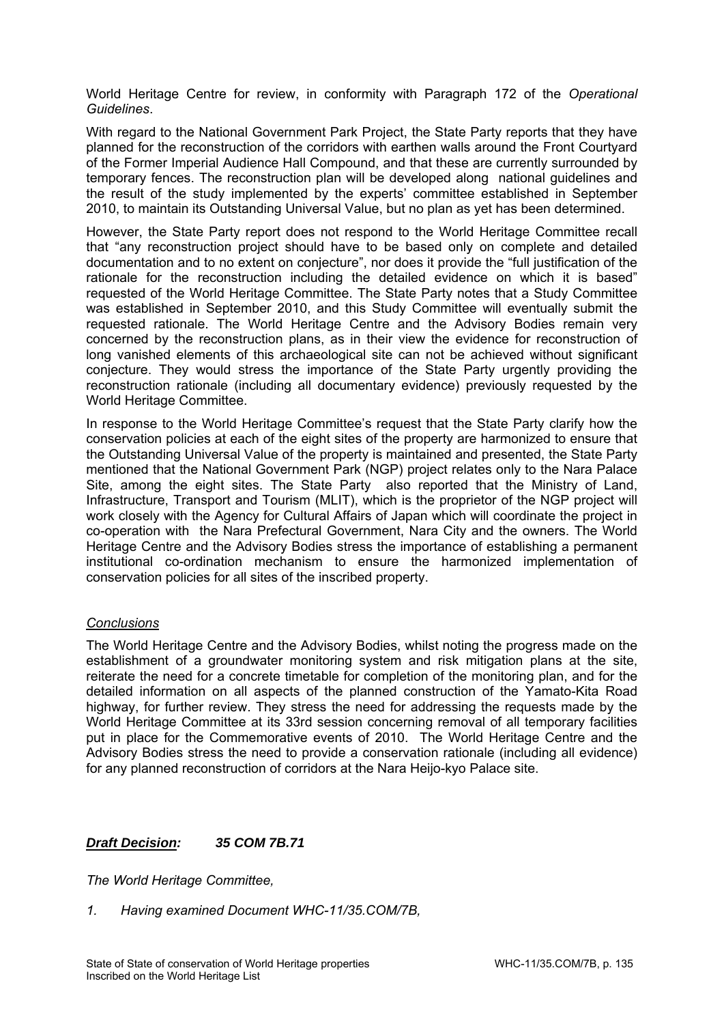World Heritage Centre for review, in conformity with Paragraph 172 of the *Operational Guidelines*.

With regard to the National Government Park Project, the State Party reports that they have planned for the reconstruction of the corridors with earthen walls around the Front Courtyard of the Former Imperial Audience Hall Compound, and that these are currently surrounded by temporary fences. The reconstruction plan will be developed along national guidelines and the result of the study implemented by the experts' committee established in September 2010, to maintain its Outstanding Universal Value, but no plan as yet has been determined.

However, the State Party report does not respond to the World Heritage Committee recall that "any reconstruction project should have to be based only on complete and detailed documentation and to no extent on conjecture", nor does it provide the "full justification of the rationale for the reconstruction including the detailed evidence on which it is based" requested of the World Heritage Committee. The State Party notes that a Study Committee was established in September 2010, and this Study Committee will eventually submit the requested rationale. The World Heritage Centre and the Advisory Bodies remain very concerned by the reconstruction plans, as in their view the evidence for reconstruction of long vanished elements of this archaeological site can not be achieved without significant conjecture. They would stress the importance of the State Party urgently providing the reconstruction rationale (including all documentary evidence) previously requested by the World Heritage Committee.

In response to the World Heritage Committee's request that the State Party clarify how the conservation policies at each of the eight sites of the property are harmonized to ensure that the Outstanding Universal Value of the property is maintained and presented, the State Party mentioned that the National Government Park (NGP) project relates only to the Nara Palace Site, among the eight sites. The State Party also reported that the Ministry of Land, Infrastructure, Transport and Tourism (MLIT), which is the proprietor of the NGP project will work closely with the Agency for Cultural Affairs of Japan which will coordinate the project in co-operation with the Nara Prefectural Government, Nara City and the owners. The World Heritage Centre and the Advisory Bodies stress the importance of establishing a permanent institutional co-ordination mechanism to ensure the harmonized implementation of conservation policies for all sites of the inscribed property.

## *Conclusions*

The World Heritage Centre and the Advisory Bodies, whilst noting the progress made on the establishment of a groundwater monitoring system and risk mitigation plans at the site, reiterate the need for a concrete timetable for completion of the monitoring plan, and for the detailed information on all aspects of the planned construction of the Yamato-Kita Road highway, for further review. They stress the need for addressing the requests made by the World Heritage Committee at its 33rd session concerning removal of all temporary facilities put in place for the Commemorative events of 2010. The World Heritage Centre and the Advisory Bodies stress the need to provide a conservation rationale (including all evidence) for any planned reconstruction of corridors at the Nara Heijo-kyo Palace site.

## *Draft Decision: 35 COM 7B.71*

*The World Heritage Committee,* 

*1. Having examined Document WHC-11/35.COM/7B,*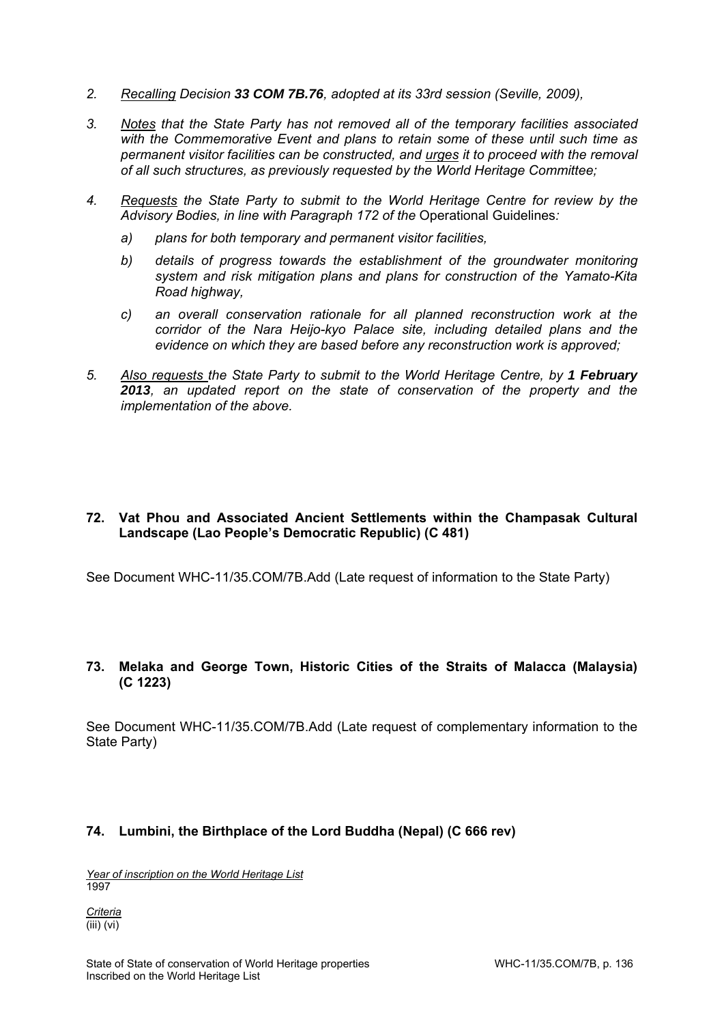- *2. Recalling Decision 33 COM 7B.76, adopted at its 33rd session (Seville, 2009),*
- *3. Notes that the State Party has not removed all of the temporary facilities associated with the Commemorative Event and plans to retain some of these until such time as permanent visitor facilities can be constructed, and urges it to proceed with the removal of all such structures, as previously requested by the World Heritage Committee;*
- *4. Requests the State Party to submit to the World Heritage Centre for review by the Advisory Bodies, in line with Paragraph 172 of the* Operational Guidelines*:* 
	- *a) plans for both temporary and permanent visitor facilities,*
	- *b) details of progress towards the establishment of the groundwater monitoring system and risk mitigation plans and plans for construction of the Yamato-Kita Road highway,*
	- *c) an overall conservation rationale for all planned reconstruction work at the corridor of the Nara Heijo-kyo Palace site, including detailed plans and the evidence on which they are based before any reconstruction work is approved;*
- *5. Also requests the State Party to submit to the World Heritage Centre, by 1 February 2013, an updated report on the state of conservation of the property and the implementation of the above.*

## **72. Vat Phou and Associated Ancient Settlements within the Champasak Cultural Landscape (Lao People's Democratic Republic) (C 481)**

See Document WHC-11/35.COM/7B.Add (Late request of information to the State Party)

## **73. Melaka and George Town, Historic Cities of the Straits of Malacca (Malaysia) (C 1223)**

See Document WHC-11/35.COM/7B.Add (Late request of complementary information to the State Party)

## **74. Lumbini, the Birthplace of the Lord Buddha (Nepal) (C 666 rev)**

*Year of inscription on the World Heritage List*  1997

*Criteria*   $\overline{(\text{iii}) (\text{vi})}$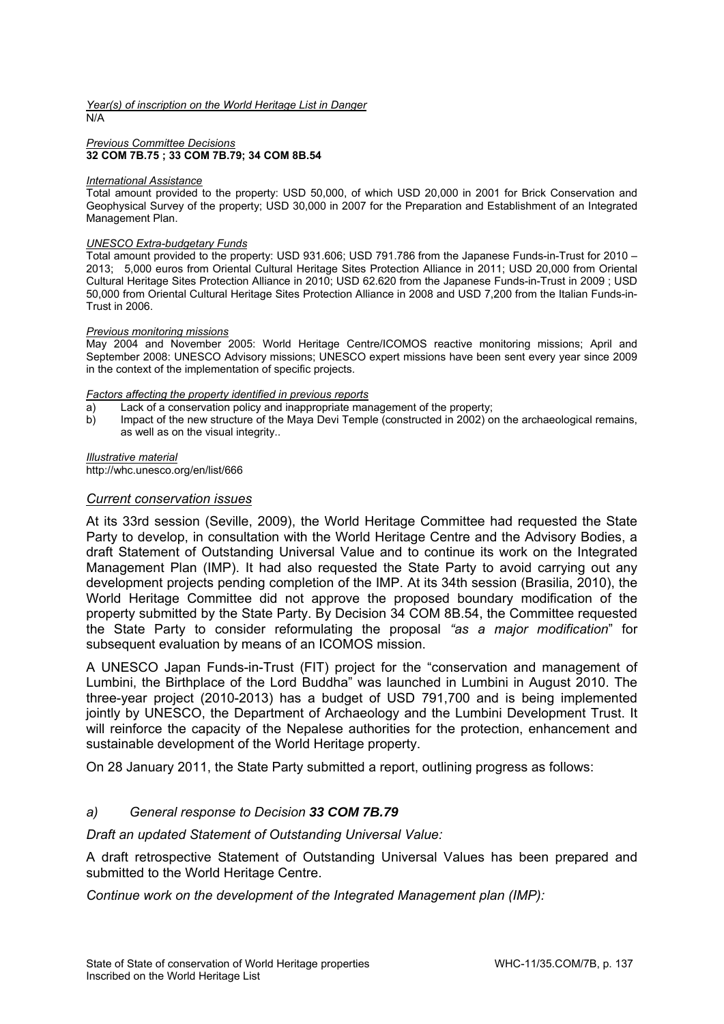*Year(s) of inscription on the World Heritage List in Danger*  N/A

#### *Previous Committee Decisions*  **32 COM 7B.75 ; 33 COM 7B.79; 34 COM 8B.54**

#### *International Assistance*

Total amount provided to the property: USD 50,000, of which USD 20,000 in 2001 for Brick Conservation and Geophysical Survey of the property; USD 30,000 in 2007 for the Preparation and Establishment of an Integrated Management Plan.

#### *UNESCO Extra-budgetary Funds*

Total amount provided to the property: USD 931.606; USD 791.786 from the Japanese Funds-in-Trust for 2010 – 2013; 5,000 euros from Oriental Cultural Heritage Sites Protection Alliance in 2011; USD 20,000 from Oriental Cultural Heritage Sites Protection Alliance in 2010; USD 62.620 from the Japanese Funds-in-Trust in 2009 ; USD 50,000 from Oriental Cultural Heritage Sites Protection Alliance in 2008 and USD 7,200 from the Italian Funds-in-Trust in 2006.

#### *Previous monitoring missions*

May 2004 and November 2005: World Heritage Centre/ICOMOS reactive monitoring missions; April and September 2008: UNESCO Advisory missions; UNESCO expert missions have been sent every year since 2009 in the context of the implementation of specific projects.

#### *Factors affecting the property identified in previous reports*

- a) Lack of a conservation policy and inappropriate management of the property;
- b) Impact of the new structure of the Maya Devi Temple (constructed in 2002) on the archaeological remains, as well as on the visual integrity..

#### *Illustrative material*

http://whc.unesco.org/en/list/666

#### *Current conservation issues*

At its 33rd session (Seville, 2009), the World Heritage Committee had requested the State Party to develop, in consultation with the World Heritage Centre and the Advisory Bodies, a draft Statement of Outstanding Universal Value and to continue its work on the Integrated Management Plan (IMP). It had also requested the State Party to avoid carrying out any development projects pending completion of the IMP. At its 34th session (Brasilia, 2010), the World Heritage Committee did not approve the proposed boundary modification of the property submitted by the State Party. By Decision 34 COM 8B.54, the Committee requested the State Party to consider reformulating the proposal *"as a major modification*" for subsequent evaluation by means of an ICOMOS mission.

A UNESCO Japan Funds-in-Trust (FIT) project for the "conservation and management of Lumbini, the Birthplace of the Lord Buddha" was launched in Lumbini in August 2010. The three-year project (2010-2013) has a budget of USD 791,700 and is being implemented jointly by UNESCO, the Department of Archaeology and the Lumbini Development Trust. It will reinforce the capacity of the Nepalese authorities for the protection, enhancement and sustainable development of the World Heritage property.

On 28 January 2011, the State Party submitted a report, outlining progress as follows:

#### *a) General response to Decision 33 COM 7B.79*

#### *Draft an updated Statement of Outstanding Universal Value:*

A draft retrospective Statement of Outstanding Universal Values has been prepared and submitted to the World Heritage Centre.

*Continue work on the development of the Integrated Management plan (IMP):*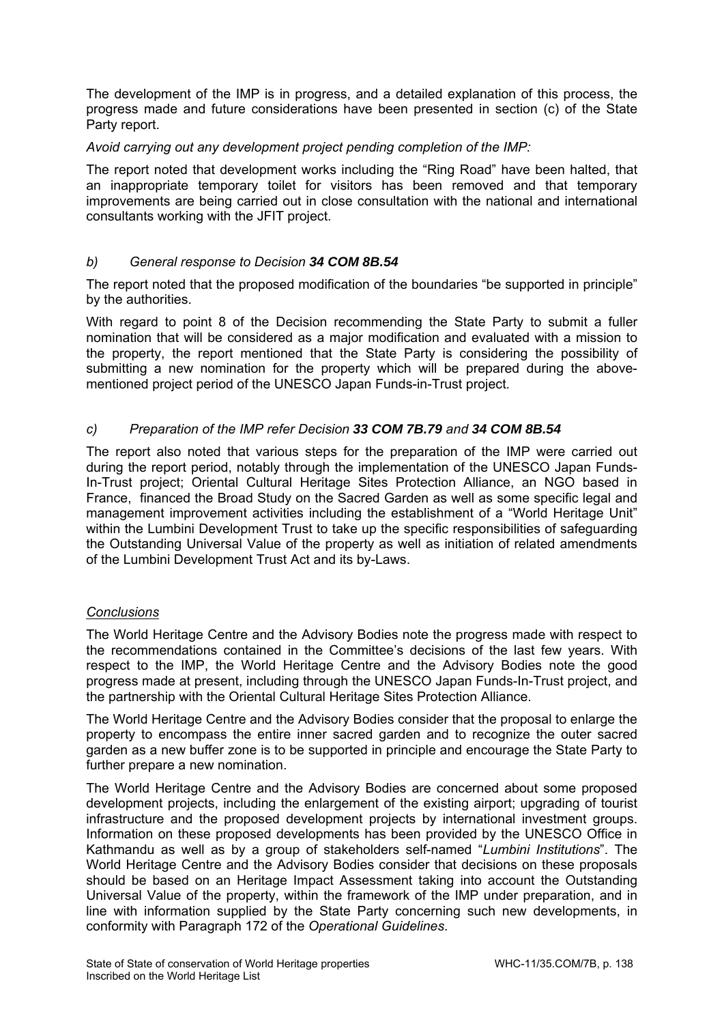The development of the IMP is in progress, and a detailed explanation of this process, the progress made and future considerations have been presented in section (c) of the State Party report.

## *Avoid carrying out any development project pending completion of the IMP:*

The report noted that development works including the "Ring Road" have been halted, that an inappropriate temporary toilet for visitors has been removed and that temporary improvements are being carried out in close consultation with the national and international consultants working with the JFIT project.

## *b) General response to Decision 34 COM 8B.54*

The report noted that the proposed modification of the boundaries "be supported in principle" by the authorities.

With regard to point 8 of the Decision recommending the State Party to submit a fuller nomination that will be considered as a major modification and evaluated with a mission to the property, the report mentioned that the State Party is considering the possibility of submitting a new nomination for the property which will be prepared during the abovementioned project period of the UNESCO Japan Funds-in-Trust project.

## *c) Preparation of the IMP refer Decision 33 COM 7B.79 and 34 COM 8B.54*

The report also noted that various steps for the preparation of the IMP were carried out during the report period, notably through the implementation of the UNESCO Japan Funds-In-Trust project; Oriental Cultural Heritage Sites Protection Alliance, an NGO based in France, financed the Broad Study on the Sacred Garden as well as some specific legal and management improvement activities including the establishment of a "World Heritage Unit" within the Lumbini Development Trust to take up the specific responsibilities of safeguarding the Outstanding Universal Value of the property as well as initiation of related amendments of the Lumbini Development Trust Act and its by-Laws.

## *Conclusions*

The World Heritage Centre and the Advisory Bodies note the progress made with respect to the recommendations contained in the Committee's decisions of the last few years. With respect to the IMP, the World Heritage Centre and the Advisory Bodies note the good progress made at present, including through the UNESCO Japan Funds-In-Trust project, and the partnership with the Oriental Cultural Heritage Sites Protection Alliance.

The World Heritage Centre and the Advisory Bodies consider that the proposal to enlarge the property to encompass the entire inner sacred garden and to recognize the outer sacred garden as a new buffer zone is to be supported in principle and encourage the State Party to further prepare a new nomination.

The World Heritage Centre and the Advisory Bodies are concerned about some proposed development projects, including the enlargement of the existing airport; upgrading of tourist infrastructure and the proposed development projects by international investment groups. Information on these proposed developments has been provided by the UNESCO Office in Kathmandu as well as by a group of stakeholders self-named "*Lumbini Institutions*". The World Heritage Centre and the Advisory Bodies consider that decisions on these proposals should be based on an Heritage Impact Assessment taking into account the Outstanding Universal Value of the property, within the framework of the IMP under preparation, and in line with information supplied by the State Party concerning such new developments, in conformity with Paragraph 172 of the *Operational Guidelines*.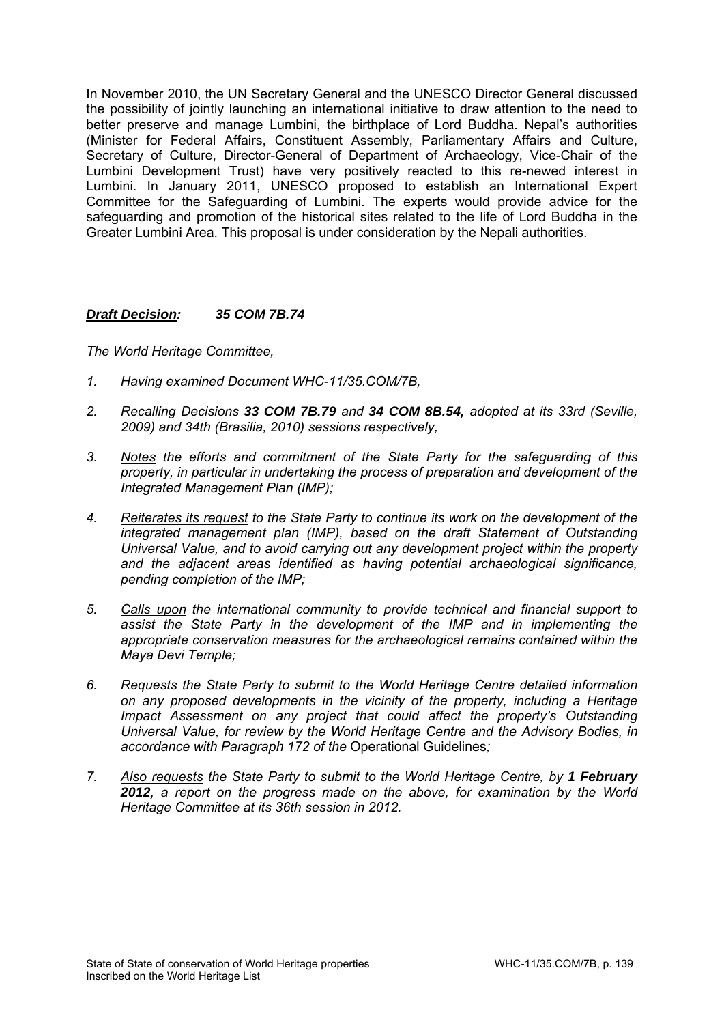In November 2010, the UN Secretary General and the UNESCO Director General discussed the possibility of jointly launching an international initiative to draw attention to the need to better preserve and manage Lumbini, the birthplace of Lord Buddha. Nepal's authorities (Minister for Federal Affairs, Constituent Assembly, Parliamentary Affairs and Culture, Secretary of Culture, Director-General of Department of Archaeology, Vice-Chair of the Lumbini Development Trust) have very positively reacted to this re-newed interest in Lumbini. In January 2011, UNESCO proposed to establish an International Expert Committee for the Safeguarding of Lumbini. The experts would provide advice for the safeguarding and promotion of the historical sites related to the life of Lord Buddha in the Greater Lumbini Area. This proposal is under consideration by the Nepali authorities.

## *Draft Decision: 35 COM 7B.74*

- *1. Having examined Document WHC-11/35.COM/7B,*
- *2. Recalling Decisions 33 COM 7B.79 and 34 COM 8B.54, adopted at its 33rd (Seville, 2009) and 34th (Brasilia, 2010) sessions respectively,*
- *3. Notes the efforts and commitment of the State Party for the safeguarding of this property, in particular in undertaking the process of preparation and development of the Integrated Management Plan (IMP);*
- *4. Reiterates its request to the State Party to continue its work on the development of the integrated management plan (IMP), based on the draft Statement of Outstanding Universal Value, and to avoid carrying out any development project within the property and the adjacent areas identified as having potential archaeological significance, pending completion of the IMP;*
- *5. Calls upon the international community to provide technical and financial support to assist the State Party in the development of the IMP and in implementing the appropriate conservation measures for the archaeological remains contained within the Maya Devi Temple;*
- *6. Requests the State Party to submit to the World Heritage Centre detailed information on any proposed developments in the vicinity of the property, including a Heritage Impact Assessment on any project that could affect the property's Outstanding Universal Value, for review by the World Heritage Centre and the Advisory Bodies, in accordance with Paragraph 172 of the* Operational Guidelines*;*
- *7. Also requests the State Party to submit to the World Heritage Centre, by 1 February 2012, a report on the progress made on the above, for examination by the World Heritage Committee at its 36th session in 2012.*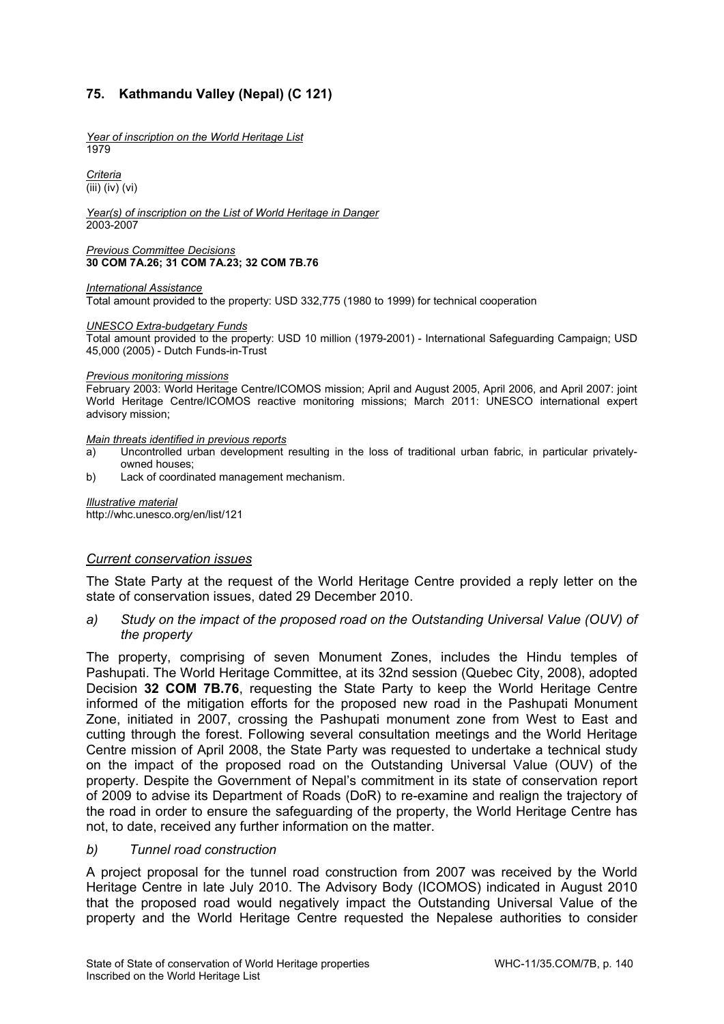# **75. Kathmandu Valley (Nepal) (C 121)**

*Year of inscription on the World Heritage List*  1979

*Criteria*  (iii) (iv) (vi)

*Year(s) of inscription on the List of World Heritage in Danger*  2003-2007

#### *Previous Committee Decisions*  **30 COM 7A.26; 31 COM 7A.23; 32 COM 7B.76**

#### *International Assistance*

Total amount provided to the property: USD 332,775 (1980 to 1999) for technical cooperation

#### *UNESCO Extra-budgetary Funds*

Total amount provided to the property: USD 10 million (1979-2001) - International Safeguarding Campaign; USD 45,000 (2005) - Dutch Funds-in-Trust

#### *Previous monitoring missions*

February 2003: World Heritage Centre/ICOMOS mission; April and August 2005, April 2006, and April 2007: joint World Heritage Centre/ICOMOS reactive monitoring missions; March 2011: UNESCO international expert advisory mission;

#### *Main threats identified in previous reports*

- a) Uncontrolled urban development resulting in the loss of traditional urban fabric, in particular privatelyowned houses;
- b) Lack of coordinated management mechanism.

*Illustrative material*  http://whc.unesco.org/en/list/121

#### *Current conservation issues*

The State Party at the request of the World Heritage Centre provided a reply letter on the state of conservation issues, dated 29 December 2010.

*a) Study on the impact of the proposed road on the Outstanding Universal Value (OUV) of the property* 

The property, comprising of seven Monument Zones, includes the Hindu temples of Pashupati. The World Heritage Committee, at its 32nd session (Quebec City, 2008), adopted Decision **32 COM 7B.76**, requesting the State Party to keep the World Heritage Centre informed of the mitigation efforts for the proposed new road in the Pashupati Monument Zone, initiated in 2007, crossing the Pashupati monument zone from West to East and cutting through the forest. Following several consultation meetings and the World Heritage Centre mission of April 2008, the State Party was requested to undertake a technical study on the impact of the proposed road on the Outstanding Universal Value (OUV) of the property. Despite the Government of Nepal's commitment in its state of conservation report of 2009 to advise its Department of Roads (DoR) to re-examine and realign the trajectory of the road in order to ensure the safeguarding of the property, the World Heritage Centre has not, to date, received any further information on the matter.

#### *b) Tunnel road construction*

A project proposal for the tunnel road construction from 2007 was received by the World Heritage Centre in late July 2010. The Advisory Body (ICOMOS) indicated in August 2010 that the proposed road would negatively impact the Outstanding Universal Value of the property and the World Heritage Centre requested the Nepalese authorities to consider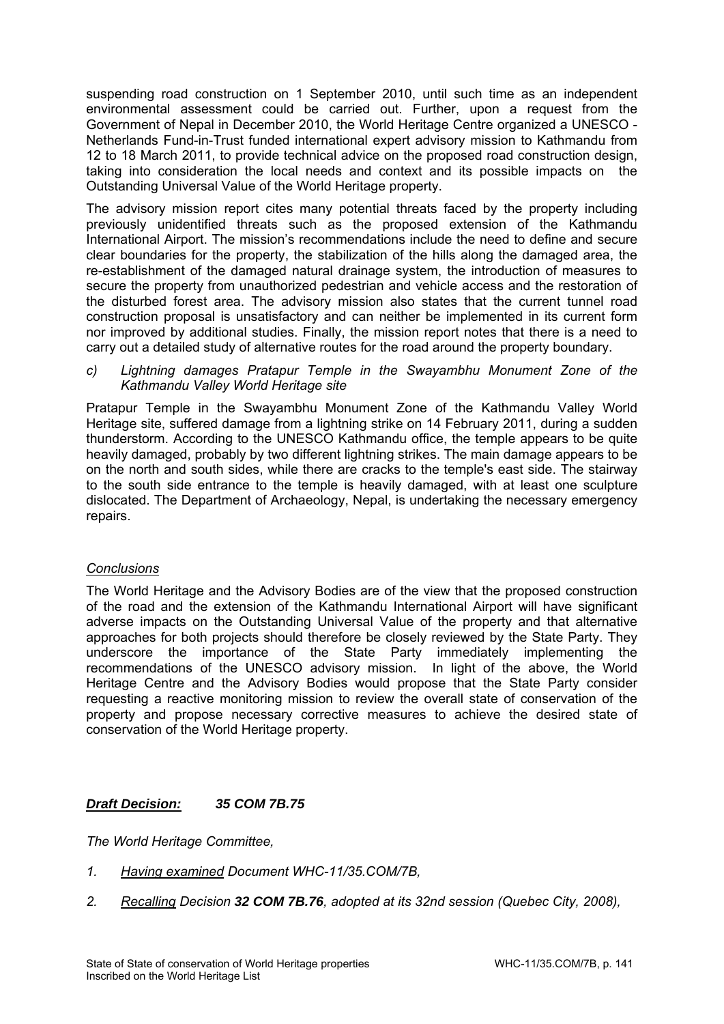suspending road construction on 1 September 2010, until such time as an independent environmental assessment could be carried out. Further, upon a request from the Government of Nepal in December 2010, the World Heritage Centre organized a UNESCO - Netherlands Fund-in-Trust funded international expert advisory mission to Kathmandu from 12 to 18 March 2011, to provide technical advice on the proposed road construction design, taking into consideration the local needs and context and its possible impacts on the Outstanding Universal Value of the World Heritage property.

The advisory mission report cites many potential threats faced by the property including previously unidentified threats such as the proposed extension of the Kathmandu International Airport. The mission's recommendations include the need to define and secure clear boundaries for the property, the stabilization of the hills along the damaged area, the re-establishment of the damaged natural drainage system, the introduction of measures to secure the property from unauthorized pedestrian and vehicle access and the restoration of the disturbed forest area. The advisory mission also states that the current tunnel road construction proposal is unsatisfactory and can neither be implemented in its current form nor improved by additional studies. Finally, the mission report notes that there is a need to carry out a detailed study of alternative routes for the road around the property boundary.

*c) Lightning damages Pratapur Temple in the Swayambhu Monument Zone of the Kathmandu Valley World Heritage site* 

Pratapur Temple in the Swayambhu Monument Zone of the Kathmandu Valley World Heritage site, suffered damage from a lightning strike on 14 February 2011, during a sudden thunderstorm. According to the UNESCO Kathmandu office, the temple appears to be quite heavily damaged, probably by two different lightning strikes. The main damage appears to be on the north and south sides, while there are cracks to the temple's east side. The stairway to the south side entrance to the temple is heavily damaged, with at least one sculpture dislocated. The Department of Archaeology, Nepal, is undertaking the necessary emergency repairs.

## *Conclusions*

The World Heritage and the Advisory Bodies are of the view that the proposed construction of the road and the extension of the Kathmandu International Airport will have significant adverse impacts on the Outstanding Universal Value of the property and that alternative approaches for both projects should therefore be closely reviewed by the State Party. They underscore the importance of the State Party immediately implementing the recommendations of the UNESCO advisory mission. In light of the above, the World Heritage Centre and the Advisory Bodies would propose that the State Party consider requesting a reactive monitoring mission to review the overall state of conservation of the property and propose necessary corrective measures to achieve the desired state of conservation of the World Heritage property.

# *Draft Decision: 35 COM 7B.75*

- *1. Having examined Document WHC-11/35.COM/7B,*
- *2. Recalling Decision 32 COM 7B.76, adopted at its 32nd session (Quebec City, 2008),*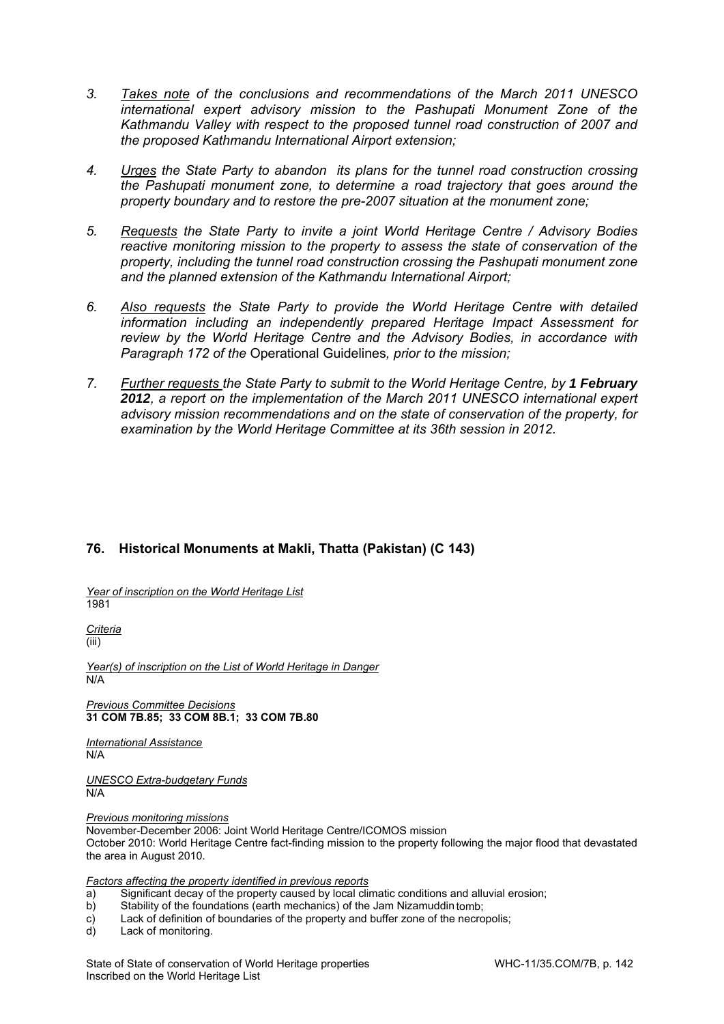- *3. Takes note of the conclusions and recommendations of the March 2011 UNESCO international expert advisory mission to the Pashupati Monument Zone of the Kathmandu Valley with respect to the proposed tunnel road construction of 2007 and the proposed Kathmandu International Airport extension;*
- *4. Urges the State Party to abandon its plans for the tunnel road construction crossing the Pashupati monument zone, to determine a road trajectory that goes around the property boundary and to restore the pre-2007 situation at the monument zone;*
- *5. Requests the State Party to invite a joint World Heritage Centre / Advisory Bodies reactive monitoring mission to the property to assess the state of conservation of the property, including the tunnel road construction crossing the Pashupati monument zone and the planned extension of the Kathmandu International Airport;*
- *6. Also requests the State Party to provide the World Heritage Centre with detailed information including an independently prepared Heritage Impact Assessment for review by the World Heritage Centre and the Advisory Bodies, in accordance with Paragraph 172 of the* Operational Guidelines*, prior to the mission;*
- 7. Further requests the State Party to submit to the World Heritage Centre, by 1 February *2012, a report on the implementation of the March 2011 UNESCO international expert advisory mission recommendations and on the state of conservation of the property, for examination by the World Heritage Committee at its 36th session in 2012.*

# **76. Historical Monuments at Makli, Thatta (Pakistan) (C 143)**

*Year of inscription on the World Heritage List*  1981

*Criteria*  (iii)

*Year(s) of inscription on the List of World Heritage in Danger*  N/A

*Previous Committee Decisions*  **31 COM 7B.85; 33 COM 8B.1; 33 COM 7B.80** 

*International Assistance*  N/A

*UNESCO Extra-budgetary Funds*  N/A

*Previous monitoring missions* 

November-December 2006: Joint World Heritage Centre/ICOMOS mission October 2010: World Heritage Centre fact-finding mission to the property following the major flood that devastated the area in August 2010.

*Factors affecting the property identified in previous reports* 

- a) Significant decay of the property caused by local climatic conditions and alluvial erosion;
- b) Stability of the foundations (earth mechanics) of the Jam Nizamuddin tomb;
- c) Lack of definition of boundaries of the property and buffer zone of the necropolis;
- d) Lack of monitoring.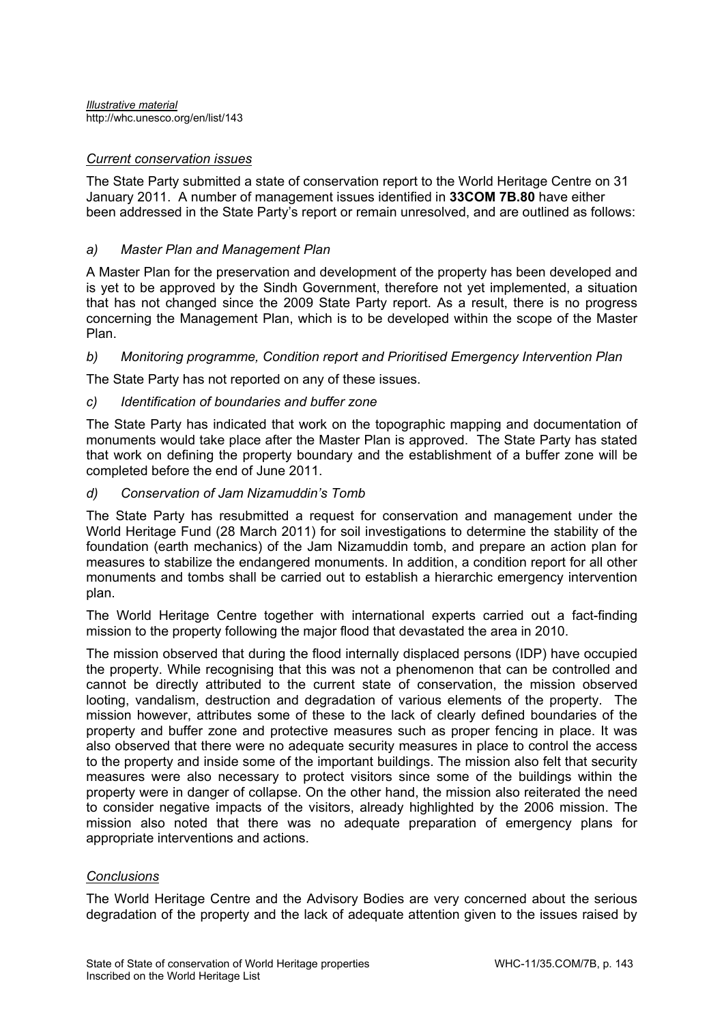#### *Current conservation issues*

The State Party submitted a state of conservation report to the World Heritage Centre on 31 January 2011. A number of management issues identified in **33COM 7B.80** have either been addressed in the State Party's report or remain unresolved, and are outlined as follows:

## *a) Master Plan and Management Plan*

A Master Plan for the preservation and development of the property has been developed and is yet to be approved by the Sindh Government, therefore not yet implemented, a situation that has not changed since the 2009 State Party report. As a result, there is no progress concerning the Management Plan, which is to be developed within the scope of the Master Plan.

## *b) Monitoring programme, Condition report and Prioritised Emergency Intervention Plan*

The State Party has not reported on any of these issues.

#### *c) Identification of boundaries and buffer zone*

The State Party has indicated that work on the topographic mapping and documentation of monuments would take place after the Master Plan is approved. The State Party has stated that work on defining the property boundary and the establishment of a buffer zone will be completed before the end of June 2011.

#### *d) Conservation of Jam Nizamuddin's Tomb*

The State Party has resubmitted a request for conservation and management under the World Heritage Fund (28 March 2011) for soil investigations to determine the stability of the foundation (earth mechanics) of the Jam Nizamuddin tomb, and prepare an action plan for measures to stabilize the endangered monuments. In addition, a condition report for all other monuments and tombs shall be carried out to establish a hierarchic emergency intervention plan.

The World Heritage Centre together with international experts carried out a fact-finding mission to the property following the major flood that devastated the area in 2010.

The mission observed that during the flood internally displaced persons (IDP) have occupied the property. While recognising that this was not a phenomenon that can be controlled and cannot be directly attributed to the current state of conservation, the mission observed looting, vandalism, destruction and degradation of various elements of the property. The mission however, attributes some of these to the lack of clearly defined boundaries of the property and buffer zone and protective measures such as proper fencing in place. It was also observed that there were no adequate security measures in place to control the access to the property and inside some of the important buildings. The mission also felt that security measures were also necessary to protect visitors since some of the buildings within the property were in danger of collapse. On the other hand, the mission also reiterated the need to consider negative impacts of the visitors, already highlighted by the 2006 mission. The mission also noted that there was no adequate preparation of emergency plans for appropriate interventions and actions.

#### *Conclusions*

The World Heritage Centre and the Advisory Bodies are very concerned about the serious degradation of the property and the lack of adequate attention given to the issues raised by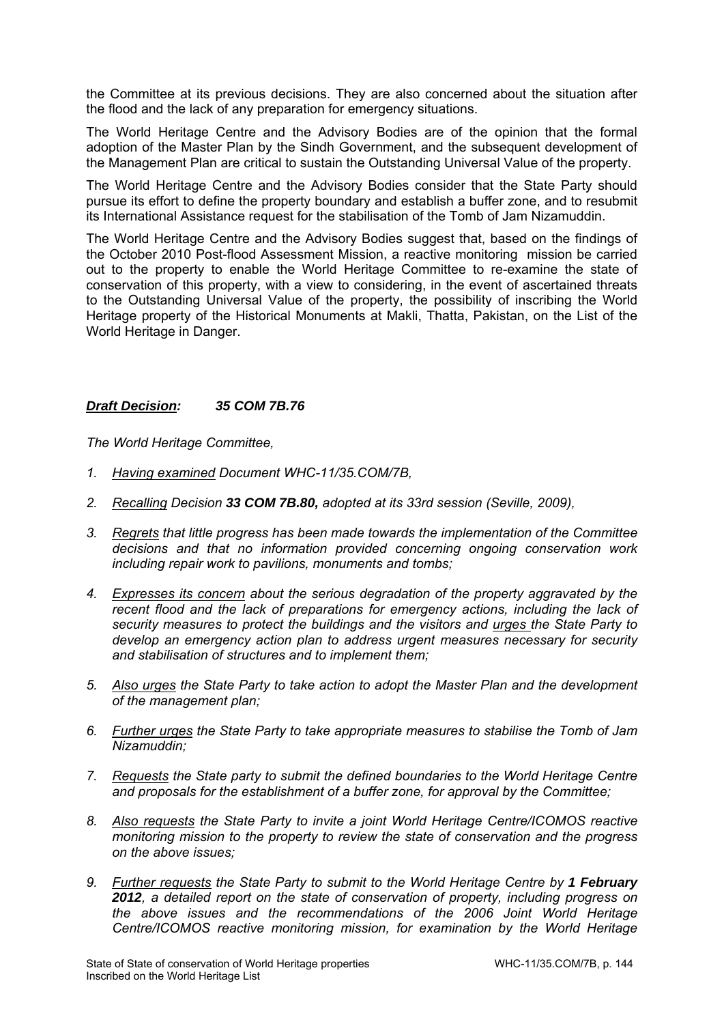the Committee at its previous decisions. They are also concerned about the situation after the flood and the lack of any preparation for emergency situations.

The World Heritage Centre and the Advisory Bodies are of the opinion that the formal adoption of the Master Plan by the Sindh Government, and the subsequent development of the Management Plan are critical to sustain the Outstanding Universal Value of the property.

The World Heritage Centre and the Advisory Bodies consider that the State Party should pursue its effort to define the property boundary and establish a buffer zone, and to resubmit its International Assistance request for the stabilisation of the Tomb of Jam Nizamuddin.

The World Heritage Centre and the Advisory Bodies suggest that, based on the findings of the October 2010 Post-flood Assessment Mission, a reactive monitoring mission be carried out to the property to enable the World Heritage Committee to re-examine the state of conservation of this property, with a view to considering, in the event of ascertained threats to the Outstanding Universal Value of the property, the possibility of inscribing the World Heritage property of the Historical Monuments at Makli, Thatta, Pakistan, on the List of the World Heritage in Danger.

### *Draft Decision: 35 COM 7B.76*

- *1. Having examined Document WHC-11/35.COM/7B,*
- *2. Recalling Decision 33 COM 7B.80, adopted at its 33rd session (Seville, 2009),*
- *3. Regrets that little progress has been made towards the implementation of the Committee decisions and that no information provided concerning ongoing conservation work including repair work to pavilions, monuments and tombs;*
- *4. Expresses its concern about the serious degradation of the property aggravated by the recent flood and the lack of preparations for emergency actions, including the lack of security measures to protect the buildings and the visitors and urges the State Party to develop an emergency action plan to address urgent measures necessary for security and stabilisation of structures and to implement them;*
- *5. Also urges the State Party to take action to adopt the Master Plan and the development of the management plan;*
- *6. Further urges the State Party to take appropriate measures to stabilise the Tomb of Jam Nizamuddin;*
- *7. Requests the State party to submit the defined boundaries to the World Heritage Centre and proposals for the establishment of a buffer zone, for approval by the Committee;*
- *8. Also requests the State Party to invite a joint World Heritage Centre/ICOMOS reactive monitoring mission to the property to review the state of conservation and the progress on the above issues;*
- 9. *Further requests the State Party to submit to the World Heritage Centre by 1 February 2012, a detailed report on the state of conservation of property, including progress on the above issues and the recommendations of the 2006 Joint World Heritage Centre/ICOMOS reactive monitoring mission, for examination by the World Heritage*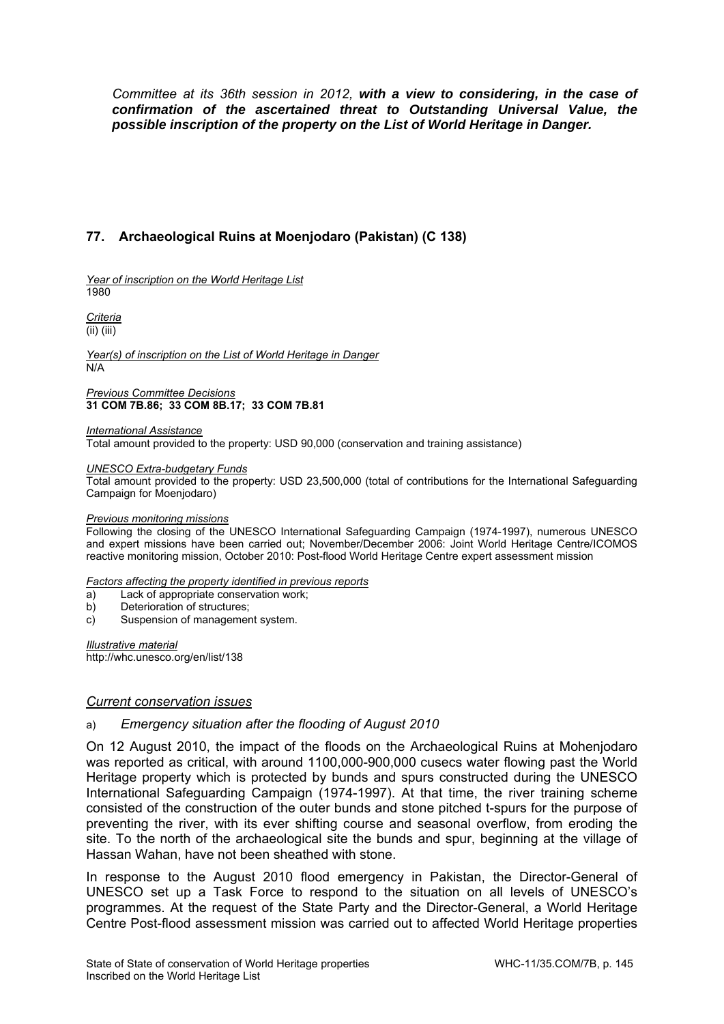*Committee at its 36th session in 2012, with a view to considering, in the case of confirmation of the ascertained threat to Outstanding Universal Value, the possible inscription of the property on the List of World Heritage in Danger.* 

# **77. Archaeological Ruins at Moenjodaro (Pakistan) (C 138)**

*Year of inscription on the World Heritage List*  1980

*Criteria*  (ii) (iii)

*Year(s) of inscription on the List of World Heritage in Danger*  N/A

*Previous Committee Decisions*  **31 COM 7B.86; 33 COM 8B.17; 33 COM 7B.81** 

*International Assistance*  Total amount provided to the property: USD 90,000 (conservation and training assistance)

*UNESCO Extra-budgetary Funds* 

Total amount provided to the property: USD 23,500,000 (total of contributions for the International Safeguarding Campaign for Moenjodaro)

#### *Previous monitoring missions*

Following the closing of the UNESCO International Safeguarding Campaign (1974-1997), numerous UNESCO and expert missions have been carried out; November/December 2006: Joint World Heritage Centre/ICOMOS reactive monitoring mission, October 2010: Post-flood World Heritage Centre expert assessment mission

*Factors affecting the property identified in previous reports* 

- a) Lack of appropriate conservation work;
- b) Deterioration of structures;
- c) Suspension of management system.

*Illustrative material*  http://whc.unesco.org/en/list/138

#### *Current conservation issues*

#### a) *Emergency situation after the flooding of August 2010*

On 12 August 2010, the impact of the floods on the Archaeological Ruins at Mohenjodaro was reported as critical, with around 1100,000-900,000 cusecs water flowing past the World Heritage property which is protected by bunds and spurs constructed during the UNESCO International Safeguarding Campaign (1974-1997). At that time, the river training scheme consisted of the construction of the outer bunds and stone pitched t-spurs for the purpose of preventing the river, with its ever shifting course and seasonal overflow, from eroding the site. To the north of the archaeological site the bunds and spur, beginning at the village of Hassan Wahan, have not been sheathed with stone.

In response to the August 2010 flood emergency in Pakistan, the Director-General of UNESCO set up a Task Force to respond to the situation on all levels of UNESCO's programmes. At the request of the State Party and the Director-General, a World Heritage Centre Post-flood assessment mission was carried out to affected World Heritage properties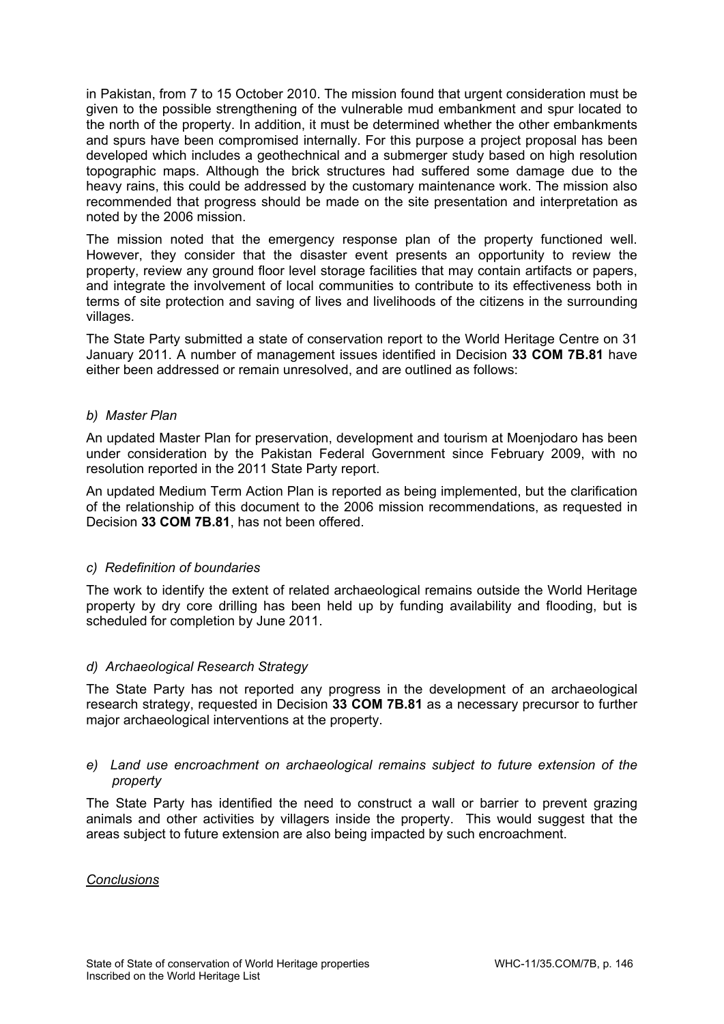in Pakistan, from 7 to 15 October 2010. The mission found that urgent consideration must be given to the possible strengthening of the vulnerable mud embankment and spur located to the north of the property. In addition, it must be determined whether the other embankments and spurs have been compromised internally. For this purpose a project proposal has been developed which includes a geothechnical and a submerger study based on high resolution topographic maps. Although the brick structures had suffered some damage due to the heavy rains, this could be addressed by the customary maintenance work. The mission also recommended that progress should be made on the site presentation and interpretation as noted by the 2006 mission.

The mission noted that the emergency response plan of the property functioned well. However, they consider that the disaster event presents an opportunity to review the property, review any ground floor level storage facilities that may contain artifacts or papers, and integrate the involvement of local communities to contribute to its effectiveness both in terms of site protection and saving of lives and livelihoods of the citizens in the surrounding villages.

The State Party submitted a state of conservation report to the World Heritage Centre on 31 January 2011. A number of management issues identified in Decision **33 COM 7B.81** have either been addressed or remain unresolved, and are outlined as follows:

### *b) Master Plan*

An updated Master Plan for preservation, development and tourism at Moenjodaro has been under consideration by the Pakistan Federal Government since February 2009, with no resolution reported in the 2011 State Party report.

An updated Medium Term Action Plan is reported as being implemented, but the clarification of the relationship of this document to the 2006 mission recommendations, as requested in Decision **33 COM 7B.81**, has not been offered.

## *c) Redefinition of boundaries*

The work to identify the extent of related archaeological remains outside the World Heritage property by dry core drilling has been held up by funding availability and flooding, but is scheduled for completion by June 2011.

#### *d) Archaeological Research Strategy*

The State Party has not reported any progress in the development of an archaeological research strategy, requested in Decision **33 COM 7B.81** as a necessary precursor to further major archaeological interventions at the property.

#### *e) Land use encroachment on archaeological remains subject to future extension of the property*

The State Party has identified the need to construct a wall or barrier to prevent grazing animals and other activities by villagers inside the property. This would suggest that the areas subject to future extension are also being impacted by such encroachment.

#### *Conclusions*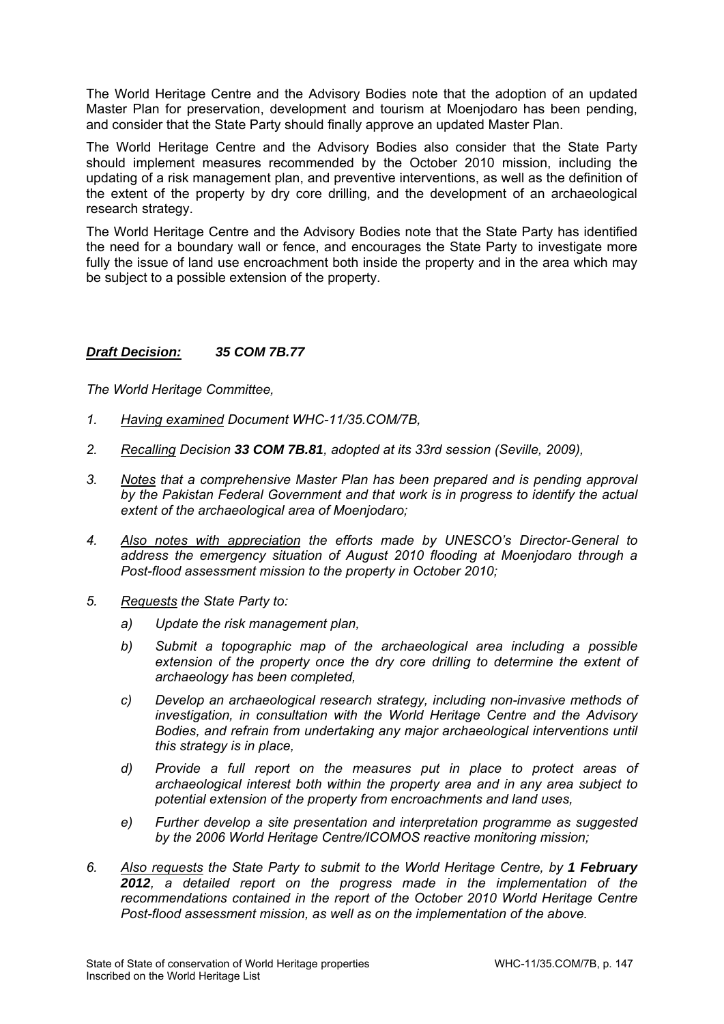The World Heritage Centre and the Advisory Bodies note that the adoption of an updated Master Plan for preservation, development and tourism at Moenjodaro has been pending, and consider that the State Party should finally approve an updated Master Plan.

The World Heritage Centre and the Advisory Bodies also consider that the State Party should implement measures recommended by the October 2010 mission, including the updating of a risk management plan, and preventive interventions, as well as the definition of the extent of the property by dry core drilling, and the development of an archaeological research strategy.

The World Heritage Centre and the Advisory Bodies note that the State Party has identified the need for a boundary wall or fence, and encourages the State Party to investigate more fully the issue of land use encroachment both inside the property and in the area which may be subject to a possible extension of the property.

## *Draft Decision: 35 COM 7B.77*

- *1. Having examined Document WHC-11/35.COM/7B,*
- *2. Recalling Decision 33 COM 7B.81, adopted at its 33rd session (Seville, 2009),*
- *3. Notes that a comprehensive Master Plan has been prepared and is pending approval by the Pakistan Federal Government and that work is in progress to identify the actual extent of the archaeological area of Moenjodaro;*
- *4. Also notes with appreciation the efforts made by UNESCO's Director-General to address the emergency situation of August 2010 flooding at Moenjodaro through a Post-flood assessment mission to the property in October 2010;*
- *5. Requests the State Party to:* 
	- *a) Update the risk management plan,*
	- *b) Submit a topographic map of the archaeological area including a possible extension of the property once the dry core drilling to determine the extent of archaeology has been completed,*
	- *c) Develop an archaeological research strategy, including non-invasive methods of investigation, in consultation with the World Heritage Centre and the Advisory Bodies, and refrain from undertaking any major archaeological interventions until this strategy is in place,*
	- *d) Provide a full report on the measures put in place to protect areas of archaeological interest both within the property area and in any area subject to potential extension of the property from encroachments and land uses,*
	- *e) Further develop a site presentation and interpretation programme as suggested by the 2006 World Heritage Centre/ICOMOS reactive monitoring mission;*
- *6. Also requests the State Party to submit to the World Heritage Centre, by 1 February 2012, a detailed report on the progress made in the implementation of the recommendations contained in the report of the October 2010 World Heritage Centre Post-flood assessment mission, as well as on the implementation of the above.*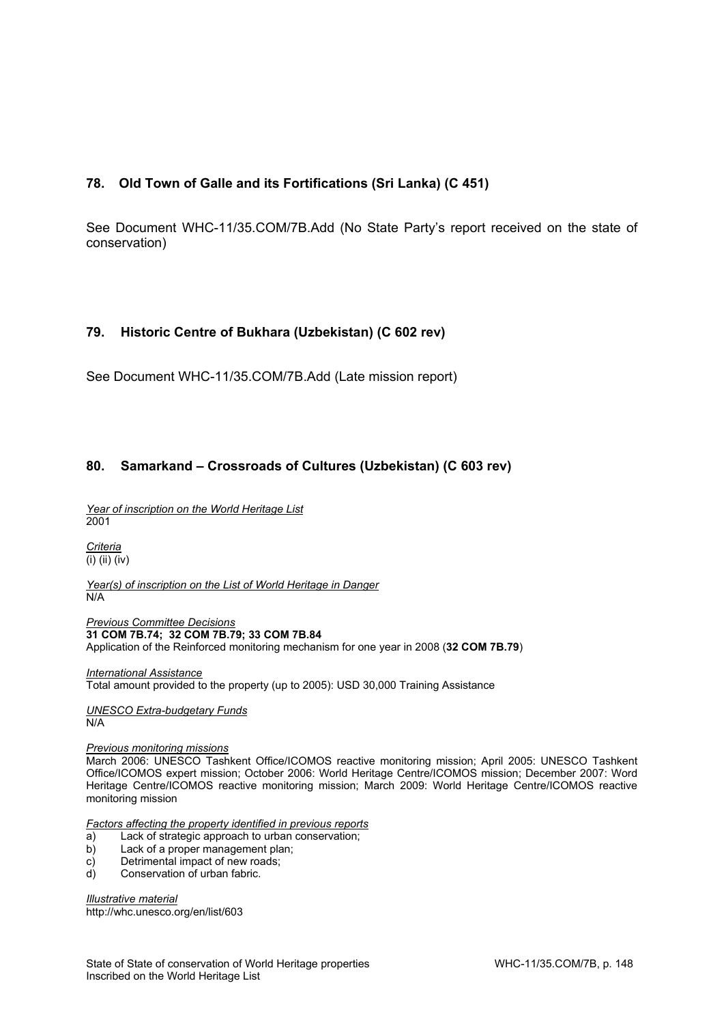# **78. Old Town of Galle and its Fortifications (Sri Lanka) (C 451)**

See Document WHC-11/35.COM/7B.Add (No State Party's report received on the state of conservation)

## **79. Historic Centre of Bukhara (Uzbekistan) (C 602 rev)**

See Document WHC-11/35.COM/7B.Add (Late mission report)

## **80. Samarkand – Crossroads of Cultures (Uzbekistan) (C 603 rev)**

*Year of inscription on the World Heritage List*  2001

*Criteria*  (i) (ii) (iv)

*Year(s) of inscription on the List of World Heritage in Danger*  N/A

*Previous Committee Decisions*  **31 COM 7B.74; 32 COM 7B.79; 33 COM 7B.84**  Application of the Reinforced monitoring mechanism for one year in 2008 (**32 COM 7B.79**)

*International Assistance*  Total amount provided to the property (up to 2005): USD 30,000 Training Assistance

*UNESCO Extra-budgetary Funds*  N/A

#### *Previous monitoring missions*

March 2006: UNESCO Tashkent Office/ICOMOS reactive monitoring mission; April 2005: UNESCO Tashkent Office/ICOMOS expert mission; October 2006: World Heritage Centre/ICOMOS mission; December 2007: Word Heritage Centre/ICOMOS reactive monitoring mission; March 2009: World Heritage Centre/ICOMOS reactive monitoring mission

*Factors affecting the property identified in previous reports* 

- a) Lack of strategic approach to urban conservation;
- b) Lack of a proper management plan;
- c) Detrimental impact of new roads;
- d) Conservation of urban fabric.

*Illustrative material*  http://whc.unesco.org/en/list/603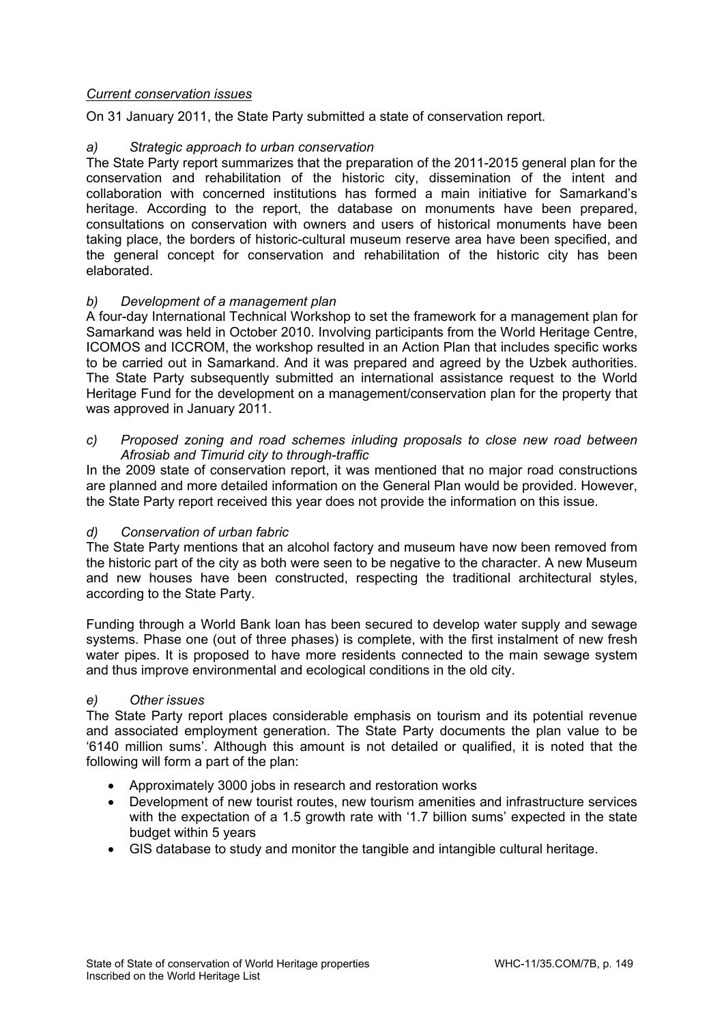## *Current conservation issues*

On 31 January 2011, the State Party submitted a state of conservation report.

# *a) Strategic approach to urban conservation*

The State Party report summarizes that the preparation of the 2011-2015 general plan for the conservation and rehabilitation of the historic city, dissemination of the intent and collaboration with concerned institutions has formed a main initiative for Samarkand's heritage. According to the report, the database on monuments have been prepared, consultations on conservation with owners and users of historical monuments have been taking place, the borders of historic-cultural museum reserve area have been specified, and the general concept for conservation and rehabilitation of the historic city has been elaborated.

# *b) Development of a management plan*

A four-day International Technical Workshop to set the framework for a management plan for Samarkand was held in October 2010. Involving participants from the World Heritage Centre, ICOMOS and ICCROM, the workshop resulted in an Action Plan that includes specific works to be carried out in Samarkand. And it was prepared and agreed by the Uzbek authorities. The State Party subsequently submitted an international assistance request to the World Heritage Fund for the development on a management/conservation plan for the property that was approved in January 2011.

## *c) Proposed zoning and road schemes inluding proposals to close new road between Afrosiab and Timurid city to through-traffic*

In the 2009 state of conservation report, it was mentioned that no major road constructions are planned and more detailed information on the General Plan would be provided. However, the State Party report received this year does not provide the information on this issue.

## *d) Conservation of urban fabric*

The State Party mentions that an alcohol factory and museum have now been removed from the historic part of the city as both were seen to be negative to the character. A new Museum and new houses have been constructed, respecting the traditional architectural styles, according to the State Party.

Funding through a World Bank loan has been secured to develop water supply and sewage systems. Phase one (out of three phases) is complete, with the first instalment of new fresh water pipes. It is proposed to have more residents connected to the main sewage system and thus improve environmental and ecological conditions in the old city.

## *e) Other issues*

The State Party report places considerable emphasis on tourism and its potential revenue and associated employment generation. The State Party documents the plan value to be '6140 million sums'. Although this amount is not detailed or qualified, it is noted that the following will form a part of the plan:

- Approximately 3000 jobs in research and restoration works
- Development of new tourist routes, new tourism amenities and infrastructure services with the expectation of a 1.5 growth rate with '1.7 billion sums' expected in the state budget within 5 years
- GIS database to study and monitor the tangible and intangible cultural heritage.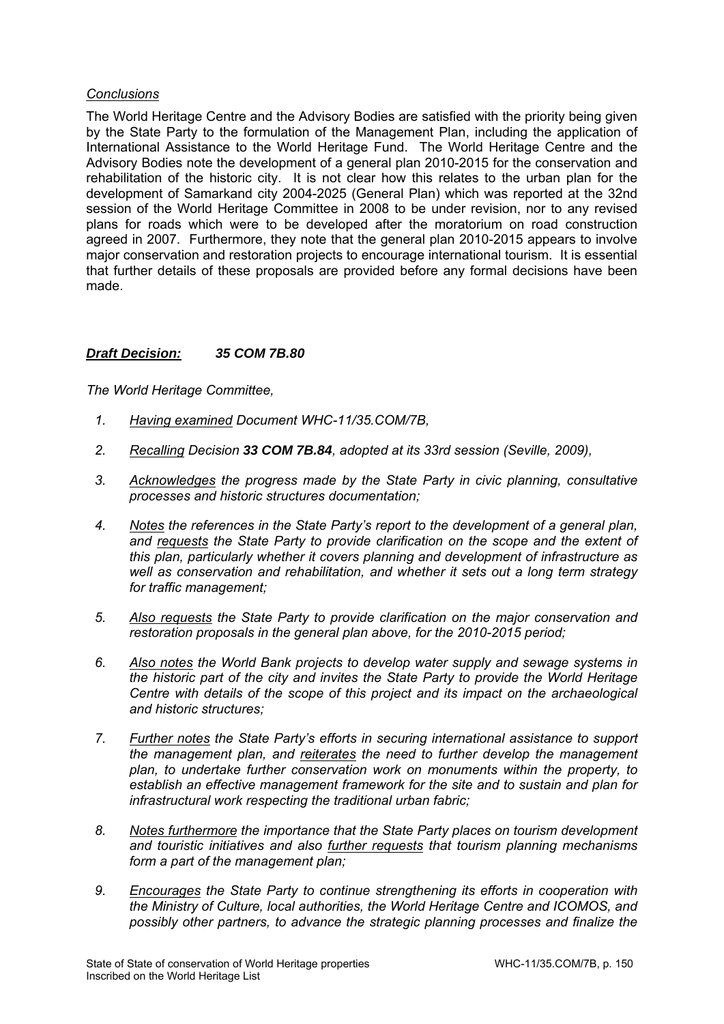## *Conclusions*

The World Heritage Centre and the Advisory Bodies are satisfied with the priority being given by the State Party to the formulation of the Management Plan, including the application of International Assistance to the World Heritage Fund. The World Heritage Centre and the Advisory Bodies note the development of a general plan 2010-2015 for the conservation and rehabilitation of the historic city. It is not clear how this relates to the urban plan for the development of Samarkand city 2004-2025 (General Plan) which was reported at the 32nd session of the World Heritage Committee in 2008 to be under revision, nor to any revised plans for roads which were to be developed after the moratorium on road construction agreed in 2007. Furthermore, they note that the general plan 2010-2015 appears to involve major conservation and restoration projects to encourage international tourism. It is essential that further details of these proposals are provided before any formal decisions have been made.

## *Draft Decision: 35 COM 7B.80*

- *1. Having examined Document WHC-11/35.COM/7B,*
- *2. Recalling Decision 33 COM 7B.84, adopted at its 33rd session (Seville, 2009),*
- *3. Acknowledges the progress made by the State Party in civic planning, consultative processes and historic structures documentation;*
- *4. Notes the references in the State Party's report to the development of a general plan, and requests the State Party to provide clarification on the scope and the extent of this plan, particularly whether it covers planning and development of infrastructure as well as conservation and rehabilitation, and whether it sets out a long term strategy for traffic management;*
- *5. Also requests the State Party to provide clarification on the major conservation and restoration proposals in the general plan above, for the 2010-2015 period;*
- *6. Also notes the World Bank projects to develop water supply and sewage systems in the historic part of the city and invites the State Party to provide the World Heritage Centre with details of the scope of this project and its impact on the archaeological and historic structures;*
- *7. Further notes the State Party's efforts in securing international assistance to support the management plan, and reiterates the need to further develop the management plan, to undertake further conservation work on monuments within the property, to establish an effective management framework for the site and to sustain and plan for infrastructural work respecting the traditional urban fabric;*
- *8. Notes furthermore the importance that the State Party places on tourism development and touristic initiatives and also further requests that tourism planning mechanisms form a part of the management plan;*
- *9. Encourages the State Party to continue strengthening its efforts in cooperation with the Ministry of Culture, local authorities, the World Heritage Centre and ICOMOS, and possibly other partners, to advance the strategic planning processes and finalize the*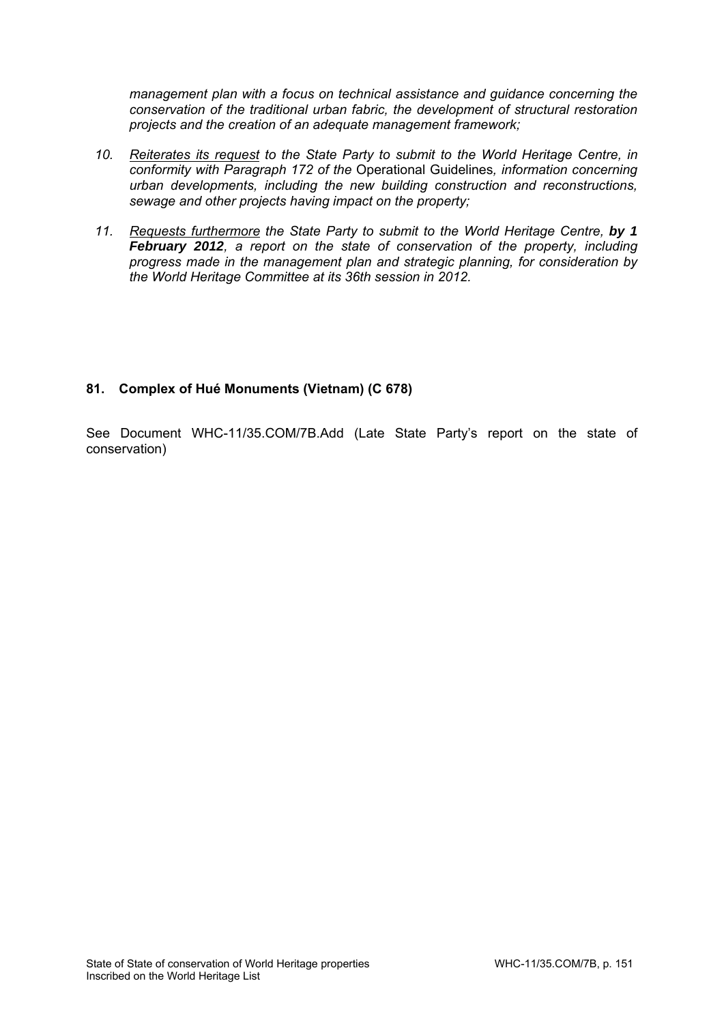*management plan with a focus on technical assistance and guidance concerning the conservation of the traditional urban fabric, the development of structural restoration projects and the creation of an adequate management framework;* 

- *10. Reiterates its request to the State Party to submit to the World Heritage Centre, in conformity with Paragraph 172 of the* Operational Guidelines*, information concerning urban developments, including the new building construction and reconstructions, sewage and other projects having impact on the property;*
- *11. Requests furthermore the State Party to submit to the World Heritage Centre, by 1 February 2012, a report on the state of conservation of the property, including progress made in the management plan and strategic planning, for consideration by the World Heritage Committee at its 36th session in 2012.*

# **81. Complex of Hué Monuments (Vietnam) (C 678)**

See Document WHC-11/35.COM/7B.Add (Late State Party's report on the state of conservation)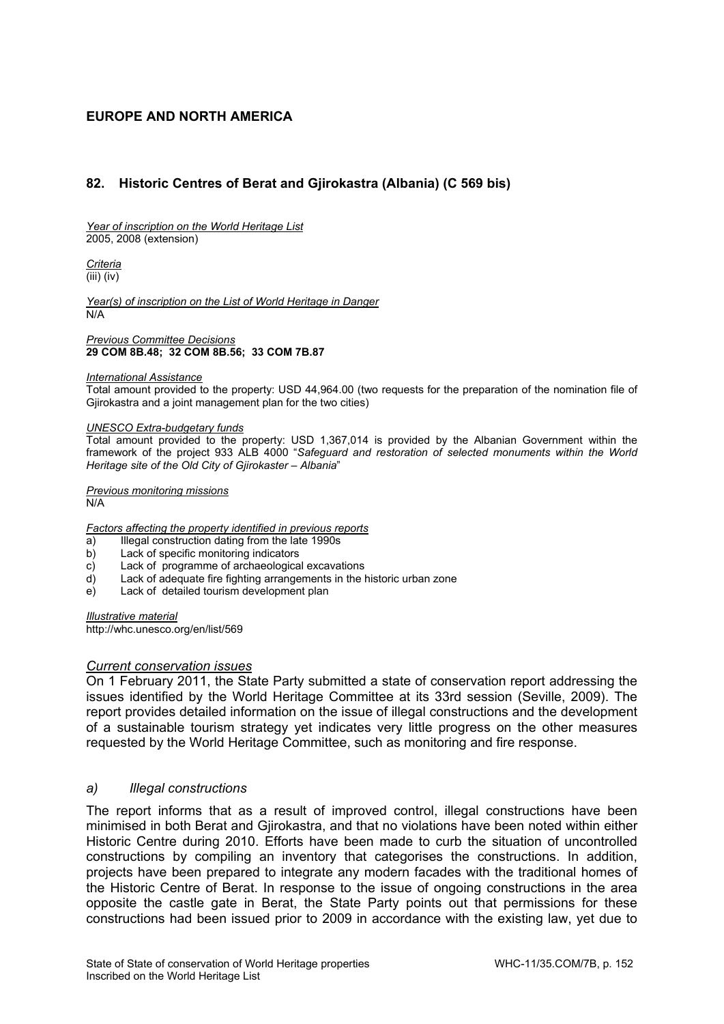# **EUROPE AND NORTH AMERICA**

# **82. Historic Centres of Berat and Gjirokastra (Albania) (C 569 bis)**

*Year of inscription on the World Heritage List*  2005, 2008 (extension)

*Criteria*  (iii) (iv)

*Year(s) of inscription on the List of World Heritage in Danger*  N/A

*Previous Committee Decisions*  **29 COM 8B.48; 32 COM 8B.56; 33 COM 7B.87** 

#### *International Assistance*

Total amount provided to the property: USD 44,964.00 (two requests for the preparation of the nomination file of Gjirokastra and a joint management plan for the two cities)

#### *UNESCO Extra-budgetary funds*

Total amount provided to the property: USD 1,367,014 is provided by the Albanian Government within the framework of the project 933 ALB 4000 "*Safeguard and restoration of selected monuments within the World Heritage site of the Old City of Gjirokaster – Albania*"

*Previous monitoring missions*  N/A

#### *Factors affecting the property identified in previous reports*

- a) Illegal construction dating from the late 1990s
- b) Lack of specific monitoring indicators
- c) Lack of programme of archaeological excavations
- d) Lack of adequate fire fighting arrangements in the historic urban zone
- e) Lack of detailed tourism development plan

*Illustrative material*  http://whc.unesco.org/en/list/569

#### *Current conservation issues*

On 1 February 2011, the State Party submitted a state of conservation report addressing the issues identified by the World Heritage Committee at its 33rd session (Seville, 2009). The report provides detailed information on the issue of illegal constructions and the development of a sustainable tourism strategy yet indicates very little progress on the other measures requested by the World Heritage Committee, such as monitoring and fire response.

#### *a) Illegal constructions*

The report informs that as a result of improved control, illegal constructions have been minimised in both Berat and Gjirokastra, and that no violations have been noted within either Historic Centre during 2010. Efforts have been made to curb the situation of uncontrolled constructions by compiling an inventory that categorises the constructions. In addition, projects have been prepared to integrate any modern facades with the traditional homes of the Historic Centre of Berat. In response to the issue of ongoing constructions in the area opposite the castle gate in Berat, the State Party points out that permissions for these constructions had been issued prior to 2009 in accordance with the existing law, yet due to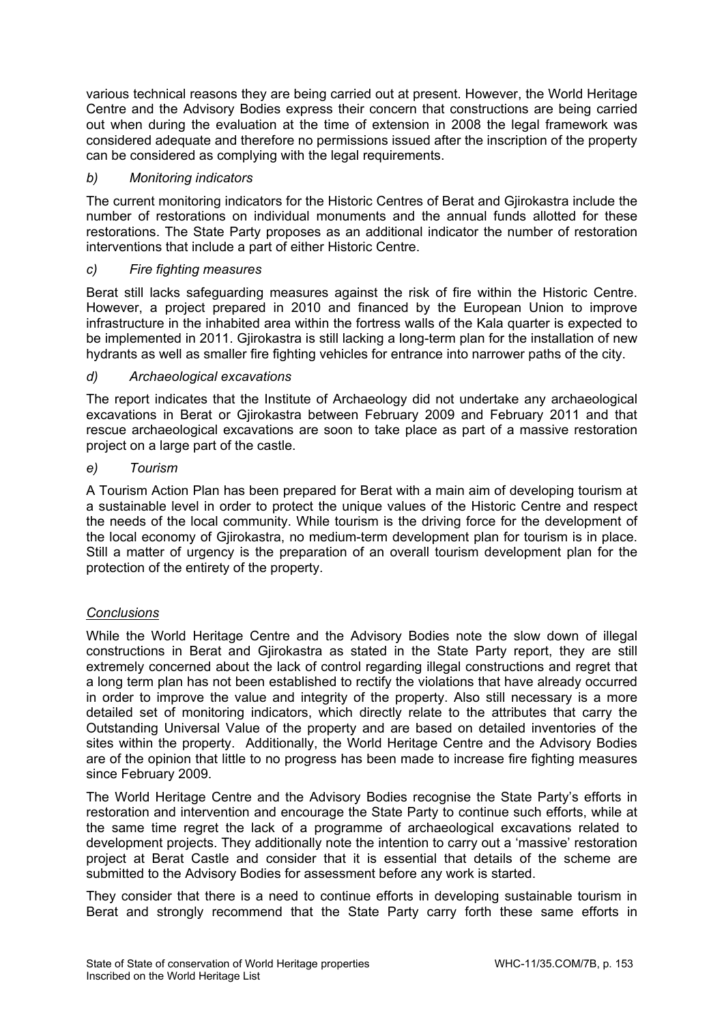various technical reasons they are being carried out at present. However, the World Heritage Centre and the Advisory Bodies express their concern that constructions are being carried out when during the evaluation at the time of extension in 2008 the legal framework was considered adequate and therefore no permissions issued after the inscription of the property can be considered as complying with the legal requirements.

# *b) Monitoring indicators*

The current monitoring indicators for the Historic Centres of Berat and Gjirokastra include the number of restorations on individual monuments and the annual funds allotted for these restorations. The State Party proposes as an additional indicator the number of restoration interventions that include a part of either Historic Centre.

## *c) Fire fighting measures*

Berat still lacks safeguarding measures against the risk of fire within the Historic Centre. However, a project prepared in 2010 and financed by the European Union to improve infrastructure in the inhabited area within the fortress walls of the Kala quarter is expected to be implemented in 2011. Gjirokastra is still lacking a long-term plan for the installation of new hydrants as well as smaller fire fighting vehicles for entrance into narrower paths of the city.

# *d) Archaeological excavations*

The report indicates that the Institute of Archaeology did not undertake any archaeological excavations in Berat or Gjirokastra between February 2009 and February 2011 and that rescue archaeological excavations are soon to take place as part of a massive restoration project on a large part of the castle.

## *e) Tourism*

A Tourism Action Plan has been prepared for Berat with a main aim of developing tourism at a sustainable level in order to protect the unique values of the Historic Centre and respect the needs of the local community. While tourism is the driving force for the development of the local economy of Gjirokastra, no medium-term development plan for tourism is in place. Still a matter of urgency is the preparation of an overall tourism development plan for the protection of the entirety of the property.

# *Conclusions*

While the World Heritage Centre and the Advisory Bodies note the slow down of illegal constructions in Berat and Gjirokastra as stated in the State Party report, they are still extremely concerned about the lack of control regarding illegal constructions and regret that a long term plan has not been established to rectify the violations that have already occurred in order to improve the value and integrity of the property. Also still necessary is a more detailed set of monitoring indicators, which directly relate to the attributes that carry the Outstanding Universal Value of the property and are based on detailed inventories of the sites within the property. Additionally, the World Heritage Centre and the Advisory Bodies are of the opinion that little to no progress has been made to increase fire fighting measures since February 2009.

The World Heritage Centre and the Advisory Bodies recognise the State Party's efforts in restoration and intervention and encourage the State Party to continue such efforts, while at the same time regret the lack of a programme of archaeological excavations related to development projects. They additionally note the intention to carry out a 'massive' restoration project at Berat Castle and consider that it is essential that details of the scheme are submitted to the Advisory Bodies for assessment before any work is started.

They consider that there is a need to continue efforts in developing sustainable tourism in Berat and strongly recommend that the State Party carry forth these same efforts in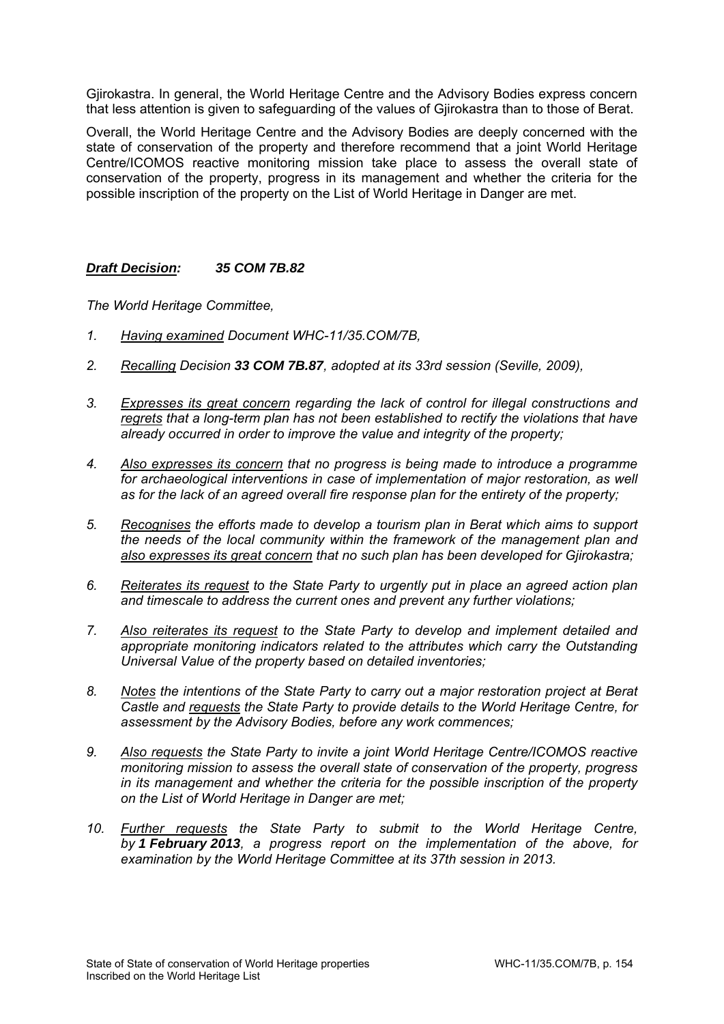Gjirokastra. In general, the World Heritage Centre and the Advisory Bodies express concern that less attention is given to safeguarding of the values of Gjirokastra than to those of Berat.

Overall, the World Heritage Centre and the Advisory Bodies are deeply concerned with the state of conservation of the property and therefore recommend that a joint World Heritage Centre/ICOMOS reactive monitoring mission take place to assess the overall state of conservation of the property, progress in its management and whether the criteria for the possible inscription of the property on the List of World Heritage in Danger are met.

## *Draft Decision: 35 COM 7B.82*

- *1. Having examined Document WHC-11/35.COM/7B,*
- *2. Recalling Decision 33 COM 7B.87, adopted at its 33rd session (Seville, 2009),*
- *3. Expresses its great concern regarding the lack of control for illegal constructions and regrets that a long-term plan has not been established to rectify the violations that have already occurred in order to improve the value and integrity of the property;*
- *4. Also expresses its concern that no progress is being made to introduce a programme*  for archaeological interventions in case of implementation of major restoration, as well *as for the lack of an agreed overall fire response plan for the entirety of the property;*
- *5. Recognises the efforts made to develop a tourism plan in Berat which aims to support the needs of the local community within the framework of the management plan and also expresses its great concern that no such plan has been developed for Gjirokastra;*
- *6. Reiterates its request to the State Party to urgently put in place an agreed action plan and timescale to address the current ones and prevent any further violations;*
- *7. Also reiterates its request to the State Party to develop and implement detailed and appropriate monitoring indicators related to the attributes which carry the Outstanding Universal Value of the property based on detailed inventories;*
- *8. Notes the intentions of the State Party to carry out a major restoration project at Berat Castle and requests the State Party to provide details to the World Heritage Centre, for assessment by the Advisory Bodies, before any work commences;*
- *9. Also requests the State Party to invite a joint World Heritage Centre/ICOMOS reactive monitoring mission to assess the overall state of conservation of the property, progress in its management and whether the criteria for the possible inscription of the property on the List of World Heritage in Danger are met;*
- *10. Further requests the State Party to submit to the World Heritage Centre, by 1 February 2013, a progress report on the implementation of the above, for examination by the World Heritage Committee at its 37th session in 2013.*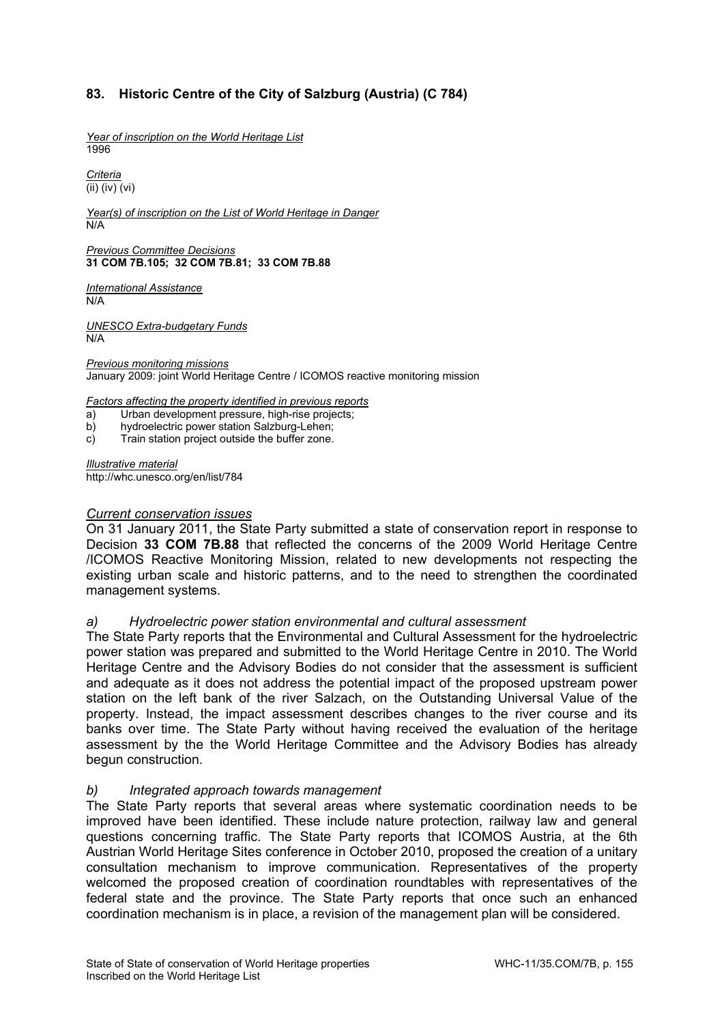# **83. Historic Centre of the City of Salzburg (Austria) (C 784)**

*Year of inscription on the World Heritage List*  1996

*Criteria*  (ii) (iv) (vi)

*Year(s) of inscription on the List of World Heritage in Danger*  N/A

*Previous Committee Decisions*  **31 COM 7B.105; 32 COM 7B.81; 33 COM 7B.88** 

*International Assistance*  N/A

*UNESCO Extra-budgetary Funds*  N/A

*Previous monitoring missions*  January 2009: joint World Heritage Centre / ICOMOS reactive monitoring mission

*Factors affecting the property identified in previous reports* 

a) Urban development pressure, high-rise projects;

b) hydroelectric power station Salzburg-Lehen;

c) Train station project outside the buffer zone.

*Illustrative material*  http://whc.unesco.org/en/list/784

#### *Current conservation issues*

On 31 January 2011, the State Party submitted a state of conservation report in response to Decision **33 COM 7B.88** that reflected the concerns of the 2009 World Heritage Centre /ICOMOS Reactive Monitoring Mission, related to new developments not respecting the existing urban scale and historic patterns, and to the need to strengthen the coordinated management systems.

#### *a) Hydroelectric power station environmental and cultural assessment*

The State Party reports that the Environmental and Cultural Assessment for the hydroelectric power station was prepared and submitted to the World Heritage Centre in 2010. The World Heritage Centre and the Advisory Bodies do not consider that the assessment is sufficient and adequate as it does not address the potential impact of the proposed upstream power station on the left bank of the river Salzach, on the Outstanding Universal Value of the property. Instead, the impact assessment describes changes to the river course and its banks over time. The State Party without having received the evaluation of the heritage assessment by the the World Heritage Committee and the Advisory Bodies has already begun construction.

#### *b) Integrated approach towards management*

The State Party reports that several areas where systematic coordination needs to be improved have been identified. These include nature protection, railway law and general questions concerning traffic. The State Party reports that ICOMOS Austria, at the 6th Austrian World Heritage Sites conference in October 2010, proposed the creation of a unitary consultation mechanism to improve communication. Representatives of the property welcomed the proposed creation of coordination roundtables with representatives of the federal state and the province. The State Party reports that once such an enhanced coordination mechanism is in place, a revision of the management plan will be considered.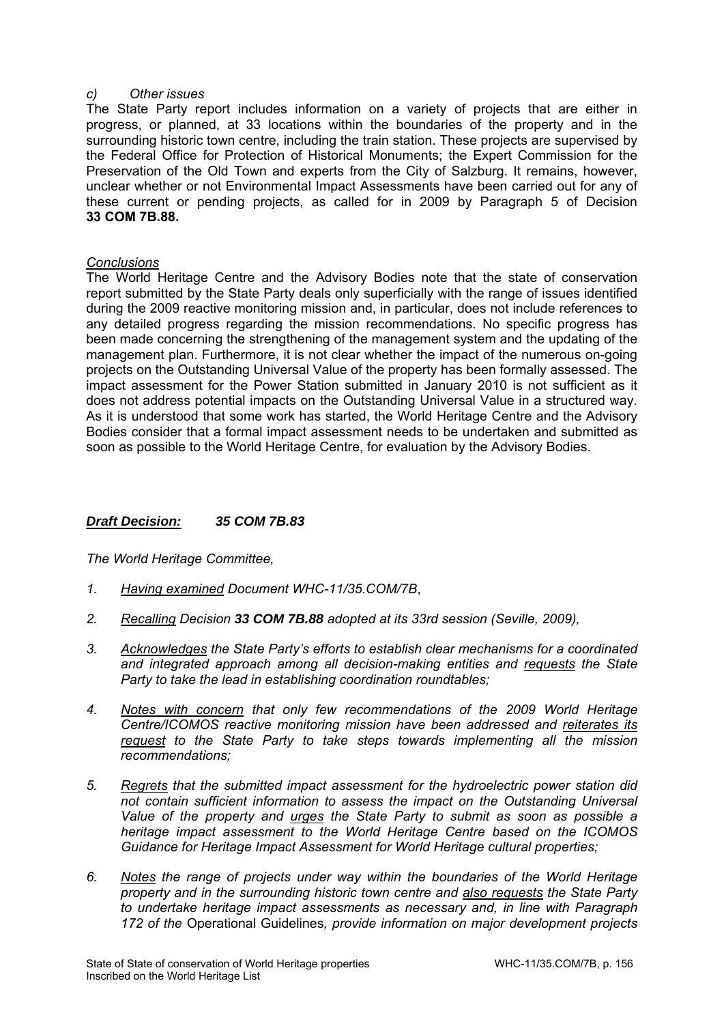#### *c) Other issues*

The State Party report includes information on a variety of projects that are either in progress, or planned, at 33 locations within the boundaries of the property and in the surrounding historic town centre, including the train station. These projects are supervised by the Federal Office for Protection of Historical Monuments; the Expert Commission for the Preservation of the Old Town and experts from the City of Salzburg. It remains, however, unclear whether or not Environmental Impact Assessments have been carried out for any of these current or pending projects, as called for in 2009 by Paragraph 5 of Decision **33 COM 7B.88.**

### *Conclusions*

The World Heritage Centre and the Advisory Bodies note that the state of conservation report submitted by the State Party deals only superficially with the range of issues identified during the 2009 reactive monitoring mission and, in particular, does not include references to any detailed progress regarding the mission recommendations. No specific progress has been made concerning the strengthening of the management system and the updating of the management plan. Furthermore, it is not clear whether the impact of the numerous on-going projects on the Outstanding Universal Value of the property has been formally assessed. The impact assessment for the Power Station submitted in January 2010 is not sufficient as it does not address potential impacts on the Outstanding Universal Value in a structured way. As it is understood that some work has started, the World Heritage Centre and the Advisory Bodies consider that a formal impact assessment needs to be undertaken and submitted as soon as possible to the World Heritage Centre, for evaluation by the Advisory Bodies.

## *Draft Decision: 35 COM 7B.83*

- *1. Having examined Document WHC-11/35.COM/7B*,
- *2. Recalling Decision 33 COM 7B.88 adopted at its 33rd session (Seville, 2009),*
- *3. Acknowledges the State Party's efforts to establish clear mechanisms for a coordinated and integrated approach among all decision-making entities and requests the State Party to take the lead in establishing coordination roundtables;*
- *4. Notes with concern that only few recommendations of the 2009 World Heritage Centre/ICOMOS reactive monitoring mission have been addressed and reiterates its request to the State Party to take steps towards implementing all the mission recommendations;*
- *5. Regrets that the submitted impact assessment for the hydroelectric power station did not contain sufficient information to assess the impact on the Outstanding Universal Value of the property and urges the State Party to submit as soon as possible a heritage impact assessment to the World Heritage Centre based on the ICOMOS Guidance for Heritage Impact Assessment for World Heritage cultural properties;*
- *6. Notes the range of projects under way within the boundaries of the World Heritage property and in the surrounding historic town centre and also requests the State Party to undertake heritage impact assessments as necessary and, in line with Paragraph 172 of the* Operational Guidelines*, provide information on major development projects*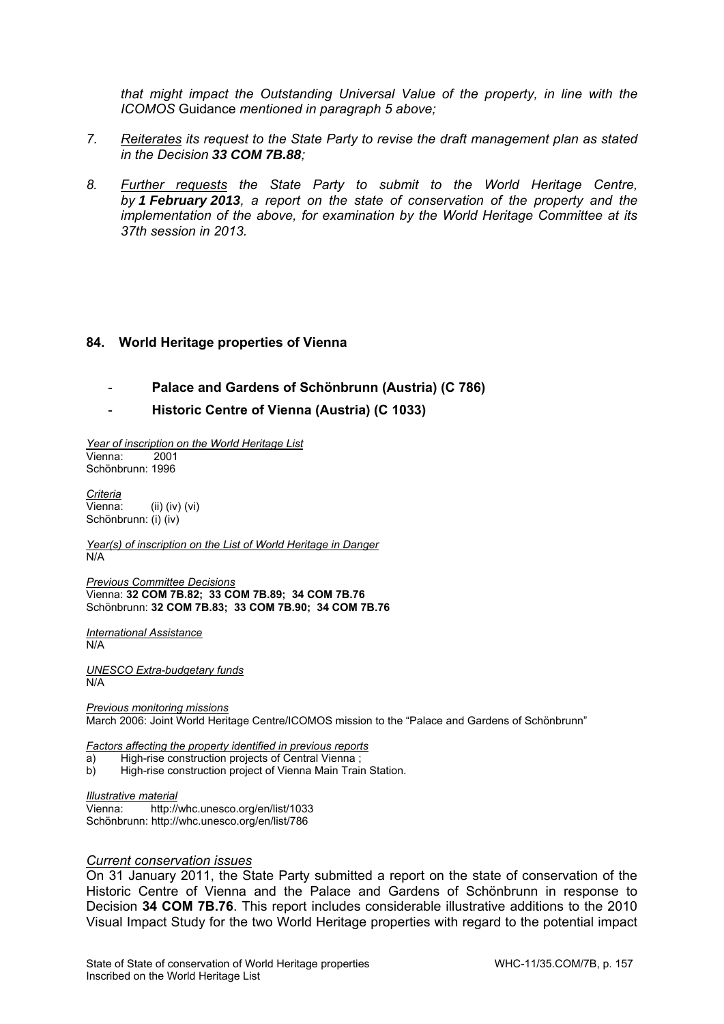*that might impact the Outstanding Universal Value of the property, in line with the ICOMOS* Guidance *mentioned in paragraph 5 above;* 

- *7. Reiterates its request to the State Party to revise the draft management plan as stated in the Decision 33 COM 7B.88;*
- *8. Further requests the State Party to submit to the World Heritage Centre, by 1 February 2013, a report on the state of conservation of the property and the implementation of the above, for examination by the World Heritage Committee at its 37th session in 2013.*

#### **84. World Heritage properties of Vienna**

- **Palace and Gardens of Schönbrunn (Austria) (C 786)**
- **Historic Centre of Vienna (Austria) (C 1033)**

*Year of inscription on the World Heritage List*  Vienna: 2001 Schönbrunn: 1996

*Criteria*  Vienna: (ii) (iv) (vi) Schönbrunn: (i) (iv)

*Year(s) of inscription on the List of World Heritage in Danger*   $\overline{\mathsf{N}}\mathsf{A}$ 

*Previous Committee Decisions*  Vienna: **32 COM 7B.82; 33 COM 7B.89; 34 COM 7B.76**  Schönbrunn: **32 COM 7B.83; 33 COM 7B.90; 34 COM 7B.76** 

*International Assistance*  N/A

*UNESCO Extra-budgetary funds*  N/A

*Previous monitoring missions*  March 2006: Joint World Heritage Centre/ICOMOS mission to the "Palace and Gardens of Schönbrunn"

*Factors affecting the property identified in previous reports* 

- a) High-rise construction projects of Central Vienna ;
- b) High-rise construction project of Vienna Main Train Station.

#### *Illustrative material*

Vienna: http://whc.unesco.org/en/list/1033 Schönbrunn: http://whc.unesco.org/en/list/786

#### *Current conservation issues*

On 31 January 2011, the State Party submitted a report on the state of conservation of the Historic Centre of Vienna and the Palace and Gardens of Schönbrunn in response to Decision **34 COM 7B.76**. This report includes considerable illustrative additions to the 2010 Visual Impact Study for the two World Heritage properties with regard to the potential impact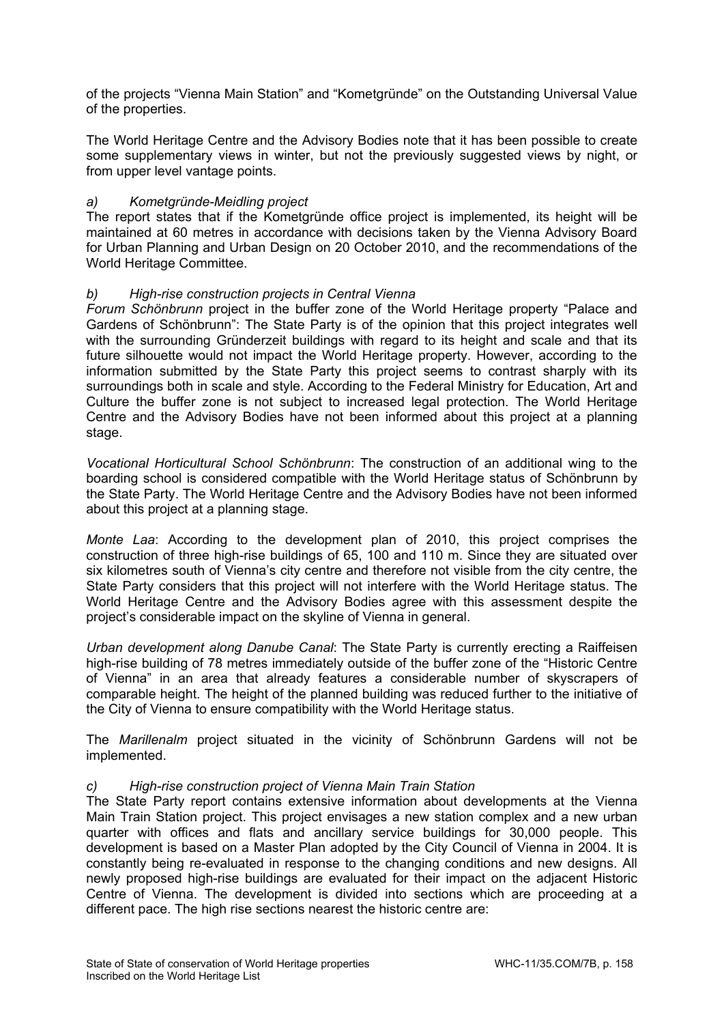of the projects "Vienna Main Station" and "Kometgründe" on the Outstanding Universal Value of the properties.

The World Heritage Centre and the Advisory Bodies note that it has been possible to create some supplementary views in winter, but not the previously suggested views by night, or from upper level vantage points.

## *a) Kometgründe-Meidling project*

The report states that if the Kometgründe office project is implemented, its height will be maintained at 60 metres in accordance with decisions taken by the Vienna Advisory Board for Urban Planning and Urban Design on 20 October 2010, and the recommendations of the World Heritage Committee.

### *b) High-rise construction projects in Central Vienna*

*Forum Schönbrunn* project in the buffer zone of the World Heritage property "Palace and Gardens of Schönbrunn": The State Party is of the opinion that this project integrates well with the surrounding Gründerzeit buildings with regard to its height and scale and that its future silhouette would not impact the World Heritage property. However, according to the information submitted by the State Party this project seems to contrast sharply with its surroundings both in scale and style. According to the Federal Ministry for Education, Art and Culture the buffer zone is not subject to increased legal protection. The World Heritage Centre and the Advisory Bodies have not been informed about this project at a planning stage.

*Vocational Horticultural School Schönbrunn*: The construction of an additional wing to the boarding school is considered compatible with the World Heritage status of Schönbrunn by the State Party. The World Heritage Centre and the Advisory Bodies have not been informed about this project at a planning stage.

*Monte Laa*: According to the development plan of 2010, this project comprises the construction of three high-rise buildings of 65, 100 and 110 m. Since they are situated over six kilometres south of Vienna's city centre and therefore not visible from the city centre, the State Party considers that this project will not interfere with the World Heritage status. The World Heritage Centre and the Advisory Bodies agree with this assessment despite the project's considerable impact on the skyline of Vienna in general.

*Urban development along Danube Canal*: The State Party is currently erecting a Raiffeisen high-rise building of 78 metres immediately outside of the buffer zone of the "Historic Centre of Vienna" in an area that already features a considerable number of skyscrapers of comparable height. The height of the planned building was reduced further to the initiative of the City of Vienna to ensure compatibility with the World Heritage status.

The *Marillenalm* project situated in the vicinity of Schönbrunn Gardens will not be implemented.

#### *c) High-rise construction project of Vienna Main Train Station*

The State Party report contains extensive information about developments at the Vienna Main Train Station project. This project envisages a new station complex and a new urban quarter with offices and flats and ancillary service buildings for 30,000 people. This development is based on a Master Plan adopted by the City Council of Vienna in 2004. It is constantly being re-evaluated in response to the changing conditions and new designs. All newly proposed high-rise buildings are evaluated for their impact on the adjacent Historic Centre of Vienna. The development is divided into sections which are proceeding at a different pace. The high rise sections nearest the historic centre are: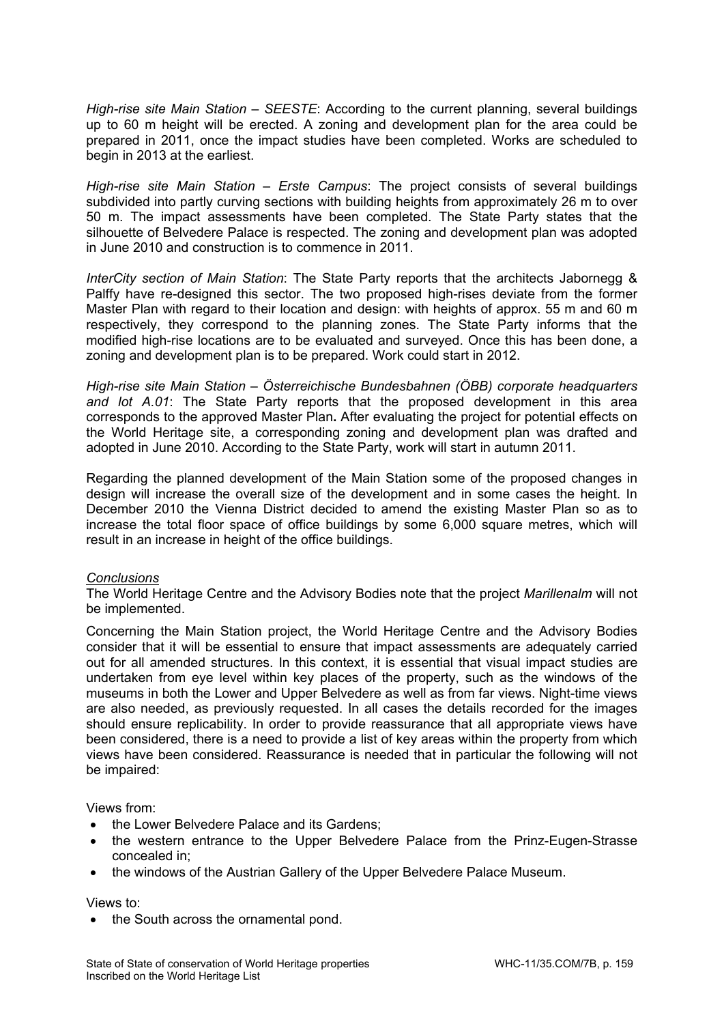*High-rise site Main Station – SEESTE*: According to the current planning, several buildings up to 60 m height will be erected. A zoning and development plan for the area could be prepared in 2011, once the impact studies have been completed. Works are scheduled to begin in 2013 at the earliest.

*High-rise site Main Station – Erste Campus*: The project consists of several buildings subdivided into partly curving sections with building heights from approximately 26 m to over 50 m. The impact assessments have been completed. The State Party states that the silhouette of Belvedere Palace is respected. The zoning and development plan was adopted in June 2010 and construction is to commence in 2011.

*InterCity section of Main Station*: The State Party reports that the architects Jabornegg & Palffy have re-designed this sector. The two proposed high-rises deviate from the former Master Plan with regard to their location and design: with heights of approx. 55 m and 60 m respectively, they correspond to the planning zones. The State Party informs that the modified high-rise locations are to be evaluated and surveyed. Once this has been done, a zoning and development plan is to be prepared. Work could start in 2012.

*High-rise site Main Station – Österreichische Bundesbahnen (ÖBB) corporate headquarters and lot A.01*: The State Party reports that the proposed development in this area corresponds to the approved Master Plan**.** After evaluating the project for potential effects on the World Heritage site, a corresponding zoning and development plan was drafted and adopted in June 2010. According to the State Party, work will start in autumn 2011.

Regarding the planned development of the Main Station some of the proposed changes in design will increase the overall size of the development and in some cases the height. In December 2010 the Vienna District decided to amend the existing Master Plan so as to increase the total floor space of office buildings by some 6,000 square metres, which will result in an increase in height of the office buildings.

## *Conclusions*

The World Heritage Centre and the Advisory Bodies note that the project *Marillenalm* will not be implemented.

Concerning the Main Station project, the World Heritage Centre and the Advisory Bodies consider that it will be essential to ensure that impact assessments are adequately carried out for all amended structures. In this context, it is essential that visual impact studies are undertaken from eye level within key places of the property, such as the windows of the museums in both the Lower and Upper Belvedere as well as from far views. Night-time views are also needed, as previously requested. In all cases the details recorded for the images should ensure replicability. In order to provide reassurance that all appropriate views have been considered, there is a need to provide a list of key areas within the property from which views have been considered. Reassurance is needed that in particular the following will not be impaired:

Views from:

- the Lower Belvedere Palace and its Gardens;
- the western entrance to the Upper Belvedere Palace from the Prinz-Eugen-Strasse concealed in;
- the windows of the Austrian Gallery of the Upper Belvedere Palace Museum.

Views to:

• the South across the ornamental pond.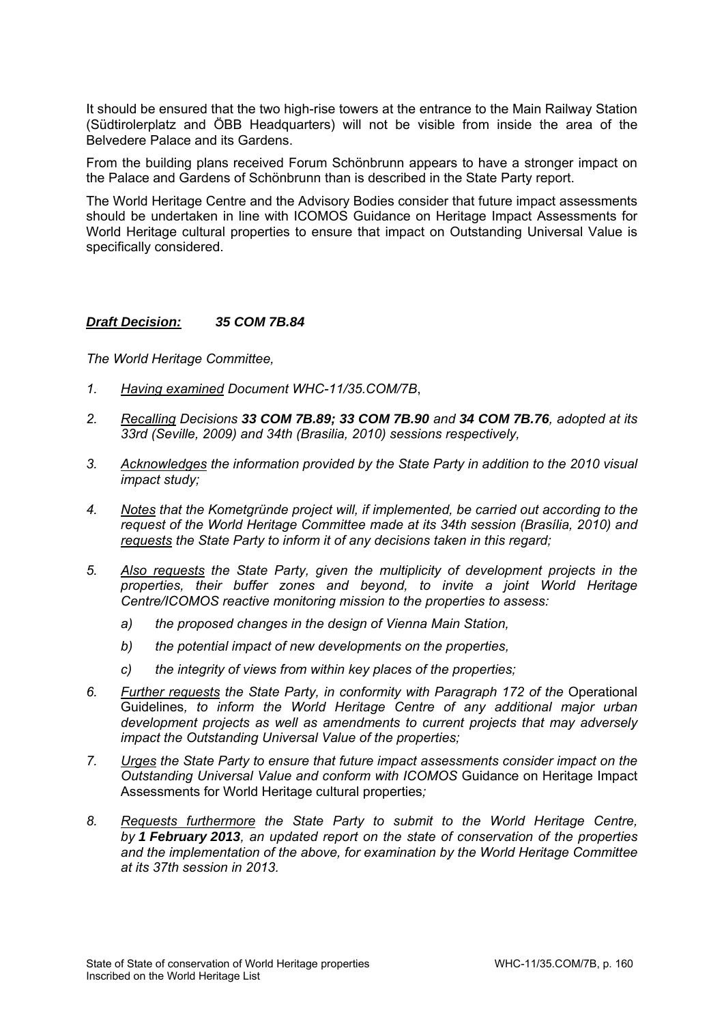It should be ensured that the two high-rise towers at the entrance to the Main Railway Station (Südtirolerplatz and ÖBB Headquarters) will not be visible from inside the area of the Belvedere Palace and its Gardens.

From the building plans received Forum Schönbrunn appears to have a stronger impact on the Palace and Gardens of Schönbrunn than is described in the State Party report.

The World Heritage Centre and the Advisory Bodies consider that future impact assessments should be undertaken in line with ICOMOS Guidance on Heritage Impact Assessments for World Heritage cultural properties to ensure that impact on Outstanding Universal Value is specifically considered.

## *Draft Decision: 35 COM 7B.84*

- *1. Having examined Document WHC-11/35.COM/7B*,
- *2. Recalling Decisions 33 COM 7B.89; 33 COM 7B.90 and 34 COM 7B.76, adopted at its 33rd (Seville, 2009) and 34th (Brasilia, 2010) sessions respectively,*
- *3. Acknowledges the information provided by the State Party in addition to the 2010 visual impact study;*
- *4. Notes that the Kometgründe project will, if implemented, be carried out according to the request of the World Heritage Committee made at its 34th session (Brasília, 2010) and requests the State Party to inform it of any decisions taken in this regard;*
- *5. Also requests the State Party, given the multiplicity of development projects in the properties, their buffer zones and beyond, to invite a joint World Heritage Centre/ICOMOS reactive monitoring mission to the properties to assess:* 
	- *a) the proposed changes in the design of Vienna Main Station,*
	- *b) the potential impact of new developments on the properties,*
	- *c) the integrity of views from within key places of the properties;*
- *6. Further requests the State Party, in conformity with Paragraph 172 of the* Operational Guidelines*, to inform the World Heritage Centre of any additional major urban development projects as well as amendments to current projects that may adversely impact the Outstanding Universal Value of the properties;*
- *7. Urges the State Party to ensure that future impact assessments consider impact on the Outstanding Universal Value and conform with ICOMOS* Guidance on Heritage Impact Assessments for World Heritage cultural properties*;*
- *8. Requests furthermore the State Party to submit to the World Heritage Centre, by 1 February 2013, an updated report on the state of conservation of the properties and the implementation of the above, for examination by the World Heritage Committee at its 37th session in 2013.*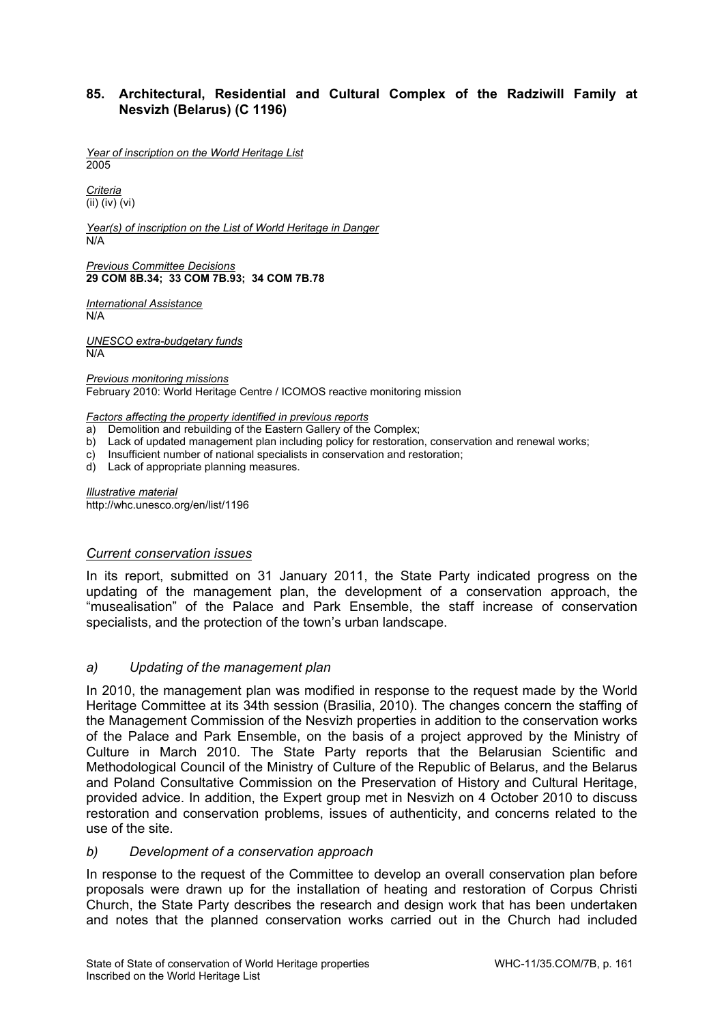## **85. Architectural, Residential and Cultural Complex of the Radziwill Family at Nesvizh (Belarus) (C 1196)**

*Year of inscription on the World Heritage List*  2005

*Criteria*  (ii) (iv) (vi)

*Year(s) of inscription on the List of World Heritage in Danger*  N/A

*Previous Committee Decisions*  **29 COM 8B.34; 33 COM 7B.93; 34 COM 7B.78** 

*International Assistance*  N/A

*UNESCO extra-budgetary funds*  N/A

*Previous monitoring missions*  February 2010: World Heritage Centre / ICOMOS reactive monitoring mission

*Factors affecting the property identified in previous reports* 

- a) Demolition and rebuilding of the Eastern Gallery of the Complex;
- b) Lack of updated management plan including policy for restoration, conservation and renewal works;
- c) Insufficient number of national specialists in conservation and restoration;

d) Lack of appropriate planning measures.

*Illustrative material*  http://whc.unesco.org/en/list/1196

#### *Current conservation issues*

In its report, submitted on 31 January 2011, the State Party indicated progress on the updating of the management plan, the development of a conservation approach, the "musealisation" of the Palace and Park Ensemble, the staff increase of conservation specialists, and the protection of the town's urban landscape.

## *a) Updating of the management plan*

In 2010, the management plan was modified in response to the request made by the World Heritage Committee at its 34th session (Brasilia, 2010). The changes concern the staffing of the Management Commission of the Nesvizh properties in addition to the conservation works of the Palace and Park Ensemble, on the basis of a project approved by the Ministry of Culture in March 2010. The State Party reports that the Belarusian Scientific and Methodological Council of the Ministry of Culture of the Republic of Belarus, and the Belarus and Poland Consultative Commission on the Preservation of History and Cultural Heritage, provided advice. In addition, the Expert group met in Nesvizh on 4 October 2010 to discuss restoration and conservation problems, issues of authenticity, and concerns related to the use of the site.

#### *b) Development of a conservation approach*

In response to the request of the Committee to develop an overall conservation plan before proposals were drawn up for the installation of heating and restoration of Corpus Christi Church, the State Party describes the research and design work that has been undertaken and notes that the planned conservation works carried out in the Church had included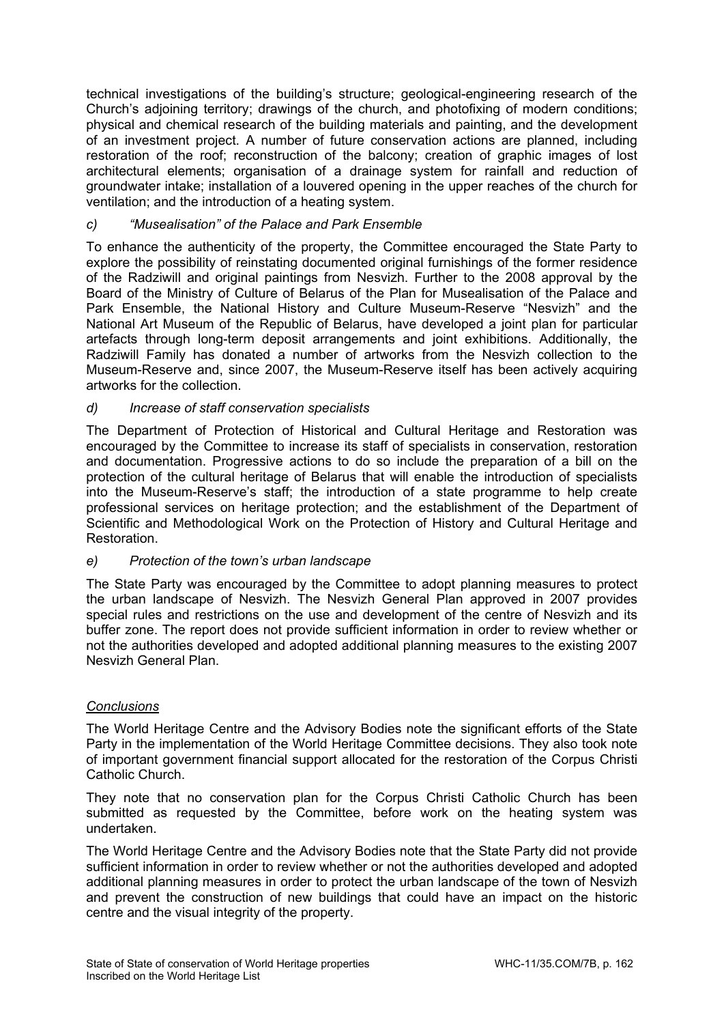technical investigations of the building's structure; geological-engineering research of the Church's adjoining territory; drawings of the church, and photofixing of modern conditions; physical and chemical research of the building materials and painting, and the development of an investment project. A number of future conservation actions are planned, including restoration of the roof; reconstruction of the balcony; creation of graphic images of lost architectural elements; organisation of a drainage system for rainfall and reduction of groundwater intake; installation of a louvered opening in the upper reaches of the church for ventilation; and the introduction of a heating system.

# *c) "Musealisation" of the Palace and Park Ensemble*

To enhance the authenticity of the property, the Committee encouraged the State Party to explore the possibility of reinstating documented original furnishings of the former residence of the Radziwill and original paintings from Nesvizh. Further to the 2008 approval by the Board of the Ministry of Culture of Belarus of the Plan for Musealisation of the Palace and Park Ensemble, the National History and Culture Museum-Reserve "Nesvizh" and the National Art Museum of the Republic of Belarus, have developed a joint plan for particular artefacts through long-term deposit arrangements and joint exhibitions. Additionally, the Radziwill Family has donated a number of artworks from the Nesvizh collection to the Museum-Reserve and, since 2007, the Museum-Reserve itself has been actively acquiring artworks for the collection.

## *d) Increase of staff conservation specialists*

The Department of Protection of Historical and Cultural Heritage and Restoration was encouraged by the Committee to increase its staff of specialists in conservation, restoration and documentation. Progressive actions to do so include the preparation of a bill on the protection of the cultural heritage of Belarus that will enable the introduction of specialists into the Museum-Reserve's staff; the introduction of a state programme to help create professional services on heritage protection; and the establishment of the Department of Scientific and Methodological Work on the Protection of History and Cultural Heritage and Restoration.

## *e) Protection of the town's urban landscape*

The State Party was encouraged by the Committee to adopt planning measures to protect the urban landscape of Nesvizh. The Nesvizh General Plan approved in 2007 provides special rules and restrictions on the use and development of the centre of Nesvizh and its buffer zone. The report does not provide sufficient information in order to review whether or not the authorities developed and adopted additional planning measures to the existing 2007 Nesvizh General Plan.

## *Conclusions*

The World Heritage Centre and the Advisory Bodies note the significant efforts of the State Party in the implementation of the World Heritage Committee decisions. They also took note of important government financial support allocated for the restoration of the Corpus Christi Catholic Church.

They note that no conservation plan for the Corpus Christi Catholic Church has been submitted as requested by the Committee, before work on the heating system was undertaken.

The World Heritage Centre and the Advisory Bodies note that the State Party did not provide sufficient information in order to review whether or not the authorities developed and adopted additional planning measures in order to protect the urban landscape of the town of Nesvizh and prevent the construction of new buildings that could have an impact on the historic centre and the visual integrity of the property.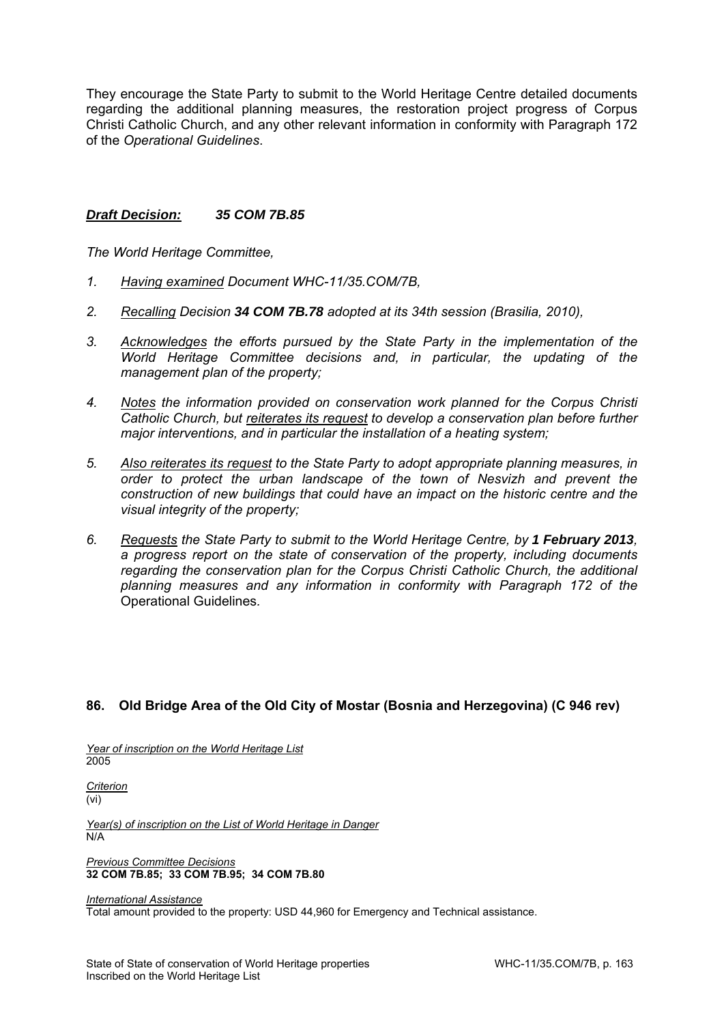They encourage the State Party to submit to the World Heritage Centre detailed documents regarding the additional planning measures, the restoration project progress of Corpus Christi Catholic Church, and any other relevant information in conformity with Paragraph 172 of the *Operational Guidelines*.

### *Draft Decision: 35 COM 7B.85*

*The World Heritage Committee,* 

- *1. Having examined Document WHC-11/35.COM/7B,*
- *2. Recalling Decision 34 COM 7B.78 adopted at its 34th session (Brasilia, 2010),*
- *3. Acknowledges the efforts pursued by the State Party in the implementation of the World Heritage Committee decisions and, in particular, the updating of the management plan of the property;*
- *4. Notes the information provided on conservation work planned for the Corpus Christi Catholic Church, but reiterates its request to develop a conservation plan before further major interventions, and in particular the installation of a heating system;*
- *5. Also reiterates its request to the State Party to adopt appropriate planning measures, in order to protect the urban landscape of the town of Nesvizh and prevent the construction of new buildings that could have an impact on the historic centre and the visual integrity of the property;*
- *6. Requests the State Party to submit to the World Heritage Centre, by 1 February 2013, a progress report on the state of conservation of the property, including documents regarding the conservation plan for the Corpus Christi Catholic Church, the additional planning measures and any information in conformity with Paragraph 172 of the*  Operational Guidelines*.*

## **86. Old Bridge Area of the Old City of Mostar (Bosnia and Herzegovina) (C 946 rev)**

*Year of inscription on the World Heritage List*  2005

*Criterion*  (vi)

*Year(s) of inscription on the List of World Heritage in Danger*  N/A

*Previous Committee Decisions*  **32 COM 7B.85; 33 COM 7B.95; 34 COM 7B.80** 

*International Assistance* 

Total amount provided to the property: USD 44,960 for Emergency and Technical assistance.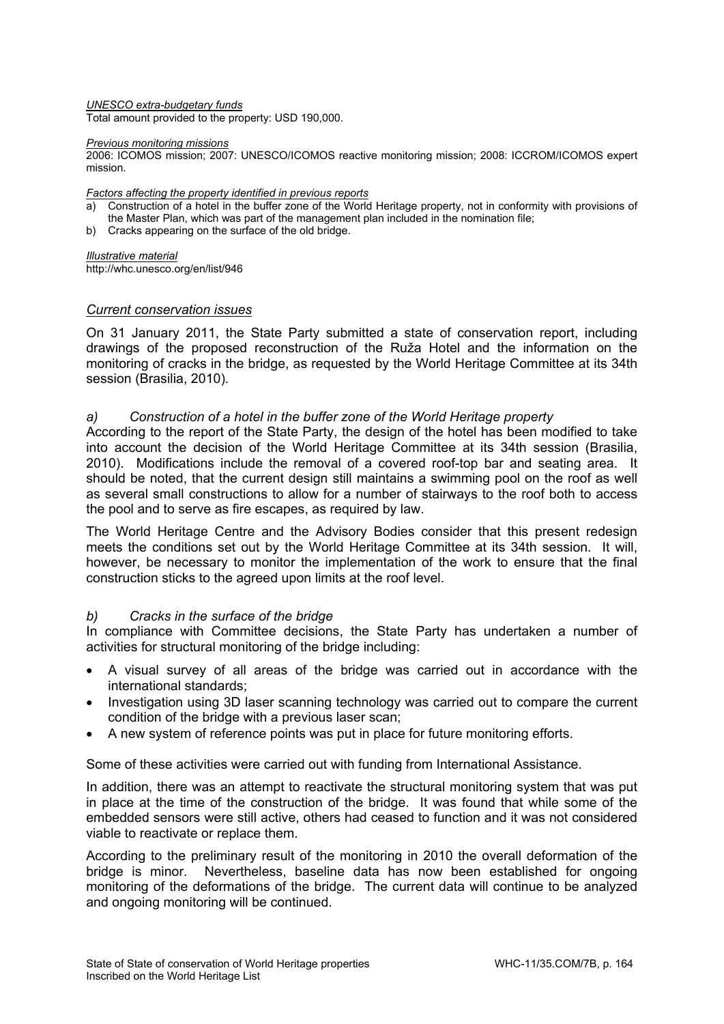*UNESCO extra-budgetary funds* 

Total amount provided to the property: USD 190,000.

#### *Previous monitoring missions*

2006: ICOMOS mission; 2007: UNESCO/ICOMOS reactive monitoring mission; 2008: ICCROM/ICOMOS expert mission.

#### *Factors affecting the property identified in previous reports*

- a) Construction of a hotel in the buffer zone of the World Heritage property, not in conformity with provisions of the Master Plan, which was part of the management plan included in the nomination file;
- b) Cracks appearing on the surface of the old bridge.

*Illustrative material*  http://whc.unesco.org/en/list/946

#### *Current conservation issues*

On 31 January 2011, the State Party submitted a state of conservation report, including drawings of the proposed reconstruction of the Ruža Hotel and the information on the monitoring of cracks in the bridge, as requested by the World Heritage Committee at its 34th session (Brasilia, 2010).

#### *a) Construction of a hotel in the buffer zone of the World Heritage property*

According to the report of the State Party, the design of the hotel has been modified to take into account the decision of the World Heritage Committee at its 34th session (Brasilia, 2010). Modifications include the removal of a covered roof-top bar and seating area. It should be noted, that the current design still maintains a swimming pool on the roof as well as several small constructions to allow for a number of stairways to the roof both to access the pool and to serve as fire escapes, as required by law.

The World Heritage Centre and the Advisory Bodies consider that this present redesign meets the conditions set out by the World Heritage Committee at its 34th session. It will, however, be necessary to monitor the implementation of the work to ensure that the final construction sticks to the agreed upon limits at the roof level.

#### *b) Cracks in the surface of the bridge*

In compliance with Committee decisions, the State Party has undertaken a number of activities for structural monitoring of the bridge including:

- A visual survey of all areas of the bridge was carried out in accordance with the international standards;
- Investigation using 3D laser scanning technology was carried out to compare the current condition of the bridge with a previous laser scan;
- A new system of reference points was put in place for future monitoring efforts.

Some of these activities were carried out with funding from International Assistance.

In addition, there was an attempt to reactivate the structural monitoring system that was put in place at the time of the construction of the bridge. It was found that while some of the embedded sensors were still active, others had ceased to function and it was not considered viable to reactivate or replace them.

According to the preliminary result of the monitoring in 2010 the overall deformation of the bridge is minor. Nevertheless, baseline data has now been established for ongoing monitoring of the deformations of the bridge. The current data will continue to be analyzed and ongoing monitoring will be continued.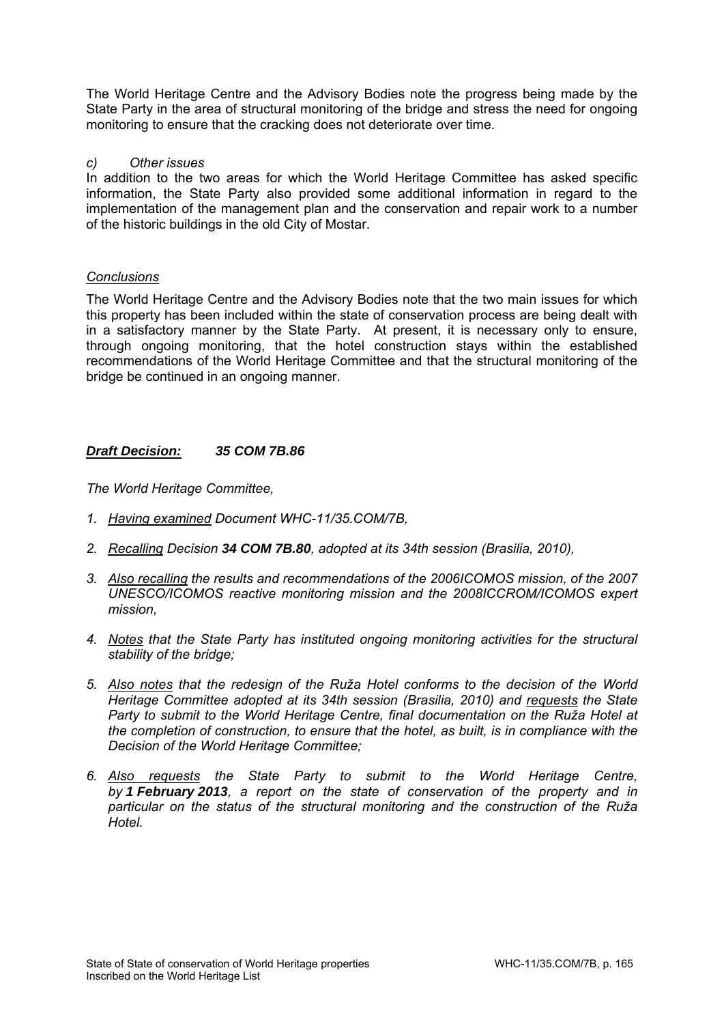The World Heritage Centre and the Advisory Bodies note the progress being made by the State Party in the area of structural monitoring of the bridge and stress the need for ongoing monitoring to ensure that the cracking does not deteriorate over time.

### *c) Other issues*

In addition to the two areas for which the World Heritage Committee has asked specific information, the State Party also provided some additional information in regard to the implementation of the management plan and the conservation and repair work to a number of the historic buildings in the old City of Mostar.

### *Conclusions*

The World Heritage Centre and the Advisory Bodies note that the two main issues for which this property has been included within the state of conservation process are being dealt with in a satisfactory manner by the State Party. At present, it is necessary only to ensure, through ongoing monitoring, that the hotel construction stays within the established recommendations of the World Heritage Committee and that the structural monitoring of the bridge be continued in an ongoing manner.

## *Draft Decision: 35 COM 7B.86*

- *1. Having examined Document WHC-11/35.COM/7B,*
- *2. Recalling Decision 34 COM 7B.80, adopted at its 34th session (Brasilia, 2010),*
- *3. Also recalling the results and recommendations of the 2006ICOMOS mission, of the 2007 UNESCO/ICOMOS reactive monitoring mission and the 2008ICCROM/ICOMOS expert mission,*
- *4. Notes that the State Party has instituted ongoing monitoring activities for the structural stability of the bridge;*
- *5. Also notes that the redesign of the Ruža Hotel conforms to the decision of the World Heritage Committee adopted at its 34th session (Brasilia, 2010) and requests the State Party to submit to the World Heritage Centre, final documentation on the Ruža Hotel at the completion of construction, to ensure that the hotel, as built, is in compliance with the Decision of the World Heritage Committee;*
- *6. Also requests the State Party to submit to the World Heritage Centre, by 1 February 2013, a report on the state of conservation of the property and in particular on the status of the structural monitoring and the construction of the Ruža Hotel.*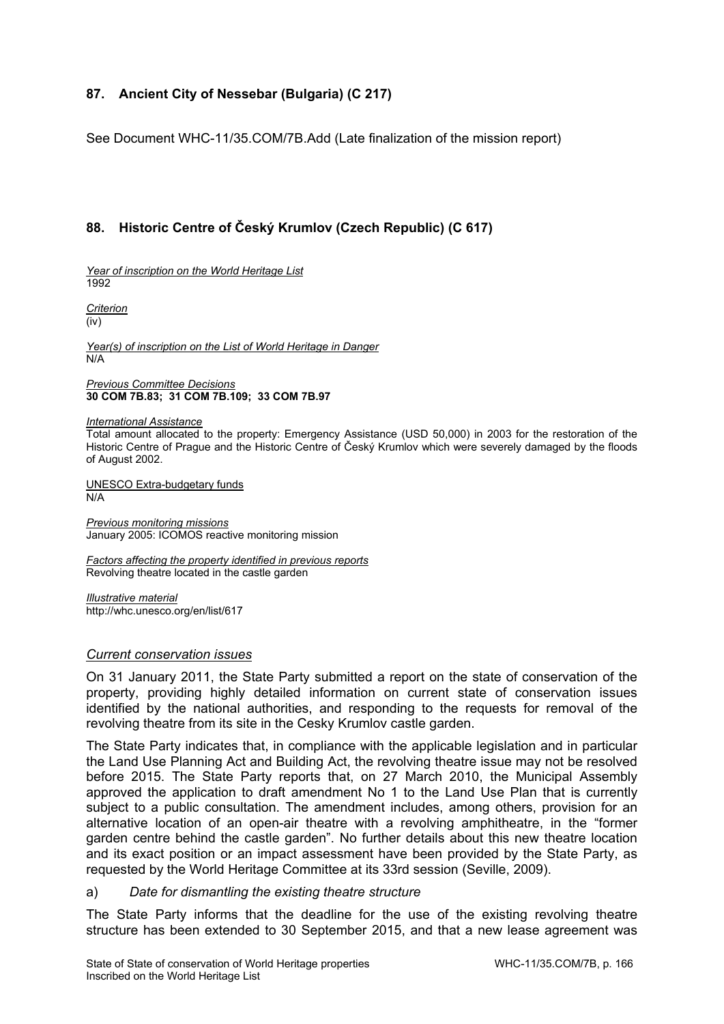# **87. Ancient City of Nessebar (Bulgaria) (C 217)**

See Document WHC-11/35.COM/7B.Add (Late finalization of the mission report)

# **88. Historic Centre of Český Krumlov (Czech Republic) (C 617)**

*Year of inscription on the World Heritage List*  1992

*Criterion*  (iv)

*Year(s) of inscription on the List of World Heritage in Danger*  N/A

*Previous Committee Decisions*  **30 COM 7B.83; 31 COM 7B.109; 33 COM 7B.97** 

*International Assistance* 

Total amount allocated to the property: Emergency Assistance (USD 50,000) in 2003 for the restoration of the Historic Centre of Prague and the Historic Centre of Český Krumlov which were severely damaged by the floods of August 2002.

UNESCO Extra-budgetary funds N/A

*Previous monitoring missions*  January 2005: ICOMOS reactive monitoring mission

*Factors affecting the property identified in previous reports*  Revolving theatre located in the castle garden

*Illustrative material*  http://whc.unesco.org/en/list/617

#### *Current conservation issues*

On 31 January 2011, the State Party submitted a report on the state of conservation of the property, providing highly detailed information on current state of conservation issues identified by the national authorities, and responding to the requests for removal of the revolving theatre from its site in the Cesky Krumlov castle garden.

The State Party indicates that, in compliance with the applicable legislation and in particular the Land Use Planning Act and Building Act, the revolving theatre issue may not be resolved before 2015. The State Party reports that, on 27 March 2010, the Municipal Assembly approved the application to draft amendment No 1 to the Land Use Plan that is currently subject to a public consultation. The amendment includes, among others, provision for an alternative location of an open-air theatre with a revolving amphitheatre, in the "former garden centre behind the castle garden". No further details about this new theatre location and its exact position or an impact assessment have been provided by the State Party, as requested by the World Heritage Committee at its 33rd session (Seville, 2009).

#### a) *Date for dismantling the existing theatre structure*

The State Party informs that the deadline for the use of the existing revolving theatre structure has been extended to 30 September 2015, and that a new lease agreement was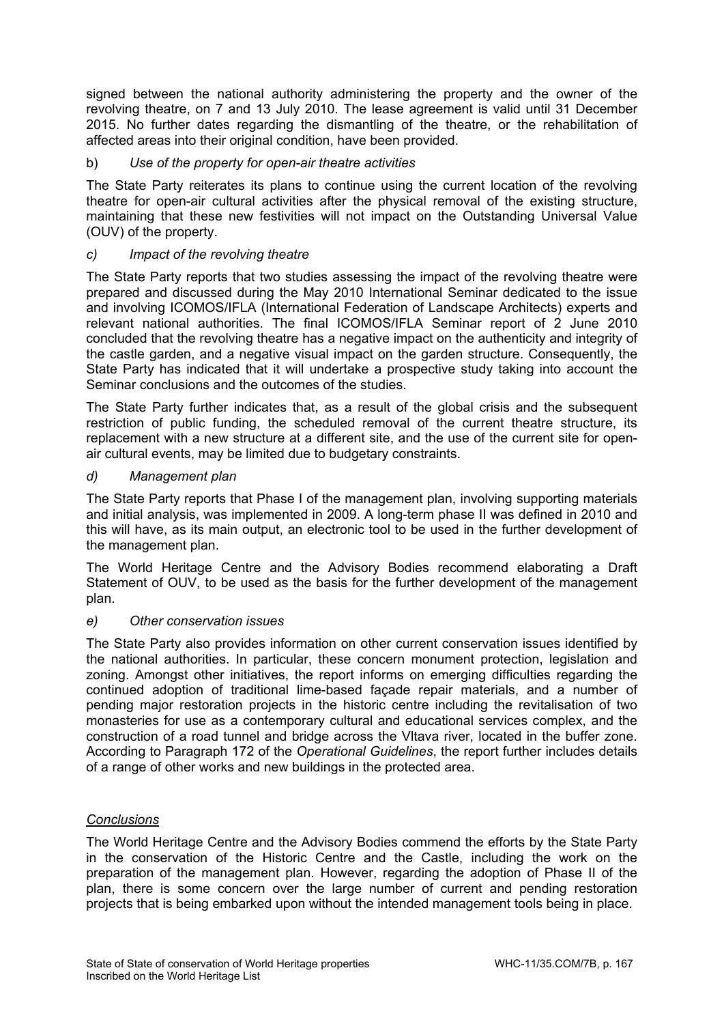signed between the national authority administering the property and the owner of the revolving theatre, on 7 and 13 July 2010. The lease agreement is valid until 31 December 2015. No further dates regarding the dismantling of the theatre, or the rehabilitation of affected areas into their original condition, have been provided.

## b) *Use of the property for open-air theatre activities*

The State Party reiterates its plans to continue using the current location of the revolving theatre for open-air cultural activities after the physical removal of the existing structure, maintaining that these new festivities will not impact on the Outstanding Universal Value (OUV) of the property.

## *c) Impact of the revolving theatre*

The State Party reports that two studies assessing the impact of the revolving theatre were prepared and discussed during the May 2010 International Seminar dedicated to the issue and involving ICOMOS/IFLA (International Federation of Landscape Architects) experts and relevant national authorities. The final ICOMOS/IFLA Seminar report of 2 June 2010 concluded that the revolving theatre has a negative impact on the authenticity and integrity of the castle garden, and a negative visual impact on the garden structure. Consequently, the State Party has indicated that it will undertake a prospective study taking into account the Seminar conclusions and the outcomes of the studies.

The State Party further indicates that, as a result of the global crisis and the subsequent restriction of public funding, the scheduled removal of the current theatre structure, its replacement with a new structure at a different site, and the use of the current site for openair cultural events, may be limited due to budgetary constraints.

### *d) Management plan*

The State Party reports that Phase I of the management plan, involving supporting materials and initial analysis, was implemented in 2009. A long-term phase II was defined in 2010 and this will have, as its main output, an electronic tool to be used in the further development of the management plan.

The World Heritage Centre and the Advisory Bodies recommend elaborating a Draft Statement of OUV, to be used as the basis for the further development of the management plan.

#### *e) Other conservation issues*

The State Party also provides information on other current conservation issues identified by the national authorities. In particular, these concern monument protection, legislation and zoning. Amongst other initiatives, the report informs on emerging difficulties regarding the continued adoption of traditional lime-based façade repair materials, and a number of pending major restoration projects in the historic centre including the revitalisation of two monasteries for use as a contemporary cultural and educational services complex, and the construction of a road tunnel and bridge across the Vltava river, located in the buffer zone. According to Paragraph 172 of the *Operational Guidelines*, the report further includes details of a range of other works and new buildings in the protected area.

## *Conclusions*

The World Heritage Centre and the Advisory Bodies commend the efforts by the State Party in the conservation of the Historic Centre and the Castle, including the work on the preparation of the management plan. However, regarding the adoption of Phase II of the plan, there is some concern over the large number of current and pending restoration projects that is being embarked upon without the intended management tools being in place.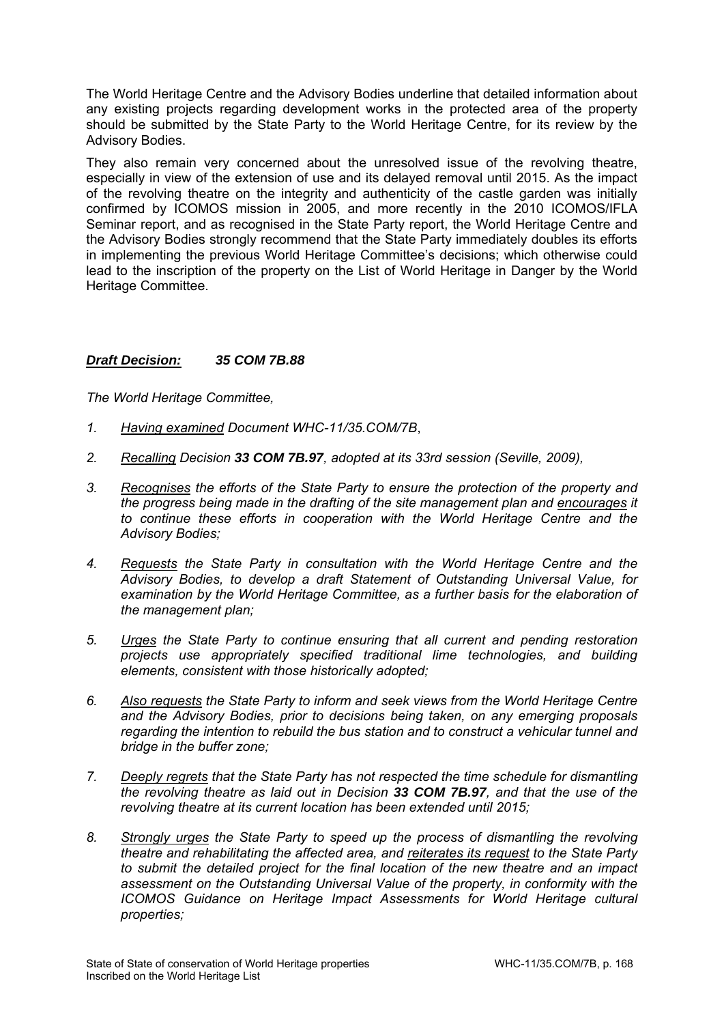The World Heritage Centre and the Advisory Bodies underline that detailed information about any existing projects regarding development works in the protected area of the property should be submitted by the State Party to the World Heritage Centre, for its review by the Advisory Bodies.

They also remain very concerned about the unresolved issue of the revolving theatre, especially in view of the extension of use and its delayed removal until 2015. As the impact of the revolving theatre on the integrity and authenticity of the castle garden was initially confirmed by ICOMOS mission in 2005, and more recently in the 2010 ICOMOS/IFLA Seminar report, and as recognised in the State Party report, the World Heritage Centre and the Advisory Bodies strongly recommend that the State Party immediately doubles its efforts in implementing the previous World Heritage Committee's decisions; which otherwise could lead to the inscription of the property on the List of World Heritage in Danger by the World Heritage Committee.

# *Draft Decision: 35 COM 7B.88*

- *1. Having examined Document WHC-11/35.COM/7B*,
- *2. Recalling Decision 33 COM 7B.97, adopted at its 33rd session (Seville, 2009),*
- *3. Recognises the efforts of the State Party to ensure the protection of the property and the progress being made in the drafting of the site management plan and encourages it to continue these efforts in cooperation with the World Heritage Centre and the Advisory Bodies;*
- *4. Requests the State Party in consultation with the World Heritage Centre and the Advisory Bodies, to develop a draft Statement of Outstanding Universal Value, for examination by the World Heritage Committee, as a further basis for the elaboration of the management plan;*
- *5. Urges the State Party to continue ensuring that all current and pending restoration projects use appropriately specified traditional lime technologies, and building elements, consistent with those historically adopted;*
- *6. Also requests the State Party to inform and seek views from the World Heritage Centre and the Advisory Bodies, prior to decisions being taken, on any emerging proposals regarding the intention to rebuild the bus station and to construct a vehicular tunnel and bridge in the buffer zone;*
- *7. Deeply regrets that the State Party has not respected the time schedule for dismantling the revolving theatre as laid out in Decision 33 COM 7B.97, and that the use of the revolving theatre at its current location has been extended until 2015;*
- *8. Strongly urges the State Party to speed up the process of dismantling the revolving theatre and rehabilitating the affected area, and reiterates its request to the State Party to submit the detailed project for the final location of the new theatre and an impact assessment on the Outstanding Universal Value of the property, in conformity with the ICOMOS Guidance on Heritage Impact Assessments for World Heritage cultural properties;*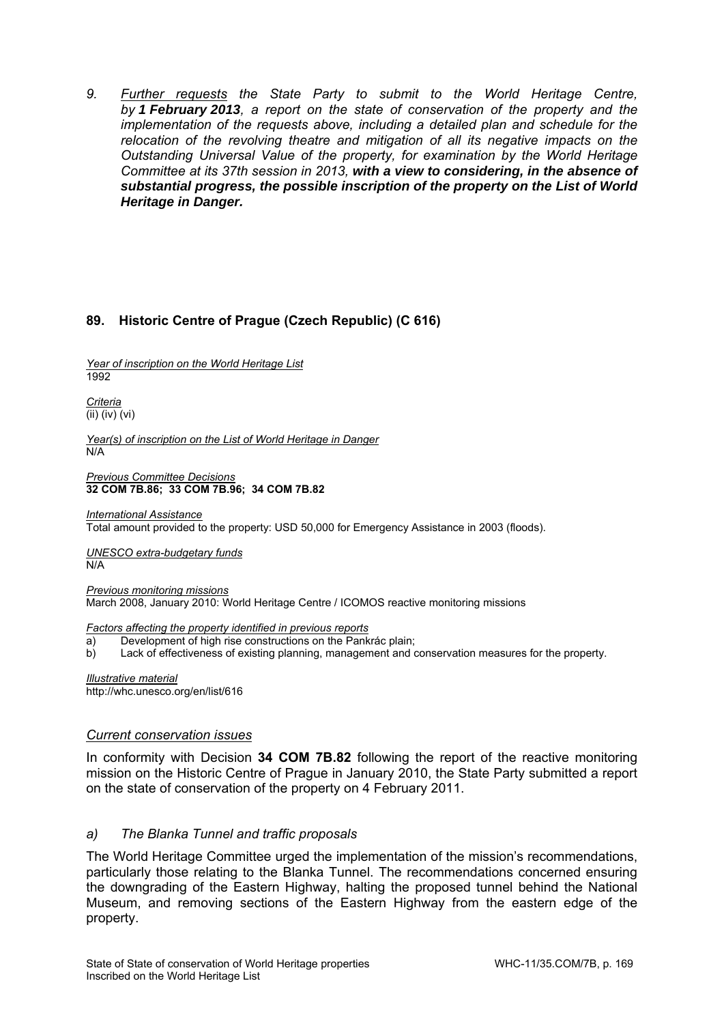*9. Further requests the State Party to submit to the World Heritage Centre, by 1 February 2013, a report on the state of conservation of the property and the implementation of the requests above, including a detailed plan and schedule for the relocation of the revolving theatre and mitigation of all its negative impacts on the Outstanding Universal Value of the property, for examination by the World Heritage Committee at its 37th session in 2013, with a view to considering, in the absence of substantial progress, the possible inscription of the property on the List of World Heritage in Danger.* 

# **89. Historic Centre of Prague (Czech Republic) (C 616)**

*Year of inscription on the World Heritage List*  1992

*Criteria*  (ii) (iv) (vi)

*Year(s) of inscription on the List of World Heritage in Danger*  N/A

*Previous Committee Decisions*  **32 COM 7B.86; 33 COM 7B.96; 34 COM 7B.82** 

*International Assistance*  Total amount provided to the property: USD 50,000 for Emergency Assistance in 2003 (floods).

*UNESCO extra-budgetary funds*  N/A

*Previous monitoring missions*  March 2008, January 2010: World Heritage Centre / ICOMOS reactive monitoring missions

*Factors affecting the property identified in previous reports* 

- a) Development of high rise constructions on the Pankrác plain;
- b) Lack of effectiveness of existing planning, management and conservation measures for the property.

*Illustrative material*  http://whc.unesco.org/en/list/616

#### *Current conservation issues*

In conformity with Decision **34 COM 7B.82** following the report of the reactive monitoring mission on the Historic Centre of Prague in January 2010, the State Party submitted a report on the state of conservation of the property on 4 February 2011.

## *a) The Blanka Tunnel and traffic proposals*

The World Heritage Committee urged the implementation of the mission's recommendations, particularly those relating to the Blanka Tunnel. The recommendations concerned ensuring the downgrading of the Eastern Highway, halting the proposed tunnel behind the National Museum, and removing sections of the Eastern Highway from the eastern edge of the property.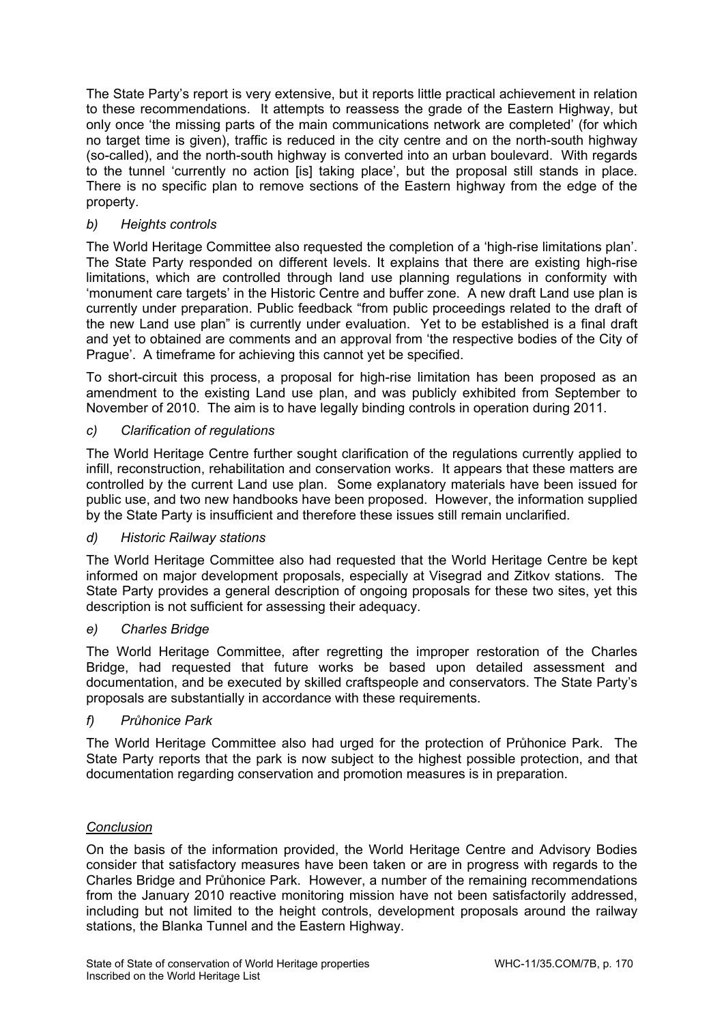The State Party's report is very extensive, but it reports little practical achievement in relation to these recommendations. It attempts to reassess the grade of the Eastern Highway, but only once 'the missing parts of the main communications network are completed' (for which no target time is given), traffic is reduced in the city centre and on the north-south highway (so-called), and the north-south highway is converted into an urban boulevard. With regards to the tunnel 'currently no action [is] taking place', but the proposal still stands in place. There is no specific plan to remove sections of the Eastern highway from the edge of the property.

# *b) Heights controls*

The World Heritage Committee also requested the completion of a 'high-rise limitations plan'. The State Party responded on different levels. It explains that there are existing high-rise limitations, which are controlled through land use planning regulations in conformity with 'monument care targets' in the Historic Centre and buffer zone. A new draft Land use plan is currently under preparation. Public feedback "from public proceedings related to the draft of the new Land use plan" is currently under evaluation. Yet to be established is a final draft and yet to obtained are comments and an approval from 'the respective bodies of the City of Prague'. A timeframe for achieving this cannot yet be specified.

To short-circuit this process, a proposal for high-rise limitation has been proposed as an amendment to the existing Land use plan, and was publicly exhibited from September to November of 2010. The aim is to have legally binding controls in operation during 2011.

# *c) Clarification of regulations*

The World Heritage Centre further sought clarification of the regulations currently applied to infill, reconstruction, rehabilitation and conservation works. It appears that these matters are controlled by the current Land use plan. Some explanatory materials have been issued for public use, and two new handbooks have been proposed. However, the information supplied by the State Party is insufficient and therefore these issues still remain unclarified.

## *d) Historic Railway stations*

The World Heritage Committee also had requested that the World Heritage Centre be kept informed on major development proposals, especially at Visegrad and Zitkov stations. The State Party provides a general description of ongoing proposals for these two sites, yet this description is not sufficient for assessing their adequacy.

## *e) Charles Bridge*

The World Heritage Committee, after regretting the improper restoration of the Charles Bridge, had requested that future works be based upon detailed assessment and documentation, and be executed by skilled craftspeople and conservators. The State Party's proposals are substantially in accordance with these requirements.

## *f) Průhonice Park*

The World Heritage Committee also had urged for the protection of Průhonice Park. The State Party reports that the park is now subject to the highest possible protection, and that documentation regarding conservation and promotion measures is in preparation.

## *Conclusion*

On the basis of the information provided, the World Heritage Centre and Advisory Bodies consider that satisfactory measures have been taken or are in progress with regards to the Charles Bridge and Průhonice Park. However, a number of the remaining recommendations from the January 2010 reactive monitoring mission have not been satisfactorily addressed, including but not limited to the height controls, development proposals around the railway stations, the Blanka Tunnel and the Eastern Highway.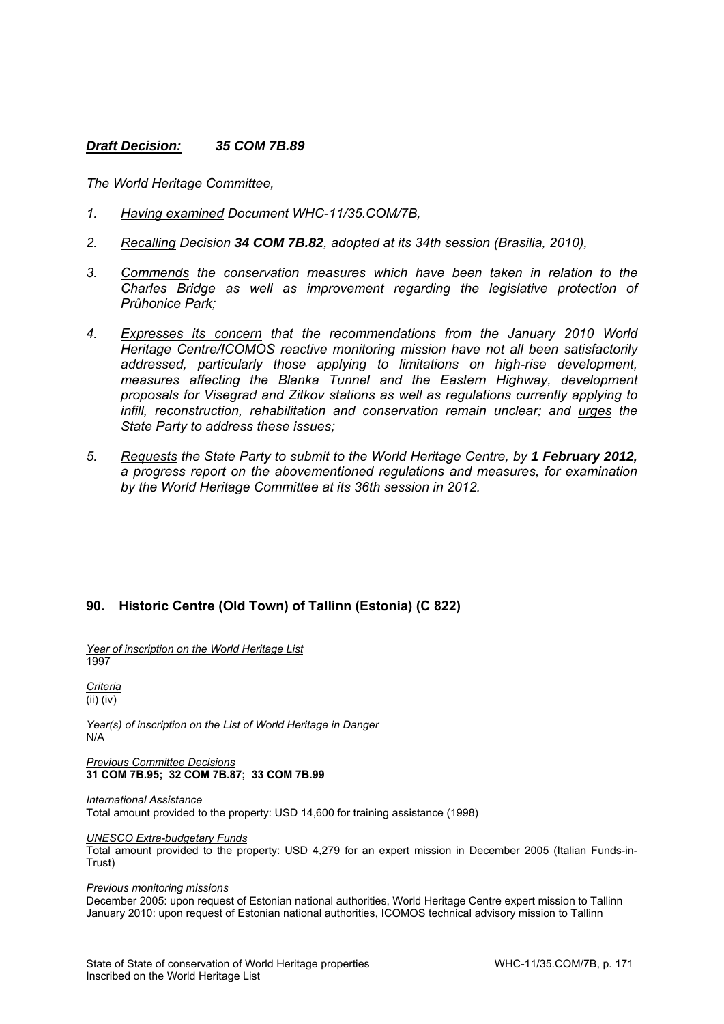### *Draft Decision: 35 COM 7B.89*

*The World Heritage Committee,* 

- *1. Having examined Document WHC-11/35.COM/7B,*
- *2. Recalling Decision 34 COM 7B.82, adopted at its 34th session (Brasilia, 2010),*
- *3. Commends the conservation measures which have been taken in relation to the Charles Bridge as well as improvement regarding the legislative protection of Průhonice Park;*
- *4. Expresses its concern that the recommendations from the January 2010 World Heritage Centre/ICOMOS reactive monitoring mission have not all been satisfactorily addressed, particularly those applying to limitations on high-rise development, measures affecting the Blanka Tunnel and the Eastern Highway, development proposals for Visegrad and Zitkov stations as well as regulations currently applying to infill, reconstruction, rehabilitation and conservation remain unclear; and urges the State Party to address these issues;*
- *5. Requests the State Party to submit to the World Heritage Centre, by 1 February 2012, a progress report on the abovementioned regulations and measures, for examination by the World Heritage Committee at its 36th session in 2012.*

## **90. Historic Centre (Old Town) of Tallinn (Estonia) (C 822)**

*Year of inscription on the World Heritage List*  1997

*Criteria*  (ii) (iv)

*Year(s) of inscription on the List of World Heritage in Danger*  N/A

*Previous Committee Decisions*  **31 COM 7B.95; 32 COM 7B.87; 33 COM 7B.99** 

*International Assistance*  Total amount provided to the property: USD 14,600 for training assistance (1998)

#### *UNESCO Extra-budgetary Funds*

Total amount provided to the property: USD 4,279 for an expert mission in December 2005 (Italian Funds-in-Trust)

#### *Previous monitoring missions*

December 2005: upon request of Estonian national authorities, World Heritage Centre expert mission to Tallinn January 2010: upon request of Estonian national authorities, ICOMOS technical advisory mission to Tallinn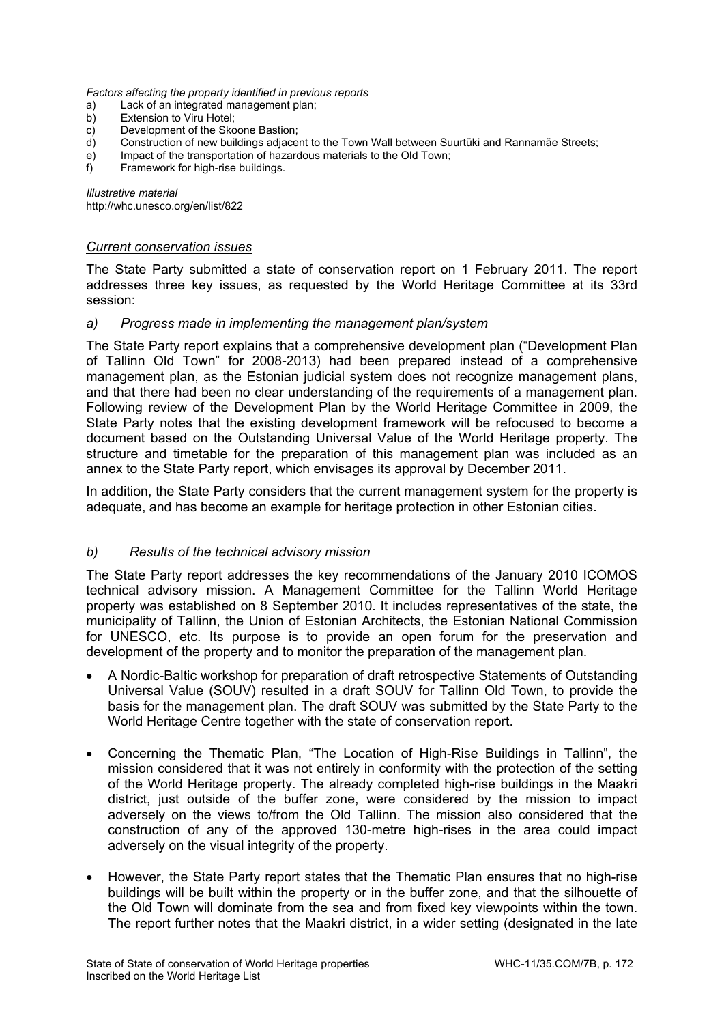*Factors affecting the property identified in previous reports* 

- Lack of an integrated management plan:
- b) Extension to Viru Hotel:
- c) Development of the Skoone Bastion;
- d) Construction of new buildings adjacent to the Town Wall between Suurtüki and Rannamäe Streets;
- e) Impact of the transportation of hazardous materials to the Old Town;
- f) Framework for high-rise buildings.

*Illustrative material*  http://whc.unesco.org/en/list/822

#### *Current conservation issues*

The State Party submitted a state of conservation report on 1 February 2011. The report addresses three key issues, as requested by the World Heritage Committee at its 33rd session:

#### *a) Progress made in implementing the management plan/system*

The State Party report explains that a comprehensive development plan ("Development Plan of Tallinn Old Town" for 2008-2013) had been prepared instead of a comprehensive management plan, as the Estonian judicial system does not recognize management plans, and that there had been no clear understanding of the requirements of a management plan. Following review of the Development Plan by the World Heritage Committee in 2009, the State Party notes that the existing development framework will be refocused to become a document based on the Outstanding Universal Value of the World Heritage property. The structure and timetable for the preparation of this management plan was included as an annex to the State Party report, which envisages its approval by December 2011.

In addition, the State Party considers that the current management system for the property is adequate, and has become an example for heritage protection in other Estonian cities.

#### *b) Results of the technical advisory mission*

The State Party report addresses the key recommendations of the January 2010 ICOMOS technical advisory mission. A Management Committee for the Tallinn World Heritage property was established on 8 September 2010. It includes representatives of the state, the municipality of Tallinn, the Union of Estonian Architects, the Estonian National Commission for UNESCO, etc. Its purpose is to provide an open forum for the preservation and development of the property and to monitor the preparation of the management plan.

- A Nordic-Baltic workshop for preparation of draft retrospective Statements of Outstanding Universal Value (SOUV) resulted in a draft SOUV for Tallinn Old Town, to provide the basis for the management plan. The draft SOUV was submitted by the State Party to the World Heritage Centre together with the state of conservation report.
- Concerning the Thematic Plan, "The Location of High-Rise Buildings in Tallinn", the mission considered that it was not entirely in conformity with the protection of the setting of the World Heritage property. The already completed high-rise buildings in the Maakri district, just outside of the buffer zone, were considered by the mission to impact adversely on the views to/from the Old Tallinn. The mission also considered that the construction of any of the approved 130-metre high-rises in the area could impact adversely on the visual integrity of the property.
- However, the State Party report states that the Thematic Plan ensures that no high-rise buildings will be built within the property or in the buffer zone, and that the silhouette of the Old Town will dominate from the sea and from fixed key viewpoints within the town. The report further notes that the Maakri district, in a wider setting (designated in the late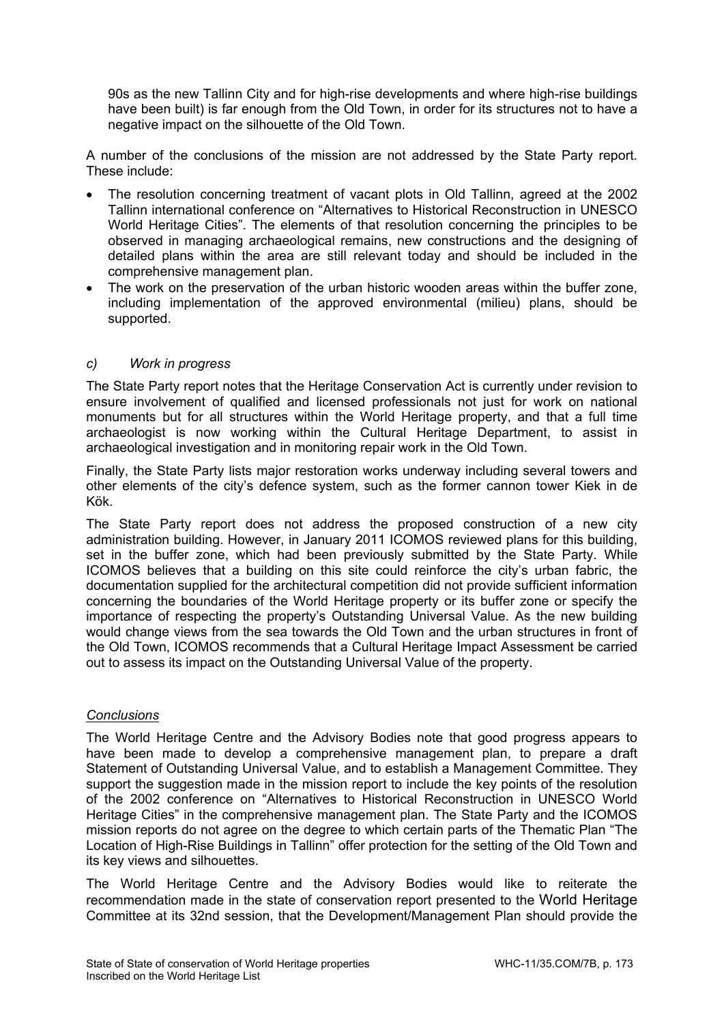90s as the new Tallinn City and for high-rise developments and where high-rise buildings have been built) is far enough from the Old Town, in order for its structures not to have a negative impact on the silhouette of the Old Town.

A number of the conclusions of the mission are not addressed by the State Party report. These include:

- The resolution concerning treatment of vacant plots in Old Tallinn, agreed at the 2002 Tallinn international conference on "Alternatives to Historical Reconstruction in UNESCO World Heritage Cities". The elements of that resolution concerning the principles to be observed in managing archaeological remains, new constructions and the designing of detailed plans within the area are still relevant today and should be included in the comprehensive management plan.
- The work on the preservation of the urban historic wooden areas within the buffer zone, including implementation of the approved environmental (milieu) plans, should be supported.

### *c) Work in progress*

The State Party report notes that the Heritage Conservation Act is currently under revision to ensure involvement of qualified and licensed professionals not just for work on national monuments but for all structures within the World Heritage property, and that a full time archaeologist is now working within the Cultural Heritage Department, to assist in archaeological investigation and in monitoring repair work in the Old Town.

Finally, the State Party lists major restoration works underway including several towers and other elements of the city's defence system, such as the former cannon tower Kiek in de Kök.

The State Party report does not address the proposed construction of a new city administration building. However, in January 2011 ICOMOS reviewed plans for this building, set in the buffer zone, which had been previously submitted by the State Party. While ICOMOS believes that a building on this site could reinforce the city's urban fabric, the documentation supplied for the architectural competition did not provide sufficient information concerning the boundaries of the World Heritage property or its buffer zone or specify the importance of respecting the property's Outstanding Universal Value. As the new building would change views from the sea towards the Old Town and the urban structures in front of the Old Town, ICOMOS recommends that a Cultural Heritage Impact Assessment be carried out to assess its impact on the Outstanding Universal Value of the property.

#### *Conclusions*

The World Heritage Centre and the Advisory Bodies note that good progress appears to have been made to develop a comprehensive management plan, to prepare a draft Statement of Outstanding Universal Value, and to establish a Management Committee. They support the suggestion made in the mission report to include the key points of the resolution of the 2002 conference on "Alternatives to Historical Reconstruction in UNESCO World Heritage Cities" in the comprehensive management plan. The State Party and the ICOMOS mission reports do not agree on the degree to which certain parts of the Thematic Plan "The Location of High-Rise Buildings in Tallinn" offer protection for the setting of the Old Town and its key views and silhouettes.

The World Heritage Centre and the Advisory Bodies would like to reiterate the recommendation made in the state of conservation report presented to the World Heritage Committee at its 32nd session, that the Development/Management Plan should provide the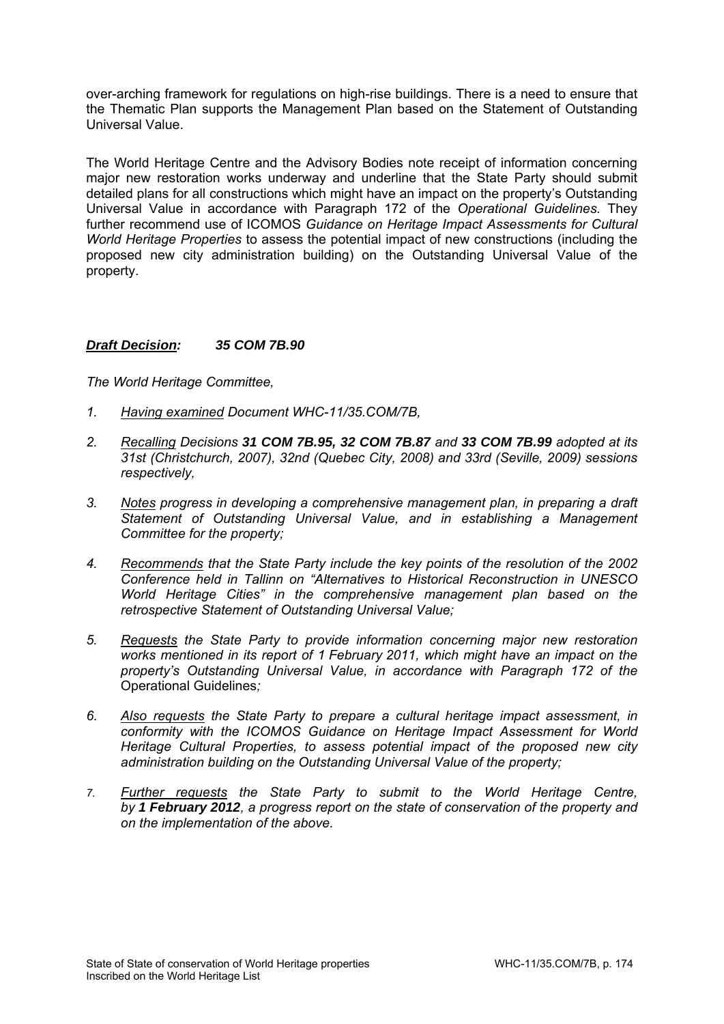over-arching framework for regulations on high-rise buildings. There is a need to ensure that the Thematic Plan supports the Management Plan based on the Statement of Outstanding Universal Value.

The World Heritage Centre and the Advisory Bodies note receipt of information concerning major new restoration works underway and underline that the State Party should submit detailed plans for all constructions which might have an impact on the property's Outstanding Universal Value in accordance with Paragraph 172 of the *Operational Guidelines.* They further recommend use of ICOMOS *Guidance on Heritage Impact Assessments for Cultural World Heritage Properties* to assess the potential impact of new constructions (including the proposed new city administration building) on the Outstanding Universal Value of the property.

# *Draft Decision: 35 COM 7B.90*

- *1. Having examined Document WHC-11/35.COM/7B,*
- *2. Recalling Decisions 31 COM 7B.95, 32 COM 7B.87 and 33 COM 7B.99 adopted at its 31st (Christchurch, 2007), 32nd (Quebec City, 2008) and 33rd (Seville, 2009) sessions respectively,*
- *3. Notes progress in developing a comprehensive management plan, in preparing a draft Statement of Outstanding Universal Value, and in establishing a Management Committee for the property;*
- *4. Recommends that the State Party include the key points of the resolution of the 2002 Conference held in Tallinn on "Alternatives to Historical Reconstruction in UNESCO World Heritage Cities" in the comprehensive management plan based on the retrospective Statement of Outstanding Universal Value;*
- *5. Requests the State Party to provide information concerning major new restoration works mentioned in its report of 1 February 2011, which might have an impact on the property's Outstanding Universal Value, in accordance with Paragraph 172 of the*  Operational Guidelines*;*
- *6. Also requests the State Party to prepare a cultural heritage impact assessment, in conformity with the ICOMOS Guidance on Heritage Impact Assessment for World Heritage Cultural Properties, to assess potential impact of the proposed new city administration building on the Outstanding Universal Value of the property;*
- *7. Further requests the State Party to submit to the World Heritage Centre, by 1 February 2012, a progress report on the state of conservation of the property and on the implementation of the above.*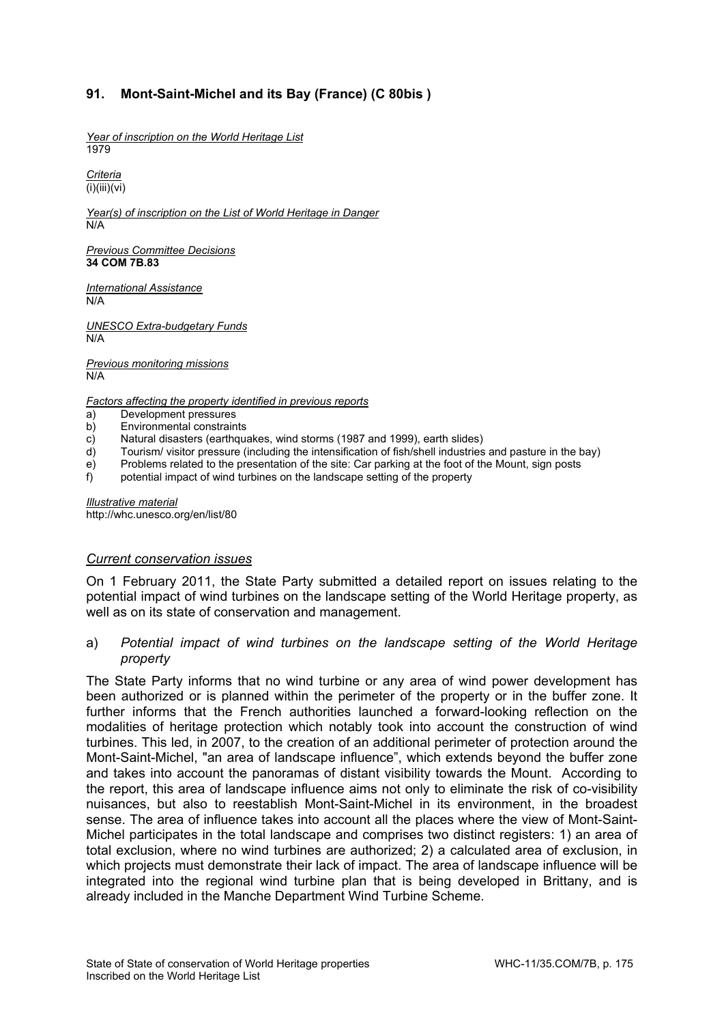# **91. Mont-Saint-Michel and its Bay (France) (C 80bis )**

*Year of inscription on the World Heritage List*  1979

*Criteria*   $(i)(iii)(vi)$ 

*Year(s) of inscription on the List of World Heritage in Danger*  N/A

*Previous Committee Decisions*  **34 COM 7B.83** 

*International Assistance*  N/A

*UNESCO Extra-budgetary Funds*  N/A

*Previous monitoring missions*  N/A

*Factors affecting the property identified in previous reports* 

- a) Development pressures
- b) Environmental constraints
- c) Natural disasters (earthquakes, wind storms (1987 and 1999), earth slides)<br>d) Tourism/ visitor pressure (including the intensification of fish/shell industries
- Tourism/ visitor pressure (including the intensification of fish/shell industries and pasture in the bay)
- e) Problems related to the presentation of the site: Car parking at the foot of the Mount, sign posts
- f) potential impact of wind turbines on the landscape setting of the property

*Illustrative material*  http://whc.unesco.org/en/list/80

#### *Current conservation issues*

On 1 February 2011, the State Party submitted a detailed report on issues relating to the potential impact of wind turbines on the landscape setting of the World Heritage property, as well as on its state of conservation and management.

### a) *Potential impact of wind turbines on the landscape setting of the World Heritage property*

The State Party informs that no wind turbine or any area of wind power development has been authorized or is planned within the perimeter of the property or in the buffer zone. It further informs that the French authorities launched a forward-looking reflection on the modalities of heritage protection which notably took into account the construction of wind turbines. This led, in 2007, to the creation of an additional perimeter of protection around the Mont-Saint-Michel, "an area of landscape influence", which extends beyond the buffer zone and takes into account the panoramas of distant visibility towards the Mount. According to the report, this area of landscape influence aims not only to eliminate the risk of co-visibility nuisances, but also to reestablish Mont-Saint-Michel in its environment, in the broadest sense. The area of influence takes into account all the places where the view of Mont-Saint-Michel participates in the total landscape and comprises two distinct registers: 1) an area of total exclusion, where no wind turbines are authorized; 2) a calculated area of exclusion, in which projects must demonstrate their lack of impact. The area of landscape influence will be integrated into the regional wind turbine plan that is being developed in Brittany, and is already included in the Manche Department Wind Turbine Scheme.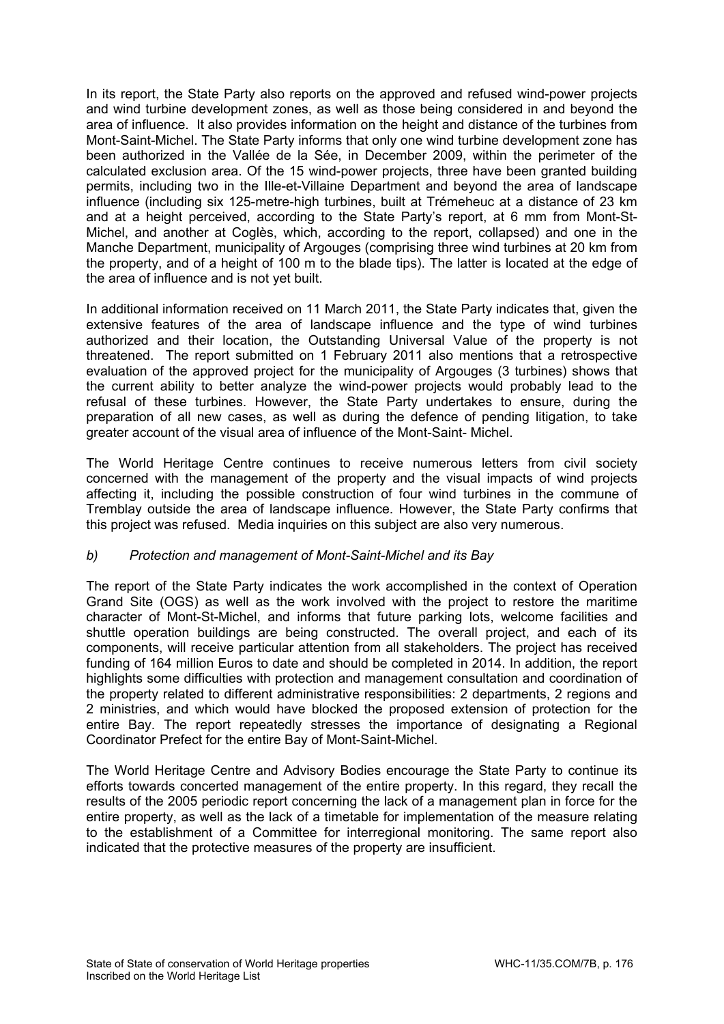In its report, the State Party also reports on the approved and refused wind-power projects and wind turbine development zones, as well as those being considered in and beyond the area of influence. It also provides information on the height and distance of the turbines from Mont-Saint-Michel. The State Party informs that only one wind turbine development zone has been authorized in the Vallée de la Sée, in December 2009, within the perimeter of the calculated exclusion area. Of the 15 wind-power projects, three have been granted building permits, including two in the Ille-et-Villaine Department and beyond the area of landscape influence (including six 125-metre-high turbines, built at Trémeheuc at a distance of 23 km and at a height perceived, according to the State Party's report, at 6 mm from Mont-St-Michel, and another at Coglès, which, according to the report, collapsed) and one in the Manche Department, municipality of Argouges (comprising three wind turbines at 20 km from the property, and of a height of 100 m to the blade tips). The latter is located at the edge of the area of influence and is not yet built.

In additional information received on 11 March 2011, the State Party indicates that, given the extensive features of the area of landscape influence and the type of wind turbines authorized and their location, the Outstanding Universal Value of the property is not threatened. The report submitted on 1 February 2011 also mentions that a retrospective evaluation of the approved project for the municipality of Argouges (3 turbines) shows that the current ability to better analyze the wind-power projects would probably lead to the refusal of these turbines. However, the State Party undertakes to ensure, during the preparation of all new cases, as well as during the defence of pending litigation, to take greater account of the visual area of influence of the Mont-Saint- Michel.

The World Heritage Centre continues to receive numerous letters from civil society concerned with the management of the property and the visual impacts of wind projects affecting it, including the possible construction of four wind turbines in the commune of Tremblay outside the area of landscape influence. However, the State Party confirms that this project was refused. Media inquiries on this subject are also very numerous.

## *b) Protection and management of Mont-Saint-Michel and its Bay*

The report of the State Party indicates the work accomplished in the context of Operation Grand Site (OGS) as well as the work involved with the project to restore the maritime character of Mont-St-Michel, and informs that future parking lots, welcome facilities and shuttle operation buildings are being constructed. The overall project, and each of its components, will receive particular attention from all stakeholders. The project has received funding of 164 million Euros to date and should be completed in 2014. In addition, the report highlights some difficulties with protection and management consultation and coordination of the property related to different administrative responsibilities: 2 departments, 2 regions and 2 ministries, and which would have blocked the proposed extension of protection for the entire Bay. The report repeatedly stresses the importance of designating a Regional Coordinator Prefect for the entire Bay of Mont-Saint-Michel.

The World Heritage Centre and Advisory Bodies encourage the State Party to continue its efforts towards concerted management of the entire property. In this regard, they recall the results of the 2005 periodic report concerning the lack of a management plan in force for the entire property, as well as the lack of a timetable for implementation of the measure relating to the establishment of a Committee for interregional monitoring. The same report also indicated that the protective measures of the property are insufficient.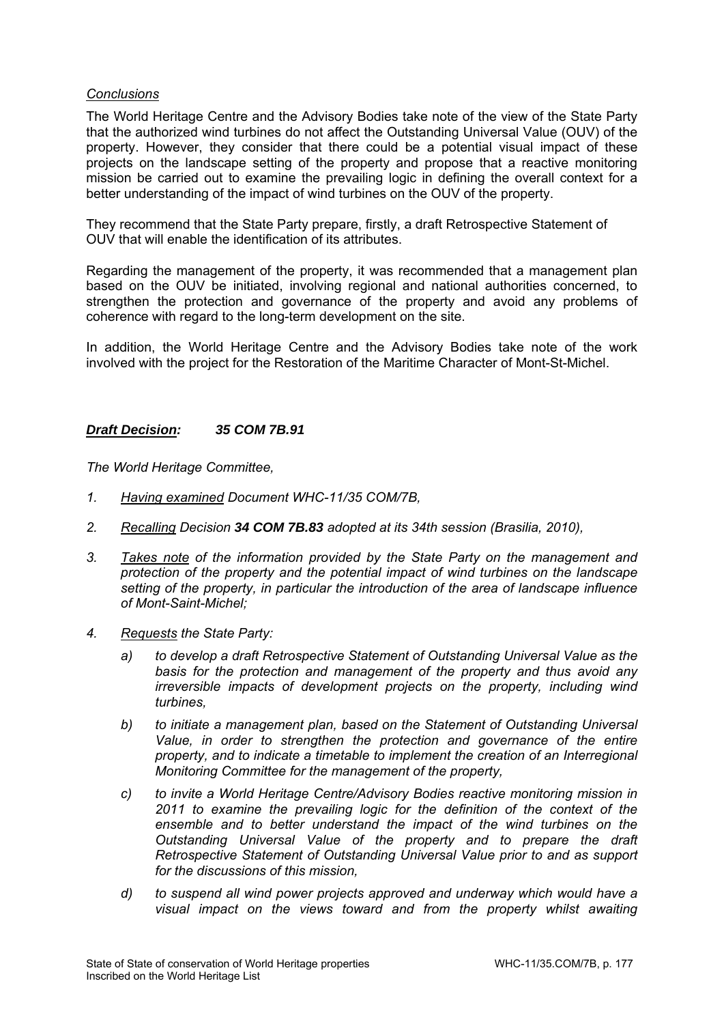### *Conclusions*

The World Heritage Centre and the Advisory Bodies take note of the view of the State Party that the authorized wind turbines do not affect the Outstanding Universal Value (OUV) of the property. However, they consider that there could be a potential visual impact of these projects on the landscape setting of the property and propose that a reactive monitoring mission be carried out to examine the prevailing logic in defining the overall context for a better understanding of the impact of wind turbines on the OUV of the property.

They recommend that the State Party prepare, firstly, a draft Retrospective Statement of OUV that will enable the identification of its attributes.

Regarding the management of the property, it was recommended that a management plan based on the OUV be initiated, involving regional and national authorities concerned, to strengthen the protection and governance of the property and avoid any problems of coherence with regard to the long-term development on the site.

In addition, the World Heritage Centre and the Advisory Bodies take note of the work involved with the project for the Restoration of the Maritime Character of Mont-St-Michel.

### *Draft Decision: 35 COM 7B.91*

- *1. Having examined Document WHC-11/35 COM/7B,*
- *2. Recalling Decision 34 COM 7B.83 adopted at its 34th session (Brasilia, 2010),*
- *3. Takes note of the information provided by the State Party on the management and protection of the property and the potential impact of wind turbines on the landscape setting of the property, in particular the introduction of the area of landscape influence of Mont-Saint-Michel;*
- *4. Requests the State Party:* 
	- *a) to develop a draft Retrospective Statement of Outstanding Universal Value as the basis for the protection and management of the property and thus avoid any irreversible impacts of development projects on the property, including wind turbines,*
	- *b) to initiate a management plan, based on the Statement of Outstanding Universal Value, in order to strengthen the protection and governance of the entire property, and to indicate a timetable to implement the creation of an Interregional Monitoring Committee for the management of the property,*
	- *c) to invite a World Heritage Centre/Advisory Bodies reactive monitoring mission in 2011 to examine the prevailing logic for the definition of the context of the ensemble and to better understand the impact of the wind turbines on the Outstanding Universal Value of the property and to prepare the draft Retrospective Statement of Outstanding Universal Value prior to and as support for the discussions of this mission,*
	- *d) to suspend all wind power projects approved and underway which would have a visual impact on the views toward and from the property whilst awaiting*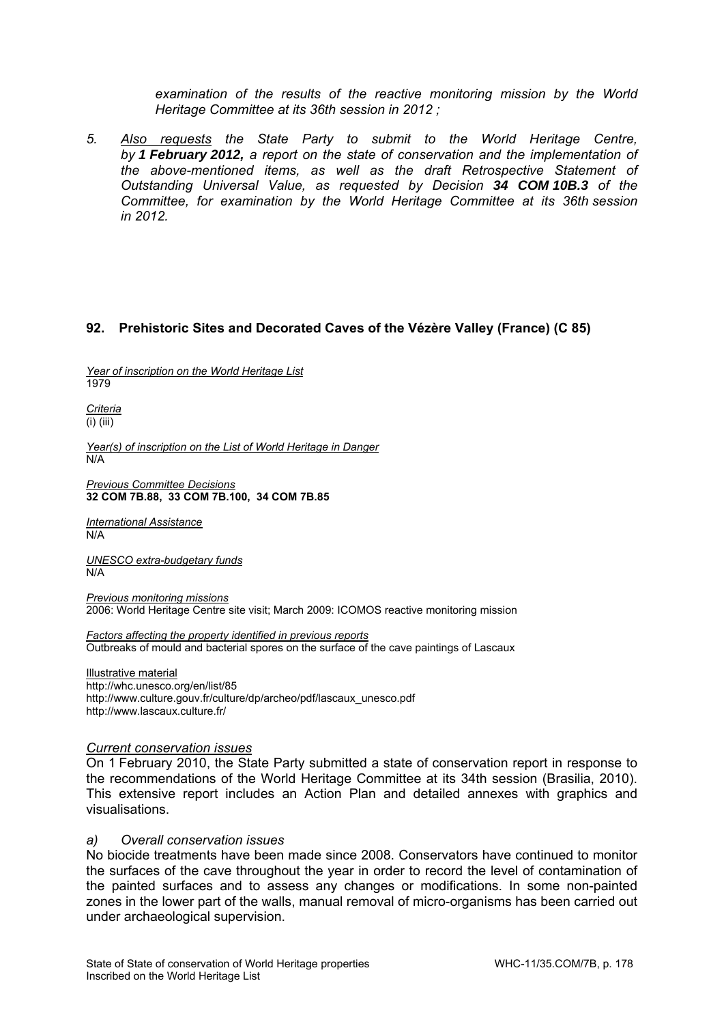*examination of the results of the reactive monitoring mission by the World Heritage Committee at its 36th session in 2012 ;* 

*5. Also requests the State Party to submit to the World Heritage Centre, by 1 February 2012, a report on the state of conservation and the implementation of the above-mentioned items, as well as the draft Retrospective Statement of Outstanding Universal Value, as requested by Decision 34 COM 10B.3 of the Committee, for examination by the World Heritage Committee at its 36th session in 2012.* 

## **92. Prehistoric Sites and Decorated Caves of the Vézère Valley (France) (C 85)**

*Year of inscription on the World Heritage List*  1979

*Criteria*  (i) (iii)

*Year(s) of inscription on the List of World Heritage in Danger*  N/A

*Previous Committee Decisions*  **32 COM 7B.88, 33 COM 7B.100, 34 COM 7B.85** 

*International Assistance*  N/A

*UNESCO extra-budgetary funds*  N/A

*Previous monitoring missions*  2006: World Heritage Centre site visit; March 2009: ICOMOS reactive monitoring mission

*Factors affecting the property identified in previous reports*  Outbreaks of mould and bacterial spores on the surface of the cave paintings of Lascaux

Illustrative material http://whc.unesco.org/en/list/85 http://www.culture.gouv.fr/culture/dp/archeo/pdf/lascaux\_unesco.pdf http://www.lascaux.culture.fr/

#### *Current conservation issues*

On 1 February 2010, the State Party submitted a state of conservation report in response to the recommendations of the World Heritage Committee at its 34th session (Brasilia, 2010). This extensive report includes an Action Plan and detailed annexes with graphics and visualisations.

#### *a) Overall conservation issues*

No biocide treatments have been made since 2008. Conservators have continued to monitor the surfaces of the cave throughout the year in order to record the level of contamination of the painted surfaces and to assess any changes or modifications. In some non-painted zones in the lower part of the walls, manual removal of micro-organisms has been carried out under archaeological supervision.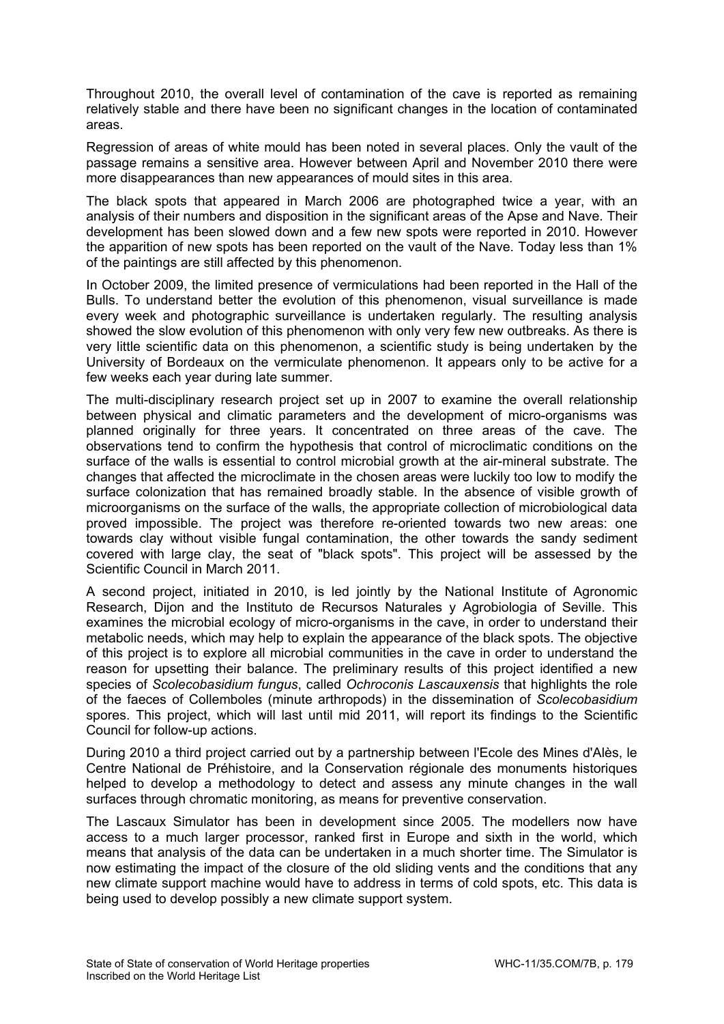Throughout 2010, the overall level of contamination of the cave is reported as remaining relatively stable and there have been no significant changes in the location of contaminated areas.

Regression of areas of white mould has been noted in several places. Only the vault of the passage remains a sensitive area. However between April and November 2010 there were more disappearances than new appearances of mould sites in this area.

The black spots that appeared in March 2006 are photographed twice a year, with an analysis of their numbers and disposition in the significant areas of the Apse and Nave. Their development has been slowed down and a few new spots were reported in 2010. However the apparition of new spots has been reported on the vault of the Nave. Today less than 1% of the paintings are still affected by this phenomenon.

In October 2009, the limited presence of vermiculations had been reported in the Hall of the Bulls. To understand better the evolution of this phenomenon, visual surveillance is made every week and photographic surveillance is undertaken regularly. The resulting analysis showed the slow evolution of this phenomenon with only very few new outbreaks. As there is very little scientific data on this phenomenon, a scientific study is being undertaken by the University of Bordeaux on the vermiculate phenomenon. It appears only to be active for a few weeks each year during late summer.

The multi-disciplinary research project set up in 2007 to examine the overall relationship between physical and climatic parameters and the development of micro-organisms was planned originally for three years. It concentrated on three areas of the cave. The observations tend to confirm the hypothesis that control of microclimatic conditions on the surface of the walls is essential to control microbial growth at the air-mineral substrate. The changes that affected the microclimate in the chosen areas were luckily too low to modify the surface colonization that has remained broadly stable. In the absence of visible growth of microorganisms on the surface of the walls, the appropriate collection of microbiological data proved impossible. The project was therefore re-oriented towards two new areas: one towards clay without visible fungal contamination, the other towards the sandy sediment covered with large clay, the seat of "black spots". This project will be assessed by the Scientific Council in March 2011.

A second project, initiated in 2010, is led jointly by the National Institute of Agronomic Research, Dijon and the Instituto de Recursos Naturales y Agrobiologia of Seville. This examines the microbial ecology of micro-organisms in the cave, in order to understand their metabolic needs, which may help to explain the appearance of the black spots. The objective of this project is to explore all microbial communities in the cave in order to understand the reason for upsetting their balance. The preliminary results of this project identified a new species of *Scolecobasidium fungus*, called *Ochroconis Lascauxensis* that highlights the role of the faeces of Collemboles (minute arthropods) in the dissemination of *Scolecobasidium* spores. This project, which will last until mid 2011, will report its findings to the Scientific Council for follow-up actions.

During 2010 a third project carried out by a partnership between l'Ecole des Mines d'Alès, le Centre National de Préhistoire, and la Conservation régionale des monuments historiques helped to develop a methodology to detect and assess any minute changes in the wall surfaces through chromatic monitoring, as means for preventive conservation.

The Lascaux Simulator has been in development since 2005. The modellers now have access to a much larger processor, ranked first in Europe and sixth in the world, which means that analysis of the data can be undertaken in a much shorter time. The Simulator is now estimating the impact of the closure of the old sliding vents and the conditions that any new climate support machine would have to address in terms of cold spots, etc. This data is being used to develop possibly a new climate support system.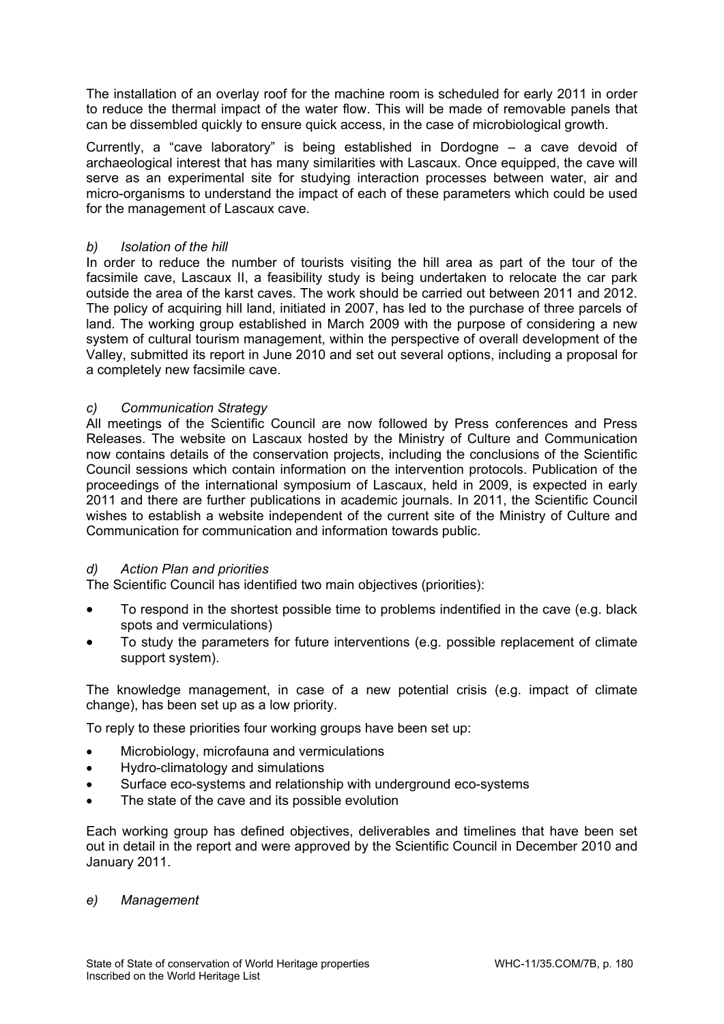The installation of an overlay roof for the machine room is scheduled for early 2011 in order to reduce the thermal impact of the water flow. This will be made of removable panels that can be dissembled quickly to ensure quick access, in the case of microbiological growth.

Currently, a "cave laboratory" is being established in Dordogne – a cave devoid of archaeological interest that has many similarities with Lascaux. Once equipped, the cave will serve as an experimental site for studying interaction processes between water, air and micro-organisms to understand the impact of each of these parameters which could be used for the management of Lascaux cave.

## *b) Isolation of the hill*

In order to reduce the number of tourists visiting the hill area as part of the tour of the facsimile cave, Lascaux II, a feasibility study is being undertaken to relocate the car park outside the area of the karst caves. The work should be carried out between 2011 and 2012. The policy of acquiring hill land, initiated in 2007, has led to the purchase of three parcels of land. The working group established in March 2009 with the purpose of considering a new system of cultural tourism management, within the perspective of overall development of the Valley, submitted its report in June 2010 and set out several options, including a proposal for a completely new facsimile cave.

## *c) Communication Strategy*

All meetings of the Scientific Council are now followed by Press conferences and Press Releases. The website on Lascaux hosted by the Ministry of Culture and Communication now contains details of the conservation projects, including the conclusions of the Scientific Council sessions which contain information on the intervention protocols. Publication of the proceedings of the international symposium of Lascaux, held in 2009, is expected in early 2011 and there are further publications in academic journals. In 2011, the Scientific Council wishes to establish a website independent of the current site of the Ministry of Culture and Communication for communication and information towards public.

## *d) Action Plan and priorities*

The Scientific Council has identified two main objectives (priorities):

- To respond in the shortest possible time to problems indentified in the cave (e.g. black spots and vermiculations)
- To study the parameters for future interventions (e.g. possible replacement of climate support system).

The knowledge management, in case of a new potential crisis (e.g. impact of climate change), has been set up as a low priority.

To reply to these priorities four working groups have been set up:

- Microbiology, microfauna and vermiculations
- Hydro-climatology and simulations
- Surface eco-systems and relationship with underground eco-systems
- The state of the cave and its possible evolution

Each working group has defined objectives, deliverables and timelines that have been set out in detail in the report and were approved by the Scientific Council in December 2010 and January 2011.

### *e) Management*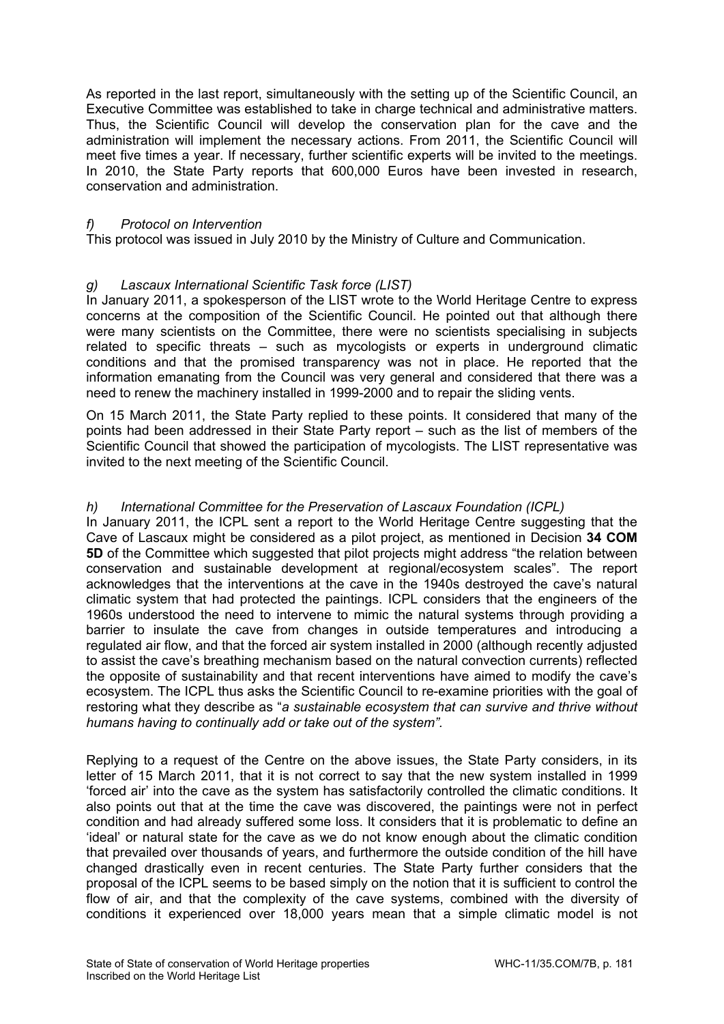As reported in the last report, simultaneously with the setting up of the Scientific Council, an Executive Committee was established to take in charge technical and administrative matters. Thus, the Scientific Council will develop the conservation plan for the cave and the administration will implement the necessary actions. From 2011, the Scientific Council will meet five times a year. If necessary, further scientific experts will be invited to the meetings. In 2010, the State Party reports that 600,000 Euros have been invested in research, conservation and administration.

## *f) Protocol on Intervention*

This protocol was issued in July 2010 by the Ministry of Culture and Communication.

## *g) Lascaux International Scientific Task force (LIST)*

In January 2011, a spokesperson of the LIST wrote to the World Heritage Centre to express concerns at the composition of the Scientific Council. He pointed out that although there were many scientists on the Committee, there were no scientists specialising in subjects related to specific threats – such as mycologists or experts in underground climatic conditions and that the promised transparency was not in place. He reported that the information emanating from the Council was very general and considered that there was a need to renew the machinery installed in 1999-2000 and to repair the sliding vents.

On 15 March 2011, the State Party replied to these points. It considered that many of the points had been addressed in their State Party report – such as the list of members of the Scientific Council that showed the participation of mycologists. The LIST representative was invited to the next meeting of the Scientific Council.

## *h) International Committee for the Preservation of Lascaux Foundation (ICPL)*

In January 2011, the ICPL sent a report to the World Heritage Centre suggesting that the Cave of Lascaux might be considered as a pilot project, as mentioned in Decision **34 COM 5D** of the Committee which suggested that pilot projects might address "the relation between conservation and sustainable development at regional/ecosystem scales". The report acknowledges that the interventions at the cave in the 1940s destroyed the cave's natural climatic system that had protected the paintings. ICPL considers that the engineers of the 1960s understood the need to intervene to mimic the natural systems through providing a barrier to insulate the cave from changes in outside temperatures and introducing a regulated air flow, and that the forced air system installed in 2000 (although recently adjusted to assist the cave's breathing mechanism based on the natural convection currents) reflected the opposite of sustainability and that recent interventions have aimed to modify the cave's ecosystem. The ICPL thus asks the Scientific Council to re-examine priorities with the goal of restoring what they describe as "*a sustainable ecosystem that can survive and thrive without humans having to continually add or take out of the system".*

Replying to a request of the Centre on the above issues, the State Party considers, in its letter of 15 March 2011, that it is not correct to say that the new system installed in 1999 'forced air' into the cave as the system has satisfactorily controlled the climatic conditions. It also points out that at the time the cave was discovered, the paintings were not in perfect condition and had already suffered some loss. It considers that it is problematic to define an 'ideal' or natural state for the cave as we do not know enough about the climatic condition that prevailed over thousands of years, and furthermore the outside condition of the hill have changed drastically even in recent centuries. The State Party further considers that the proposal of the ICPL seems to be based simply on the notion that it is sufficient to control the flow of air, and that the complexity of the cave systems, combined with the diversity of conditions it experienced over 18,000 years mean that a simple climatic model is not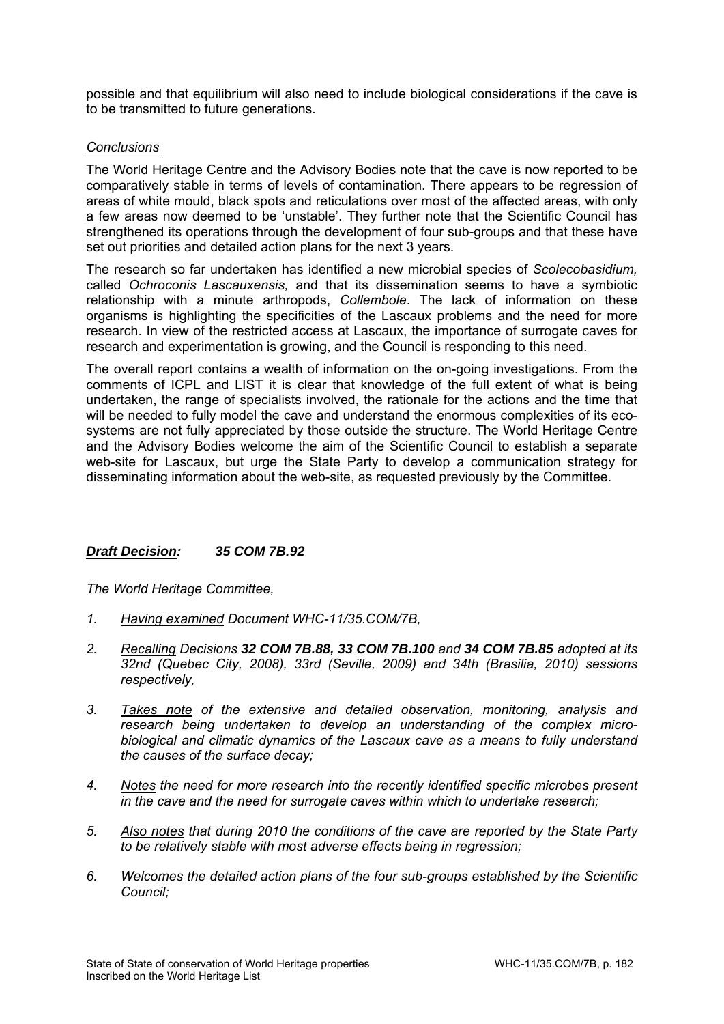possible and that equilibrium will also need to include biological considerations if the cave is to be transmitted to future generations.

## *Conclusions*

The World Heritage Centre and the Advisory Bodies note that the cave is now reported to be comparatively stable in terms of levels of contamination. There appears to be regression of areas of white mould, black spots and reticulations over most of the affected areas, with only a few areas now deemed to be 'unstable'. They further note that the Scientific Council has strengthened its operations through the development of four sub-groups and that these have set out priorities and detailed action plans for the next 3 years.

The research so far undertaken has identified a new microbial species of *Scolecobasidium,* called *Ochroconis Lascauxensis,* and that its dissemination seems to have a symbiotic relationship with a minute arthropods, *Collembole*. The lack of information on these organisms is highlighting the specificities of the Lascaux problems and the need for more research. In view of the restricted access at Lascaux, the importance of surrogate caves for research and experimentation is growing, and the Council is responding to this need.

The overall report contains a wealth of information on the on-going investigations. From the comments of ICPL and LIST it is clear that knowledge of the full extent of what is being undertaken, the range of specialists involved, the rationale for the actions and the time that will be needed to fully model the cave and understand the enormous complexities of its ecosystems are not fully appreciated by those outside the structure. The World Heritage Centre and the Advisory Bodies welcome the aim of the Scientific Council to establish a separate web-site for Lascaux, but urge the State Party to develop a communication strategy for disseminating information about the web-site, as requested previously by the Committee.

# *Draft Decision: 35 COM 7B.92*

*The World Heritage Committee,* 

- *1. Having examined Document WHC-11/35.COM/7B,*
- *2. Recalling Decisions 32 COM 7B.88, 33 COM 7B.100 and 34 COM 7B.85 adopted at its 32nd (Quebec City, 2008), 33rd (Seville, 2009) and 34th (Brasilia, 2010) sessions respectively,*
- *3. Takes note of the extensive and detailed observation, monitoring, analysis and research being undertaken to develop an understanding of the complex microbiological and climatic dynamics of the Lascaux cave as a means to fully understand the causes of the surface decay;*
- *4. Notes the need for more research into the recently identified specific microbes present in the cave and the need for surrogate caves within which to undertake research;*
- *5. Also notes that during 2010 the conditions of the cave are reported by the State Party to be relatively stable with most adverse effects being in regression;*
- *6. Welcomes the detailed action plans of the four sub-groups established by the Scientific Council;*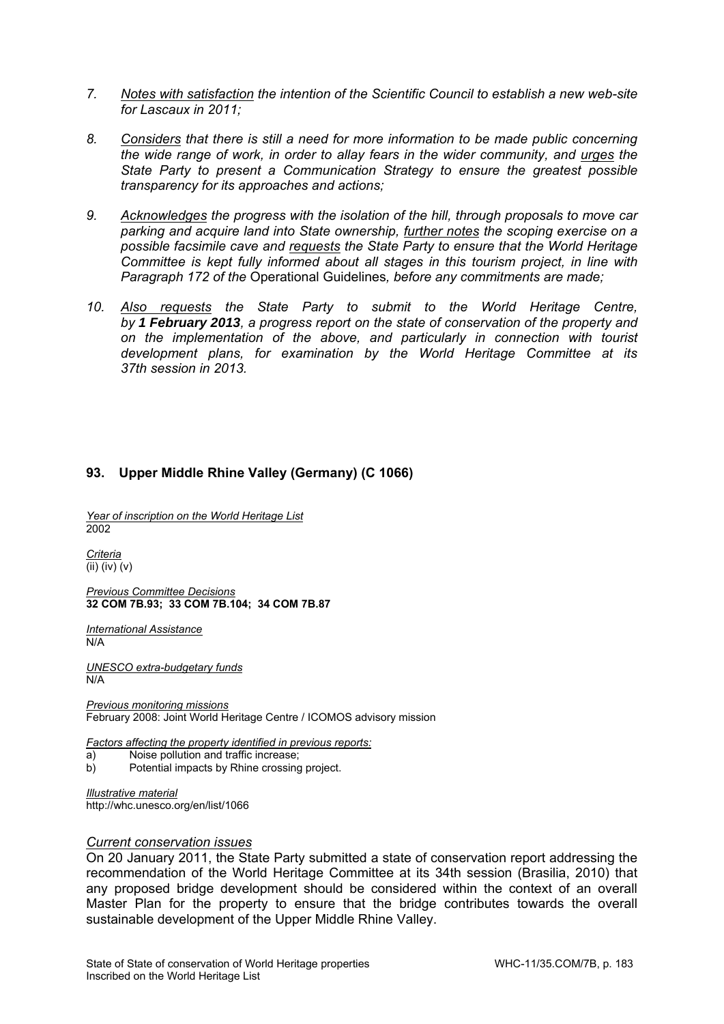- *7. Notes with satisfaction the intention of the Scientific Council to establish a new web-site for Lascaux in 2011;*
- *8. Considers that there is still a need for more information to be made public concerning the wide range of work, in order to allay fears in the wider community, and urges the State Party to present a Communication Strategy to ensure the greatest possible transparency for its approaches and actions;*
- *9. Acknowledges the progress with the isolation of the hill, through proposals to move car parking and acquire land into State ownership, further notes the scoping exercise on a possible facsimile cave and requests the State Party to ensure that the World Heritage Committee is kept fully informed about all stages in this tourism project, in line with Paragraph 172 of the* Operational Guidelines*, before any commitments are made;*
- *10. Also requests the State Party to submit to the World Heritage Centre, by 1 February 2013, a progress report on the state of conservation of the property and on the implementation of the above, and particularly in connection with tourist development plans, for examination by the World Heritage Committee at its 37th session in 2013.*

## **93. Upper Middle Rhine Valley (Germany) (C 1066)**

*Year of inscription on the World Heritage List*  2002

*Criteria*   $\overline{\text{(ii) (iv) (v)}}$ 

*Previous Committee Decisions*  **32 COM 7B.93; 33 COM 7B.104; 34 COM 7B.87** 

*International Assistance*  N/A

*UNESCO extra-budgetary funds*  N/A

*Previous monitoring missions*  February 2008: Joint World Heritage Centre / ICOMOS advisory mission

*Factors affecting the property identified in previous reports:* 

- a) Noise pollution and traffic increase;
- b) Potential impacts by Rhine crossing project.

*Illustrative material*  http://whc.unesco.org/en/list/1066

#### *Current conservation issues*

On 20 January 2011, the State Party submitted a state of conservation report addressing the recommendation of the World Heritage Committee at its 34th session (Brasilia, 2010) that any proposed bridge development should be considered within the context of an overall Master Plan for the property to ensure that the bridge contributes towards the overall sustainable development of the Upper Middle Rhine Valley.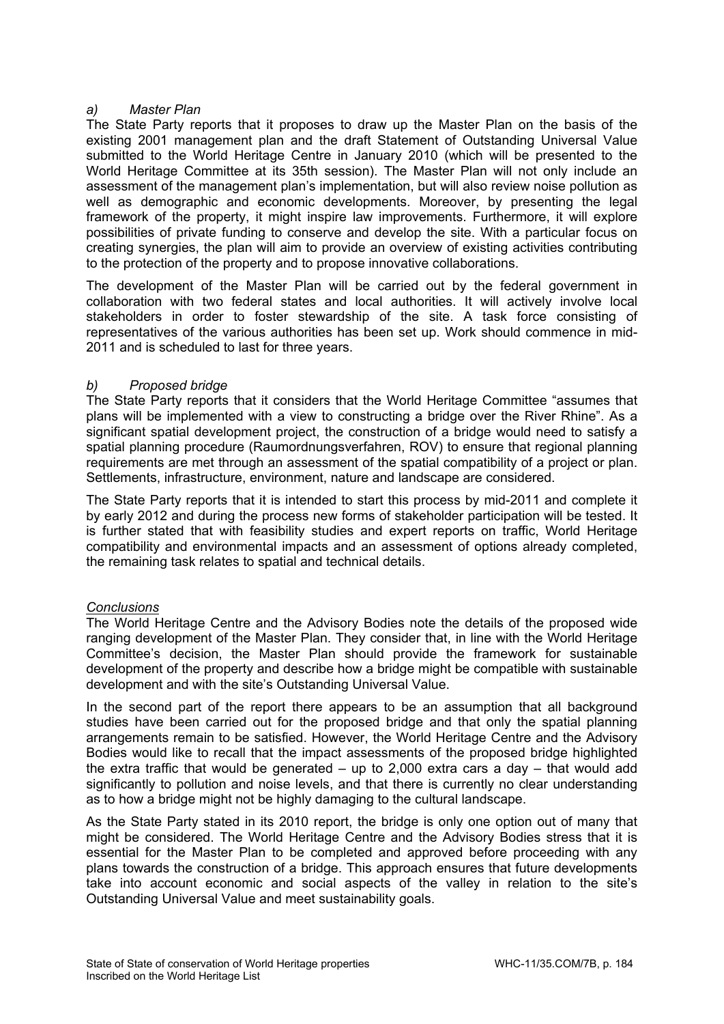# *a) Master Plan*

The State Party reports that it proposes to draw up the Master Plan on the basis of the existing 2001 management plan and the draft Statement of Outstanding Universal Value submitted to the World Heritage Centre in January 2010 (which will be presented to the World Heritage Committee at its 35th session). The Master Plan will not only include an assessment of the management plan's implementation, but will also review noise pollution as well as demographic and economic developments. Moreover, by presenting the legal framework of the property, it might inspire law improvements. Furthermore, it will explore possibilities of private funding to conserve and develop the site. With a particular focus on creating synergies, the plan will aim to provide an overview of existing activities contributing to the protection of the property and to propose innovative collaborations.

The development of the Master Plan will be carried out by the federal government in collaboration with two federal states and local authorities. It will actively involve local stakeholders in order to foster stewardship of the site. A task force consisting of representatives of the various authorities has been set up. Work should commence in mid-2011 and is scheduled to last for three years.

# *b) Proposed bridge*

The State Party reports that it considers that the World Heritage Committee "assumes that plans will be implemented with a view to constructing a bridge over the River Rhine". As a significant spatial development project, the construction of a bridge would need to satisfy a spatial planning procedure (Raumordnungsverfahren, ROV) to ensure that regional planning requirements are met through an assessment of the spatial compatibility of a project or plan. Settlements, infrastructure, environment, nature and landscape are considered.

The State Party reports that it is intended to start this process by mid-2011 and complete it by early 2012 and during the process new forms of stakeholder participation will be tested. It is further stated that with feasibility studies and expert reports on traffic, World Heritage compatibility and environmental impacts and an assessment of options already completed, the remaining task relates to spatial and technical details.

# *Conclusions*

The World Heritage Centre and the Advisory Bodies note the details of the proposed wide ranging development of the Master Plan. They consider that, in line with the World Heritage Committee's decision, the Master Plan should provide the framework for sustainable development of the property and describe how a bridge might be compatible with sustainable development and with the site's Outstanding Universal Value.

In the second part of the report there appears to be an assumption that all background studies have been carried out for the proposed bridge and that only the spatial planning arrangements remain to be satisfied. However, the World Heritage Centre and the Advisory Bodies would like to recall that the impact assessments of the proposed bridge highlighted the extra traffic that would be generated  $-$  up to 2,000 extra cars a day  $-$  that would add significantly to pollution and noise levels, and that there is currently no clear understanding as to how a bridge might not be highly damaging to the cultural landscape.

As the State Party stated in its 2010 report, the bridge is only one option out of many that might be considered. The World Heritage Centre and the Advisory Bodies stress that it is essential for the Master Plan to be completed and approved before proceeding with any plans towards the construction of a bridge. This approach ensures that future developments take into account economic and social aspects of the valley in relation to the site's Outstanding Universal Value and meet sustainability goals.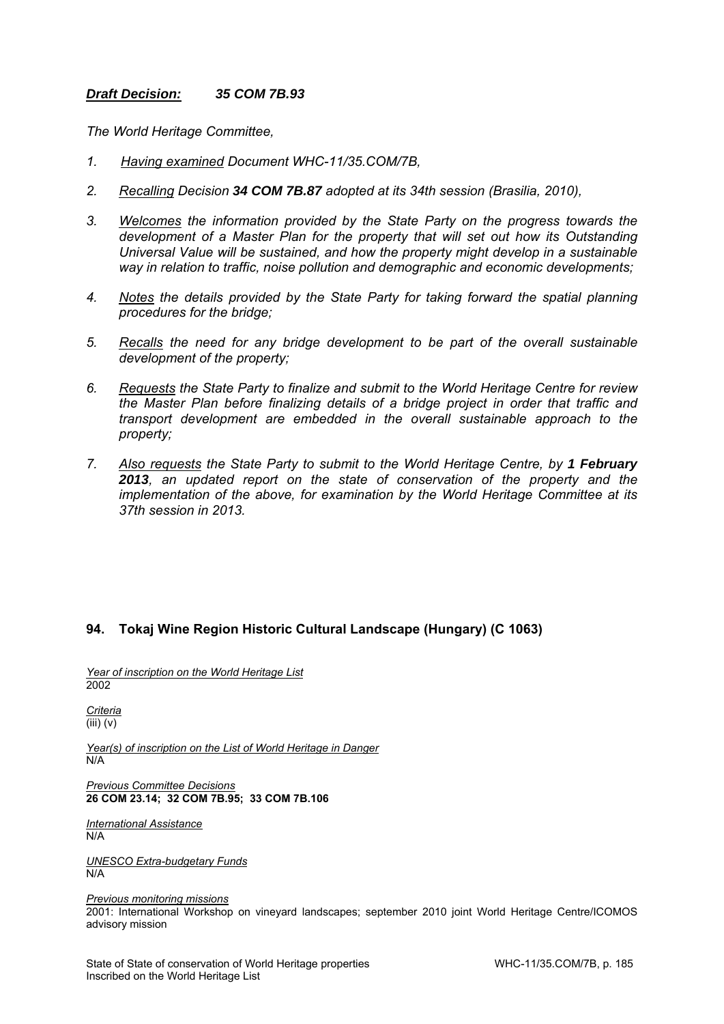## *Draft Decision: 35 COM 7B.93*

*The World Heritage Committee,* 

- *1. Having examined Document WHC-11/35.COM/7B,*
- *2. Recalling Decision 34 COM 7B.87 adopted at its 34th session (Brasilia, 2010),*
- *3. Welcomes the information provided by the State Party on the progress towards the development of a Master Plan for the property that will set out how its Outstanding Universal Value will be sustained, and how the property might develop in a sustainable way in relation to traffic, noise pollution and demographic and economic developments;*
- *4. Notes the details provided by the State Party for taking forward the spatial planning procedures for the bridge;*
- *5. Recalls the need for any bridge development to be part of the overall sustainable development of the property;*
- *6. Requests the State Party to finalize and submit to the World Heritage Centre for review the Master Plan before finalizing details of a bridge project in order that traffic and transport development are embedded in the overall sustainable approach to the property;*
- *7. Also requests the State Party to submit to the World Heritage Centre, by 1 February 2013, an updated report on the state of conservation of the property and the implementation of the above, for examination by the World Heritage Committee at its 37th session in 2013.*

## **94. Tokaj Wine Region Historic Cultural Landscape (Hungary) (C 1063)**

*Year of inscription on the World Heritage List*  2002

*Criteria*  (iii) (v)

*Year(s) of inscription on the List of World Heritage in Danger*  N/A

*Previous Committee Decisions*  **26 COM 23.14; 32 COM 7B.95; 33 COM 7B.106**

*International Assistance*  N/A

*UNESCO Extra-budgetary Funds*  N/A

*Previous monitoring missions*  2001: International Workshop on vineyard landscapes; september 2010 joint World Heritage Centre/ICOMOS advisory mission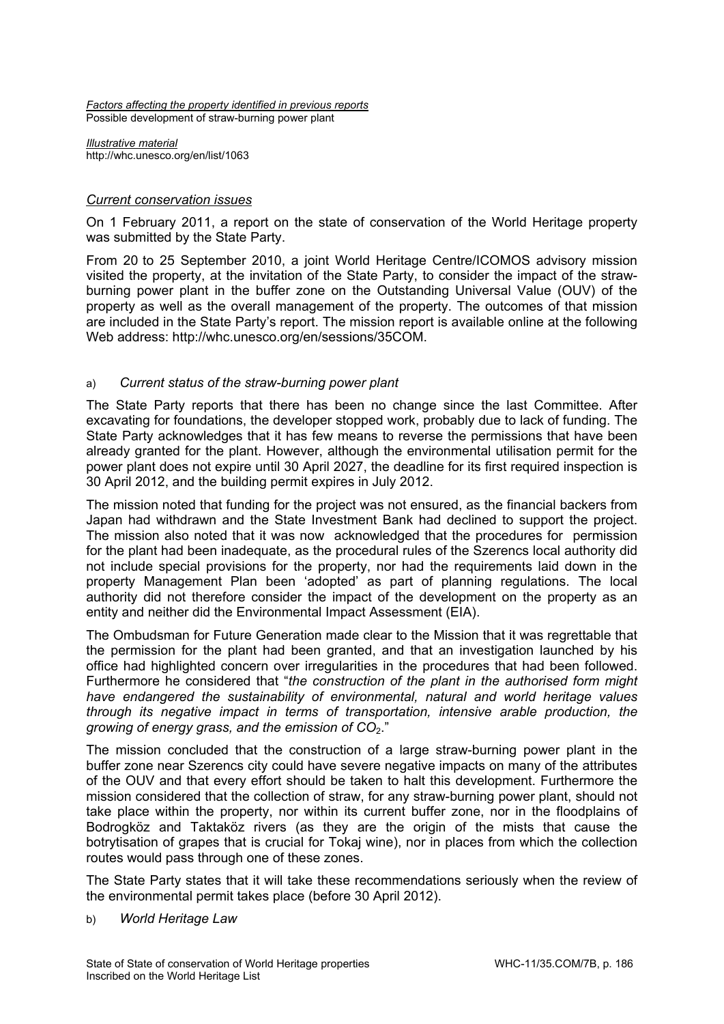*Factors affecting the property identified in previous reports*  Possible development of straw-burning power plant

*Illustrative material*  http://whc.unesco.org/en/list/1063

## *Current conservation issues*

On 1 February 2011, a report on the state of conservation of the World Heritage property was submitted by the State Party.

From 20 to 25 September 2010, a joint World Heritage Centre/ICOMOS advisory mission visited the property, at the invitation of the State Party, to consider the impact of the strawburning power plant in the buffer zone on the Outstanding Universal Value (OUV) of the property as well as the overall management of the property. The outcomes of that mission are included in the State Party's report. The mission report is available online at the following Web address: http://whc.unesco.org/en/sessions/35COM.

## a) *Current status of the straw-burning power plant*

The State Party reports that there has been no change since the last Committee. After excavating for foundations, the developer stopped work, probably due to lack of funding. The State Party acknowledges that it has few means to reverse the permissions that have been already granted for the plant. However, although the environmental utilisation permit for the power plant does not expire until 30 April 2027, the deadline for its first required inspection is 30 April 2012, and the building permit expires in July 2012.

The mission noted that funding for the project was not ensured, as the financial backers from Japan had withdrawn and the State Investment Bank had declined to support the project. The mission also noted that it was now acknowledged that the procedures for permission for the plant had been inadequate, as the procedural rules of the Szerencs local authority did not include special provisions for the property, nor had the requirements laid down in the property Management Plan been 'adopted' as part of planning regulations. The local authority did not therefore consider the impact of the development on the property as an entity and neither did the Environmental Impact Assessment (EIA).

The Ombudsman for Future Generation made clear to the Mission that it was regrettable that the permission for the plant had been granted, and that an investigation launched by his office had highlighted concern over irregularities in the procedures that had been followed. Furthermore he considered that "*the construction of the plant in the authorised form might have endangered the sustainability of environmental, natural and world heritage values through its negative impact in terms of transportation, intensive arable production, the growing of energy grass, and the emission of CO<sub>2</sub>."* 

The mission concluded that the construction of a large straw-burning power plant in the buffer zone near Szerencs city could have severe negative impacts on many of the attributes of the OUV and that every effort should be taken to halt this development. Furthermore the mission considered that the collection of straw, for any straw-burning power plant, should not take place within the property, nor within its current buffer zone, nor in the floodplains of Bodrogköz and Taktaköz rivers (as they are the origin of the mists that cause the botrytisation of grapes that is crucial for Tokaj wine), nor in places from which the collection routes would pass through one of these zones.

The State Party states that it will take these recommendations seriously when the review of the environmental permit takes place (before 30 April 2012).

### b) *World Heritage Law*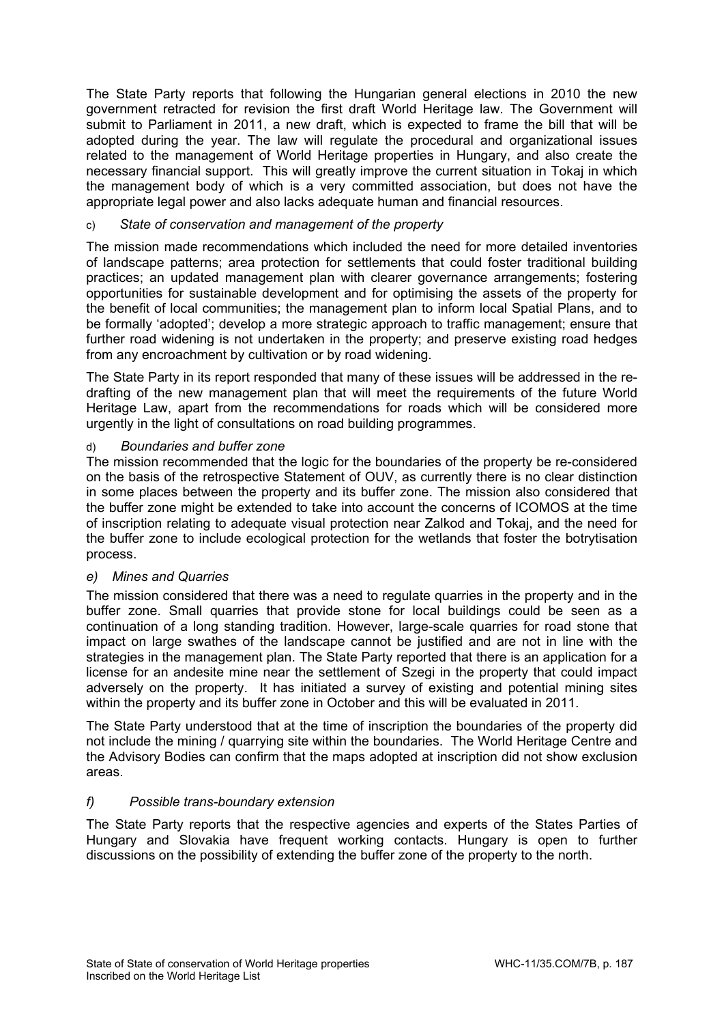The State Party reports that following the Hungarian general elections in 2010 the new government retracted for revision the first draft World Heritage law. The Government will submit to Parliament in 2011, a new draft, which is expected to frame the bill that will be adopted during the year. The law will regulate the procedural and organizational issues related to the management of World Heritage properties in Hungary, and also create the necessary financial support. This will greatly improve the current situation in Tokaj in which the management body of which is a very committed association, but does not have the appropriate legal power and also lacks adequate human and financial resources.

# c) *State of conservation and management of the property*

The mission made recommendations which included the need for more detailed inventories of landscape patterns; area protection for settlements that could foster traditional building practices; an updated management plan with clearer governance arrangements; fostering opportunities for sustainable development and for optimising the assets of the property for the benefit of local communities; the management plan to inform local Spatial Plans, and to be formally 'adopted'; develop a more strategic approach to traffic management; ensure that further road widening is not undertaken in the property; and preserve existing road hedges from any encroachment by cultivation or by road widening.

The State Party in its report responded that many of these issues will be addressed in the redrafting of the new management plan that will meet the requirements of the future World Heritage Law, apart from the recommendations for roads which will be considered more urgently in the light of consultations on road building programmes.

## d) *Boundaries and buffer zone*

The mission recommended that the logic for the boundaries of the property be re-considered on the basis of the retrospective Statement of OUV, as currently there is no clear distinction in some places between the property and its buffer zone. The mission also considered that the buffer zone might be extended to take into account the concerns of ICOMOS at the time of inscription relating to adequate visual protection near Zalkod and Tokaj, and the need for the buffer zone to include ecological protection for the wetlands that foster the botrytisation process.

## *e) Mines and Quarries*

The mission considered that there was a need to regulate quarries in the property and in the buffer zone. Small quarries that provide stone for local buildings could be seen as a continuation of a long standing tradition. However, large-scale quarries for road stone that impact on large swathes of the landscape cannot be justified and are not in line with the strategies in the management plan. The State Party reported that there is an application for a license for an andesite mine near the settlement of Szegi in the property that could impact adversely on the property. It has initiated a survey of existing and potential mining sites within the property and its buffer zone in October and this will be evaluated in 2011.

The State Party understood that at the time of inscription the boundaries of the property did not include the mining / quarrying site within the boundaries. The World Heritage Centre and the Advisory Bodies can confirm that the maps adopted at inscription did not show exclusion areas.

## *f) Possible trans-boundary extension*

The State Party reports that the respective agencies and experts of the States Parties of Hungary and Slovakia have frequent working contacts. Hungary is open to further discussions on the possibility of extending the buffer zone of the property to the north.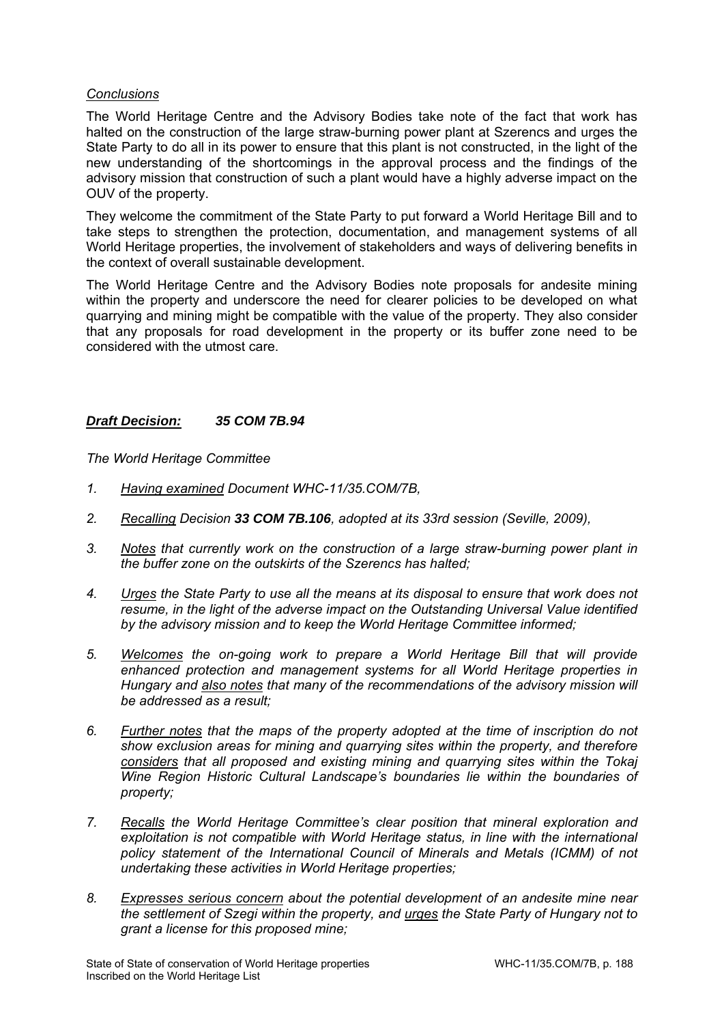## *Conclusions*

The World Heritage Centre and the Advisory Bodies take note of the fact that work has halted on the construction of the large straw-burning power plant at Szerencs and urges the State Party to do all in its power to ensure that this plant is not constructed, in the light of the new understanding of the shortcomings in the approval process and the findings of the advisory mission that construction of such a plant would have a highly adverse impact on the OUV of the property.

They welcome the commitment of the State Party to put forward a World Heritage Bill and to take steps to strengthen the protection, documentation, and management systems of all World Heritage properties, the involvement of stakeholders and ways of delivering benefits in the context of overall sustainable development.

The World Heritage Centre and the Advisory Bodies note proposals for andesite mining within the property and underscore the need for clearer policies to be developed on what quarrying and mining might be compatible with the value of the property. They also consider that any proposals for road development in the property or its buffer zone need to be considered with the utmost care.

## *Draft Decision: 35 COM 7B.94*

*The World Heritage Committee* 

- *1. Having examined Document WHC-11/35.COM/7B,*
- *2. Recalling Decision 33 COM 7B.106, adopted at its 33rd session (Seville, 2009),*
- *3. Notes that currently work on the construction of a large straw-burning power plant in the buffer zone on the outskirts of the Szerencs has halted;*
- *4. Urges the State Party to use all the means at its disposal to ensure that work does not resume, in the light of the adverse impact on the Outstanding Universal Value identified by the advisory mission and to keep the World Heritage Committee informed;*
- *5. Welcomes the on-going work to prepare a World Heritage Bill that will provide enhanced protection and management systems for all World Heritage properties in Hungary and also notes that many of the recommendations of the advisory mission will be addressed as a result;*
- *6. Further notes that the maps of the property adopted at the time of inscription do not show exclusion areas for mining and quarrying sites within the property, and therefore considers that all proposed and existing mining and quarrying sites within the Tokaj Wine Region Historic Cultural Landscape's boundaries lie within the boundaries of property;*
- *7. Recalls the World Heritage Committee's clear position that mineral exploration and exploitation is not compatible with World Heritage status, in line with the international policy statement of the International Council of Minerals and Metals (ICMM) of not undertaking these activities in World Heritage properties;*
- *8. Expresses serious concern about the potential development of an andesite mine near the settlement of Szegi within the property, and urges the State Party of Hungary not to grant a license for this proposed mine;*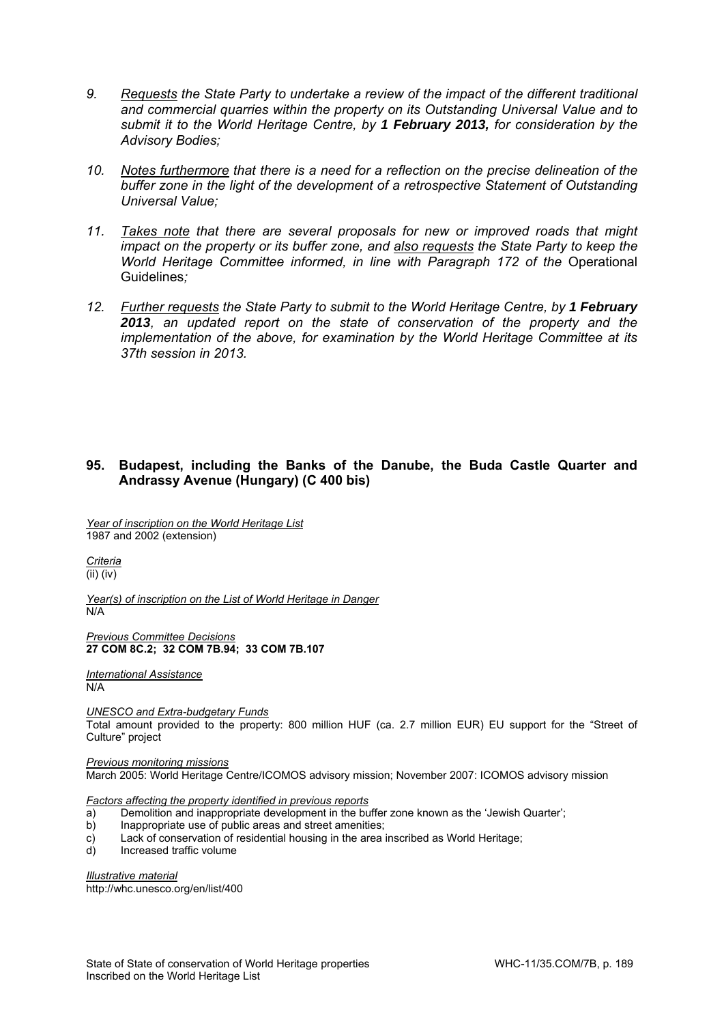- *9. Requests the State Party to undertake a review of the impact of the different traditional and commercial quarries within the property on its Outstanding Universal Value and to submit it to the World Heritage Centre, by 1 February 2013, for consideration by the Advisory Bodies;*
- *10. Notes furthermore that there is a need for a reflection on the precise delineation of the buffer zone in the light of the development of a retrospective Statement of Outstanding Universal Value;*
- *11. Takes note that there are several proposals for new or improved roads that might impact on the property or its buffer zone, and also requests the State Party to keep the World Heritage Committee informed, in line with Paragraph 172 of the Operational* Guidelines*;*
- 12. Further requests the State Party to submit to the World Heritage Centre, by 1 February *2013, an updated report on the state of conservation of the property and the implementation of the above, for examination by the World Heritage Committee at its 37th session in 2013.*

## **95. Budapest, including the Banks of the Danube, the Buda Castle Quarter and Andrassy Avenue (Hungary) (C 400 bis)**

*Year of inscription on the World Heritage List*  1987 and 2002 (extension)

*Criteria*  (ii) (iv)

*Year(s) of inscription on the List of World Heritage in Danger*  N/A

*Previous Committee Decisions*  **27 COM 8C.2; 32 COM 7B.94; 33 COM 7B.107** 

*International Assistance*  N/A

*UNESCO and Extra-budgetary Funds* 

Total amount provided to the property: 800 million HUF (ca. 2.7 million EUR) EU support for the "Street of Culture" project

*Previous monitoring missions*  March 2005: World Heritage Centre/ICOMOS advisory mission; November 2007: ICOMOS advisory mission

*Factors affecting the property identified in previous reports* 

- a) Demolition and inappropriate development in the buffer zone known as the 'Jewish Quarter';
- b) Inappropriate use of public areas and street amenities;
- c) Lack of conservation of residential housing in the area inscribed as World Heritage;
- d) Increased traffic volume

*Illustrative material*  http://whc.unesco.org/en/list/400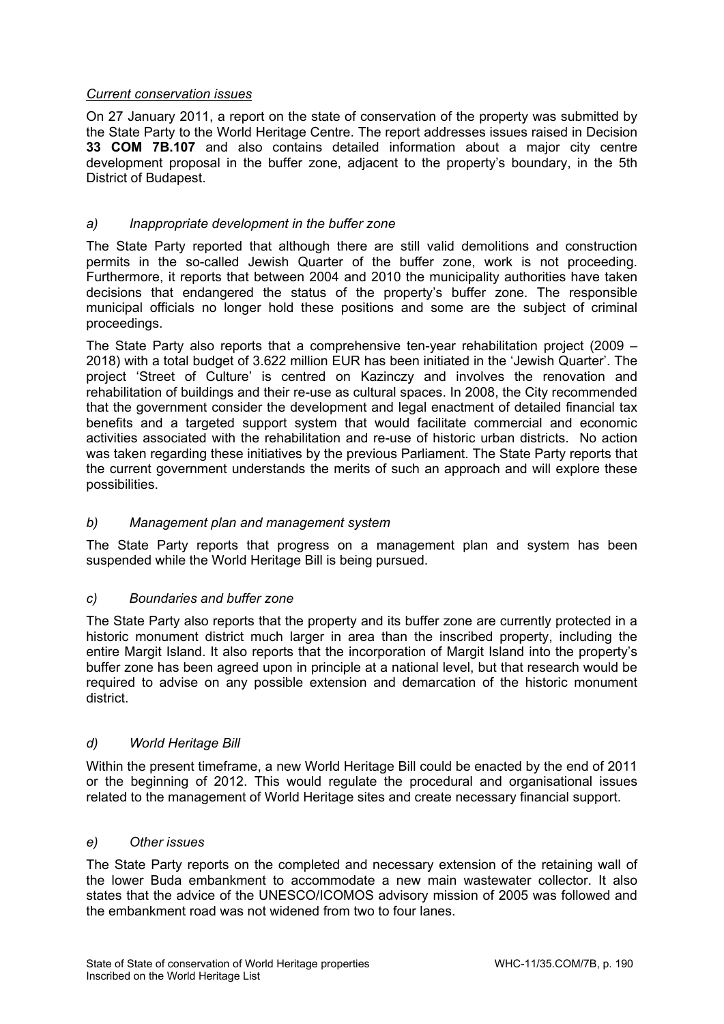# *Current conservation issues*

On 27 January 2011, a report on the state of conservation of the property was submitted by the State Party to the World Heritage Centre. The report addresses issues raised in Decision **33 COM 7B.107** and also contains detailed information about a major city centre development proposal in the buffer zone, adjacent to the property's boundary, in the 5th District of Budapest.

# *a) Inappropriate development in the buffer zone*

The State Party reported that although there are still valid demolitions and construction permits in the so-called Jewish Quarter of the buffer zone, work is not proceeding. Furthermore, it reports that between 2004 and 2010 the municipality authorities have taken decisions that endangered the status of the property's buffer zone. The responsible municipal officials no longer hold these positions and some are the subject of criminal proceedings.

The State Party also reports that a comprehensive ten-year rehabilitation project (2009 – 2018) with a total budget of 3.622 million EUR has been initiated in the 'Jewish Quarter'. The project 'Street of Culture' is centred on Kazinczy and involves the renovation and rehabilitation of buildings and their re-use as cultural spaces. In 2008, the City recommended that the government consider the development and legal enactment of detailed financial tax benefits and a targeted support system that would facilitate commercial and economic activities associated with the rehabilitation and re-use of historic urban districts. No action was taken regarding these initiatives by the previous Parliament. The State Party reports that the current government understands the merits of such an approach and will explore these possibilities.

## *b) Management plan and management system*

The State Party reports that progress on a management plan and system has been suspended while the World Heritage Bill is being pursued.

## *c) Boundaries and buffer zone*

The State Party also reports that the property and its buffer zone are currently protected in a historic monument district much larger in area than the inscribed property, including the entire Margit Island. It also reports that the incorporation of Margit Island into the property's buffer zone has been agreed upon in principle at a national level, but that research would be required to advise on any possible extension and demarcation of the historic monument district.

## *d) World Heritage Bill*

Within the present timeframe, a new World Heritage Bill could be enacted by the end of 2011 or the beginning of 2012. This would regulate the procedural and organisational issues related to the management of World Heritage sites and create necessary financial support.

## *e) Other issues*

The State Party reports on the completed and necessary extension of the retaining wall of the lower Buda embankment to accommodate a new main wastewater collector. It also states that the advice of the UNESCO/ICOMOS advisory mission of 2005 was followed and the embankment road was not widened from two to four lanes.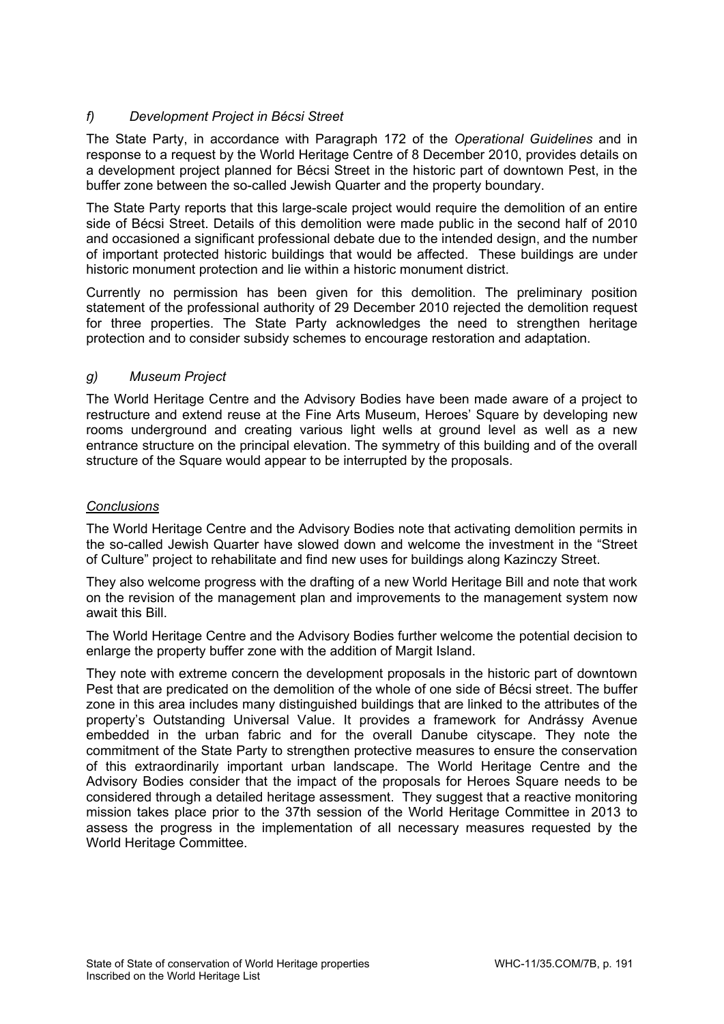# *f) Development Project in Bécsi Street*

The State Party, in accordance with Paragraph 172 of the *Operational Guidelines* and in response to a request by the World Heritage Centre of 8 December 2010, provides details on a development project planned for Bécsi Street in the historic part of downtown Pest, in the buffer zone between the so-called Jewish Quarter and the property boundary.

The State Party reports that this large-scale project would require the demolition of an entire side of Bécsi Street. Details of this demolition were made public in the second half of 2010 and occasioned a significant professional debate due to the intended design, and the number of important protected historic buildings that would be affected. These buildings are under historic monument protection and lie within a historic monument district.

Currently no permission has been given for this demolition. The preliminary position statement of the professional authority of 29 December 2010 rejected the demolition request for three properties. The State Party acknowledges the need to strengthen heritage protection and to consider subsidy schemes to encourage restoration and adaptation.

## *g) Museum Project*

The World Heritage Centre and the Advisory Bodies have been made aware of a project to restructure and extend reuse at the Fine Arts Museum, Heroes' Square by developing new rooms underground and creating various light wells at ground level as well as a new entrance structure on the principal elevation. The symmetry of this building and of the overall structure of the Square would appear to be interrupted by the proposals.

# *Conclusions*

The World Heritage Centre and the Advisory Bodies note that activating demolition permits in the so-called Jewish Quarter have slowed down and welcome the investment in the "Street of Culture" project to rehabilitate and find new uses for buildings along Kazinczy Street.

They also welcome progress with the drafting of a new World Heritage Bill and note that work on the revision of the management plan and improvements to the management system now await this Bill.

The World Heritage Centre and the Advisory Bodies further welcome the potential decision to enlarge the property buffer zone with the addition of Margit Island.

They note with extreme concern the development proposals in the historic part of downtown Pest that are predicated on the demolition of the whole of one side of Bécsi street. The buffer zone in this area includes many distinguished buildings that are linked to the attributes of the property's Outstanding Universal Value. It provides a framework for Andrássy Avenue embedded in the urban fabric and for the overall Danube cityscape. They note the commitment of the State Party to strengthen protective measures to ensure the conservation of this extraordinarily important urban landscape. The World Heritage Centre and the Advisory Bodies consider that the impact of the proposals for Heroes Square needs to be considered through a detailed heritage assessment. They suggest that a reactive monitoring mission takes place prior to the 37th session of the World Heritage Committee in 2013 to assess the progress in the implementation of all necessary measures requested by the World Heritage Committee.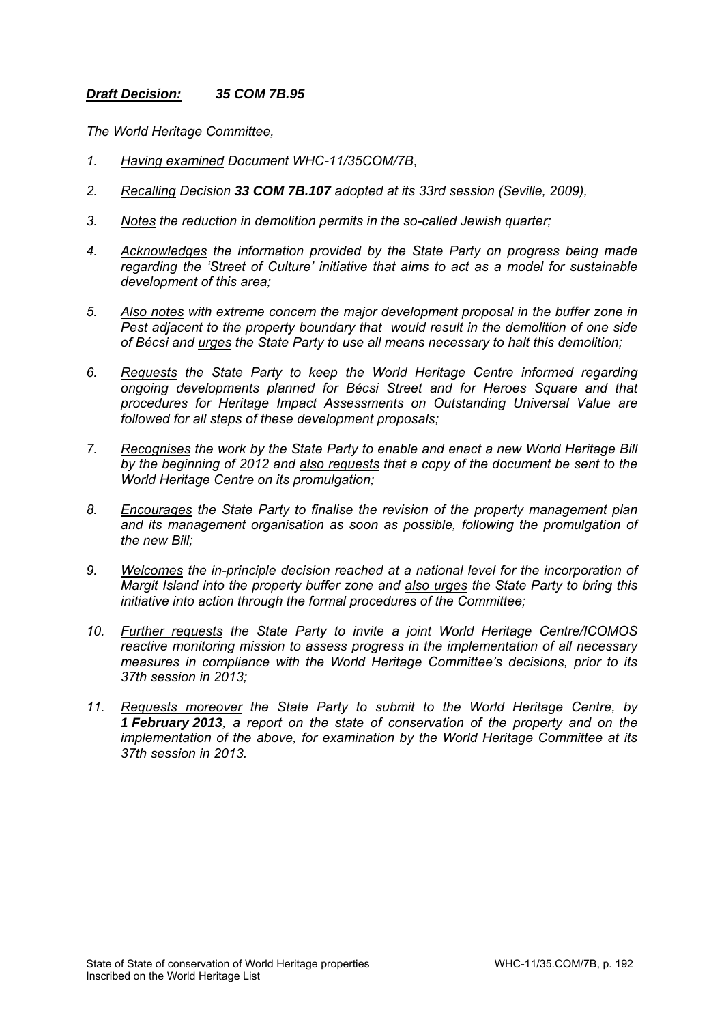## *Draft Decision: 35 COM 7B.95*

*The World Heritage Committee,* 

- *1. Having examined Document WHC-11/35COM/7B*,
- *2. Recalling Decision 33 COM 7B.107 adopted at its 33rd session (Seville, 2009),*
- *3. Notes the reduction in demolition permits in the so-called Jewish quarter;*
- *4. Acknowledges the information provided by the State Party on progress being made regarding the 'Street of Culture' initiative that aims to act as a model for sustainable development of this area;*
- *5. Also notes with extreme concern the major development proposal in the buffer zone in Pest adjacent to the property boundary that would result in the demolition of one side of Bécsi and urges the State Party to use all means necessary to halt this demolition;*
- *6. Requests the State Party to keep the World Heritage Centre informed regarding ongoing developments planned for Bécsi Street and for Heroes Square and that procedures for Heritage Impact Assessments on Outstanding Universal Value are followed for all steps of these development proposals;*
- *7. Recognises the work by the State Party to enable and enact a new World Heritage Bill by the beginning of 2012 and also requests that a copy of the document be sent to the World Heritage Centre on its promulgation;*
- *8. Encourages the State Party to finalise the revision of the property management plan and its management organisation as soon as possible, following the promulgation of the new Bill;*
- *9. Welcomes the in-principle decision reached at a national level for the incorporation of Margit Island into the property buffer zone and also urges the State Party to bring this initiative into action through the formal procedures of the Committee;*
- *10. Further requests the State Party to invite a joint World Heritage Centre/ICOMOS reactive monitoring mission to assess progress in the implementation of all necessary measures in compliance with the World Heritage Committee's decisions, prior to its 37th session in 2013;*
- *11. Requests moreover the State Party to submit to the World Heritage Centre, by 1 February 2013, a report on the state of conservation of the property and on the implementation of the above, for examination by the World Heritage Committee at its 37th session in 2013.*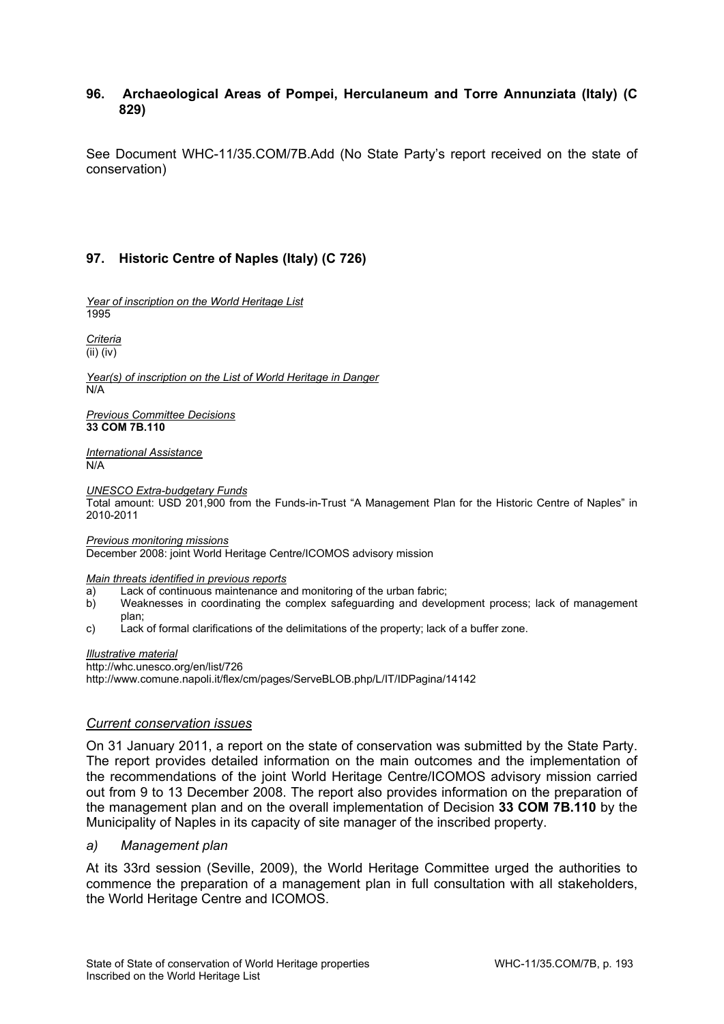## **96. Archaeological Areas of Pompei, Herculaneum and Torre Annunziata (Italy) (C 829)**

See Document WHC-11/35.COM/7B.Add (No State Party's report received on the state of conservation)

# **97. Historic Centre of Naples (Italy) (C 726)**

*Year of inscription on the World Heritage List*  1995

*Criteria*  (ii) (iv)

*Year(s) of inscription on the List of World Heritage in Danger*  N/A

*Previous Committee Decisions*  **33 COM 7B.110** 

*International Assistance*  N/A

*UNESCO Extra-budgetary Funds* 

Total amount: USD 201,900 from the Funds-in-Trust "A Management Plan for the Historic Centre of Naples" in 2010-2011

*Previous monitoring missions*  December 2008: joint World Heritage Centre/ICOMOS advisory mission

#### *Main threats identified in previous reports*

- a) Lack of continuous maintenance and monitoring of the urban fabric;
- b) Weaknesses in coordinating the complex safeguarding and development process; lack of management plan;
- c) Lack of formal clarifications of the delimitations of the property; lack of a buffer zone.

#### *Illustrative material*

http://whc.unesco.org/en/list/726 http://www.comune.napoli.it/flex/cm/pages/ServeBLOB.php/L/IT/IDPagina/14142

### *Current conservation issues*

On 31 January 2011, a report on the state of conservation was submitted by the State Party. The report provides detailed information on the main outcomes and the implementation of the recommendations of the joint World Heritage Centre/ICOMOS advisory mission carried out from 9 to 13 December 2008. The report also provides information on the preparation of the management plan and on the overall implementation of Decision **33 COM 7B.110** by the Municipality of Naples in its capacity of site manager of the inscribed property.

### *a) Management plan*

At its 33rd session (Seville, 2009), the World Heritage Committee urged the authorities to commence the preparation of a management plan in full consultation with all stakeholders, the World Heritage Centre and ICOMOS.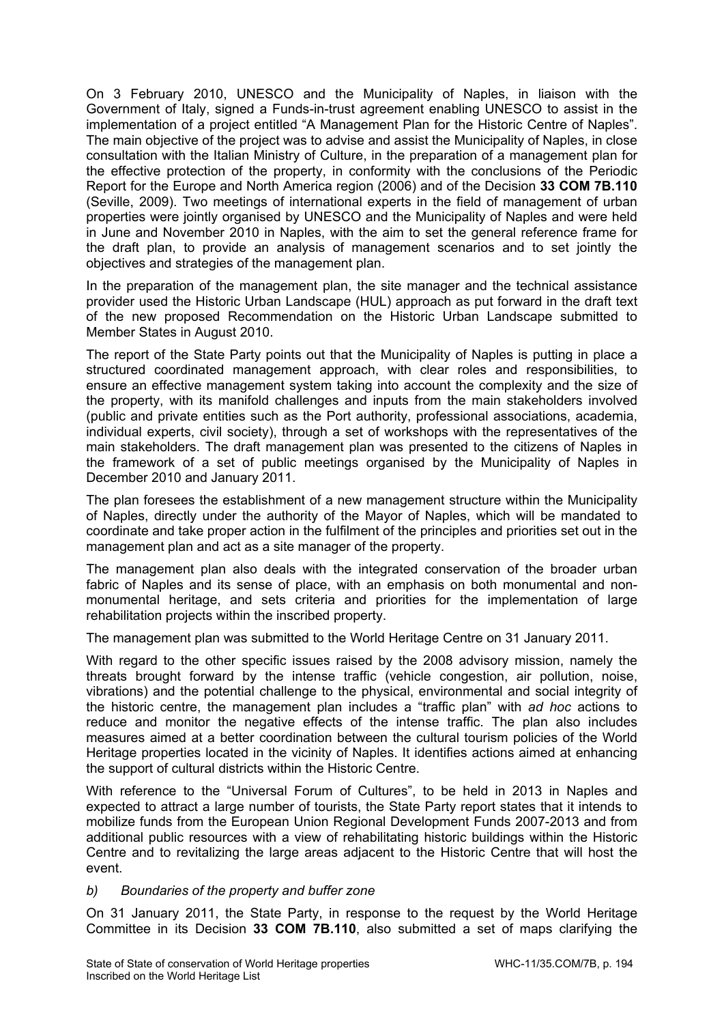On 3 February 2010, UNESCO and the Municipality of Naples, in liaison with the Government of Italy, signed a Funds-in-trust agreement enabling UNESCO to assist in the implementation of a project entitled "A Management Plan for the Historic Centre of Naples". The main objective of the project was to advise and assist the Municipality of Naples, in close consultation with the Italian Ministry of Culture, in the preparation of a management plan for the effective protection of the property, in conformity with the conclusions of the Periodic Report for the Europe and North America region (2006) and of the Decision **33 COM 7B.110** (Seville, 2009). Two meetings of international experts in the field of management of urban properties were jointly organised by UNESCO and the Municipality of Naples and were held in June and November 2010 in Naples, with the aim to set the general reference frame for the draft plan, to provide an analysis of management scenarios and to set jointly the objectives and strategies of the management plan.

In the preparation of the management plan, the site manager and the technical assistance provider used the Historic Urban Landscape (HUL) approach as put forward in the draft text of the new proposed Recommendation on the Historic Urban Landscape submitted to Member States in August 2010.

The report of the State Party points out that the Municipality of Naples is putting in place a structured coordinated management approach, with clear roles and responsibilities, to ensure an effective management system taking into account the complexity and the size of the property, with its manifold challenges and inputs from the main stakeholders involved (public and private entities such as the Port authority, professional associations, academia, individual experts, civil society), through a set of workshops with the representatives of the main stakeholders. The draft management plan was presented to the citizens of Naples in the framework of a set of public meetings organised by the Municipality of Naples in December 2010 and January 2011.

The plan foresees the establishment of a new management structure within the Municipality of Naples, directly under the authority of the Mayor of Naples, which will be mandated to coordinate and take proper action in the fulfilment of the principles and priorities set out in the management plan and act as a site manager of the property.

The management plan also deals with the integrated conservation of the broader urban fabric of Naples and its sense of place, with an emphasis on both monumental and nonmonumental heritage, and sets criteria and priorities for the implementation of large rehabilitation projects within the inscribed property.

The management plan was submitted to the World Heritage Centre on 31 January 2011.

With regard to the other specific issues raised by the 2008 advisory mission, namely the threats brought forward by the intense traffic (vehicle congestion, air pollution, noise, vibrations) and the potential challenge to the physical, environmental and social integrity of the historic centre, the management plan includes a "traffic plan" with *ad hoc* actions to reduce and monitor the negative effects of the intense traffic. The plan also includes measures aimed at a better coordination between the cultural tourism policies of the World Heritage properties located in the vicinity of Naples. It identifies actions aimed at enhancing the support of cultural districts within the Historic Centre.

With reference to the "Universal Forum of Cultures", to be held in 2013 in Naples and expected to attract a large number of tourists, the State Party report states that it intends to mobilize funds from the European Union Regional Development Funds 2007-2013 and from additional public resources with a view of rehabilitating historic buildings within the Historic Centre and to revitalizing the large areas adjacent to the Historic Centre that will host the event.

## *b) Boundaries of the property and buffer zone*

On 31 January 2011, the State Party, in response to the request by the World Heritage Committee in its Decision **33 COM 7B.110**, also submitted a set of maps clarifying the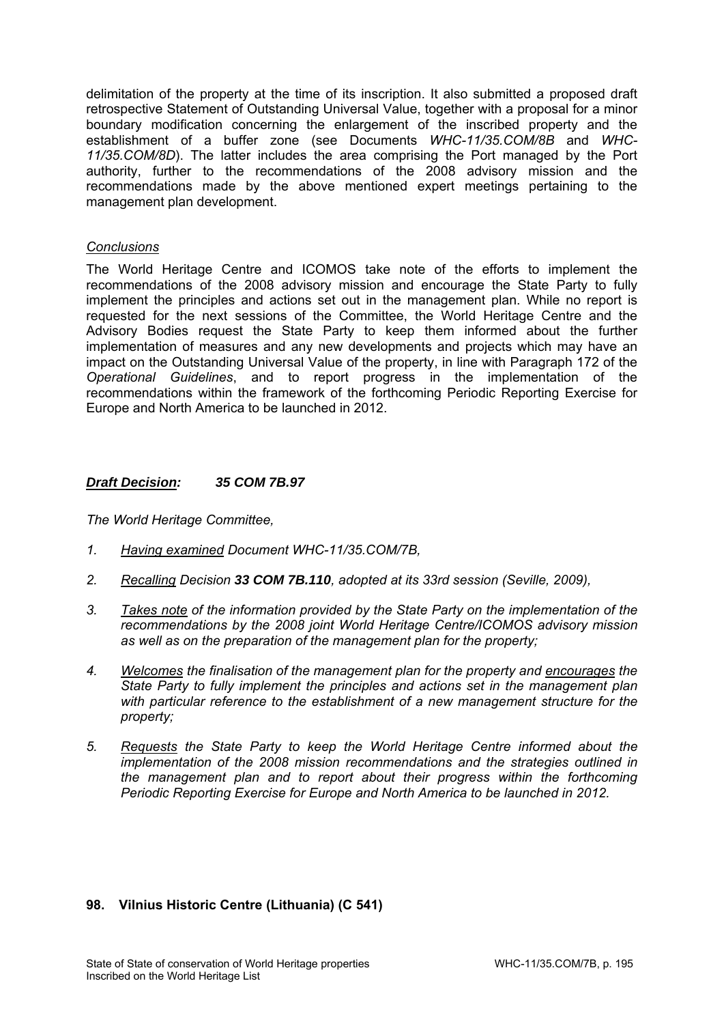delimitation of the property at the time of its inscription. It also submitted a proposed draft retrospective Statement of Outstanding Universal Value, together with a proposal for a minor boundary modification concerning the enlargement of the inscribed property and the establishment of a buffer zone (see Documents *WHC-11/35.COM/8B* and *WHC-11/35.COM/8D*). The latter includes the area comprising the Port managed by the Port authority, further to the recommendations of the 2008 advisory mission and the recommendations made by the above mentioned expert meetings pertaining to the management plan development.

## *Conclusions*

The World Heritage Centre and ICOMOS take note of the efforts to implement the recommendations of the 2008 advisory mission and encourage the State Party to fully implement the principles and actions set out in the management plan. While no report is requested for the next sessions of the Committee, the World Heritage Centre and the Advisory Bodies request the State Party to keep them informed about the further implementation of measures and any new developments and projects which may have an impact on the Outstanding Universal Value of the property, in line with Paragraph 172 of the *Operational Guidelines*, and to report progress in the implementation of the recommendations within the framework of the forthcoming Periodic Reporting Exercise for Europe and North America to be launched in 2012.

## *Draft Decision: 35 COM 7B.97*

*The World Heritage Committee,* 

- *1. Having examined Document WHC-11/35.COM/7B,*
- *2. Recalling Decision 33 COM 7B.110, adopted at its 33rd session (Seville, 2009),*
- *3. Takes note of the information provided by the State Party on the implementation of the recommendations by the 2008 joint World Heritage Centre/ICOMOS advisory mission as well as on the preparation of the management plan for the property;*
- *4. Welcomes the finalisation of the management plan for the property and encourages the State Party to fully implement the principles and actions set in the management plan with particular reference to the establishment of a new management structure for the property;*
- *5. Requests the State Party to keep the World Heritage Centre informed about the implementation of the 2008 mission recommendations and the strategies outlined in the management plan and to report about their progress within the forthcoming Periodic Reporting Exercise for Europe and North America to be launched in 2012.*

## **98. Vilnius Historic Centre (Lithuania) (C 541)**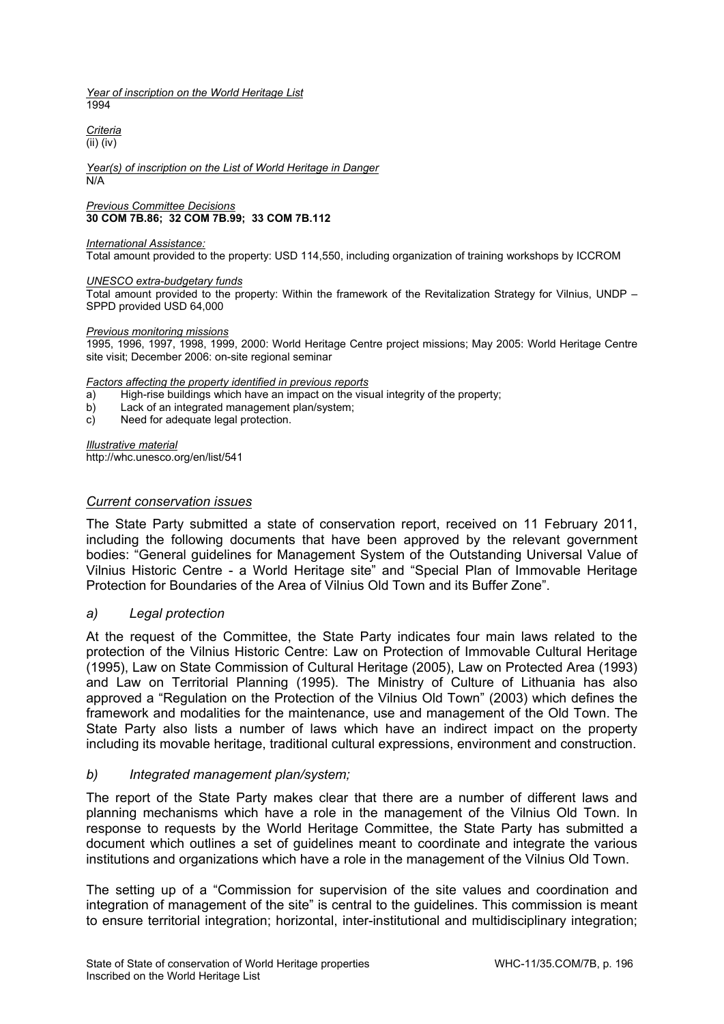*Year of inscription on the World Heritage List*   $1004$ 

*Criteria*  (ii) (iv)

#### *Year(s) of inscription on the List of World Heritage in Danger*  N/A

*Previous Committee Decisions*  **30 COM 7B.86; 32 COM 7B.99; 33 COM 7B.112** 

#### *International Assistance:*

Total amount provided to the property: USD 114,550, including organization of training workshops by ICCROM

### *UNESCO extra-budgetary funds*

Total amount provided to the property: Within the framework of the Revitalization Strategy for Vilnius, UNDP – SPPD provided USD 64,000

### *Previous monitoring missions*

1995, 1996, 1997, 1998, 1999, 2000: World Heritage Centre project missions; May 2005: World Heritage Centre site visit; December 2006: on-site regional seminar

### *Factors affecting the property identified in previous reports*

a) High-rise buildings which have an impact on the visual integrity of the property;

- b) Lack of an integrated management plan/system;
- c) Need for adequate legal protection.

*Illustrative material*  http://whc.unesco.org/en/list/541

### *Current conservation issues*

The State Party submitted a state of conservation report, received on 11 February 2011, including the following documents that have been approved by the relevant government bodies: "General guidelines for Management System of the Outstanding Universal Value of Vilnius Historic Centre - a World Heritage site" and "Special Plan of Immovable Heritage Protection for Boundaries of the Area of Vilnius Old Town and its Buffer Zone".

## *a) Legal protection*

At the request of the Committee, the State Party indicates four main laws related to the protection of the Vilnius Historic Centre: Law on Protection of Immovable Cultural Heritage (1995), Law on State Commission of Cultural Heritage (2005), Law on Protected Area (1993) and Law on Territorial Planning (1995). The Ministry of Culture of Lithuania has also approved a "Regulation on the Protection of the Vilnius Old Town" (2003) which defines the framework and modalities for the maintenance, use and management of the Old Town. The State Party also lists a number of laws which have an indirect impact on the property including its movable heritage, traditional cultural expressions, environment and construction.

## *b) Integrated management plan/system;*

The report of the State Party makes clear that there are a number of different laws and planning mechanisms which have a role in the management of the Vilnius Old Town. In response to requests by the World Heritage Committee, the State Party has submitted a document which outlines a set of guidelines meant to coordinate and integrate the various institutions and organizations which have a role in the management of the Vilnius Old Town.

The setting up of a "Commission for supervision of the site values and coordination and integration of management of the site" is central to the guidelines. This commission is meant to ensure territorial integration; horizontal, inter-institutional and multidisciplinary integration;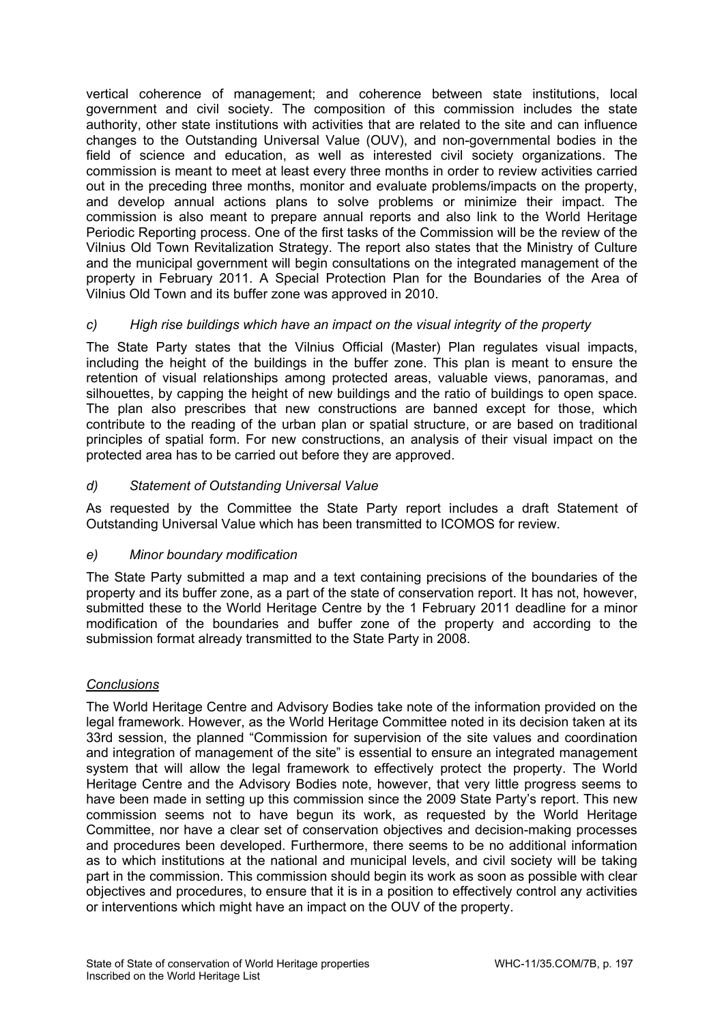vertical coherence of management; and coherence between state institutions, local government and civil society. The composition of this commission includes the state authority, other state institutions with activities that are related to the site and can influence changes to the Outstanding Universal Value (OUV), and non-governmental bodies in the field of science and education, as well as interested civil society organizations. The commission is meant to meet at least every three months in order to review activities carried out in the preceding three months, monitor and evaluate problems/impacts on the property, and develop annual actions plans to solve problems or minimize their impact. The commission is also meant to prepare annual reports and also link to the World Heritage Periodic Reporting process. One of the first tasks of the Commission will be the review of the Vilnius Old Town Revitalization Strategy. The report also states that the Ministry of Culture and the municipal government will begin consultations on the integrated management of the property in February 2011. A Special Protection Plan for the Boundaries of the Area of Vilnius Old Town and its buffer zone was approved in 2010.

# *c) High rise buildings which have an impact on the visual integrity of the property*

The State Party states that the Vilnius Official (Master) Plan regulates visual impacts, including the height of the buildings in the buffer zone. This plan is meant to ensure the retention of visual relationships among protected areas, valuable views, panoramas, and silhouettes, by capping the height of new buildings and the ratio of buildings to open space. The plan also prescribes that new constructions are banned except for those, which contribute to the reading of the urban plan or spatial structure, or are based on traditional principles of spatial form. For new constructions, an analysis of their visual impact on the protected area has to be carried out before they are approved.

# *d) Statement of Outstanding Universal Value*

As requested by the Committee the State Party report includes a draft Statement of Outstanding Universal Value which has been transmitted to ICOMOS for review.

# *e) Minor boundary modification*

The State Party submitted a map and a text containing precisions of the boundaries of the property and its buffer zone, as a part of the state of conservation report. It has not, however, submitted these to the World Heritage Centre by the 1 February 2011 deadline for a minor modification of the boundaries and buffer zone of the property and according to the submission format already transmitted to the State Party in 2008.

# *Conclusions*

The World Heritage Centre and Advisory Bodies take note of the information provided on the legal framework. However, as the World Heritage Committee noted in its decision taken at its 33rd session, the planned "Commission for supervision of the site values and coordination and integration of management of the site" is essential to ensure an integrated management system that will allow the legal framework to effectively protect the property. The World Heritage Centre and the Advisory Bodies note, however, that very little progress seems to have been made in setting up this commission since the 2009 State Party's report. This new commission seems not to have begun its work, as requested by the World Heritage Committee, nor have a clear set of conservation objectives and decision-making processes and procedures been developed. Furthermore, there seems to be no additional information as to which institutions at the national and municipal levels, and civil society will be taking part in the commission. This commission should begin its work as soon as possible with clear objectives and procedures, to ensure that it is in a position to effectively control any activities or interventions which might have an impact on the OUV of the property.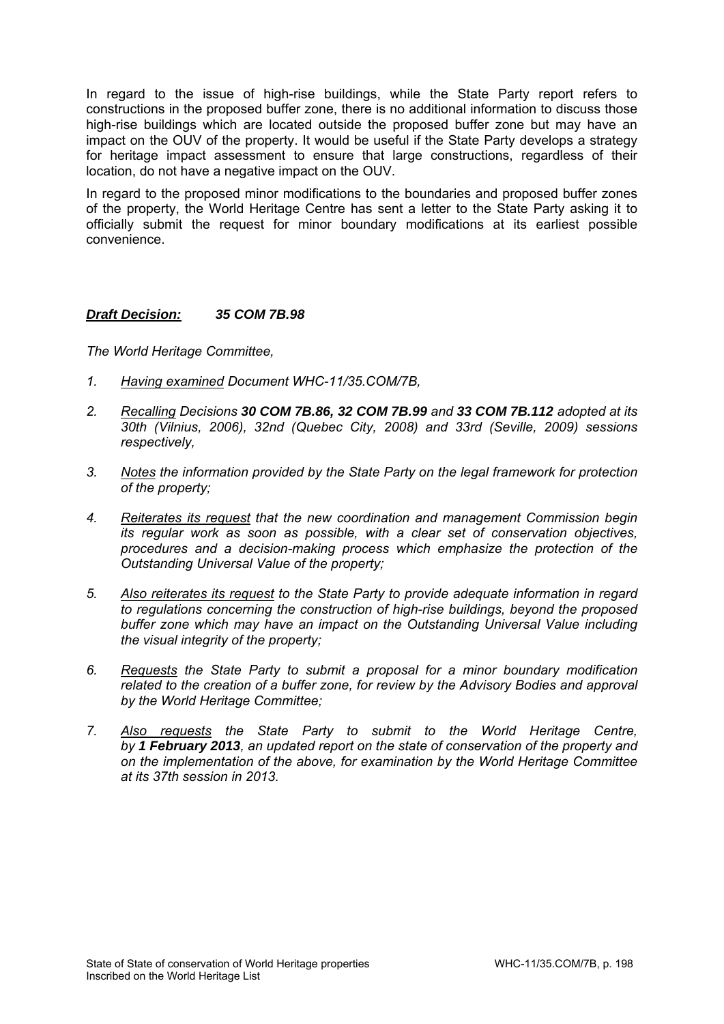In regard to the issue of high-rise buildings, while the State Party report refers to constructions in the proposed buffer zone, there is no additional information to discuss those high-rise buildings which are located outside the proposed buffer zone but may have an impact on the OUV of the property. It would be useful if the State Party develops a strategy for heritage impact assessment to ensure that large constructions, regardless of their location, do not have a negative impact on the OUV.

In regard to the proposed minor modifications to the boundaries and proposed buffer zones of the property, the World Heritage Centre has sent a letter to the State Party asking it to officially submit the request for minor boundary modifications at its earliest possible convenience.

## *Draft Decision: 35 COM 7B.98*

*The World Heritage Committee,* 

- *1. Having examined Document WHC-11/35.COM/7B,*
- *2. Recalling Decisions 30 COM 7B.86, 32 COM 7B.99 and 33 COM 7B.112 adopted at its 30th (Vilnius, 2006), 32nd (Quebec City, 2008) and 33rd (Seville, 2009) sessions respectively,*
- *3. Notes the information provided by the State Party on the legal framework for protection of the property;*
- *4. Reiterates its request that the new coordination and management Commission begin its regular work as soon as possible, with a clear set of conservation objectives, procedures and a decision-making process which emphasize the protection of the Outstanding Universal Value of the property;*
- *5. Also reiterates its request to the State Party to provide adequate information in regard to regulations concerning the construction of high-rise buildings, beyond the proposed buffer zone which may have an impact on the Outstanding Universal Value including the visual integrity of the property;*
- *6. Requests the State Party to submit a proposal for a minor boundary modification related to the creation of a buffer zone, for review by the Advisory Bodies and approval by the World Heritage Committee;*
- *7. Also requests the State Party to submit to the World Heritage Centre, by 1 February 2013, an updated report on the state of conservation of the property and on the implementation of the above, for examination by the World Heritage Committee at its 37th session in 2013.*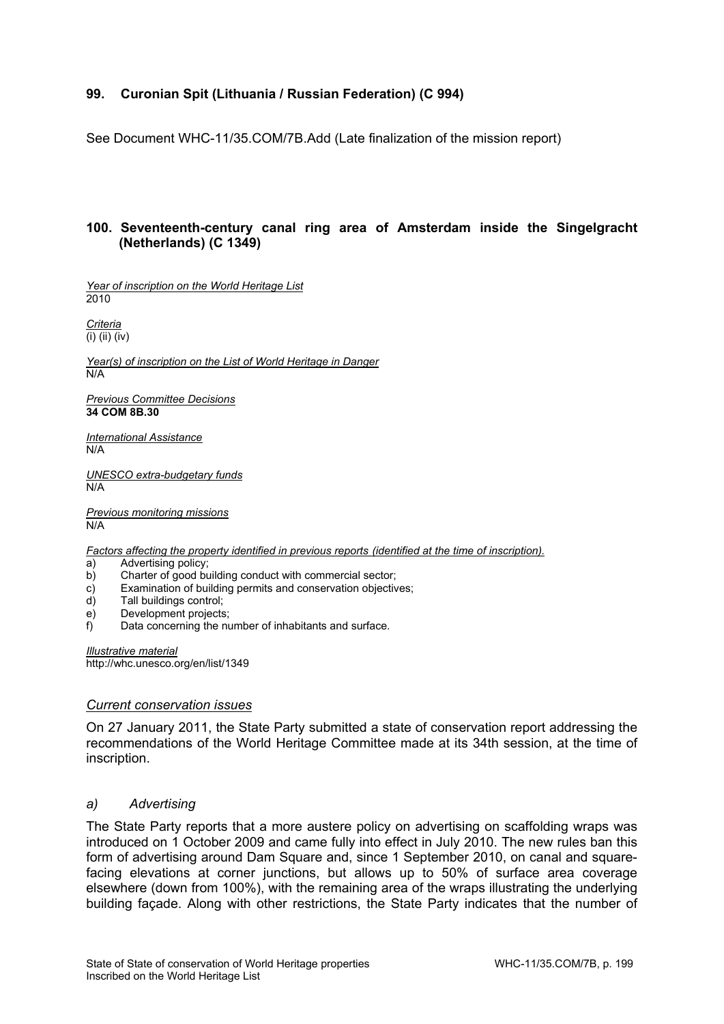## **99. Curonian Spit (Lithuania / Russian Federation) (C 994)**

See Document WHC-11/35.COM/7B.Add (Late finalization of the mission report)

## **100. Seventeenth-century canal ring area of Amsterdam inside the Singelgracht (Netherlands) (C 1349)**

*Year of inscription on the World Heritage List*  2010

*Criteria*  (i) (ii) (iv)

*Year(s) of inscription on the List of World Heritage in Danger*  N/A

*Previous Committee Decisions*  **34 COM 8B.30**

*International Assistance*  N/A

*UNESCO extra-budgetary funds*  N/A

*Previous monitoring missions*   $N/A$ 

*Factors affecting the property identified in previous reports (identified at the time of inscription).*

a) Advertising policy;

- b) Charter of good building conduct with commercial sector;
- c) Examination of building permits and conservation objectives;
- d) Tall buildings control;
- e) Development projects;
- f) Data concerning the number of inhabitants and surface.

*Illustrative material*  http://whc.unesco.org/en/list/1349

### *Current conservation issues*

On 27 January 2011, the State Party submitted a state of conservation report addressing the recommendations of the World Heritage Committee made at its 34th session, at the time of inscription.

### *a) Advertising*

The State Party reports that a more austere policy on advertising on scaffolding wraps was introduced on 1 October 2009 and came fully into effect in July 2010. The new rules ban this form of advertising around Dam Square and, since 1 September 2010, on canal and squarefacing elevations at corner junctions, but allows up to 50% of surface area coverage elsewhere (down from 100%), with the remaining area of the wraps illustrating the underlying building façade. Along with other restrictions, the State Party indicates that the number of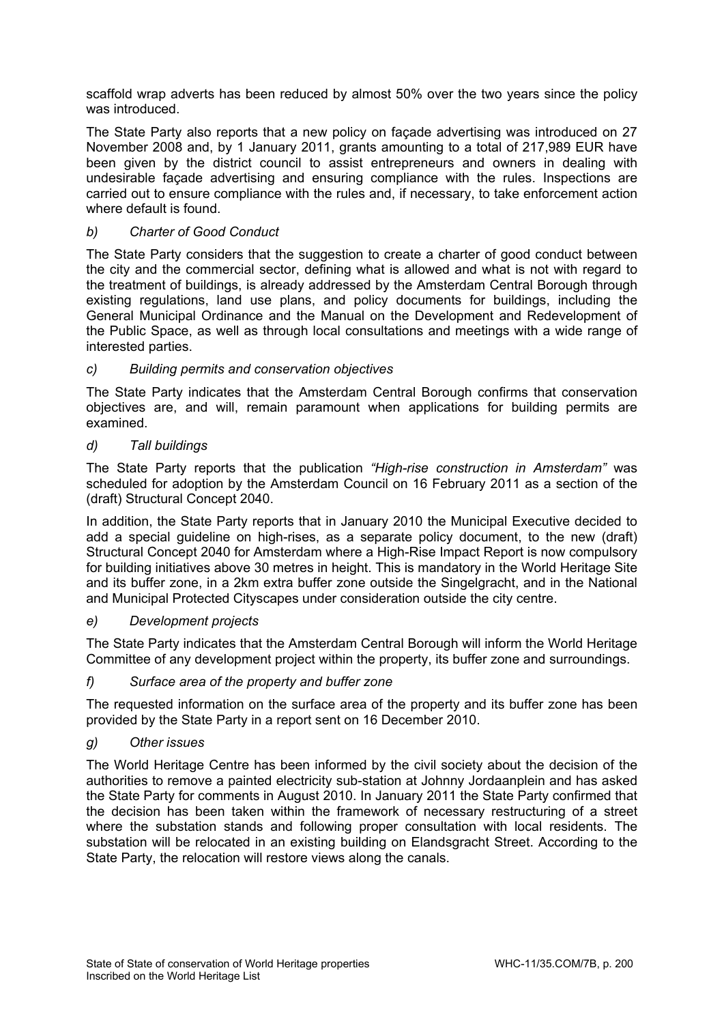scaffold wrap adverts has been reduced by almost 50% over the two years since the policy was introduced.

The State Party also reports that a new policy on façade advertising was introduced on 27 November 2008 and, by 1 January 2011, grants amounting to a total of 217,989 EUR have been given by the district council to assist entrepreneurs and owners in dealing with undesirable façade advertising and ensuring compliance with the rules. Inspections are carried out to ensure compliance with the rules and, if necessary, to take enforcement action where default is found.

# *b) Charter of Good Conduct*

The State Party considers that the suggestion to create a charter of good conduct between the city and the commercial sector, defining what is allowed and what is not with regard to the treatment of buildings, is already addressed by the Amsterdam Central Borough through existing regulations, land use plans, and policy documents for buildings, including the General Municipal Ordinance and the Manual on the Development and Redevelopment of the Public Space, as well as through local consultations and meetings with a wide range of interested parties.

# *c) Building permits and conservation objectives*

The State Party indicates that the Amsterdam Central Borough confirms that conservation objectives are, and will, remain paramount when applications for building permits are examined.

## *d) Tall buildings*

The State Party reports that the publication *"High-rise construction in Amsterdam"* was scheduled for adoption by the Amsterdam Council on 16 February 2011 as a section of the (draft) Structural Concept 2040.

In addition, the State Party reports that in January 2010 the Municipal Executive decided to add a special guideline on high-rises, as a separate policy document, to the new (draft) Structural Concept 2040 for Amsterdam where a High-Rise Impact Report is now compulsory for building initiatives above 30 metres in height. This is mandatory in the World Heritage Site and its buffer zone, in a 2km extra buffer zone outside the Singelgracht, and in the National and Municipal Protected Cityscapes under consideration outside the city centre.

## *e) Development projects*

The State Party indicates that the Amsterdam Central Borough will inform the World Heritage Committee of any development project within the property, its buffer zone and surroundings.

## *f) Surface area of the property and buffer zone*

The requested information on the surface area of the property and its buffer zone has been provided by the State Party in a report sent on 16 December 2010.

## *g) Other issues*

The World Heritage Centre has been informed by the civil society about the decision of the authorities to remove a painted electricity sub-station at Johnny Jordaanplein and has asked the State Party for comments in August 2010. In January 2011 the State Party confirmed that the decision has been taken within the framework of necessary restructuring of a street where the substation stands and following proper consultation with local residents. The substation will be relocated in an existing building on Elandsgracht Street. According to the State Party, the relocation will restore views along the canals.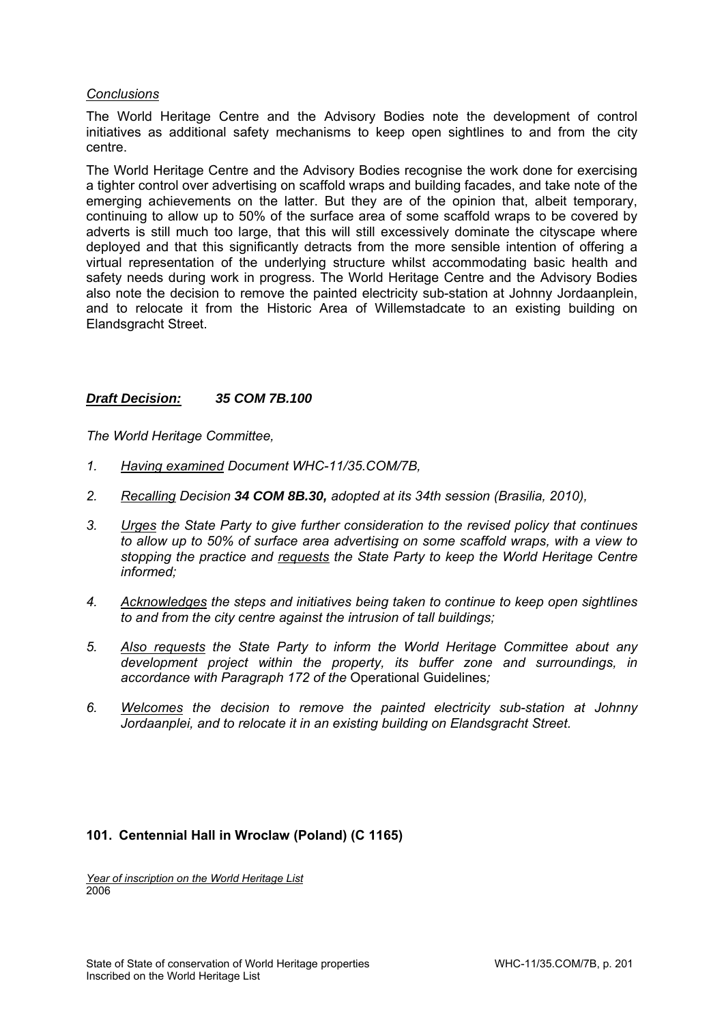## *Conclusions*

The World Heritage Centre and the Advisory Bodies note the development of control initiatives as additional safety mechanisms to keep open sightlines to and from the city centre.

The World Heritage Centre and the Advisory Bodies recognise the work done for exercising a tighter control over advertising on scaffold wraps and building facades, and take note of the emerging achievements on the latter. But they are of the opinion that, albeit temporary, continuing to allow up to 50% of the surface area of some scaffold wraps to be covered by adverts is still much too large, that this will still excessively dominate the cityscape where deployed and that this significantly detracts from the more sensible intention of offering a virtual representation of the underlying structure whilst accommodating basic health and safety needs during work in progress. The World Heritage Centre and the Advisory Bodies also note the decision to remove the painted electricity sub-station at Johnny Jordaanplein, and to relocate it from the Historic Area of Willemstadcate to an existing building on Elandsgracht Street.

## *Draft Decision: 35 COM 7B.100*

*The World Heritage Committee,* 

- *1. Having examined Document WHC-11/35.COM/7B,*
- *2. Recalling Decision 34 COM 8B.30, adopted at its 34th session (Brasilia, 2010),*
- *3. Urges the State Party to give further consideration to the revised policy that continues to allow up to 50% of surface area advertising on some scaffold wraps, with a view to stopping the practice and requests the State Party to keep the World Heritage Centre informed;*
- *4. Acknowledges the steps and initiatives being taken to continue to keep open sightlines to and from the city centre against the intrusion of tall buildings;*
- *5. Also requests the State Party to inform the World Heritage Committee about any development project within the property, its buffer zone and surroundings, in accordance with Paragraph 172 of the* Operational Guidelines*;*
- *6. Welcomes the decision to remove the painted electricity sub-station at Johnny*  Jordaanplei, and to relocate it in an existing building on Elandsgracht Street.

## **101. Centennial Hall in Wroclaw (Poland) (C 1165)**

*Year of inscription on the World Heritage List*  2006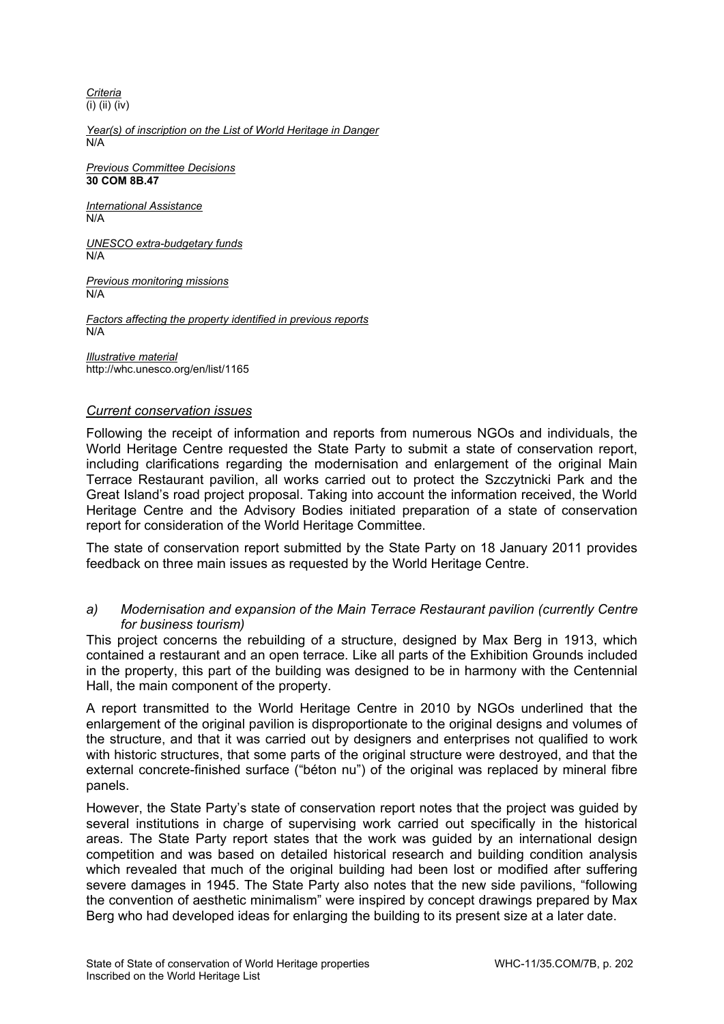*Criteria*  (i) (ii) (iv)

*Year(s) of inscription on the List of World Heritage in Danger*  N/A

*Previous Committee Decisions*  **30 COM 8B.47**

*International Assistance*  N/A

*UNESCO extra-budgetary funds*  N/A

*Previous monitoring missions*  N/A

*Factors affecting the property identified in previous reports*  N/A

*Illustrative material*  http://whc.unesco.org/en/list/1165

## *Current conservation issues*

Following the receipt of information and reports from numerous NGOs and individuals, the World Heritage Centre requested the State Party to submit a state of conservation report, including clarifications regarding the modernisation and enlargement of the original Main Terrace Restaurant pavilion, all works carried out to protect the Szczytnicki Park and the Great Island's road project proposal. Taking into account the information received, the World Heritage Centre and the Advisory Bodies initiated preparation of a state of conservation report for consideration of the World Heritage Committee.

The state of conservation report submitted by the State Party on 18 January 2011 provides feedback on three main issues as requested by the World Heritage Centre.

## *a) Modernisation and expansion of the Main Terrace Restaurant pavilion (currently Centre for business tourism)*

This project concerns the rebuilding of a structure, designed by Max Berg in 1913, which contained a restaurant and an open terrace. Like all parts of the Exhibition Grounds included in the property, this part of the building was designed to be in harmony with the Centennial Hall, the main component of the property.

A report transmitted to the World Heritage Centre in 2010 by NGOs underlined that the enlargement of the original pavilion is disproportionate to the original designs and volumes of the structure, and that it was carried out by designers and enterprises not qualified to work with historic structures, that some parts of the original structure were destroyed, and that the external concrete-finished surface ("béton nu") of the original was replaced by mineral fibre panels.

However, the State Party's state of conservation report notes that the project was guided by several institutions in charge of supervising work carried out specifically in the historical areas. The State Party report states that the work was guided by an international design competition and was based on detailed historical research and building condition analysis which revealed that much of the original building had been lost or modified after suffering severe damages in 1945. The State Party also notes that the new side pavilions, "following the convention of aesthetic minimalism" were inspired by concept drawings prepared by Max Berg who had developed ideas for enlarging the building to its present size at a later date.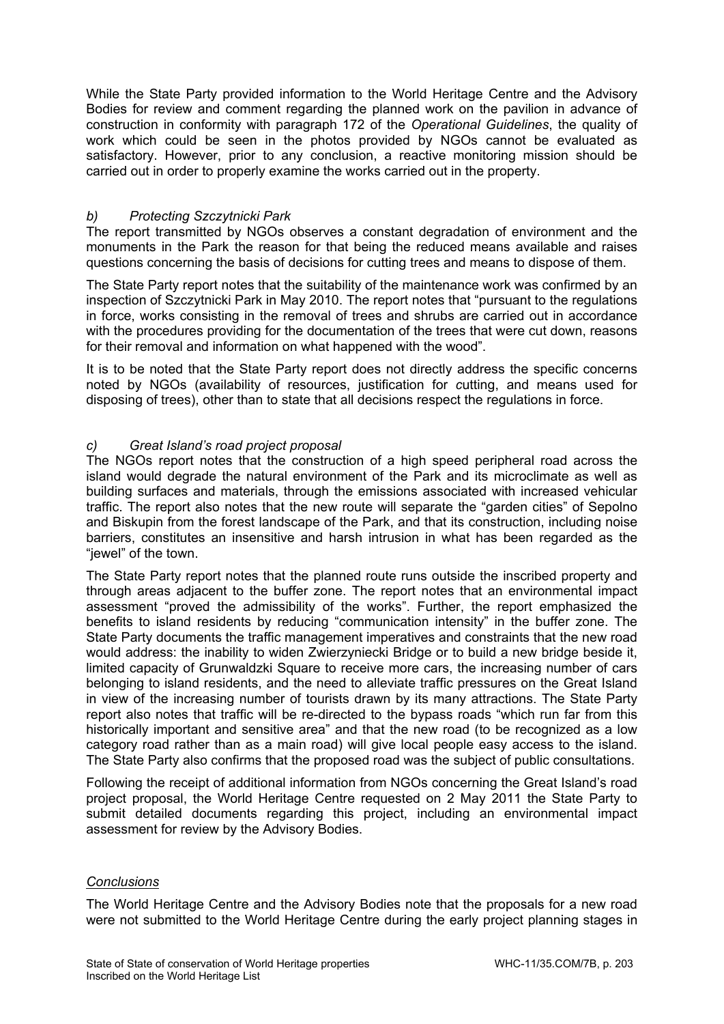While the State Party provided information to the World Heritage Centre and the Advisory Bodies for review and comment regarding the planned work on the pavilion in advance of construction in conformity with paragraph 172 of the *Operational Guidelines*, the quality of work which could be seen in the photos provided by NGOs cannot be evaluated as satisfactory. However, prior to any conclusion, a reactive monitoring mission should be carried out in order to properly examine the works carried out in the property.

# *b) Protecting Szczytnicki Park*

The report transmitted by NGOs observes a constant degradation of environment and the monuments in the Park the reason for that being the reduced means available and raises questions concerning the basis of decisions for cutting trees and means to dispose of them.

The State Party report notes that the suitability of the maintenance work was confirmed by an inspection of Szczytnicki Park in May 2010. The report notes that "pursuant to the regulations in force, works consisting in the removal of trees and shrubs are carried out in accordance with the procedures providing for the documentation of the trees that were cut down, reasons for their removal and information on what happened with the wood".

It is to be noted that the State Party report does not directly address the specific concerns noted by NGOs (availability of resources, justification for *c*utting, and means used for disposing of trees), other than to state that all decisions respect the regulations in force.

# *c) Great Island's road project proposal*

The NGOs report notes that the construction of a high speed peripheral road across the island would degrade the natural environment of the Park and its microclimate as well as building surfaces and materials, through the emissions associated with increased vehicular traffic. The report also notes that the new route will separate the "garden cities" of Sepolno and Biskupin from the forest landscape of the Park, and that its construction, including noise barriers, constitutes an insensitive and harsh intrusion in what has been regarded as the "jewel" of the town.

The State Party report notes that the planned route runs outside the inscribed property and through areas adjacent to the buffer zone. The report notes that an environmental impact assessment "proved the admissibility of the works". Further, the report emphasized the benefits to island residents by reducing "communication intensity" in the buffer zone. The State Party documents the traffic management imperatives and constraints that the new road would address: the inability to widen Zwierzyniecki Bridge or to build a new bridge beside it, limited capacity of Grunwaldzki Square to receive more cars, the increasing number of cars belonging to island residents, and the need to alleviate traffic pressures on the Great Island in view of the increasing number of tourists drawn by its many attractions. The State Party report also notes that traffic will be re-directed to the bypass roads "which run far from this historically important and sensitive area" and that the new road (to be recognized as a low category road rather than as a main road) will give local people easy access to the island. The State Party also confirms that the proposed road was the subject of public consultations.

Following the receipt of additional information from NGOs concerning the Great Island's road project proposal, the World Heritage Centre requested on 2 May 2011 the State Party to submit detailed documents regarding this project, including an environmental impact assessment for review by the Advisory Bodies.

## *Conclusions*

The World Heritage Centre and the Advisory Bodies note that the proposals for a new road were not submitted to the World Heritage Centre during the early project planning stages in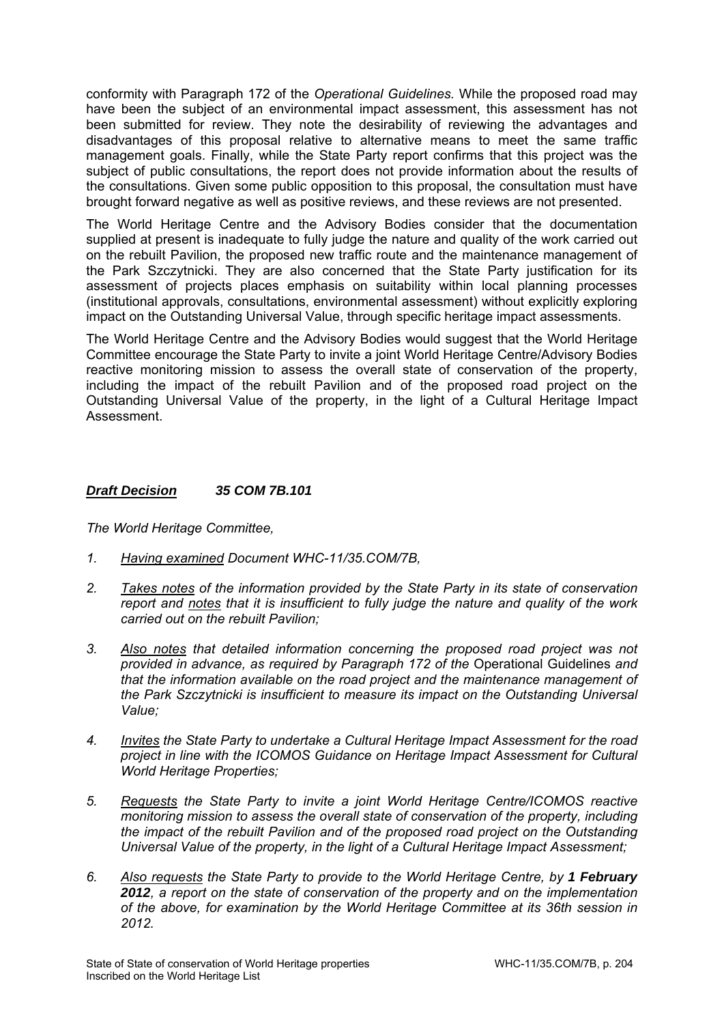conformity with Paragraph 172 of the *Operational Guidelines.* While the proposed road may have been the subject of an environmental impact assessment, this assessment has not been submitted for review. They note the desirability of reviewing the advantages and disadvantages of this proposal relative to alternative means to meet the same traffic management goals. Finally, while the State Party report confirms that this project was the subject of public consultations, the report does not provide information about the results of the consultations. Given some public opposition to this proposal, the consultation must have brought forward negative as well as positive reviews, and these reviews are not presented.

The World Heritage Centre and the Advisory Bodies consider that the documentation supplied at present is inadequate to fully judge the nature and quality of the work carried out on the rebuilt Pavilion, the proposed new traffic route and the maintenance management of the Park Szczytnicki. They are also concerned that the State Party justification for its assessment of projects places emphasis on suitability within local planning processes (institutional approvals, consultations, environmental assessment) without explicitly exploring impact on the Outstanding Universal Value, through specific heritage impact assessments.

The World Heritage Centre and the Advisory Bodies would suggest that the World Heritage Committee encourage the State Party to invite a joint World Heritage Centre/Advisory Bodies reactive monitoring mission to assess the overall state of conservation of the property, including the impact of the rebuilt Pavilion and of the proposed road project on the Outstanding Universal Value of the property, in the light of a Cultural Heritage Impact Assessment.

## *Draft Decision 35 COM 7B.101*

*The World Heritage Committee,* 

- *1. Having examined Document WHC-11/35.COM/7B,*
- *2. Takes notes of the information provided by the State Party in its state of conservation report and notes that it is insufficient to fully judge the nature and quality of the work carried out on the rebuilt Pavilion;*
- *3. Also notes that detailed information concerning the proposed road project was not provided in advance, as required by Paragraph 172 of the* Operational Guidelines *and that the information available on the road project and the maintenance management of the Park Szczytnicki is insufficient to measure its impact on the Outstanding Universal Value;*
- *4. Invites the State Party to undertake a Cultural Heritage Impact Assessment for the road project in line with the ICOMOS Guidance on Heritage Impact Assessment for Cultural World Heritage Properties;*
- *5. Requests the State Party to invite a joint World Heritage Centre/ICOMOS reactive monitoring mission to assess the overall state of conservation of the property, including the impact of the rebuilt Pavilion and of the proposed road project on the Outstanding Universal Value of the property, in the light of a Cultural Heritage Impact Assessment;*
- *6. Also requests the State Party to provide to the World Heritage Centre, by 1 February 2012, a report on the state of conservation of the property and on the implementation of the above, for examination by the World Heritage Committee at its 36th session in 2012.*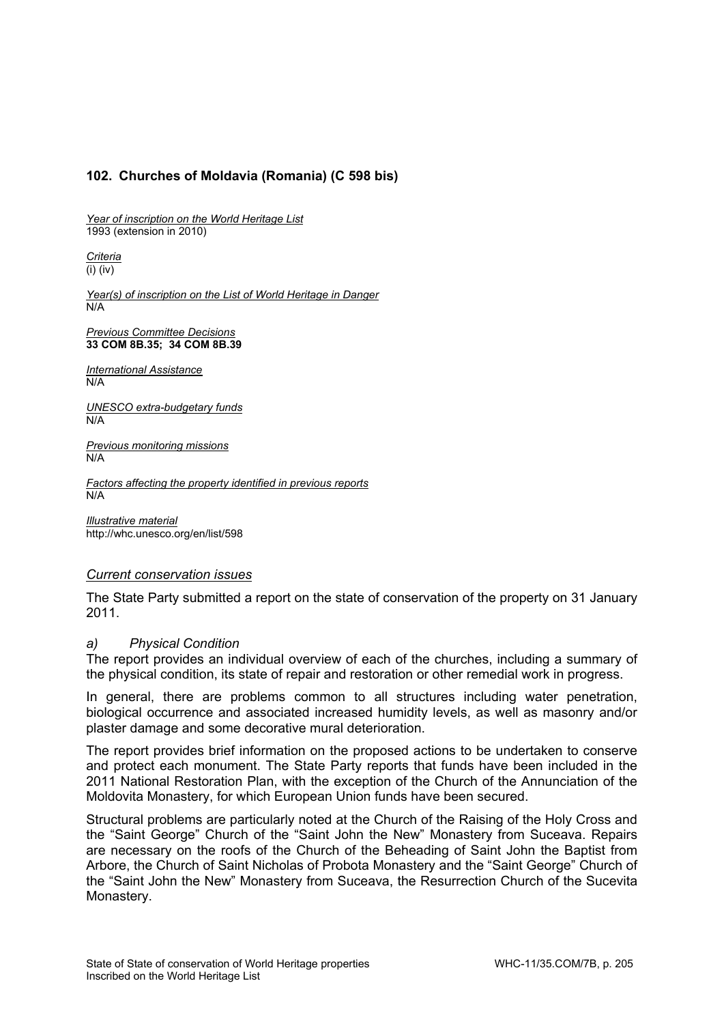# **102. Churches of Moldavia (Romania) (C 598 bis)**

*Year of inscription on the World Heritage List*  1993 (extension in 2010)

*Criteria*  (i) (iv)

*Year(s) of inscription on the List of World Heritage in Danger*  N/A

*Previous Committee Decisions*  **33 COM 8B.35; 34 COM 8B.39** 

*International Assistance*  N/A

*UNESCO extra-budgetary funds*  N/A

*Previous monitoring missions*   $N/A$ 

*Factors affecting the property identified in previous reports*  N/A

*Illustrative material*  http://whc.unesco.org/en/list/598

## *Current conservation issues*

The State Party submitted a report on the state of conservation of the property on 31 January 2011.

### *a) Physical Condition*

The report provides an individual overview of each of the churches, including a summary of the physical condition, its state of repair and restoration or other remedial work in progress.

In general, there are problems common to all structures including water penetration, biological occurrence and associated increased humidity levels, as well as masonry and/or plaster damage and some decorative mural deterioration.

The report provides brief information on the proposed actions to be undertaken to conserve and protect each monument. The State Party reports that funds have been included in the 2011 National Restoration Plan, with the exception of the Church of the Annunciation of the Moldovita Monastery, for which European Union funds have been secured.

Structural problems are particularly noted at the Church of the Raising of the Holy Cross and the "Saint George" Church of the "Saint John the New" Monastery from Suceava. Repairs are necessary on the roofs of the Church of the Beheading of Saint John the Baptist from Arbore, the Church of Saint Nicholas of Probota Monastery and the "Saint George" Church of the "Saint John the New" Monastery from Suceava, the Resurrection Church of the Sucevita Monastery.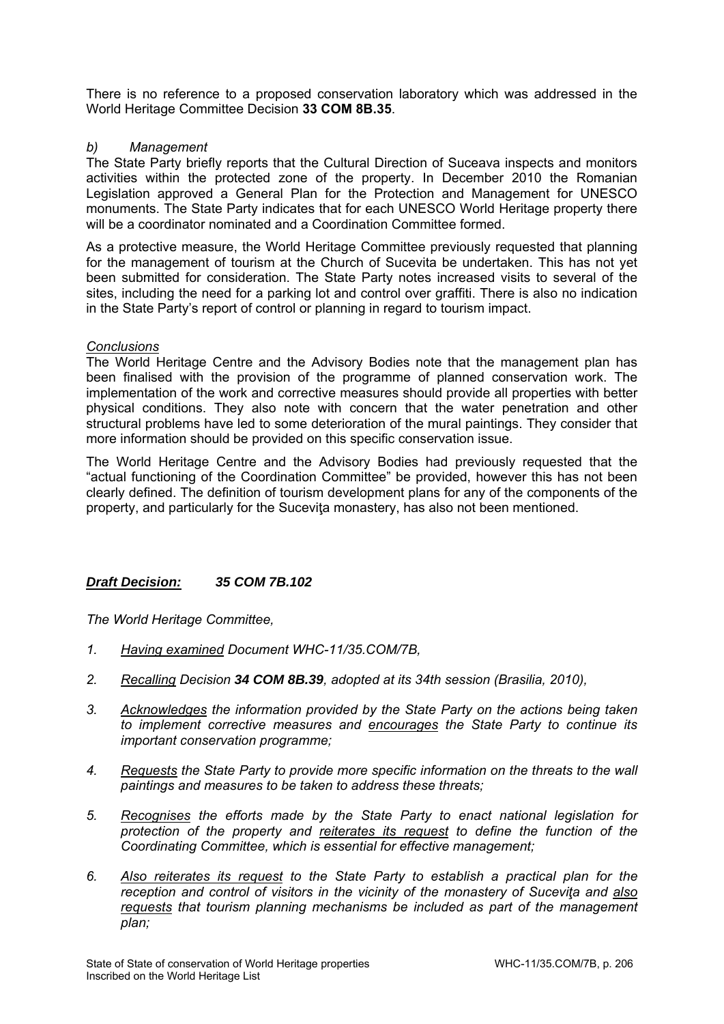There is no reference to a proposed conservation laboratory which was addressed in the World Heritage Committee Decision **33 COM 8B.35**.

## *b) Management*

The State Party briefly reports that the Cultural Direction of Suceava inspects and monitors activities within the protected zone of the property. In December 2010 the Romanian Legislation approved a General Plan for the Protection and Management for UNESCO monuments. The State Party indicates that for each UNESCO World Heritage property there will be a coordinator nominated and a Coordination Committee formed.

As a protective measure, the World Heritage Committee previously requested that planning for the management of tourism at the Church of Sucevita be undertaken. This has not yet been submitted for consideration. The State Party notes increased visits to several of the sites, including the need for a parking lot and control over graffiti. There is also no indication in the State Party's report of control or planning in regard to tourism impact.

## *Conclusions*

The World Heritage Centre and the Advisory Bodies note that the management plan has been finalised with the provision of the programme of planned conservation work. The implementation of the work and corrective measures should provide all properties with better physical conditions. They also note with concern that the water penetration and other structural problems have led to some deterioration of the mural paintings. They consider that more information should be provided on this specific conservation issue.

The World Heritage Centre and the Advisory Bodies had previously requested that the "actual functioning of the Coordination Committee" be provided, however this has not been clearly defined. The definition of tourism development plans for any of the components of the property, and particularly for the Sucevita monastery, has also not been mentioned.

## *Draft Decision: 35 COM 7B.102*

*The World Heritage Committee,* 

- *1. Having examined Document WHC-11/35.COM/7B,*
- *2. Recalling Decision 34 COM 8B.39, adopted at its 34th session (Brasilia, 2010),*
- *3. Acknowledges the information provided by the State Party on the actions being taken to implement corrective measures and encourages the State Party to continue its important conservation programme;*
- *4. Requests the State Party to provide more specific information on the threats to the wall paintings and measures to be taken to address these threats;*
- *5. Recognises the efforts made by the State Party to enact national legislation for protection of the property and reiterates its request to define the function of the Coordinating Committee, which is essential for effective management;*
- *6. Also reiterates its request to the State Party to establish a practical plan for the reception and control of visitors in the vicinity of the monastery of Suceviţa and also requests that tourism planning mechanisms be included as part of the management plan;*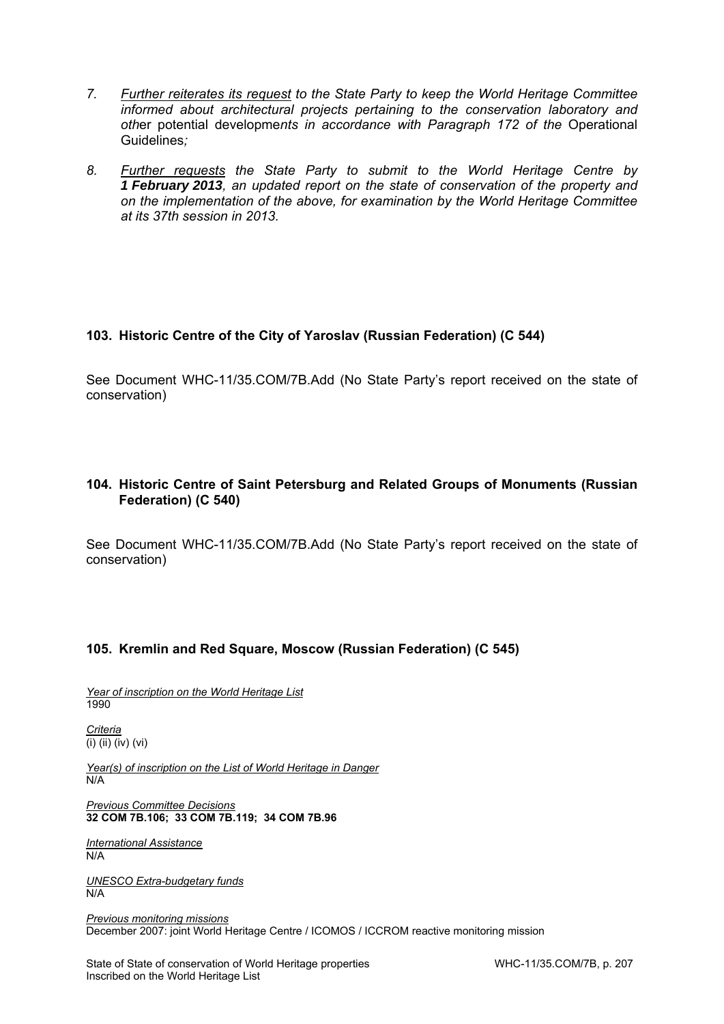- *7. Further reiterates its request to the State Party to keep the World Heritage Committee informed about architectural projects pertaining to the conservation laboratory and oth*er potential developme*nts in accordance with Paragraph 172 of the* Operational Guidelines*;*
- *8. Further requests the State Party to submit to the World Heritage Centre by 1 February 2013, an updated report on the state of conservation of the property and on the implementation of the above, for examination by the World Heritage Committee at its 37th session in 2013.*

# **103. Historic Centre of the City of Yaroslav (Russian Federation) (C 544)**

See Document WHC-11/35.COM/7B.Add (No State Party's report received on the state of conservation)

# **104. Historic Centre of Saint Petersburg and Related Groups of Monuments (Russian Federation) (C 540)**

See Document WHC-11/35.COM/7B.Add (No State Party's report received on the state of conservation)

## **105. Kremlin and Red Square, Moscow (Russian Federation) (C 545)**

*Year of inscription on the World Heritage List*  1990

*Criteria*   $\overline{(\mathsf{i})\}$   $(\mathsf{ii})\}$   $(\mathsf{iv})\}$   $(\mathsf{vi})$ 

*Year(s) of inscription on the List of World Heritage in Danger*  N/A

*Previous Committee Decisions*  **32 COM 7B.106; 33 COM 7B.119; 34 COM 7B.96** 

*International Assistance*  N/A

*UNESCO Extra-budgetary funds*  N/A

*Previous monitoring missions*  December 2007: joint World Heritage Centre / ICOMOS / ICCROM reactive monitoring mission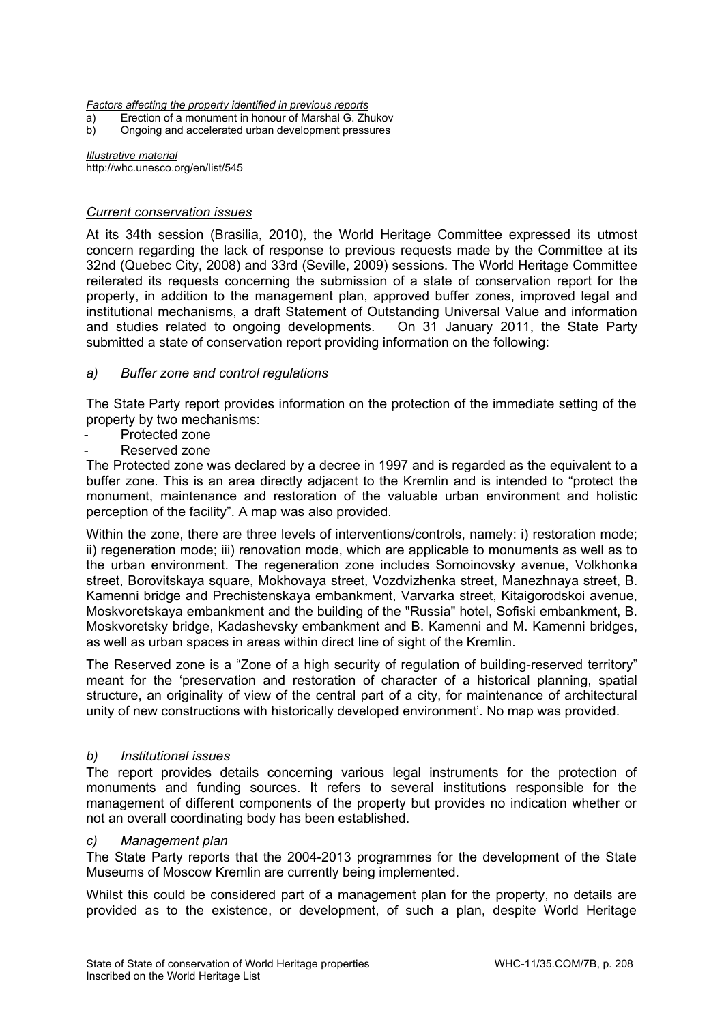*Factors affecting the property identified in previous reports* 

- a) Erection of a monument in honour of Marshal G. Zhukov
- b) Ongoing and accelerated urban development pressures

*Illustrative material*  http://whc.unesco.org/en/list/545

## *Current conservation issues*

At its 34th session (Brasilia, 2010), the World Heritage Committee expressed its utmost concern regarding the lack of response to previous requests made by the Committee at its 32nd (Quebec City, 2008) and 33rd (Seville, 2009) sessions. The World Heritage Committee reiterated its requests concerning the submission of a state of conservation report for the property, in addition to the management plan, approved buffer zones, improved legal and institutional mechanisms, a draft Statement of Outstanding Universal Value and information and studies related to ongoing developments. On 31 January 2011, the State Party submitted a state of conservation report providing information on the following:

## *a) Buffer zone and control regulations*

The State Party report provides information on the protection of the immediate setting of the property by two mechanisms:

- Protected zone
- Reserved zone

The Protected zone was declared by a decree in 1997 and is regarded as the equivalent to a buffer zone. This is an area directly adjacent to the Kremlin and is intended to "protect the monument, maintenance and restoration of the valuable urban environment and holistic perception of the facility". A map was also provided.

Within the zone, there are three levels of interventions/controls, namely: i) restoration mode; ii) regeneration mode; iii) renovation mode, which are applicable to monuments as well as to the urban environment. The regeneration zone includes Somoinovsky avenue, Volkhonka street, Borovitskaya square, Mokhovaya street, Vozdvizhenka street, Manezhnaya street, B. Kamenni bridge and Prechistenskaya embankment, Varvarka street, Kitaigorodskoi avenue, Moskvoretskaya embankment and the building of the "Russia" hotel, Sofiski embankment, B. Moskvoretsky bridge, Kadashevsky embankment and B. Kamenni and M. Kamenni bridges, as well as urban spaces in areas within direct line of sight of the Kremlin.

The Reserved zone is a "Zone of a high security of regulation of building-reserved territory" meant for the 'preservation and restoration of character of a historical planning, spatial structure, an originality of view of the central part of a city, for maintenance of architectural unity of new constructions with historically developed environment'. No map was provided.

### *b) Institutional issues*

The report provides details concerning various legal instruments for the protection of monuments and funding sources. It refers to several institutions responsible for the management of different components of the property but provides no indication whether or not an overall coordinating body has been established.

### *c) Management plan*

The State Party reports that the 2004-2013 programmes for the development of the State Museums of Moscow Kremlin are currently being implemented.

Whilst this could be considered part of a management plan for the property, no details are provided as to the existence, or development, of such a plan, despite World Heritage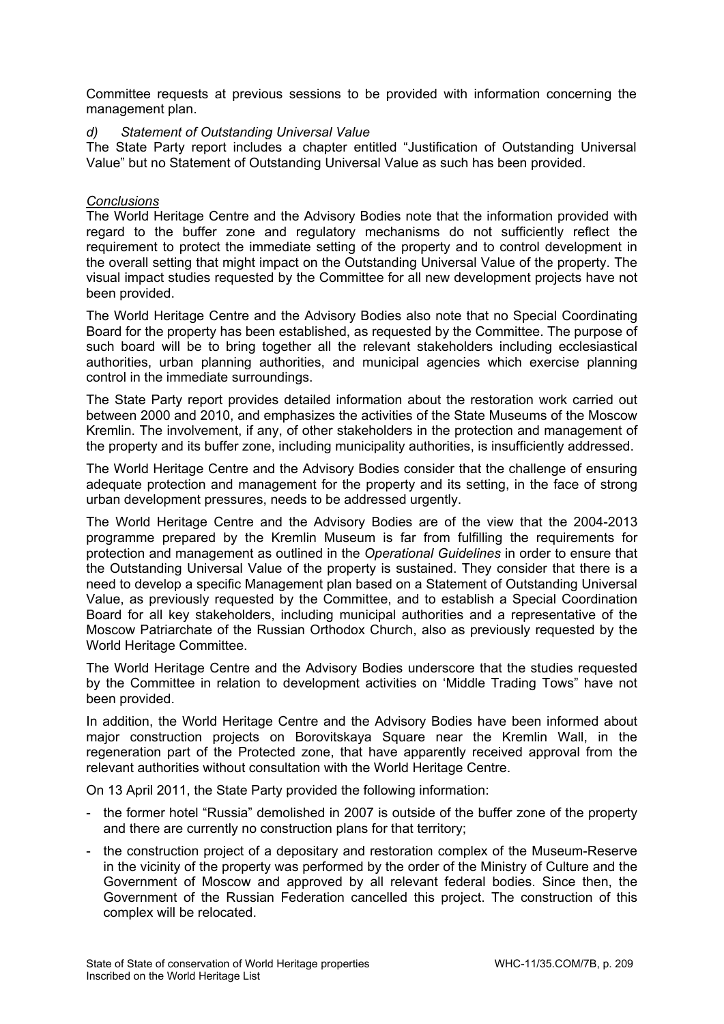Committee requests at previous sessions to be provided with information concerning the management plan.

## *d) Statement of Outstanding Universal Value*

The State Party report includes a chapter entitled "Justification of Outstanding Universal Value" but no Statement of Outstanding Universal Value as such has been provided.

## *Conclusions*

The World Heritage Centre and the Advisory Bodies note that the information provided with regard to the buffer zone and regulatory mechanisms do not sufficiently reflect the requirement to protect the immediate setting of the property and to control development in the overall setting that might impact on the Outstanding Universal Value of the property. The visual impact studies requested by the Committee for all new development projects have not been provided.

The World Heritage Centre and the Advisory Bodies also note that no Special Coordinating Board for the property has been established, as requested by the Committee. The purpose of such board will be to bring together all the relevant stakeholders including ecclesiastical authorities, urban planning authorities, and municipal agencies which exercise planning control in the immediate surroundings.

The State Party report provides detailed information about the restoration work carried out between 2000 and 2010, and emphasizes the activities of the State Museums of the Moscow Kremlin. The involvement, if any, of other stakeholders in the protection and management of the property and its buffer zone, including municipality authorities, is insufficiently addressed.

The World Heritage Centre and the Advisory Bodies consider that the challenge of ensuring adequate protection and management for the property and its setting, in the face of strong urban development pressures, needs to be addressed urgently.

The World Heritage Centre and the Advisory Bodies are of the view that the 2004-2013 programme prepared by the Kremlin Museum is far from fulfilling the requirements for protection and management as outlined in the *Operational Guidelines* in order to ensure that the Outstanding Universal Value of the property is sustained. They consider that there is a need to develop a specific Management plan based on a Statement of Outstanding Universal Value, as previously requested by the Committee, and to establish a Special Coordination Board for all key stakeholders, including municipal authorities and a representative of the Moscow Patriarchate of the Russian Orthodox Church, also as previously requested by the World Heritage Committee.

The World Heritage Centre and the Advisory Bodies underscore that the studies requested by the Committee in relation to development activities on 'Middle Trading Tows" have not been provided.

In addition, the World Heritage Centre and the Advisory Bodies have been informed about major construction projects on Borovitskaya Square near the Kremlin Wall, in the regeneration part of the Protected zone, that have apparently received approval from the relevant authorities without consultation with the World Heritage Centre.

On 13 April 2011, the State Party provided the following information:

- the former hotel "Russia" demolished in 2007 is outside of the buffer zone of the property and there are currently no construction plans for that territory;
- the construction project of a depositary and restoration complex of the Museum-Reserve in the vicinity of the property was performed by the order of the Ministry of Culture and the Government of Moscow and approved by all relevant federal bodies. Since then, the Government of the Russian Federation cancelled this project. The construction of this complex will be relocated.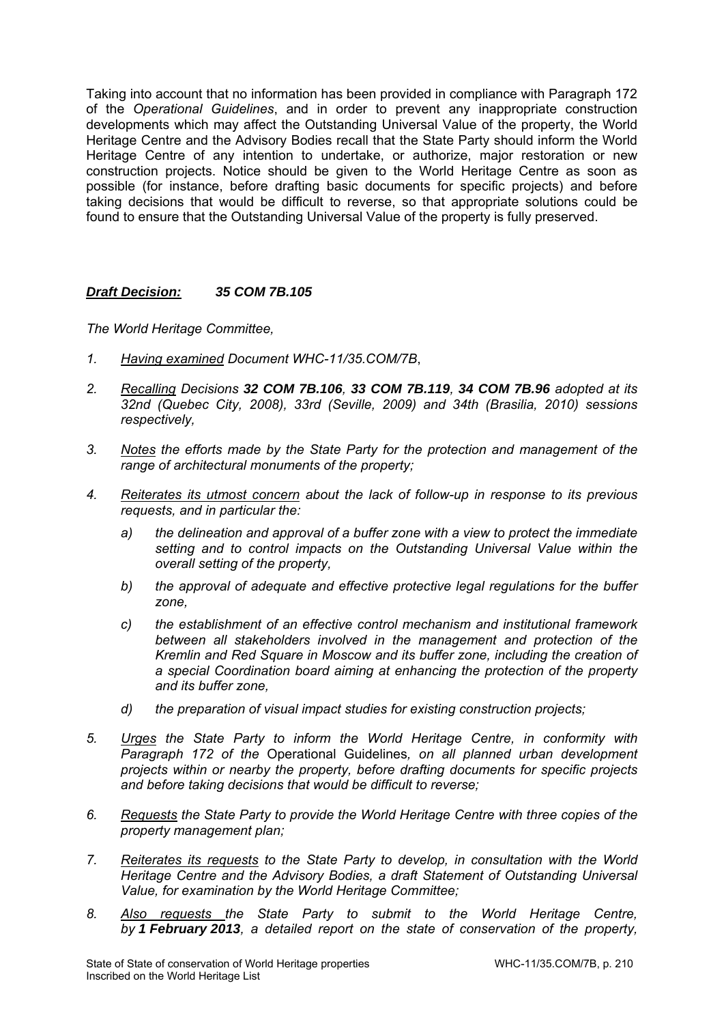Taking into account that no information has been provided in compliance with Paragraph 172 of the *Operational Guidelines*, and in order to prevent any inappropriate construction developments which may affect the Outstanding Universal Value of the property, the World Heritage Centre and the Advisory Bodies recall that the State Party should inform the World Heritage Centre of any intention to undertake, or authorize, major restoration or new construction projects. Notice should be given to the World Heritage Centre as soon as possible (for instance, before drafting basic documents for specific projects) and before taking decisions that would be difficult to reverse, so that appropriate solutions could be found to ensure that the Outstanding Universal Value of the property is fully preserved.

## *Draft Decision: 35 COM 7B.105*

*The World Heritage Committee,* 

- *1. Having examined Document WHC-11/35.COM/7B*,
- *2. Recalling Decisions 32 COM 7B.106, 33 COM 7B.119, 34 COM 7B.96 adopted at its 32nd (Quebec City, 2008), 33rd (Seville, 2009) and 34th (Brasilia, 2010) sessions respectively,*
- *3. Notes the efforts made by the State Party for the protection and management of the range of architectural monuments of the property;*
- *4. Reiterates its utmost concern about the lack of follow-up in response to its previous requests, and in particular the:* 
	- *a) the delineation and approval of a buffer zone with a view to protect the immediate setting and to control impacts on the Outstanding Universal Value within the overall setting of the property,*
	- *b) the approval of adequate and effective protective legal regulations for the buffer zone,*
	- *c) the establishment of an effective control mechanism and institutional framework between all stakeholders involved in the management and protection of the Kremlin and Red Square in Moscow and its buffer zone, including the creation of a special Coordination board aiming at enhancing the protection of the property and its buffer zone,*
	- *d) the preparation of visual impact studies for existing construction projects;*
- *5. Urges the State Party to inform the World Heritage Centre, in conformity with Paragraph 172 of the* Operational Guidelines*, on all planned urban development projects within or nearby the property, before drafting documents for specific projects and before taking decisions that would be difficult to reverse;*
- *6. Requests the State Party to provide the World Heritage Centre with three copies of the property management plan;*
- *7. Reiterates its requests to the State Party to develop, in consultation with the World Heritage Centre and the Advisory Bodies, a draft Statement of Outstanding Universal Value, for examination by the World Heritage Committee;*
- *8. Also requests the State Party to submit to the World Heritage Centre, by 1 February 2013, a detailed report on the state of conservation of the property,*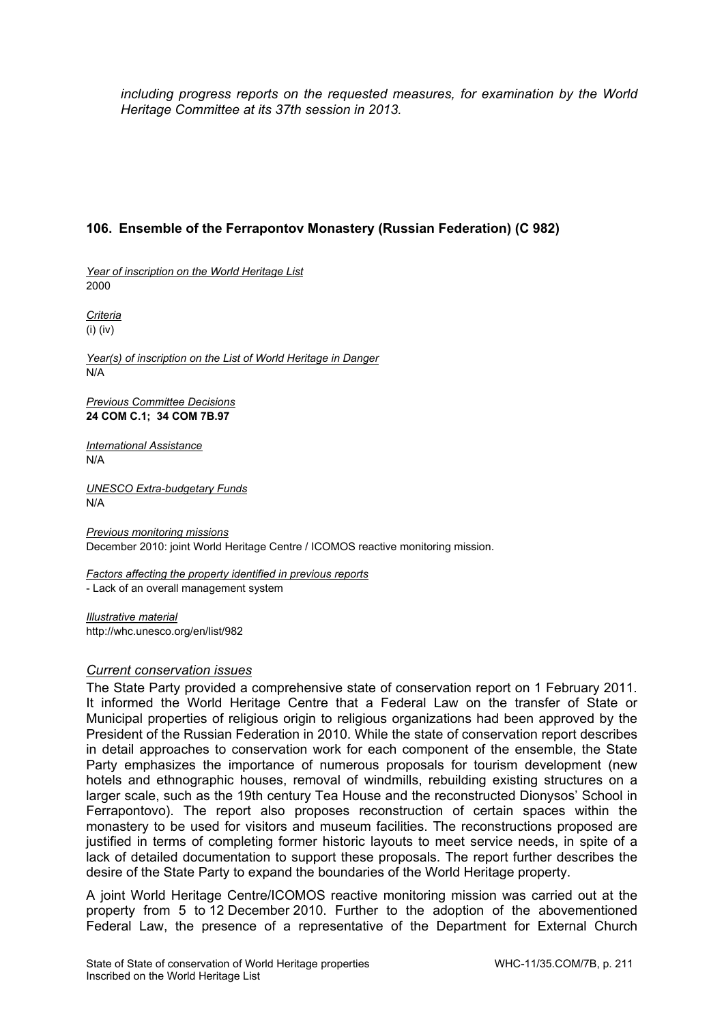*including progress reports on the requested measures, for examination by the World Heritage Committee at its 37th session in 2013.* 

# **106. Ensemble of the Ferrapontov Monastery (Russian Federation) (C 982)**

*Year of inscription on the World Heritage List*  2000

*Criteria*  (i) (iv)

*Year(s) of inscription on the List of World Heritage in Danger*  N/A

*Previous Committee Decisions*  **24 COM C.1; 34 COM 7B.97** 

*International Assistance*  N/A

*UNESCO Extra-budgetary Funds*  N/A

*Previous monitoring missions*  December 2010: joint World Heritage Centre / ICOMOS reactive monitoring mission.

*Factors affecting the property identified in previous reports*  - Lack of an overall management system

*Illustrative material*  http://whc.unesco.org/en/list/982

### *Current conservation issues*

The State Party provided a comprehensive state of conservation report on 1 February 2011. It informed the World Heritage Centre that a Federal Law on the transfer of State or Municipal properties of religious origin to religious organizations had been approved by the President of the Russian Federation in 2010. While the state of conservation report describes in detail approaches to conservation work for each component of the ensemble, the State Party emphasizes the importance of numerous proposals for tourism development (new hotels and ethnographic houses, removal of windmills, rebuilding existing structures on a larger scale, such as the 19th century Tea House and the reconstructed Dionysos' School in Ferrapontovo). The report also proposes reconstruction of certain spaces within the monastery to be used for visitors and museum facilities. The reconstructions proposed are justified in terms of completing former historic layouts to meet service needs, in spite of a lack of detailed documentation to support these proposals. The report further describes the desire of the State Party to expand the boundaries of the World Heritage property.

A joint World Heritage Centre/ICOMOS reactive monitoring mission was carried out at the property from 5 to 12 December 2010. Further to the adoption of the abovementioned Federal Law, the presence of a representative of the Department for External Church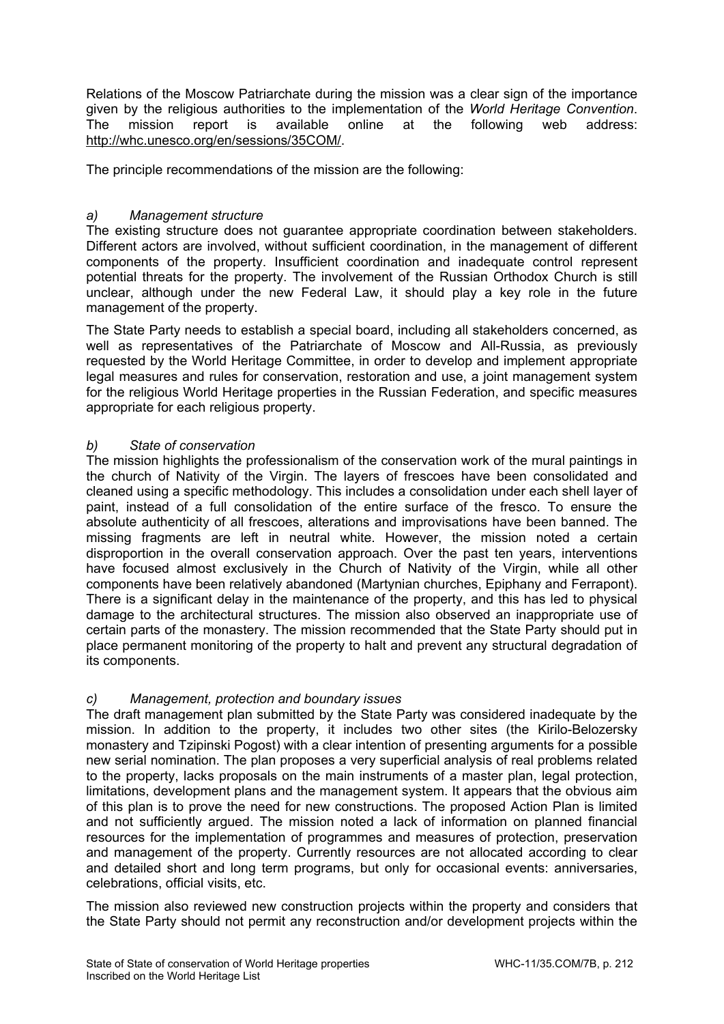Relations of the Moscow Patriarchate during the mission was a clear sign of the importance given by the religious authorities to the implementation of the *World Heritage Convention*. The mission report is available online at the following web address: http://whc.unesco.org/en/sessions/35COM/.

The principle recommendations of the mission are the following:

# *a) Management structure*

The existing structure does not guarantee appropriate coordination between stakeholders. Different actors are involved, without sufficient coordination, in the management of different components of the property. Insufficient coordination and inadequate control represent potential threats for the property. The involvement of the Russian Orthodox Church is still unclear, although under the new Federal Law, it should play a key role in the future management of the property.

The State Party needs to establish a special board, including all stakeholders concerned, as well as representatives of the Patriarchate of Moscow and All-Russia, as previously requested by the World Heritage Committee, in order to develop and implement appropriate legal measures and rules for conservation, restoration and use, a joint management system for the religious World Heritage properties in the Russian Federation, and specific measures appropriate for each religious property.

## *b) State of conservation*

The mission highlights the professionalism of the conservation work of the mural paintings in the church of Nativity of the Virgin. The layers of frescoes have been consolidated and cleaned using a specific methodology. This includes a consolidation under each shell layer of paint, instead of a full consolidation of the entire surface of the fresco. To ensure the absolute authenticity of all frescoes, alterations and improvisations have been banned. The missing fragments are left in neutral white. However, the mission noted a certain disproportion in the overall conservation approach. Over the past ten years, interventions have focused almost exclusively in the Church of Nativity of the Virgin, while all other components have been relatively abandoned (Martynian churches, Epiphany and Ferrapont). There is a significant delay in the maintenance of the property, and this has led to physical damage to the architectural structures. The mission also observed an inappropriate use of certain parts of the monastery. The mission recommended that the State Party should put in place permanent monitoring of the property to halt and prevent any structural degradation of its components.

# *c) Management, protection and boundary issues*

The draft management plan submitted by the State Party was considered inadequate by the mission. In addition to the property, it includes two other sites (the Kirilo-Belozersky monastery and Tzipinski Pogost) with a clear intention of presenting arguments for a possible new serial nomination. The plan proposes a very superficial analysis of real problems related to the property, lacks proposals on the main instruments of a master plan, legal protection, limitations, development plans and the management system. It appears that the obvious aim of this plan is to prove the need for new constructions. The proposed Action Plan is limited and not sufficiently argued. The mission noted a lack of information on planned financial resources for the implementation of programmes and measures of protection, preservation and management of the property. Currently resources are not allocated according to clear and detailed short and long term programs, but only for occasional events: anniversaries, celebrations, official visits, etc.

The mission also reviewed new construction projects within the property and considers that the State Party should not permit any reconstruction and/or development projects within the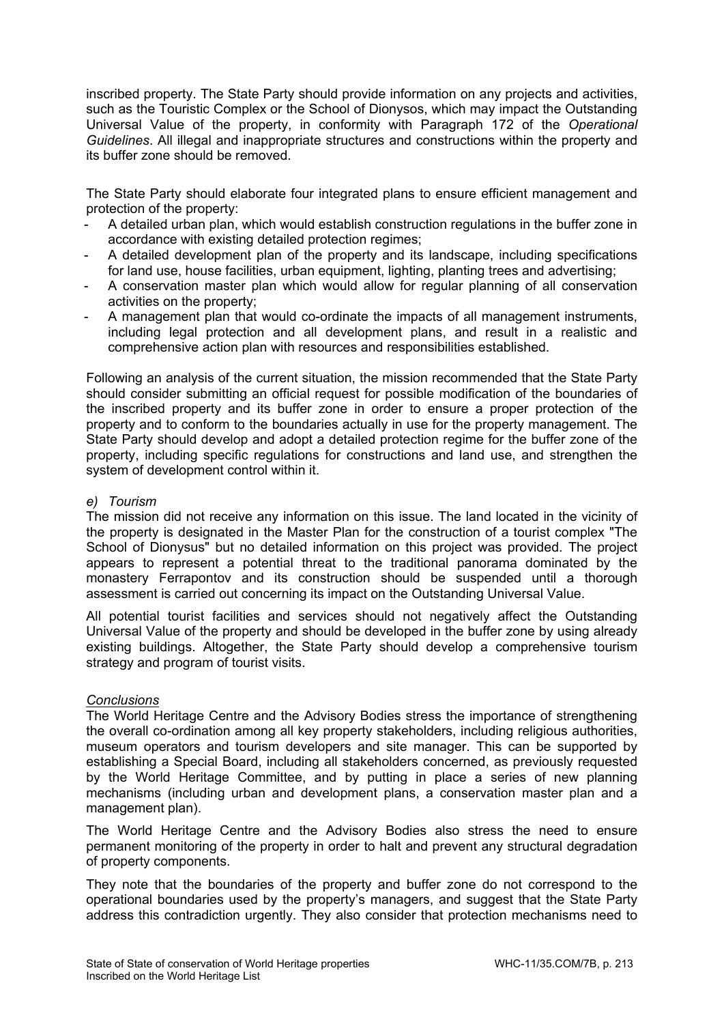inscribed property. The State Party should provide information on any projects and activities, such as the Touristic Complex or the School of Dionysos, which may impact the Outstanding Universal Value of the property, in conformity with Paragraph 172 of the *Operational Guidelines*. All illegal and inappropriate structures and constructions within the property and its buffer zone should be removed.

The State Party should elaborate four integrated plans to ensure efficient management and protection of the property:

- A detailed urban plan, which would establish construction regulations in the buffer zone in accordance with existing detailed protection regimes;
- A detailed development plan of the property and its landscape, including specifications for land use, house facilities, urban equipment, lighting, planting trees and advertising;
- A conservation master plan which would allow for regular planning of all conservation activities on the property;
- A management plan that would co-ordinate the impacts of all management instruments, including legal protection and all development plans, and result in a realistic and comprehensive action plan with resources and responsibilities established.

Following an analysis of the current situation, the mission recommended that the State Party should consider submitting an official request for possible modification of the boundaries of the inscribed property and its buffer zone in order to ensure a proper protection of the property and to conform to the boundaries actually in use for the property management. The State Party should develop and adopt a detailed protection regime for the buffer zone of the property, including specific regulations for constructions and land use, and strengthen the system of development control within it.

## *e) Tourism*

The mission did not receive any information on this issue. The land located in the vicinity of the property is designated in the Master Plan for the construction of a tourist complex "The School of Dionysus" but no detailed information on this project was provided. The project appears to represent a potential threat to the traditional panorama dominated by the monastery Ferrapontov and its construction should be suspended until a thorough assessment is carried out concerning its impact on the Outstanding Universal Value.

All potential tourist facilities and services should not negatively affect the Outstanding Universal Value of the property and should be developed in the buffer zone by using already existing buildings. Altogether, the State Party should develop a comprehensive tourism strategy and program of tourist visits.

## *Conclusions*

The World Heritage Centre and the Advisory Bodies stress the importance of strengthening the overall co-ordination among all key property stakeholders, including religious authorities, museum operators and tourism developers and site manager. This can be supported by establishing a Special Board, including all stakeholders concerned, as previously requested by the World Heritage Committee, and by putting in place a series of new planning mechanisms (including urban and development plans, a conservation master plan and a management plan).

The World Heritage Centre and the Advisory Bodies also stress the need to ensure permanent monitoring of the property in order to halt and prevent any structural degradation of property components.

They note that the boundaries of the property and buffer zone do not correspond to the operational boundaries used by the property's managers, and suggest that the State Party address this contradiction urgently. They also consider that protection mechanisms need to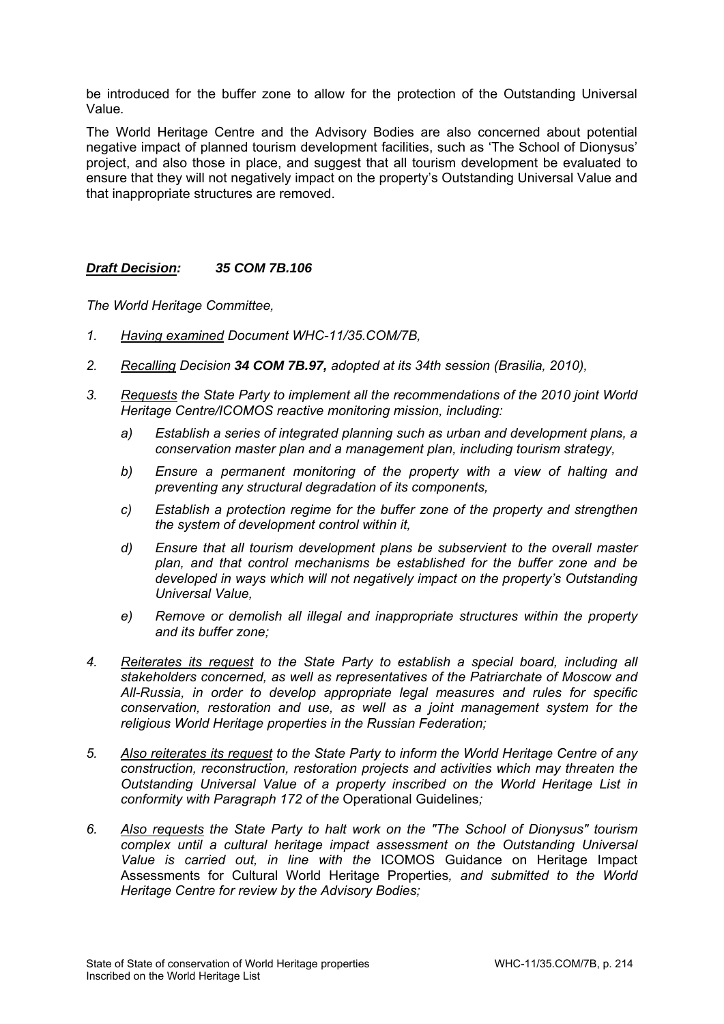be introduced for the buffer zone to allow for the protection of the Outstanding Universal Value*.*

The World Heritage Centre and the Advisory Bodies are also concerned about potential negative impact of planned tourism development facilities, such as 'The School of Dionysus' project, and also those in place, and suggest that all tourism development be evaluated to ensure that they will not negatively impact on the property's Outstanding Universal Value and that inappropriate structures are removed.

## *Draft Decision: 35 COM 7B.106*

*The World Heritage Committee,* 

- *1. Having examined Document WHC-11/35.COM/7B,*
- *2. Recalling Decision 34 COM 7B.97, adopted at its 34th session (Brasilia, 2010),*
- *3. Requests the State Party to implement all the recommendations of the 2010 joint World Heritage Centre/ICOMOS reactive monitoring mission, including:* 
	- *a) Establish a series of integrated planning such as urban and development plans, a conservation master plan and a management plan, including tourism strategy,*
	- *b) Ensure a permanent monitoring of the property with a view of halting and preventing any structural degradation of its components,*
	- *c) Establish a protection regime for the buffer zone of the property and strengthen the system of development control within it,*
	- *d) Ensure that all tourism development plans be subservient to the overall master plan, and that control mechanisms be established for the buffer zone and be developed in ways which will not negatively impact on the property's Outstanding Universal Value,*
	- *e) Remove or demolish all illegal and inappropriate structures within the property and its buffer zone;*
- *4. Reiterates its request to the State Party to establish a special board, including all stakeholders concerned, as well as representatives of the Patriarchate of Moscow and All-Russia, in order to develop appropriate legal measures and rules for specific conservation, restoration and use, as well as a joint management system for the religious World Heritage properties in the Russian Federation;*
- *5. Also reiterates its request to the State Party to inform the World Heritage Centre of any construction, reconstruction, restoration projects and activities which may threaten the Outstanding Universal Value of a property inscribed on the World Heritage List in conformity with Paragraph 172 of the* Operational Guidelines*;*
- *6. Also requests the State Party to halt work on the "The School of Dionysus" tourism complex until a cultural heritage impact assessment on the Outstanding Universal Value is carried out, in line with the* ICOMOS Guidance on Heritage Impact Assessments for Cultural World Heritage Properties*, and submitted to the World Heritage Centre for review by the Advisory Bodies;*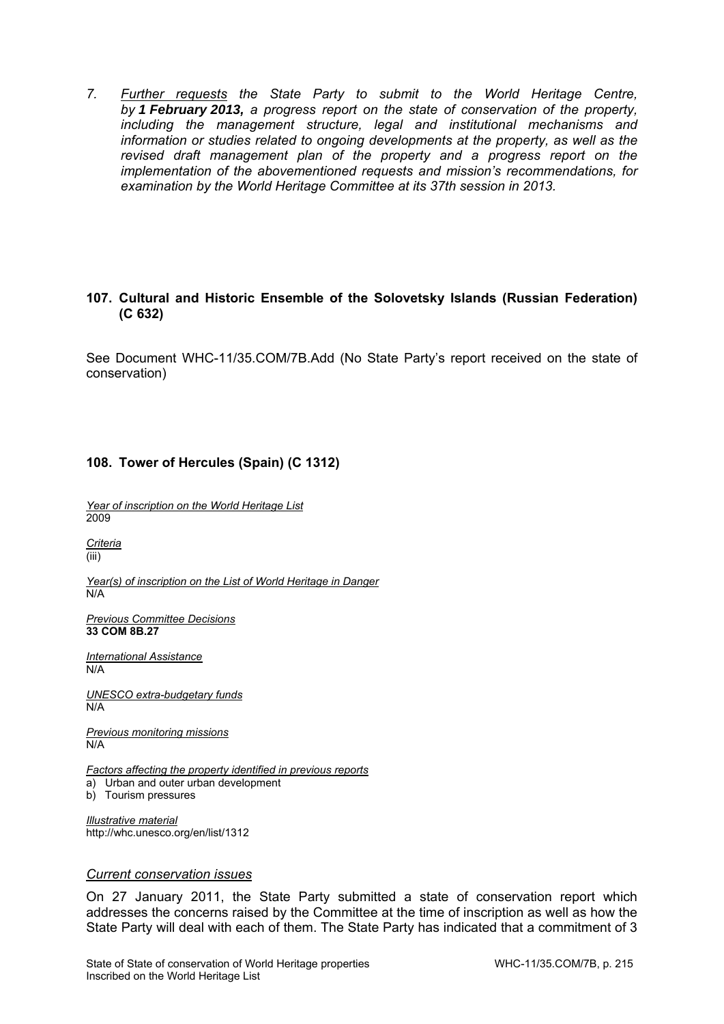*7. Further requests the State Party to submit to the World Heritage Centre, by 1 February 2013, a progress report on the state of conservation of the property, including the management structure, legal and institutional mechanisms and information or studies related to ongoing developments at the property, as well as the*  revised draft management plan of the property and a progress report on the *implementation of the abovementioned requests and mission's recommendations, for examination by the World Heritage Committee at its 37th session in 2013.* 

## **107. Cultural and Historic Ensemble of the Solovetsky Islands (Russian Federation) (C 632)**

See Document WHC-11/35.COM/7B.Add (No State Party's report received on the state of conservation)

## **108. Tower of Hercules (Spain) (C 1312)**

*Year of inscription on the World Heritage List*  2009

*Criteria*  (iii)

*Year(s) of inscription on the List of World Heritage in Danger*   $N/A$ 

*Previous Committee Decisions*  **33 COM 8B.27** 

*International Assistance*  N/A

*UNESCO extra-budgetary funds*  N/A

*Previous monitoring missions*  N/A

*Factors affecting the property identified in previous reports*  a) Urban and outer urban development b) Tourism pressures

*Illustrative material*  http://whc.unesco.org/en/list/1312

### *Current conservation issues*

On 27 January 2011, the State Party submitted a state of conservation report which addresses the concerns raised by the Committee at the time of inscription as well as how the State Party will deal with each of them. The State Party has indicated that a commitment of 3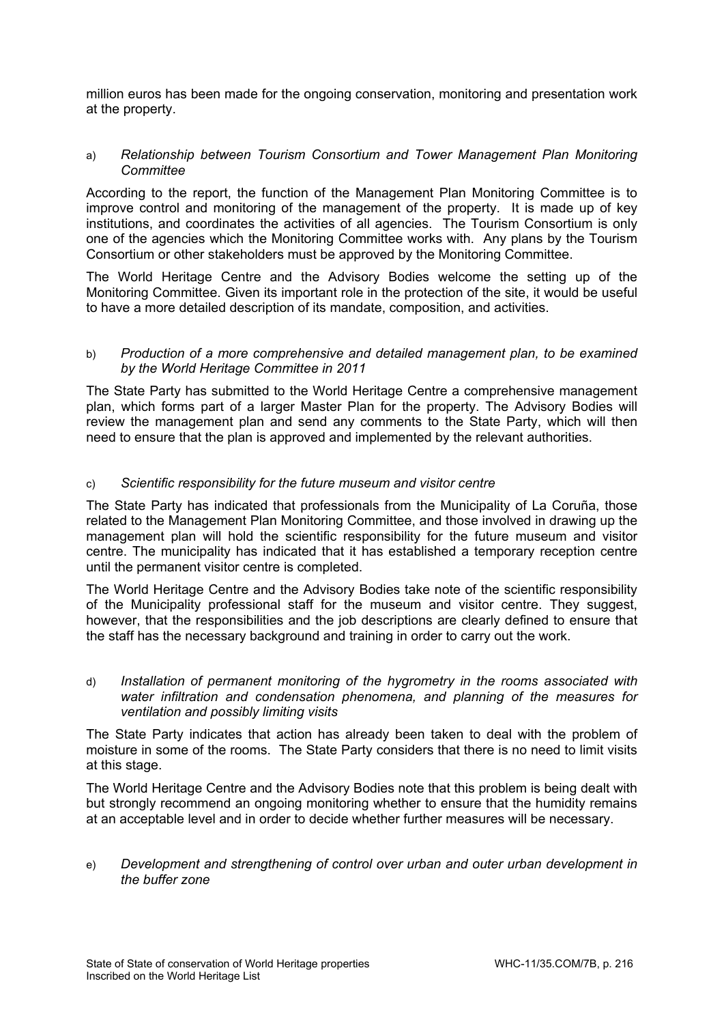million euros has been made for the ongoing conservation, monitoring and presentation work at the property.

#### a) *Relationship between Tourism Consortium and Tower Management Plan Monitoring Committee*

According to the report, the function of the Management Plan Monitoring Committee is to improve control and monitoring of the management of the property. It is made up of key institutions, and coordinates the activities of all agencies. The Tourism Consortium is only one of the agencies which the Monitoring Committee works with. Any plans by the Tourism Consortium or other stakeholders must be approved by the Monitoring Committee.

The World Heritage Centre and the Advisory Bodies welcome the setting up of the Monitoring Committee. Given its important role in the protection of the site, it would be useful to have a more detailed description of its mandate, composition, and activities.

#### b) *Production of a more comprehensive and detailed management plan, to be examined by the World Heritage Committee in 2011*

The State Party has submitted to the World Heritage Centre a comprehensive management plan, which forms part of a larger Master Plan for the property. The Advisory Bodies will review the management plan and send any comments to the State Party, which will then need to ensure that the plan is approved and implemented by the relevant authorities.

#### c) *Scientific responsibility for the future museum and visitor centre*

The State Party has indicated that professionals from the Municipality of La Coruña, those related to the Management Plan Monitoring Committee, and those involved in drawing up the management plan will hold the scientific responsibility for the future museum and visitor centre. The municipality has indicated that it has established a temporary reception centre until the permanent visitor centre is completed.

The World Heritage Centre and the Advisory Bodies take note of the scientific responsibility of the Municipality professional staff for the museum and visitor centre. They suggest, however, that the responsibilities and the job descriptions are clearly defined to ensure that the staff has the necessary background and training in order to carry out the work.

d) *Installation of permanent monitoring of the hygrometry in the rooms associated with water infiltration and condensation phenomena, and planning of the measures for ventilation and possibly limiting visits*

The State Party indicates that action has already been taken to deal with the problem of moisture in some of the rooms. The State Party considers that there is no need to limit visits at this stage.

The World Heritage Centre and the Advisory Bodies note that this problem is being dealt with but strongly recommend an ongoing monitoring whether to ensure that the humidity remains at an acceptable level and in order to decide whether further measures will be necessary.

e) *Development and strengthening of control over urban and outer urban development in the buffer zone*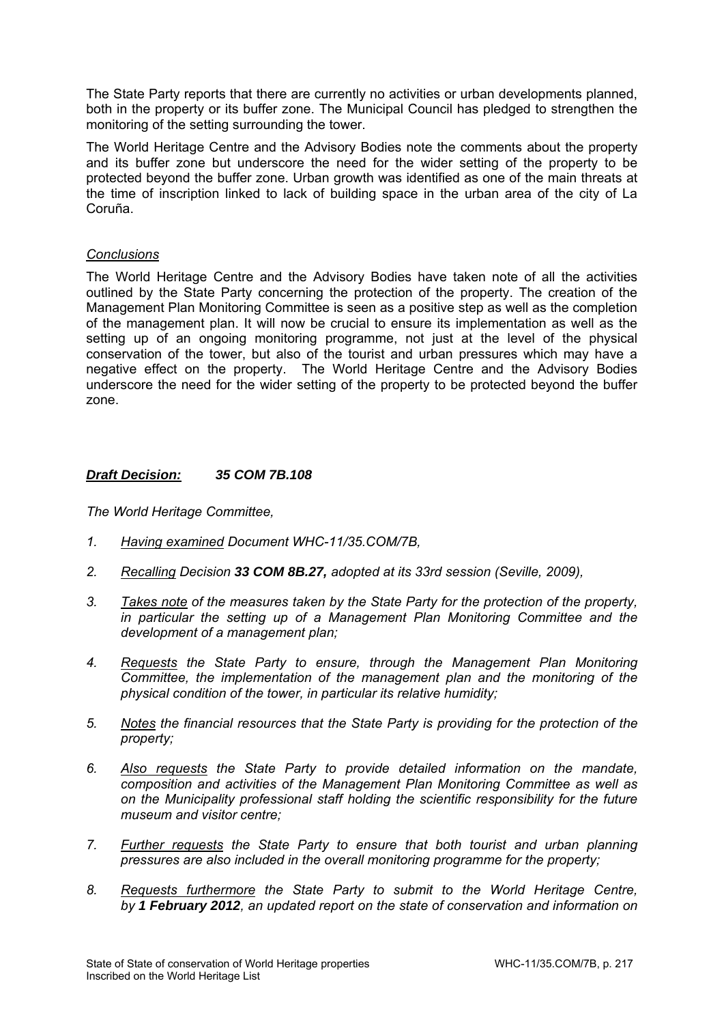The State Party reports that there are currently no activities or urban developments planned, both in the property or its buffer zone. The Municipal Council has pledged to strengthen the monitoring of the setting surrounding the tower.

The World Heritage Centre and the Advisory Bodies note the comments about the property and its buffer zone but underscore the need for the wider setting of the property to be protected beyond the buffer zone. Urban growth was identified as one of the main threats at the time of inscription linked to lack of building space in the urban area of the city of La Coruña.

#### *Conclusions*

The World Heritage Centre and the Advisory Bodies have taken note of all the activities outlined by the State Party concerning the protection of the property. The creation of the Management Plan Monitoring Committee is seen as a positive step as well as the completion of the management plan. It will now be crucial to ensure its implementation as well as the setting up of an ongoing monitoring programme, not just at the level of the physical conservation of the tower, but also of the tourist and urban pressures which may have a negative effect on the property. The World Heritage Centre and the Advisory Bodies underscore the need for the wider setting of the property to be protected beyond the buffer zone.

## *Draft Decision: 35 COM 7B.108*

- *1. Having examined Document WHC-11/35.COM/7B,*
- *2. Recalling Decision 33 COM 8B.27, adopted at its 33rd session (Seville, 2009),*
- *3. Takes note of the measures taken by the State Party for the protection of the property, in particular the setting up of a Management Plan Monitoring Committee and the development of a management plan;*
- *4. Requests the State Party to ensure, through the Management Plan Monitoring Committee, the implementation of the management plan and the monitoring of the physical condition of the tower, in particular its relative humidity;*
- *5. Notes the financial resources that the State Party is providing for the protection of the property;*
- *6. Also requests the State Party to provide detailed information on the mandate, composition and activities of the Management Plan Monitoring Committee as well as on the Municipality professional staff holding the scientific responsibility for the future museum and visitor centre;*
- *7. Further requests the State Party to ensure that both tourist and urban planning pressures are also included in the overall monitoring programme for the property;*
- *8. Requests furthermore the State Party to submit to the World Heritage Centre, by 1 February 2012, an updated report on the state of conservation and information on*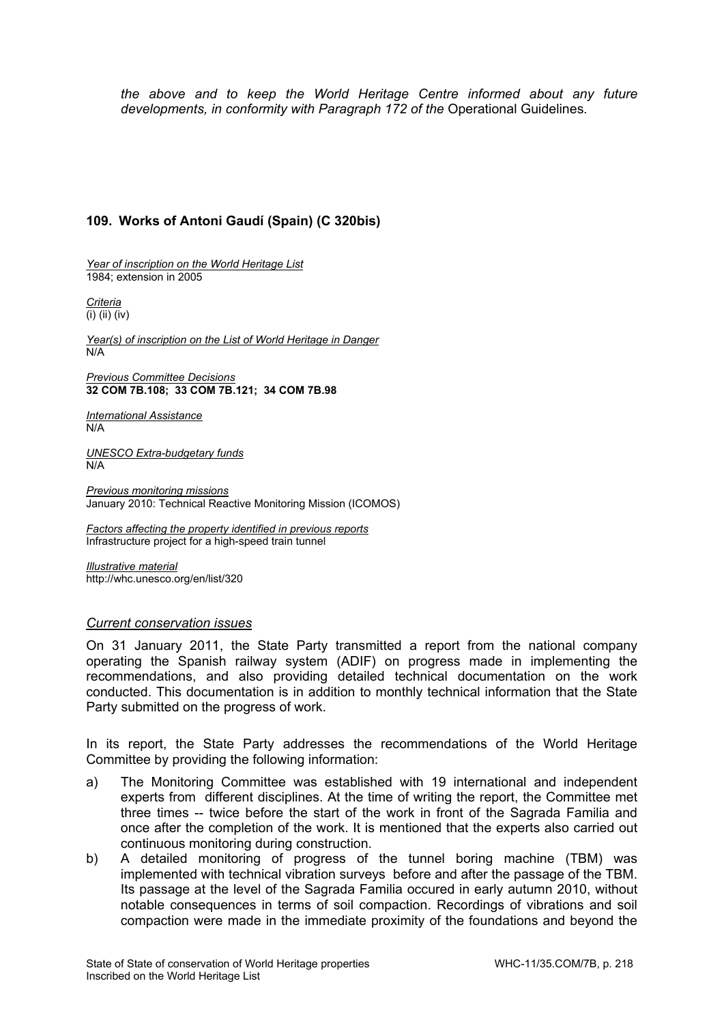*the above and to keep the World Heritage Centre informed about any future developments, in conformity with Paragraph 172 of the* Operational Guidelines*.* 

# **109. Works of Antoni Gaudí (Spain) (C 320bis)**

*Year of inscription on the World Heritage List*  1984; extension in 2005

*Criteria*   $\overline{(i)}$  (ii)  $\overline{(iv)}$ 

*Year(s) of inscription on the List of World Heritage in Danger*  N/A

*Previous Committee Decisions*  **32 COM 7B.108; 33 COM 7B.121; 34 COM 7B.98** 

*International Assistance*  N/A

*UNESCO Extra-budgetary funds*  N/A

*Previous monitoring missions*  January 2010: Technical Reactive Monitoring Mission (ICOMOS)

*Factors affecting the property identified in previous reports*  Infrastructure project for a high-speed train tunnel

*Illustrative material*  http://whc.unesco.org/en/list/320

#### *Current conservation issues*

On 31 January 2011, the State Party transmitted a report from the national company operating the Spanish railway system (ADIF) on progress made in implementing the recommendations, and also providing detailed technical documentation on the work conducted. This documentation is in addition to monthly technical information that the State Party submitted on the progress of work.

In its report, the State Party addresses the recommendations of the World Heritage Committee by providing the following information:

- a) The Monitoring Committee was established with 19 international and independent experts from different disciplines. At the time of writing the report, the Committee met three times -- twice before the start of the work in front of the Sagrada Familia and once after the completion of the work. It is mentioned that the experts also carried out continuous monitoring during construction.
- b) A detailed monitoring of progress of the tunnel boring machine (TBM) was implemented with technical vibration surveys before and after the passage of the TBM. Its passage at the level of the Sagrada Familia occured in early autumn 2010, without notable consequences in terms of soil compaction. Recordings of vibrations and soil compaction were made in the immediate proximity of the foundations and beyond the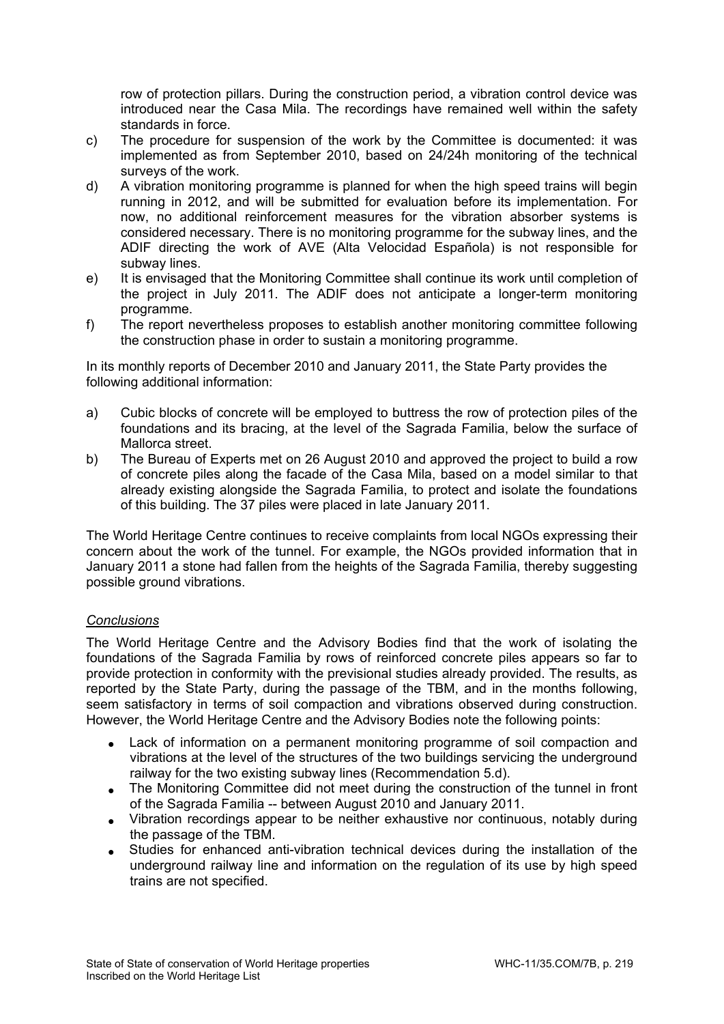row of protection pillars. During the construction period, a vibration control device was introduced near the Casa Mila. The recordings have remained well within the safety standards in force.

- c) The procedure for suspension of the work by the Committee is documented: it was implemented as from September 2010, based on 24/24h monitoring of the technical surveys of the work.
- d) A vibration monitoring programme is planned for when the high speed trains will begin running in 2012, and will be submitted for evaluation before its implementation. For now, no additional reinforcement measures for the vibration absorber systems is considered necessary. There is no monitoring programme for the subway lines, and the ADIF directing the work of AVE (Alta Velocidad Española) is not responsible for subway lines.
- e) It is envisaged that the Monitoring Committee shall continue its work until completion of the project in July 2011. The ADIF does not anticipate a longer-term monitoring programme.
- f) The report nevertheless proposes to establish another monitoring committee following the construction phase in order to sustain a monitoring programme.

In its monthly reports of December 2010 and January 2011, the State Party provides the following additional information:

- a) Cubic blocks of concrete will be employed to buttress the row of protection piles of the foundations and its bracing, at the level of the Sagrada Familia, below the surface of Mallorca street.
- b) The Bureau of Experts met on 26 August 2010 and approved the project to build a row of concrete piles along the facade of the Casa Mila, based on a model similar to that already existing alongside the Sagrada Familia, to protect and isolate the foundations of this building. The 37 piles were placed in late January 2011.

The World Heritage Centre continues to receive complaints from local NGOs expressing their concern about the work of the tunnel. For example, the NGOs provided information that in January 2011 a stone had fallen from the heights of the Sagrada Familia, thereby suggesting possible ground vibrations.

## *Conclusions*

The World Heritage Centre and the Advisory Bodies find that the work of isolating the foundations of the Sagrada Familia by rows of reinforced concrete piles appears so far to provide protection in conformity with the previsional studies already provided. The results, as reported by the State Party, during the passage of the TBM, and in the months following, seem satisfactory in terms of soil compaction and vibrations observed during construction. However, the World Heritage Centre and the Advisory Bodies note the following points:

- Lack of information on a permanent monitoring programme of soil compaction and vibrations at the level of the structures of the two buildings servicing the underground railway for the two existing subway lines (Recommendation 5.d).
- The Monitoring Committee did not meet during the construction of the tunnel in front of the Sagrada Familia -- between August 2010 and January 2011.
- Vibration recordings appear to be neither exhaustive nor continuous, notably during the passage of the TBM.
- Studies for enhanced anti-vibration technical devices during the installation of the underground railway line and information on the regulation of its use by high speed trains are not specified.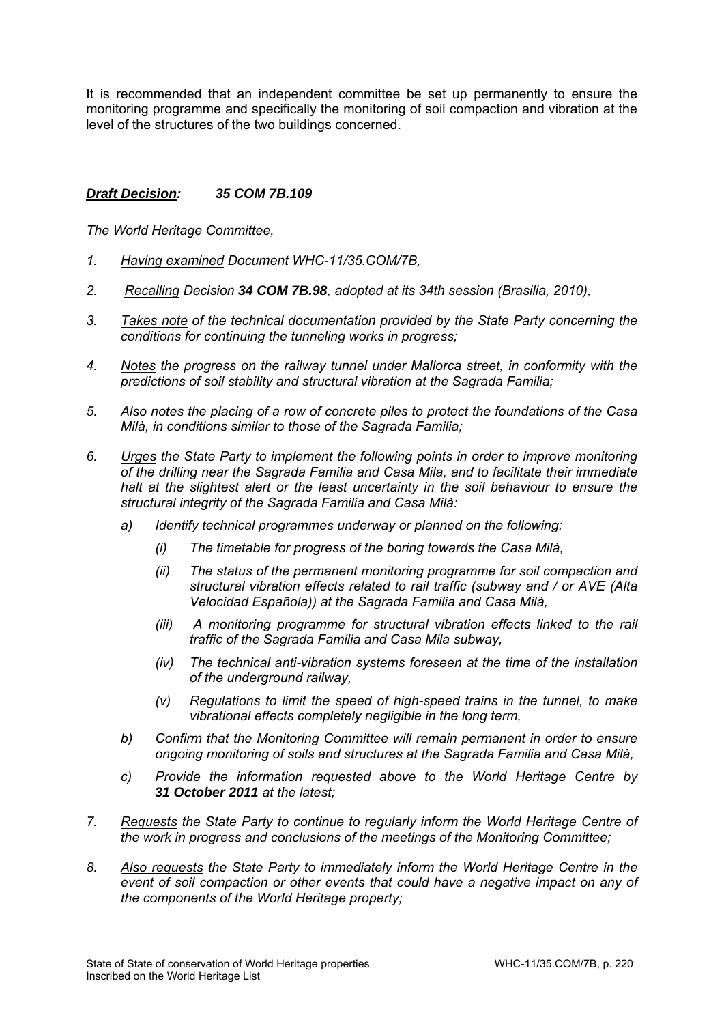It is recommended that an independent committee be set up permanently to ensure the monitoring programme and specifically the monitoring of soil compaction and vibration at the level of the structures of the two buildings concerned.

## *Draft Decision: 35 COM 7B.109*

- *1. Having examined Document WHC-11/35.COM/7B,*
- *2. Recalling Decision 34 COM 7B.98, adopted at its 34th session (Brasilia, 2010),*
- *3. Takes note of the technical documentation provided by the State Party concerning the conditions for continuing the tunneling works in progress;*
- *4. Notes the progress on the railway tunnel under Mallorca street, in conformity with the predictions of soil stability and structural vibration at the Sagrada Familia;*
- *5. Also notes the placing of a row of concrete piles to protect the foundations of the Casa Milà, in conditions similar to those of the Sagrada Familia;*
- *6. Urges the State Party to implement the following points in order to improve monitoring of the drilling near the Sagrada Familia and Casa Mila, and to facilitate their immediate halt at the slightest alert or the least uncertainty in the soil behaviour to ensure the structural integrity of the Sagrada Familia and Casa Milà:* 
	- *a) Identify technical programmes underway or planned on the following:* 
		- *(i) The timetable for progress of the boring towards the Casa Milà,*
		- *(ii) The status of the permanent monitoring programme for soil compaction and structural vibration effects related to rail traffic (subway and / or AVE (Alta Velocidad Española)) at the Sagrada Familia and Casa Milà,*
		- *(iii)* A monitoring programme for structural vibration effects linked to the rail *traffic of the Sagrada Familia and Casa Mila subway,*
		- *(iv) The technical anti-vibration systems foreseen at the time of the installation of the underground railway,*
		- *(v) Regulations to limit the speed of high-speed trains in the tunnel, to make vibrational effects completely negligible in the long term,*
	- *b) Confirm that the Monitoring Committee will remain permanent in order to ensure ongoing monitoring of soils and structures at the Sagrada Familia and Casa Milà,*
	- *c) Provide the information requested above to the World Heritage Centre by 31 October 2011 at the latest;*
- *7. Requests the State Party to continue to regularly inform the World Heritage Centre of the work in progress and conclusions of the meetings of the Monitoring Committee;*
- *8. Also requests the State Party to immediately inform the World Heritage Centre in the event of soil compaction or other events that could have a negative impact on any of the components of the World Heritage property;*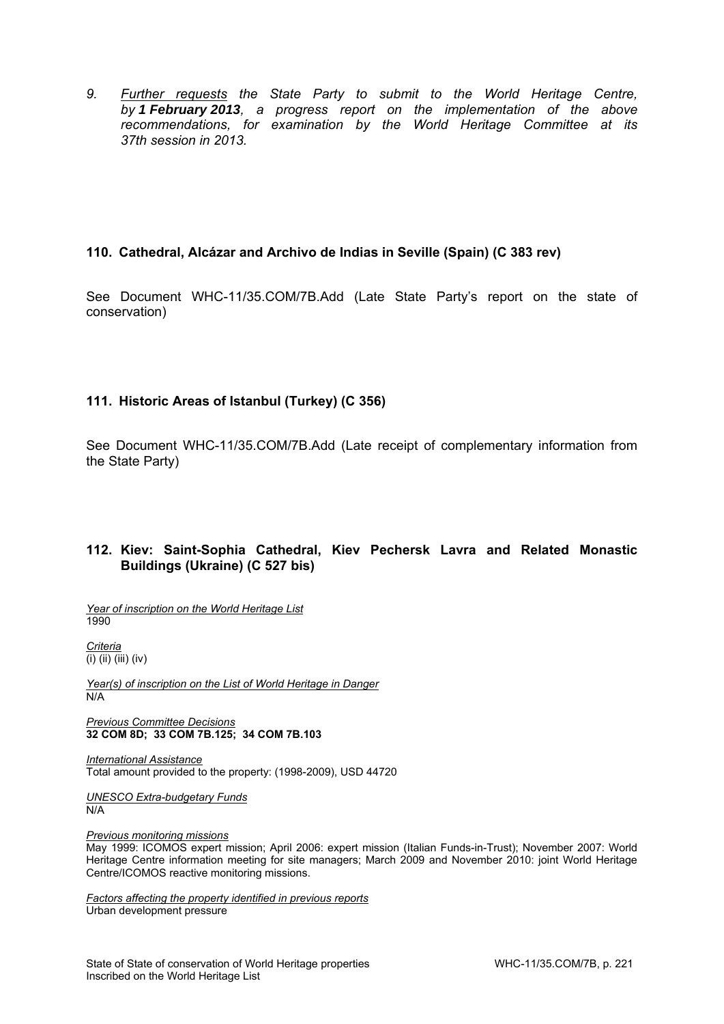*9. Further requests the State Party to submit to the World Heritage Centre, by 1 February 2013, a progress report on the implementation of the above recommendations, for examination by the World Heritage Committee at its 37th session in 2013.* 

#### **110. Cathedral, Alcázar and Archivo de Indias in Seville (Spain) (C 383 rev)**

See Document WHC-11/35.COM/7B.Add (Late State Party's report on the state of conservation)

## **111. Historic Areas of Istanbul (Turkey) (C 356)**

See Document WHC-11/35.COM/7B.Add (Late receipt of complementary information from the State Party)

#### **112. Kiev: Saint-Sophia Cathedral, Kiev Pechersk Lavra and Related Monastic Buildings (Ukraine) (C 527 bis)**

*Year of inscription on the World Heritage List*  1990

*Criteria*   $\overline{(\mathsf{i})\}$  (iii) (iv)

*Year(s) of inscription on the List of World Heritage in Danger*  N/A

*Previous Committee Decisions*  **32 COM 8D; 33 COM 7B.125; 34 COM 7B.103**

*International Assistance*  Total amount provided to the property: (1998-2009), USD 44720

*UNESCO Extra-budgetary Funds*  N/A

*Previous monitoring missions* 

May 1999: ICOMOS expert mission; April 2006: expert mission (Italian Funds-in-Trust); November 2007: World Heritage Centre information meeting for site managers; March 2009 and November 2010: joint World Heritage Centre/ICOMOS reactive monitoring missions.

*Factors affecting the property identified in previous reports*  Urban development pressure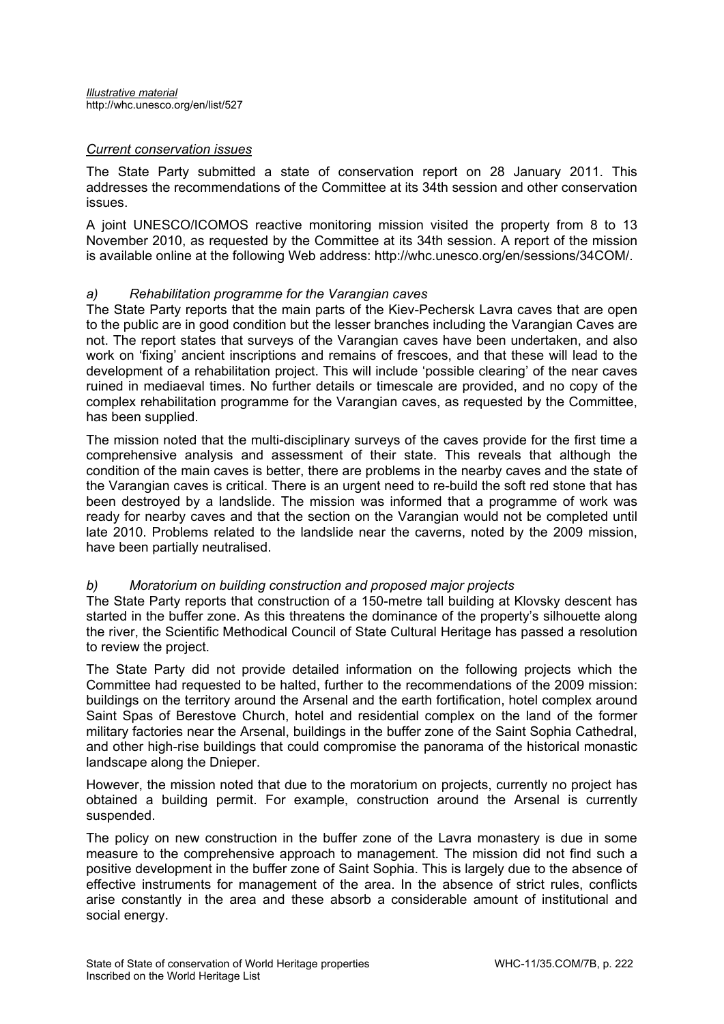#### *Current conservation issues*

The State Party submitted a state of conservation report on 28 January 2011. This addresses the recommendations of the Committee at its 34th session and other conservation issues.

A joint UNESCO/ICOMOS reactive monitoring mission visited the property from 8 to 13 November 2010, as requested by the Committee at its 34th session. A report of the mission is available online at the following Web address: http://whc.unesco.org/en/sessions/34COM/.

#### *a) Rehabilitation programme for the Varangian caves*

The State Party reports that the main parts of the Kiev-Pechersk Lavra caves that are open to the public are in good condition but the lesser branches including the Varangian Caves are not. The report states that surveys of the Varangian caves have been undertaken, and also work on 'fixing' ancient inscriptions and remains of frescoes, and that these will lead to the development of a rehabilitation project. This will include 'possible clearing' of the near caves ruined in mediaeval times. No further details or timescale are provided, and no copy of the complex rehabilitation programme for the Varangian caves, as requested by the Committee, has been supplied.

The mission noted that the multi-disciplinary surveys of the caves provide for the first time a comprehensive analysis and assessment of their state. This reveals that although the condition of the main caves is better, there are problems in the nearby caves and the state of the Varangian caves is critical. There is an urgent need to re-build the soft red stone that has been destroyed by a landslide. The mission was informed that a programme of work was ready for nearby caves and that the section on the Varangian would not be completed until late 2010. Problems related to the landslide near the caverns, noted by the 2009 mission, have been partially neutralised.

## *b) Moratorium on building construction and proposed major projects*

The State Party reports that construction of a 150-metre tall building at Klovsky descent has started in the buffer zone. As this threatens the dominance of the property's silhouette along the river, the Scientific Methodical Council of State Cultural Heritage has passed a resolution to review the project.

The State Party did not provide detailed information on the following projects which the Committee had requested to be halted, further to the recommendations of the 2009 mission: buildings on the territory around the Arsenal and the earth fortification, hotel complex around Saint Spas of Berestove Church, hotel and residential complex on the land of the former military factories near the Arsenal, buildings in the buffer zone of the Saint Sophia Cathedral, and other high-rise buildings that could compromise the panorama of the historical monastic landscape along the Dnieper.

However, the mission noted that due to the moratorium on projects, currently no project has obtained a building permit. For example, construction around the Arsenal is currently suspended.

The policy on new construction in the buffer zone of the Lavra monastery is due in some measure to the comprehensive approach to management. The mission did not find such a positive development in the buffer zone of Saint Sophia. This is largely due to the absence of effective instruments for management of the area. In the absence of strict rules, conflicts arise constantly in the area and these absorb a considerable amount of institutional and social energy.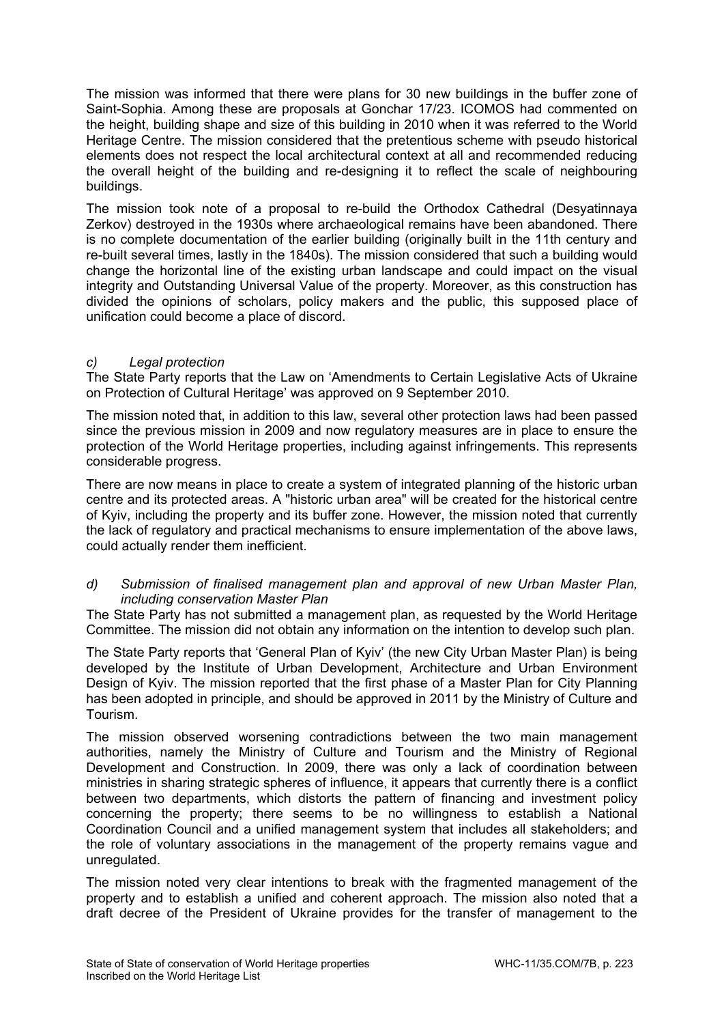The mission was informed that there were plans for 30 new buildings in the buffer zone of Saint-Sophia. Among these are proposals at Gonchar 17/23. ICOMOS had commented on the height, building shape and size of this building in 2010 when it was referred to the World Heritage Centre. The mission considered that the pretentious scheme with pseudo historical elements does not respect the local architectural context at all and recommended reducing the overall height of the building and re-designing it to reflect the scale of neighbouring buildings.

The mission took note of a proposal to re-build the Orthodox Cathedral (Desyatinnaya Zerkov) destroyed in the 1930s where archaeological remains have been abandoned. There is no complete documentation of the earlier building (originally built in the 11th century and re-built several times, lastly in the 1840s). The mission considered that such a building would change the horizontal line of the existing urban landscape and could impact on the visual integrity and Outstanding Universal Value of the property. Moreover, as this construction has divided the opinions of scholars, policy makers and the public, this supposed place of unification could become a place of discord.

# *c) Legal protection*

The State Party reports that the Law on 'Amendments to Certain Legislative Acts of Ukraine on Protection of Cultural Heritage' was approved on 9 September 2010.

The mission noted that, in addition to this law, several other protection laws had been passed since the previous mission in 2009 and now regulatory measures are in place to ensure the protection of the World Heritage properties, including against infringements. This represents considerable progress.

There are now means in place to create a system of integrated planning of the historic urban centre and its protected areas. A "historic urban area" will be created for the historical centre of Kyiv, including the property and its buffer zone. However, the mission noted that currently the lack of regulatory and practical mechanisms to ensure implementation of the above laws, could actually render them inefficient.

#### *d) Submission of finalised management plan and approval of new Urban Master Plan, including conservation Master Plan*

The State Party has not submitted a management plan, as requested by the World Heritage Committee. The mission did not obtain any information on the intention to develop such plan.

The State Party reports that 'General Plan of Kyiv' (the new City Urban Master Plan) is being developed by the Institute of Urban Development, Architecture and Urban Environment Design of Kyiv. The mission reported that the first phase of a Master Plan for City Planning has been adopted in principle, and should be approved in 2011 by the Ministry of Culture and Tourism.

The mission observed worsening contradictions between the two main management authorities, namely the Ministry of Culture and Tourism and the Ministry of Regional Development and Construction. In 2009, there was only a lack of coordination between ministries in sharing strategic spheres of influence, it appears that currently there is a conflict between two departments, which distorts the pattern of financing and investment policy concerning the property; there seems to be no willingness to establish a National Coordination Council and a unified management system that includes all stakeholders; and the role of voluntary associations in the management of the property remains vague and unregulated.

The mission noted very clear intentions to break with the fragmented management of the property and to establish a unified and coherent approach. The mission also noted that a draft decree of the President of Ukraine provides for the transfer of management to the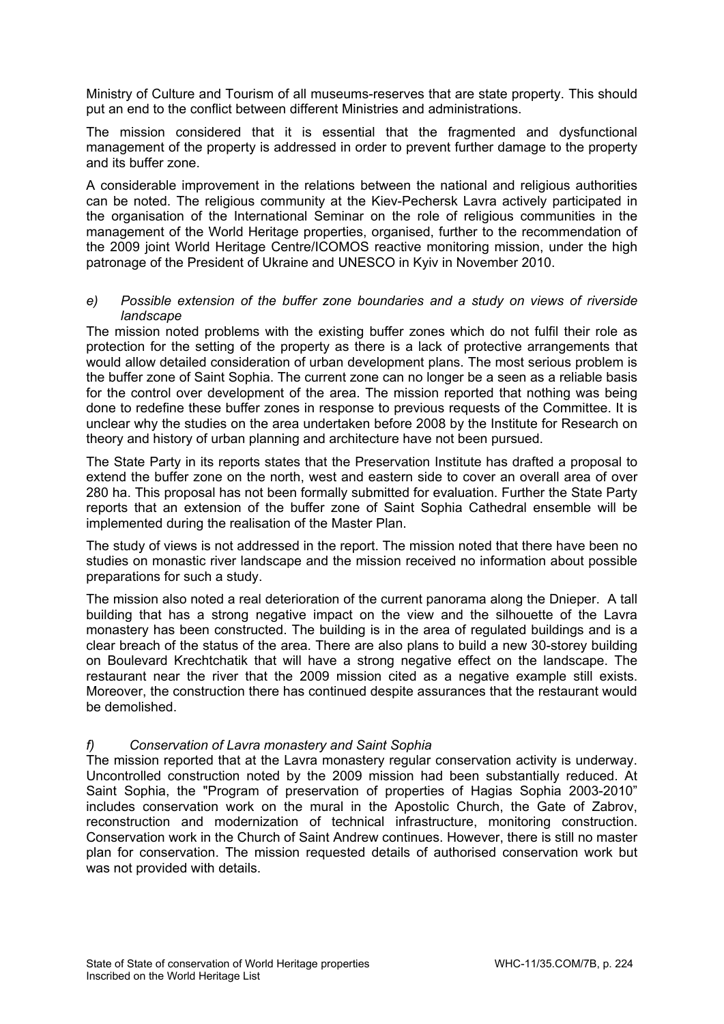Ministry of Culture and Tourism of all museums-reserves that are state property. This should put an end to the conflict between different Ministries and administrations.

The mission considered that it is essential that the fragmented and dysfunctional management of the property is addressed in order to prevent further damage to the property and its buffer zone.

A considerable improvement in the relations between the national and religious authorities can be noted. The religious community at the Kiev-Pechersk Lavra actively participated in the organisation of the International Seminar on the role of religious communities in the management of the World Heritage properties, organised, further to the recommendation of the 2009 joint World Heritage Centre/ICOMOS reactive monitoring mission, under the high patronage of the President of Ukraine and UNESCO in Kyiv in November 2010.

#### *e) Possible extension of the buffer zone boundaries and a study on views of riverside landscape*

The mission noted problems with the existing buffer zones which do not fulfil their role as protection for the setting of the property as there is a lack of protective arrangements that would allow detailed consideration of urban development plans. The most serious problem is the buffer zone of Saint Sophia. The current zone can no longer be a seen as a reliable basis for the control over development of the area. The mission reported that nothing was being done to redefine these buffer zones in response to previous requests of the Committee. It is unclear why the studies on the area undertaken before 2008 by the Institute for Research on theory and history of urban planning and architecture have not been pursued.

The State Party in its reports states that the Preservation Institute has drafted a proposal to extend the buffer zone on the north, west and eastern side to cover an overall area of over 280 ha. This proposal has not been formally submitted for evaluation. Further the State Party reports that an extension of the buffer zone of Saint Sophia Cathedral ensemble will be implemented during the realisation of the Master Plan.

The study of views is not addressed in the report. The mission noted that there have been no studies on monastic river landscape and the mission received no information about possible preparations for such a study.

The mission also noted a real deterioration of the current panorama along the Dnieper. A tall building that has a strong negative impact on the view and the silhouette of the Lavra monastery has been constructed. The building is in the area of regulated buildings and is a clear breach of the status of the area. There are also plans to build a new 30-storey building on Boulevard Krechtchatik that will have a strong negative effect on the landscape. The restaurant near the river that the 2009 mission cited as a negative example still exists. Moreover, the construction there has continued despite assurances that the restaurant would be demolished.

## *f) Conservation of Lavra monastery and Saint Sophia*

The mission reported that at the Lavra monastery regular conservation activity is underway. Uncontrolled construction noted by the 2009 mission had been substantially reduced. At Saint Sophia, the "Program of preservation of properties of Hagias Sophia 2003-2010" includes conservation work on the mural in the Apostolic Church, the Gate of Zabrov, reconstruction and modernization of technical infrastructure, monitoring construction. Conservation work in the Church of Saint Andrew continues. However, there is still no master plan for conservation. The mission requested details of authorised conservation work but was not provided with details.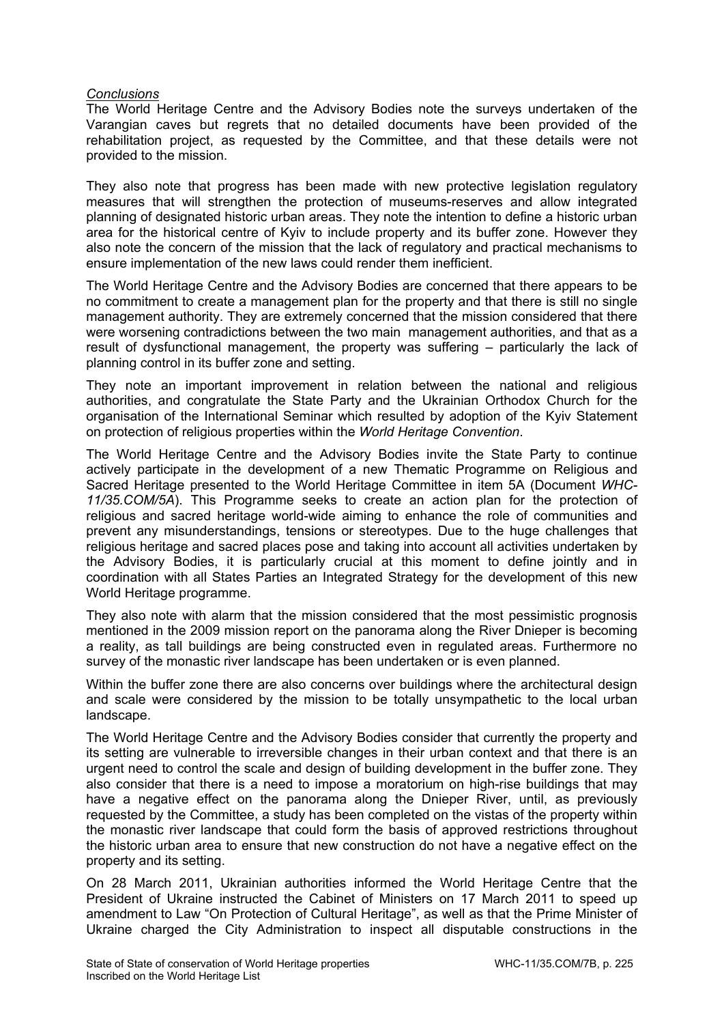#### *Conclusions*

The World Heritage Centre and the Advisory Bodies note the surveys undertaken of the Varangian caves but regrets that no detailed documents have been provided of the rehabilitation project, as requested by the Committee, and that these details were not provided to the mission.

They also note that progress has been made with new protective legislation regulatory measures that will strengthen the protection of museums-reserves and allow integrated planning of designated historic urban areas. They note the intention to define a historic urban area for the historical centre of Kyiv to include property and its buffer zone. However they also note the concern of the mission that the lack of regulatory and practical mechanisms to ensure implementation of the new laws could render them inefficient.

The World Heritage Centre and the Advisory Bodies are concerned that there appears to be no commitment to create a management plan for the property and that there is still no single management authority. They are extremely concerned that the mission considered that there were worsening contradictions between the two main management authorities, and that as a result of dysfunctional management, the property was suffering – particularly the lack of planning control in its buffer zone and setting.

They note an important improvement in relation between the national and religious authorities, and congratulate the State Party and the Ukrainian Orthodox Church for the organisation of the International Seminar which resulted by adoption of the Kyiv Statement on protection of religious properties within the *World Heritage Convention*.

The World Heritage Centre and the Advisory Bodies invite the State Party to continue actively participate in the development of a new Thematic Programme on Religious and Sacred Heritage presented to the World Heritage Committee in item 5A (Document *WHC-11/35.COM/5A*). This Programme seeks to create an action plan for the protection of religious and sacred heritage world-wide aiming to enhance the role of communities and prevent any misunderstandings, tensions or stereotypes. Due to the huge challenges that religious heritage and sacred places pose and taking into account all activities undertaken by the Advisory Bodies, it is particularly crucial at this moment to define jointly and in coordination with all States Parties an Integrated Strategy for the development of this new World Heritage programme.

They also note with alarm that the mission considered that the most pessimistic prognosis mentioned in the 2009 mission report on the panorama along the River Dnieper is becoming a reality, as tall buildings are being constructed even in regulated areas. Furthermore no survey of the monastic river landscape has been undertaken or is even planned.

Within the buffer zone there are also concerns over buildings where the architectural design and scale were considered by the mission to be totally unsympathetic to the local urban landscape.

The World Heritage Centre and the Advisory Bodies consider that currently the property and its setting are vulnerable to irreversible changes in their urban context and that there is an urgent need to control the scale and design of building development in the buffer zone. They also consider that there is a need to impose a moratorium on high-rise buildings that may have a negative effect on the panorama along the Dnieper River, until, as previously requested by the Committee, a study has been completed on the vistas of the property within the monastic river landscape that could form the basis of approved restrictions throughout the historic urban area to ensure that new construction do not have a negative effect on the property and its setting.

On 28 March 2011, Ukrainian authorities informed the World Heritage Centre that the President of Ukraine instructed the Cabinet of Ministers on 17 March 2011 to speed up amendment to Law "On Protection of Cultural Heritage", as well as that the Prime Minister of Ukraine charged the City Administration to inspect all disputable constructions in the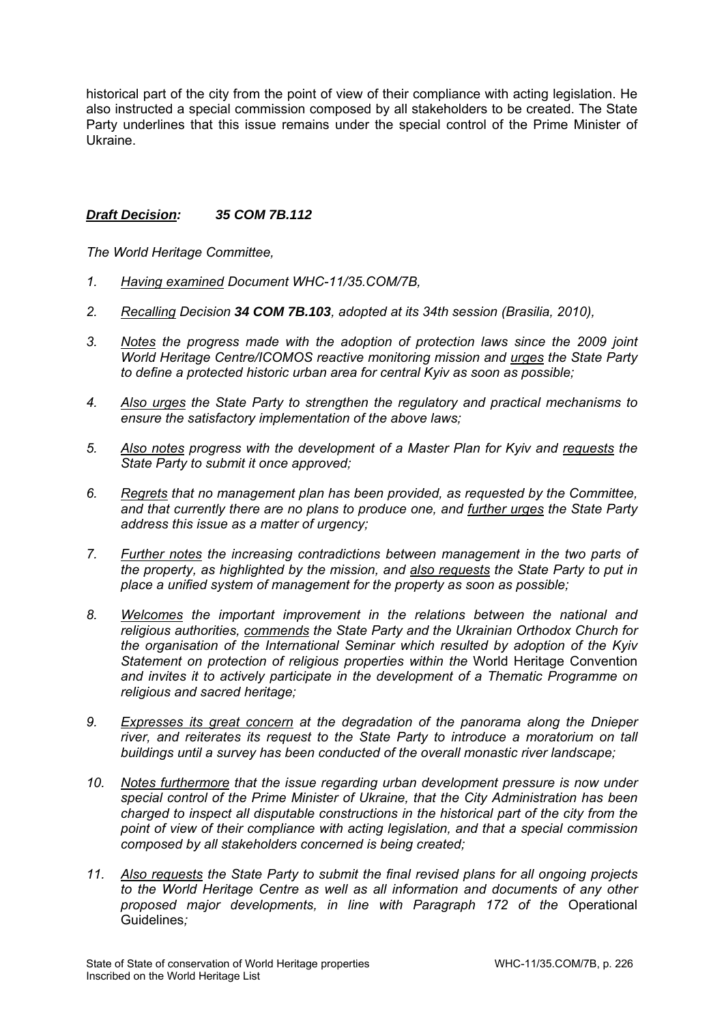historical part of the city from the point of view of their compliance with acting legislation. He also instructed a special commission composed by all stakeholders to be created. The State Party underlines that this issue remains under the special control of the Prime Minister of Ukraine.

## *Draft Decision: 35 COM 7B.112*

- *1. Having examined Document WHC-11/35.COM/7B,*
- *2. Recalling Decision 34 COM 7B.103, adopted at its 34th session (Brasilia, 2010),*
- *3. Notes the progress made with the adoption of protection laws since the 2009 joint World Heritage Centre/ICOMOS reactive monitoring mission and urges the State Party to define a protected historic urban area for central Kyiv as soon as possible;*
- *4. Also urges the State Party to strengthen the regulatory and practical mechanisms to ensure the satisfactory implementation of the above laws;*
- *5. Also notes progress with the development of a Master Plan for Kyiv and requests the State Party to submit it once approved;*
- *6. Regrets that no management plan has been provided, as requested by the Committee, and that currently there are no plans to produce one, and further urges the State Party address this issue as a matter of urgency;*
- *7. Further notes the increasing contradictions between management in the two parts of the property, as highlighted by the mission, and also requests the State Party to put in place a unified system of management for the property as soon as possible;*
- *8. Welcomes the important improvement in the relations between the national and religious authorities, commends the State Party and the Ukrainian Orthodox Church for the organisation of the International Seminar which resulted by adoption of the Kyiv Statement on protection of religious properties within the* World Heritage Convention *and invites it to actively participate in the development of a Thematic Programme on religious and sacred heritage;*
- *9. Expresses its great concern at the degradation of the panorama along the Dnieper river, and reiterates its request to the State Party to introduce a moratorium on tall buildings until a survey has been conducted of the overall monastic river landscape;*
- *10. Notes furthermore that the issue regarding urban development pressure is now under special control of the Prime Minister of Ukraine, that the City Administration has been charged to inspect all disputable constructions in the historical part of the city from the point of view of their compliance with acting legislation, and that a special commission composed by all stakeholders concerned is being created;*
- *11. Also requests the State Party to submit the final revised plans for all ongoing projects to the World Heritage Centre as well as all information and documents of any other proposed major developments, in line with Paragraph 172 of the* Operational Guidelines*;*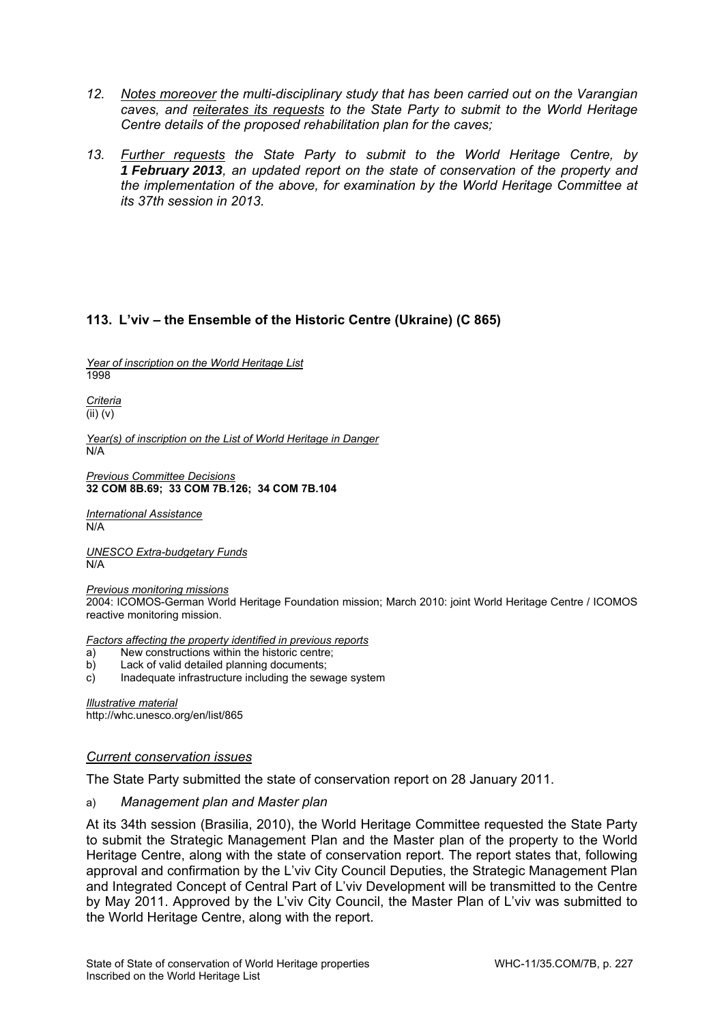- *12. Notes moreover the multi-disciplinary study that has been carried out on the Varangian caves, and reiterates its requests to the State Party to submit to the World Heritage Centre details of the proposed rehabilitation plan for the caves;*
- *13. Further requests the State Party to submit to the World Heritage Centre, by 1 February 2013, an updated report on the state of conservation of the property and the implementation of the above, for examination by the World Heritage Committee at its 37th session in 2013.*

# **113. L'viv – the Ensemble of the Historic Centre (Ukraine) (C 865)**

*Year of inscription on the World Heritage List*  1998

*Criteria*  (ii) (v)

*Year(s) of inscription on the List of World Heritage in Danger*  N/A

*Previous Committee Decisions*  **32 COM 8B.69; 33 COM 7B.126; 34 COM 7B.104**

*International Assistance*   $N/A$ 

*UNESCO Extra-budgetary Funds*  N/A

*Previous monitoring missions*  2004: ICOMOS-German World Heritage Foundation mission; March 2010: joint World Heritage Centre / ICOMOS reactive monitoring mission.

*Factors affecting the property identified in previous reports* 

- a) New constructions within the historic centre;
- b) Lack of valid detailed planning documents;
- c) Inadequate infrastructure including the sewage system

*Illustrative material*  http://whc.unesco.org/en/list/865

#### *Current conservation issues*

The State Party submitted the state of conservation report on 28 January 2011.

#### a) *Management plan and Master plan*

At its 34th session (Brasilia, 2010), the World Heritage Committee requested the State Party to submit the Strategic Management Plan and the Master plan of the property to the World Heritage Centre, along with the state of conservation report. The report states that, following approval and confirmation by the L'viv City Council Deputies, the Strategic Management Plan and Integrated Concept of Central Part of L'viv Development will be transmitted to the Centre by May 2011. Approved by the L'viv City Council, the Master Plan of L'viv was submitted to the World Heritage Centre, along with the report.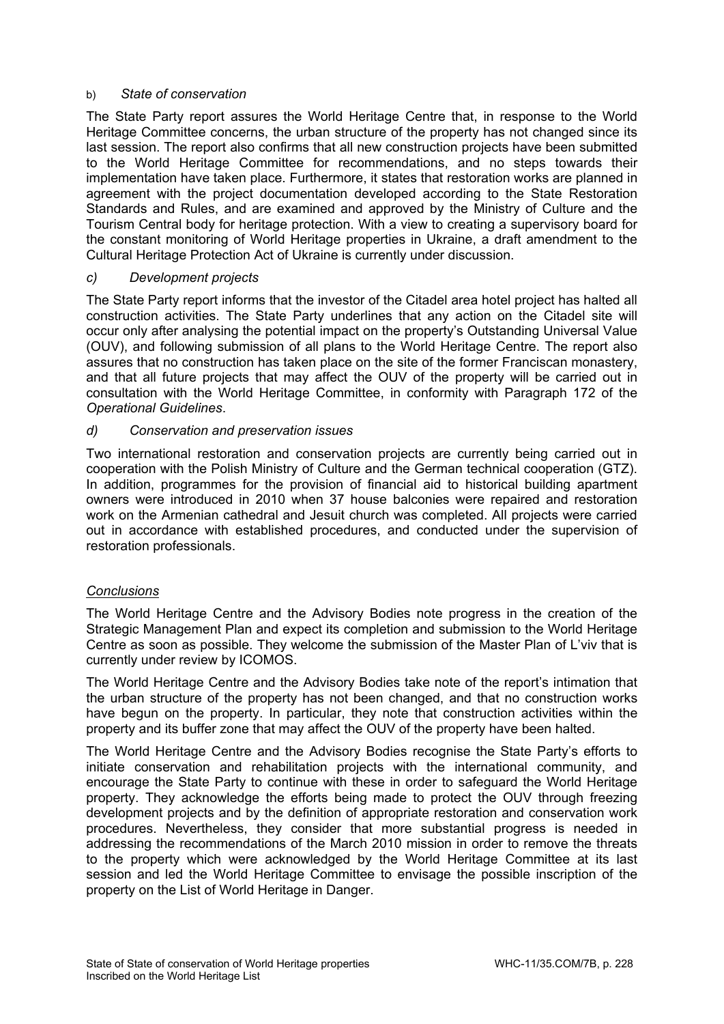#### b) *State of conservation*

The State Party report assures the World Heritage Centre that, in response to the World Heritage Committee concerns, the urban structure of the property has not changed since its last session. The report also confirms that all new construction projects have been submitted to the World Heritage Committee for recommendations, and no steps towards their implementation have taken place. Furthermore, it states that restoration works are planned in agreement with the project documentation developed according to the State Restoration Standards and Rules, and are examined and approved by the Ministry of Culture and the Tourism Central body for heritage protection. With a view to creating a supervisory board for the constant monitoring of World Heritage properties in Ukraine, a draft amendment to the Cultural Heritage Protection Act of Ukraine is currently under discussion.

#### *c) Development projects*

The State Party report informs that the investor of the Citadel area hotel project has halted all construction activities. The State Party underlines that any action on the Citadel site will occur only after analysing the potential impact on the property's Outstanding Universal Value (OUV), and following submission of all plans to the World Heritage Centre. The report also assures that no construction has taken place on the site of the former Franciscan monastery, and that all future projects that may affect the OUV of the property will be carried out in consultation with the World Heritage Committee, in conformity with Paragraph 172 of the *Operational Guidelines*.

#### *d) Conservation and preservation issues*

Two international restoration and conservation projects are currently being carried out in cooperation with the Polish Ministry of Culture and the German technical cooperation (GTZ). In addition, programmes for the provision of financial aid to historical building apartment owners were introduced in 2010 when 37 house balconies were repaired and restoration work on the Armenian cathedral and Jesuit church was completed. All projects were carried out in accordance with established procedures, and conducted under the supervision of restoration professionals.

## *Conclusions*

The World Heritage Centre and the Advisory Bodies note progress in the creation of the Strategic Management Plan and expect its completion and submission to the World Heritage Centre as soon as possible. They welcome the submission of the Master Plan of L'viv that is currently under review by ICOMOS.

The World Heritage Centre and the Advisory Bodies take note of the report's intimation that the urban structure of the property has not been changed, and that no construction works have begun on the property. In particular, they note that construction activities within the property and its buffer zone that may affect the OUV of the property have been halted.

The World Heritage Centre and the Advisory Bodies recognise the State Party's efforts to initiate conservation and rehabilitation projects with the international community, and encourage the State Party to continue with these in order to safeguard the World Heritage property. They acknowledge the efforts being made to protect the OUV through freezing development projects and by the definition of appropriate restoration and conservation work procedures. Nevertheless, they consider that more substantial progress is needed in addressing the recommendations of the March 2010 mission in order to remove the threats to the property which were acknowledged by the World Heritage Committee at its last session and led the World Heritage Committee to envisage the possible inscription of the property on the List of World Heritage in Danger.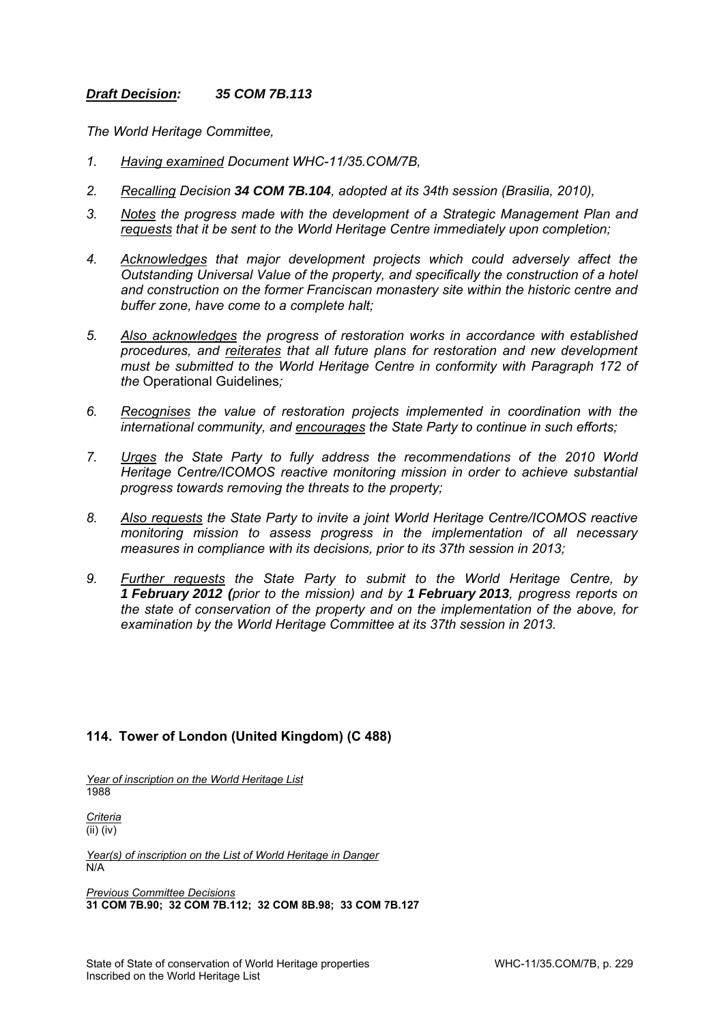#### *Draft Decision: 35 COM 7B.113*

*The World Heritage Committee,* 

- *1. Having examined Document WHC-11/35.COM/7B,*
- *2. Recalling Decision 34 COM 7B.104, adopted at its 34th session (Brasilia, 2010),*
- *3. Notes the progress made with the development of a Strategic Management Plan and requests that it be sent to the World Heritage Centre immediately upon completion;*
- *4. Acknowledges that major development projects which could adversely affect the Outstanding Universal Value of the property, and specifically the construction of a hotel and construction on the former Franciscan monastery site within the historic centre and buffer zone, have come to a complete halt;*
- *5. Also acknowledges the progress of restoration works in accordance with established procedures, and reiterates that all future plans for restoration and new development must be submitted to the World Heritage Centre in conformity with Paragraph 172 of the* Operational Guidelines*;*
- *6. Recognises the value of restoration projects implemented in coordination with the international community, and encourages the State Party to continue in such efforts;*
- *7. Urges the State Party to fully address the recommendations of the 2010 World Heritage Centre/ICOMOS reactive monitoring mission in order to achieve substantial progress towards removing the threats to the property;*
- *8. Also requests the State Party to invite a joint World Heritage Centre/ICOMOS reactive monitoring mission to assess progress in the implementation of all necessary measures in compliance with its decisions, prior to its 37th session in 2013;*
- *9. Further requests the State Party to submit to the World Heritage Centre, by 1 February 2012 (prior to the mission) and by 1 February 2013, progress reports on the state of conservation of the property and on the implementation of the above, for examination by the World Heritage Committee at its 37th session in 2013.*

## **114. Tower of London (United Kingdom) (C 488)**

*Year of inscription on the World Heritage List*  1988

*Criteria*  (ii) (iv)

*Year(s) of inscription on the List of World Heritage in Danger*  N/A

*Previous Committee Decisions*  **31 COM 7B.90; 32 COM 7B.112; 32 COM 8B.98; 33 COM 7B.127**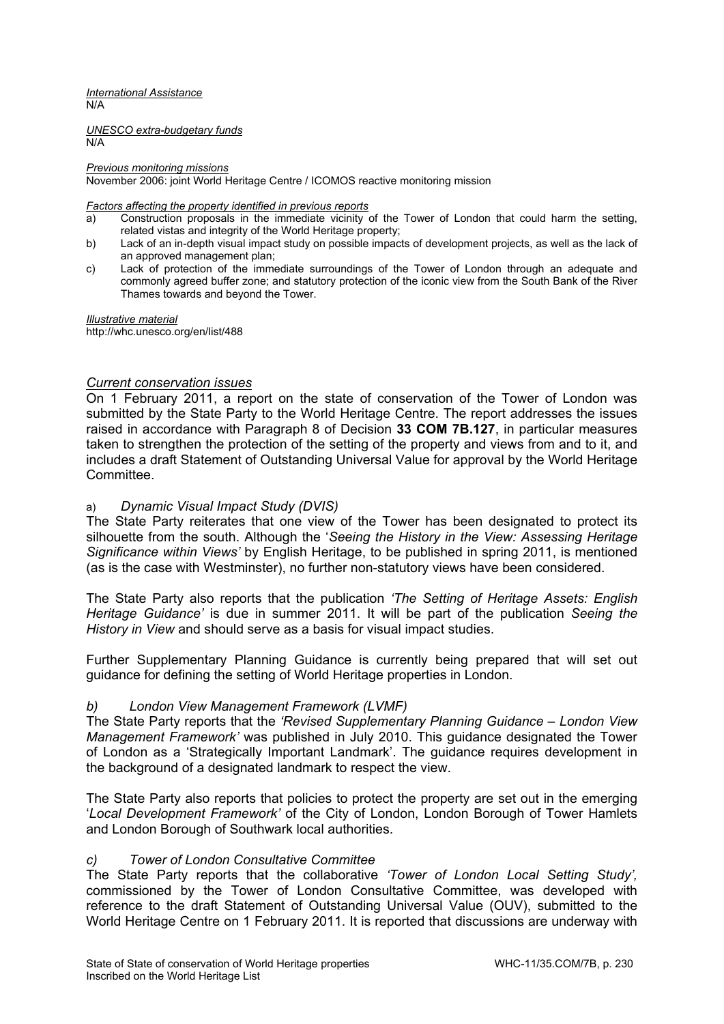*International Assistance*  N/A

*UNESCO extra-budgetary funds*  N/A

#### *Previous monitoring missions*

November 2006: joint World Heritage Centre / ICOMOS reactive monitoring mission

#### *Factors affecting the property identified in previous reports*

- a) Construction proposals in the immediate vicinity of the Tower of London that could harm the setting, related vistas and integrity of the World Heritage property;
- b) Lack of an in-depth visual impact study on possible impacts of development projects, as well as the lack of an approved management plan;
- c) Lack of protection of the immediate surroundings of the Tower of London through an adequate and commonly agreed buffer zone; and statutory protection of the iconic view from the South Bank of the River Thames towards and beyond the Tower.

*Illustrative material*  http://whc.unesco.org/en/list/488

## *Current conservation issues*

On 1 February 2011, a report on the state of conservation of the Tower of London was submitted by the State Party to the World Heritage Centre. The report addresses the issues raised in accordance with Paragraph 8 of Decision **33 COM 7B.127**, in particular measures taken to strengthen the protection of the setting of the property and views from and to it, and includes a draft Statement of Outstanding Universal Value for approval by the World Heritage **Committee.** 

#### a) *Dynamic Visual Impact Study (DVIS)*

The State Party reiterates that one view of the Tower has been designated to protect its silhouette from the south. Although the '*Seeing the History in the View: Assessing Heritage Significance within Views'* by English Heritage, to be published in spring 2011, is mentioned (as is the case with Westminster), no further non-statutory views have been considered.

The State Party also reports that the publication *'The Setting of Heritage Assets: English Heritage Guidance'* is due in summer 2011. It will be part of the publication *Seeing the History in View* and should serve as a basis for visual impact studies.

Further Supplementary Planning Guidance is currently being prepared that will set out guidance for defining the setting of World Heritage properties in London.

## *b) London View Management Framework (LVMF)*

The State Party reports that the *'Revised Supplementary Planning Guidance – London View Management Framework'* was published in July 2010. This guidance designated the Tower of London as a 'Strategically Important Landmark'. The guidance requires development in the background of a designated landmark to respect the view.

The State Party also reports that policies to protect the property are set out in the emerging '*Local Development Framework'* of the City of London, London Borough of Tower Hamlets and London Borough of Southwark local authorities.

## *c) Tower of London Consultative Committee*

The State Party reports that the collaborative *'Tower of London Local Setting Study',*  commissioned by the Tower of London Consultative Committee, was developed with reference to the draft Statement of Outstanding Universal Value (OUV), submitted to the World Heritage Centre on 1 February 2011. It is reported that discussions are underway with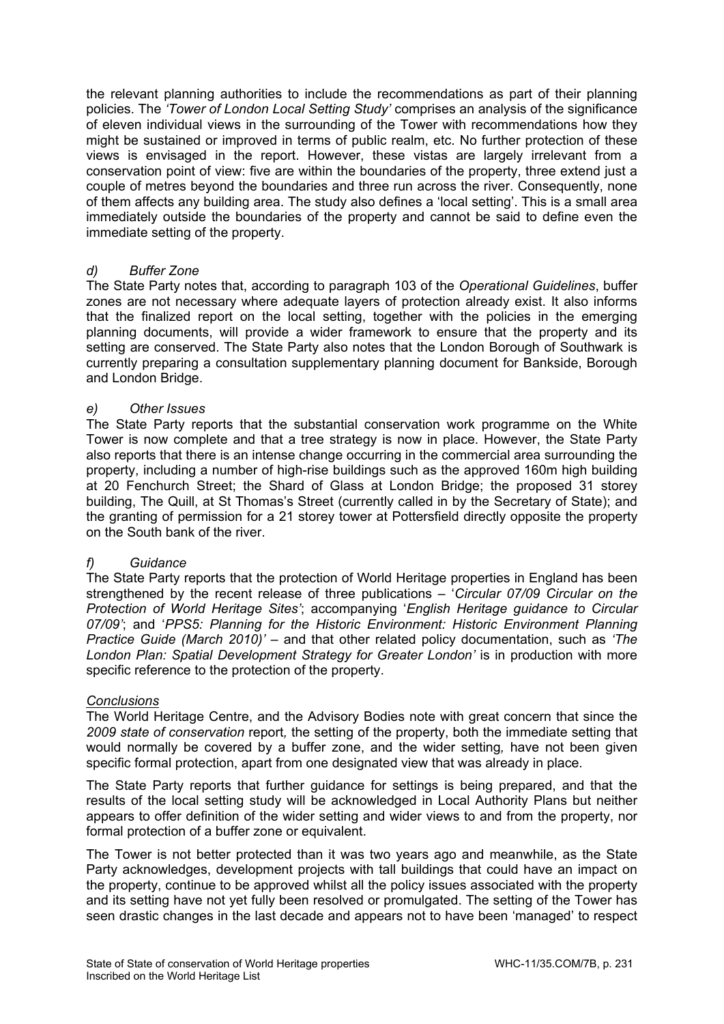the relevant planning authorities to include the recommendations as part of their planning policies. The *'Tower of London Local Setting Study'* comprises an analysis of the significance of eleven individual views in the surrounding of the Tower with recommendations how they might be sustained or improved in terms of public realm, etc. No further protection of these views is envisaged in the report. However, these vistas are largely irrelevant from a conservation point of view: five are within the boundaries of the property, three extend just a couple of metres beyond the boundaries and three run across the river. Consequently, none of them affects any building area. The study also defines a 'local setting'. This is a small area immediately outside the boundaries of the property and cannot be said to define even the immediate setting of the property.

## *d) Buffer Zone*

The State Party notes that, according to paragraph 103 of the *Operational Guidelines*, buffer zones are not necessary where adequate layers of protection already exist. It also informs that the finalized report on the local setting, together with the policies in the emerging planning documents, will provide a wider framework to ensure that the property and its setting are conserved. The State Party also notes that the London Borough of Southwark is currently preparing a consultation supplementary planning document for Bankside, Borough and London Bridge.

#### *e) Other Issues*

The State Party reports that the substantial conservation work programme on the White Tower is now complete and that a tree strategy is now in place. However, the State Party also reports that there is an intense change occurring in the commercial area surrounding the property, including a number of high-rise buildings such as the approved 160m high building at 20 Fenchurch Street; the Shard of Glass at London Bridge; the proposed 31 storey building, The Quill, at St Thomas's Street (currently called in by the Secretary of State); and the granting of permission for a 21 storey tower at Pottersfield directly opposite the property on the South bank of the river.

## *f) Guidance*

The State Party reports that the protection of World Heritage properties in England has been strengthened by the recent release of three publications – '*Circular 07/09 Circular on the Protection of World Heritage Sites'*; accompanying '*English Heritage guidance to Circular 07/09'*; and '*PPS5: Planning for the Historic Environment: Historic Environment Planning Practice Guide (March 2010)'* – and that other related policy documentation, such as *'The*  London Plan: Spatial Development Strategy for Greater London' is in production with more specific reference to the protection of the property.

#### *Conclusions*

The World Heritage Centre, and the Advisory Bodies note with great concern that since the *2009 state of conservation* report*,* the setting of the property, both the immediate setting that would normally be covered by a buffer zone, and the wider setting*,* have not been given specific formal protection, apart from one designated view that was already in place.

The State Party reports that further guidance for settings is being prepared, and that the results of the local setting study will be acknowledged in Local Authority Plans but neither appears to offer definition of the wider setting and wider views to and from the property, nor formal protection of a buffer zone or equivalent.

The Tower is not better protected than it was two years ago and meanwhile, as the State Party acknowledges, development projects with tall buildings that could have an impact on the property, continue to be approved whilst all the policy issues associated with the property and its setting have not yet fully been resolved or promulgated. The setting of the Tower has seen drastic changes in the last decade and appears not to have been 'managed' to respect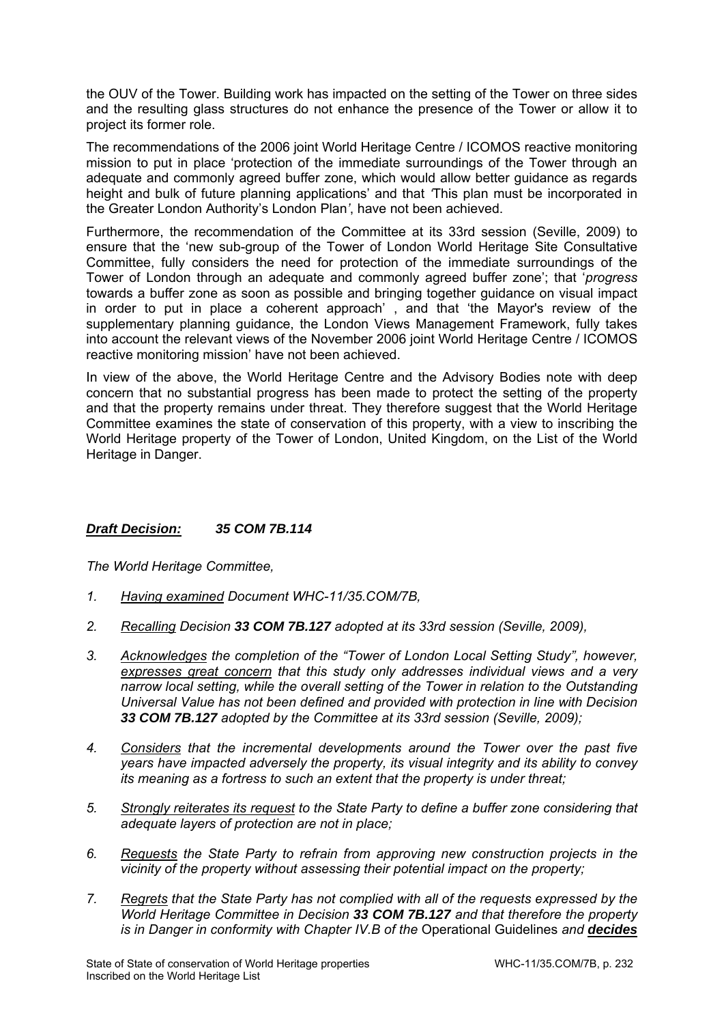the OUV of the Tower. Building work has impacted on the setting of the Tower on three sides and the resulting glass structures do not enhance the presence of the Tower or allow it to project its former role.

The recommendations of the 2006 joint World Heritage Centre / ICOMOS reactive monitoring mission to put in place 'protection of the immediate surroundings of the Tower through an adequate and commonly agreed buffer zone, which would allow better guidance as regards height and bulk of future planning applications' and that *'*This plan must be incorporated in the Greater London Authority's London Plan*'*, have not been achieved.

Furthermore, the recommendation of the Committee at its 33rd session (Seville, 2009) to ensure that the 'new sub-group of the Tower of London World Heritage Site Consultative Committee, fully considers the need for protection of the immediate surroundings of the Tower of London through an adequate and commonly agreed buffer zone'; that '*progress*  towards a buffer zone as soon as possible and bringing together guidance on visual impact in order to put in place a coherent approach' , and that 'the Mayor's review of the supplementary planning guidance, the London Views Management Framework, fully takes into account the relevant views of the November 2006 joint World Heritage Centre / ICOMOS reactive monitoring mission' have not been achieved.

In view of the above, the World Heritage Centre and the Advisory Bodies note with deep concern that no substantial progress has been made to protect the setting of the property and that the property remains under threat. They therefore suggest that the World Heritage Committee examines the state of conservation of this property, with a view to inscribing the World Heritage property of the Tower of London, United Kingdom, on the List of the World Heritage in Danger.

## *Draft Decision: 35 COM 7B.114*

- *1. Having examined Document WHC-11/35.COM/7B,*
- *2. Recalling Decision 33 COM 7B.127 adopted at its 33rd session (Seville, 2009),*
- *3. Acknowledges the completion of the "Tower of London Local Setting Study", however, expresses great concern that this study only addresses individual views and a very narrow local setting, while the overall setting of the Tower in relation to the Outstanding Universal Value has not been defined and provided with protection in line with Decision 33 COM 7B.127 adopted by the Committee at its 33rd session (Seville, 2009);*
- *4. Considers that the incremental developments around the Tower over the past five years have impacted adversely the property, its visual integrity and its ability to convey its meaning as a fortress to such an extent that the property is under threat;*
- *5. Strongly reiterates its request to the State Party to define a buffer zone considering that adequate layers of protection are not in place;*
- *6. Requests the State Party to refrain from approving new construction projects in the vicinity of the property without assessing their potential impact on the property;*
- *7. Regrets that the State Party has not complied with all of the requests expressed by the World Heritage Committee in Decision 33 COM 7B.127 and that therefore the property is in Danger in conformity with Chapter IV.B of the* Operational Guidelines *and decides*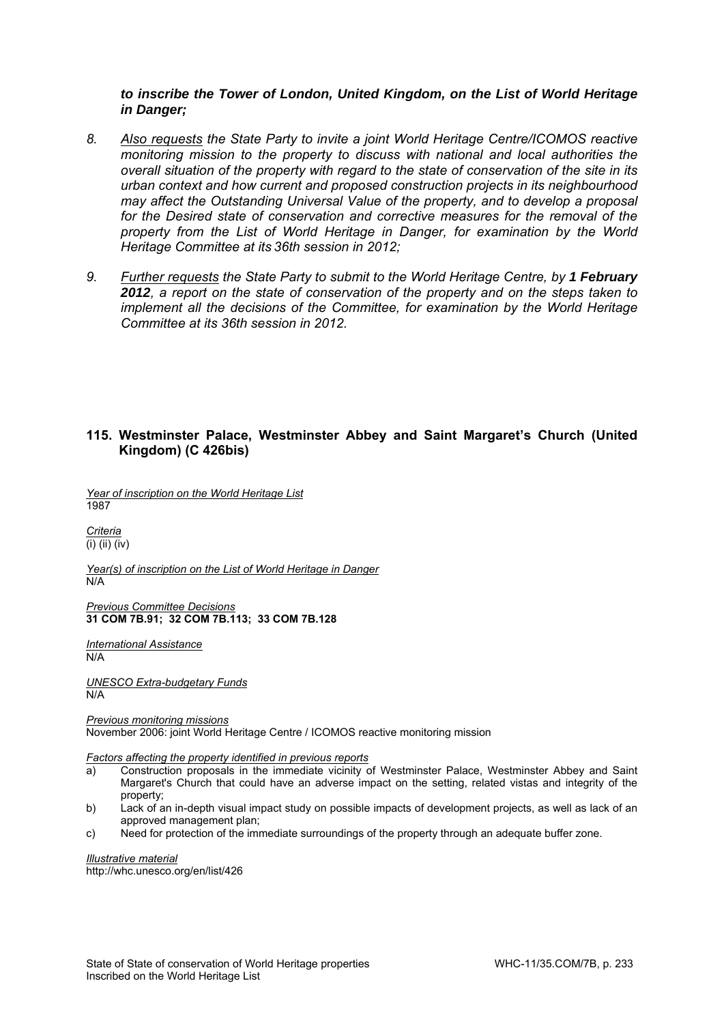#### *to inscribe the Tower of London, United Kingdom, on the List of World Heritage in Danger;*

- *8. Also requests the State Party to invite a joint World Heritage Centre/ICOMOS reactive monitoring mission to the property to discuss with national and local authorities the overall situation of the property with regard to the state of conservation of the site in its urban context and how current and proposed construction projects in its neighbourhood may affect the Outstanding Universal Value of the property, and to develop a proposal*  for the Desired state of conservation and corrective measures for the removal of the *property from the List of World Heritage in Danger, for examination by the World Heritage Committee at its 36th session in 2012;*
- 9. Further requests the State Party to submit to the World Heritage Centre, by 1 February *2012, a report on the state of conservation of the property and on the steps taken to implement all the decisions of the Committee, for examination by the World Heritage Committee at its 36th session in 2012.*

#### **115. Westminster Palace, Westminster Abbey and Saint Margaret's Church (United Kingdom) (C 426bis)**

*Year of inscription on the World Heritage List*  1987

*Criteria*  (i) (ii) (iv)

*Year(s) of inscription on the List of World Heritage in Danger*  N/A

*Previous Committee Decisions*  **31 COM 7B.91; 32 COM 7B.113; 33 COM 7B.128** 

*International Assistance*  N/A

*UNESCO Extra-budgetary Funds*  N/A

*Previous monitoring missions*  November 2006: joint World Heritage Centre / ICOMOS reactive monitoring mission

*Factors affecting the property identified in previous reports* 

- a) Construction proposals in the immediate vicinity of Westminster Palace, Westminster Abbey and Saint Margaret's Church that could have an adverse impact on the setting, related vistas and integrity of the property;
- b) Lack of an in-depth visual impact study on possible impacts of development projects, as well as lack of an approved management plan;
- c) Need for protection of the immediate surroundings of the property through an adequate buffer zone.

*Illustrative material*  http://whc.unesco.org/en/list/426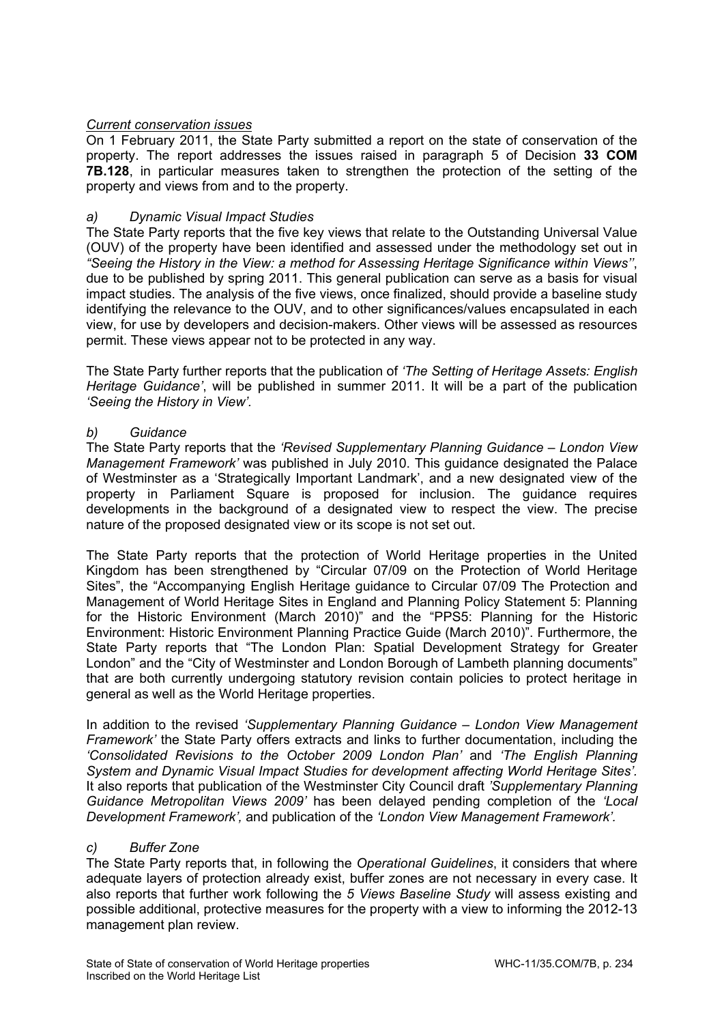# *Current conservation issues*

On 1 February 2011, the State Party submitted a report on the state of conservation of the property. The report addresses the issues raised in paragraph 5 of Decision **33 COM 7B.128**, in particular measures taken to strengthen the protection of the setting of the property and views from and to the property.

## *a) Dynamic Visual Impact Studies*

The State Party reports that the five key views that relate to the Outstanding Universal Value (OUV) of the property have been identified and assessed under the methodology set out in *"Seeing the History in the View: a method for Assessing Heritage Significance within Views''*, due to be published by spring 2011. This general publication can serve as a basis for visual impact studies. The analysis of the five views, once finalized, should provide a baseline study identifying the relevance to the OUV, and to other significances/values encapsulated in each view, for use by developers and decision-makers. Other views will be assessed as resources permit. These views appear not to be protected in any way.

The State Party further reports that the publication of *'The Setting of Heritage Assets: English Heritage Guidance'*, will be published in summer 2011. It will be a part of the publication *'Seeing the History in View'.* 

## *b) Guidance*

The State Party reports that the *'Revised Supplementary Planning Guidance – London View Management Framework'* was published in July 2010. This guidance designated the Palace of Westminster as a 'Strategically Important Landmark', and a new designated view of the property in Parliament Square is proposed for inclusion. The guidance requires developments in the background of a designated view to respect the view. The precise nature of the proposed designated view or its scope is not set out.

The State Party reports that the protection of World Heritage properties in the United Kingdom has been strengthened by "Circular 07/09 on the Protection of World Heritage Sites", the "Accompanying English Heritage guidance to Circular 07/09 The Protection and Management of World Heritage Sites in England and Planning Policy Statement 5: Planning for the Historic Environment (March 2010)" and the "PPS5: Planning for the Historic Environment: Historic Environment Planning Practice Guide (March 2010)". Furthermore, the State Party reports that "The London Plan: Spatial Development Strategy for Greater London" and the "City of Westminster and London Borough of Lambeth planning documents" that are both currently undergoing statutory revision contain policies to protect heritage in general as well as the World Heritage properties.

In addition to the revised *'Supplementary Planning Guidance – London View Management Framework'* the State Party offers extracts and links to further documentation, including the *'Consolidated Revisions to the October 2009 London Plan'* and *'The English Planning System and Dynamic Visual Impact Studies for development affecting World Heritage Sites'.* It also reports that publication of the Westminster City Council draft *'Supplementary Planning Guidance Metropolitan Views 2009'* has been delayed pending completion of the *'Local Development Framework',* and publication of the *'London View Management Framework'.* 

## *c) Buffer Zone*

The State Party reports that, in following the *Operational Guidelines*, it considers that where adequate layers of protection already exist, buffer zones are not necessary in every case. It also reports that further work following the *5 Views Baseline Study* will assess existing and possible additional, protective measures for the property with a view to informing the 2012-13 management plan review.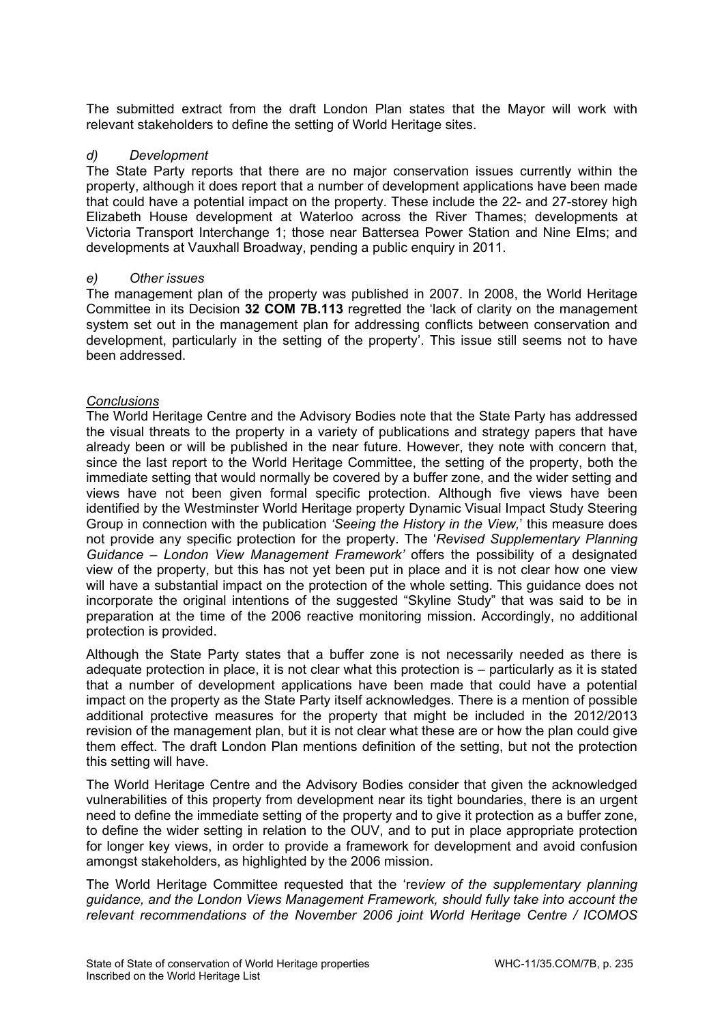The submitted extract from the draft London Plan states that the Mayor will work with relevant stakeholders to define the setting of World Heritage sites.

#### *d) Development*

The State Party reports that there are no major conservation issues currently within the property, although it does report that a number of development applications have been made that could have a potential impact on the property. These include the 22- and 27-storey high Elizabeth House development at Waterloo across the River Thames; developments at Victoria Transport Interchange 1; those near Battersea Power Station and Nine Elms; and developments at Vauxhall Broadway, pending a public enquiry in 2011.

#### *e) Other issues*

The management plan of the property was published in 2007. In 2008, the World Heritage Committee in its Decision **32 COM 7B.113** regretted the 'lack of clarity on the management system set out in the management plan for addressing conflicts between conservation and development, particularly in the setting of the property'. This issue still seems not to have been addressed.

#### *Conclusions*

The World Heritage Centre and the Advisory Bodies note that the State Party has addressed the visual threats to the property in a variety of publications and strategy papers that have already been or will be published in the near future. However, they note with concern that, since the last report to the World Heritage Committee, the setting of the property, both the immediate setting that would normally be covered by a buffer zone, and the wider setting and views have not been given formal specific protection. Although five views have been identified by the Westminster World Heritage property Dynamic Visual Impact Study Steering Group in connection with the publication *'Seeing the History in the View,*' this measure does not provide any specific protection for the property. The '*Revised Supplementary Planning Guidance – London View Management Framework'* offers the possibility of a designated view of the property, but this has not yet been put in place and it is not clear how one view will have a substantial impact on the protection of the whole setting. This guidance does not incorporate the original intentions of the suggested "Skyline Study" that was said to be in preparation at the time of the 2006 reactive monitoring mission. Accordingly, no additional protection is provided.

Although the State Party states that a buffer zone is not necessarily needed as there is adequate protection in place, it is not clear what this protection is – particularly as it is stated that a number of development applications have been made that could have a potential impact on the property as the State Party itself acknowledges. There is a mention of possible additional protective measures for the property that might be included in the 2012/2013 revision of the management plan, but it is not clear what these are or how the plan could give them effect. The draft London Plan mentions definition of the setting, but not the protection this setting will have.

The World Heritage Centre and the Advisory Bodies consider that given the acknowledged vulnerabilities of this property from development near its tight boundaries, there is an urgent need to define the immediate setting of the property and to give it protection as a buffer zone, to define the wider setting in relation to the OUV, and to put in place appropriate protection for longer key views, in order to provide a framework for development and avoid confusion amongst stakeholders, as highlighted by the 2006 mission.

The World Heritage Committee requested that the 're*view of the supplementary planning guidance, and the London Views Management Framework, should fully take into account the relevant recommendations of the November 2006 joint World Heritage Centre / ICOMOS*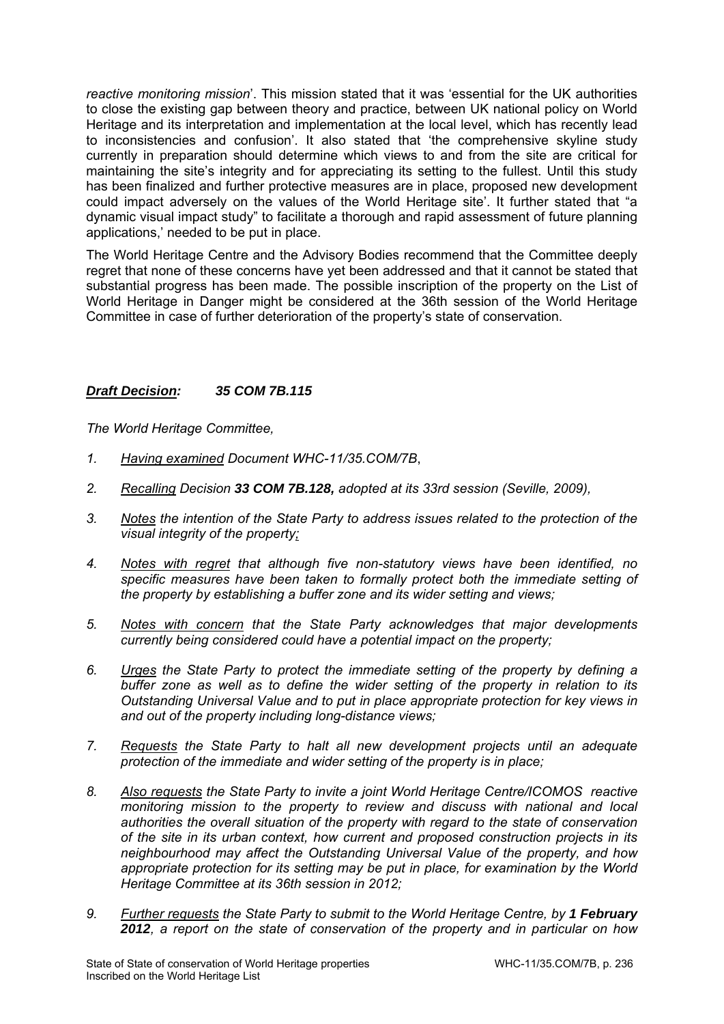*reactive monitoring mission*'. This mission stated that it was 'essential for the UK authorities to close the existing gap between theory and practice, between UK national policy on World Heritage and its interpretation and implementation at the local level, which has recently lead to inconsistencies and confusion'. It also stated that 'the comprehensive skyline study currently in preparation should determine which views to and from the site are critical for maintaining the site's integrity and for appreciating its setting to the fullest. Until this study has been finalized and further protective measures are in place, proposed new development could impact adversely on the values of the World Heritage site'. It further stated that "a dynamic visual impact study" to facilitate a thorough and rapid assessment of future planning applications,' needed to be put in place.

The World Heritage Centre and the Advisory Bodies recommend that the Committee deeply regret that none of these concerns have yet been addressed and that it cannot be stated that substantial progress has been made. The possible inscription of the property on the List of World Heritage in Danger might be considered at the 36th session of the World Heritage Committee in case of further deterioration of the property's state of conservation.

## *Draft Decision: 35 COM 7B.115*

- *1. Having examined Document WHC-11/35.COM/7B*,
- *2. Recalling Decision 33 COM 7B.128, adopted at its 33rd session (Seville, 2009),*
- *3. Notes the intention of the State Party to address issues related to the protection of the visual integrity of the property;*
- *4. Notes with regret that although five non-statutory views have been identified, no specific measures have been taken to formally protect both the immediate setting of the property by establishing a buffer zone and its wider setting and views;*
- *5. Notes with concern that the State Party acknowledges that major developments currently being considered could have a potential impact on the property;*
- *6. Urges the State Party to protect the immediate setting of the property by defining a buffer zone as well as to define the wider setting of the property in relation to its Outstanding Universal Value and to put in place appropriate protection for key views in and out of the property including long-distance views;*
- *7. Requests the State Party to halt all new development projects until an adequate protection of the immediate and wider setting of the property is in place;*
- *8. Also requests the State Party to invite a joint World Heritage Centre/ICOMOS reactive monitoring mission to the property to review and discuss with national and local authorities the overall situation of the property with regard to the state of conservation of the site in its urban context, how current and proposed construction projects in its neighbourhood may affect the Outstanding Universal Value of the property, and how appropriate protection for its setting may be put in place, for examination by the World Heritage Committee at its 36th session in 2012;*
- 9. Further requests the State Party to submit to the World Heritage Centre, by 1 February *2012, a report on the state of conservation of the property and in particular on how*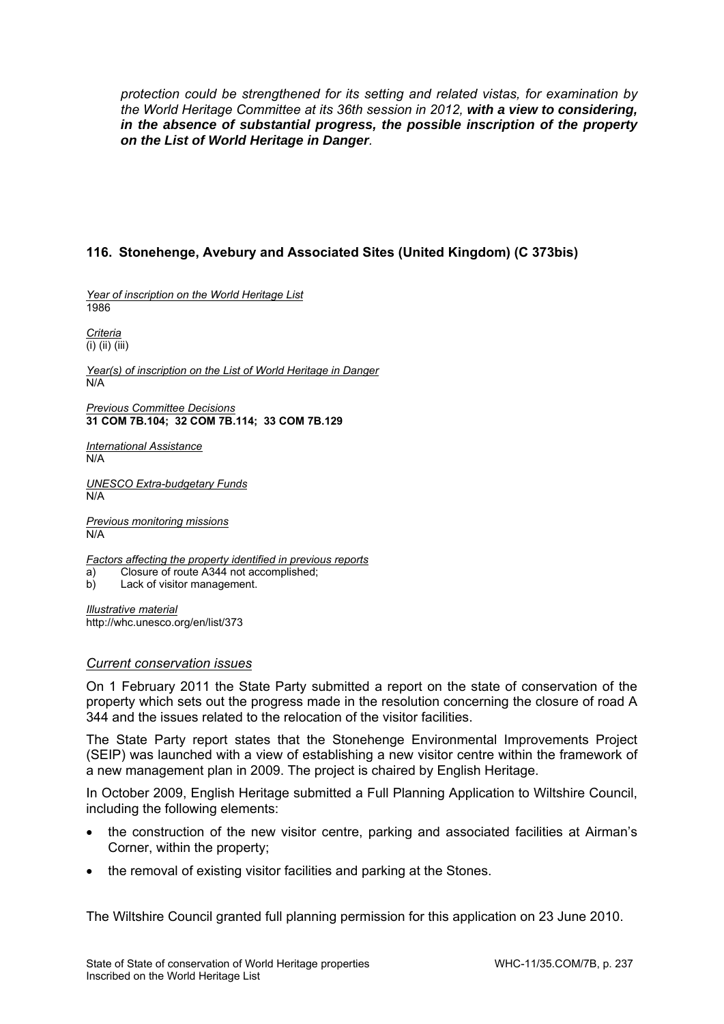*protection could be strengthened for its setting and related vistas, for examination by the World Heritage Committee at its 36th session in 2012, with a view to considering, in the absence of substantial progress, the possible inscription of the property on the List of World Heritage in Danger.* 

# **116. Stonehenge, Avebury and Associated Sites (United Kingdom) (C 373bis)**

*Year of inscription on the World Heritage List*  1986

*Criteria*  (i) (ii) (iii)

*Year(s) of inscription on the List of World Heritage in Danger*  N/A

*Previous Committee Decisions* **31 COM 7B.104; 32 COM 7B.114; 33 COM 7B.129** 

*International Assistance*  N/A

*UNESCO Extra-budgetary Funds*  N/A

*Previous monitoring missions*  N/A

*Factors affecting the property identified in previous reports*  a) Closure of route A344 not accomplished;

b) Lack of visitor management.

*Illustrative material*  http://whc.unesco.org/en/list/373

#### *Current conservation issues*

On 1 February 2011 the State Party submitted a report on the state of conservation of the property which sets out the progress made in the resolution concerning the closure of road A 344 and the issues related to the relocation of the visitor facilities.

The State Party report states that the Stonehenge Environmental Improvements Project (SEIP) was launched with a view of establishing a new visitor centre within the framework of a new management plan in 2009. The project is chaired by English Heritage.

In October 2009, English Heritage submitted a Full Planning Application to Wiltshire Council, including the following elements:

- the construction of the new visitor centre, parking and associated facilities at Airman's Corner, within the property;
- the removal of existing visitor facilities and parking at the Stones.

The Wiltshire Council granted full planning permission for this application on 23 June 2010.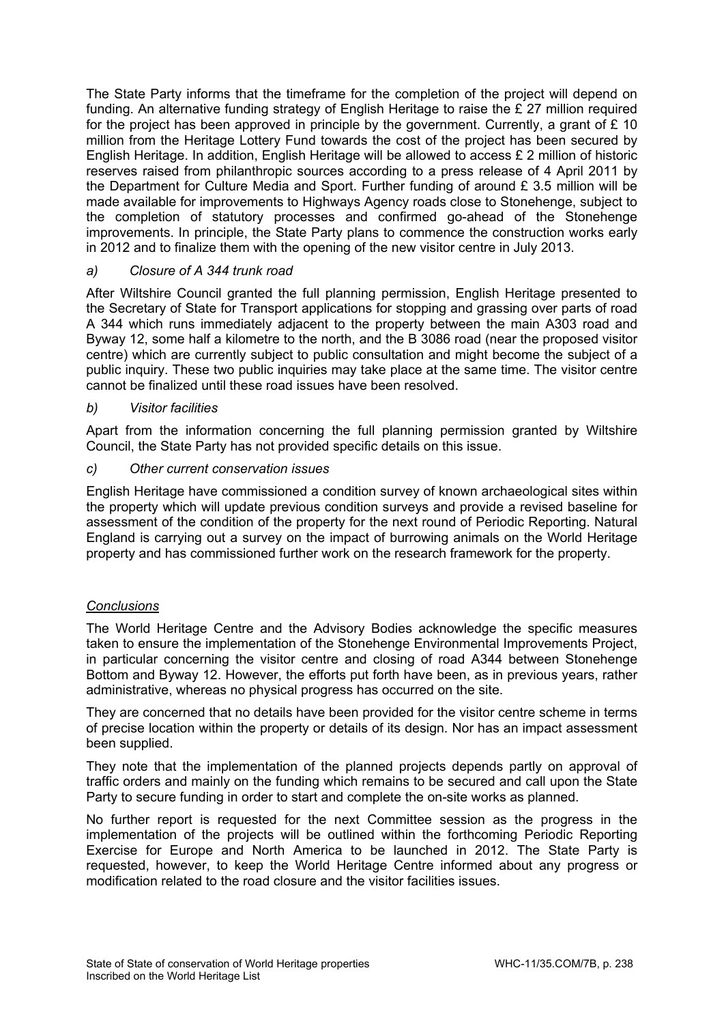The State Party informs that the timeframe for the completion of the project will depend on funding. An alternative funding strategy of English Heritage to raise the £ 27 million required for the project has been approved in principle by the government. Currently, a grant of  $E$  10 million from the Heritage Lottery Fund towards the cost of the project has been secured by English Heritage. In addition, English Heritage will be allowed to access £ 2 million of historic reserves raised from philanthropic sources according to a press release of 4 April 2011 by the Department for Culture Media and Sport. Further funding of around £ 3.5 million will be made available for improvements to Highways Agency roads close to Stonehenge, subject to the completion of statutory processes and confirmed go-ahead of the Stonehenge improvements. In principle, the State Party plans to commence the construction works early in 2012 and to finalize them with the opening of the new visitor centre in July 2013.

# *a) Closure of A 344 trunk road*

After Wiltshire Council granted the full planning permission, English Heritage presented to the Secretary of State for Transport applications for stopping and grassing over parts of road A 344 which runs immediately adjacent to the property between the main A303 road and Byway 12, some half a kilometre to the north, and the B 3086 road (near the proposed visitor centre) which are currently subject to public consultation and might become the subject of a public inquiry. These two public inquiries may take place at the same time. The visitor centre cannot be finalized until these road issues have been resolved.

## *b) Visitor facilities*

Apart from the information concerning the full planning permission granted by Wiltshire Council, the State Party has not provided specific details on this issue.

## *c) Other current conservation issues*

English Heritage have commissioned a condition survey of known archaeological sites within the property which will update previous condition surveys and provide a revised baseline for assessment of the condition of the property for the next round of Periodic Reporting. Natural England is carrying out a survey on the impact of burrowing animals on the World Heritage property and has commissioned further work on the research framework for the property.

## *Conclusions*

The World Heritage Centre and the Advisory Bodies acknowledge the specific measures taken to ensure the implementation of the Stonehenge Environmental Improvements Project, in particular concerning the visitor centre and closing of road A344 between Stonehenge Bottom and Byway 12. However, the efforts put forth have been, as in previous years, rather administrative, whereas no physical progress has occurred on the site.

They are concerned that no details have been provided for the visitor centre scheme in terms of precise location within the property or details of its design. Nor has an impact assessment been supplied.

They note that the implementation of the planned projects depends partly on approval of traffic orders and mainly on the funding which remains to be secured and call upon the State Party to secure funding in order to start and complete the on-site works as planned.

No further report is requested for the next Committee session as the progress in the implementation of the projects will be outlined within the forthcoming Periodic Reporting Exercise for Europe and North America to be launched in 2012. The State Party is requested, however, to keep the World Heritage Centre informed about any progress or modification related to the road closure and the visitor facilities issues.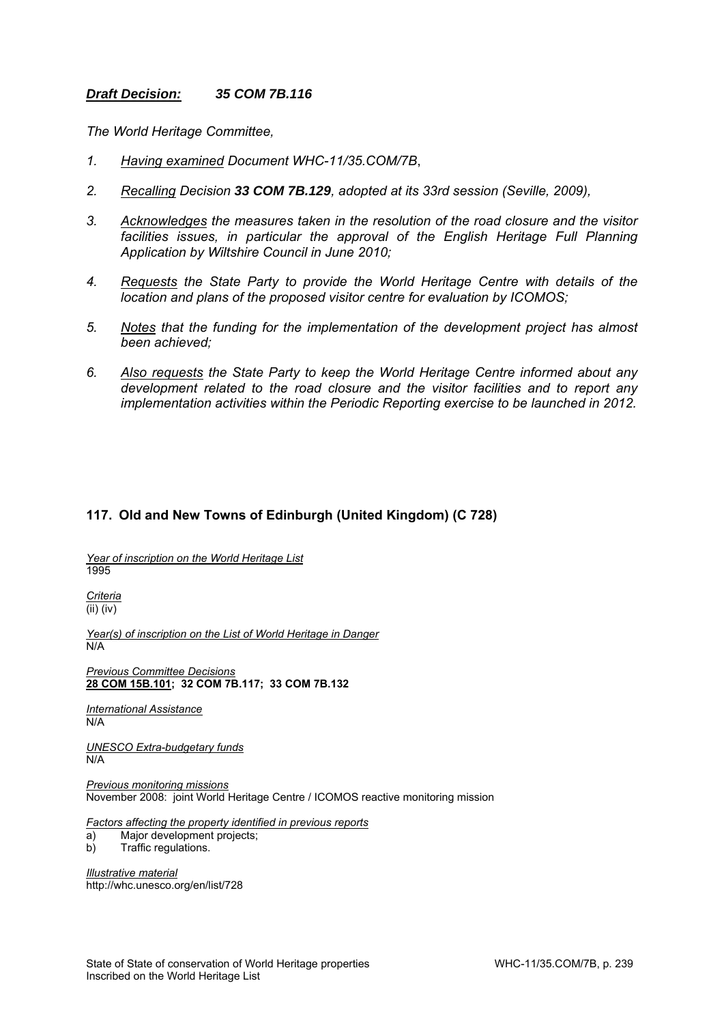#### *Draft Decision: 35 COM 7B.116*

*The World Heritage Committee,* 

- *1. Having examined Document WHC-11/35.COM/7B*,
- *2. Recalling Decision 33 COM 7B.129, adopted at its 33rd session (Seville, 2009),*
- *3. Acknowledges the measures taken in the resolution of the road closure and the visitor*  facilities issues, in particular the approval of the English Heritage Full Planning *Application by Wiltshire Council in June 2010;*
- *4. Requests the State Party to provide the World Heritage Centre with details of the location and plans of the proposed visitor centre for evaluation by ICOMOS;*
- *5. Notes that the funding for the implementation of the development project has almost been achieved;*
- *6. Also requests the State Party to keep the World Heritage Centre informed about any development related to the road closure and the visitor facilities and to report any implementation activities within the Periodic Reporting exercise to be launched in 2012.*

# **117. Old and New Towns of Edinburgh (United Kingdom) (C 728)**

*Year of inscription on the World Heritage List*  1995

*Criteria*  (ii) (iv)

*Year(s) of inscription on the List of World Heritage in Danger*  N/A

*Previous Committee Decisions*  **28 COM 15B.101; 32 COM 7B.117; 33 COM 7B.132** 

*International Assistance*  N/A

*UNESCO Extra-budgetary funds*  N/A

*Previous monitoring missions*  November 2008: joint World Heritage Centre / ICOMOS reactive monitoring mission

*Factors affecting the property identified in previous reports* 

- a) Major development projects;
- b) Traffic regulations.

*Illustrative material*  http://whc.unesco.org/en/list/728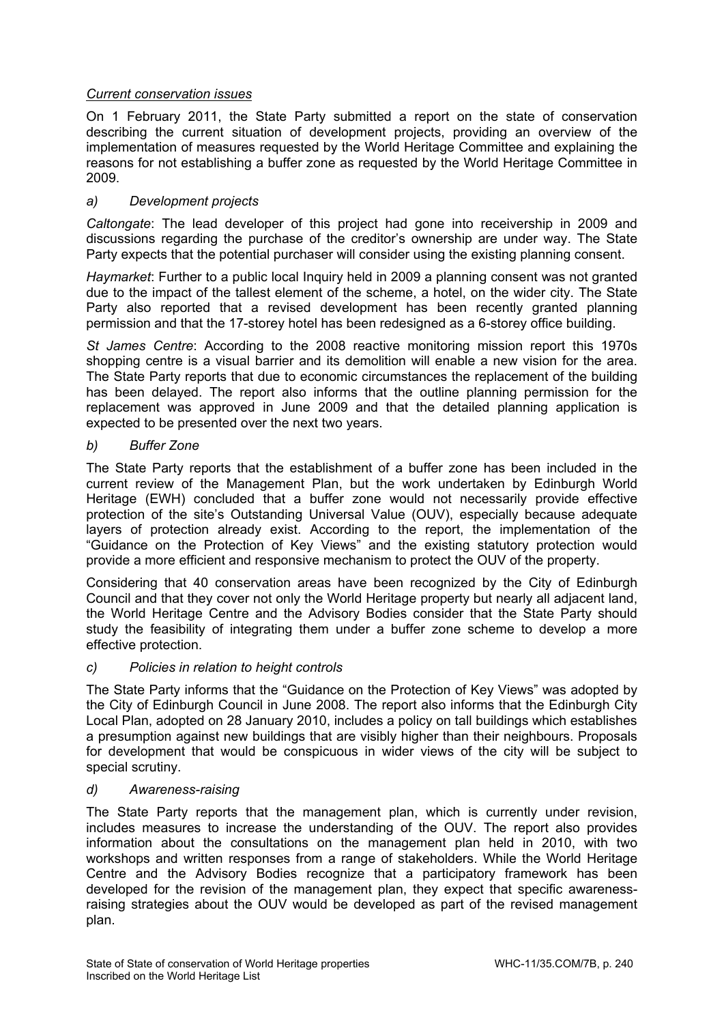# *Current conservation issues*

On 1 February 2011, the State Party submitted a report on the state of conservation describing the current situation of development projects, providing an overview of the implementation of measures requested by the World Heritage Committee and explaining the reasons for not establishing a buffer zone as requested by the World Heritage Committee in 2009.

# *a) Development projects*

*Caltongate*: The lead developer of this project had gone into receivership in 2009 and discussions regarding the purchase of the creditor's ownership are under way. The State Party expects that the potential purchaser will consider using the existing planning consent.

*Haymarket*: Further to a public local Inquiry held in 2009 a planning consent was not granted due to the impact of the tallest element of the scheme, a hotel, on the wider city. The State Party also reported that a revised development has been recently granted planning permission and that the 17-storey hotel has been redesigned as a 6-storey office building.

*St James Centre*: According to the 2008 reactive monitoring mission report this 1970s shopping centre is a visual barrier and its demolition will enable a new vision for the area. The State Party reports that due to economic circumstances the replacement of the building has been delayed. The report also informs that the outline planning permission for the replacement was approved in June 2009 and that the detailed planning application is expected to be presented over the next two years.

## *b) Buffer Zone*

The State Party reports that the establishment of a buffer zone has been included in the current review of the Management Plan, but the work undertaken by Edinburgh World Heritage (EWH) concluded that a buffer zone would not necessarily provide effective protection of the site's Outstanding Universal Value (OUV), especially because adequate layers of protection already exist. According to the report, the implementation of the "Guidance on the Protection of Key Views" and the existing statutory protection would provide a more efficient and responsive mechanism to protect the OUV of the property.

Considering that 40 conservation areas have been recognized by the City of Edinburgh Council and that they cover not only the World Heritage property but nearly all adjacent land, the World Heritage Centre and the Advisory Bodies consider that the State Party should study the feasibility of integrating them under a buffer zone scheme to develop a more effective protection.

## *c) Policies in relation to height controls*

The State Party informs that the "Guidance on the Protection of Key Views" was adopted by the City of Edinburgh Council in June 2008. The report also informs that the Edinburgh City Local Plan, adopted on 28 January 2010, includes a policy on tall buildings which establishes a presumption against new buildings that are visibly higher than their neighbours. Proposals for development that would be conspicuous in wider views of the city will be subject to special scrutiny.

## *d) Awareness-raising*

The State Party reports that the management plan, which is currently under revision, includes measures to increase the understanding of the OUV. The report also provides information about the consultations on the management plan held in 2010, with two workshops and written responses from a range of stakeholders. While the World Heritage Centre and the Advisory Bodies recognize that a participatory framework has been developed for the revision of the management plan, they expect that specific awarenessraising strategies about the OUV would be developed as part of the revised management plan.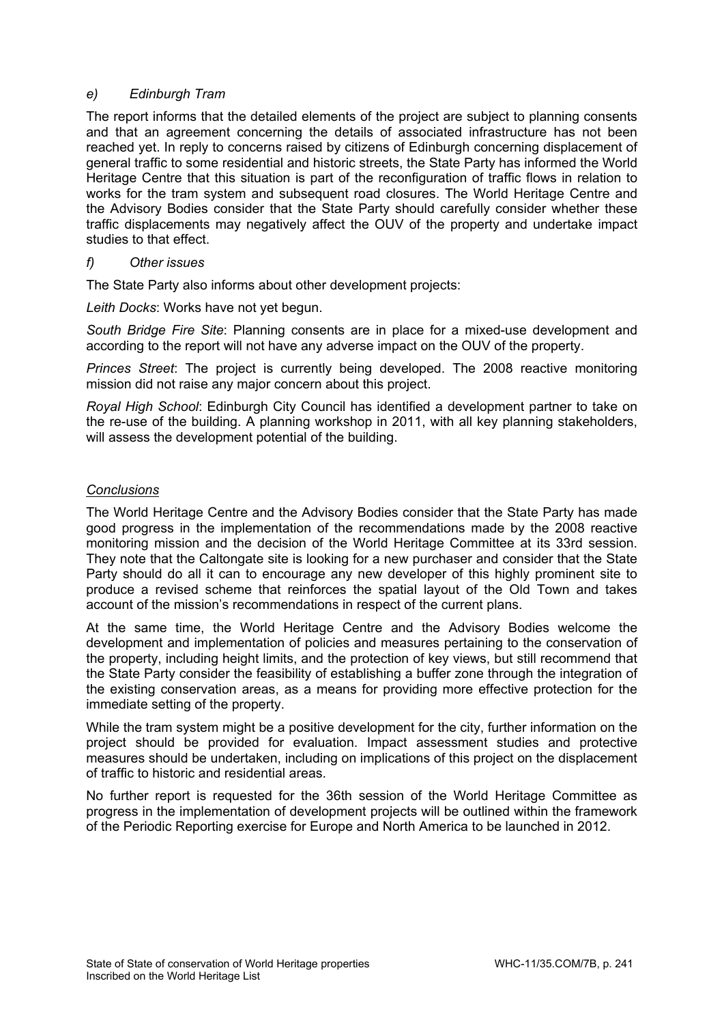# *e) Edinburgh Tram*

The report informs that the detailed elements of the project are subject to planning consents and that an agreement concerning the details of associated infrastructure has not been reached yet. In reply to concerns raised by citizens of Edinburgh concerning displacement of general traffic to some residential and historic streets, the State Party has informed the World Heritage Centre that this situation is part of the reconfiguration of traffic flows in relation to works for the tram system and subsequent road closures. The World Heritage Centre and the Advisory Bodies consider that the State Party should carefully consider whether these traffic displacements may negatively affect the OUV of the property and undertake impact studies to that effect.

## *f) Other issues*

The State Party also informs about other development projects:

*Leith Docks*: Works have not yet begun.

*South Bridge Fire Site*: Planning consents are in place for a mixed-use development and according to the report will not have any adverse impact on the OUV of the property.

*Princes Street*: The project is currently being developed. The 2008 reactive monitoring mission did not raise any major concern about this project.

*Royal High School*: Edinburgh City Council has identified a development partner to take on the re-use of the building. A planning workshop in 2011, with all key planning stakeholders, will assess the development potential of the building.

## *Conclusions*

The World Heritage Centre and the Advisory Bodies consider that the State Party has made good progress in the implementation of the recommendations made by the 2008 reactive monitoring mission and the decision of the World Heritage Committee at its 33rd session. They note that the Caltongate site is looking for a new purchaser and consider that the State Party should do all it can to encourage any new developer of this highly prominent site to produce a revised scheme that reinforces the spatial layout of the Old Town and takes account of the mission's recommendations in respect of the current plans.

At the same time, the World Heritage Centre and the Advisory Bodies welcome the development and implementation of policies and measures pertaining to the conservation of the property, including height limits, and the protection of key views, but still recommend that the State Party consider the feasibility of establishing a buffer zone through the integration of the existing conservation areas, as a means for providing more effective protection for the immediate setting of the property.

While the tram system might be a positive development for the city, further information on the project should be provided for evaluation. Impact assessment studies and protective measures should be undertaken, including on implications of this project on the displacement of traffic to historic and residential areas.

No further report is requested for the 36th session of the World Heritage Committee as progress in the implementation of development projects will be outlined within the framework of the Periodic Reporting exercise for Europe and North America to be launched in 2012.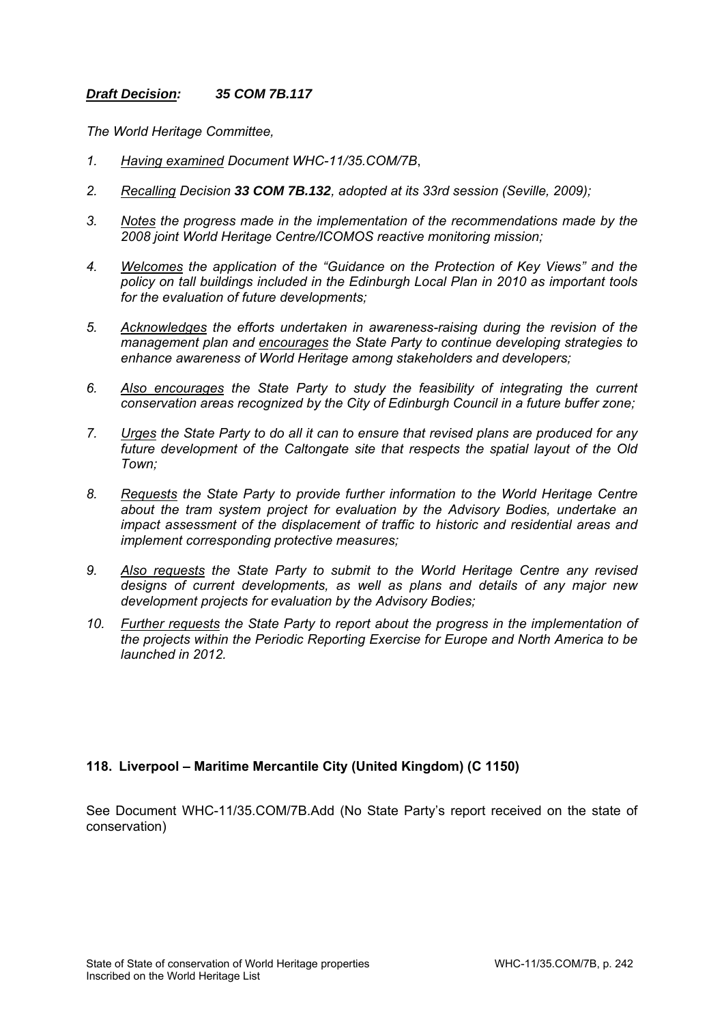## *Draft Decision: 35 COM 7B.117*

*The World Heritage Committee,* 

- *1. Having examined Document WHC-11/35.COM/7B*,
- *2. Recalling Decision 33 COM 7B.132, adopted at its 33rd session (Seville, 2009);*
- *3. Notes the progress made in the implementation of the recommendations made by the 2008 joint World Heritage Centre/ICOMOS reactive monitoring mission;*
- *4. Welcomes the application of the "Guidance on the Protection of Key Views" and the policy on tall buildings included in the Edinburgh Local Plan in 2010 as important tools for the evaluation of future developments;*
- *5. Acknowledges the efforts undertaken in awareness-raising during the revision of the management plan and encourages the State Party to continue developing strategies to enhance awareness of World Heritage among stakeholders and developers;*
- *6. Also encourages the State Party to study the feasibility of integrating the current conservation areas recognized by the City of Edinburgh Council in a future buffer zone;*
- *7. Urges the State Party to do all it can to ensure that revised plans are produced for any future development of the Caltongate site that respects the spatial layout of the Old Town;*
- *8. Requests the State Party to provide further information to the World Heritage Centre about the tram system project for evaluation by the Advisory Bodies, undertake an impact assessment of the displacement of traffic to historic and residential areas and implement corresponding protective measures;*
- *9. Also requests the State Party to submit to the World Heritage Centre any revised designs of current developments, as well as plans and details of any major new development projects for evaluation by the Advisory Bodies;*
- *10. Further requests the State Party to report about the progress in the implementation of the projects within the Periodic Reporting Exercise for Europe and North America to be launched in 2012.*

## **118. Liverpool – Maritime Mercantile City (United Kingdom) (C 1150)**

See Document WHC-11/35.COM/7B.Add (No State Party's report received on the state of conservation)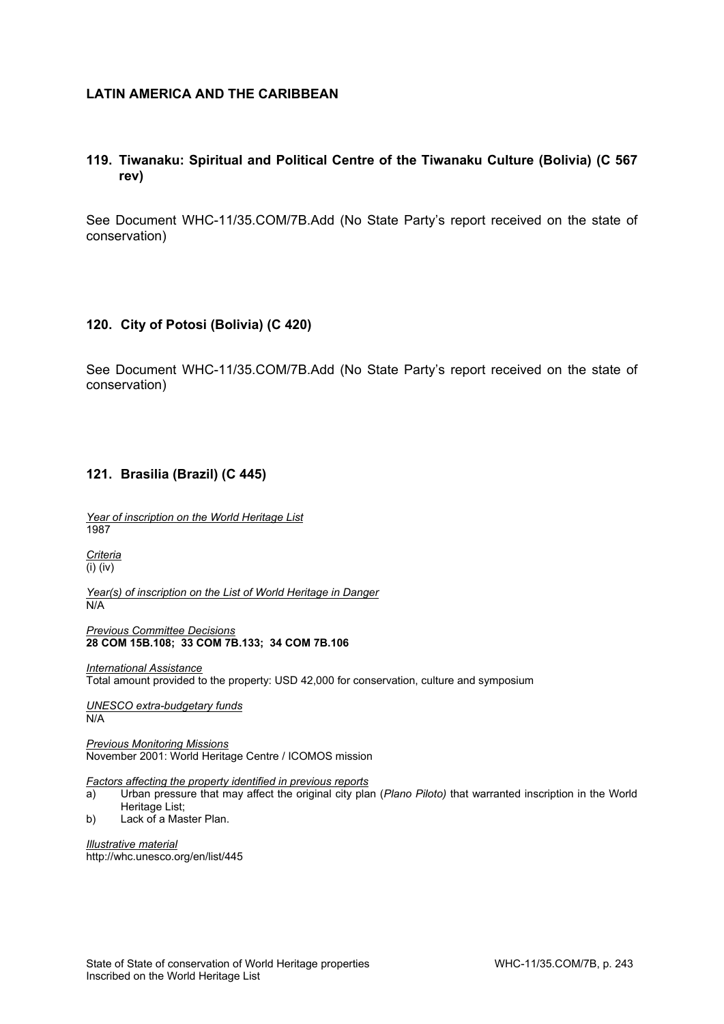#### **LATIN AMERICA AND THE CARIBBEAN**

# **119. Tiwanaku: Spiritual and Political Centre of the Tiwanaku Culture (Bolivia) (C 567 rev)**

See Document WHC-11/35.COM/7B.Add (No State Party's report received on the state of conservation)

#### **120. City of Potosi (Bolivia) (C 420)**

See Document WHC-11/35.COM/7B.Add (No State Party's report received on the state of conservation)

#### **121. Brasilia (Brazil) (C 445)**

*Year of inscription on the World Heritage List*  1987

*Criteria*  (i) (iv)

*Year(s) of inscription on the List of World Heritage in Danger*  N/A

*Previous Committee Decisions*  **28 COM 15B.108; 33 COM 7B.133; 34 COM 7B.106**

*International Assistance*  Total amount provided to the property: USD 42,000 for conservation, culture and symposium

*UNESCO extra-budgetary funds*  N/A

*Previous Monitoring Missions*  November 2001: World Heritage Centre / ICOMOS mission

#### *Factors affecting the property identified in previous reports*

- a) Urban pressure that may affect the original city plan (*Plano Piloto)* that warranted inscription in the World Heritage List:
- b) Lack of a Master Plan.

*Illustrative material*  http://whc.unesco.org/en/list/445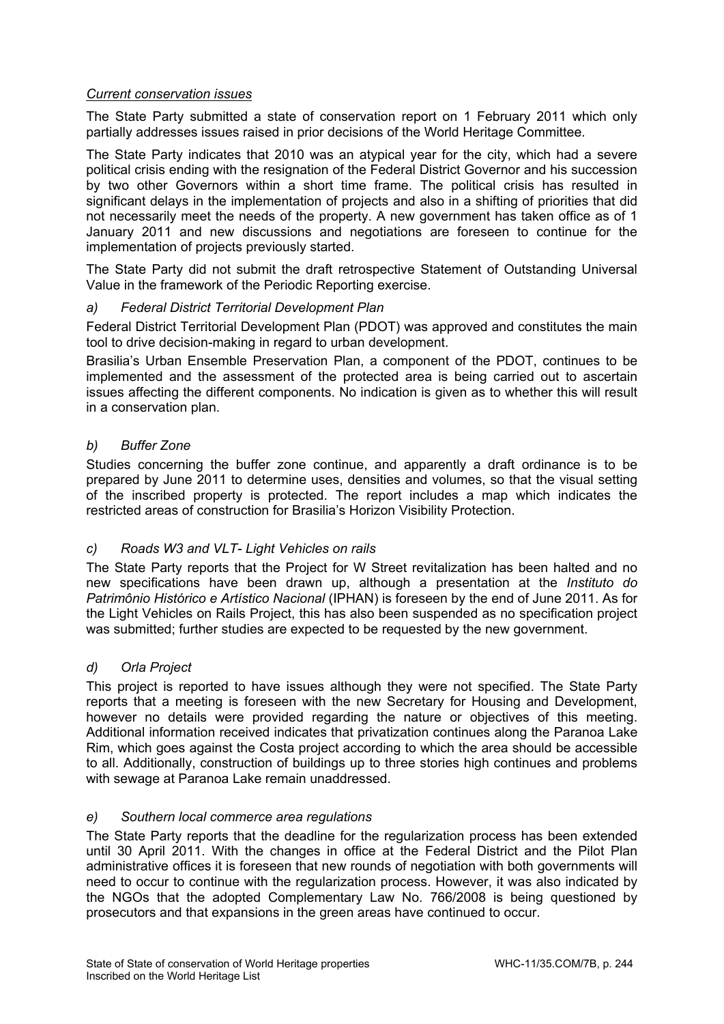# *Current conservation issues*

The State Party submitted a state of conservation report on 1 February 2011 which only partially addresses issues raised in prior decisions of the World Heritage Committee.

The State Party indicates that 2010 was an atypical year for the city, which had a severe political crisis ending with the resignation of the Federal District Governor and his succession by two other Governors within a short time frame. The political crisis has resulted in significant delays in the implementation of projects and also in a shifting of priorities that did not necessarily meet the needs of the property. A new government has taken office as of 1 January 2011 and new discussions and negotiations are foreseen to continue for the implementation of projects previously started.

The State Party did not submit the draft retrospective Statement of Outstanding Universal Value in the framework of the Periodic Reporting exercise.

## *a) Federal District Territorial Development Plan*

Federal District Territorial Development Plan (PDOT) was approved and constitutes the main tool to drive decision-making in regard to urban development.

Brasilia's Urban Ensemble Preservation Plan, a component of the PDOT, continues to be implemented and the assessment of the protected area is being carried out to ascertain issues affecting the different components. No indication is given as to whether this will result in a conservation plan.

# *b) Buffer Zone*

Studies concerning the buffer zone continue, and apparently a draft ordinance is to be prepared by June 2011 to determine uses, densities and volumes, so that the visual setting of the inscribed property is protected. The report includes a map which indicates the restricted areas of construction for Brasilia's Horizon Visibility Protection.

## *c) Roads W3 and VLT- Light Vehicles on rails*

The State Party reports that the Project for W Street revitalization has been halted and no new specifications have been drawn up, although a presentation at the *Instituto do Patrimônio Histórico e Artístico Nacional* (IPHAN) is foreseen by the end of June 2011. As for the Light Vehicles on Rails Project, this has also been suspended as no specification project was submitted; further studies are expected to be requested by the new government.

## *d) Orla Project*

This project is reported to have issues although they were not specified. The State Party reports that a meeting is foreseen with the new Secretary for Housing and Development, however no details were provided regarding the nature or objectives of this meeting. Additional information received indicates that privatization continues along the Paranoa Lake Rim, which goes against the Costa project according to which the area should be accessible to all. Additionally, construction of buildings up to three stories high continues and problems with sewage at Paranoa Lake remain unaddressed.

## *e) Southern local commerce area regulations*

The State Party reports that the deadline for the regularization process has been extended until 30 April 2011. With the changes in office at the Federal District and the Pilot Plan administrative offices it is foreseen that new rounds of negotiation with both governments will need to occur to continue with the regularization process. However, it was also indicated by the NGOs that the adopted Complementary Law No. 766/2008 is being questioned by prosecutors and that expansions in the green areas have continued to occur.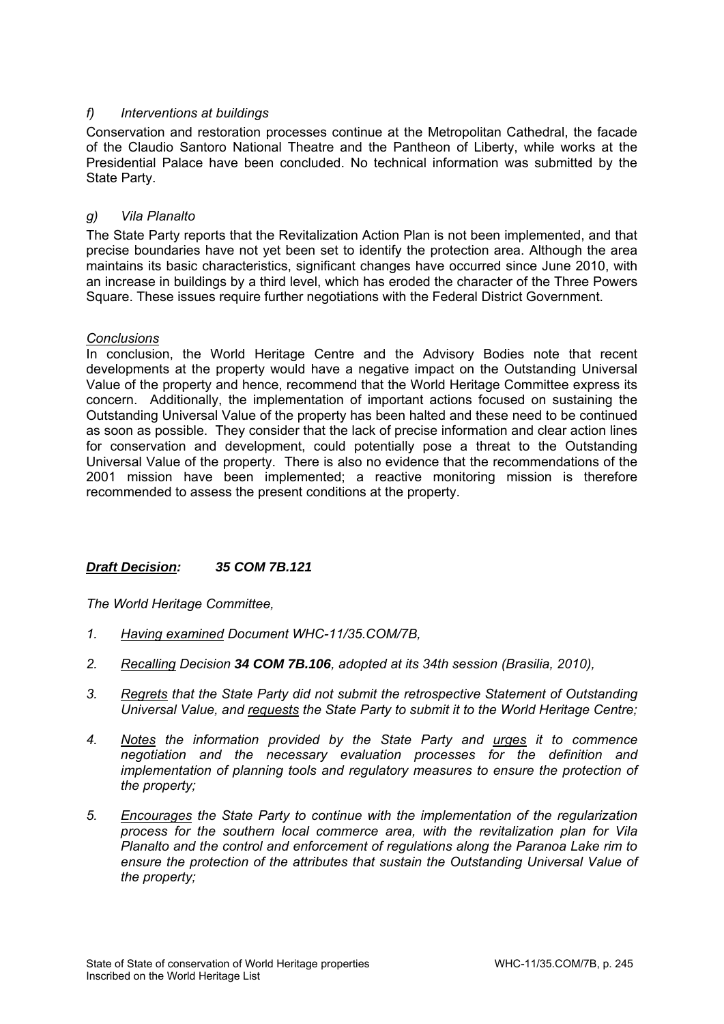# *f) Interventions at buildings*

Conservation and restoration processes continue at the Metropolitan Cathedral, the facade of the Claudio Santoro National Theatre and the Pantheon of Liberty, while works at the Presidential Palace have been concluded. No technical information was submitted by the State Party.

# *g) Vila Planalto*

The State Party reports that the Revitalization Action Plan is not been implemented, and that precise boundaries have not yet been set to identify the protection area. Although the area maintains its basic characteristics, significant changes have occurred since June 2010, with an increase in buildings by a third level, which has eroded the character of the Three Powers Square. These issues require further negotiations with the Federal District Government.

## *Conclusions*

In conclusion, the World Heritage Centre and the Advisory Bodies note that recent developments at the property would have a negative impact on the Outstanding Universal Value of the property and hence, recommend that the World Heritage Committee express its concern. Additionally, the implementation of important actions focused on sustaining the Outstanding Universal Value of the property has been halted and these need to be continued as soon as possible. They consider that the lack of precise information and clear action lines for conservation and development, could potentially pose a threat to the Outstanding Universal Value of the property. There is also no evidence that the recommendations of the 2001 mission have been implemented; a reactive monitoring mission is therefore recommended to assess the present conditions at the property.

## *Draft Decision: 35 COM 7B.121*

- *1. Having examined Document WHC-11/35.COM/7B,*
- *2. Recalling Decision 34 COM 7B.106, adopted at its 34th session (Brasilia, 2010),*
- *3. Regrets that the State Party did not submit the retrospective Statement of Outstanding Universal Value, and requests the State Party to submit it to the World Heritage Centre;*
- *4. Notes the information provided by the State Party and urges it to commence negotiation and the necessary evaluation processes for the definition and implementation of planning tools and regulatory measures to ensure the protection of the property;*
- *5. Encourages the State Party to continue with the implementation of the regularization process for the southern local commerce area, with the revitalization plan for Vila Planalto and the control and enforcement of regulations along the Paranoa Lake rim to ensure the protection of the attributes that sustain the Outstanding Universal Value of the property;*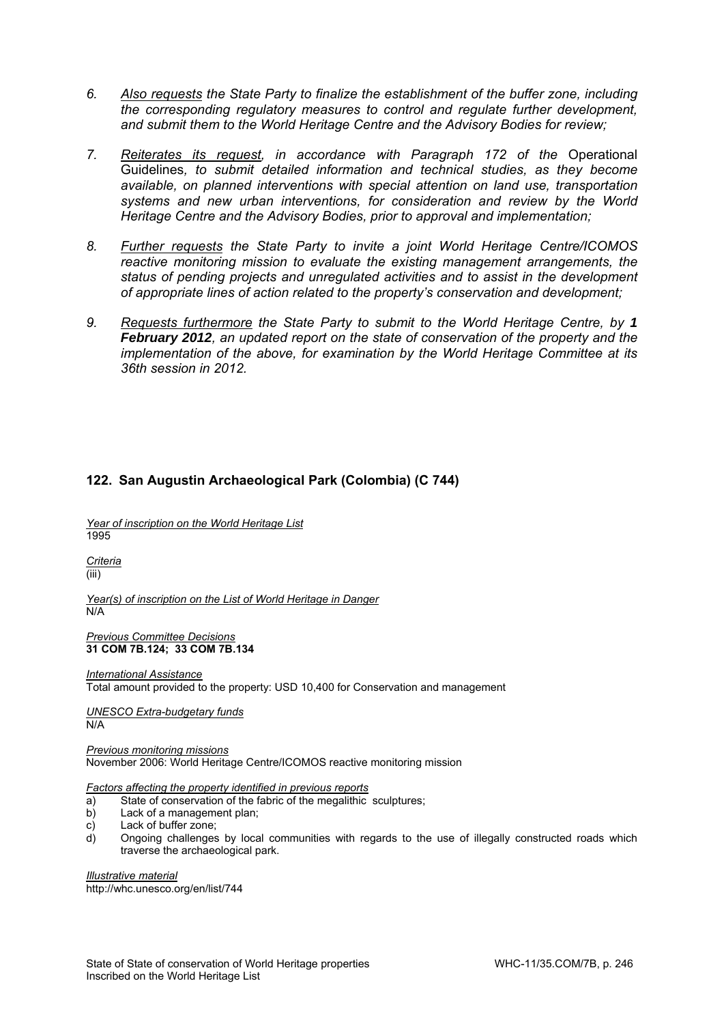- *6. Also requests the State Party to finalize the establishment of the buffer zone, including the corresponding regulatory measures to control and regulate further development, and submit them to the World Heritage Centre and the Advisory Bodies for review;*
- *7. Reiterates its request, in accordance with Paragraph 172 of the* Operational Guidelines*, to submit detailed information and technical studies, as they become available, on planned interventions with special attention on land use, transportation systems and new urban interventions, for consideration and review by the World Heritage Centre and the Advisory Bodies, prior to approval and implementation;*
- *8. Further requests the State Party to invite a joint World Heritage Centre/ICOMOS reactive monitoring mission to evaluate the existing management arrangements, the status of pending projects and unregulated activities and to assist in the development of appropriate lines of action related to the property's conservation and development;*
- *9. Requests furthermore the State Party to submit to the World Heritage Centre, by 1 February 2012, an updated report on the state of conservation of the property and the implementation of the above, for examination by the World Heritage Committee at its 36th session in 2012.*

# **122. San Augustin Archaeological Park (Colombia) (C 744)**

*Year of inscription on the World Heritage List*  1995

*Criteria*  (iii)

*Year(s) of inscription on the List of World Heritage in Danger*  N/A

*Previous Committee Decisions*  **31 COM 7B.124; 33 COM 7B.134** 

*International Assistance*  Total amount provided to the property: USD 10,400 for Conservation and management

*UNESCO Extra-budgetary funds*  N/A

*Previous monitoring missions*  November 2006: World Heritage Centre/ICOMOS reactive monitoring mission

*Factors affecting the property identified in previous reports* 

- a) State of conservation of the fabric of the megalithic sculptures;
- b) Lack of a management plan;
- c) Lack of buffer zone;
- d) Ongoing challenges by local communities with regards to the use of illegally constructed roads which traverse the archaeological park.

*Illustrative material*  http://whc.unesco.org/en/list/744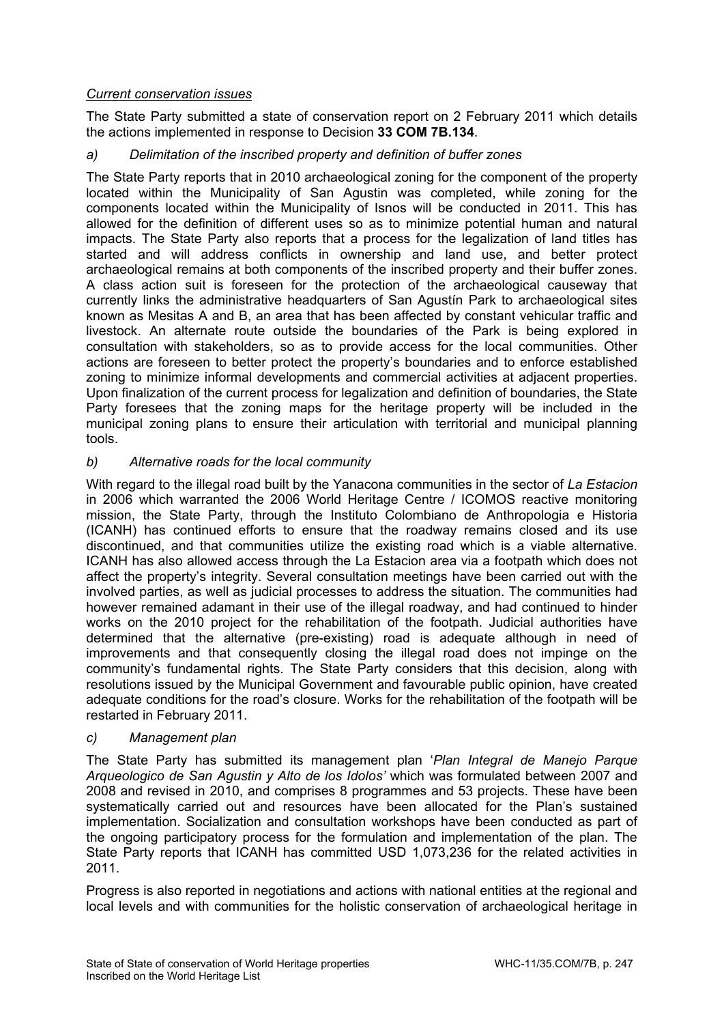# *Current conservation issues*

The State Party submitted a state of conservation report on 2 February 2011 which details the actions implemented in response to Decision **33 COM 7B.134**.

# *a) Delimitation of the inscribed property and definition of buffer zones*

The State Party reports that in 2010 archaeological zoning for the component of the property located within the Municipality of San Agustin was completed, while zoning for the components located within the Municipality of Isnos will be conducted in 2011. This has allowed for the definition of different uses so as to minimize potential human and natural impacts. The State Party also reports that a process for the legalization of land titles has started and will address conflicts in ownership and land use, and better protect archaeological remains at both components of the inscribed property and their buffer zones. A class action suit is foreseen for the protection of the archaeological causeway that currently links the administrative headquarters of San Agustín Park to archaeological sites known as Mesitas A and B, an area that has been affected by constant vehicular traffic and livestock. An alternate route outside the boundaries of the Park is being explored in consultation with stakeholders, so as to provide access for the local communities. Other actions are foreseen to better protect the property's boundaries and to enforce established zoning to minimize informal developments and commercial activities at adjacent properties. Upon finalization of the current process for legalization and definition of boundaries, the State Party foresees that the zoning maps for the heritage property will be included in the municipal zoning plans to ensure their articulation with territorial and municipal planning tools.

## *b) Alternative roads for the local community*

With regard to the illegal road built by the Yanacona communities in the sector of *La Estacion* in 2006 which warranted the 2006 World Heritage Centre / ICOMOS reactive monitoring mission, the State Party, through the Instituto Colombiano de Anthropologia e Historia (ICANH) has continued efforts to ensure that the roadway remains closed and its use discontinued, and that communities utilize the existing road which is a viable alternative. ICANH has also allowed access through the La Estacion area via a footpath which does not affect the property's integrity. Several consultation meetings have been carried out with the involved parties, as well as judicial processes to address the situation. The communities had however remained adamant in their use of the illegal roadway, and had continued to hinder works on the 2010 project for the rehabilitation of the footpath. Judicial authorities have determined that the alternative (pre-existing) road is adequate although in need of improvements and that consequently closing the illegal road does not impinge on the community's fundamental rights. The State Party considers that this decision, along with resolutions issued by the Municipal Government and favourable public opinion, have created adequate conditions for the road's closure. Works for the rehabilitation of the footpath will be restarted in February 2011.

## *c) Management plan*

The State Party has submitted its management plan '*Plan Integral de Manejo Parque Arqueologico de San Agustin y Alto de los Idolos'* which was formulated between 2007 and 2008 and revised in 2010, and comprises 8 programmes and 53 projects. These have been systematically carried out and resources have been allocated for the Plan's sustained implementation. Socialization and consultation workshops have been conducted as part of the ongoing participatory process for the formulation and implementation of the plan. The State Party reports that ICANH has committed USD 1,073,236 for the related activities in 2011.

Progress is also reported in negotiations and actions with national entities at the regional and local levels and with communities for the holistic conservation of archaeological heritage in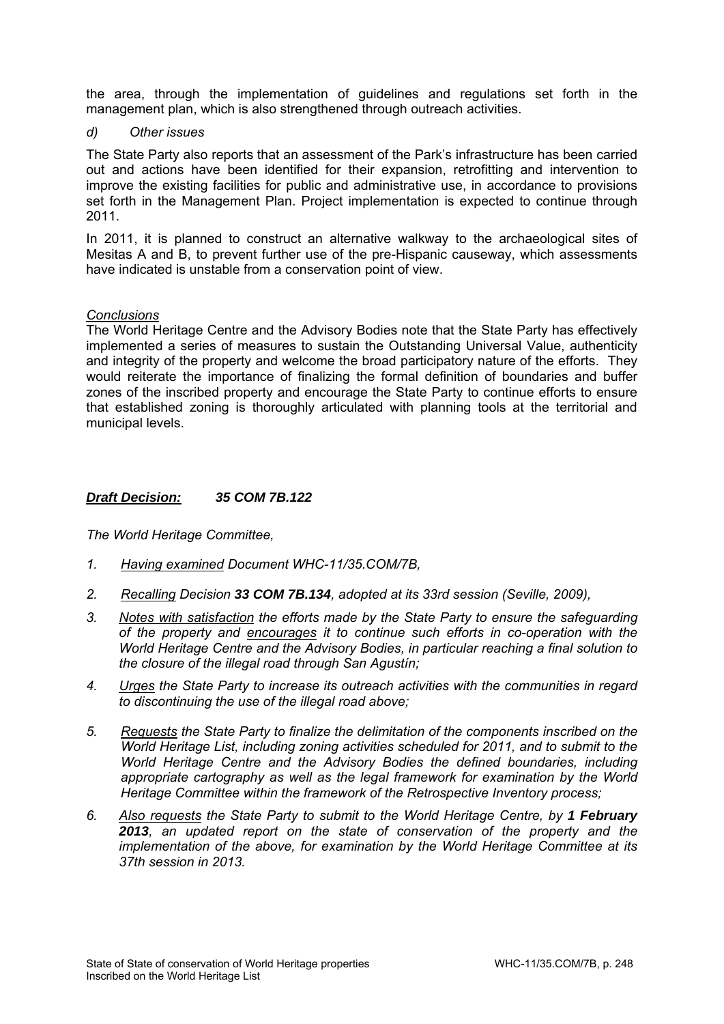the area, through the implementation of guidelines and regulations set forth in the management plan, which is also strengthened through outreach activities.

*d) Other issues* 

The State Party also reports that an assessment of the Park's infrastructure has been carried out and actions have been identified for their expansion, retrofitting and intervention to improve the existing facilities for public and administrative use, in accordance to provisions set forth in the Management Plan. Project implementation is expected to continue through 2011.

In 2011, it is planned to construct an alternative walkway to the archaeological sites of Mesitas A and B, to prevent further use of the pre-Hispanic causeway, which assessments have indicated is unstable from a conservation point of view.

#### *Conclusions*

The World Heritage Centre and the Advisory Bodies note that the State Party has effectively implemented a series of measures to sustain the Outstanding Universal Value, authenticity and integrity of the property and welcome the broad participatory nature of the efforts. They would reiterate the importance of finalizing the formal definition of boundaries and buffer zones of the inscribed property and encourage the State Party to continue efforts to ensure that established zoning is thoroughly articulated with planning tools at the territorial and municipal levels.

# *Draft Decision: 35 COM 7B.122*

- *1. Having examined Document WHC-11/35.COM/7B,*
- *2. Recalling Decision 33 COM 7B.134, adopted at its 33rd session (Seville, 2009),*
- *3. Notes with satisfaction the efforts made by the State Party to ensure the safeguarding of the property and encourages it to continue such efforts in co-operation with the World Heritage Centre and the Advisory Bodies, in particular reaching a final solution to the closure of the illegal road through San Agustín;*
- *4. Urges the State Party to increase its outreach activities with the communities in regard to discontinuing the use of the illegal road above;*
- *5. Requests the State Party to finalize the delimitation of the components inscribed on the World Heritage List, including zoning activities scheduled for 2011, and to submit to the World Heritage Centre and the Advisory Bodies the defined boundaries, including appropriate cartography as well as the legal framework for examination by the World Heritage Committee within the framework of the Retrospective Inventory process;*
- *6. Also requests the State Party to submit to the World Heritage Centre, by 1 February 2013, an updated report on the state of conservation of the property and the implementation of the above, for examination by the World Heritage Committee at its 37th session in 2013.*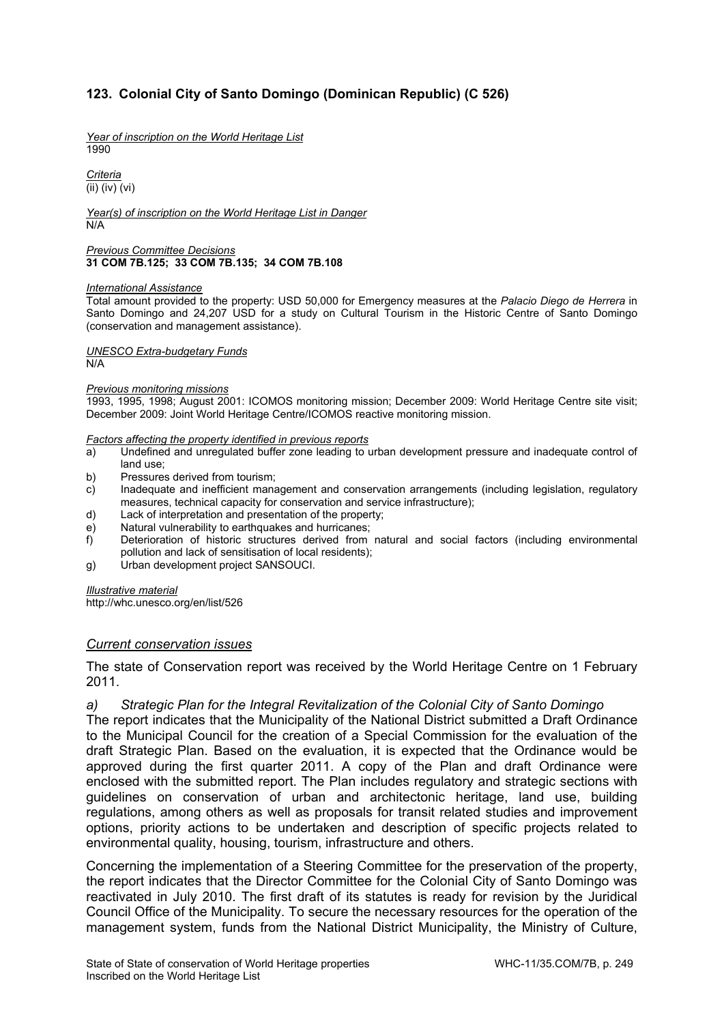# **123. Colonial City of Santo Domingo (Dominican Republic) (C 526)**

*Year of inscription on the World Heritage List*  1990

*Criteria*  (ii) (iv) (vi)

*Year(s) of inscription on the World Heritage List in Danger*  N/A

*Previous Committee Decisions*  **31 COM 7B.125; 33 COM 7B.135; 34 COM 7B.108** 

#### *International Assistance*

Total amount provided to the property: USD 50,000 for Emergency measures at the *Palacio Diego de Herrera* in Santo Domingo and 24,207 USD for a study on Cultural Tourism in the Historic Centre of Santo Domingo (conservation and management assistance).

*UNESCO Extra-budgetary Funds*  N/A

#### *Previous monitoring missions*

1993, 1995, 1998; August 2001: ICOMOS monitoring mission; December 2009: World Heritage Centre site visit; December 2009: Joint World Heritage Centre/ICOMOS reactive monitoring mission.

#### *Factors affecting the property identified in previous reports*

- a) Undefined and unregulated buffer zone leading to urban development pressure and inadequate control of land use;
- b) Pressures derived from tourism;
- c) Inadequate and inefficient management and conservation arrangements (including legislation, regulatory measures, technical capacity for conservation and service infrastructure);
- d) Lack of interpretation and presentation of the property;
- e) Natural vulnerability to earthquakes and hurricanes;
- f) Deterioration of historic structures derived from natural and social factors (including environmental pollution and lack of sensitisation of local residents);
- g) Urban development project SANSOUCI.

#### *Illustrative material*

http://whc.unesco.org/en/list/526

#### *Current conservation issues*

The state of Conservation report was received by the World Heritage Centre on 1 February 2011.

#### *a) Strategic Plan for the Integral Revitalization of the Colonial City of Santo Domingo*

The report indicates that the Municipality of the National District submitted a Draft Ordinance to the Municipal Council for the creation of a Special Commission for the evaluation of the draft Strategic Plan. Based on the evaluation, it is expected that the Ordinance would be approved during the first quarter 2011. A copy of the Plan and draft Ordinance were enclosed with the submitted report. The Plan includes regulatory and strategic sections with guidelines on conservation of urban and architectonic heritage, land use, building regulations, among others as well as proposals for transit related studies and improvement options, priority actions to be undertaken and description of specific projects related to environmental quality, housing, tourism, infrastructure and others.

Concerning the implementation of a Steering Committee for the preservation of the property, the report indicates that the Director Committee for the Colonial City of Santo Domingo was reactivated in July 2010. The first draft of its statutes is ready for revision by the Juridical Council Office of the Municipality. To secure the necessary resources for the operation of the management system, funds from the National District Municipality, the Ministry of Culture,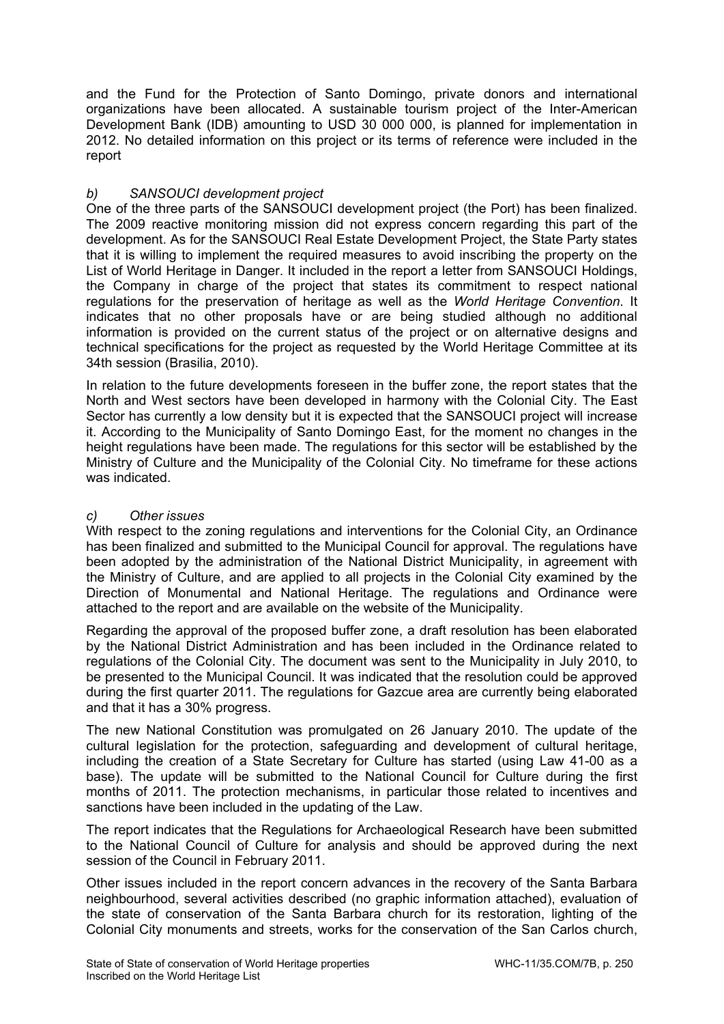and the Fund for the Protection of Santo Domingo, private donors and international organizations have been allocated. A sustainable tourism project of the Inter-American Development Bank (IDB) amounting to USD 30 000 000, is planned for implementation in 2012. No detailed information on this project or its terms of reference were included in the report

# *b) SANSOUCI development project*

One of the three parts of the SANSOUCI development project (the Port) has been finalized. The 2009 reactive monitoring mission did not express concern regarding this part of the development. As for the SANSOUCI Real Estate Development Project, the State Party states that it is willing to implement the required measures to avoid inscribing the property on the List of World Heritage in Danger. It included in the report a letter from SANSOUCI Holdings, the Company in charge of the project that states its commitment to respect national regulations for the preservation of heritage as well as the *World Heritage Convention*. It indicates that no other proposals have or are being studied although no additional information is provided on the current status of the project or on alternative designs and technical specifications for the project as requested by the World Heritage Committee at its 34th session (Brasilia, 2010).

In relation to the future developments foreseen in the buffer zone, the report states that the North and West sectors have been developed in harmony with the Colonial City. The East Sector has currently a low density but it is expected that the SANSOUCI project will increase it. According to the Municipality of Santo Domingo East, for the moment no changes in the height regulations have been made. The regulations for this sector will be established by the Ministry of Culture and the Municipality of the Colonial City. No timeframe for these actions was indicated.

# *c) Other issues*

With respect to the zoning regulations and interventions for the Colonial City, an Ordinance has been finalized and submitted to the Municipal Council for approval. The regulations have been adopted by the administration of the National District Municipality, in agreement with the Ministry of Culture, and are applied to all projects in the Colonial City examined by the Direction of Monumental and National Heritage. The regulations and Ordinance were attached to the report and are available on the website of the Municipality.

Regarding the approval of the proposed buffer zone, a draft resolution has been elaborated by the National District Administration and has been included in the Ordinance related to regulations of the Colonial City. The document was sent to the Municipality in July 2010, to be presented to the Municipal Council. It was indicated that the resolution could be approved during the first quarter 2011. The regulations for Gazcue area are currently being elaborated and that it has a 30% progress.

The new National Constitution was promulgated on 26 January 2010. The update of the cultural legislation for the protection, safeguarding and development of cultural heritage, including the creation of a State Secretary for Culture has started (using Law 41-00 as a base). The update will be submitted to the National Council for Culture during the first months of 2011. The protection mechanisms, in particular those related to incentives and sanctions have been included in the updating of the Law.

The report indicates that the Regulations for Archaeological Research have been submitted to the National Council of Culture for analysis and should be approved during the next session of the Council in February 2011.

Other issues included in the report concern advances in the recovery of the Santa Barbara neighbourhood, several activities described (no graphic information attached), evaluation of the state of conservation of the Santa Barbara church for its restoration, lighting of the Colonial City monuments and streets, works for the conservation of the San Carlos church,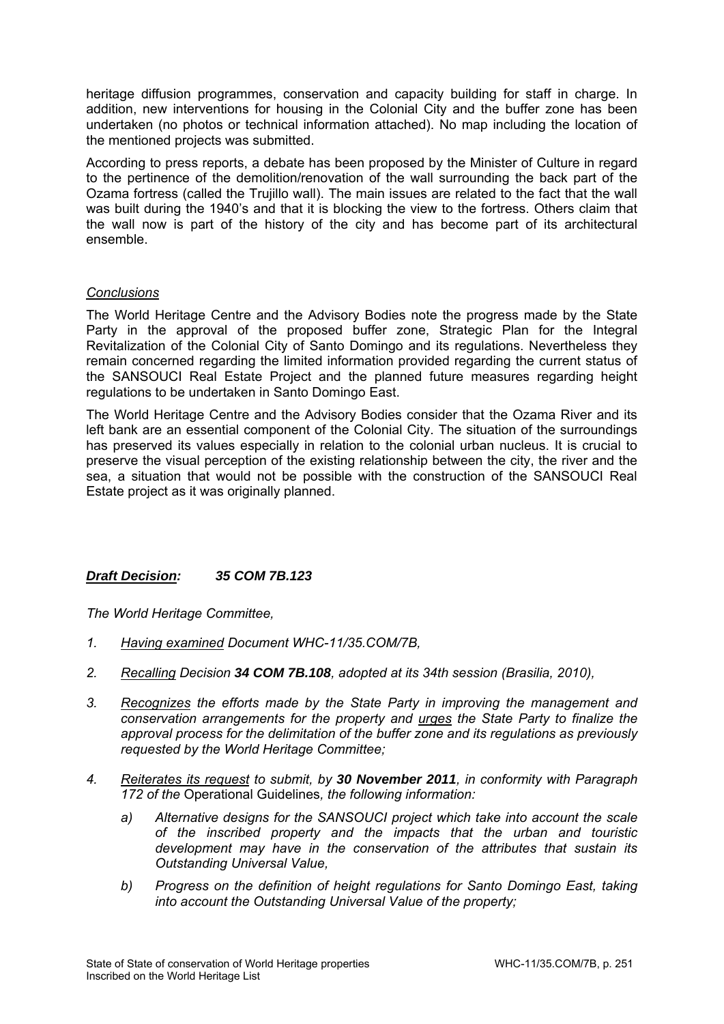heritage diffusion programmes, conservation and capacity building for staff in charge. In addition, new interventions for housing in the Colonial City and the buffer zone has been undertaken (no photos or technical information attached). No map including the location of the mentioned projects was submitted.

According to press reports, a debate has been proposed by the Minister of Culture in regard to the pertinence of the demolition/renovation of the wall surrounding the back part of the Ozama fortress (called the Trujillo wall). The main issues are related to the fact that the wall was built during the 1940's and that it is blocking the view to the fortress. Others claim that the wall now is part of the history of the city and has become part of its architectural ensemble.

# *Conclusions*

The World Heritage Centre and the Advisory Bodies note the progress made by the State Party in the approval of the proposed buffer zone. Strategic Plan for the Integral Revitalization of the Colonial City of Santo Domingo and its regulations. Nevertheless they remain concerned regarding the limited information provided regarding the current status of the SANSOUCI Real Estate Project and the planned future measures regarding height regulations to be undertaken in Santo Domingo East.

The World Heritage Centre and the Advisory Bodies consider that the Ozama River and its left bank are an essential component of the Colonial City. The situation of the surroundings has preserved its values especially in relation to the colonial urban nucleus. It is crucial to preserve the visual perception of the existing relationship between the city, the river and the sea, a situation that would not be possible with the construction of the SANSOUCI Real Estate project as it was originally planned.

## *Draft Decision: 35 COM 7B.123*

- *1. Having examined Document WHC-11/35.COM/7B,*
- *2. Recalling Decision 34 COM 7B.108, adopted at its 34th session (Brasilia, 2010),*
- *3. Recognizes the efforts made by the State Party in improving the management and conservation arrangements for the property and urges the State Party to finalize the approval process for the delimitation of the buffer zone and its regulations as previously requested by the World Heritage Committee;*
- *4. Reiterates its request to submit, by 30 November 2011, in conformity with Paragraph 172 of the* Operational Guidelines*, the following information:* 
	- *a) Alternative designs for the SANSOUCI project which take into account the scale of the inscribed property and the impacts that the urban and touristic development may have in the conservation of the attributes that sustain its Outstanding Universal Value,*
	- *b) Progress on the definition of height regulations for Santo Domingo East, taking into account the Outstanding Universal Value of the property;*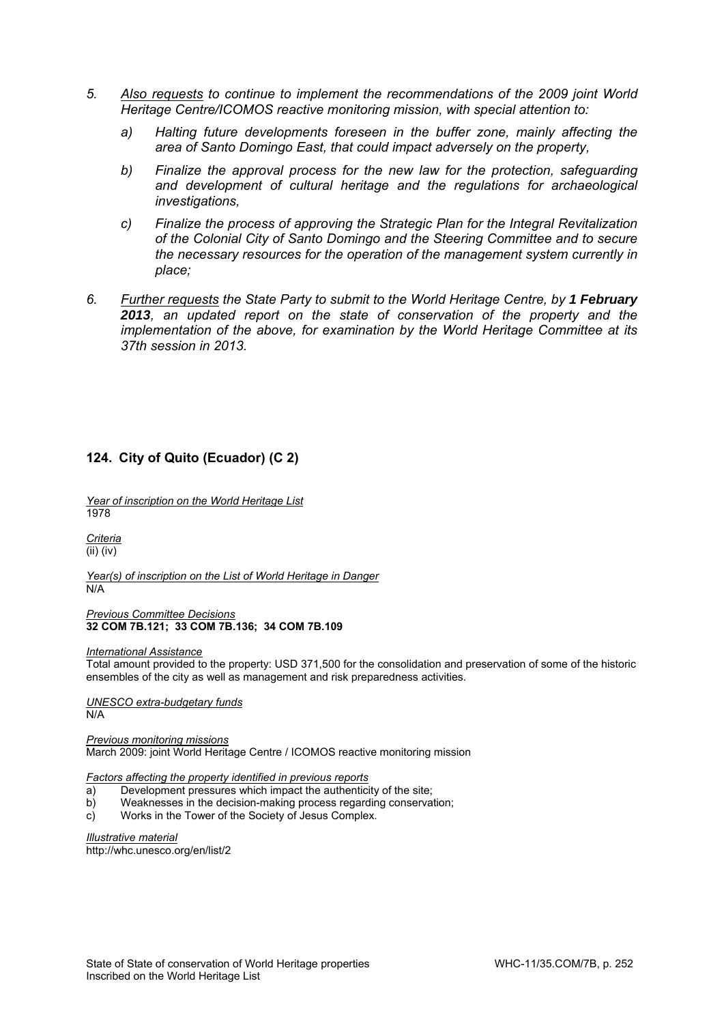- *5. Also requests to continue to implement the recommendations of the 2009 joint World Heritage Centre/ICOMOS reactive monitoring mission, with special attention to:* 
	- *a) Halting future developments foreseen in the buffer zone, mainly affecting the area of Santo Domingo East, that could impact adversely on the property,*
	- *b) Finalize the approval process for the new law for the protection, safeguarding and development of cultural heritage and the regulations for archaeological investigations,*
	- *c) Finalize the process of approving the Strategic Plan for the Integral Revitalization of the Colonial City of Santo Domingo and the Steering Committee and to secure the necessary resources for the operation of the management system currently in place;*
- *6. Further requests the State Party to submit to the World Heritage Centre, by 1 February 2013, an updated report on the state of conservation of the property and the implementation of the above, for examination by the World Heritage Committee at its 37th session in 2013.*

## **124. City of Quito (Ecuador) (C 2)**

*Year of inscription on the World Heritage List*  1978

*Criteria*  (ii) (iv)

*Year(s) of inscription on the List of World Heritage in Danger*  N/A

*Previous Committee Decisions*  **32 COM 7B.121; 33 COM 7B.136; 34 COM 7B.109** 

#### *International Assistance*

Total amount provided to the property: USD 371,500 for the consolidation and preservation of some of the historic ensembles of the city as well as management and risk preparedness activities.

*UNESCO extra-budgetary funds*   $N/A$ 

*Previous monitoring missions*  March 2009: joint World Heritage Centre / ICOMOS reactive monitoring mission

*Factors affecting the property identified in previous reports* 

- a) Development pressures which impact the authenticity of the site;
- b) Weaknesses in the decision-making process regarding conservation;
- c) Works in the Tower of the Society of Jesus Complex.

*Illustrative material*  http://whc.unesco.org/en/list/2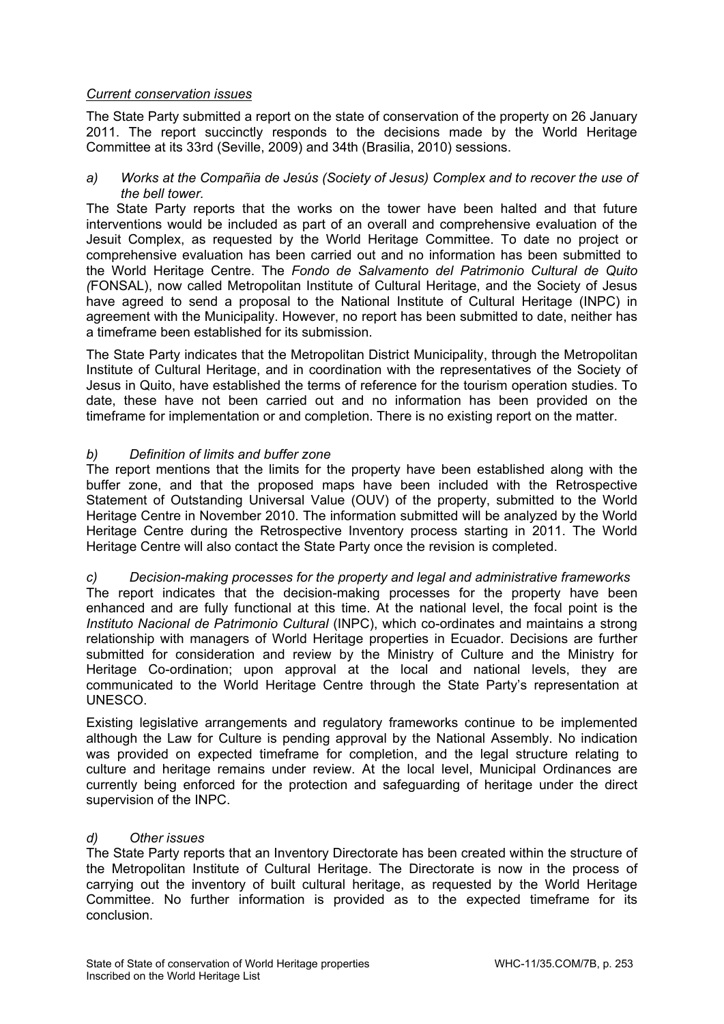# *Current conservation issues*

The State Party submitted a report on the state of conservation of the property on 26 January 2011. The report succinctly responds to the decisions made by the World Heritage Committee at its 33rd (Seville, 2009) and 34th (Brasilia, 2010) sessions.

*a) Works at the Compañia de Jesús (Society of Jesus) Complex and to recover the use of the bell tower.* 

The State Party reports that the works on the tower have been halted and that future interventions would be included as part of an overall and comprehensive evaluation of the Jesuit Complex, as requested by the World Heritage Committee. To date no project or comprehensive evaluation has been carried out and no information has been submitted to the World Heritage Centre. The *Fondo de Salvamento del Patrimonio Cultural de Quito (*FONSAL), now called Metropolitan Institute of Cultural Heritage, and the Society of Jesus have agreed to send a proposal to the National Institute of Cultural Heritage (INPC) in agreement with the Municipality. However, no report has been submitted to date, neither has a timeframe been established for its submission.

The State Party indicates that the Metropolitan District Municipality, through the Metropolitan Institute of Cultural Heritage, and in coordination with the representatives of the Society of Jesus in Quito, have established the terms of reference for the tourism operation studies. To date, these have not been carried out and no information has been provided on the timeframe for implementation or and completion. There is no existing report on the matter.

# *b) Definition of limits and buffer zone*

The report mentions that the limits for the property have been established along with the buffer zone, and that the proposed maps have been included with the Retrospective Statement of Outstanding Universal Value (OUV) of the property, submitted to the World Heritage Centre in November 2010. The information submitted will be analyzed by the World Heritage Centre during the Retrospective Inventory process starting in 2011. The World Heritage Centre will also contact the State Party once the revision is completed.

## *c) Decision-making processes for the property and legal and administrative frameworks*

The report indicates that the decision-making processes for the property have been enhanced and are fully functional at this time. At the national level, the focal point is the *Instituto Nacional de Patrimonio Cultural* (INPC), which co-ordinates and maintains a strong relationship with managers of World Heritage properties in Ecuador. Decisions are further submitted for consideration and review by the Ministry of Culture and the Ministry for Heritage Co-ordination; upon approval at the local and national levels, they are communicated to the World Heritage Centre through the State Party's representation at UNESCO.

Existing legislative arrangements and regulatory frameworks continue to be implemented although the Law for Culture is pending approval by the National Assembly. No indication was provided on expected timeframe for completion, and the legal structure relating to culture and heritage remains under review. At the local level, Municipal Ordinances are currently being enforced for the protection and safeguarding of heritage under the direct supervision of the INPC.

## *d) Other issues*

The State Party reports that an Inventory Directorate has been created within the structure of the Metropolitan Institute of Cultural Heritage. The Directorate is now in the process of carrying out the inventory of built cultural heritage, as requested by the World Heritage Committee. No further information is provided as to the expected timeframe for its conclusion.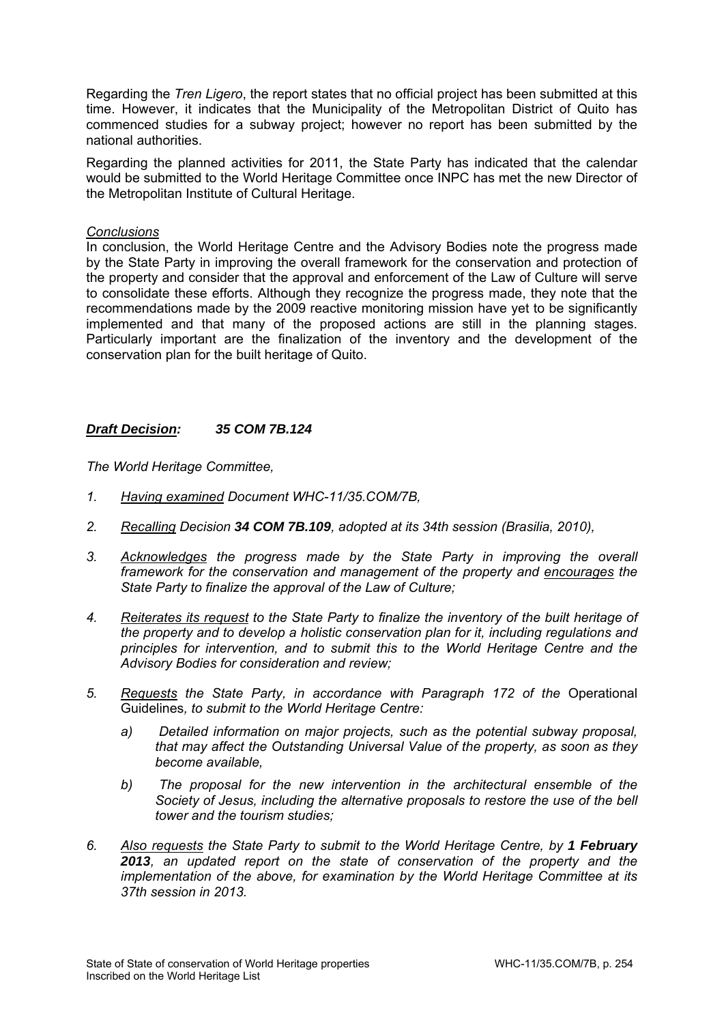Regarding the *Tren Ligero*, the report states that no official project has been submitted at this time. However, it indicates that the Municipality of the Metropolitan District of Quito has commenced studies for a subway project; however no report has been submitted by the national authorities.

Regarding the planned activities for 2011, the State Party has indicated that the calendar would be submitted to the World Heritage Committee once INPC has met the new Director of the Metropolitan Institute of Cultural Heritage.

### *Conclusions*

In conclusion, the World Heritage Centre and the Advisory Bodies note the progress made by the State Party in improving the overall framework for the conservation and protection of the property and consider that the approval and enforcement of the Law of Culture will serve to consolidate these efforts. Although they recognize the progress made, they note that the recommendations made by the 2009 reactive monitoring mission have yet to be significantly implemented and that many of the proposed actions are still in the planning stages. Particularly important are the finalization of the inventory and the development of the conservation plan for the built heritage of Quito.

## *Draft Decision: 35 COM 7B.124*

- *1. Having examined Document WHC-11/35.COM/7B,*
- *2. Recalling Decision 34 COM 7B.109, adopted at its 34th session (Brasilia, 2010),*
- 3. Acknowledges the progress made by the State Party in improving the overall *framework for the conservation and management of the property and encourages the State Party to finalize the approval of the Law of Culture;*
- *4. Reiterates its request to the State Party to finalize the inventory of the built heritage of the property and to develop a holistic conservation plan for it, including regulations and principles for intervention, and to submit this to the World Heritage Centre and the Advisory Bodies for consideration and review;*
- *5. Requests the State Party, in accordance with Paragraph 172 of the* Operational Guidelines*, to submit to the World Heritage Centre:* 
	- *a) Detailed information on major projects, such as the potential subway proposal, that may affect the Outstanding Universal Value of the property, as soon as they become available,*
	- *b) The proposal for the new intervention in the architectural ensemble of the Society of Jesus, including the alternative proposals to restore the use of the bell tower and the tourism studies;*
- *6. Also requests the State Party to submit to the World Heritage Centre, by 1 February 2013, an updated report on the state of conservation of the property and the implementation of the above, for examination by the World Heritage Committee at its 37th session in 2013.*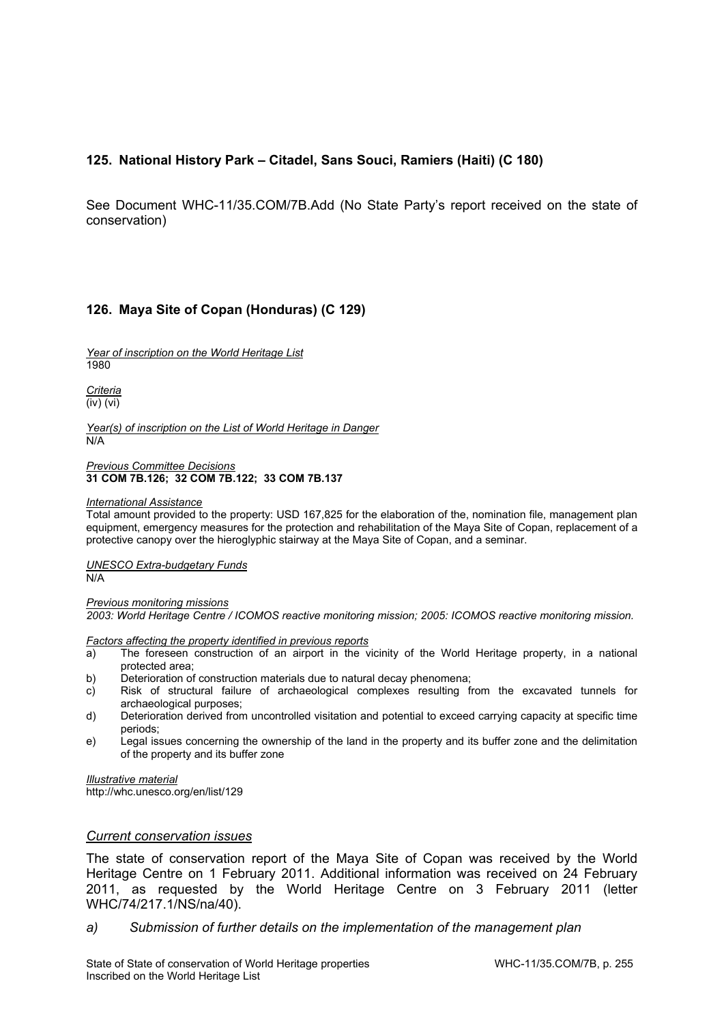# **125. National History Park – Citadel, Sans Souci, Ramiers (Haiti) (C 180)**

See Document WHC-11/35.COM/7B.Add (No State Party's report received on the state of conservation)

## **126. Maya Site of Copan (Honduras) (C 129)**

*Year of inscription on the World Heritage List*  1980

*Criteria*  (iv) (vi)

*Year(s) of inscription on the List of World Heritage in Danger*  N/A

#### *Previous Committee Decisions*  **31 COM 7B.126; 32 COM 7B.122; 33 COM 7B.137**

#### *International Assistance*

Total amount provided to the property: USD 167,825 for the elaboration of the, nomination file, management plan equipment, emergency measures for the protection and rehabilitation of the Maya Site of Copan, replacement of a protective canopy over the hieroglyphic stairway at the Maya Site of Copan, and a seminar.

*UNESCO Extra-budgetary Funds*   $N/A$ 

*Previous monitoring missions 2003: World Heritage Centre / ICOMOS reactive monitoring mission; 2005: ICOMOS reactive monitoring mission.*

*Factors affecting the property identified in previous reports* 

- a) The foreseen construction of an airport in the vicinity of the World Heritage property, in a national protected area;
- b) Deterioration of construction materials due to natural decay phenomena;
- c) Risk of structural failure of archaeological complexes resulting from the excavated tunnels for archaeological purposes;
- d) Deterioration derived from uncontrolled visitation and potential to exceed carrying capacity at specific time periods;
- e) Legal issues concerning the ownership of the land in the property and its buffer zone and the delimitation of the property and its buffer zone

*Illustrative material*  http://whc.unesco.org/en/list/129

### *Current conservation issues*

The state of conservation report of the Maya Site of Copan was received by the World Heritage Centre on 1 February 2011. Additional information was received on 24 February 2011, as requested by the World Heritage Centre on 3 February 2011 (letter WHC/74/217.1/NS/na/40).

*a) Submission of further details on the implementation of the management plan*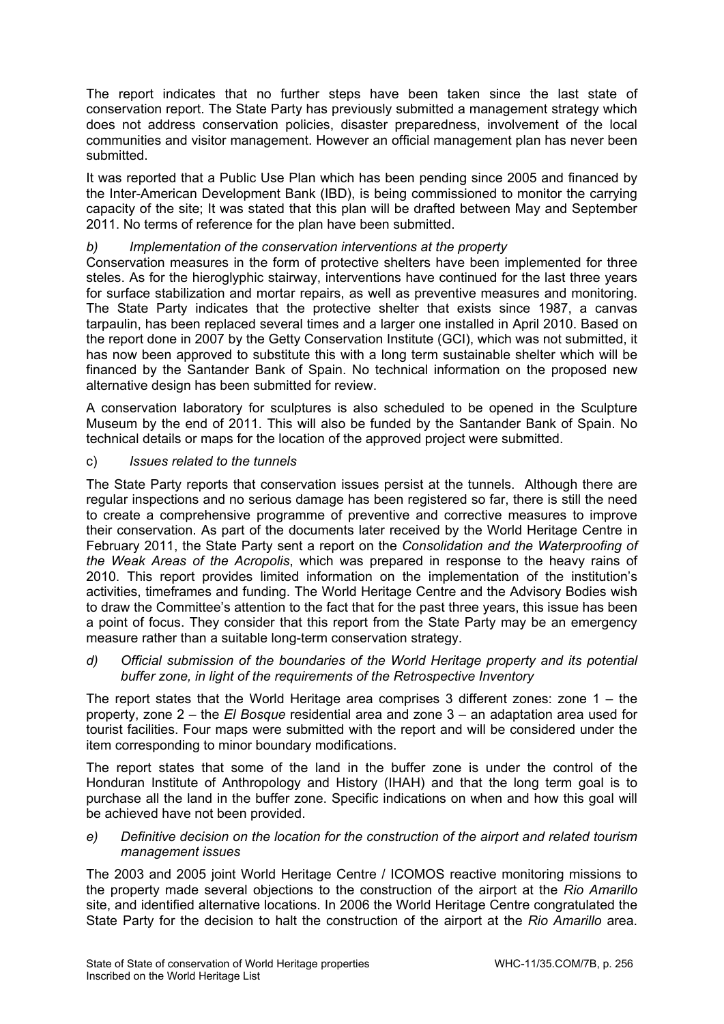The report indicates that no further steps have been taken since the last state of conservation report. The State Party has previously submitted a management strategy which does not address conservation policies, disaster preparedness, involvement of the local communities and visitor management. However an official management plan has never been submitted.

It was reported that a Public Use Plan which has been pending since 2005 and financed by the Inter-American Development Bank (IBD), is being commissioned to monitor the carrying capacity of the site; It was stated that this plan will be drafted between May and September 2011. No terms of reference for the plan have been submitted.

# *b) Implementation of the conservation interventions at the property*

Conservation measures in the form of protective shelters have been implemented for three steles. As for the hieroglyphic stairway, interventions have continued for the last three years for surface stabilization and mortar repairs, as well as preventive measures and monitoring. The State Party indicates that the protective shelter that exists since 1987, a canvas tarpaulin, has been replaced several times and a larger one installed in April 2010. Based on the report done in 2007 by the Getty Conservation Institute (GCI), which was not submitted, it has now been approved to substitute this with a long term sustainable shelter which will be financed by the Santander Bank of Spain. No technical information on the proposed new alternative design has been submitted for review.

A conservation laboratory for sculptures is also scheduled to be opened in the Sculpture Museum by the end of 2011. This will also be funded by the Santander Bank of Spain. No technical details or maps for the location of the approved project were submitted.

## c) *Issues related to the tunnels*

The State Party reports that conservation issues persist at the tunnels. Although there are regular inspections and no serious damage has been registered so far, there is still the need to create a comprehensive programme of preventive and corrective measures to improve their conservation. As part of the documents later received by the World Heritage Centre in February 2011, the State Party sent a report on the *Consolidation and the Waterproofing of the Weak Areas of the Acropolis*, which was prepared in response to the heavy rains of 2010. This report provides limited information on the implementation of the institution's activities, timeframes and funding. The World Heritage Centre and the Advisory Bodies wish to draw the Committee's attention to the fact that for the past three years, this issue has been a point of focus. They consider that this report from the State Party may be an emergency measure rather than a suitable long-term conservation strategy.

## *d) Official submission of the boundaries of the World Heritage property and its potential buffer zone, in light of the requirements of the Retrospective Inventory*

The report states that the World Heritage area comprises 3 different zones: zone  $1 -$  the property, zone 2 – the *El Bosque* residential area and zone 3 – an adaptation area used for tourist facilities. Four maps were submitted with the report and will be considered under the item corresponding to minor boundary modifications.

The report states that some of the land in the buffer zone is under the control of the Honduran Institute of Anthropology and History (IHAH) and that the long term goal is to purchase all the land in the buffer zone. Specific indications on when and how this goal will be achieved have not been provided.

*e) Definitive decision on the location for the construction of the airport and related tourism management issues* 

The 2003 and 2005 joint World Heritage Centre / ICOMOS reactive monitoring missions to the property made several objections to the construction of the airport at the *Rio Amarillo* site, and identified alternative locations. In 2006 the World Heritage Centre congratulated the State Party for the decision to halt the construction of the airport at the *Rio Amarillo* area.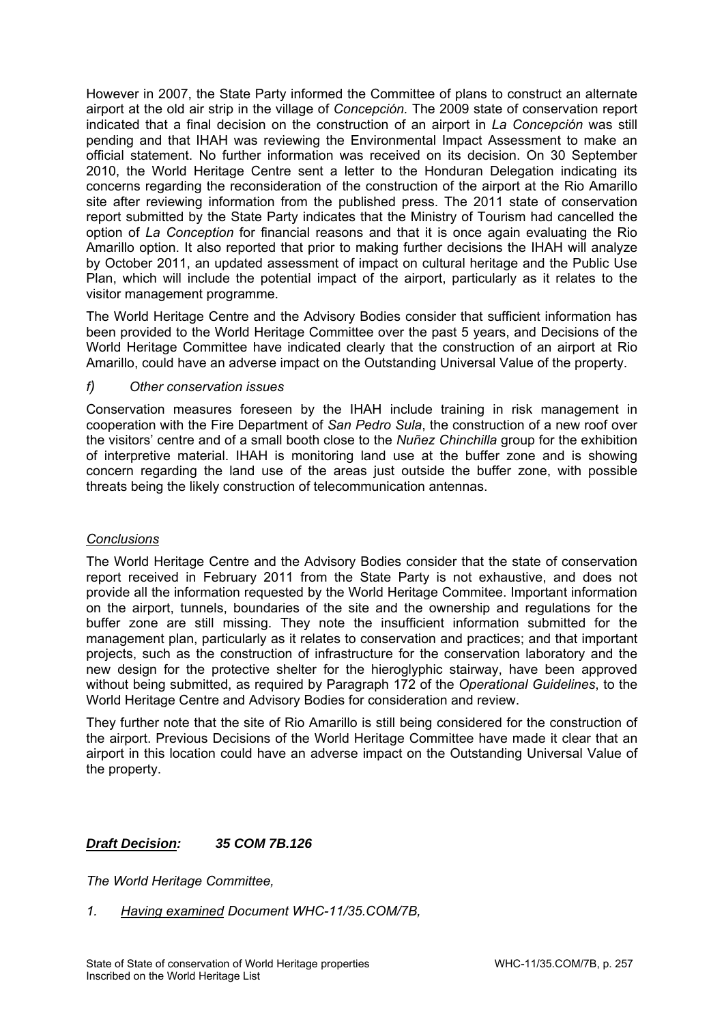However in 2007, the State Party informed the Committee of plans to construct an alternate airport at the old air strip in the village of *Concepción.* The 2009 state of conservation report indicated that a final decision on the construction of an airport in *La Concepción* was still pending and that IHAH was reviewing the Environmental Impact Assessment to make an official statement. No further information was received on its decision. On 30 September 2010, the World Heritage Centre sent a letter to the Honduran Delegation indicating its concerns regarding the reconsideration of the construction of the airport at the Rio Amarillo site after reviewing information from the published press. The 2011 state of conservation report submitted by the State Party indicates that the Ministry of Tourism had cancelled the option of *La Conception* for financial reasons and that it is once again evaluating the Rio Amarillo option. It also reported that prior to making further decisions the IHAH will analyze by October 2011, an updated assessment of impact on cultural heritage and the Public Use Plan, which will include the potential impact of the airport, particularly as it relates to the visitor management programme.

The World Heritage Centre and the Advisory Bodies consider that sufficient information has been provided to the World Heritage Committee over the past 5 years, and Decisions of the World Heritage Committee have indicated clearly that the construction of an airport at Rio Amarillo, could have an adverse impact on the Outstanding Universal Value of the property.

# *f) Other conservation issues*

Conservation measures foreseen by the IHAH include training in risk management in cooperation with the Fire Department of *San Pedro Sula*, the construction of a new roof over the visitors' centre and of a small booth close to the *Nuñez Chinchilla* group for the exhibition of interpretive material. IHAH is monitoring land use at the buffer zone and is showing concern regarding the land use of the areas just outside the buffer zone, with possible threats being the likely construction of telecommunication antennas.

## *Conclusions*

The World Heritage Centre and the Advisory Bodies consider that the state of conservation report received in February 2011 from the State Party is not exhaustive, and does not provide all the information requested by the World Heritage Commitee. Important information on the airport, tunnels, boundaries of the site and the ownership and regulations for the buffer zone are still missing. They note the insufficient information submitted for the management plan, particularly as it relates to conservation and practices; and that important projects, such as the construction of infrastructure for the conservation laboratory and the new design for the protective shelter for the hieroglyphic stairway, have been approved without being submitted, as required by Paragraph 172 of the *Operational Guidelines*, to the World Heritage Centre and Advisory Bodies for consideration and review.

They further note that the site of Rio Amarillo is still being considered for the construction of the airport. Previous Decisions of the World Heritage Committee have made it clear that an airport in this location could have an adverse impact on the Outstanding Universal Value of the property.

# *Draft Decision: 35 COM 7B.126*

*The World Heritage Committee,* 

*1. Having examined Document WHC-11/35.COM/7B,*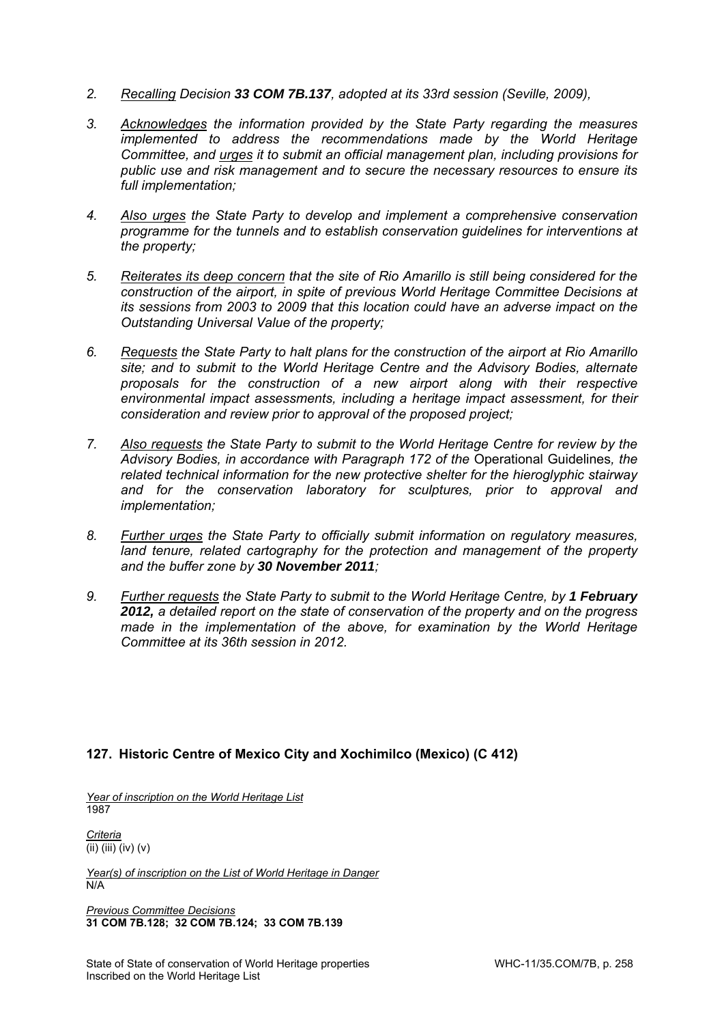- *2. Recalling Decision 33 COM 7B.137, adopted at its 33rd session (Seville, 2009),*
- *3. Acknowledges the information provided by the State Party regarding the measures implemented to address the recommendations made by the World Heritage Committee, and urges it to submit an official management plan, including provisions for public use and risk management and to secure the necessary resources to ensure its full implementation;*
- *4. Also urges the State Party to develop and implement a comprehensive conservation programme for the tunnels and to establish conservation guidelines for interventions at the property;*
- *5. Reiterates its deep concern that the site of Rio Amarillo is still being considered for the construction of the airport, in spite of previous World Heritage Committee Decisions at its sessions from 2003 to 2009 that this location could have an adverse impact on the Outstanding Universal Value of the property;*
- *6. Requests the State Party to halt plans for the construction of the airport at Rio Amarillo site; and to submit to the World Heritage Centre and the Advisory Bodies, alternate proposals for the construction of a new airport along with their respective environmental impact assessments, including a heritage impact assessment, for their consideration and review prior to approval of the proposed project;*
- *7. Also requests the State Party to submit to the World Heritage Centre for review by the Advisory Bodies, in accordance with Paragraph 172 of the* Operational Guidelines*, the related technical information for the new protective shelter for the hieroglyphic stairway and for the conservation laboratory for sculptures, prior to approval and implementation;*
- *8. Further urges the State Party to officially submit information on regulatory measures, land tenure, related cartography for the protection and management of the property and the buffer zone by 30 November 2011;*
- 9. Further requests the State Party to submit to the World Heritage Centre, by 1 February *2012, a detailed report on the state of conservation of the property and on the progress made in the implementation of the above, for examination by the World Heritage Committee at its 36th session in 2012.*

## **127. Historic Centre of Mexico City and Xochimilco (Mexico) (C 412)**

*Year of inscription on the World Heritage List*  1987

*Criteria*  (ii) (iii) (iv) (v)

*Year(s) of inscription on the List of World Heritage in Danger*  N/A

*Previous Committee Decisions*  **31 COM 7B.128; 32 COM 7B.124; 33 COM 7B.139**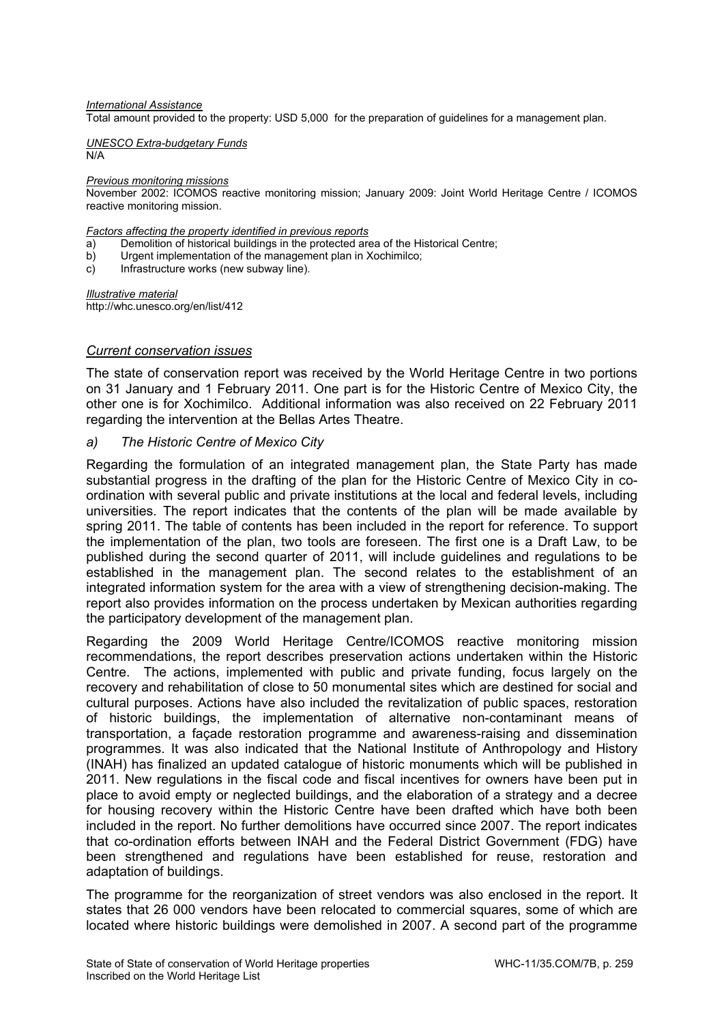#### *International Assistance*

Total amount provided to the property: USD 5,000 for the preparation of guidelines for a management plan.

*UNESCO Extra-budgetary Funds*  N/A

*Previous monitoring missions* 

November 2002: ICOMOS reactive monitoring mission; January 2009: Joint World Heritage Centre / ICOMOS reactive monitoring mission.

*Factors affecting the property identified in previous reports* 

- a) Demolition of historical buildings in the protected area of the Historical Centre;
- b) Urgent implementation of the management plan in Xochimilco;
- c) Infrastructure works (new subway line).

*Illustrative material*  http://whc.unesco.org/en/list/412

### *Current conservation issues*

The state of conservation report was received by the World Heritage Centre in two portions on 31 January and 1 February 2011. One part is for the Historic Centre of Mexico City, the other one is for Xochimilco. Additional information was also received on 22 February 2011 regarding the intervention at the Bellas Artes Theatre.

### *a) The Historic Centre of Mexico City*

Regarding the formulation of an integrated management plan, the State Party has made substantial progress in the drafting of the plan for the Historic Centre of Mexico City in coordination with several public and private institutions at the local and federal levels, including universities. The report indicates that the contents of the plan will be made available by spring 2011. The table of contents has been included in the report for reference. To support the implementation of the plan, two tools are foreseen. The first one is a Draft Law, to be published during the second quarter of 2011, will include guidelines and regulations to be established in the management plan. The second relates to the establishment of an integrated information system for the area with a view of strengthening decision-making. The report also provides information on the process undertaken by Mexican authorities regarding the participatory development of the management plan.

Regarding the 2009 World Heritage Centre/ICOMOS reactive monitoring mission recommendations, the report describes preservation actions undertaken within the Historic Centre. The actions, implemented with public and private funding, focus largely on the recovery and rehabilitation of close to 50 monumental sites which are destined for social and cultural purposes. Actions have also included the revitalization of public spaces, restoration of historic buildings, the implementation of alternative non-contaminant means of transportation, a façade restoration programme and awareness-raising and dissemination programmes. It was also indicated that the National Institute of Anthropology and History (INAH) has finalized an updated catalogue of historic monuments which will be published in 2011. New regulations in the fiscal code and fiscal incentives for owners have been put in place to avoid empty or neglected buildings, and the elaboration of a strategy and a decree for housing recovery within the Historic Centre have been drafted which have both been included in the report. No further demolitions have occurred since 2007. The report indicates that co-ordination efforts between INAH and the Federal District Government (FDG) have been strengthened and regulations have been established for reuse, restoration and adaptation of buildings.

The programme for the reorganization of street vendors was also enclosed in the report. It states that 26 000 vendors have been relocated to commercial squares, some of which are located where historic buildings were demolished in 2007. A second part of the programme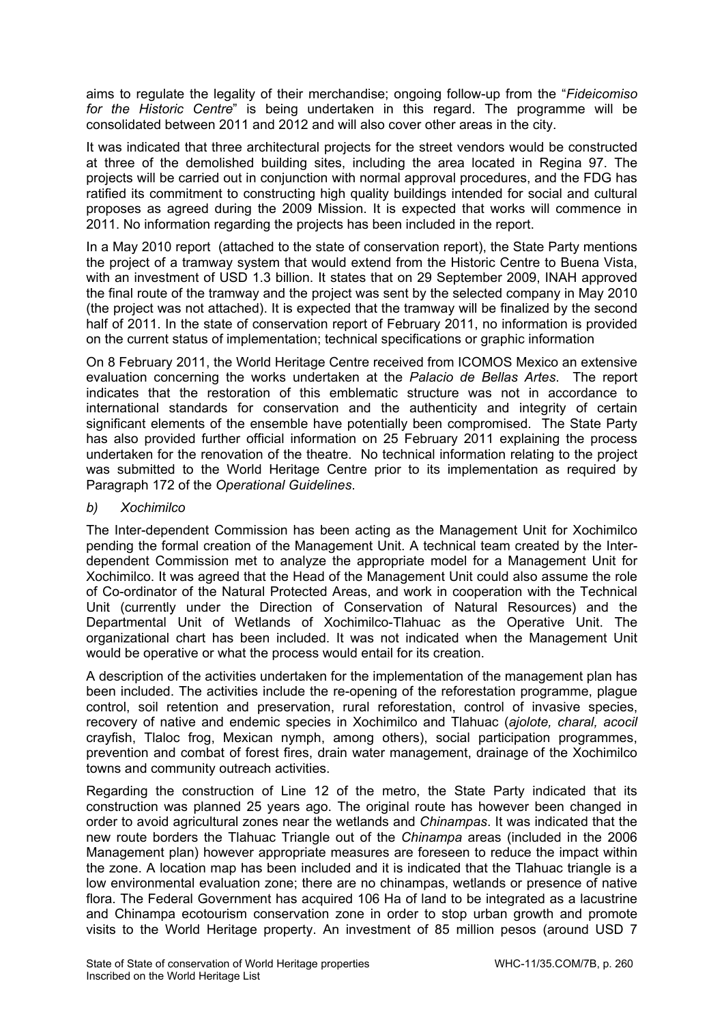aims to regulate the legality of their merchandise; ongoing follow-up from the "*Fideicomiso for the Historic Centre*" is being undertaken in this regard. The programme will be consolidated between 2011 and 2012 and will also cover other areas in the city.

It was indicated that three architectural projects for the street vendors would be constructed at three of the demolished building sites, including the area located in Regina 97. The projects will be carried out in conjunction with normal approval procedures, and the FDG has ratified its commitment to constructing high quality buildings intended for social and cultural proposes as agreed during the 2009 Mission. It is expected that works will commence in 2011. No information regarding the projects has been included in the report.

In a May 2010 report (attached to the state of conservation report), the State Party mentions the project of a tramway system that would extend from the Historic Centre to Buena Vista, with an investment of USD 1.3 billion. It states that on 29 September 2009, INAH approved the final route of the tramway and the project was sent by the selected company in May 2010 (the project was not attached). It is expected that the tramway will be finalized by the second half of 2011. In the state of conservation report of February 2011, no information is provided on the current status of implementation; technical specifications or graphic information

On 8 February 2011, the World Heritage Centre received from ICOMOS Mexico an extensive evaluation concerning the works undertaken at the *Palacio de Bellas Artes*. The report indicates that the restoration of this emblematic structure was not in accordance to international standards for conservation and the authenticity and integrity of certain significant elements of the ensemble have potentially been compromised. The State Party has also provided further official information on 25 February 2011 explaining the process undertaken for the renovation of the theatre. No technical information relating to the project was submitted to the World Heritage Centre prior to its implementation as required by Paragraph 172 of the *Operational Guidelines*.

# *b) Xochimilco*

The Inter-dependent Commission has been acting as the Management Unit for Xochimilco pending the formal creation of the Management Unit. A technical team created by the Interdependent Commission met to analyze the appropriate model for a Management Unit for Xochimilco. It was agreed that the Head of the Management Unit could also assume the role of Co-ordinator of the Natural Protected Areas, and work in cooperation with the Technical Unit (currently under the Direction of Conservation of Natural Resources) and the Departmental Unit of Wetlands of Xochimilco-Tlahuac as the Operative Unit. The organizational chart has been included. It was not indicated when the Management Unit would be operative or what the process would entail for its creation.

A description of the activities undertaken for the implementation of the management plan has been included. The activities include the re-opening of the reforestation programme, plague control, soil retention and preservation, rural reforestation, control of invasive species, recovery of native and endemic species in Xochimilco and Tlahuac (*ajolote, charal, acocil*  crayfish, Tlaloc frog, Mexican nymph, among others), social participation programmes, prevention and combat of forest fires, drain water management, drainage of the Xochimilco towns and community outreach activities.

Regarding the construction of Line 12 of the metro, the State Party indicated that its construction was planned 25 years ago. The original route has however been changed in order to avoid agricultural zones near the wetlands and *Chinampas*. It was indicated that the new route borders the Tlahuac Triangle out of the *Chinampa* areas (included in the 2006 Management plan) however appropriate measures are foreseen to reduce the impact within the zone. A location map has been included and it is indicated that the Tlahuac triangle is a low environmental evaluation zone; there are no chinampas, wetlands or presence of native flora. The Federal Government has acquired 106 Ha of land to be integrated as a lacustrine and Chinampa ecotourism conservation zone in order to stop urban growth and promote visits to the World Heritage property. An investment of 85 million pesos (around USD 7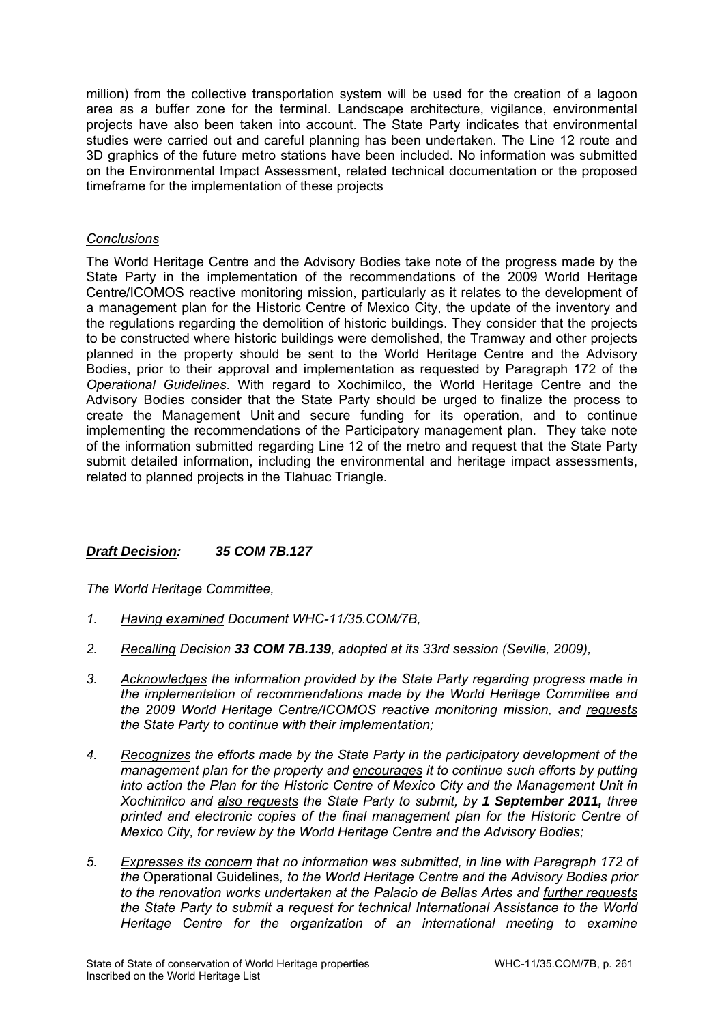million) from the collective transportation system will be used for the creation of a lagoon area as a buffer zone for the terminal. Landscape architecture, vigilance, environmental projects have also been taken into account. The State Party indicates that environmental studies were carried out and careful planning has been undertaken. The Line 12 route and 3D graphics of the future metro stations have been included. No information was submitted on the Environmental Impact Assessment, related technical documentation or the proposed timeframe for the implementation of these projects

# *Conclusions*

The World Heritage Centre and the Advisory Bodies take note of the progress made by the State Party in the implementation of the recommendations of the 2009 World Heritage Centre/ICOMOS reactive monitoring mission, particularly as it relates to the development of a management plan for the Historic Centre of Mexico City, the update of the inventory and the regulations regarding the demolition of historic buildings. They consider that the projects to be constructed where historic buildings were demolished, the Tramway and other projects planned in the property should be sent to the World Heritage Centre and the Advisory Bodies, prior to their approval and implementation as requested by Paragraph 172 of the *Operational Guidelines*. With regard to Xochimilco, the World Heritage Centre and the Advisory Bodies consider that the State Party should be urged to finalize the process to create the Management Unit and secure funding for its operation, and to continue implementing the recommendations of the Participatory management plan. They take note of the information submitted regarding Line 12 of the metro and request that the State Party submit detailed information, including the environmental and heritage impact assessments, related to planned projects in the Tlahuac Triangle.

# *Draft Decision: 35 COM 7B.127*

- *1. Having examined Document WHC-11/35.COM/7B,*
- *2. Recalling Decision 33 COM 7B.139, adopted at its 33rd session (Seville, 2009),*
- *3. Acknowledges the information provided by the State Party regarding progress made in the implementation of recommendations made by the World Heritage Committee and the 2009 World Heritage Centre/ICOMOS reactive monitoring mission, and requests the State Party to continue with their implementation;*
- *4. Recognizes the efforts made by the State Party in the participatory development of the management plan for the property and encourages it to continue such efforts by putting into action the Plan for the Historic Centre of Mexico City and the Management Unit in Xochimilco and also requests the State Party to submit, by 1 September 2011, three printed and electronic copies of the final management plan for the Historic Centre of Mexico City, for review by the World Heritage Centre and the Advisory Bodies;*
- *5. Expresses its concern that no information was submitted, in line with Paragraph 172 of the* Operational Guidelines*, to the World Heritage Centre and the Advisory Bodies prior to the renovation works undertaken at the Palacio de Bellas Artes and further requests the State Party to submit a request for technical International Assistance to the World Heritage Centre for the organization of an international meeting to examine*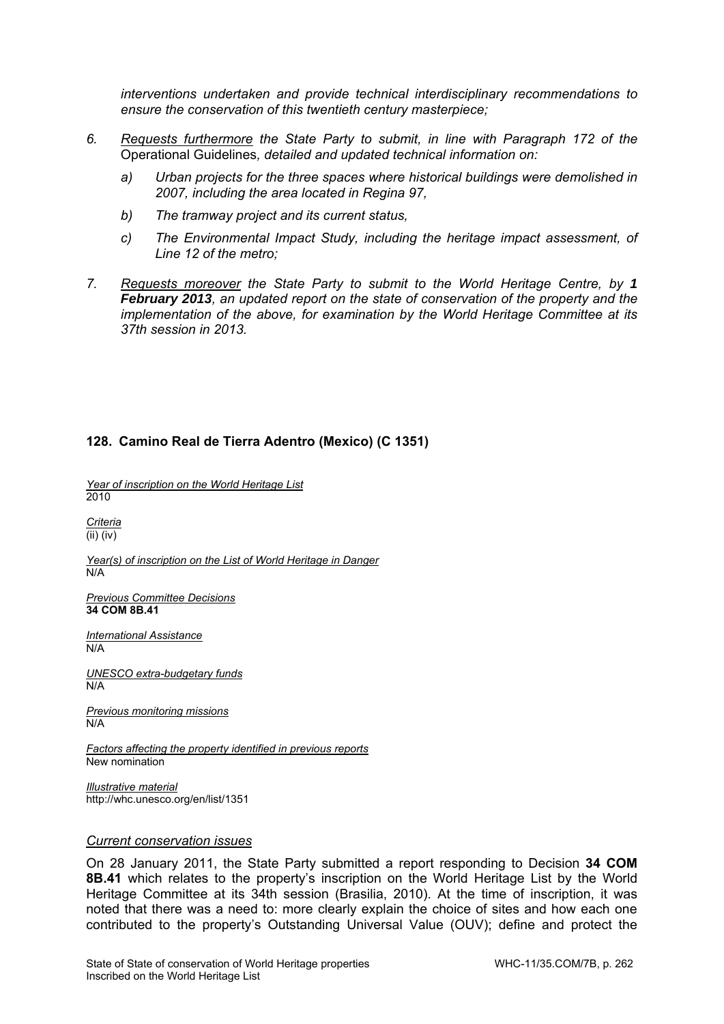*interventions undertaken and provide technical interdisciplinary recommendations to ensure the conservation of this twentieth century masterpiece;* 

- *6. Requests furthermore the State Party to submit, in line with Paragraph 172 of the*  Operational Guidelines*, detailed and updated technical information on:* 
	- *a) Urban projects for the three spaces where historical buildings were demolished in 2007, including the area located in Regina 97,*
	- *b) The tramway project and its current status,*
	- *c) The Environmental Impact Study, including the heritage impact assessment, of Line 12 of the metro;*
- *7. Requests moreover the State Party to submit to the World Heritage Centre, by 1 February 2013, an updated report on the state of conservation of the property and the implementation of the above, for examination by the World Heritage Committee at its 37th session in 2013.*

# **128. Camino Real de Tierra Adentro (Mexico) (C 1351)**

*Year of inscription on the World Heritage List*  2010

*Criteria*  (ii) (iv)

*Year(s) of inscription on the List of World Heritage in Danger*  N/A

*Previous Committee Decisions*  **34 COM 8B.41** 

*International Assistance*  N/A

*UNESCO extra-budgetary funds*  N/A

*Previous monitoring missions*  N/A

*Factors affecting the property identified in previous reports*  New nomination

*Illustrative material*  http://whc.unesco.org/en/list/1351

### *Current conservation issues*

On 28 January 2011, the State Party submitted a report responding to Decision **34 COM 8B.41** which relates to the property's inscription on the World Heritage List by the World Heritage Committee at its 34th session (Brasilia, 2010). At the time of inscription, it was noted that there was a need to: more clearly explain the choice of sites and how each one contributed to the property's Outstanding Universal Value (OUV); define and protect the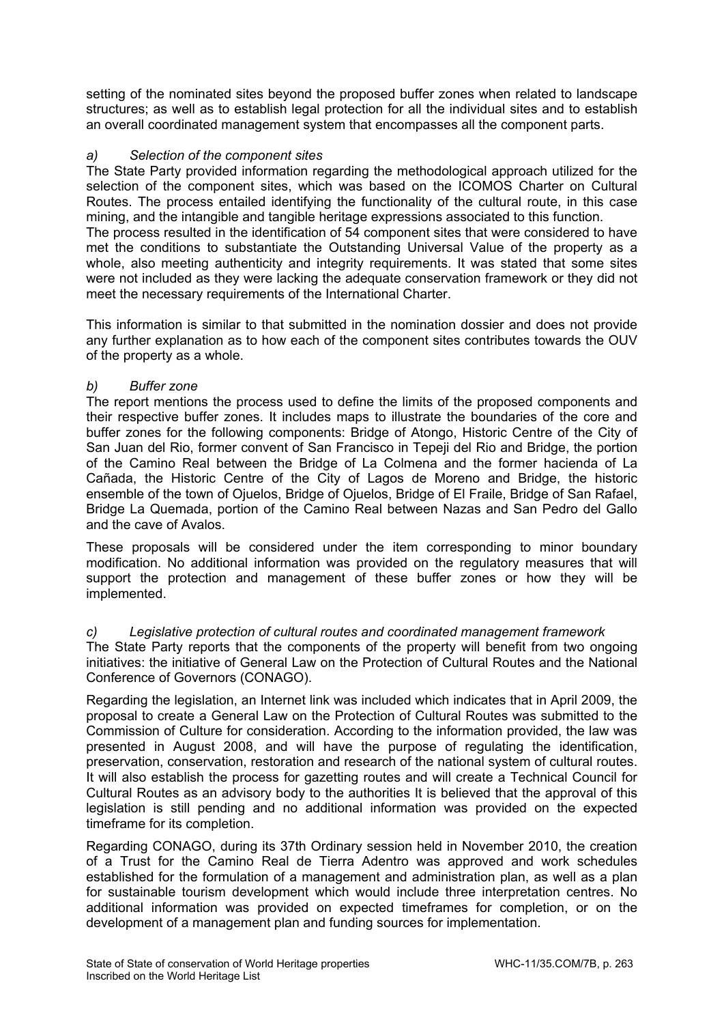setting of the nominated sites beyond the proposed buffer zones when related to landscape structures; as well as to establish legal protection for all the individual sites and to establish an overall coordinated management system that encompasses all the component parts.

# *a) Selection of the component sites*

The State Party provided information regarding the methodological approach utilized for the selection of the component sites, which was based on the ICOMOS Charter on Cultural Routes. The process entailed identifying the functionality of the cultural route, in this case mining, and the intangible and tangible heritage expressions associated to this function.

The process resulted in the identification of 54 component sites that were considered to have met the conditions to substantiate the Outstanding Universal Value of the property as a whole, also meeting authenticity and integrity requirements. It was stated that some sites were not included as they were lacking the adequate conservation framework or they did not meet the necessary requirements of the International Charter.

This information is similar to that submitted in the nomination dossier and does not provide any further explanation as to how each of the component sites contributes towards the OUV of the property as a whole.

# *b) Buffer zone*

The report mentions the process used to define the limits of the proposed components and their respective buffer zones. It includes maps to illustrate the boundaries of the core and buffer zones for the following components: Bridge of Atongo, Historic Centre of the City of San Juan del Rio, former convent of San Francisco in Tepeji del Rio and Bridge, the portion of the Camino Real between the Bridge of La Colmena and the former hacienda of La Cañada, the Historic Centre of the City of Lagos de Moreno and Bridge, the historic ensemble of the town of Ojuelos, Bridge of Ojuelos, Bridge of El Fraile, Bridge of San Rafael, Bridge La Quemada, portion of the Camino Real between Nazas and San Pedro del Gallo and the cave of Avalos.

These proposals will be considered under the item corresponding to minor boundary modification. No additional information was provided on the regulatory measures that will support the protection and management of these buffer zones or how they will be implemented.

# *c) Legislative protection of cultural routes and coordinated management framework*

The State Party reports that the components of the property will benefit from two ongoing initiatives: the initiative of General Law on the Protection of Cultural Routes and the National Conference of Governors (CONAGO).

Regarding the legislation, an Internet link was included which indicates that in April 2009, the proposal to create a General Law on the Protection of Cultural Routes was submitted to the Commission of Culture for consideration. According to the information provided, the law was presented in August 2008, and will have the purpose of regulating the identification, preservation, conservation, restoration and research of the national system of cultural routes. It will also establish the process for gazetting routes and will create a Technical Council for Cultural Routes as an advisory body to the authorities It is believed that the approval of this legislation is still pending and no additional information was provided on the expected timeframe for its completion.

Regarding CONAGO, during its 37th Ordinary session held in November 2010, the creation of a Trust for the Camino Real de Tierra Adentro was approved and work schedules established for the formulation of a management and administration plan, as well as a plan for sustainable tourism development which would include three interpretation centres. No additional information was provided on expected timeframes for completion, or on the development of a management plan and funding sources for implementation.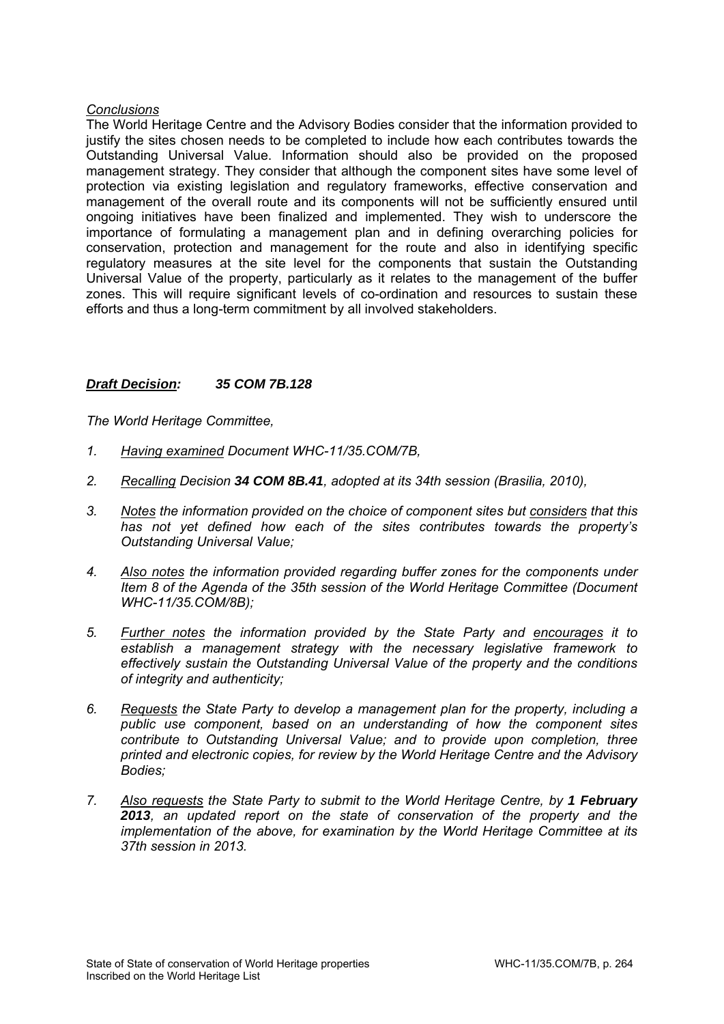## *Conclusions*

The World Heritage Centre and the Advisory Bodies consider that the information provided to justify the sites chosen needs to be completed to include how each contributes towards the Outstanding Universal Value. Information should also be provided on the proposed management strategy. They consider that although the component sites have some level of protection via existing legislation and regulatory frameworks, effective conservation and management of the overall route and its components will not be sufficiently ensured until ongoing initiatives have been finalized and implemented. They wish to underscore the importance of formulating a management plan and in defining overarching policies for conservation, protection and management for the route and also in identifying specific regulatory measures at the site level for the components that sustain the Outstanding Universal Value of the property, particularly as it relates to the management of the buffer zones. This will require significant levels of co-ordination and resources to sustain these efforts and thus a long-term commitment by all involved stakeholders.

### *Draft Decision: 35 COM 7B.128*

- *1. Having examined Document WHC-11/35.COM/7B,*
- *2. Recalling Decision 34 COM 8B.41, adopted at its 34th session (Brasilia, 2010),*
- *3. Notes the information provided on the choice of component sites but considers that this has not yet defined how each of the sites contributes towards the property's Outstanding Universal Value;*
- *4. Also notes the information provided regarding buffer zones for the components under Item 8 of the Agenda of the 35th session of the World Heritage Committee (Document WHC-11/35.COM/8B);*
- *5. Further notes the information provided by the State Party and encourages it to establish a management strategy with the necessary legislative framework to effectively sustain the Outstanding Universal Value of the property and the conditions of integrity and authenticity;*
- *6. Requests the State Party to develop a management plan for the property, including a public use component, based on an understanding of how the component sites contribute to Outstanding Universal Value; and to provide upon completion, three printed and electronic copies, for review by the World Heritage Centre and the Advisory Bodies;*
- *7. Also requests the State Party to submit to the World Heritage Centre, by 1 February 2013, an updated report on the state of conservation of the property and the implementation of the above, for examination by the World Heritage Committee at its 37th session in 2013.*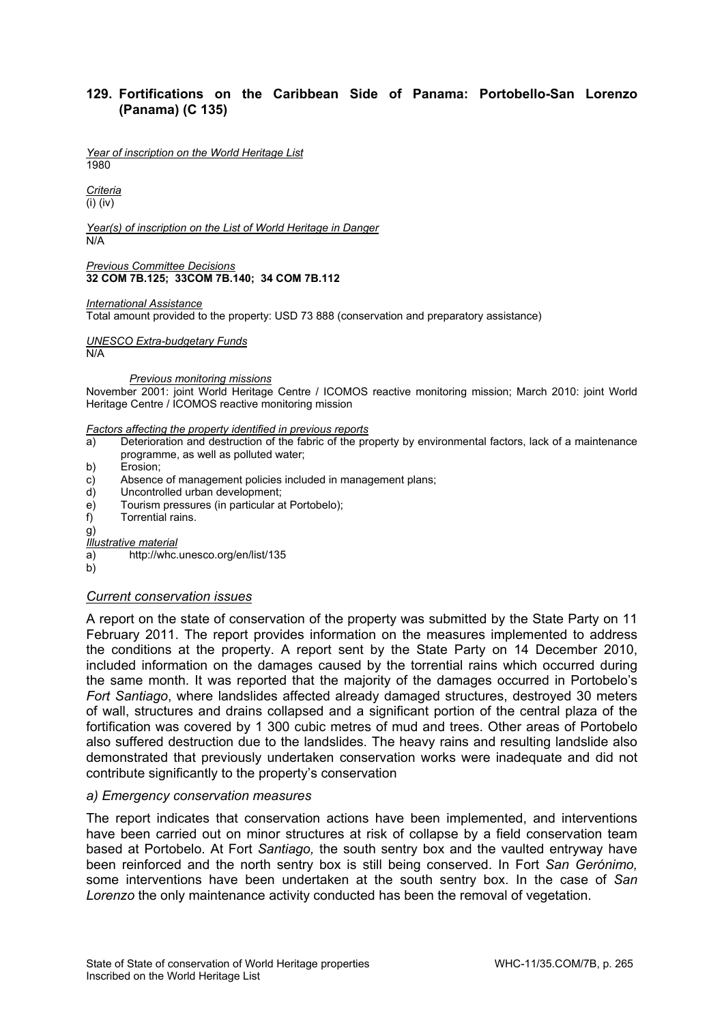### **129. Fortifications on the Caribbean Side of Panama: Portobello-San Lorenzo (Panama) (C 135)**

*Year of inscription on the World Heritage List*  1980

*Criteria*  (i) (iv)

*Year(s) of inscription on the List of World Heritage in Danger*  N/A

*Previous Committee Decisions*  **32 COM 7B.125; 33COM 7B.140; 34 COM 7B.112** 

*International Assistance* 

Total amount provided to the property: USD 73 888 (conservation and preparatory assistance)

*UNESCO Extra-budgetary Funds* 

N/A

 *Previous monitoring missions* 

November 2001: joint World Heritage Centre / ICOMOS reactive monitoring mission; March 2010: joint World Heritage Centre / ICOMOS reactive monitoring mission

#### *Factors affecting the property identified in previous reports*

- a) Deterioration and destruction of the fabric of the property by environmental factors, lack of a maintenance programme, as well as polluted water;
- b) Erosion;
- c) Absence of management policies included in management plans;
- d) Uncontrolled urban development;
- e) Tourism pressures (in particular at Portobelo);
- f) Torrential rains.

g)

*Illustrative material* 

- a) http://whc.unesco.org/en/list/135
- b)

#### *Current conservation issues*

A report on the state of conservation of the property was submitted by the State Party on 11 February 2011. The report provides information on the measures implemented to address the conditions at the property. A report sent by the State Party on 14 December 2010, included information on the damages caused by the torrential rains which occurred during the same month. It was reported that the majority of the damages occurred in Portobelo's *Fort Santiago*, where landslides affected already damaged structures, destroyed 30 meters of wall, structures and drains collapsed and a significant portion of the central plaza of the fortification was covered by 1 300 cubic metres of mud and trees. Other areas of Portobelo also suffered destruction due to the landslides. The heavy rains and resulting landslide also demonstrated that previously undertaken conservation works were inadequate and did not contribute significantly to the property's conservation

### *a) Emergency conservation measures*

The report indicates that conservation actions have been implemented, and interventions have been carried out on minor structures at risk of collapse by a field conservation team based at Portobelo. At Fort *Santiago,* the south sentry box and the vaulted entryway have been reinforced and the north sentry box is still being conserved. In Fort *San Gerónimo,* some interventions have been undertaken at the south sentry box. In the case of *San Lorenzo* the only maintenance activity conducted has been the removal of vegetation.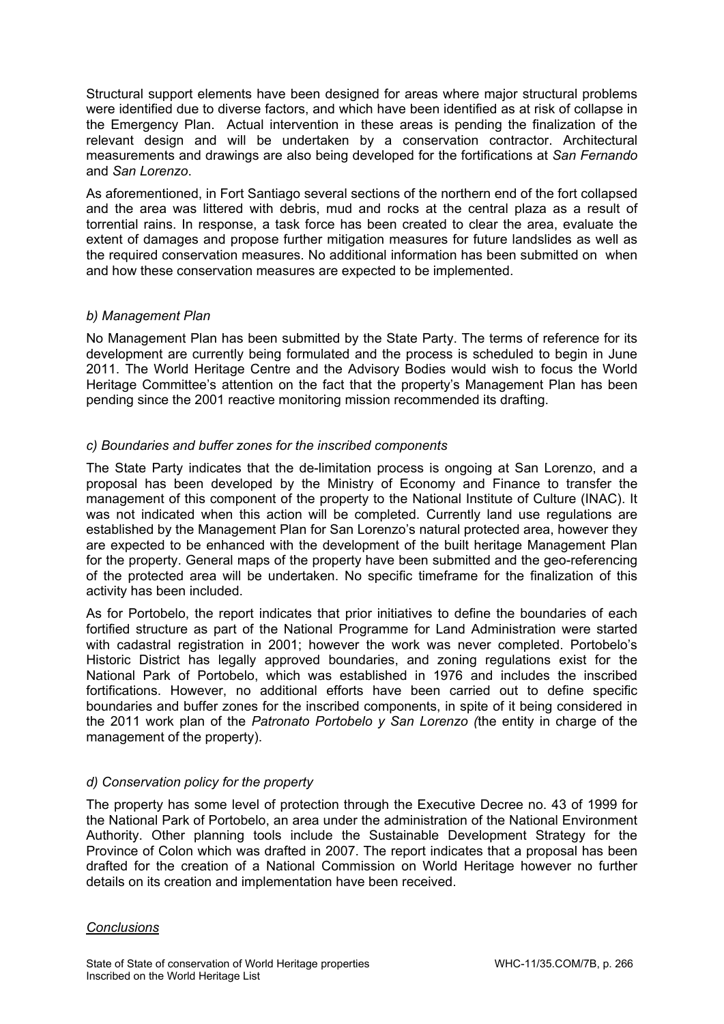Structural support elements have been designed for areas where major structural problems were identified due to diverse factors, and which have been identified as at risk of collapse in the Emergency Plan. Actual intervention in these areas is pending the finalization of the relevant design and will be undertaken by a conservation contractor. Architectural measurements and drawings are also being developed for the fortifications at *San Fernando*  and *San Lorenzo*.

As aforementioned, in Fort Santiago several sections of the northern end of the fort collapsed and the area was littered with debris, mud and rocks at the central plaza as a result of torrential rains. In response, a task force has been created to clear the area, evaluate the extent of damages and propose further mitigation measures for future landslides as well as the required conservation measures. No additional information has been submitted on when and how these conservation measures are expected to be implemented.

## *b) Management Plan*

No Management Plan has been submitted by the State Party. The terms of reference for its development are currently being formulated and the process is scheduled to begin in June 2011. The World Heritage Centre and the Advisory Bodies would wish to focus the World Heritage Committee's attention on the fact that the property's Management Plan has been pending since the 2001 reactive monitoring mission recommended its drafting.

# *c) Boundaries and buffer zones for the inscribed components*

The State Party indicates that the de-limitation process is ongoing at San Lorenzo, and a proposal has been developed by the Ministry of Economy and Finance to transfer the management of this component of the property to the National Institute of Culture (INAC). It was not indicated when this action will be completed. Currently land use regulations are established by the Management Plan for San Lorenzo's natural protected area, however they are expected to be enhanced with the development of the built heritage Management Plan for the property. General maps of the property have been submitted and the geo-referencing of the protected area will be undertaken. No specific timeframe for the finalization of this activity has been included.

As for Portobelo, the report indicates that prior initiatives to define the boundaries of each fortified structure as part of the National Programme for Land Administration were started with cadastral registration in 2001; however the work was never completed. Portobelo's Historic District has legally approved boundaries, and zoning regulations exist for the National Park of Portobelo, which was established in 1976 and includes the inscribed fortifications. However, no additional efforts have been carried out to define specific boundaries and buffer zones for the inscribed components, in spite of it being considered in the 2011 work plan of the *Patronato Portobelo y San Lorenzo (*the entity in charge of the management of the property).

# *d) Conservation policy for the property*

The property has some level of protection through the Executive Decree no. 43 of 1999 for the National Park of Portobelo, an area under the administration of the National Environment Authority. Other planning tools include the Sustainable Development Strategy for the Province of Colon which was drafted in 2007. The report indicates that a proposal has been drafted for the creation of a National Commission on World Heritage however no further details on its creation and implementation have been received.

# *Conclusions*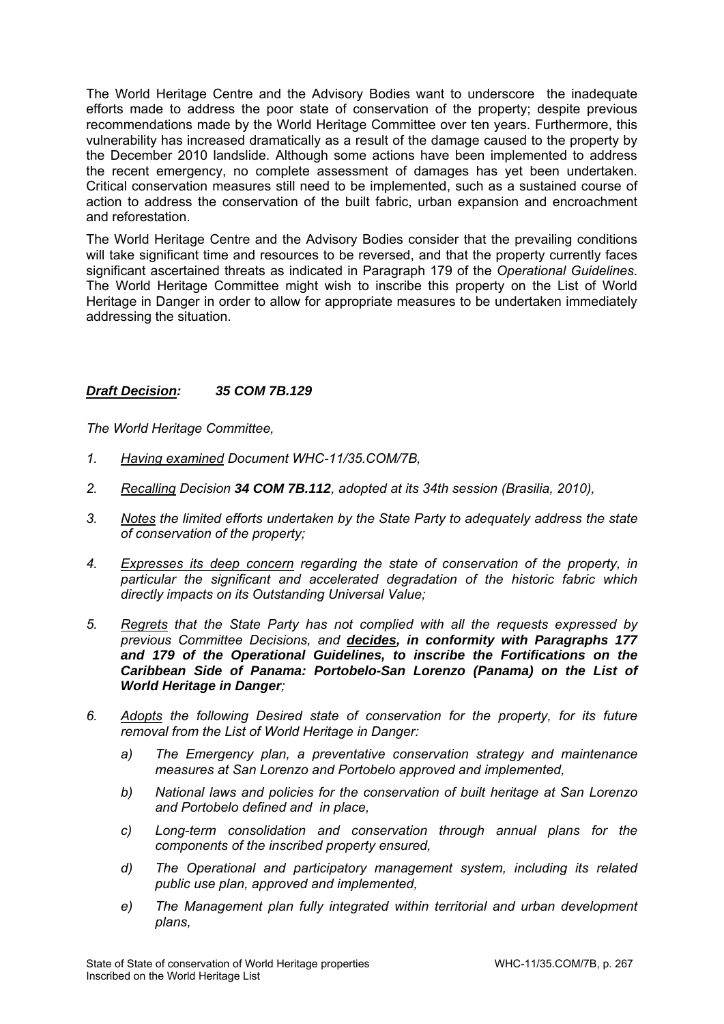The World Heritage Centre and the Advisory Bodies want to underscore the inadequate efforts made to address the poor state of conservation of the property; despite previous recommendations made by the World Heritage Committee over ten years. Furthermore, this vulnerability has increased dramatically as a result of the damage caused to the property by the December 2010 landslide. Although some actions have been implemented to address the recent emergency, no complete assessment of damages has yet been undertaken. Critical conservation measures still need to be implemented, such as a sustained course of action to address the conservation of the built fabric, urban expansion and encroachment and reforestation.

The World Heritage Centre and the Advisory Bodies consider that the prevailing conditions will take significant time and resources to be reversed, and that the property currently faces significant ascertained threats as indicated in Paragraph 179 of the *Operational Guidelines*. The World Heritage Committee might wish to inscribe this property on the List of World Heritage in Danger in order to allow for appropriate measures to be undertaken immediately addressing the situation.

## *Draft Decision: 35 COM 7B.129*

- *1. Having examined Document WHC-11/35.COM/7B,*
- *2. Recalling Decision 34 COM 7B.112, adopted at its 34th session (Brasilia, 2010),*
- *3. Notes the limited efforts undertaken by the State Party to adequately address the state of conservation of the property;*
- *4. Expresses its deep concern regarding the state of conservation of the property, in particular the significant and accelerated degradation of the historic fabric which directly impacts on its Outstanding Universal Value;*
- *5. Regrets that the State Party has not complied with all the requests expressed by previous Committee Decisions, and decides, in conformity with Paragraphs 177 and 179 of the Operational Guidelines, to inscribe the Fortifications on the Caribbean Side of Panama: Portobelo-San Lorenzo (Panama) on the List of World Heritage in Danger;*
- *6. Adopts the following Desired state of conservation for the property, for its future removal from the List of World Heritage in Danger:* 
	- *a) The Emergency plan, a preventative conservation strategy and maintenance measures at San Lorenzo and Portobelo approved and implemented,*
	- *b) National laws and policies for the conservation of built heritage at San Lorenzo and Portobelo defined and in place,*
	- *c) Long-term consolidation and conservation through annual plans for the components of the inscribed property ensured,*
	- *d) The Operational and participatory management system, including its related public use plan, approved and implemented,*
	- *e) The Management plan fully integrated within territorial and urban development plans,*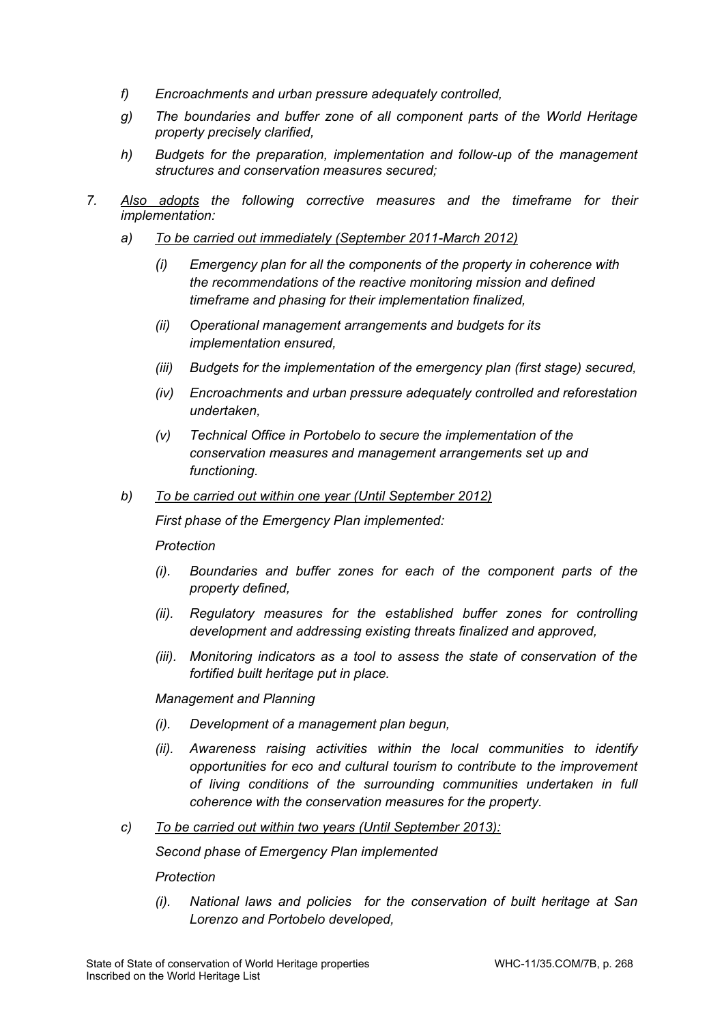- *f) Encroachments and urban pressure adequately controlled,*
- *g) The boundaries and buffer zone of all component parts of the World Heritage property precisely clarified,*
- *h) Budgets for the preparation, implementation and follow-up of the management structures and conservation measures secured;*
- *7. Also adopts the following corrective measures and the timeframe for their implementation:* 
	- *a) To be carried out immediately (September 2011-March 2012)* 
		- *(i) Emergency plan for all the components of the property in coherence with the recommendations of the reactive monitoring mission and defined timeframe and phasing for their implementation finalized,*
		- *(ii) Operational management arrangements and budgets for its implementation ensured,*
		- *(iii) Budgets for the implementation of the emergency plan (first stage) secured,*
		- *(iv) Encroachments and urban pressure adequately controlled and reforestation undertaken,*
		- *(v) Technical Office in Portobelo to secure the implementation of the conservation measures and management arrangements set up and functioning.*
	- *b) To be carried out within one year (Until September 2012)*

 *First phase of the Emergency Plan implemented:* 

*Protection* 

- *(i). Boundaries and buffer zones for each of the component parts of the property defined,*
- *(ii). Regulatory measures for the established buffer zones for controlling development and addressing existing threats finalized and approved,*
- *(iii). Monitoring indicators as a tool to assess the state of conservation of the fortified built heritage put in place.*

 *Management and Planning* 

- *(i). Development of a management plan begun,*
- *(ii). Awareness raising activities within the local communities to identify opportunities for eco and cultural tourism to contribute to the improvement of living conditions of the surrounding communities undertaken in full coherence with the conservation measures for the property.*
- *c) To be carried out within two years (Until September 2013):*

 *Second phase of Emergency Plan implemented* 

*Protection* 

*(i). National laws and policies for the conservation of built heritage at San Lorenzo and Portobelo developed,*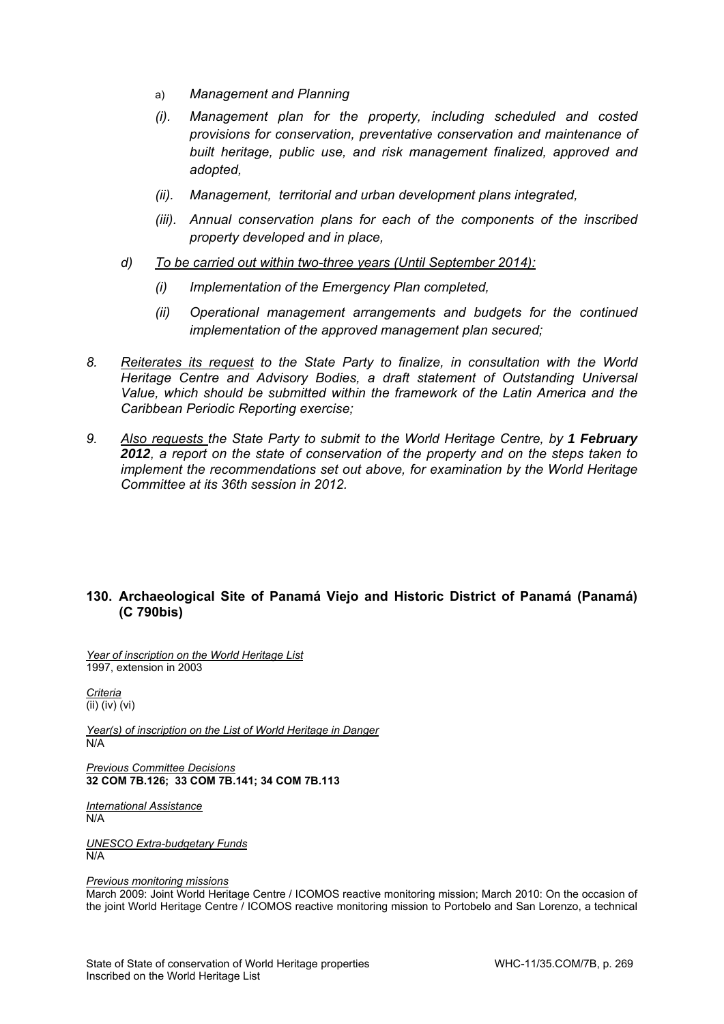- a) *Management and Planning*
- *(i). Management plan for the property, including scheduled and costed provisions for conservation, preventative conservation and maintenance of built heritage, public use, and risk management finalized, approved and adopted,*
- *(ii). Management, territorial and urban development plans integrated,*
- *(iii). Annual conservation plans for each of the components of the inscribed property developed and in place,*

### *d) To be carried out within two-three years (Until September 2014):*

- *(i) Implementation of the Emergency Plan completed,*
- *(ii) Operational management arrangements and budgets for the continued implementation of the approved management plan secured;*
- *8. Reiterates its request to the State Party to finalize, in consultation with the World Heritage Centre and Advisory Bodies, a draft statement of Outstanding Universal Value, which should be submitted within the framework of the Latin America and the Caribbean Periodic Reporting exercise;*
- 9. Also requests the State Party to submit to the World Heritage Centre, by 1 February *2012, a report on the state of conservation of the property and on the steps taken to implement the recommendations set out above, for examination by the World Heritage Committee at its 36th session in 2012.*

## **130. Archaeological Site of Panamá Viejo and Historic District of Panamá (Panamá) (C 790bis)**

*Year of inscription on the World Heritage List*  1997, extension in 2003

*Criteria*  (ii) (iv) (vi)

*Year(s) of inscription on the List of World Heritage in Danger*  N/A

*Previous Committee Decisions*  **32 COM 7B.126; 33 COM 7B.141; 34 COM 7B.113** 

*International Assistance*  N/A

*UNESCO Extra-budgetary Funds*  N/A

*Previous monitoring missions* 

March 2009: Joint World Heritage Centre / ICOMOS reactive monitoring mission; March 2010: On the occasion of the joint World Heritage Centre / ICOMOS reactive monitoring mission to Portobelo and San Lorenzo, a technical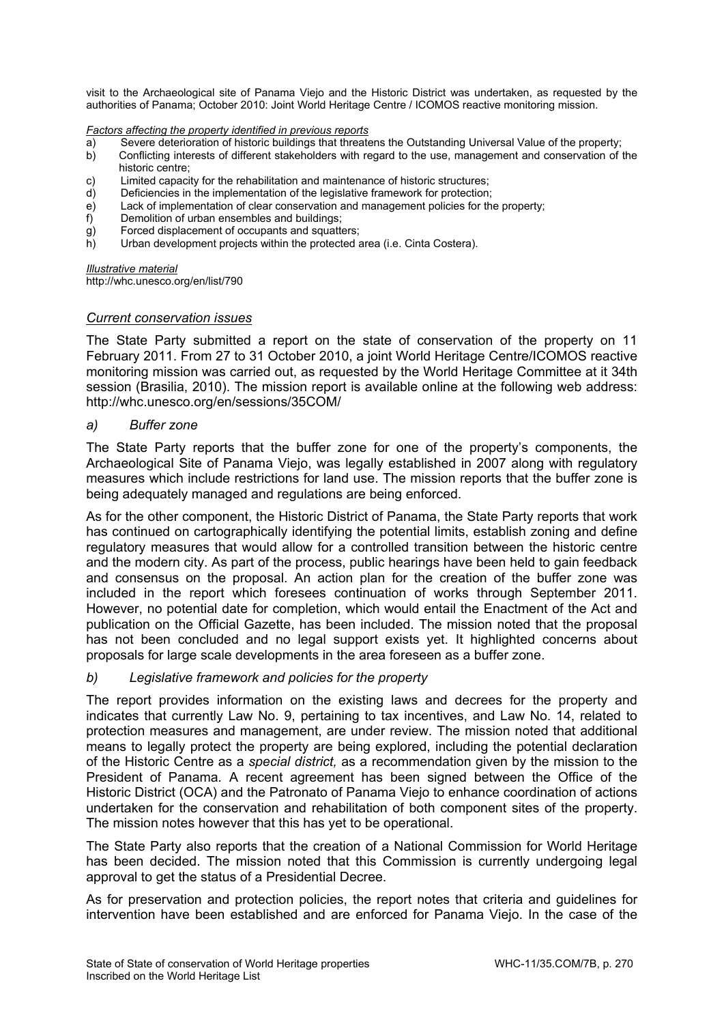visit to the Archaeological site of Panama Viejo and the Historic District was undertaken, as requested by the authorities of Panama; October 2010: Joint World Heritage Centre / ICOMOS reactive monitoring mission.

*Factors affecting the property identified in previous reports* 

- a) Severe deterioration of historic buildings that threatens the Outstanding Universal Value of the property;
- b) Conflicting interests of different stakeholders with regard to the use, management and conservation of the historic centre;
- c) Limited capacity for the rehabilitation and maintenance of historic structures;
- d) Deficiencies in the implementation of the legislative framework for protection;
- e) Lack of implementation of clear conservation and management policies for the property;
- 
- f) Demolition of urban ensembles and buildings;<br>g) Forced displacement of occupants and squatter<br>h) Urban development projects within the protect Forced displacement of occupants and squatters;
- Urban development projects within the protected area (i.e. Cinta Costera).

#### *Illustrative material*

http://whc.unesco.org/en/list/790

### *Current conservation issues*

The State Party submitted a report on the state of conservation of the property on 11 February 2011. From 27 to 31 October 2010, a joint World Heritage Centre/ICOMOS reactive monitoring mission was carried out, as requested by the World Heritage Committee at it 34th session (Brasilia, 2010). The mission report is available online at the following web address: http://whc.unesco.org/en/sessions/35COM/

### *a) Buffer zone*

The State Party reports that the buffer zone for one of the property's components, the Archaeological Site of Panama Viejo, was legally established in 2007 along with regulatory measures which include restrictions for land use. The mission reports that the buffer zone is being adequately managed and regulations are being enforced.

As for the other component, the Historic District of Panama, the State Party reports that work has continued on cartographically identifying the potential limits, establish zoning and define regulatory measures that would allow for a controlled transition between the historic centre and the modern city. As part of the process, public hearings have been held to gain feedback and consensus on the proposal. An action plan for the creation of the buffer zone was included in the report which foresees continuation of works through September 2011. However, no potential date for completion, which would entail the Enactment of the Act and publication on the Official Gazette, has been included. The mission noted that the proposal has not been concluded and no legal support exists yet. It highlighted concerns about proposals for large scale developments in the area foreseen as a buffer zone.

## *b) Legislative framework and policies for the property*

The report provides information on the existing laws and decrees for the property and indicates that currently Law No. 9, pertaining to tax incentives, and Law No. 14, related to protection measures and management, are under review. The mission noted that additional means to legally protect the property are being explored, including the potential declaration of the Historic Centre as a *special district,* as a recommendation given by the mission to the President of Panama*.* A recent agreement has been signed between the Office of the Historic District (OCA) and the Patronato of Panama Viejo to enhance coordination of actions undertaken for the conservation and rehabilitation of both component sites of the property. The mission notes however that this has yet to be operational.

The State Party also reports that the creation of a National Commission for World Heritage has been decided. The mission noted that this Commission is currently undergoing legal approval to get the status of a Presidential Decree.

As for preservation and protection policies, the report notes that criteria and guidelines for intervention have been established and are enforced for Panama Viejo. In the case of the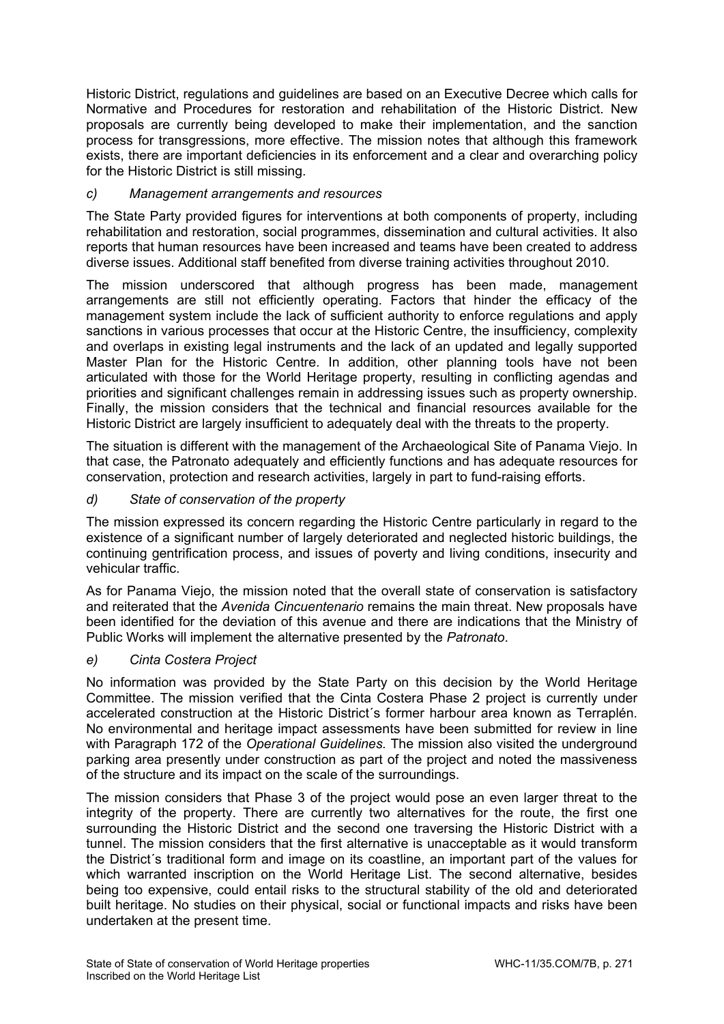Historic District, regulations and guidelines are based on an Executive Decree which calls for Normative and Procedures for restoration and rehabilitation of the Historic District. New proposals are currently being developed to make their implementation, and the sanction process for transgressions, more effective. The mission notes that although this framework exists, there are important deficiencies in its enforcement and a clear and overarching policy for the Historic District is still missing.

# *c) Management arrangements and resources*

The State Party provided figures for interventions at both components of property, including rehabilitation and restoration, social programmes, dissemination and cultural activities. It also reports that human resources have been increased and teams have been created to address diverse issues. Additional staff benefited from diverse training activities throughout 2010.

The mission underscored that although progress has been made, management arrangements are still not efficiently operating. Factors that hinder the efficacy of the management system include the lack of sufficient authority to enforce regulations and apply sanctions in various processes that occur at the Historic Centre, the insufficiency, complexity and overlaps in existing legal instruments and the lack of an updated and legally supported Master Plan for the Historic Centre. In addition, other planning tools have not been articulated with those for the World Heritage property, resulting in conflicting agendas and priorities and significant challenges remain in addressing issues such as property ownership. Finally, the mission considers that the technical and financial resources available for the Historic District are largely insufficient to adequately deal with the threats to the property.

The situation is different with the management of the Archaeological Site of Panama Viejo. In that case, the Patronato adequately and efficiently functions and has adequate resources for conservation, protection and research activities, largely in part to fund-raising efforts.

# *d) State of conservation of the property*

The mission expressed its concern regarding the Historic Centre particularly in regard to the existence of a significant number of largely deteriorated and neglected historic buildings, the continuing gentrification process, and issues of poverty and living conditions, insecurity and vehicular traffic.

As for Panama Viejo, the mission noted that the overall state of conservation is satisfactory and reiterated that the *Avenida Cincuentenario* remains the main threat. New proposals have been identified for the deviation of this avenue and there are indications that the Ministry of Public Works will implement the alternative presented by the *Patronato*.

## *e) Cinta Costera Project*

No information was provided by the State Party on this decision by the World Heritage Committee. The mission verified that the Cinta Costera Phase 2 project is currently under accelerated construction at the Historic District´s former harbour area known as Terraplén. No environmental and heritage impact assessments have been submitted for review in line with Paragraph 172 of the *Operational Guidelines.* The mission also visited the underground parking area presently under construction as part of the project and noted the massiveness of the structure and its impact on the scale of the surroundings.

The mission considers that Phase 3 of the project would pose an even larger threat to the integrity of the property. There are currently two alternatives for the route, the first one surrounding the Historic District and the second one traversing the Historic District with a tunnel. The mission considers that the first alternative is unacceptable as it would transform the District´s traditional form and image on its coastline, an important part of the values for which warranted inscription on the World Heritage List. The second alternative, besides being too expensive, could entail risks to the structural stability of the old and deteriorated built heritage. No studies on their physical, social or functional impacts and risks have been undertaken at the present time.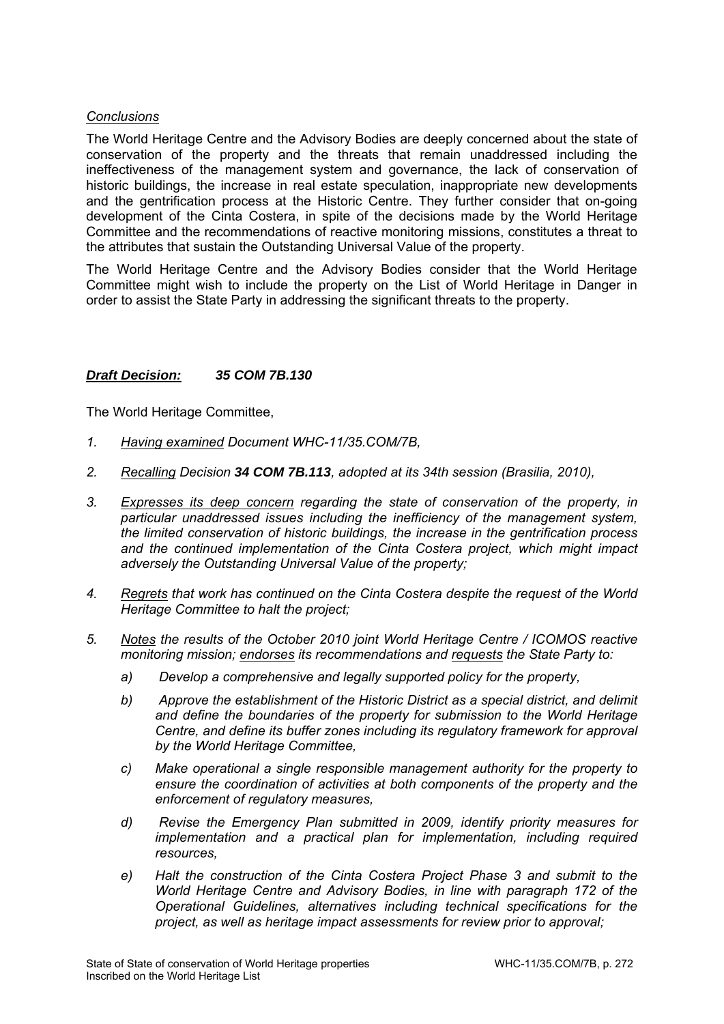## *Conclusions*

The World Heritage Centre and the Advisory Bodies are deeply concerned about the state of conservation of the property and the threats that remain unaddressed including the ineffectiveness of the management system and governance, the lack of conservation of historic buildings, the increase in real estate speculation, inappropriate new developments and the gentrification process at the Historic Centre. They further consider that on-going development of the Cinta Costera, in spite of the decisions made by the World Heritage Committee and the recommendations of reactive monitoring missions, constitutes a threat to the attributes that sustain the Outstanding Universal Value of the property.

The World Heritage Centre and the Advisory Bodies consider that the World Heritage Committee might wish to include the property on the List of World Heritage in Danger in order to assist the State Party in addressing the significant threats to the property.

# *Draft Decision: 35 COM 7B.130*

- *1. Having examined Document WHC-11/35.COM/7B,*
- *2. Recalling Decision 34 COM 7B.113, adopted at its 34th session (Brasilia, 2010),*
- *3. Expresses its deep concern regarding the state of conservation of the property, in particular unaddressed issues including the inefficiency of the management system, the limited conservation of historic buildings, the increase in the gentrification process and the continued implementation of the Cinta Costera project, which might impact adversely the Outstanding Universal Value of the property;*
- *4. Regrets that work has continued on the Cinta Costera despite the request of the World Heritage Committee to halt the project;*
- *5. Notes the results of the October 2010 joint World Heritage Centre / ICOMOS reactive monitoring mission; endorses its recommendations and requests the State Party to:* 
	- *a) Develop a comprehensive and legally supported policy for the property,*
	- *b) Approve the establishment of the Historic District as a special district, and delimit and define the boundaries of the property for submission to the World Heritage Centre, and define its buffer zones including its regulatory framework for approval by the World Heritage Committee,*
	- *c) Make operational a single responsible management authority for the property to ensure the coordination of activities at both components of the property and the enforcement of regulatory measures,*
	- *d) Revise the Emergency Plan submitted in 2009, identify priority measures for implementation and a practical plan for implementation, including required resources,*
	- *e) Halt the construction of the Cinta Costera Project Phase 3 and submit to the World Heritage Centre and Advisory Bodies, in line with paragraph 172 of the Operational Guidelines, alternatives including technical specifications for the project, as well as heritage impact assessments for review prior to approval;*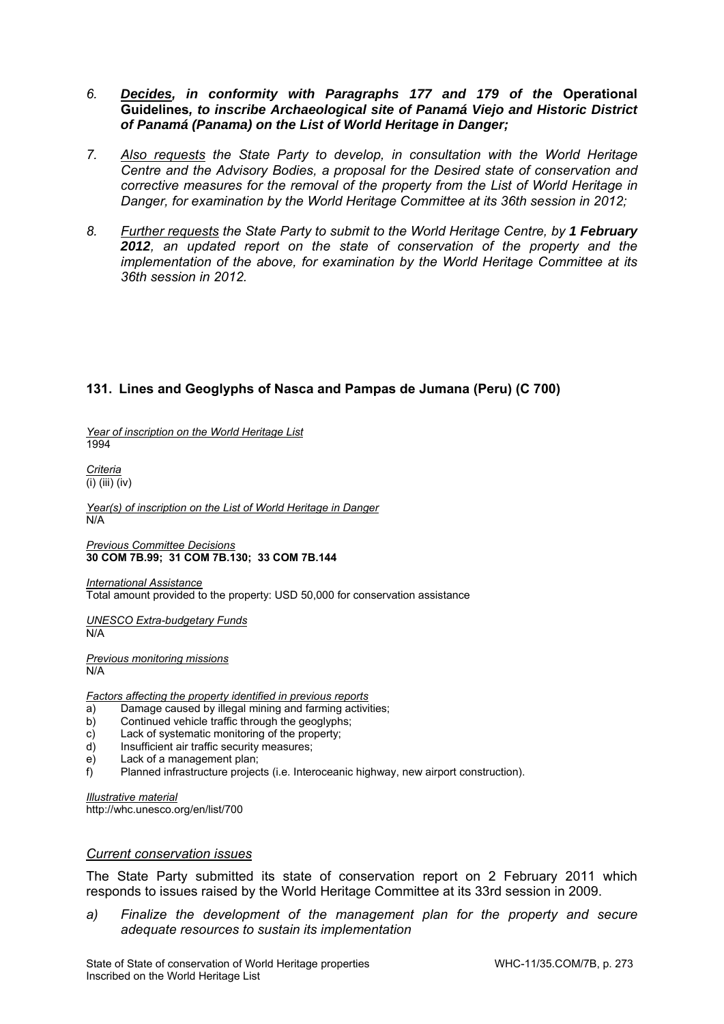- *6. Decides, in conformity with Paragraphs 177 and 179 of the* **Operational Guidelines***, to inscribe Archaeological site of Panamá Viejo and Historic District of Panamá (Panama) on the List of World Heritage in Danger;*
- *7. Also requests the State Party to develop, in consultation with the World Heritage Centre and the Advisory Bodies, a proposal for the Desired state of conservation and corrective measures for the removal of the property from the List of World Heritage in Danger, for examination by the World Heritage Committee at its 36th session in 2012;*
- 8. *Further requests the State Party to submit to the World Heritage Centre, by 1 February 2012, an updated report on the state of conservation of the property and the implementation of the above, for examination by the World Heritage Committee at its 36th session in 2012.*

# **131. Lines and Geoglyphs of Nasca and Pampas de Jumana (Peru) (C 700)**

*Year of inscription on the World Heritage List*  1994

*Criteria*  (i) (iii) (iv)

*Year(s) of inscription on the List of World Heritage in Danger*   $N/A$ 

*Previous Committee Decisions*  **30 COM 7B.99; 31 COM 7B.130; 33 COM 7B.144** 

*International Assistance*  Total amount provided to the property: USD 50,000 for conservation assistance

*UNESCO Extra-budgetary Funds*  N/A

*Previous monitoring missions*  N/A

*Factors affecting the property identified in previous reports* 

- a) Damage caused by illegal mining and farming activities;
- b) Continued vehicle traffic through the geoglyphs;
- c) Lack of systematic monitoring of the property;
- d) Insufficient air traffic security measures;
- e) Lack of a management plan;
- f) Planned infrastructure projects (i.e. Interoceanic highway, new airport construction).

*Illustrative material*  http://whc.unesco.org/en/list/700

### *Current conservation issues*

The State Party submitted its state of conservation report on 2 February 2011 which responds to issues raised by the World Heritage Committee at its 33rd session in 2009.

a) Finalize the development of the management plan for the property and secure *adequate resources to sustain its implementation*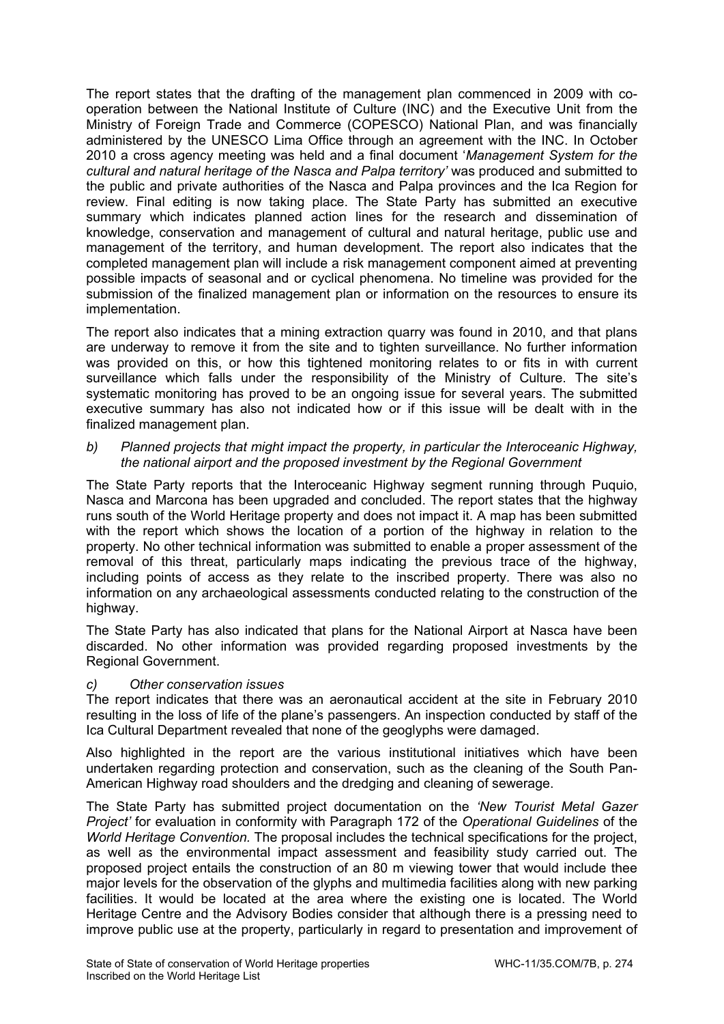The report states that the drafting of the management plan commenced in 2009 with cooperation between the National Institute of Culture (INC) and the Executive Unit from the Ministry of Foreign Trade and Commerce (COPESCO) National Plan, and was financially administered by the UNESCO Lima Office through an agreement with the INC. In October 2010 a cross agency meeting was held and a final document '*Management System for the cultural and natural heritage of the Nasca and Palpa territory'* was produced and submitted to the public and private authorities of the Nasca and Palpa provinces and the Ica Region for review. Final editing is now taking place. The State Party has submitted an executive summary which indicates planned action lines for the research and dissemination of knowledge, conservation and management of cultural and natural heritage, public use and management of the territory, and human development. The report also indicates that the completed management plan will include a risk management component aimed at preventing possible impacts of seasonal and or cyclical phenomena. No timeline was provided for the submission of the finalized management plan or information on the resources to ensure its implementation.

The report also indicates that a mining extraction quarry was found in 2010, and that plans are underway to remove it from the site and to tighten surveillance. No further information was provided on this, or how this tightened monitoring relates to or fits in with current surveillance which falls under the responsibility of the Ministry of Culture. The site's systematic monitoring has proved to be an ongoing issue for several years. The submitted executive summary has also not indicated how or if this issue will be dealt with in the finalized management plan.

*b) Planned projects that might impact the property, in particular the Interoceanic Highway, the national airport and the proposed investment by the Regional Government* 

The State Party reports that the Interoceanic Highway segment running through Puquio, Nasca and Marcona has been upgraded and concluded. The report states that the highway runs south of the World Heritage property and does not impact it. A map has been submitted with the report which shows the location of a portion of the highway in relation to the property. No other technical information was submitted to enable a proper assessment of the removal of this threat, particularly maps indicating the previous trace of the highway, including points of access as they relate to the inscribed property. There was also no information on any archaeological assessments conducted relating to the construction of the highway.

The State Party has also indicated that plans for the National Airport at Nasca have been discarded. No other information was provided regarding proposed investments by the Regional Government.

## *c) Other conservation issues*

The report indicates that there was an aeronautical accident at the site in February 2010 resulting in the loss of life of the plane's passengers. An inspection conducted by staff of the Ica Cultural Department revealed that none of the geoglyphs were damaged.

Also highlighted in the report are the various institutional initiatives which have been undertaken regarding protection and conservation, such as the cleaning of the South Pan-American Highway road shoulders and the dredging and cleaning of sewerage.

The State Party has submitted project documentation on the *'New Tourist Metal Gazer Project'* for evaluation in conformity with Paragraph 172 of the *Operational Guidelines* of the *World Heritage Convention.* The proposal includes the technical specifications for the project, as well as the environmental impact assessment and feasibility study carried out. The proposed project entails the construction of an 80 m viewing tower that would include thee major levels for the observation of the glyphs and multimedia facilities along with new parking facilities. It would be located at the area where the existing one is located. The World Heritage Centre and the Advisory Bodies consider that although there is a pressing need to improve public use at the property, particularly in regard to presentation and improvement of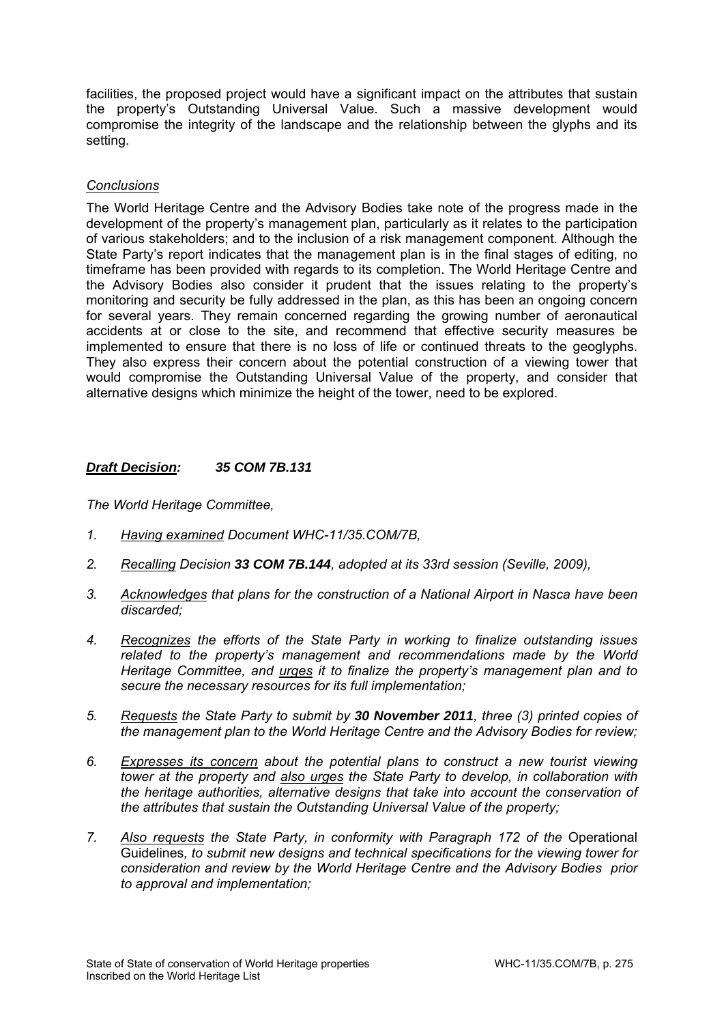facilities, the proposed project would have a significant impact on the attributes that sustain the property's Outstanding Universal Value. Such a massive development would compromise the integrity of the landscape and the relationship between the glyphs and its setting.

## *Conclusions*

The World Heritage Centre and the Advisory Bodies take note of the progress made in the development of the property's management plan, particularly as it relates to the participation of various stakeholders; and to the inclusion of a risk management component. Although the State Party's report indicates that the management plan is in the final stages of editing, no timeframe has been provided with regards to its completion. The World Heritage Centre and the Advisory Bodies also consider it prudent that the issues relating to the property's monitoring and security be fully addressed in the plan, as this has been an ongoing concern for several years. They remain concerned regarding the growing number of aeronautical accidents at or close to the site, and recommend that effective security measures be implemented to ensure that there is no loss of life or continued threats to the geoglyphs. They also express their concern about the potential construction of a viewing tower that would compromise the Outstanding Universal Value of the property, and consider that alternative designs which minimize the height of the tower, need to be explored.

# *Draft Decision: 35 COM 7B.131*

- *1. Having examined Document WHC-11/35.COM/7B,*
- *2. Recalling Decision 33 COM 7B.144, adopted at its 33rd session (Seville, 2009),*
- *3. Acknowledges that plans for the construction of a National Airport in Nasca have been discarded;*
- *4. Recognizes the efforts of the State Party in working to finalize outstanding issues related to the property's management and recommendations made by the World Heritage Committee, and urges it to finalize the property's management plan and to secure the necessary resources for its full implementation;*
- *5. Requests the State Party to submit by 30 November 2011, three (3) printed copies of the management plan to the World Heritage Centre and the Advisory Bodies for review;*
- *6. Expresses its concern about the potential plans to construct a new tourist viewing tower at the property and also urges the State Party to develop, in collaboration with the heritage authorities, alternative designs that take into account the conservation of the attributes that sustain the Outstanding Universal Value of the property;*
- 7. Also requests the State Party, in conformity with Paragraph 172 of the Operational Guidelines*, to submit new designs and technical specifications for the viewing tower for consideration and review by the World Heritage Centre and the Advisory Bodies prior to approval and implementation;*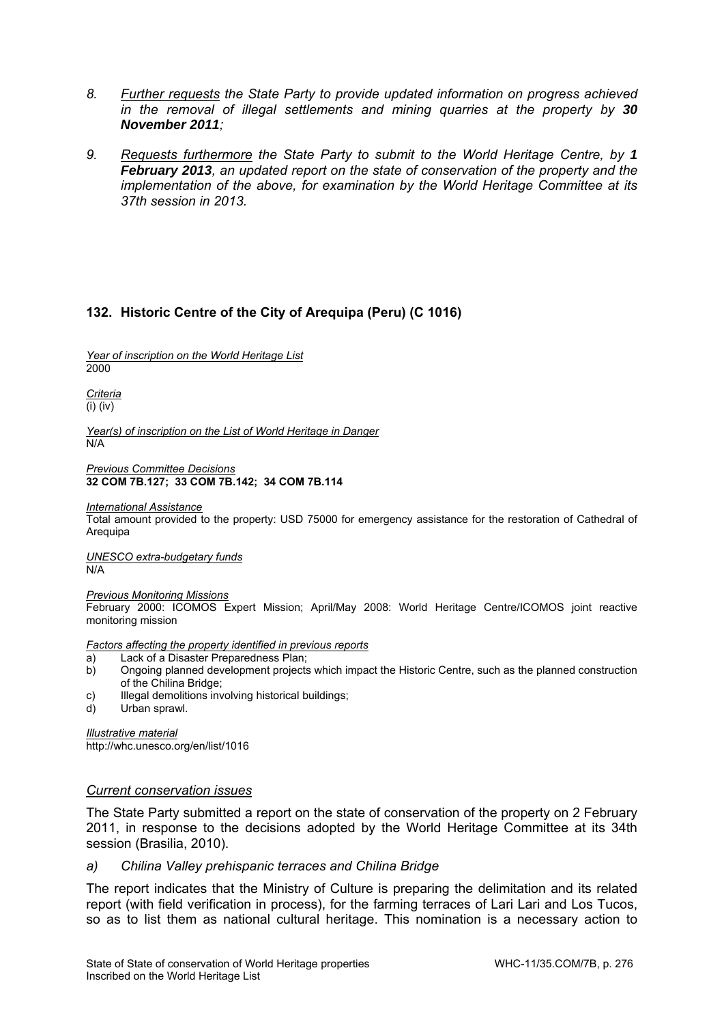- *8. Further requests the State Party to provide updated information on progress achieved in the removal of illegal settlements and mining quarries at the property by 30 November 2011;*
- *9. Requests furthermore the State Party to submit to the World Heritage Centre, by 1 February 2013, an updated report on the state of conservation of the property and the implementation of the above, for examination by the World Heritage Committee at its 37th session in 2013.*

# **132. Historic Centre of the City of Arequipa (Peru) (C 1016)**

*Year of inscription on the World Heritage List*  2000

*Criteria*  (i) (iv)

*Year(s) of inscription on the List of World Heritage in Danger*  N/A

*Previous Committee Decisions*  **32 COM 7B.127; 33 COM 7B.142; 34 COM 7B.114** 

*International Assistance* 

Total amount provided to the property: USD 75000 for emergency assistance for the restoration of Cathedral of Arequipa

*UNESCO extra-budgetary funds*  N/A

*Previous Monitoring Missions* 

February 2000: ICOMOS Expert Mission; April/May 2008: World Heritage Centre/ICOMOS joint reactive monitoring mission

*Factors affecting the property identified in previous reports* 

- 
- a) Lack of a Disaster Preparedness Plan;<br>b) Ongoing planned development projects b) Ongoing planned development projects which impact the Historic Centre, such as the planned construction of the Chilina Bridge;
- c) Illegal demolitions involving historical buildings;
- d) Urban sprawl.

*Illustrative material*  http://whc.unesco.org/en/list/1016

### *Current conservation issues*

The State Party submitted a report on the state of conservation of the property on 2 February 2011, in response to the decisions adopted by the World Heritage Committee at its 34th session (Brasilia, 2010).

### *a) Chilina Valley prehispanic terraces and Chilina Bridge*

The report indicates that the Ministry of Culture is preparing the delimitation and its related report (with field verification in process), for the farming terraces of Lari Lari and Los Tucos, so as to list them as national cultural heritage. This nomination is a necessary action to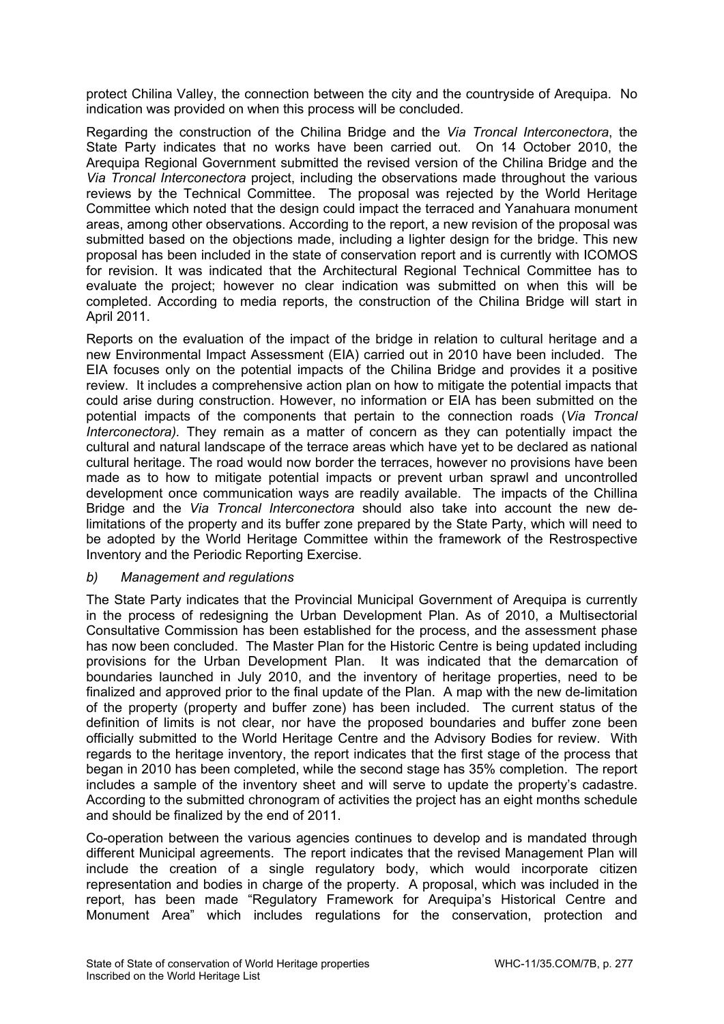protect Chilina Valley, the connection between the city and the countryside of Arequipa. No indication was provided on when this process will be concluded.

Regarding the construction of the Chilina Bridge and the *Via Troncal Interconectora*, the State Party indicates that no works have been carried out. On 14 October 2010, the Arequipa Regional Government submitted the revised version of the Chilina Bridge and the *Via Troncal Interconectora* project, including the observations made throughout the various reviews by the Technical Committee. The proposal was rejected by the World Heritage Committee which noted that the design could impact the terraced and Yanahuara monument areas, among other observations. According to the report, a new revision of the proposal was submitted based on the objections made, including a lighter design for the bridge. This new proposal has been included in the state of conservation report and is currently with ICOMOS for revision. It was indicated that the Architectural Regional Technical Committee has to evaluate the project; however no clear indication was submitted on when this will be completed. According to media reports, the construction of the Chilina Bridge will start in April 2011.

Reports on the evaluation of the impact of the bridge in relation to cultural heritage and a new Environmental Impact Assessment (EIA) carried out in 2010 have been included. The EIA focuses only on the potential impacts of the Chilina Bridge and provides it a positive review. It includes a comprehensive action plan on how to mitigate the potential impacts that could arise during construction. However, no information or EIA has been submitted on the potential impacts of the components that pertain to the connection roads (*Via Troncal Interconectora).* They remain as a matter of concern as they can potentially impact the cultural and natural landscape of the terrace areas which have yet to be declared as national cultural heritage. The road would now border the terraces, however no provisions have been made as to how to mitigate potential impacts or prevent urban sprawl and uncontrolled development once communication ways are readily available. The impacts of the Chillina Bridge and the *Via Troncal Interconectora* should also take into account the new delimitations of the property and its buffer zone prepared by the State Party, which will need to be adopted by the World Heritage Committee within the framework of the Restrospective Inventory and the Periodic Reporting Exercise.

## *b) Management and regulations*

The State Party indicates that the Provincial Municipal Government of Arequipa is currently in the process of redesigning the Urban Development Plan. As of 2010, a Multisectorial Consultative Commission has been established for the process, and the assessment phase has now been concluded. The Master Plan for the Historic Centre is being updated including provisions for the Urban Development Plan. It was indicated that the demarcation of boundaries launched in July 2010, and the inventory of heritage properties, need to be finalized and approved prior to the final update of the Plan. A map with the new de-limitation of the property (property and buffer zone) has been included. The current status of the definition of limits is not clear, nor have the proposed boundaries and buffer zone been officially submitted to the World Heritage Centre and the Advisory Bodies for review. With regards to the heritage inventory, the report indicates that the first stage of the process that began in 2010 has been completed, while the second stage has 35% completion. The report includes a sample of the inventory sheet and will serve to update the property's cadastre. According to the submitted chronogram of activities the project has an eight months schedule and should be finalized by the end of 2011.

Co-operation between the various agencies continues to develop and is mandated through different Municipal agreements. The report indicates that the revised Management Plan will include the creation of a single regulatory body, which would incorporate citizen representation and bodies in charge of the property. A proposal, which was included in the report, has been made "Regulatory Framework for Arequipa's Historical Centre and Monument Area" which includes regulations for the conservation, protection and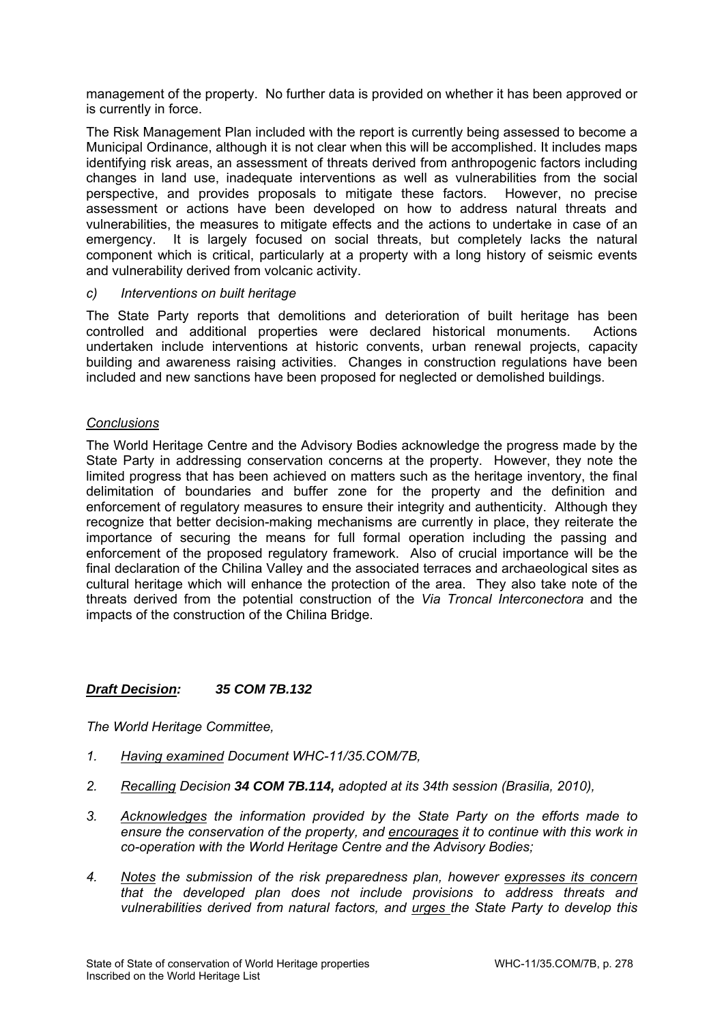management of the property. No further data is provided on whether it has been approved or is currently in force.

The Risk Management Plan included with the report is currently being assessed to become a Municipal Ordinance, although it is not clear when this will be accomplished. It includes maps identifying risk areas, an assessment of threats derived from anthropogenic factors including changes in land use, inadequate interventions as well as vulnerabilities from the social perspective, and provides proposals to mitigate these factors. However, no precise assessment or actions have been developed on how to address natural threats and vulnerabilities, the measures to mitigate effects and the actions to undertake in case of an emergency. It is largely focused on social threats, but completely lacks the natural component which is critical, particularly at a property with a long history of seismic events and vulnerability derived from volcanic activity.

### *c) Interventions on built heritage*

The State Party reports that demolitions and deterioration of built heritage has been controlled and additional properties were declared historical monuments. Actions undertaken include interventions at historic convents, urban renewal projects, capacity building and awareness raising activities. Changes in construction regulations have been included and new sanctions have been proposed for neglected or demolished buildings.

## *Conclusions*

The World Heritage Centre and the Advisory Bodies acknowledge the progress made by the State Party in addressing conservation concerns at the property. However, they note the limited progress that has been achieved on matters such as the heritage inventory, the final delimitation of boundaries and buffer zone for the property and the definition and enforcement of regulatory measures to ensure their integrity and authenticity. Although they recognize that better decision-making mechanisms are currently in place, they reiterate the importance of securing the means for full formal operation including the passing and enforcement of the proposed regulatory framework. Also of crucial importance will be the final declaration of the Chilina Valley and the associated terraces and archaeological sites as cultural heritage which will enhance the protection of the area. They also take note of the threats derived from the potential construction of the *Via Troncal Interconectora* and the impacts of the construction of the Chilina Bridge.

## *Draft Decision: 35 COM 7B.132*

- *1. Having examined Document WHC-11/35.COM/7B,*
- *2. Recalling Decision 34 COM 7B.114, adopted at its 34th session (Brasilia, 2010),*
- *3. Acknowledges the information provided by the State Party on the efforts made to ensure the conservation of the property, and encourages it to continue with this work in co-operation with the World Heritage Centre and the Advisory Bodies;*
- *4. Notes the submission of the risk preparedness plan, however expresses its concern that the developed plan does not include provisions to address threats and vulnerabilities derived from natural factors, and urges the State Party to develop this*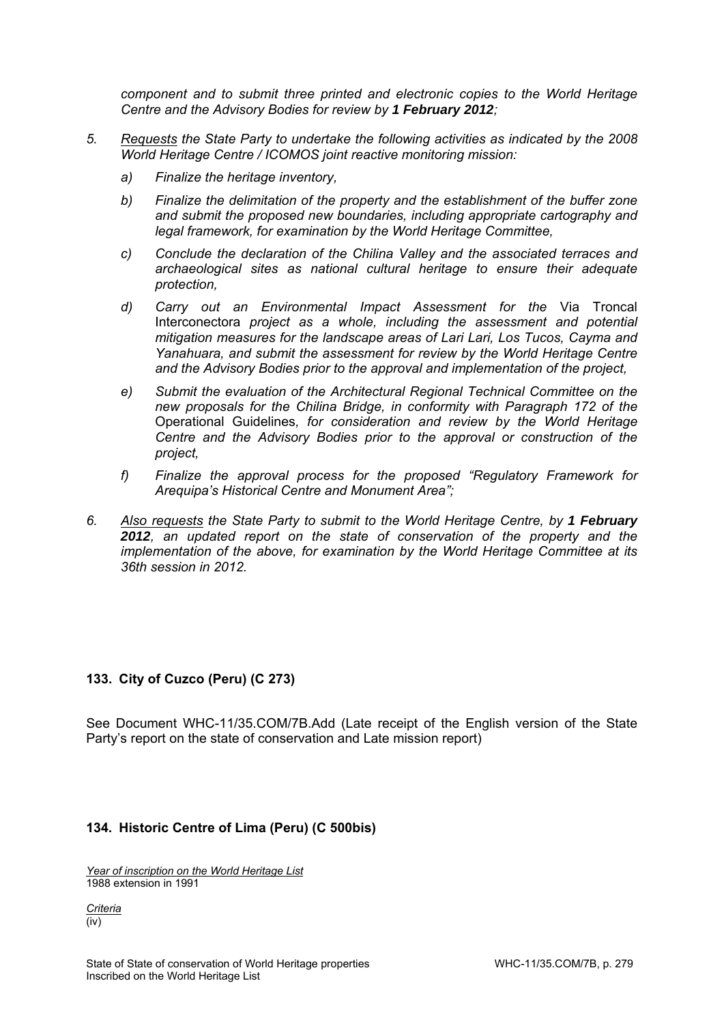*component and to submit three printed and electronic copies to the World Heritage Centre and the Advisory Bodies for review by 1 February 2012;* 

- *5. Requests the State Party to undertake the following activities as indicated by the 2008 World Heritage Centre / ICOMOS joint reactive monitoring mission:* 
	- *a) Finalize the heritage inventory,*
	- *b) Finalize the delimitation of the property and the establishment of the buffer zone and submit the proposed new boundaries, including appropriate cartography and legal framework, for examination by the World Heritage Committee,*
	- *c) Conclude the declaration of the Chilina Valley and the associated terraces and archaeological sites as national cultural heritage to ensure their adequate protection,*
	- *d) Carry out an Environmental Impact Assessment for the* Via Troncal Interconectora *project as a whole, including the assessment and potential mitigation measures for the landscape areas of Lari Lari, Los Tucos, Cayma and Yanahuara, and submit the assessment for review by the World Heritage Centre and the Advisory Bodies prior to the approval and implementation of the project,*
	- *e) Submit the evaluation of the Architectural Regional Technical Committee on the new proposals for the Chilina Bridge, in conformity with Paragraph 172 of the*  Operational Guidelines*, for consideration and review by the World Heritage Centre and the Advisory Bodies prior to the approval or construction of the project,*
	- *f) Finalize the approval process for the proposed "Regulatory Framework for Arequipa's Historical Centre and Monument Area";*
- *6. Also requests the State Party to submit to the World Heritage Centre, by 1 February 2012, an updated report on the state of conservation of the property and the implementation of the above, for examination by the World Heritage Committee at its 36th session in 2012.*

## **133. City of Cuzco (Peru) (C 273)**

See Document WHC-11/35.COM/7B.Add (Late receipt of the English version of the State Party's report on the state of conservation and Late mission report)

## **134. Historic Centre of Lima (Peru) (C 500bis)**

*Year of inscription on the World Heritage List*  1988 extension in 1991

*Criteria*  (iv)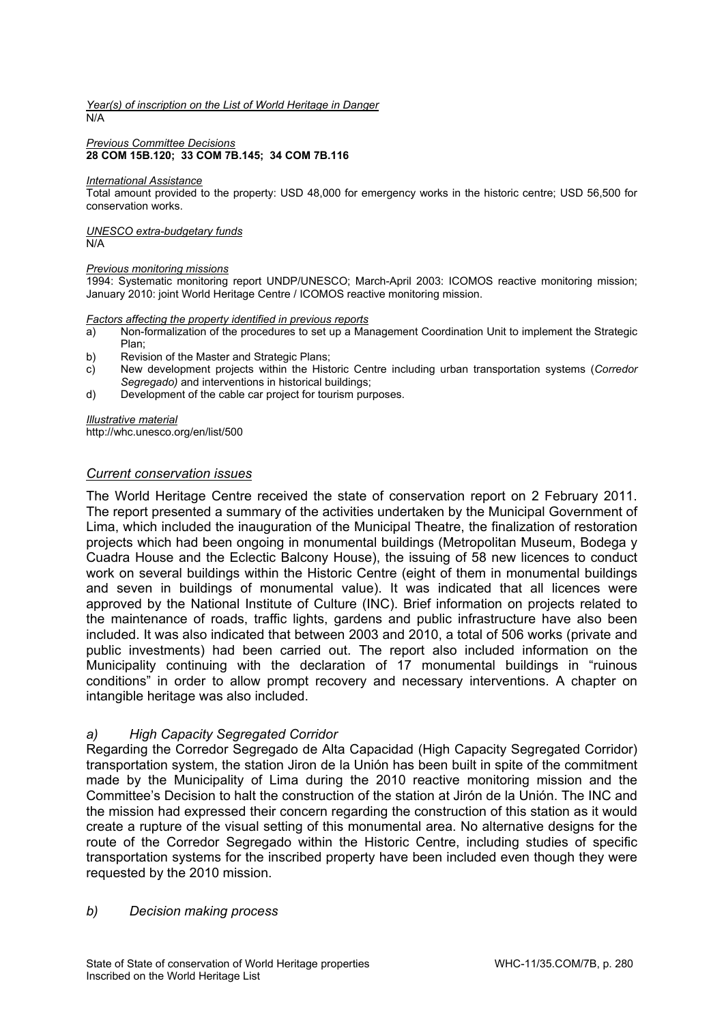#### *Year(s) of inscription on the List of World Heritage in Danger*  N/A

#### *Previous Committee Decisions*  **28 COM 15B.120; 33 COM 7B.145; 34 COM 7B.116**

#### *International Assistance*

Total amount provided to the property: USD 48,000 for emergency works in the historic centre; USD 56,500 for conservation works.

#### *UNESCO extra-budgetary funds*  N/A

#### *Previous monitoring missions*

1994: Systematic monitoring report UNDP/UNESCO; March-April 2003: ICOMOS reactive monitoring mission; January 2010: joint World Heritage Centre / ICOMOS reactive monitoring mission.

#### *Factors affecting the property identified in previous reports*

- a) Non-formalization of the procedures to set up a Management Coordination Unit to implement the Strategic Plan;
- 
- b) Revision of the Master and Strategic Plans;<br>c) New development projects within the Histo c) New development projects within the Historic Centre including urban transportation systems (*Corredor Segregado)* and interventions in historical buildings;
- d) Development of the cable car project for tourism purposes.

#### *Illustrative material*

http://whc.unesco.org/en/list/500

### *Current conservation issues*

The World Heritage Centre received the state of conservation report on 2 February 2011. The report presented a summary of the activities undertaken by the Municipal Government of Lima, which included the inauguration of the Municipal Theatre, the finalization of restoration projects which had been ongoing in monumental buildings (Metropolitan Museum, Bodega y Cuadra House and the Eclectic Balcony House), the issuing of 58 new licences to conduct work on several buildings within the Historic Centre (eight of them in monumental buildings and seven in buildings of monumental value). It was indicated that all licences were approved by the National Institute of Culture (INC). Brief information on projects related to the maintenance of roads, traffic lights, gardens and public infrastructure have also been included. It was also indicated that between 2003 and 2010, a total of 506 works (private and public investments) had been carried out. The report also included information on the Municipality continuing with the declaration of 17 monumental buildings in "ruinous conditions" in order to allow prompt recovery and necessary interventions. A chapter on intangible heritage was also included.

### *a) High Capacity Segregated Corridor*

Regarding the Corredor Segregado de Alta Capacidad (High Capacity Segregated Corridor) transportation system, the station Jiron de la Unión has been built in spite of the commitment made by the Municipality of Lima during the 2010 reactive monitoring mission and the Committee's Decision to halt the construction of the station at Jirón de la Unión. The INC and the mission had expressed their concern regarding the construction of this station as it would create a rupture of the visual setting of this monumental area. No alternative designs for the route of the Corredor Segregado within the Historic Centre, including studies of specific transportation systems for the inscribed property have been included even though they were requested by the 2010 mission.

### *b) Decision making process*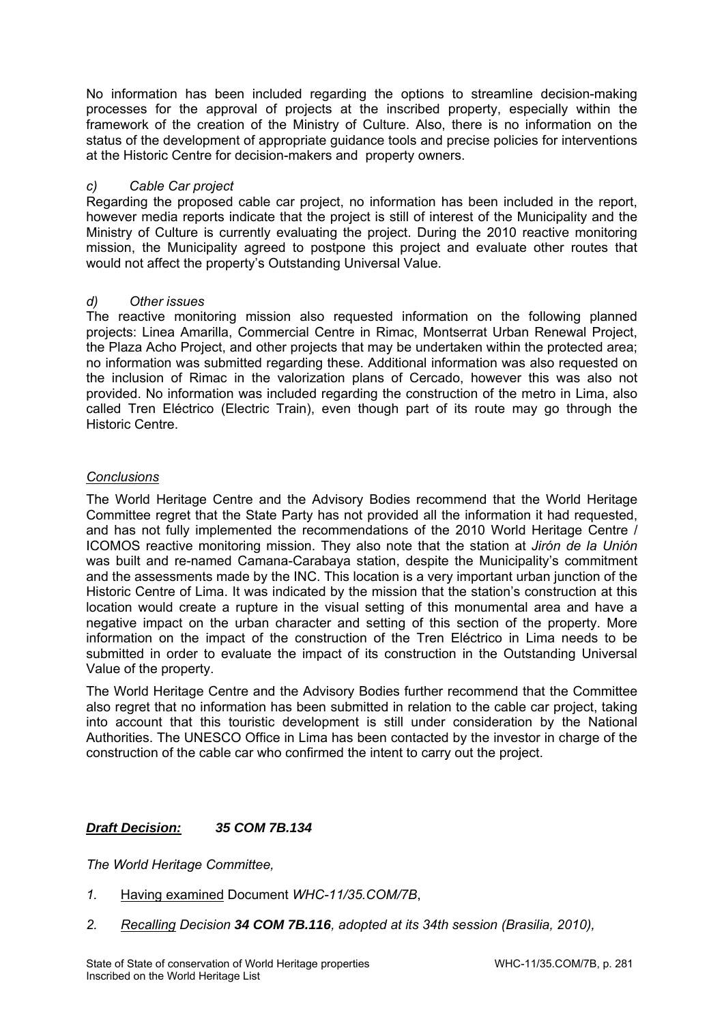No information has been included regarding the options to streamline decision-making processes for the approval of projects at the inscribed property, especially within the framework of the creation of the Ministry of Culture. Also, there is no information on the status of the development of appropriate guidance tools and precise policies for interventions at the Historic Centre for decision-makers and property owners.

# *c) Cable Car project*

Regarding the proposed cable car project, no information has been included in the report, however media reports indicate that the project is still of interest of the Municipality and the Ministry of Culture is currently evaluating the project. During the 2010 reactive monitoring mission, the Municipality agreed to postpone this project and evaluate other routes that would not affect the property's Outstanding Universal Value.

# *d) Other issues*

The reactive monitoring mission also requested information on the following planned projects: Linea Amarilla, Commercial Centre in Rimac, Montserrat Urban Renewal Project, the Plaza Acho Project, and other projects that may be undertaken within the protected area; no information was submitted regarding these. Additional information was also requested on the inclusion of Rimac in the valorization plans of Cercado, however this was also not provided. No information was included regarding the construction of the metro in Lima, also called Tren Eléctrico (Electric Train), even though part of its route may go through the Historic Centre.

# *Conclusions*

The World Heritage Centre and the Advisory Bodies recommend that the World Heritage Committee regret that the State Party has not provided all the information it had requested, and has not fully implemented the recommendations of the 2010 World Heritage Centre / ICOMOS reactive monitoring mission. They also note that the station at *Jirón de la Unión* was built and re-named Camana-Carabaya station, despite the Municipality's commitment and the assessments made by the INC. This location is a very important urban junction of the Historic Centre of Lima. It was indicated by the mission that the station's construction at this location would create a rupture in the visual setting of this monumental area and have a negative impact on the urban character and setting of this section of the property. More information on the impact of the construction of the Tren Eléctrico in Lima needs to be submitted in order to evaluate the impact of its construction in the Outstanding Universal Value of the property.

The World Heritage Centre and the Advisory Bodies further recommend that the Committee also regret that no information has been submitted in relation to the cable car project, taking into account that this touristic development is still under consideration by the National Authorities. The UNESCO Office in Lima has been contacted by the investor in charge of the construction of the cable car who confirmed the intent to carry out the project.

# *Draft Decision: 35 COM 7B.134*

- *1.* Having examined Document *WHC-11/35.COM/7B*,
- *2. Recalling Decision 34 COM 7B.116, adopted at its 34th session (Brasilia, 2010),*